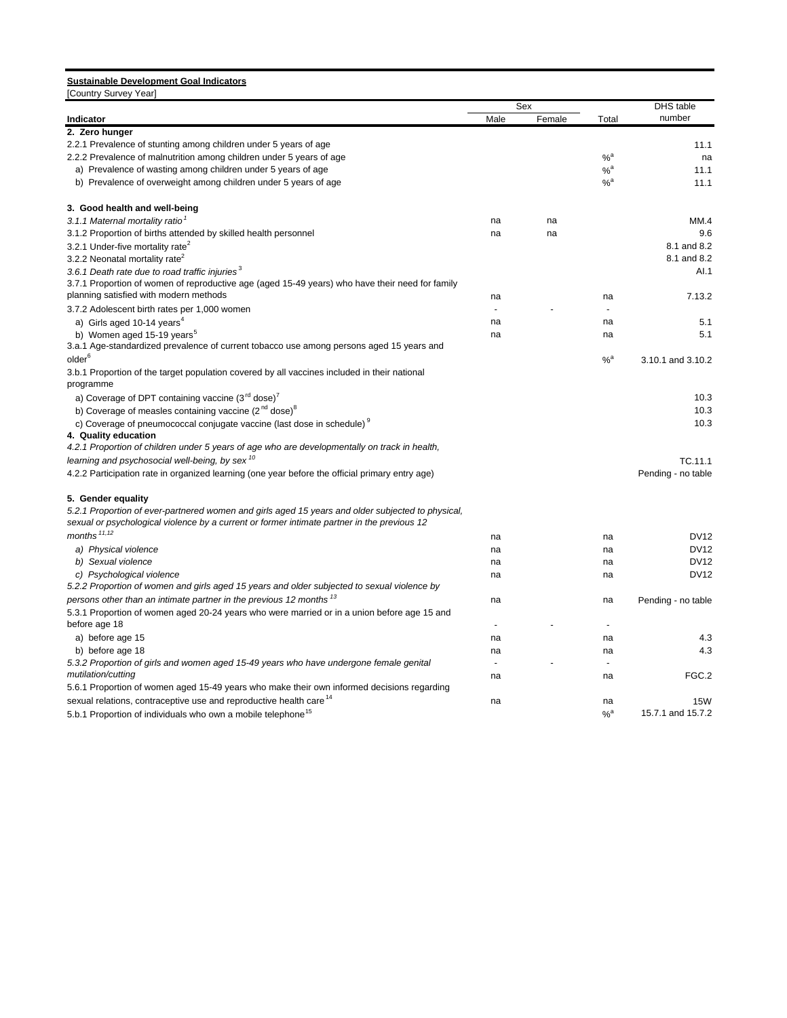# **Sustainable Development Goal Indicators**

| [Country Survey Year]                                                                             |                |        |                   |                    |  |
|---------------------------------------------------------------------------------------------------|----------------|--------|-------------------|--------------------|--|
|                                                                                                   |                | Sex    |                   | DHS table          |  |
| Indicator                                                                                         | Male           | Female | Total             | number             |  |
| 2. Zero hunger                                                                                    |                |        |                   |                    |  |
| 2.2.1 Prevalence of stunting among children under 5 years of age                                  |                |        |                   | 11.1               |  |
| 2.2.2 Prevalence of malnutrition among children under 5 years of age                              |                |        | $%$ <sup>a</sup>  | na                 |  |
| a) Prevalence of wasting among children under 5 years of age                                      |                |        | $%$ <sup>a</sup>  | 11.1               |  |
| b) Prevalence of overweight among children under 5 years of age                                   |                |        | $%$ <sup>a</sup>  | 11.1               |  |
| 3. Good health and well-being                                                                     |                |        |                   |                    |  |
| 3.1.1 Maternal mortality ratio <sup>1</sup>                                                       | na             | na     |                   | MM.4               |  |
| 3.1.2 Proportion of births attended by skilled health personnel                                   | na             | na     |                   | 9.6                |  |
| 3.2.1 Under-five mortality rate <sup>2</sup>                                                      |                |        |                   | 8.1 and 8.2        |  |
| 3.2.2 Neonatal mortality rate <sup>2</sup>                                                        |                |        |                   | 8.1 and 8.2        |  |
| 3.6.1 Death rate due to road traffic injuries $3$                                                 |                |        |                   | AI.1               |  |
| 3.7.1 Proportion of women of reproductive age (aged 15-49 years) who have their need for family   |                |        |                   |                    |  |
| planning satisfied with modern methods                                                            | na             |        | na                | 7.13.2             |  |
| 3.7.2 Adolescent birth rates per 1,000 women                                                      |                |        |                   |                    |  |
| a) Girls aged 10-14 years <sup>4</sup>                                                            | na             |        | na                | 5.1                |  |
| b) Women aged 15-19 years <sup>5</sup>                                                            | na             |        | na                | 5.1                |  |
| 3.a.1 Age-standardized prevalence of current tobacco use among persons aged 15 years and          |                |        |                   |                    |  |
| older <sup>6</sup>                                                                                |                |        | $%$ <sup>a</sup>  | 3.10.1 and 3.10.2  |  |
| 3.b.1 Proportion of the target population covered by all vaccines included in their national      |                |        |                   |                    |  |
| programme                                                                                         |                |        |                   |                    |  |
| a) Coverage of DPT containing vaccine $(3rd$ dose) <sup>7</sup>                                   |                |        |                   | 10.3               |  |
| b) Coverage of measles containing vaccine $(2^{nd}$ dose) <sup>8</sup>                            |                |        |                   | 10.3               |  |
| c) Coverage of pneumococcal conjugate vaccine (last dose in schedule) <sup>9</sup>                |                |        |                   | 10.3               |  |
| 4. Quality education                                                                              |                |        |                   |                    |  |
| 4.2.1 Proportion of children under 5 years of age who are developmentally on track in health,     |                |        |                   |                    |  |
| learning and psychosocial well-being, by sex <sup>10</sup>                                        |                |        |                   | TC.11.1            |  |
| 4.2.2 Participation rate in organized learning (one year before the official primary entry age)   |                |        |                   | Pending - no table |  |
| 5. Gender equality                                                                                |                |        |                   |                    |  |
| 5.2.1 Proportion of ever-partnered women and girls aged 15 years and older subjected to physical, |                |        |                   |                    |  |
| sexual or psychological violence by a current or former intimate partner in the previous 12       |                |        |                   |                    |  |
| months $11,12$                                                                                    | na             |        | na                | <b>DV12</b>        |  |
| a) Physical violence                                                                              | na             |        | na                | <b>DV12</b>        |  |
| b) Sexual violence                                                                                | na             |        | na                | <b>DV12</b>        |  |
| c) Psychological violence                                                                         | na             |        | na                | <b>DV12</b>        |  |
| 5.2.2 Proportion of women and girls aged 15 years and older subjected to sexual violence by       |                |        |                   |                    |  |
| persons other than an intimate partner in the previous 12 months <sup>13</sup>                    | na             |        | na                | Pending - no table |  |
| 5.3.1 Proportion of women aged 20-24 years who were married or in a union before age 15 and       |                |        |                   |                    |  |
| before age 18                                                                                     | $\overline{a}$ |        | $\overline{a}$    |                    |  |
| a) before age 15                                                                                  | na             |        | na                | 4.3                |  |
| b) before age 18                                                                                  | na             |        | na                | 4.3                |  |
| 5.3.2 Proportion of girls and women aged 15-49 years who have undergone female genital            |                |        |                   |                    |  |
| mutilation/cutting                                                                                | na             |        | na                | FGC.2              |  |
| 5.6.1 Proportion of women aged 15-49 years who make their own informed decisions regarding        |                |        |                   |                    |  |
| sexual relations, contraceptive use and reproductive health care <sup>14</sup>                    | na             |        | na                | <b>15W</b>         |  |
| 5.b.1 Proportion of individuals who own a mobile telephone <sup>15</sup>                          |                |        | $\%$ <sup>a</sup> | 15.7.1 and 15.7.2  |  |
|                                                                                                   |                |        |                   |                    |  |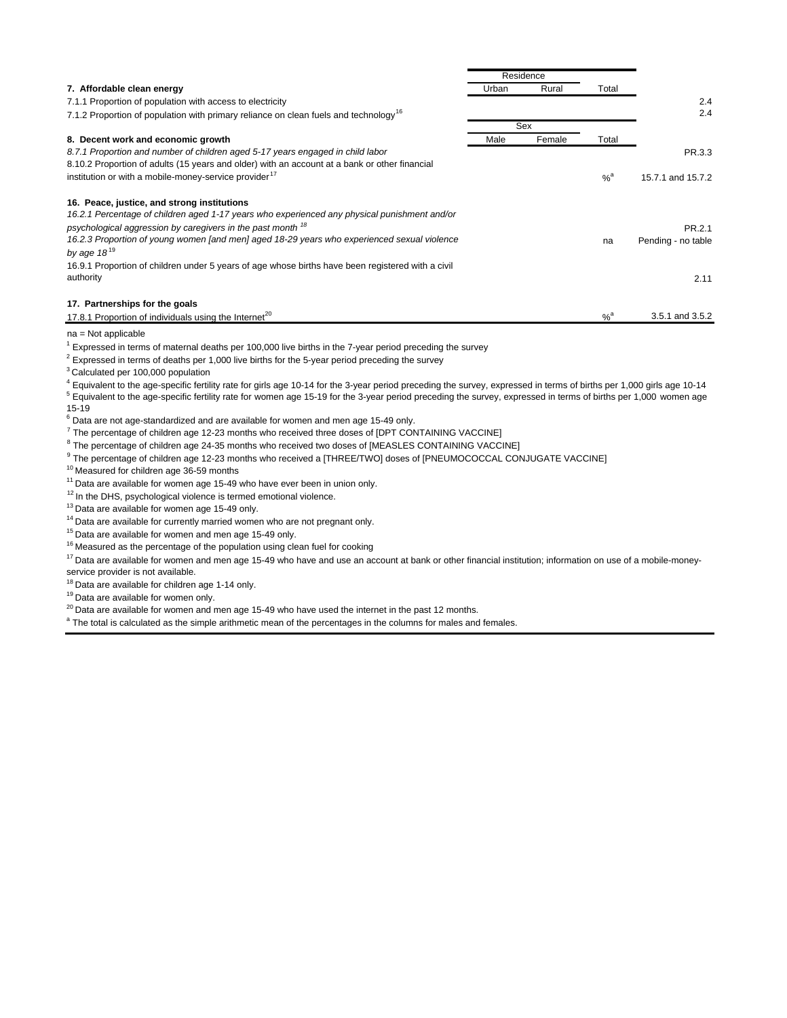|                                                                                                   |       | Residence |                   |                    |
|---------------------------------------------------------------------------------------------------|-------|-----------|-------------------|--------------------|
| 7. Affordable clean energy                                                                        | Urban | Rural     | Total             |                    |
| 7.1.1 Proportion of population with access to electricity                                         |       |           |                   | 2.4                |
| 7.1.2 Proportion of population with primary reliance on clean fuels and technology <sup>16</sup>  |       |           |                   | 2.4                |
|                                                                                                   |       | Sex       |                   |                    |
| 8. Decent work and economic growth                                                                | Male  | Female    | Total             |                    |
| 8.7.1 Proportion and number of children aged 5-17 years engaged in child labor                    |       |           |                   | PR.3.3             |
| 8.10.2 Proportion of adults (15 years and older) with an account at a bank or other financial     |       |           |                   |                    |
| institution or with a mobile-money-service provider <sup>17</sup>                                 |       |           | $\%$ <sup>a</sup> | 15.7.1 and 15.7.2  |
| 16. Peace, justice, and strong institutions                                                       |       |           |                   |                    |
| 16.2.1 Percentage of children aged 1-17 years who experienced any physical punishment and/or      |       |           |                   |                    |
| psychological aggression by caregivers in the past month <sup>18</sup>                            |       |           |                   | PR.2.1             |
| 16.2.3 Proportion of young women [and men] aged 18-29 years who experienced sexual violence       |       |           | na                | Pending - no table |
| by age $18^{19}$                                                                                  |       |           |                   |                    |
| 16.9.1 Proportion of children under 5 years of age whose births have been registered with a civil |       |           |                   |                    |
| authority                                                                                         |       |           |                   | 2.11               |
| 17. Partnerships for the goals                                                                    |       |           |                   |                    |
| 17.8.1 Proportion of individuals using the Internet <sup>20</sup>                                 |       |           | $%$ <sup>a</sup>  | 3.5.1 and 3.5.2    |
|                                                                                                   |       |           |                   |                    |

na = Not applicable

<sup>1</sup> Expressed in terms of maternal deaths per 100,000 live births in the 7-year period preceding the survey

 $2$  Expressed in terms of deaths per 1,000 live births for the 5-year period preceding the survey

3 Calculated per 100,000 population

 $^4$  Equivalent to the age-specific fertility rate for girls age 10-14 for the 3-year period preceding the survey, expressed in terms of births per 1,000 girls age 10-14

 $5$  Equivalent to the age-specific fertility rate for women age 15-19 for the 3-year period preceding the survey, expressed in terms of births per 1,000 women age 15-19

- $^6$  Data are not age-standardized and are available for women and men age 15-49 only.
- $^7$  The percentage of children age 12-23 months who received three doses of [DPT CONTAINING VACCINE]

 $^8$  The percentage of children age 24-35 months who received two doses of [MEASLES CONTAINING VACCINE]

 $^9$  The percentage of children age 12-23 months who received a [THREE/TWO] doses of [PNEUMOCOCCAL CONJUGATE VACCINE]

10 Measured for children age 36-59 months

<sup>11</sup> Data are available for women age 15-49 who have ever been in union only.

 $12$  In the DHS, psychological violence is termed emotional violence.

 $13$  Data are available for women age 15-49 only.

<sup>14</sup> Data are available for currently married women who are not pregnant only.

<sup>15</sup> Data are available for women and men age 15-49 only.

 $16$  Measured as the percentage of the population using clean fuel for cooking

<sup>17</sup> Data are available for women and men age 15-49 who have and use an account at bank or other financial institution; information on use of a mobile-moneyservice provider is not available.

<sup>18</sup> Data are available for children age 1-14 only.

<sup>19</sup> Data are available for women only.

 $20$  Data are available for women and men age 15-49 who have used the internet in the past 12 months.

<sup>a</sup> The total is calculated as the simple arithmetic mean of the percentages in the columns for males and females.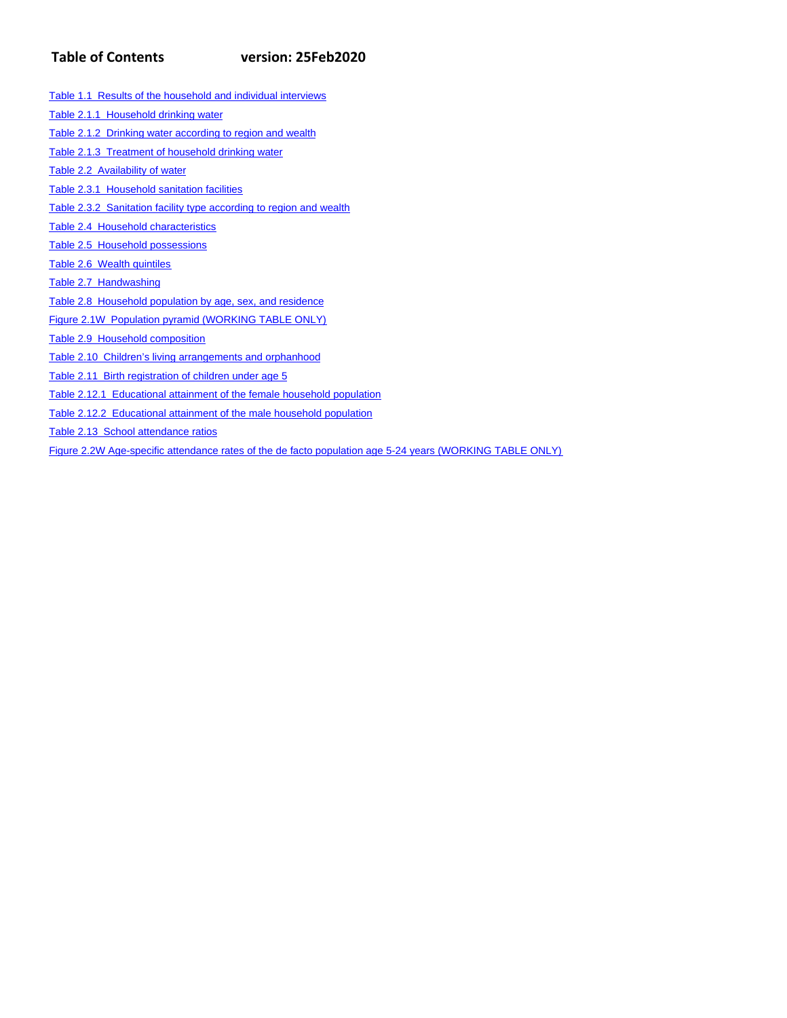# **Table of Contents version: 25Feb2020**

Table 2.1.1 Household drinking water Table 2.1.2 Drinking water according to region and wealth Table 2.1.3 Treatment of household drinking water Table 2.2 Availability of water Table 2.3.1 Household sanitation facilities Table 2.3.2 Sanitation facility type according to region and wealth Table 2.4 Household characteristics

Table 1.1 Results of the household and individual interviews

Table 2.5 Household possessions

Table 2.6 Wealth quintiles

Table 2.7 Handwashing

Table 2.8 Household population by age, sex, and residence

Figure 2.1W Population pyramid (WORKING TABLE ONLY)

Table 2.9 Household composition

Table 2.10 Children's living arrangements and orphanhood

Table 2.11 Birth registration of children under age 5

Table 2.12.1 Educational attainment of the female household population

Table 2.12.2 Educational attainment of the male household population

Table 2.13 School attendance ratios

Figure 2.2W Age-specific attendance rates of the de facto population age 5-24 years (WORKING TABLE ONLY)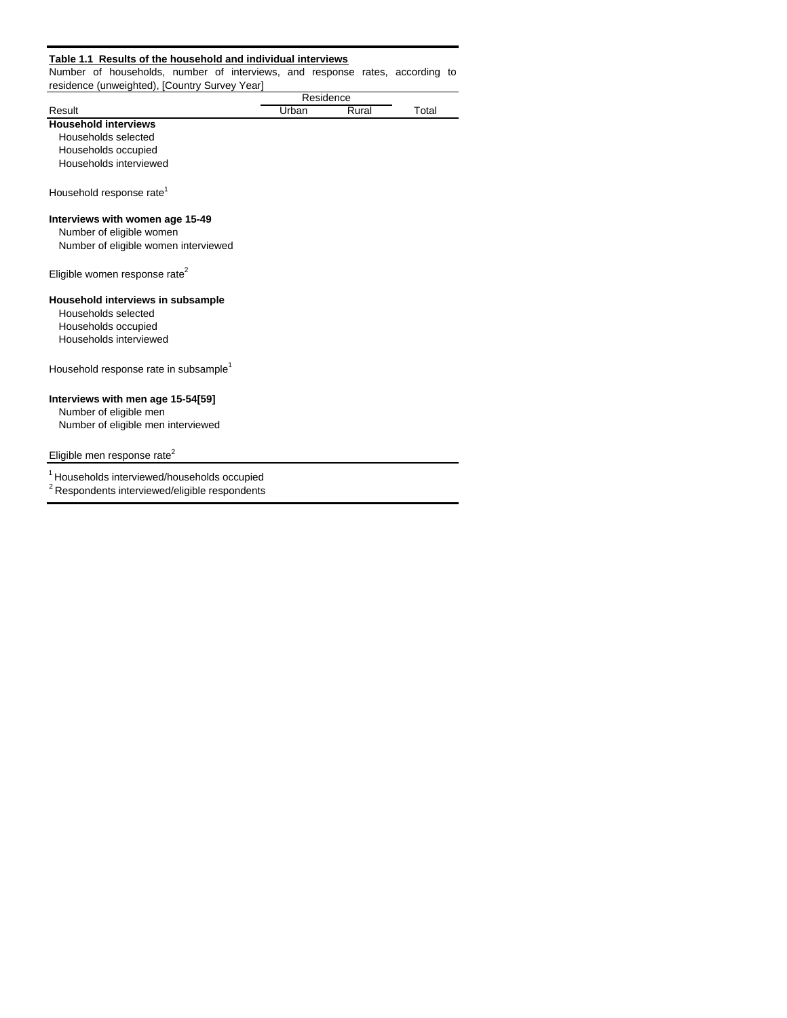#### **Table 1.1 Results of the household and individual interviews**

Number of households, number of interviews, and response rates, according to residence (unweighted), [Country Survey Year]

|                                                   |       | Residence |       |
|---------------------------------------------------|-------|-----------|-------|
| Result                                            | Urban | Rural     | Total |
| <b>Household interviews</b>                       |       |           |       |
| Households selected                               |       |           |       |
| Households occupied                               |       |           |       |
| Households interviewed                            |       |           |       |
| Household response rate <sup>1</sup>              |       |           |       |
| Interviews with women age 15-49                   |       |           |       |
| Number of eligible women                          |       |           |       |
| Number of eligible women interviewed              |       |           |       |
| Eligible women response rate <sup>2</sup>         |       |           |       |
| Household interviews in subsample                 |       |           |       |
| Households selected                               |       |           |       |
| Households occupied                               |       |           |       |
| Households interviewed                            |       |           |       |
| Household response rate in subsample <sup>1</sup> |       |           |       |
| Interviews with men age 15-54[59]                 |       |           |       |
| Number of eligible men                            |       |           |       |
| Number of eligible men interviewed                |       |           |       |
|                                                   |       |           |       |
|                                                   |       |           |       |

### Eligible men response rate<sup>2</sup>

1 Households interviewed/households occupied

2 Respondents interviewed/eligible respondents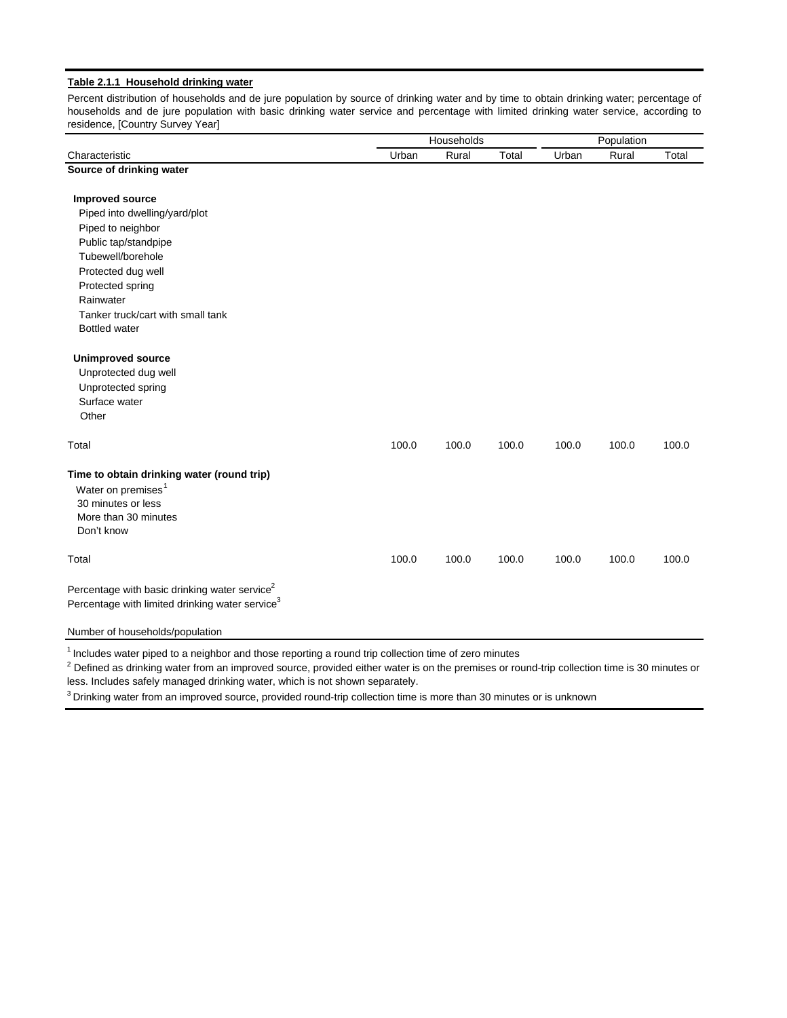#### **Table 2.1.1 Household drinking water**

Percent distribution of households and de jure population by source of drinking water and by time to obtain drinking water; percentage of households and de jure population with basic drinking water service and percentage with limited drinking water service, according to residence, [Country Survey Year]

|                                                                                                                                          | Households |       |       | Population |       |       |
|------------------------------------------------------------------------------------------------------------------------------------------|------------|-------|-------|------------|-------|-------|
| Characteristic                                                                                                                           | Urban      | Rural | Total | Urban      | Rural | Total |
| Source of drinking water                                                                                                                 |            |       |       |            |       |       |
| <b>Improved source</b>                                                                                                                   |            |       |       |            |       |       |
| Piped into dwelling/yard/plot                                                                                                            |            |       |       |            |       |       |
| Piped to neighbor                                                                                                                        |            |       |       |            |       |       |
| Public tap/standpipe                                                                                                                     |            |       |       |            |       |       |
| Tubewell/borehole                                                                                                                        |            |       |       |            |       |       |
| Protected dug well                                                                                                                       |            |       |       |            |       |       |
| Protected spring                                                                                                                         |            |       |       |            |       |       |
| Rainwater                                                                                                                                |            |       |       |            |       |       |
| Tanker truck/cart with small tank                                                                                                        |            |       |       |            |       |       |
| <b>Bottled water</b>                                                                                                                     |            |       |       |            |       |       |
| <b>Unimproved source</b>                                                                                                                 |            |       |       |            |       |       |
| Unprotected dug well                                                                                                                     |            |       |       |            |       |       |
| Unprotected spring                                                                                                                       |            |       |       |            |       |       |
| Surface water                                                                                                                            |            |       |       |            |       |       |
| Other                                                                                                                                    |            |       |       |            |       |       |
| Total                                                                                                                                    | 100.0      | 100.0 | 100.0 | 100.0      | 100.0 | 100.0 |
| Time to obtain drinking water (round trip)<br>Water on premises <sup>1</sup><br>30 minutes or less<br>More than 30 minutes<br>Don't know |            |       |       |            |       |       |
| Total                                                                                                                                    | 100.0      | 100.0 | 100.0 | 100.0      | 100.0 | 100.0 |
| Percentage with basic drinking water service <sup>2</sup><br>Percentage with limited drinking water service <sup>3</sup>                 |            |       |       |            |       |       |
| Number of households/population                                                                                                          |            |       |       |            |       |       |

 $1$  Includes water piped to a neighbor and those reporting a round trip collection time of zero minutes

 $^2$  Defined as drinking water from an improved source, provided either water is on the premises or round-trip collection time is 30 minutes or less. Includes safely managed drinking water, which is not shown separately.

<sup>3</sup> Drinking water from an improved source, provided round-trip collection time is more than 30 minutes or is unknown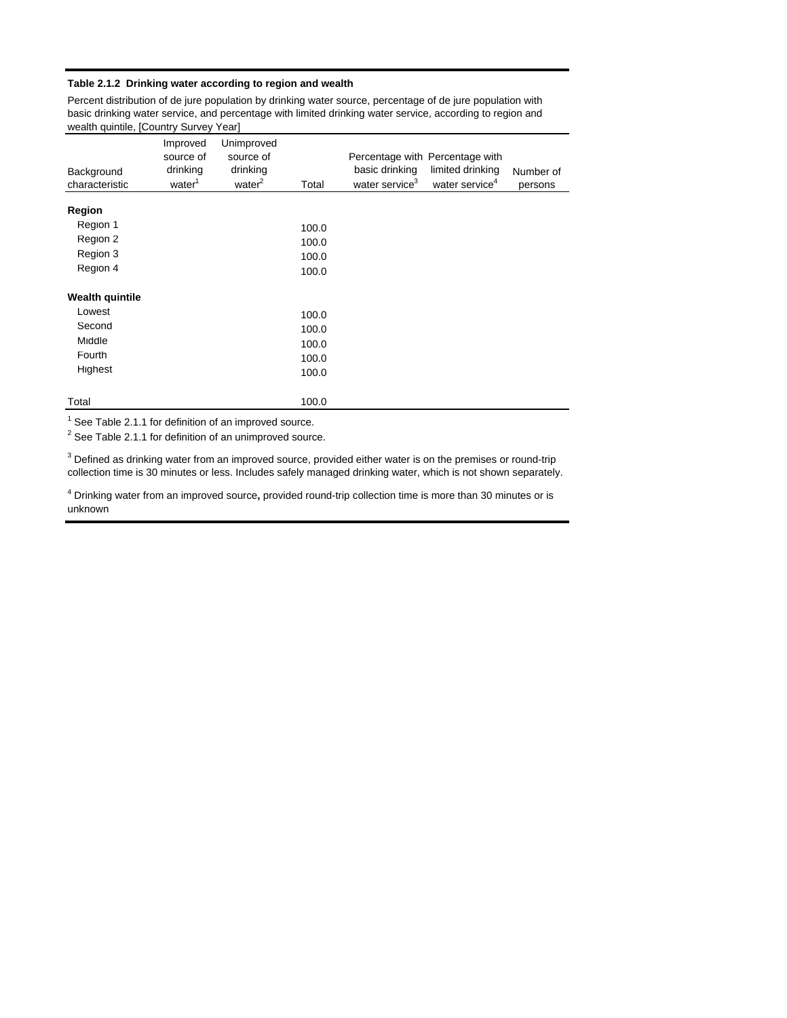#### **Table 2.1.2 Drinking water according to region and wealth**

Percent distribution of de jure population by drinking water source, percentage of de jure population with basic drinking water service, and percentage with limited drinking water service, according to region and wealth quintile, [Country Survey Year]

| Background<br>characteristic | Improved<br>source of<br>drinking<br>water <sup>1</sup> | Unimproved<br>source of<br>drinking<br>water <sup>2</sup> | Total | basic drinking<br>water service <sup>3</sup> | Percentage with Percentage with<br>limited drinking<br>water service <sup>4</sup> | Number of<br>persons |
|------------------------------|---------------------------------------------------------|-----------------------------------------------------------|-------|----------------------------------------------|-----------------------------------------------------------------------------------|----------------------|
| <b>Region</b>                |                                                         |                                                           |       |                                              |                                                                                   |                      |
|                              |                                                         |                                                           |       |                                              |                                                                                   |                      |
| Region 1                     |                                                         |                                                           | 100.0 |                                              |                                                                                   |                      |
| Region 2                     |                                                         |                                                           | 100.0 |                                              |                                                                                   |                      |
| Region 3                     |                                                         |                                                           | 100.0 |                                              |                                                                                   |                      |
| Region 4                     |                                                         |                                                           | 100.0 |                                              |                                                                                   |                      |
| <b>Wealth quintile</b>       |                                                         |                                                           |       |                                              |                                                                                   |                      |
| Lowest                       |                                                         |                                                           | 100.0 |                                              |                                                                                   |                      |
| Second                       |                                                         |                                                           | 100.0 |                                              |                                                                                   |                      |
| Middle                       |                                                         |                                                           |       |                                              |                                                                                   |                      |
| Fourth                       |                                                         |                                                           | 100.0 |                                              |                                                                                   |                      |
|                              |                                                         |                                                           | 100.0 |                                              |                                                                                   |                      |
| Highest                      |                                                         |                                                           | 100.0 |                                              |                                                                                   |                      |
| Total                        |                                                         |                                                           | 100.0 |                                              |                                                                                   |                      |

 $1$  See Table 2.1.1 for definition of an improved source.

 $2$  See Table 2.1.1 for definition of an unimproved source.

 $3$  Defined as drinking water from an improved source, provided either water is on the premises or round-trip collection time is 30 minutes or less. Includes safely managed drinking water, which is not shown separately.

4 Drinking water from an improved source**,** provided round-trip collection time is more than 30 minutes or is unknown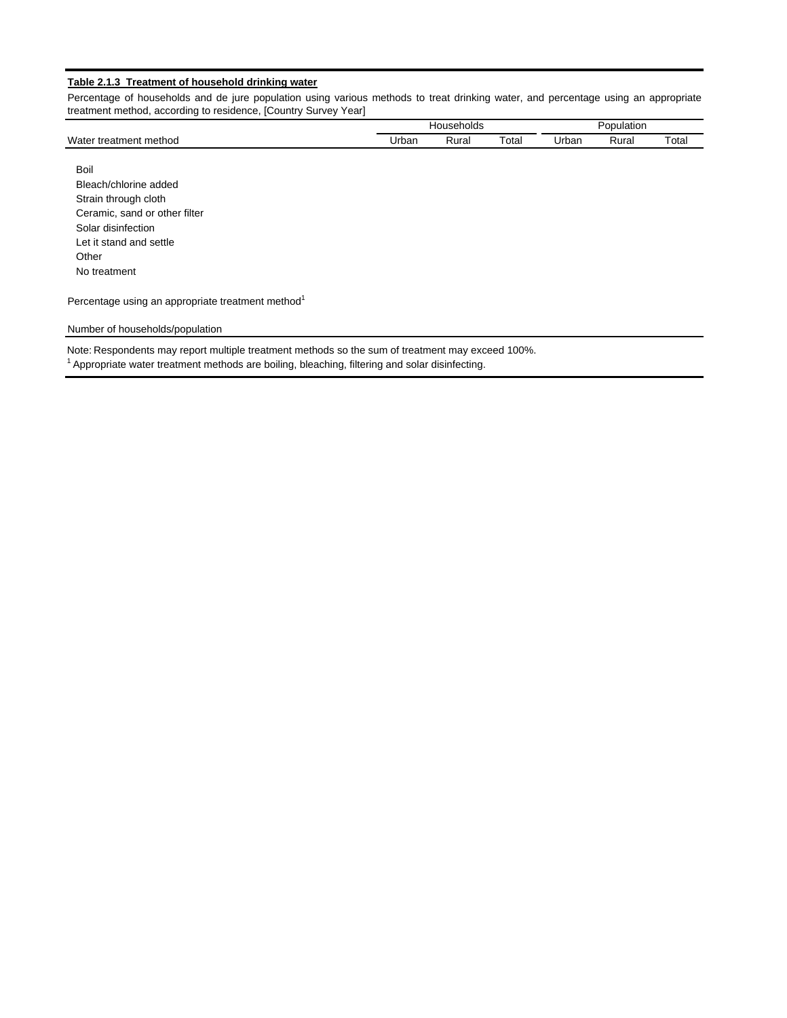#### **Table 2.1.3 Treatment of household drinking water**

Percentage of households and de jure population using various methods to treat drinking water, and percentage using an appropriate treatment method, according to residence, [Country Survey Year]

|                             |       | louseholds |             |       | <b>DOM</b><br>opulation |       |
|-----------------------------|-------|------------|-------------|-------|-------------------------|-------|
| Water<br>∵ treatment method | Jrbar | Rura.      | $\tau$ otal | Urbar | Rural                   | Total |

 Boil Bleach/chlorine added Strain through cloth Ceramic, sand or other filter Solar disinfection Let it stand and settle **Other** No treatment

Percentage using an appropriate treatment method<sup>1</sup>

#### Number of households/population

Note: Respondents may report multiple treatment methods so the sum of treatment may exceed 100%.

 $1$  Appropriate water treatment methods are boiling, bleaching, filtering and solar disinfecting.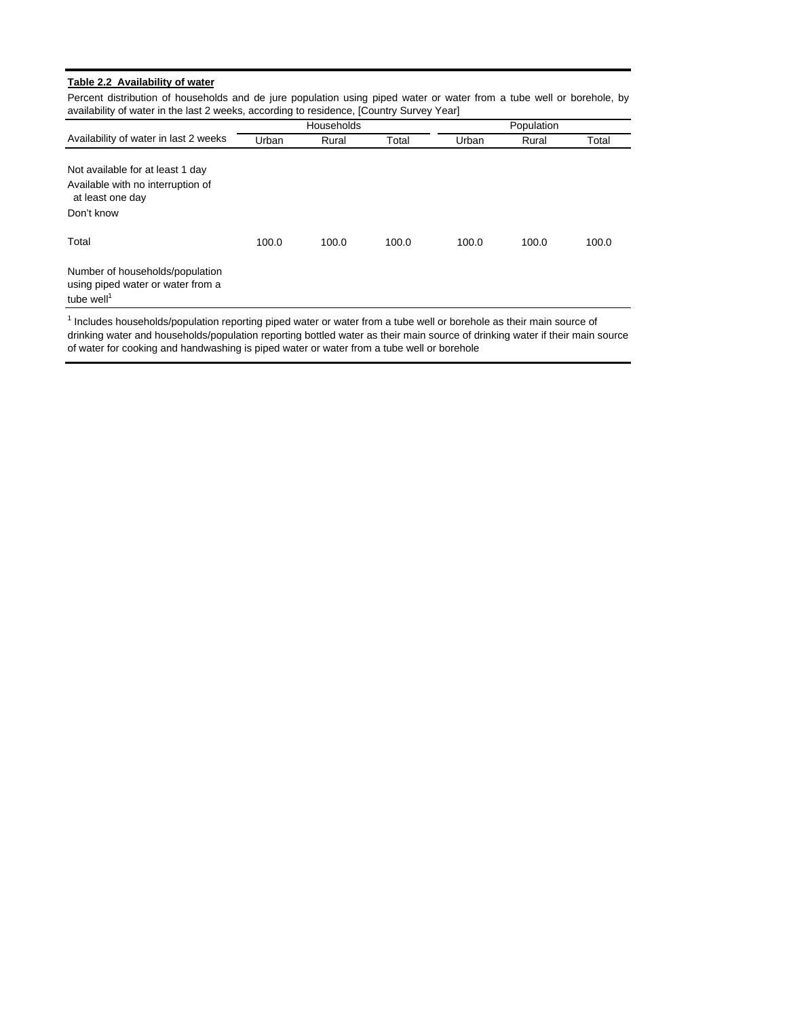#### **Table 2.2 Availability of water**

Percent distribution of households and de jure population using piped water or water from a tube well or borehole, by availability of water in the last 2 weeks, according to residence, [Country Survey Year]

|                                                                                                         |       | Households |       |       | Population |       |
|---------------------------------------------------------------------------------------------------------|-------|------------|-------|-------|------------|-------|
| Availability of water in last 2 weeks                                                                   | Urban | Rural      | Total | Urban | Rural      | Total |
| Not available for at least 1 day<br>Available with no interruption of<br>at least one day<br>Don't know |       |            |       |       |            |       |
| Total                                                                                                   | 100.0 | 100.0      | 100.0 | 100.0 | 100.0      | 100.0 |
| Number of households/population<br>using piped water or water from a<br>tube well <sup>1</sup>          |       |            |       |       |            |       |

<sup>1</sup> Includes households/population reporting piped water or water from a tube well or borehole as their main source of drinking water and households/population reporting bottled water as their main source of drinking water if their main source of water for cooking and handwashing is piped water or water from a tube well or borehole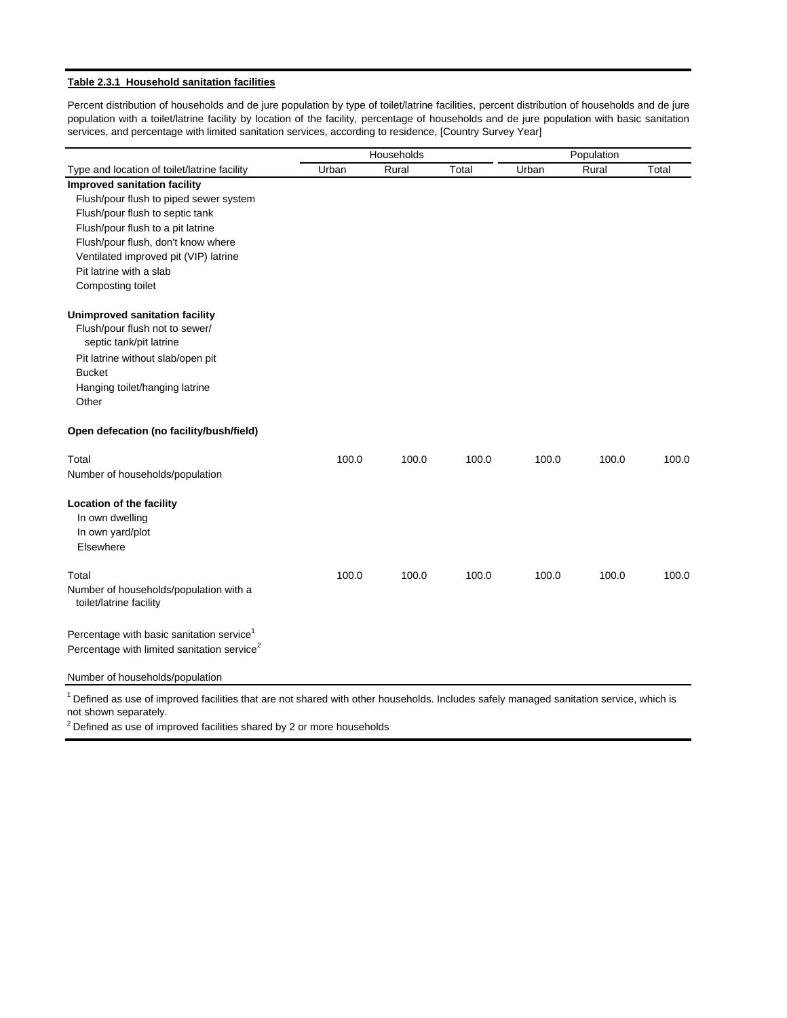#### **Table 2.3.1 Household sanitation facilities**

Percent distribution of households and de jure population by type of toilet/latrine facilities, percent distribution of households and de jure population with a toilet/latrine facility by location of the facility, percentage of households and de jure population with basic sanitation services, and percentage with limited sanitation services, according to residence, [Country Survey Year]

| Households                                                                                                                                 |       | Population |       |       |       |       |
|--------------------------------------------------------------------------------------------------------------------------------------------|-------|------------|-------|-------|-------|-------|
| Type and location of toilet/latrine facility                                                                                               | Urban | Rural      | Total | Urban | Rural | Total |
| <b>Improved sanitation facility</b>                                                                                                        |       |            |       |       |       |       |
| Flush/pour flush to piped sewer system                                                                                                     |       |            |       |       |       |       |
| Flush/pour flush to septic tank                                                                                                            |       |            |       |       |       |       |
| Flush/pour flush to a pit latrine                                                                                                          |       |            |       |       |       |       |
| Flush/pour flush, don't know where                                                                                                         |       |            |       |       |       |       |
| Ventilated improved pit (VIP) latrine                                                                                                      |       |            |       |       |       |       |
| Pit latrine with a slab                                                                                                                    |       |            |       |       |       |       |
| Composting toilet                                                                                                                          |       |            |       |       |       |       |
| <b>Unimproved sanitation facility</b>                                                                                                      |       |            |       |       |       |       |
| Flush/pour flush not to sewer/<br>septic tank/pit latrine                                                                                  |       |            |       |       |       |       |
| Pit latrine without slab/open pit                                                                                                          |       |            |       |       |       |       |
| <b>Bucket</b>                                                                                                                              |       |            |       |       |       |       |
| Hanging toilet/hanging latrine                                                                                                             |       |            |       |       |       |       |
| Other                                                                                                                                      |       |            |       |       |       |       |
| Open defecation (no facility/bush/field)                                                                                                   |       |            |       |       |       |       |
| Total                                                                                                                                      | 100.0 | 100.0      | 100.0 | 100.0 | 100.0 | 100.0 |
| Number of households/population                                                                                                            |       |            |       |       |       |       |
| Location of the facility                                                                                                                   |       |            |       |       |       |       |
| In own dwelling                                                                                                                            |       |            |       |       |       |       |
| In own yard/plot                                                                                                                           |       |            |       |       |       |       |
| Elsewhere                                                                                                                                  |       |            |       |       |       |       |
| Total                                                                                                                                      | 100.0 | 100.0      | 100.0 | 100.0 | 100.0 | 100.0 |
| Number of households/population with a<br>toilet/latrine facility                                                                          |       |            |       |       |       |       |
| Percentage with basic sanitation service <sup>1</sup>                                                                                      |       |            |       |       |       |       |
| Percentage with limited sanitation service <sup>2</sup>                                                                                    |       |            |       |       |       |       |
| Number of households/population                                                                                                            |       |            |       |       |       |       |
| $^1$ Defined as use of improved facilities that are not shared with other bouseholds. Includes safely managed sanitation service, which is |       |            |       |       |       |       |

Defined as use of improved facilities that are not shared with other households. Includes safely managed sanitation service, which is not shown separately.

 $2$  Defined as use of improved facilities shared by 2 or more households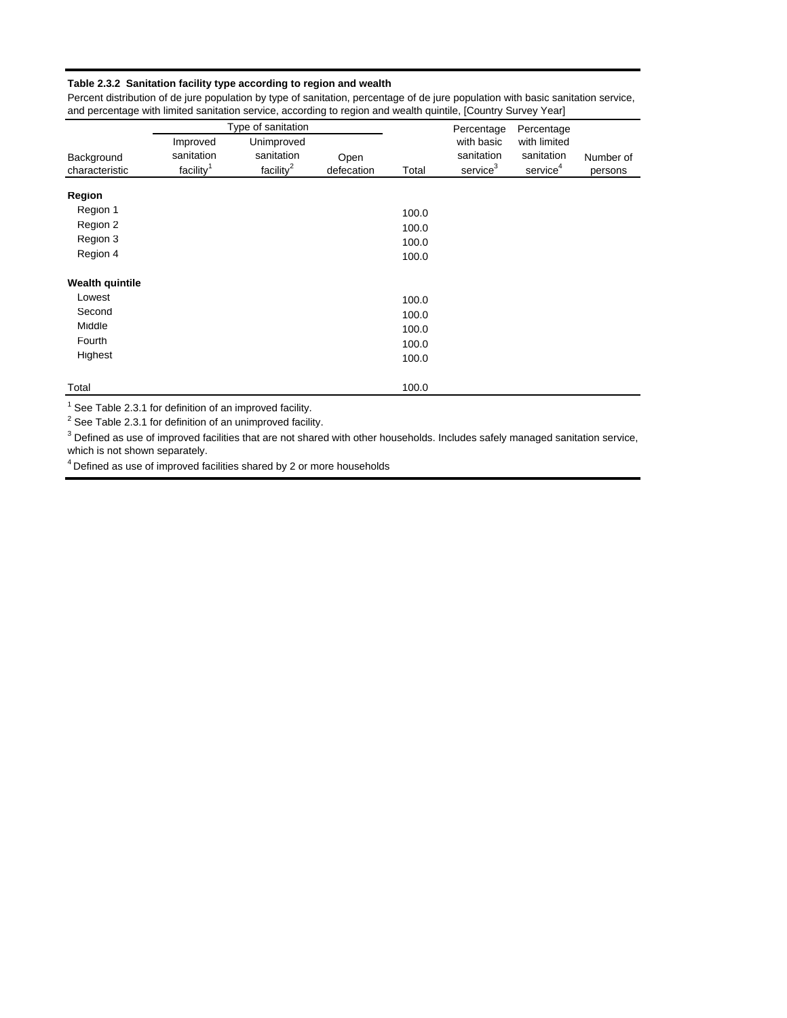#### **Table 2.3.2 Sanitation facility type according to region and wealth**

Percent distribution of de jure population by type of sanitation, percentage of de jure population with basic sanitation service, and percentage with limited sanitation service, according to region and wealth quintile, [Country Survey Year]

|                        |                       | Type of sanitation |            |       | Percentage           | Percentage           |           |
|------------------------|-----------------------|--------------------|------------|-------|----------------------|----------------------|-----------|
|                        | Improved              | Unimproved         |            |       | with basic           | with limited         |           |
| Background             | sanitation            | sanitation         | Open       |       | sanitation           | sanitation           | Number of |
| characteristic         | facility <sup>1</sup> | facility $^2$      | defecation | Total | service <sup>3</sup> | service <sup>4</sup> | persons   |
| <b>Region</b>          |                       |                    |            |       |                      |                      |           |
| Region 1               |                       |                    |            | 100.0 |                      |                      |           |
| Region 2               |                       |                    |            | 100.0 |                      |                      |           |
| Region 3               |                       |                    |            | 100.0 |                      |                      |           |
| Region 4               |                       |                    |            | 100.0 |                      |                      |           |
| <b>Wealth quintile</b> |                       |                    |            |       |                      |                      |           |
| Lowest                 |                       |                    |            | 100.0 |                      |                      |           |
| Second                 |                       |                    |            | 100.0 |                      |                      |           |
| Middle                 |                       |                    |            | 100.0 |                      |                      |           |
| Fourth                 |                       |                    |            | 100.0 |                      |                      |           |
| Highest                |                       |                    |            | 100.0 |                      |                      |           |
| Total                  |                       |                    |            | 100.0 |                      |                      |           |

 $1$  See Table 2.3.1 for definition of an improved facility.

 $2$  See Table 2.3.1 for definition of an unimproved facility.

 $^3$  Defined as use of improved facilities that are not shared with other households. Includes safely managed sanitation service, which is not shown separately.

4 Defined as use of improved facilities shared by 2 or more households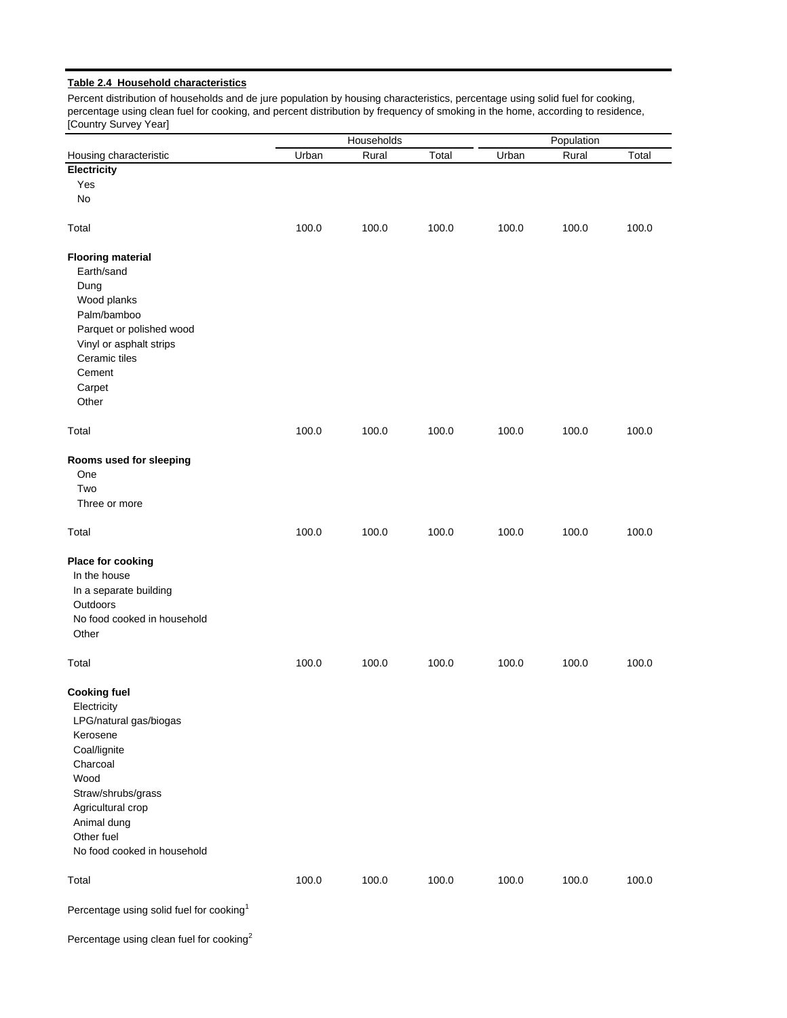#### **Table 2.4 Household characteristics**

Percent distribution of households and de jure population by housing characteristics, percentage using solid fuel for cooking, percentage using clean fuel for cooking, and percent distribution by frequency of smoking in the home, according to residence, [Country Survey Year]

|                                                                                                                                                                                                                     | Households |       | Population |       |       |       |
|---------------------------------------------------------------------------------------------------------------------------------------------------------------------------------------------------------------------|------------|-------|------------|-------|-------|-------|
| Housing characteristic                                                                                                                                                                                              | Urban      | Rural | Total      | Urban | Rural | Total |
| Electricity                                                                                                                                                                                                         |            |       |            |       |       |       |
| Yes                                                                                                                                                                                                                 |            |       |            |       |       |       |
| No                                                                                                                                                                                                                  |            |       |            |       |       |       |
| Total                                                                                                                                                                                                               | 100.0      | 100.0 | 100.0      | 100.0 | 100.0 | 100.0 |
| <b>Flooring material</b><br>Earth/sand<br>Dung<br>Wood planks<br>Palm/bamboo<br>Parquet or polished wood<br>Vinyl or asphalt strips<br>Ceramic tiles<br>Cement<br>Carpet<br>Other                                   |            |       |            |       |       |       |
| Total                                                                                                                                                                                                               | 100.0      | 100.0 | 100.0      | 100.0 | 100.0 | 100.0 |
| Rooms used for sleeping<br>One<br>Two<br>Three or more                                                                                                                                                              |            |       |            |       |       |       |
| Total                                                                                                                                                                                                               | 100.0      | 100.0 | 100.0      | 100.0 | 100.0 | 100.0 |
| Place for cooking<br>In the house<br>In a separate building<br>Outdoors<br>No food cooked in household<br>Other                                                                                                     |            |       |            |       |       |       |
| Total                                                                                                                                                                                                               | 100.0      | 100.0 | 100.0      | 100.0 | 100.0 | 100.0 |
| <b>Cooking fuel</b><br>Electricity<br>LPG/natural gas/biogas<br>Kerosene<br>Coal/lignite<br>Charcoal<br>Wood<br>Straw/shrubs/grass<br>Agricultural crop<br>Animal dung<br>Other fuel<br>No food cooked in household |            |       |            |       |       |       |
| Total                                                                                                                                                                                                               | 100.0      | 100.0 | 100.0      | 100.0 | 100.0 | 100.0 |
| Percentage using solid fuel for cooking <sup>1</sup>                                                                                                                                                                |            |       |            |       |       |       |

Percentage using clean fuel for cooking<sup>2</sup>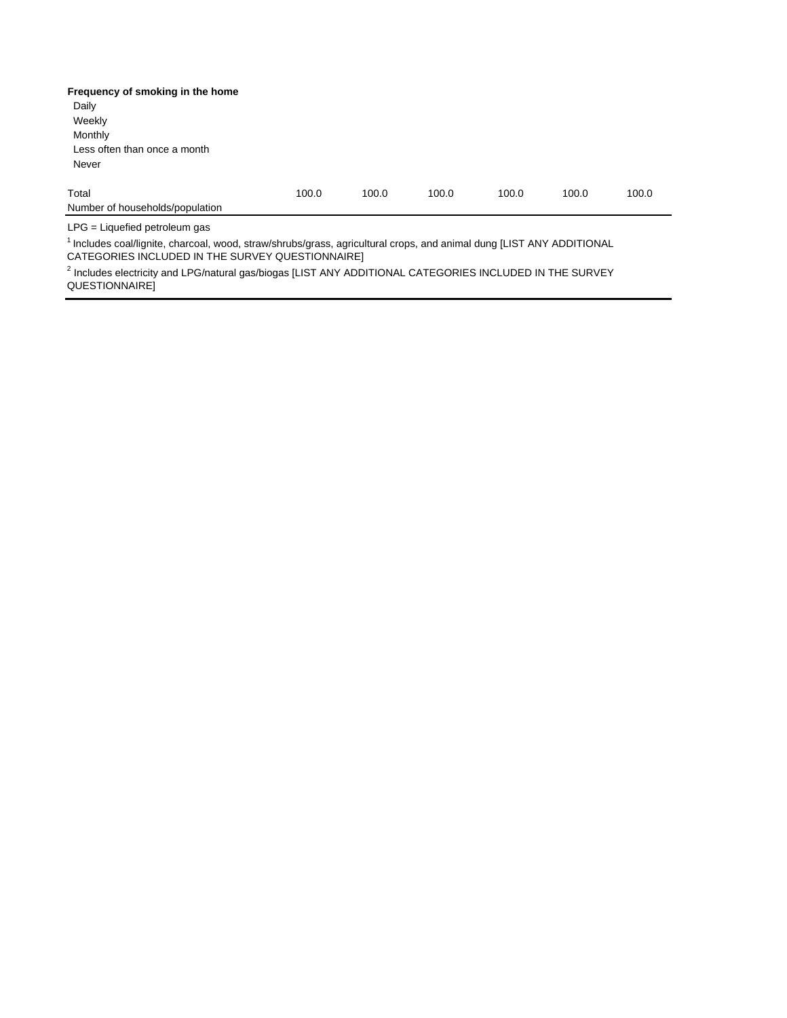| Frequency of smoking in the home                                                                                                 |       |       |       |       |       |       |
|----------------------------------------------------------------------------------------------------------------------------------|-------|-------|-------|-------|-------|-------|
| Daily                                                                                                                            |       |       |       |       |       |       |
| Weekly                                                                                                                           |       |       |       |       |       |       |
| Monthly                                                                                                                          |       |       |       |       |       |       |
| Less often than once a month                                                                                                     |       |       |       |       |       |       |
| Never                                                                                                                            |       |       |       |       |       |       |
| Total                                                                                                                            | 100.0 | 100.0 | 100.0 | 100.0 | 100.0 | 100.0 |
| Number of households/population                                                                                                  |       |       |       |       |       |       |
| $LPG =$ Liquefied petroleum gas                                                                                                  |       |       |       |       |       |       |
| <sup>1</sup> Includes coal/lignite, charcoal, wood, straw/shrubs/grass, agricultural crops, and animal dung [LIST ANY ADDITIONAL |       |       |       |       |       |       |

CATEGORIES INCLUDED IN THE SURVEY QUESTIONNAIRE]

<sup>2</sup> Includes electricity and LPG/natural gas/biogas [LIST ANY ADDITIONAL CATEGORIES INCLUDED IN THE SURVEY QUESTIONNAIRE]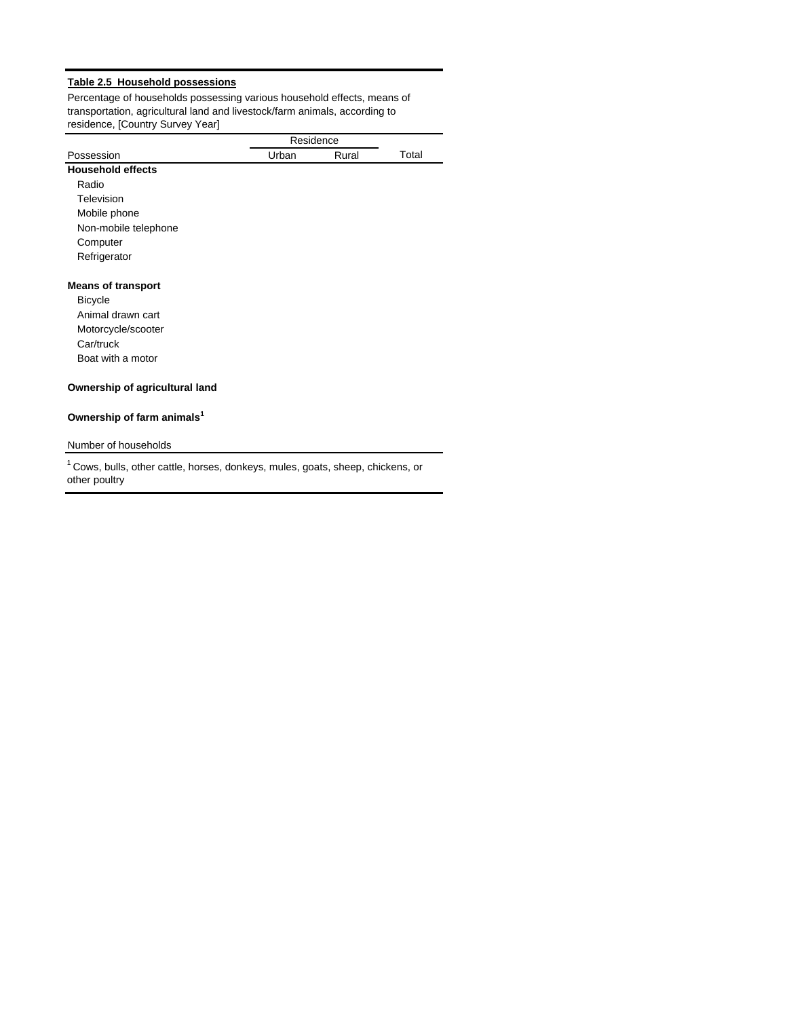### **Table 2.5 Household possessions**

Percentage of households possessing various household effects, means of transportation, agricultural land and livestock/farm animals, according to residence, [Country Survey Year]

|                                                                                            |       | Residence |       |
|--------------------------------------------------------------------------------------------|-------|-----------|-------|
| Possession                                                                                 | Urban | Rural     | Total |
| <b>Household effects</b>                                                                   |       |           |       |
| Radio                                                                                      |       |           |       |
| Television                                                                                 |       |           |       |
| Mobile phone                                                                               |       |           |       |
| Non-mobile telephone                                                                       |       |           |       |
| Computer                                                                                   |       |           |       |
| Refrigerator                                                                               |       |           |       |
| <b>Means of transport</b>                                                                  |       |           |       |
| <b>Bicycle</b>                                                                             |       |           |       |
| Animal drawn cart                                                                          |       |           |       |
| Motorcycle/scooter                                                                         |       |           |       |
| Car/truck                                                                                  |       |           |       |
| Boat with a motor                                                                          |       |           |       |
| Ownership of agricultural land                                                             |       |           |       |
| Ownership of farm animals <sup>1</sup>                                                     |       |           |       |
| Number of households                                                                       |       |           |       |
| <sup>1</sup> Cows, bulls, other cattle, horses, donkeys, mules, goats, sheep, chickens, or |       |           |       |

other poultry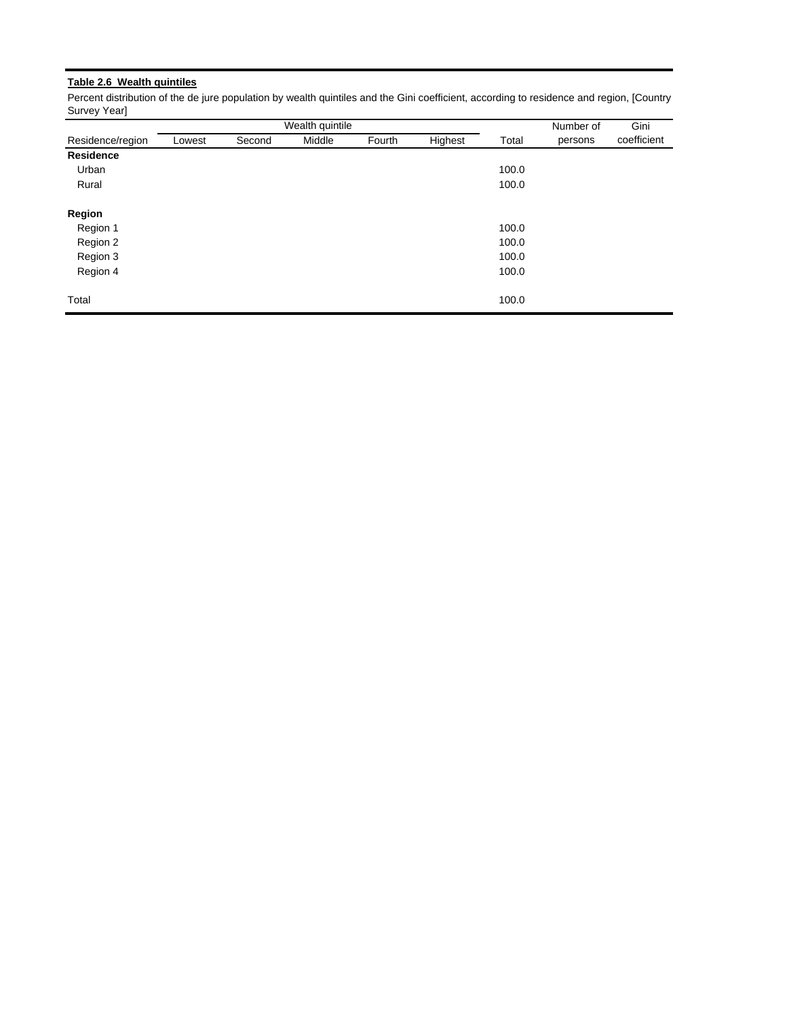# **Table 2.6 Wealth quintiles**

Percent distribution of the de jure population by wealth quintiles and the Gini coefficient, according to residence and region, [Country Survey Year]

|                  |        |        | Wealth quintile |        |         |       | Number of | Gini        |
|------------------|--------|--------|-----------------|--------|---------|-------|-----------|-------------|
| Residence/region | Lowest | Second | Middle          | Fourth | Highest | Total | persons   | coefficient |
| Residence        |        |        |                 |        |         |       |           |             |
| Urban            |        |        |                 |        |         | 100.0 |           |             |
| Rural            |        |        |                 |        |         | 100.0 |           |             |
| <b>Region</b>    |        |        |                 |        |         |       |           |             |
| Region 1         |        |        |                 |        |         | 100.0 |           |             |
| Region 2         |        |        |                 |        |         | 100.0 |           |             |
| Region 3         |        |        |                 |        |         | 100.0 |           |             |
| Region 4         |        |        |                 |        |         | 100.0 |           |             |
| Total            |        |        |                 |        |         | 100.0 |           |             |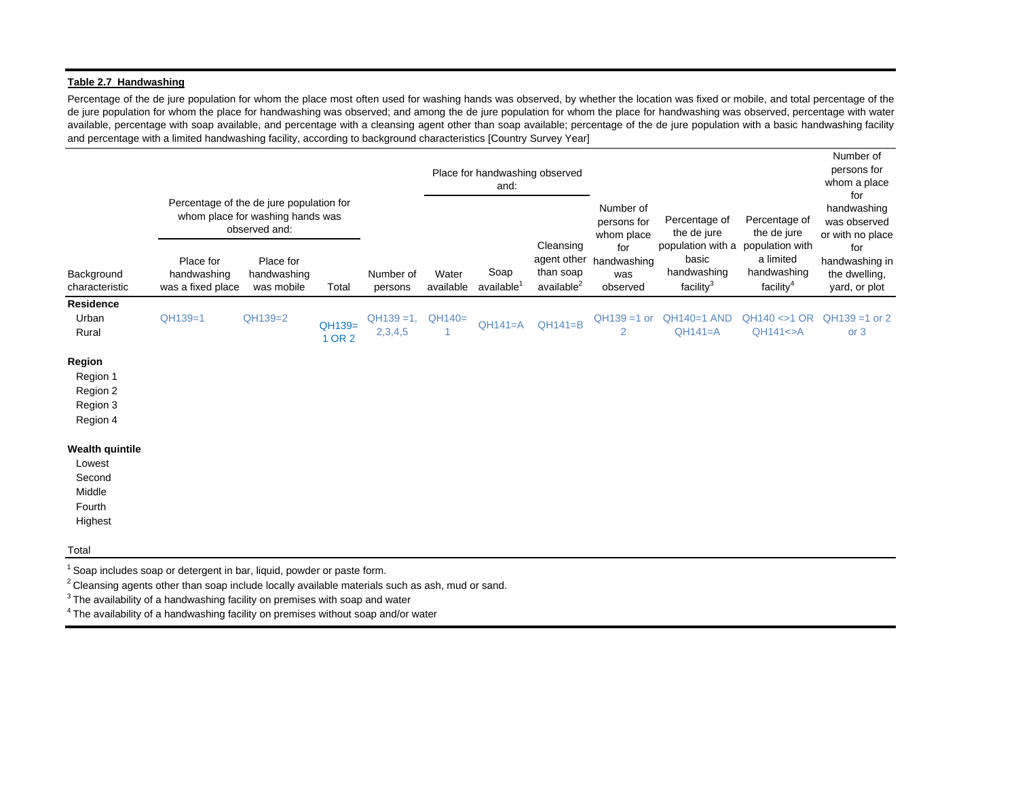#### **Table 2.7 Handwashing**

Percentage of the de jure population for whom the place most often used for washing hands was observed, by whether the location was fixed or mobile, and total percentage of the de jure population for whom the place for handwashing was observed; and among the de jure population for whom the place for handwashing was observed, percentage with water available, percentage with soap available, and percentage with <sup>a</sup> cleansing agent other than soap available; percentage of the de jure population with <sup>a</sup> basic handwashing facility and percentage with a limited handwashing facility, according to background characteristics [Country Survey Year]

|                                                                           |                                               |                                                                                               |                  |                          |                    | Place for handwashing observed<br>and: |                                                                 |                                                                        |                                                                                    |                                                   | Number of<br>persons for<br>whom a place<br>for         |
|---------------------------------------------------------------------------|-----------------------------------------------|-----------------------------------------------------------------------------------------------|------------------|--------------------------|--------------------|----------------------------------------|-----------------------------------------------------------------|------------------------------------------------------------------------|------------------------------------------------------------------------------------|---------------------------------------------------|---------------------------------------------------------|
|                                                                           |                                               | Percentage of the de jure population for<br>whom place for washing hands was<br>observed and: |                  |                          |                    |                                        |                                                                 | Number of<br>Percentage of<br>persons for<br>the de jure<br>whom place |                                                                                    | Percentage of<br>the de jure                      | handwashing<br>was observed<br>or with no place         |
| Background<br>characteristic                                              | Place for<br>handwashing<br>was a fixed place | Place for<br>handwashing<br>was mobile                                                        | Total            | Number of<br>persons     | Water<br>available | Soap<br>available <sup>1</sup>         | Cleansing<br>agent other<br>than soap<br>available <sup>2</sup> | for<br>handwashing<br>was<br>observed                                  | population with a population with<br>basic<br>handwashing<br>facility <sup>3</sup> | a limited<br>handwashing<br>facility <sup>4</sup> | for<br>handwashing in<br>the dwelling,<br>yard, or plot |
| <b>Residence</b><br>Urban<br>Rural                                        | QH139=1                                       | QH139=2                                                                                       | QH139=<br>1 OR 2 | $QH139 = 1$ ,<br>2,3,4,5 | $QH140=$<br>-1     | $QH141=A$                              | $QH141=B$                                                       | $QH139 = 1$ or<br>2                                                    | $QH140=1$ AND<br>$QH141=A$                                                         | $QH140 \ll 1$ OR<br>$QH141 \leq A$                | $QH139 = 1$ or 2<br>or 3                                |
| Region<br>Region 1<br>Region 2<br>Region 3<br>Region 4                    |                                               |                                                                                               |                  |                          |                    |                                        |                                                                 |                                                                        |                                                                                    |                                                   |                                                         |
| <b>Wealth quintile</b><br>Lowest<br>Second<br>Middle<br>Fourth<br>Highest |                                               |                                                                                               |                  |                          |                    |                                        |                                                                 |                                                                        |                                                                                    |                                                   |                                                         |
| Total                                                                     |                                               |                                                                                               |                  |                          |                    |                                        |                                                                 |                                                                        |                                                                                    |                                                   |                                                         |

<sup>1</sup> Soap includes soap or detergent in bar, liquid, powder or paste form.

<sup>2</sup> Cleansing agents other than soap include locally available materials such as ash, mud or sand.

 $3$  The availability of a handwashing facility on premises with soap and water

4 The availability of a handwashing facility on premises without soap and/or water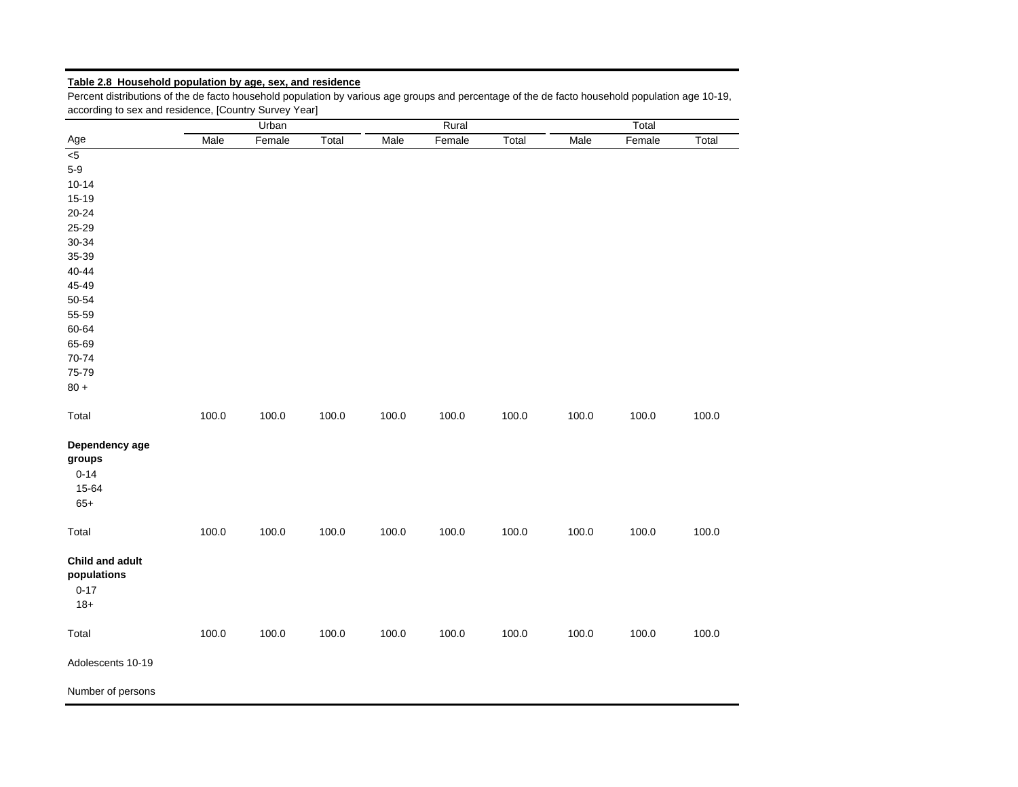# **Table 2.8 Household population by age, sex, and residence**

Percent distributions of the de facto household population by various age groups and percentage of the de facto household population age 10-19, according to sex and residence, [Country Survey Year]

|                                                        |       | Urban  |       |       | Rural  |       | Total |        |       |  |
|--------------------------------------------------------|-------|--------|-------|-------|--------|-------|-------|--------|-------|--|
| Age                                                    | Male  | Female | Total | Male  | Female | Total | Male  | Female | Total |  |
| 5<                                                     |       |        |       |       |        |       |       |        |       |  |
| $5-9$                                                  |       |        |       |       |        |       |       |        |       |  |
| $10 - 14$                                              |       |        |       |       |        |       |       |        |       |  |
| $15 - 19$                                              |       |        |       |       |        |       |       |        |       |  |
| $20 - 24$                                              |       |        |       |       |        |       |       |        |       |  |
| 25-29                                                  |       |        |       |       |        |       |       |        |       |  |
| 30-34                                                  |       |        |       |       |        |       |       |        |       |  |
| 35-39                                                  |       |        |       |       |        |       |       |        |       |  |
| 40-44                                                  |       |        |       |       |        |       |       |        |       |  |
| 45-49                                                  |       |        |       |       |        |       |       |        |       |  |
| 50-54                                                  |       |        |       |       |        |       |       |        |       |  |
| 55-59                                                  |       |        |       |       |        |       |       |        |       |  |
| 60-64                                                  |       |        |       |       |        |       |       |        |       |  |
| 65-69                                                  |       |        |       |       |        |       |       |        |       |  |
| 70-74                                                  |       |        |       |       |        |       |       |        |       |  |
| 75-79                                                  |       |        |       |       |        |       |       |        |       |  |
| $80 +$                                                 |       |        |       |       |        |       |       |        |       |  |
|                                                        |       |        |       |       |        |       |       |        |       |  |
| Total                                                  | 100.0 | 100.0  | 100.0 | 100.0 | 100.0  | 100.0 | 100.0 | 100.0  | 100.0 |  |
| Dependency age<br>groups<br>$0 - 14$<br>15-64<br>$65+$ |       |        |       |       |        |       |       |        |       |  |
| Total                                                  | 100.0 | 100.0  | 100.0 | 100.0 | 100.0  | 100.0 | 100.0 | 100.0  | 100.0 |  |
| Child and adult<br>populations<br>$0 - 17$<br>$18+$    |       |        |       |       |        |       |       |        |       |  |
| Total                                                  | 100.0 | 100.0  | 100.0 | 100.0 | 100.0  | 100.0 | 100.0 | 100.0  | 100.0 |  |
| Adolescents 10-19                                      |       |        |       |       |        |       |       |        |       |  |
| Number of persons                                      |       |        |       |       |        |       |       |        |       |  |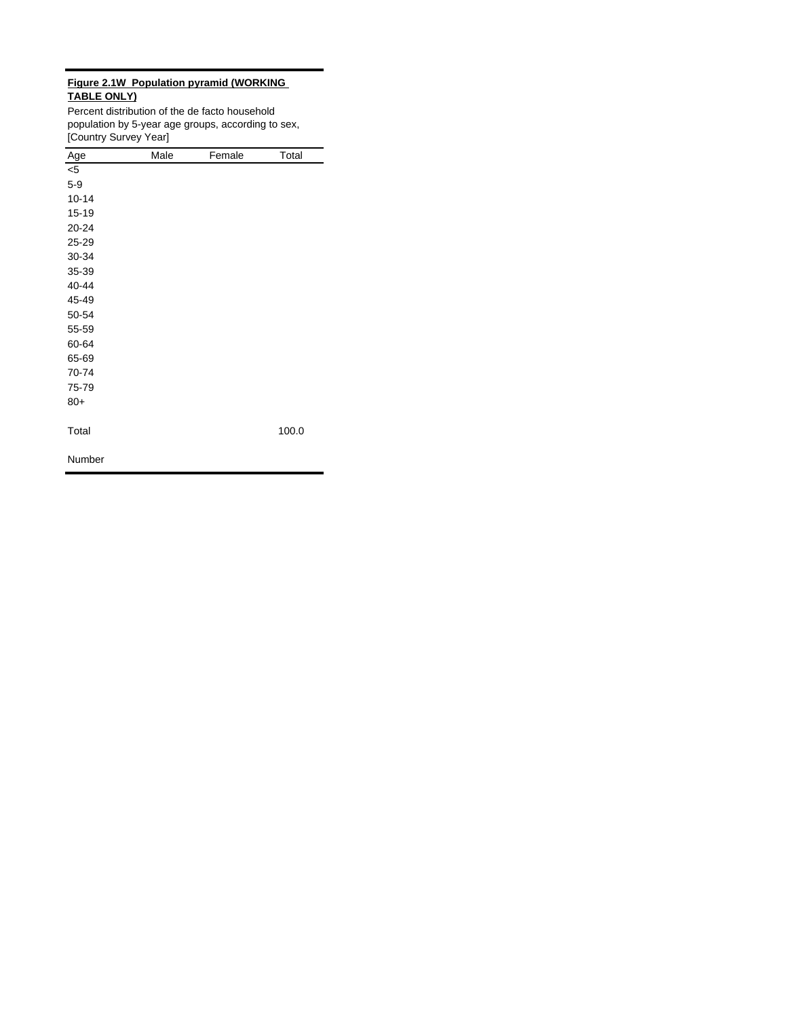### **Figure 2.1W Population pyramid (WORKING TABLE ONLY)**

Percent distribution of the de facto household population by 5-year age groups, according to sex, [Country Survey Year]

| Age       | Male | Female | Total |
|-----------|------|--------|-------|
| $<$ 5     |      |        |       |
| $5-9$     |      |        |       |
| $10 - 14$ |      |        |       |
| $15 - 19$ |      |        |       |
| 20-24     |      |        |       |
| 25-29     |      |        |       |
| 30-34     |      |        |       |
| 35-39     |      |        |       |
| 40-44     |      |        |       |
| 45-49     |      |        |       |
| 50-54     |      |        |       |
| 55-59     |      |        |       |
| 60-64     |      |        |       |
| 65-69     |      |        |       |
| 70-74     |      |        |       |
| 75-79     |      |        |       |
| $80+$     |      |        |       |
|           |      |        |       |
| Total     |      |        | 100.0 |
|           |      |        |       |
| Number    |      |        |       |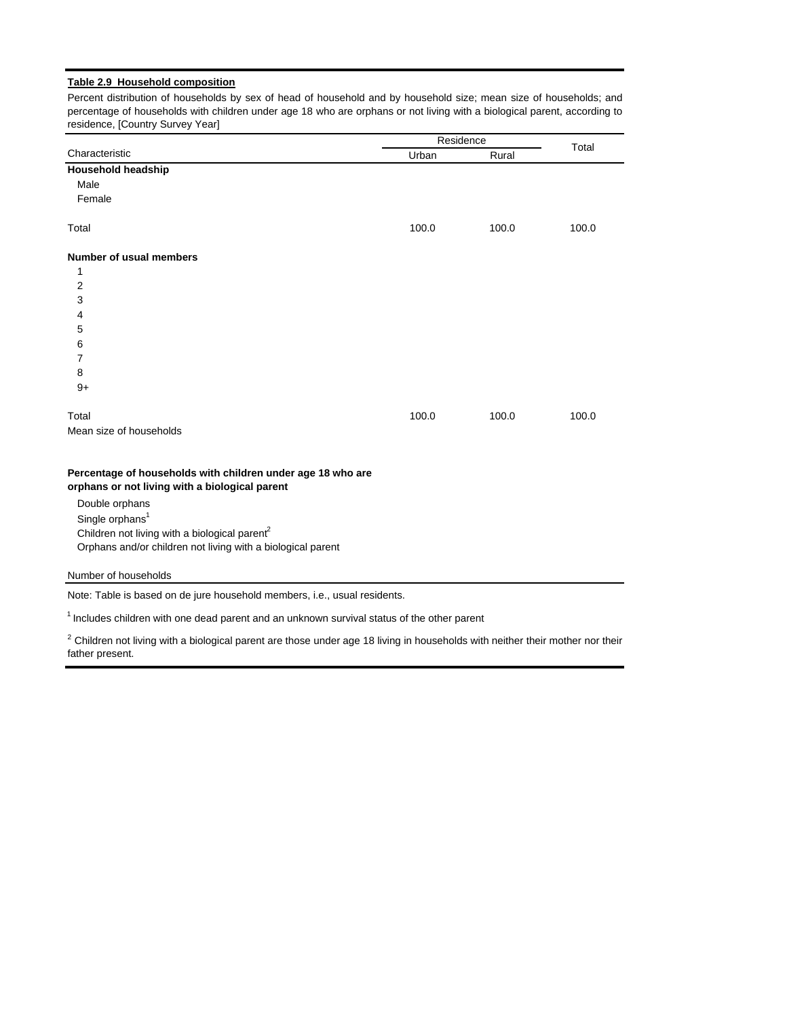#### **Table 2.9 Household composition**

Percent distribution of households by sex of head of household and by household size; mean size of households; and percentage of households with children under age 18 who are orphans or not living with a biological parent, according to residence, [Country Survey Year]

|                                | Residence |       | Total |
|--------------------------------|-----------|-------|-------|
| Characteristic                 | Urban     | Rural |       |
| Household headship             |           |       |       |
| Male                           |           |       |       |
| Female                         |           |       |       |
| Total                          | 100.0     | 100.0 | 100.0 |
| <b>Number of usual members</b> |           |       |       |
| 1                              |           |       |       |
| $\overline{2}$                 |           |       |       |
| $\mathbf{3}$                   |           |       |       |
| $\overline{4}$                 |           |       |       |
| 5                              |           |       |       |
| 6                              |           |       |       |
| 7                              |           |       |       |
| 8                              |           |       |       |
| $9+$                           |           |       |       |
| Total                          | 100.0     | 100.0 | 100.0 |
| Mean size of households        |           |       |       |

# **Percentage of households with children under age 18 who are**

**orphans or not living with a biological parent**

Double orphans Single orphans<sup>1</sup>

Children not living with a biological parent<sup>2</sup>

Orphans and/or children not living with a biological parent

#### Number of households

Note: Table is based on de jure household members, i.e., usual residents.

 $1$  Includes children with one dead parent and an unknown survival status of the other parent

 $2$  Children not living with a biological parent are those under age 18 living in households with neither their mother nor their father present.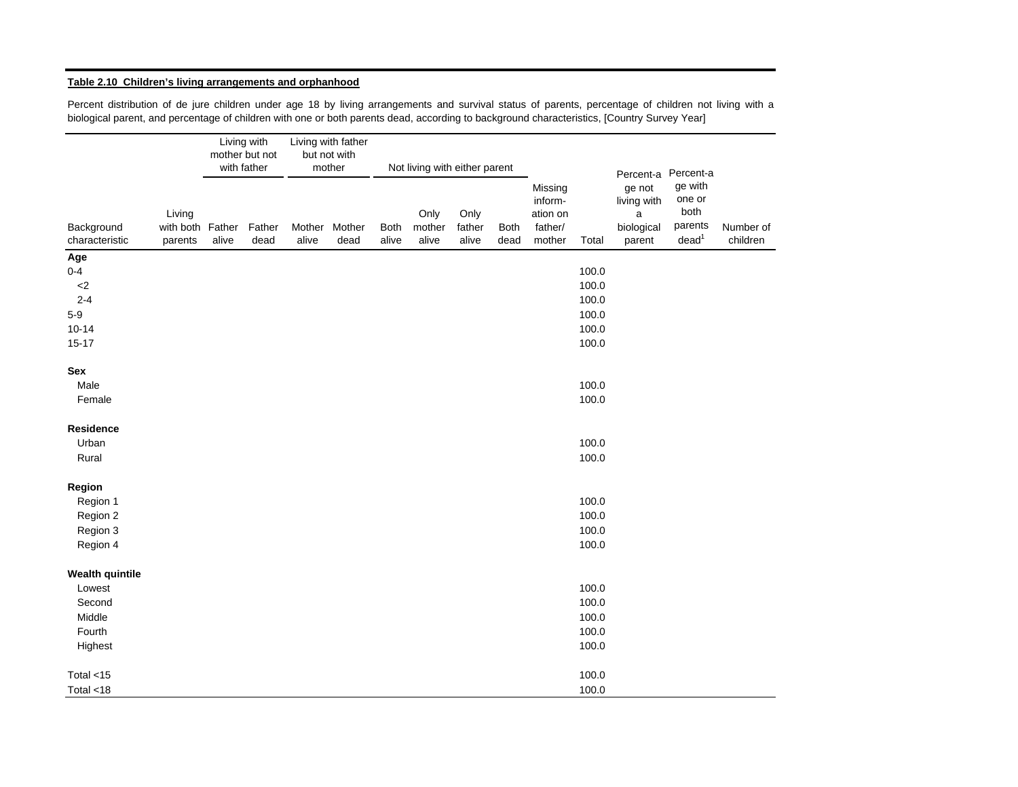#### **Table 2.10 Children's living arrangements and orphanhood**

Percent distribution of de jure children under age 18 by living arrangements and survival status of parents, percentage of children not living with a biological parent, and percentage of children with one or both parents dead, according to background characteristics, [Country Survey Year]

|                              |                                       |       | Living with<br>mother but not<br>with father |                 | Living with father<br>but not with<br>mother |                      | Not living with either parent |                         |                     |                                                     |                |                                                                 |                                                                        |                       |
|------------------------------|---------------------------------------|-------|----------------------------------------------|-----------------|----------------------------------------------|----------------------|-------------------------------|-------------------------|---------------------|-----------------------------------------------------|----------------|-----------------------------------------------------------------|------------------------------------------------------------------------|-----------------------|
| Background<br>characteristic | Living<br>with both Father<br>parents | alive | Father<br>dead                               | Mother<br>alive | Mother<br>dead                               | <b>Both</b><br>alive | Only<br>mother<br>alive       | Only<br>father<br>alive | <b>Both</b><br>dead | Missing<br>inform-<br>ation on<br>father/<br>mother | Total          | Percent-a<br>ge not<br>living with<br>a<br>biological<br>parent | Percent-a<br>ge with<br>one or<br>both<br>parents<br>dead <sup>1</sup> | Number of<br>children |
| Age                          |                                       |       |                                              |                 |                                              |                      |                               |                         |                     |                                                     |                |                                                                 |                                                                        |                       |
| $0-4$                        |                                       |       |                                              |                 |                                              |                      |                               |                         |                     |                                                     | 100.0          |                                                                 |                                                                        |                       |
| ${<}2$                       |                                       |       |                                              |                 |                                              |                      |                               |                         |                     |                                                     | 100.0          |                                                                 |                                                                        |                       |
| $2 - 4$                      |                                       |       |                                              |                 |                                              |                      |                               |                         |                     |                                                     | 100.0          |                                                                 |                                                                        |                       |
| $5-9$                        |                                       |       |                                              |                 |                                              |                      |                               |                         |                     |                                                     | 100.0          |                                                                 |                                                                        |                       |
| $10 - 14$<br>$15-17$         |                                       |       |                                              |                 |                                              |                      |                               |                         |                     |                                                     | 100.0<br>100.0 |                                                                 |                                                                        |                       |
| Sex                          |                                       |       |                                              |                 |                                              |                      |                               |                         |                     |                                                     |                |                                                                 |                                                                        |                       |
| Male                         |                                       |       |                                              |                 |                                              |                      |                               |                         |                     |                                                     | 100.0          |                                                                 |                                                                        |                       |
| Female                       |                                       |       |                                              |                 |                                              |                      |                               |                         |                     |                                                     | 100.0          |                                                                 |                                                                        |                       |
| Residence                    |                                       |       |                                              |                 |                                              |                      |                               |                         |                     |                                                     |                |                                                                 |                                                                        |                       |
| Urban                        |                                       |       |                                              |                 |                                              |                      |                               |                         |                     |                                                     | 100.0          |                                                                 |                                                                        |                       |
| Rural                        |                                       |       |                                              |                 |                                              |                      |                               |                         |                     |                                                     | 100.0          |                                                                 |                                                                        |                       |
| Region                       |                                       |       |                                              |                 |                                              |                      |                               |                         |                     |                                                     |                |                                                                 |                                                                        |                       |
| Region 1                     |                                       |       |                                              |                 |                                              |                      |                               |                         |                     |                                                     | 100.0          |                                                                 |                                                                        |                       |
| Region 2                     |                                       |       |                                              |                 |                                              |                      |                               |                         |                     |                                                     | 100.0          |                                                                 |                                                                        |                       |
| Region 3                     |                                       |       |                                              |                 |                                              |                      |                               |                         |                     |                                                     | 100.0          |                                                                 |                                                                        |                       |
| Region 4                     |                                       |       |                                              |                 |                                              |                      |                               |                         |                     |                                                     | 100.0          |                                                                 |                                                                        |                       |
| <b>Wealth quintile</b>       |                                       |       |                                              |                 |                                              |                      |                               |                         |                     |                                                     |                |                                                                 |                                                                        |                       |
| Lowest                       |                                       |       |                                              |                 |                                              |                      |                               |                         |                     |                                                     | 100.0          |                                                                 |                                                                        |                       |
| Second                       |                                       |       |                                              |                 |                                              |                      |                               |                         |                     |                                                     | 100.0          |                                                                 |                                                                        |                       |
| Middle                       |                                       |       |                                              |                 |                                              |                      |                               |                         |                     |                                                     | 100.0          |                                                                 |                                                                        |                       |
| Fourth                       |                                       |       |                                              |                 |                                              |                      |                               |                         |                     |                                                     | 100.0          |                                                                 |                                                                        |                       |
| Highest                      |                                       |       |                                              |                 |                                              |                      |                               |                         |                     |                                                     | 100.0          |                                                                 |                                                                        |                       |
| Total $<$ 15                 |                                       |       |                                              |                 |                                              |                      |                               |                         |                     |                                                     | 100.0          |                                                                 |                                                                        |                       |
| Total <18                    |                                       |       |                                              |                 |                                              |                      |                               |                         |                     |                                                     | 100.0          |                                                                 |                                                                        |                       |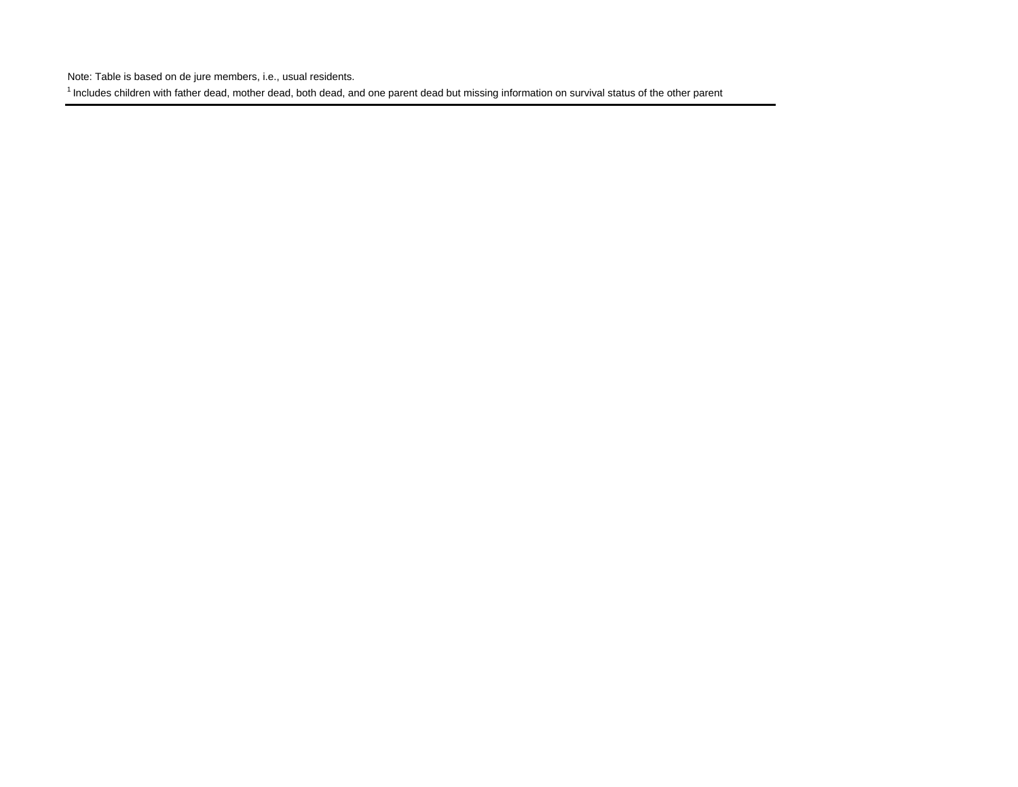Note: Table is based on de jure members, i.e., usual residents.

<sup>1</sup> Includes children with father dead, mother dead, both dead, and one parent dead but missing information on survival status of the other parent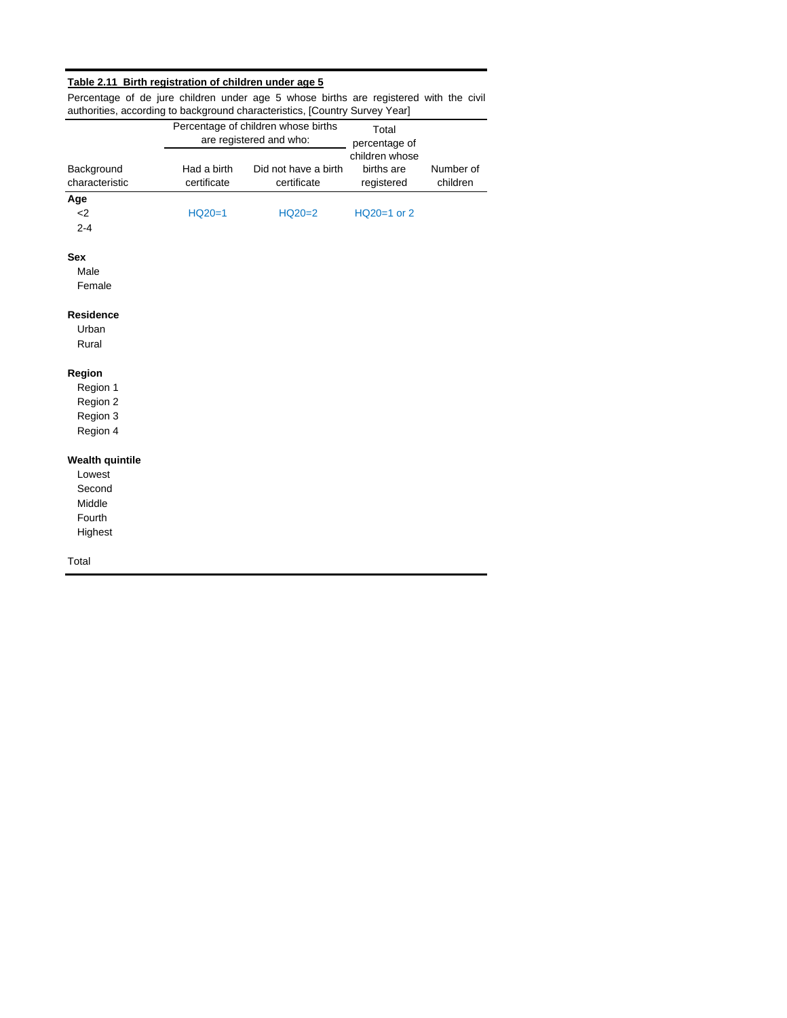### **Table 2.11 Birth registration of children under age 5**

Percentage of de jure children under age 5 whose births are registered with the civil authorities, according to background characteristics, [Country Survey Year]

|                              |                            | Percentage of children whose births<br>are registered and who: | Total<br>percentage of                     |                       |
|------------------------------|----------------------------|----------------------------------------------------------------|--------------------------------------------|-----------------------|
| Background<br>characteristic | Had a birth<br>certificate | Did not have a birth<br>certificate                            | children whose<br>births are<br>registered | Number of<br>children |
| Age                          |                            |                                                                |                                            |                       |
| $2$<br>$2 - 4$               | $HQ20=1$                   | $HQ20=2$                                                       | HQ20=1 or 2                                |                       |
| <b>Sex</b>                   |                            |                                                                |                                            |                       |
| Male<br>Female               |                            |                                                                |                                            |                       |
| <b>Residence</b>             |                            |                                                                |                                            |                       |
| Urban<br>Rural               |                            |                                                                |                                            |                       |
| Region                       |                            |                                                                |                                            |                       |
| Region 1                     |                            |                                                                |                                            |                       |
| Region 2                     |                            |                                                                |                                            |                       |
| Region 3<br>Region 4         |                            |                                                                |                                            |                       |
| <b>Wealth quintile</b>       |                            |                                                                |                                            |                       |
| Lowest                       |                            |                                                                |                                            |                       |
| Second                       |                            |                                                                |                                            |                       |
| Middle                       |                            |                                                                |                                            |                       |
| Fourth<br>Highest            |                            |                                                                |                                            |                       |
| Total                        |                            |                                                                |                                            |                       |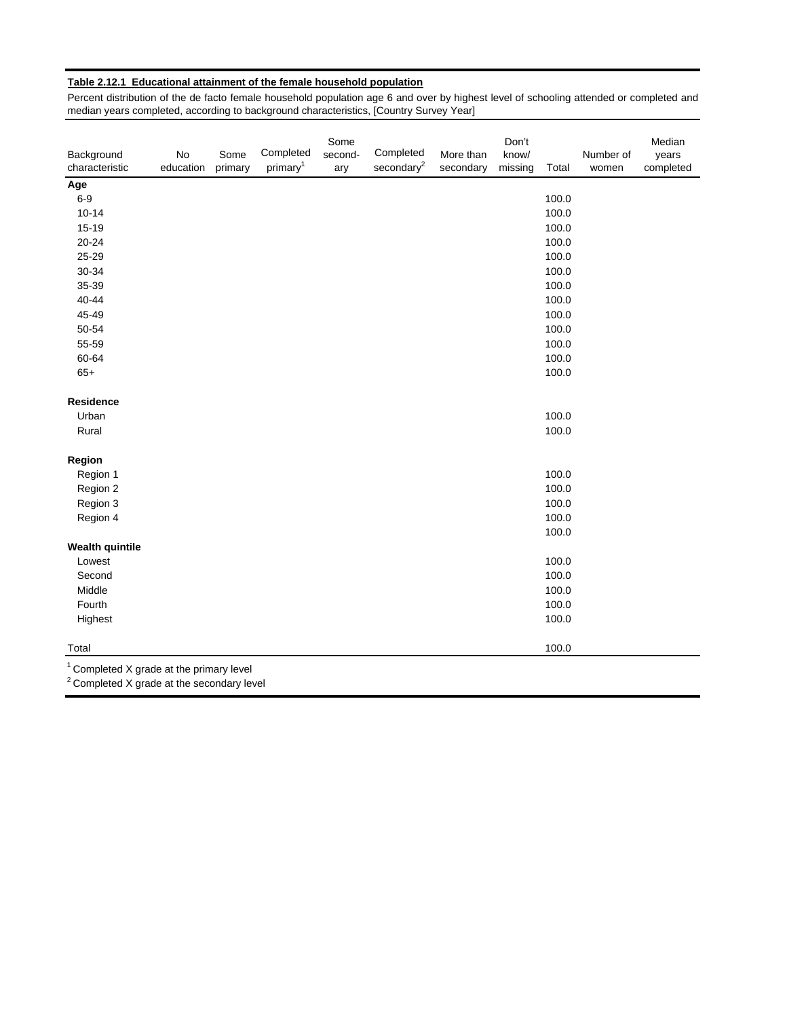### **Table 2.12.1 Educational attainment of the female household population**

Percent distribution of the de facto female household population age 6 and over by highest level of schooling attended or completed and median years completed, according to background characteristics, [Country Survey Year]

| Background<br>characteristic                                                                                 | No<br>education | Some<br>primary | Completed<br>primary <sup>1</sup> | Some<br>second-<br>ary | Completed<br>secondary <sup>2</sup> | More than<br>secondary | Don't<br>know/<br>missing | Total | Number of<br>women | Median<br>years<br>completed |
|--------------------------------------------------------------------------------------------------------------|-----------------|-----------------|-----------------------------------|------------------------|-------------------------------------|------------------------|---------------------------|-------|--------------------|------------------------------|
| Age                                                                                                          |                 |                 |                                   |                        |                                     |                        |                           |       |                    |                              |
| $6-9$                                                                                                        |                 |                 |                                   |                        |                                     |                        |                           | 100.0 |                    |                              |
| $10 - 14$                                                                                                    |                 |                 |                                   |                        |                                     |                        |                           | 100.0 |                    |                              |
| $15 - 19$                                                                                                    |                 |                 |                                   |                        |                                     |                        |                           | 100.0 |                    |                              |
| $20 - 24$                                                                                                    |                 |                 |                                   |                        |                                     |                        |                           | 100.0 |                    |                              |
| 25-29                                                                                                        |                 |                 |                                   |                        |                                     |                        |                           | 100.0 |                    |                              |
| 30-34                                                                                                        |                 |                 |                                   |                        |                                     |                        |                           | 100.0 |                    |                              |
| 35-39                                                                                                        |                 |                 |                                   |                        |                                     |                        |                           | 100.0 |                    |                              |
| 40-44                                                                                                        |                 |                 |                                   |                        |                                     |                        |                           | 100.0 |                    |                              |
| 45-49                                                                                                        |                 |                 |                                   |                        |                                     |                        |                           | 100.0 |                    |                              |
| 50-54                                                                                                        |                 |                 |                                   |                        |                                     |                        |                           | 100.0 |                    |                              |
| 55-59                                                                                                        |                 |                 |                                   |                        |                                     |                        |                           | 100.0 |                    |                              |
| 60-64                                                                                                        |                 |                 |                                   |                        |                                     |                        |                           | 100.0 |                    |                              |
| $65+$                                                                                                        |                 |                 |                                   |                        |                                     |                        |                           | 100.0 |                    |                              |
| <b>Residence</b>                                                                                             |                 |                 |                                   |                        |                                     |                        |                           |       |                    |                              |
| Urban                                                                                                        |                 |                 |                                   |                        |                                     |                        |                           | 100.0 |                    |                              |
| Rural                                                                                                        |                 |                 |                                   |                        |                                     |                        |                           | 100.0 |                    |                              |
| Region                                                                                                       |                 |                 |                                   |                        |                                     |                        |                           |       |                    |                              |
| Region 1                                                                                                     |                 |                 |                                   |                        |                                     |                        |                           | 100.0 |                    |                              |
| Region 2                                                                                                     |                 |                 |                                   |                        |                                     |                        |                           | 100.0 |                    |                              |
| Region 3                                                                                                     |                 |                 |                                   |                        |                                     |                        |                           | 100.0 |                    |                              |
| Region 4                                                                                                     |                 |                 |                                   |                        |                                     |                        |                           | 100.0 |                    |                              |
|                                                                                                              |                 |                 |                                   |                        |                                     |                        |                           | 100.0 |                    |                              |
| <b>Wealth quintile</b>                                                                                       |                 |                 |                                   |                        |                                     |                        |                           |       |                    |                              |
| Lowest                                                                                                       |                 |                 |                                   |                        |                                     |                        |                           | 100.0 |                    |                              |
| Second                                                                                                       |                 |                 |                                   |                        |                                     |                        |                           | 100.0 |                    |                              |
| Middle                                                                                                       |                 |                 |                                   |                        |                                     |                        |                           | 100.0 |                    |                              |
| Fourth                                                                                                       |                 |                 |                                   |                        |                                     |                        |                           | 100.0 |                    |                              |
| Highest                                                                                                      |                 |                 |                                   |                        |                                     |                        |                           | 100.0 |                    |                              |
| Total                                                                                                        |                 |                 |                                   |                        |                                     |                        |                           | 100.0 |                    |                              |
| <sup>1</sup> Completed X grade at the primary level<br><sup>2</sup> Completed X grade at the secondary level |                 |                 |                                   |                        |                                     |                        |                           |       |                    |                              |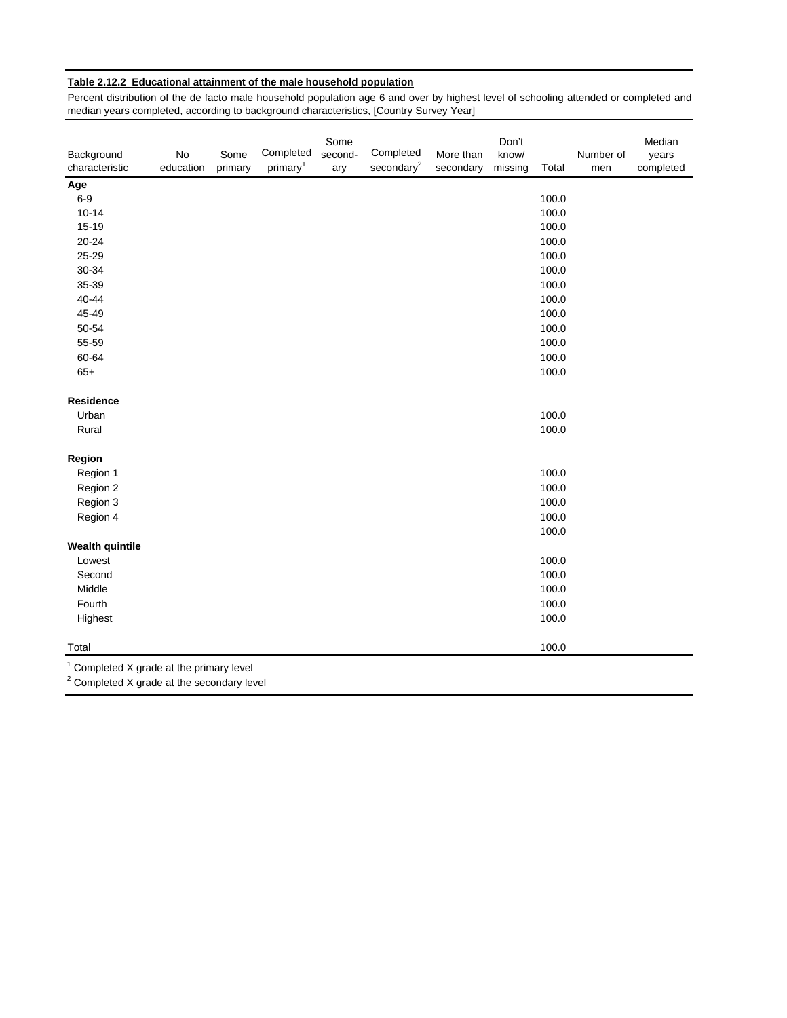### **Table 2.12.2 Educational attainment of the male household population**

Percent distribution of the de facto male household population age 6 and over by highest level of schooling attended or completed and median years completed, according to background characteristics, [Country Survey Year]

| Background<br>characteristic                                                           | No<br>education | Some<br>primary | Completed<br>primary <sup>1</sup> | Some<br>second-<br>ary | Completed<br>secondary <sup>2</sup> | More than<br>secondary | Don't<br>know/<br>missing | Total | Number of<br>men | Median<br>years<br>completed |
|----------------------------------------------------------------------------------------|-----------------|-----------------|-----------------------------------|------------------------|-------------------------------------|------------------------|---------------------------|-------|------------------|------------------------------|
| Age                                                                                    |                 |                 |                                   |                        |                                     |                        |                           |       |                  |                              |
| $6-9$                                                                                  |                 |                 |                                   |                        |                                     |                        |                           | 100.0 |                  |                              |
| $10 - 14$                                                                              |                 |                 |                                   |                        |                                     |                        |                           | 100.0 |                  |                              |
| 15-19                                                                                  |                 |                 |                                   |                        |                                     |                        |                           | 100.0 |                  |                              |
| 20-24                                                                                  |                 |                 |                                   |                        |                                     |                        |                           | 100.0 |                  |                              |
| 25-29                                                                                  |                 |                 |                                   |                        |                                     |                        |                           | 100.0 |                  |                              |
| 30-34                                                                                  |                 |                 |                                   |                        |                                     |                        |                           | 100.0 |                  |                              |
| 35-39                                                                                  |                 |                 |                                   |                        |                                     |                        |                           | 100.0 |                  |                              |
| 40-44                                                                                  |                 |                 |                                   |                        |                                     |                        |                           | 100.0 |                  |                              |
| 45-49                                                                                  |                 |                 |                                   |                        |                                     |                        |                           | 100.0 |                  |                              |
| 50-54                                                                                  |                 |                 |                                   |                        |                                     |                        |                           | 100.0 |                  |                              |
| 55-59                                                                                  |                 |                 |                                   |                        |                                     |                        |                           | 100.0 |                  |                              |
| 60-64                                                                                  |                 |                 |                                   |                        |                                     |                        |                           | 100.0 |                  |                              |
| $65+$                                                                                  |                 |                 |                                   |                        |                                     |                        |                           | 100.0 |                  |                              |
| Residence                                                                              |                 |                 |                                   |                        |                                     |                        |                           |       |                  |                              |
| Urban                                                                                  |                 |                 |                                   |                        |                                     |                        |                           | 100.0 |                  |                              |
| Rural                                                                                  |                 |                 |                                   |                        |                                     |                        |                           | 100.0 |                  |                              |
| Region                                                                                 |                 |                 |                                   |                        |                                     |                        |                           |       |                  |                              |
| Region 1                                                                               |                 |                 |                                   |                        |                                     |                        |                           | 100.0 |                  |                              |
| Region 2                                                                               |                 |                 |                                   |                        |                                     |                        |                           | 100.0 |                  |                              |
| Region 3                                                                               |                 |                 |                                   |                        |                                     |                        |                           | 100.0 |                  |                              |
| Region 4                                                                               |                 |                 |                                   |                        |                                     |                        |                           | 100.0 |                  |                              |
|                                                                                        |                 |                 |                                   |                        |                                     |                        |                           | 100.0 |                  |                              |
| <b>Wealth quintile</b>                                                                 |                 |                 |                                   |                        |                                     |                        |                           |       |                  |                              |
| Lowest                                                                                 |                 |                 |                                   |                        |                                     |                        |                           | 100.0 |                  |                              |
| Second                                                                                 |                 |                 |                                   |                        |                                     |                        |                           | 100.0 |                  |                              |
| Middle                                                                                 |                 |                 |                                   |                        |                                     |                        |                           | 100.0 |                  |                              |
| Fourth                                                                                 |                 |                 |                                   |                        |                                     |                        |                           | 100.0 |                  |                              |
| Highest                                                                                |                 |                 |                                   |                        |                                     |                        |                           | 100.0 |                  |                              |
| Total                                                                                  |                 |                 |                                   |                        |                                     |                        |                           | 100.0 |                  |                              |
| Completed X grade at the primary level<br>$2$ Completed X grade at the secondary level |                 |                 |                                   |                        |                                     |                        |                           |       |                  |                              |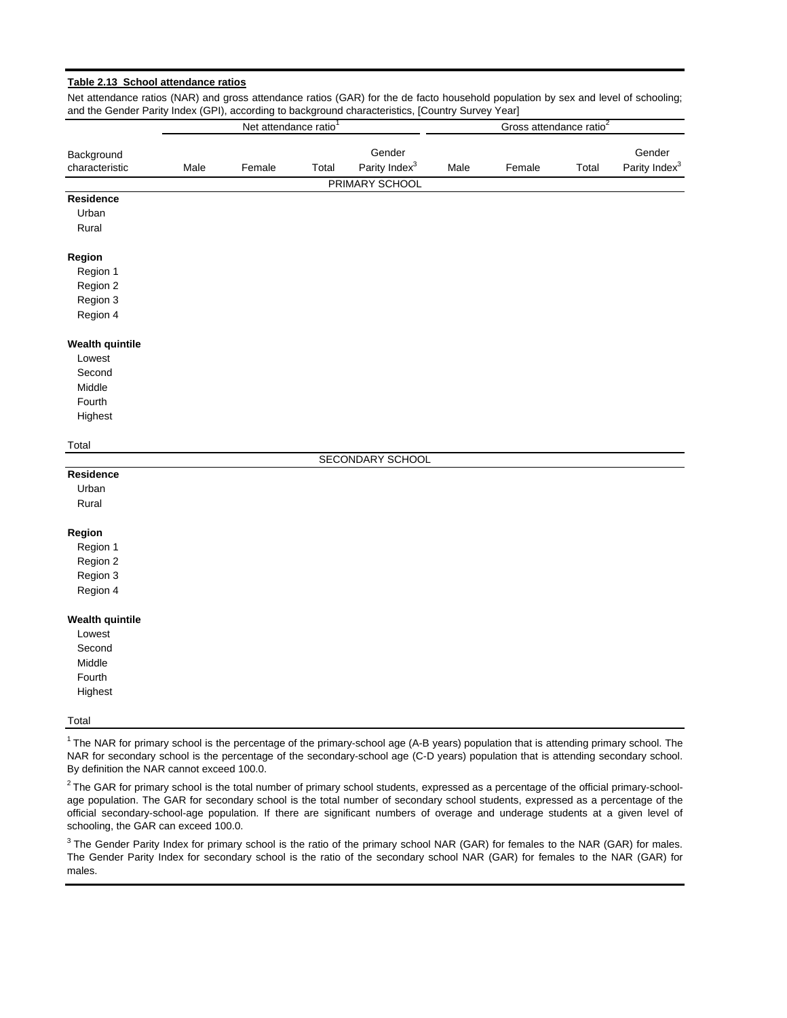| and the Gender Parity Index (GPI), according to background characteristics, [Country Survey Year] |      |                                   |       |                           |      |                                     |       |                           |
|---------------------------------------------------------------------------------------------------|------|-----------------------------------|-------|---------------------------|------|-------------------------------------|-------|---------------------------|
|                                                                                                   |      | Net attendance ratio <sup>1</sup> |       |                           |      | Gross attendance ratio <sup>2</sup> |       |                           |
| Background                                                                                        |      |                                   |       | Gender                    |      |                                     |       | Gender                    |
| characteristic                                                                                    | Male | Female                            | Total | Parity Index <sup>3</sup> | Male | Female                              | Total | Parity Index <sup>3</sup> |
|                                                                                                   |      |                                   |       | PRIMARY SCHOOL            |      |                                     |       |                           |
| <b>Residence</b>                                                                                  |      |                                   |       |                           |      |                                     |       |                           |
| Urban                                                                                             |      |                                   |       |                           |      |                                     |       |                           |
| Rural                                                                                             |      |                                   |       |                           |      |                                     |       |                           |
| Region                                                                                            |      |                                   |       |                           |      |                                     |       |                           |
| Region 1                                                                                          |      |                                   |       |                           |      |                                     |       |                           |
| Region 2                                                                                          |      |                                   |       |                           |      |                                     |       |                           |
| Region 3                                                                                          |      |                                   |       |                           |      |                                     |       |                           |
| Region 4                                                                                          |      |                                   |       |                           |      |                                     |       |                           |
| <b>Wealth quintile</b>                                                                            |      |                                   |       |                           |      |                                     |       |                           |
| Lowest                                                                                            |      |                                   |       |                           |      |                                     |       |                           |
| Second                                                                                            |      |                                   |       |                           |      |                                     |       |                           |
| Middle                                                                                            |      |                                   |       |                           |      |                                     |       |                           |
| Fourth                                                                                            |      |                                   |       |                           |      |                                     |       |                           |
| Highest                                                                                           |      |                                   |       |                           |      |                                     |       |                           |
| Total                                                                                             |      |                                   |       |                           |      |                                     |       |                           |
|                                                                                                   |      |                                   |       | SECONDARY SCHOOL          |      |                                     |       |                           |
| Residence                                                                                         |      |                                   |       |                           |      |                                     |       |                           |
| Urban                                                                                             |      |                                   |       |                           |      |                                     |       |                           |
| Rural                                                                                             |      |                                   |       |                           |      |                                     |       |                           |
| Region                                                                                            |      |                                   |       |                           |      |                                     |       |                           |
| Region 1                                                                                          |      |                                   |       |                           |      |                                     |       |                           |
| Region 2                                                                                          |      |                                   |       |                           |      |                                     |       |                           |
| Region 3                                                                                          |      |                                   |       |                           |      |                                     |       |                           |
| Region 4                                                                                          |      |                                   |       |                           |      |                                     |       |                           |
| <b>Wealth quintile</b>                                                                            |      |                                   |       |                           |      |                                     |       |                           |
| Lowest                                                                                            |      |                                   |       |                           |      |                                     |       |                           |
| Second                                                                                            |      |                                   |       |                           |      |                                     |       |                           |
| Middle                                                                                            |      |                                   |       |                           |      |                                     |       |                           |
| Fourth                                                                                            |      |                                   |       |                           |      |                                     |       |                           |
| Highest                                                                                           |      |                                   |       |                           |      |                                     |       |                           |
| Total                                                                                             |      |                                   |       |                           |      |                                     |       |                           |

#### **Table 2.13 School attendance ratios**

Net attendance ratios (NAR) and gross attendance ratios (GAR) for the de facto household population by sex and level of schooling;

 $1$  The NAR for primary school is the percentage of the primary-school age (A-B years) population that is attending primary school. The NAR for secondary school is the percentage of the secondary-school age (C-D years) population that is attending secondary school. By definition the NAR cannot exceed 100.0.

 $2$  The GAR for primary school is the total number of primary school students, expressed as a percentage of the official primary-schoolage population. The GAR for secondary school is the total number of secondary school students, expressed as a percentage of the official secondary-school-age population. If there are significant numbers of overage and underage students at a given level of schooling, the GAR can exceed 100.0.

<sup>3</sup> The Gender Parity Index for primary school is the ratio of the primary school NAR (GAR) for females to the NAR (GAR) for males. The Gender Parity Index for secondary school is the ratio of the secondary school NAR (GAR) for females to the NAR (GAR) for males.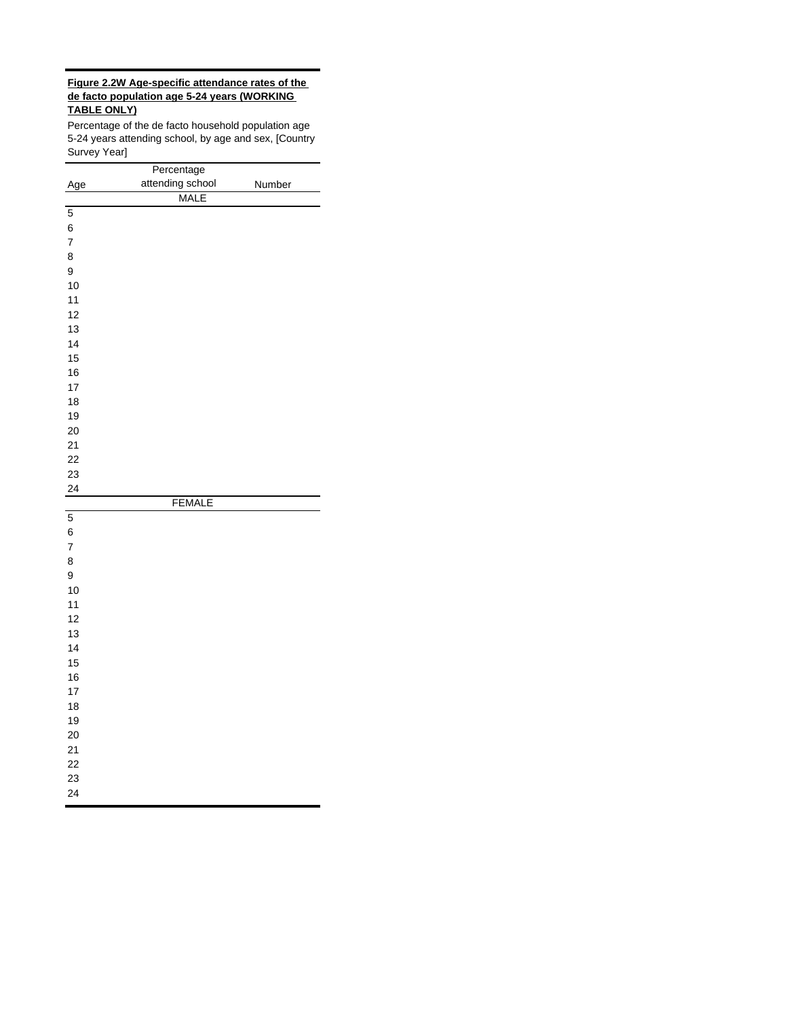#### **Figure 2.2W Age-specific attendance rates of the de facto population age 5-24 years (WORKING TABLE ONLY)**

Percentage of the de facto household population age 5-24 years attending school, by age and sex, [Country Survey Year]

|                | Percentage       |        |
|----------------|------------------|--------|
| Age            | attending school | Number |
|                | <b>MALE</b>      |        |
| 5              |                  |        |
| 6              |                  |        |
| $\overline{7}$ |                  |        |
| 8              |                  |        |
| 9              |                  |        |
| 10             |                  |        |
| 11             |                  |        |
| 12             |                  |        |
| 13             |                  |        |
| 14             |                  |        |
| 15             |                  |        |
| 16             |                  |        |
| 17             |                  |        |
| 18             |                  |        |
| 19             |                  |        |
| 20             |                  |        |
| 21             |                  |        |
| 22             |                  |        |
| 23             |                  |        |
| 24             |                  |        |
|                | <b>FEMALE</b>    |        |
| 5              |                  |        |
| 6              |                  |        |
| $\overline{7}$ |                  |        |
| 8              |                  |        |
| 9              |                  |        |
| 10             |                  |        |
| 11             |                  |        |
| 12             |                  |        |
| 13             |                  |        |
| 14             |                  |        |
| 15             |                  |        |
| 16             |                  |        |
| 17             |                  |        |
| 18             |                  |        |
| 19             |                  |        |
| 20             |                  |        |
| 21             |                  |        |
| 22             |                  |        |
| 23             |                  |        |
| 24             |                  |        |
|                |                  |        |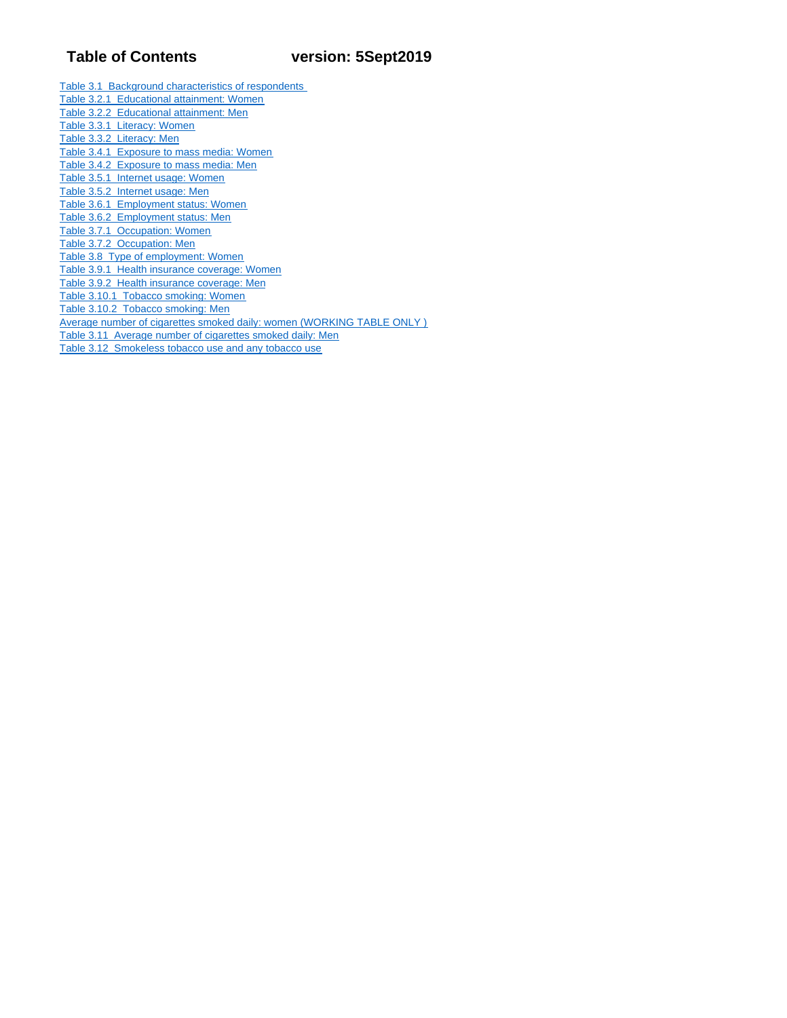Table 3.1 Background characteristics of respondents Table 3.2.1 Educational attainment: Women Table 3.2.2 Educational attainment: Men Table 3.3.1 Literacy: Women Table 3.3.2 Literacy: Men Table 3.4.1 Exposure to mass media: Women Table 3.4.2 Exposure to mass media: Men Table 3.5.1 Internet usage: Women Table 3.5.2 Internet usage: Men Table 3.6.1 Employment status: Women Table 3.6.2 Employment status: Men Table 3.7.1 Occupation: Women Table 3.7.2 Occupation: Men Table 3.8 Type of employment: Women Table 3.9.1 Health insurance coverage: Women Table 3.9.2 Health insurance coverage: Men Table 3.10.1 Tobacco smoking: Women Table 3.10.2 Tobacco smoking: Men Average number of cigarettes smoked daily: women (WORKING TABLE ONLY ) Table 3.11 Average number of cigarettes smoked daily: Men Table 3.12 Smokeless tobacco use and any tobacco use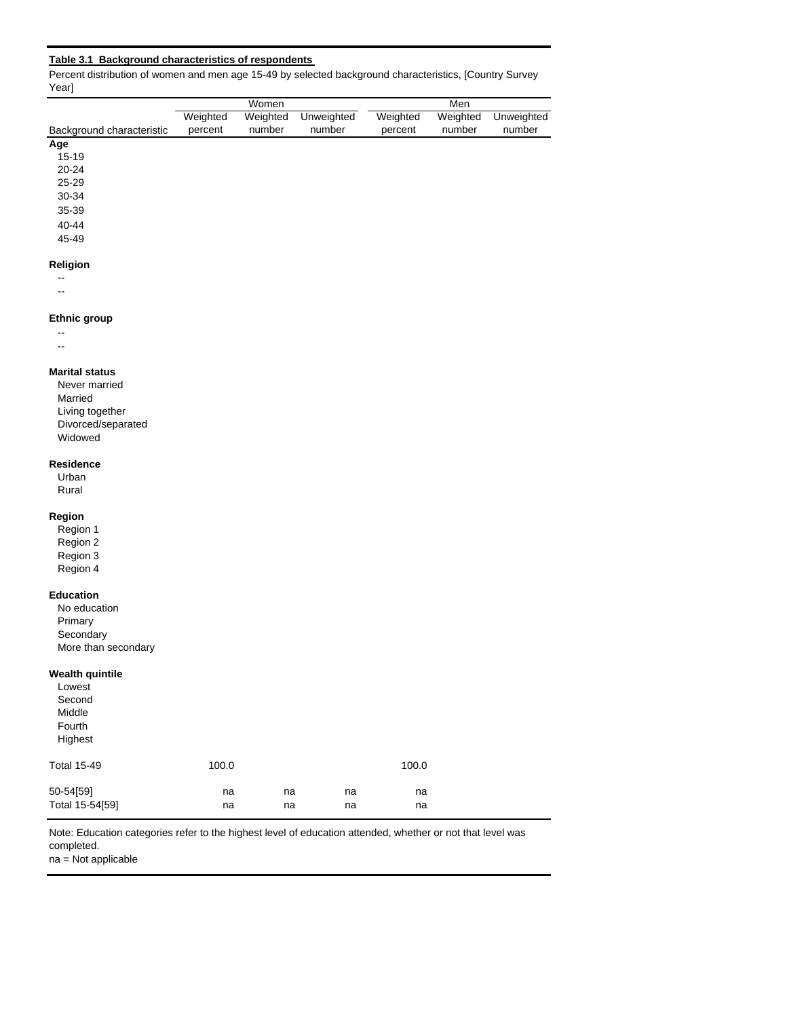#### **Table 3.1 Background characteristics of respondents**

Percent distribution of women and men age 15-49 by selected background characteristics, [Country Survey Year]

|                           |          | Women    |            | Men      |          |            |  |  |
|---------------------------|----------|----------|------------|----------|----------|------------|--|--|
|                           | Weighted | Weighted | Unweighted | Weighted | Weighted | Unweighted |  |  |
| Background characteristic | percent  | number   | number     | percent  | number   | number     |  |  |
| Age                       |          |          |            |          |          |            |  |  |
| $15 - 19$                 |          |          |            |          |          |            |  |  |
| -- - - -                  |          |          |            |          |          |            |  |  |

20-24

25-29

30-34

# 35-39

40-44 45-49

#### **Religion**

--

# --

#### **Ethnic group**

-- --

#### **Marital status**

Never married Married Living together Divorced/separated Widowed

#### **Residence**

Urban Rural

#### **Region**

Region 1 Region 2 Region 3 Region 4

#### **Education**

No education Primary **Secondary** More than secondary

#### **Wealth quintile**

| Lowest<br>Second<br>Middle<br>Fourth<br>Highest |          |          |          |          |
|-------------------------------------------------|----------|----------|----------|----------|
| <b>Total 15-49</b>                              | 100.0    |          |          | 100.0    |
| 50-54[59]<br>Total 15-54[59]                    | na<br>na | na<br>na | na<br>na | na<br>na |

Note: Education categories refer to the highest level of education attended, whether or not that level was completed.

na = Not applicable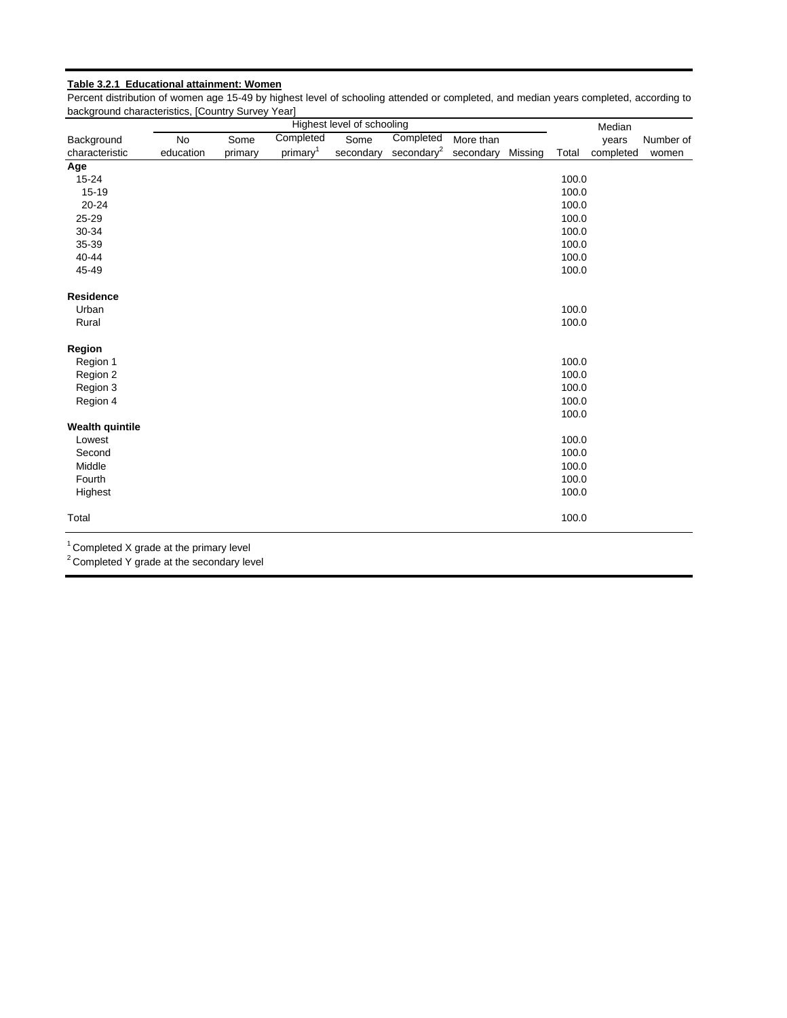### **Table 3.2.1 Educational attainment: Women**

Percent distribution of women age 15-49 by highest level of schooling attended or completed, and median years completed, according to background characteristics, [Country Survey Year]

|                        | Highest level of schooling |         |                      |           |                                                 |           |         |       | Median    |           |
|------------------------|----------------------------|---------|----------------------|-----------|-------------------------------------------------|-----------|---------|-------|-----------|-----------|
| Background             | No                         | Some    | Completed            | Some      | Completed                                       | More than |         |       | years     | Number of |
| characteristic         | education                  | primary | primary <sup>1</sup> | secondary | $\frac{\text{secondary}^2}{\text{secondary}^2}$ | secondary | Missing | Total | completed | women     |
| Age                    |                            |         |                      |           |                                                 |           |         |       |           |           |
| $15 - 24$              |                            |         |                      |           |                                                 |           |         | 100.0 |           |           |
| 15-19                  |                            |         |                      |           |                                                 |           |         | 100.0 |           |           |
| $20 - 24$              |                            |         |                      |           |                                                 |           |         | 100.0 |           |           |
| 25-29                  |                            |         |                      |           |                                                 |           |         | 100.0 |           |           |
| 30-34                  |                            |         |                      |           |                                                 |           |         | 100.0 |           |           |
| 35-39                  |                            |         |                      |           |                                                 |           |         | 100.0 |           |           |
| 40-44                  |                            |         |                      |           |                                                 |           |         | 100.0 |           |           |
| 45-49                  |                            |         |                      |           |                                                 |           |         | 100.0 |           |           |
| <b>Residence</b>       |                            |         |                      |           |                                                 |           |         |       |           |           |
| Urban                  |                            |         |                      |           |                                                 |           |         | 100.0 |           |           |
| Rural                  |                            |         |                      |           |                                                 |           |         | 100.0 |           |           |
| Region                 |                            |         |                      |           |                                                 |           |         |       |           |           |
| Region 1               |                            |         |                      |           |                                                 |           |         | 100.0 |           |           |
| Region 2               |                            |         |                      |           |                                                 |           |         | 100.0 |           |           |
| Region 3               |                            |         |                      |           |                                                 |           |         | 100.0 |           |           |
| Region 4               |                            |         |                      |           |                                                 |           |         | 100.0 |           |           |
|                        |                            |         |                      |           |                                                 |           |         | 100.0 |           |           |
| <b>Wealth quintile</b> |                            |         |                      |           |                                                 |           |         |       |           |           |
| Lowest                 |                            |         |                      |           |                                                 |           |         | 100.0 |           |           |
| Second                 |                            |         |                      |           |                                                 |           |         | 100.0 |           |           |
| Middle                 |                            |         |                      |           |                                                 |           |         | 100.0 |           |           |
| Fourth                 |                            |         |                      |           |                                                 |           |         | 100.0 |           |           |
| Highest                |                            |         |                      |           |                                                 |           |         | 100.0 |           |           |
| Total                  |                            |         |                      |           |                                                 |           |         | 100.0 |           |           |
|                        |                            |         |                      |           |                                                 |           |         |       |           |           |

 $1$  Completed X grade at the primary level

 $2$  Completed Y grade at the secondary level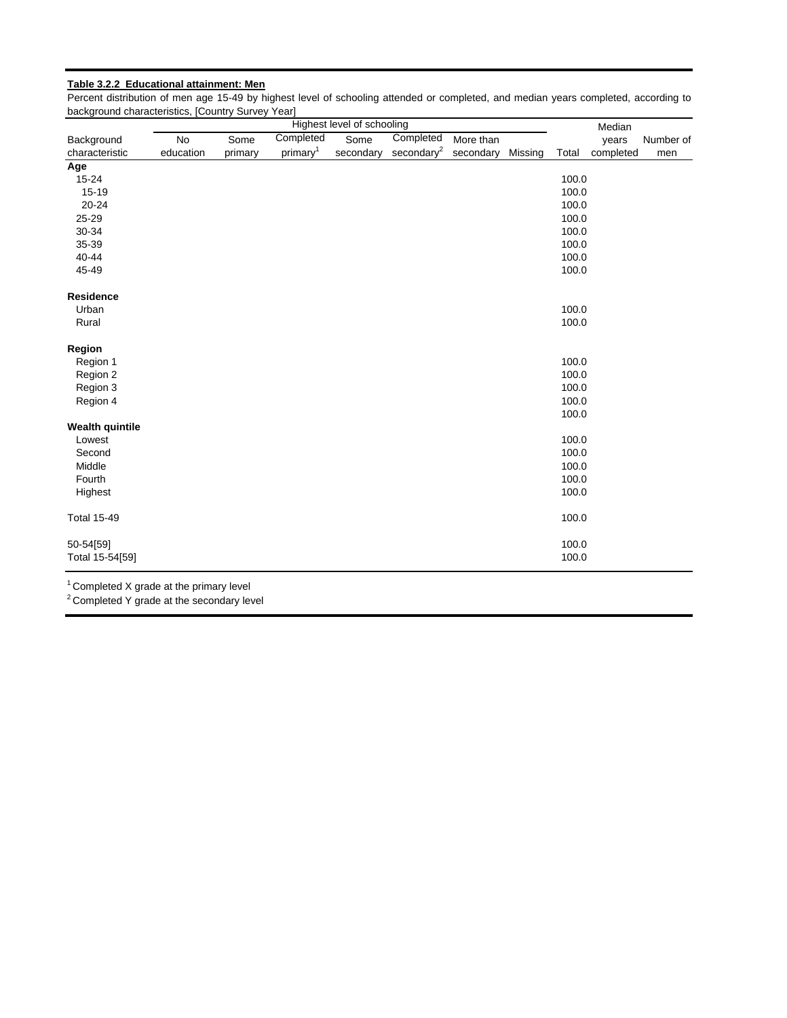### **Table 3.2.2 Educational attainment: Men**

Percent distribution of men age 15-49 by highest level of schooling attended or completed, and median years completed, according to background characteristics, [Country Survey Year]

| Completed<br>Completed<br>Some<br><b>No</b><br>Some<br>More than<br>years<br>Number of<br>$\frac{\text{secondary}^2}{\text{secondary}^2}$<br>primary <sup>1</sup><br>Missing<br>education<br>secondary<br>secondary<br>Total<br>completed<br>primary<br>men<br>100.0<br>$15 - 24$<br>100.0<br>15-19<br>$20 - 24$<br>100.0<br>25-29<br>100.0<br>30-34<br>100.0<br>35-39<br>100.0<br>40-44<br>100.0<br>45-49<br>100.0<br><b>Residence</b><br>100.0<br>Urban<br>100.0<br>Rural<br>Region 1<br>100.0<br>100.0<br>Region 2<br>100.0<br>Region 3<br>100.0<br>Region 4<br>100.0<br>Lowest<br>100.0<br>Second<br>100.0<br>Middle<br>100.0<br>100.0<br>Fourth<br>Highest<br>100.0<br>100.0<br>100.0<br>50-54[59]<br>100.0<br>Total 15-54[59] |                        |  | Highest level of schooling |  |  | Median |  |
|-------------------------------------------------------------------------------------------------------------------------------------------------------------------------------------------------------------------------------------------------------------------------------------------------------------------------------------------------------------------------------------------------------------------------------------------------------------------------------------------------------------------------------------------------------------------------------------------------------------------------------------------------------------------------------------------------------------------------------------|------------------------|--|----------------------------|--|--|--------|--|
|                                                                                                                                                                                                                                                                                                                                                                                                                                                                                                                                                                                                                                                                                                                                     | Background             |  |                            |  |  |        |  |
|                                                                                                                                                                                                                                                                                                                                                                                                                                                                                                                                                                                                                                                                                                                                     | characteristic         |  |                            |  |  |        |  |
|                                                                                                                                                                                                                                                                                                                                                                                                                                                                                                                                                                                                                                                                                                                                     | Age                    |  |                            |  |  |        |  |
|                                                                                                                                                                                                                                                                                                                                                                                                                                                                                                                                                                                                                                                                                                                                     |                        |  |                            |  |  |        |  |
|                                                                                                                                                                                                                                                                                                                                                                                                                                                                                                                                                                                                                                                                                                                                     |                        |  |                            |  |  |        |  |
|                                                                                                                                                                                                                                                                                                                                                                                                                                                                                                                                                                                                                                                                                                                                     |                        |  |                            |  |  |        |  |
|                                                                                                                                                                                                                                                                                                                                                                                                                                                                                                                                                                                                                                                                                                                                     |                        |  |                            |  |  |        |  |
|                                                                                                                                                                                                                                                                                                                                                                                                                                                                                                                                                                                                                                                                                                                                     |                        |  |                            |  |  |        |  |
|                                                                                                                                                                                                                                                                                                                                                                                                                                                                                                                                                                                                                                                                                                                                     |                        |  |                            |  |  |        |  |
|                                                                                                                                                                                                                                                                                                                                                                                                                                                                                                                                                                                                                                                                                                                                     |                        |  |                            |  |  |        |  |
|                                                                                                                                                                                                                                                                                                                                                                                                                                                                                                                                                                                                                                                                                                                                     |                        |  |                            |  |  |        |  |
|                                                                                                                                                                                                                                                                                                                                                                                                                                                                                                                                                                                                                                                                                                                                     |                        |  |                            |  |  |        |  |
|                                                                                                                                                                                                                                                                                                                                                                                                                                                                                                                                                                                                                                                                                                                                     |                        |  |                            |  |  |        |  |
|                                                                                                                                                                                                                                                                                                                                                                                                                                                                                                                                                                                                                                                                                                                                     |                        |  |                            |  |  |        |  |
|                                                                                                                                                                                                                                                                                                                                                                                                                                                                                                                                                                                                                                                                                                                                     |                        |  |                            |  |  |        |  |
|                                                                                                                                                                                                                                                                                                                                                                                                                                                                                                                                                                                                                                                                                                                                     | Region                 |  |                            |  |  |        |  |
|                                                                                                                                                                                                                                                                                                                                                                                                                                                                                                                                                                                                                                                                                                                                     |                        |  |                            |  |  |        |  |
|                                                                                                                                                                                                                                                                                                                                                                                                                                                                                                                                                                                                                                                                                                                                     |                        |  |                            |  |  |        |  |
|                                                                                                                                                                                                                                                                                                                                                                                                                                                                                                                                                                                                                                                                                                                                     |                        |  |                            |  |  |        |  |
|                                                                                                                                                                                                                                                                                                                                                                                                                                                                                                                                                                                                                                                                                                                                     |                        |  |                            |  |  |        |  |
|                                                                                                                                                                                                                                                                                                                                                                                                                                                                                                                                                                                                                                                                                                                                     |                        |  |                            |  |  |        |  |
|                                                                                                                                                                                                                                                                                                                                                                                                                                                                                                                                                                                                                                                                                                                                     | <b>Wealth quintile</b> |  |                            |  |  |        |  |
|                                                                                                                                                                                                                                                                                                                                                                                                                                                                                                                                                                                                                                                                                                                                     |                        |  |                            |  |  |        |  |
|                                                                                                                                                                                                                                                                                                                                                                                                                                                                                                                                                                                                                                                                                                                                     |                        |  |                            |  |  |        |  |
|                                                                                                                                                                                                                                                                                                                                                                                                                                                                                                                                                                                                                                                                                                                                     |                        |  |                            |  |  |        |  |
|                                                                                                                                                                                                                                                                                                                                                                                                                                                                                                                                                                                                                                                                                                                                     |                        |  |                            |  |  |        |  |
|                                                                                                                                                                                                                                                                                                                                                                                                                                                                                                                                                                                                                                                                                                                                     |                        |  |                            |  |  |        |  |
|                                                                                                                                                                                                                                                                                                                                                                                                                                                                                                                                                                                                                                                                                                                                     | <b>Total 15-49</b>     |  |                            |  |  |        |  |
|                                                                                                                                                                                                                                                                                                                                                                                                                                                                                                                                                                                                                                                                                                                                     |                        |  |                            |  |  |        |  |
|                                                                                                                                                                                                                                                                                                                                                                                                                                                                                                                                                                                                                                                                                                                                     |                        |  |                            |  |  |        |  |

 $1$  Completed X grade at the primary level

<sup>2</sup> Completed Y grade at the secondary level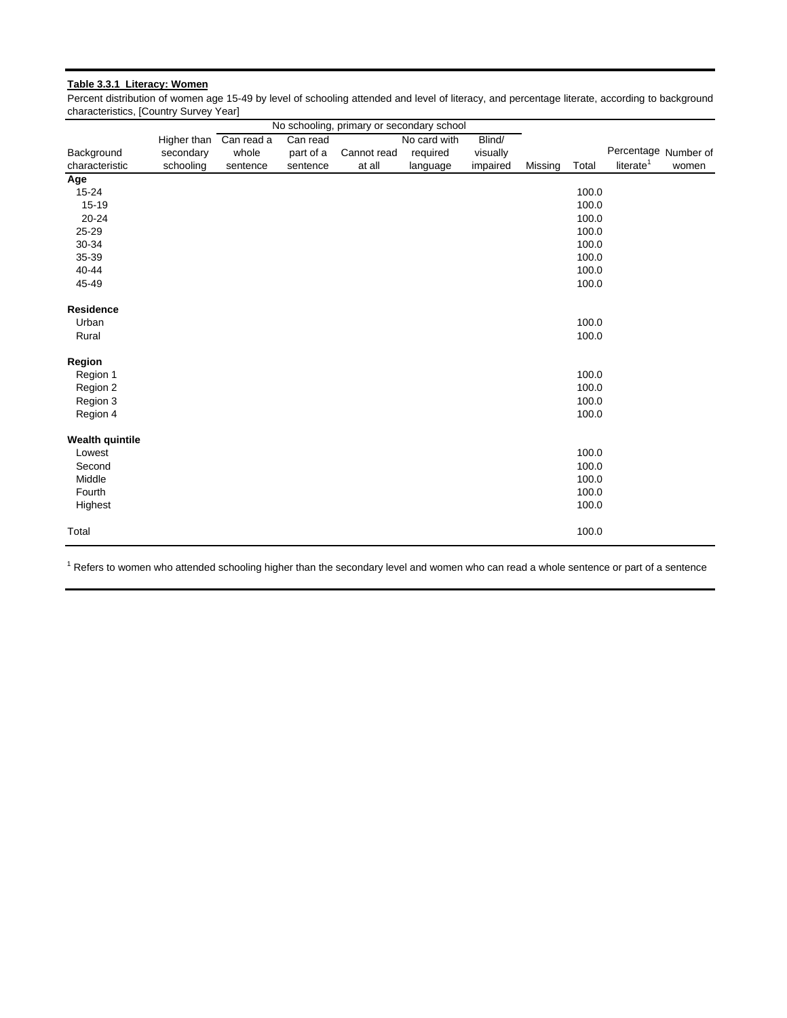### **Table 3.3.1 Literacy: Women**

Percent distribution of women age 15-49 by level of schooling attended and level of literacy, and percentage literate, according to background characteristics, [Country Survey Year]

|                        |                        |          |           | No schooling, primary or secondary school |              |          |         |       |                      |       |
|------------------------|------------------------|----------|-----------|-------------------------------------------|--------------|----------|---------|-------|----------------------|-------|
|                        | Higher than Can read a |          | Can read  |                                           | No card with | Blind/   |         |       |                      |       |
| Background             | secondary              | whole    | part of a | Cannot read                               | required     | visually |         |       | Percentage Number of |       |
| characteristic         | schooling              | sentence | sentence  | at all                                    | language     | impaired | Missing | Total | literate $1$         | women |
| Age                    |                        |          |           |                                           |              |          |         |       |                      |       |
| $15 - 24$              |                        |          |           |                                           |              |          |         | 100.0 |                      |       |
| $15 - 19$              |                        |          |           |                                           |              |          |         | 100.0 |                      |       |
| 20-24                  |                        |          |           |                                           |              |          |         | 100.0 |                      |       |
| 25-29                  |                        |          |           |                                           |              |          |         | 100.0 |                      |       |
| 30-34                  |                        |          |           |                                           |              |          |         | 100.0 |                      |       |
| 35-39                  |                        |          |           |                                           |              |          |         | 100.0 |                      |       |
| 40-44                  |                        |          |           |                                           |              |          |         | 100.0 |                      |       |
| 45-49                  |                        |          |           |                                           |              |          |         | 100.0 |                      |       |
| <b>Residence</b>       |                        |          |           |                                           |              |          |         |       |                      |       |
| Urban                  |                        |          |           |                                           |              |          |         | 100.0 |                      |       |
| Rural                  |                        |          |           |                                           |              |          |         | 100.0 |                      |       |
| Region                 |                        |          |           |                                           |              |          |         |       |                      |       |
| Region 1               |                        |          |           |                                           |              |          |         | 100.0 |                      |       |
| Region 2               |                        |          |           |                                           |              |          |         | 100.0 |                      |       |
| Region 3               |                        |          |           |                                           |              |          |         | 100.0 |                      |       |
| Region 4               |                        |          |           |                                           |              |          |         | 100.0 |                      |       |
| <b>Wealth quintile</b> |                        |          |           |                                           |              |          |         |       |                      |       |
| Lowest                 |                        |          |           |                                           |              |          |         | 100.0 |                      |       |
| Second                 |                        |          |           |                                           |              |          |         | 100.0 |                      |       |
| Middle                 |                        |          |           |                                           |              |          |         | 100.0 |                      |       |
| Fourth                 |                        |          |           |                                           |              |          |         | 100.0 |                      |       |
| Highest                |                        |          |           |                                           |              |          |         | 100.0 |                      |       |
| Total                  |                        |          |           |                                           |              |          |         | 100.0 |                      |       |

<sup>1</sup> Refers to women who attended schooling higher than the secondary level and women who can read a whole sentence or part of a sentence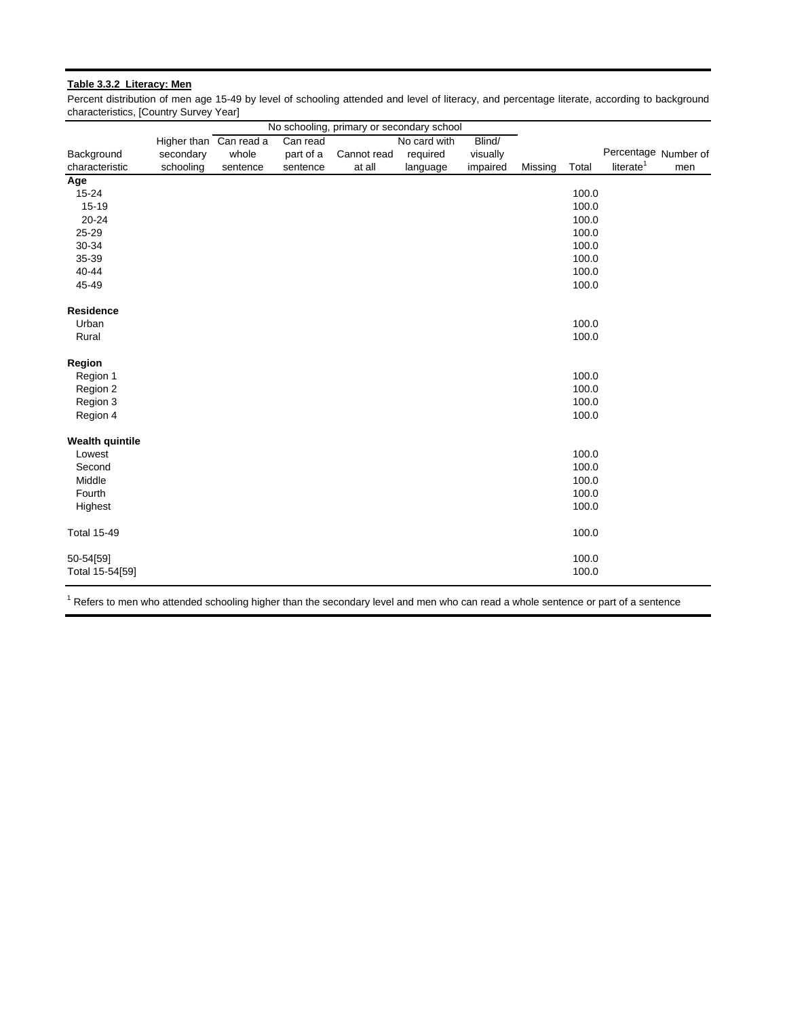#### **Table 3.3.2 Literacy: Men**

Percent distribution of men age 15-49 by level of schooling attended and level of literacy, and percentage literate, according to background characteristics, [Country Survey Year]

|                        |                        |          |           | No schooling, primary or secondary school |              |          |         |       |                       |     |
|------------------------|------------------------|----------|-----------|-------------------------------------------|--------------|----------|---------|-------|-----------------------|-----|
|                        | Higher than Can read a |          | Can read  |                                           | No card with | Blind/   |         |       |                       |     |
| Background             | secondary              | whole    | part of a | Cannot read                               | required     | visually |         |       | Percentage Number of  |     |
| characteristic         | schooling              | sentence | sentence  | at all                                    | language     | impaired | Missing | Total | literate <sup>1</sup> | men |
| Age                    |                        |          |           |                                           |              |          |         |       |                       |     |
| 15-24                  |                        |          |           |                                           |              |          |         | 100.0 |                       |     |
| 15-19                  |                        |          |           |                                           |              |          |         | 100.0 |                       |     |
| 20-24                  |                        |          |           |                                           |              |          |         | 100.0 |                       |     |
| 25-29                  |                        |          |           |                                           |              |          |         | 100.0 |                       |     |
| 30-34                  |                        |          |           |                                           |              |          |         | 100.0 |                       |     |
| 35-39                  |                        |          |           |                                           |              |          |         | 100.0 |                       |     |
| 40-44                  |                        |          |           |                                           |              |          |         | 100.0 |                       |     |
| 45-49                  |                        |          |           |                                           |              |          |         | 100.0 |                       |     |
| <b>Residence</b>       |                        |          |           |                                           |              |          |         |       |                       |     |
| Urban                  |                        |          |           |                                           |              |          |         | 100.0 |                       |     |
| Rural                  |                        |          |           |                                           |              |          |         | 100.0 |                       |     |
| Region                 |                        |          |           |                                           |              |          |         |       |                       |     |
| Region 1               |                        |          |           |                                           |              |          |         | 100.0 |                       |     |
| Region 2               |                        |          |           |                                           |              |          |         | 100.0 |                       |     |
| Region 3               |                        |          |           |                                           |              |          |         | 100.0 |                       |     |
| Region 4               |                        |          |           |                                           |              |          |         | 100.0 |                       |     |
| <b>Wealth quintile</b> |                        |          |           |                                           |              |          |         |       |                       |     |
| Lowest                 |                        |          |           |                                           |              |          |         | 100.0 |                       |     |
| Second                 |                        |          |           |                                           |              |          |         | 100.0 |                       |     |
| Middle                 |                        |          |           |                                           |              |          |         | 100.0 |                       |     |
| Fourth                 |                        |          |           |                                           |              |          |         | 100.0 |                       |     |
| Highest                |                        |          |           |                                           |              |          |         | 100.0 |                       |     |
| <b>Total 15-49</b>     |                        |          |           |                                           |              |          |         | 100.0 |                       |     |
| 50-54[59]              |                        |          |           |                                           |              |          |         | 100.0 |                       |     |
| Total 15-54[59]        |                        |          |           |                                           |              |          |         | 100.0 |                       |     |

<sup>1</sup> Refers to men who attended schooling higher than the secondary level and men who can read a whole sentence or part of a sentence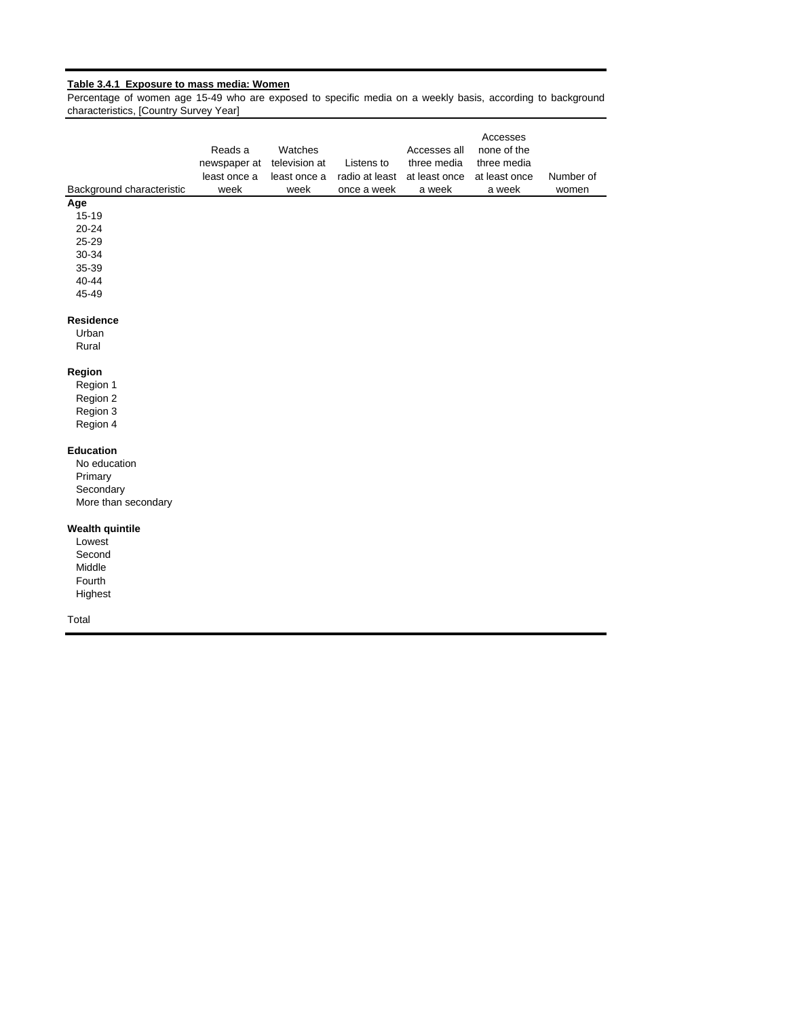#### **Table 3.4.1 Exposure to mass media: Women**

Percentage of women age 15-49 who are exposed to specific media on a weekly basis, according to background characteristics, [Country Survey Year]

| Background characteristic | Reads a<br>newspaper at<br>least once a<br>week | Watches<br>television at<br>least once a<br>week | Listens to<br>radio at least<br>once a week | Accesses all<br>three media<br>at least once<br>a week | Accesses<br>none of the<br>three media<br>at least once<br>a week | Number of<br>women |
|---------------------------|-------------------------------------------------|--------------------------------------------------|---------------------------------------------|--------------------------------------------------------|-------------------------------------------------------------------|--------------------|
| Age                       |                                                 |                                                  |                                             |                                                        |                                                                   |                    |
| 15-19                     |                                                 |                                                  |                                             |                                                        |                                                                   |                    |
| $20 - 24$                 |                                                 |                                                  |                                             |                                                        |                                                                   |                    |
| 25-29                     |                                                 |                                                  |                                             |                                                        |                                                                   |                    |
| 30-34                     |                                                 |                                                  |                                             |                                                        |                                                                   |                    |
| 35-39                     |                                                 |                                                  |                                             |                                                        |                                                                   |                    |
| $40 - 44$                 |                                                 |                                                  |                                             |                                                        |                                                                   |                    |
| 45-49                     |                                                 |                                                  |                                             |                                                        |                                                                   |                    |
| Residence                 |                                                 |                                                  |                                             |                                                        |                                                                   |                    |
| Urban                     |                                                 |                                                  |                                             |                                                        |                                                                   |                    |
| Rural                     |                                                 |                                                  |                                             |                                                        |                                                                   |                    |
| Region                    |                                                 |                                                  |                                             |                                                        |                                                                   |                    |
| Region 1                  |                                                 |                                                  |                                             |                                                        |                                                                   |                    |
| Region 2                  |                                                 |                                                  |                                             |                                                        |                                                                   |                    |
| Region 3                  |                                                 |                                                  |                                             |                                                        |                                                                   |                    |
| Region 4                  |                                                 |                                                  |                                             |                                                        |                                                                   |                    |
| <b>Education</b>          |                                                 |                                                  |                                             |                                                        |                                                                   |                    |
| No education              |                                                 |                                                  |                                             |                                                        |                                                                   |                    |
| Primary                   |                                                 |                                                  |                                             |                                                        |                                                                   |                    |
| Secondary                 |                                                 |                                                  |                                             |                                                        |                                                                   |                    |
| More than secondary       |                                                 |                                                  |                                             |                                                        |                                                                   |                    |
| <b>Wealth quintile</b>    |                                                 |                                                  |                                             |                                                        |                                                                   |                    |
| Lowest                    |                                                 |                                                  |                                             |                                                        |                                                                   |                    |
| Second                    |                                                 |                                                  |                                             |                                                        |                                                                   |                    |
| Middle                    |                                                 |                                                  |                                             |                                                        |                                                                   |                    |
| Fourth                    |                                                 |                                                  |                                             |                                                        |                                                                   |                    |
| Highest                   |                                                 |                                                  |                                             |                                                        |                                                                   |                    |
| Total                     |                                                 |                                                  |                                             |                                                        |                                                                   |                    |
|                           |                                                 |                                                  |                                             |                                                        |                                                                   |                    |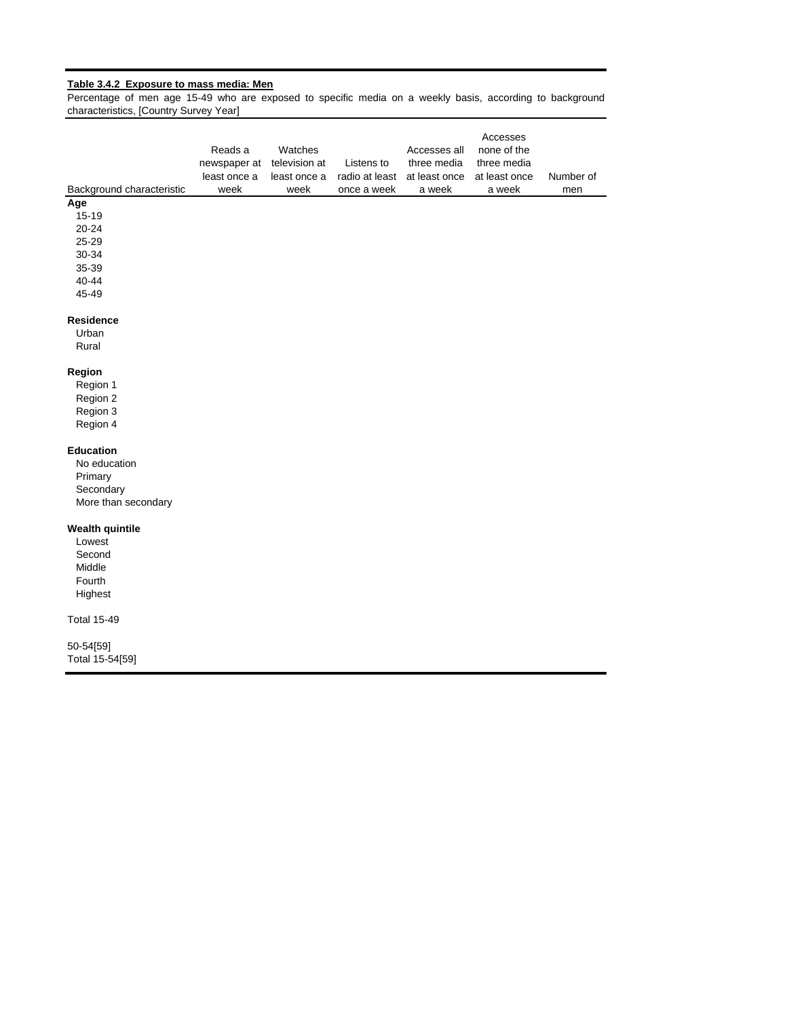#### **Table 3.4.2 Exposure to mass media: Men**

Percentage of men age 15-49 who are exposed to specific media on a weekly basis, according to background characteristics, [Country Survey Year]

| Background characteristic | Reads a<br>newspaper at<br>least once a<br>week | Watches<br>television at<br>least once a<br>week | Listens to<br>radio at least<br>once a week | Accesses all<br>three media<br>at least once<br>a week | Accesses<br>none of the<br>three media<br>at least once<br>a week | Number of<br>men |
|---------------------------|-------------------------------------------------|--------------------------------------------------|---------------------------------------------|--------------------------------------------------------|-------------------------------------------------------------------|------------------|
| Age                       |                                                 |                                                  |                                             |                                                        |                                                                   |                  |
| $15 - 19$                 |                                                 |                                                  |                                             |                                                        |                                                                   |                  |
| 20-24<br>25-29            |                                                 |                                                  |                                             |                                                        |                                                                   |                  |
| 30-34                     |                                                 |                                                  |                                             |                                                        |                                                                   |                  |
| 35-39                     |                                                 |                                                  |                                             |                                                        |                                                                   |                  |
| $40 - 44$                 |                                                 |                                                  |                                             |                                                        |                                                                   |                  |
| 45-49                     |                                                 |                                                  |                                             |                                                        |                                                                   |                  |
| <b>Residence</b>          |                                                 |                                                  |                                             |                                                        |                                                                   |                  |
| Urban                     |                                                 |                                                  |                                             |                                                        |                                                                   |                  |
| Rural                     |                                                 |                                                  |                                             |                                                        |                                                                   |                  |
| Region                    |                                                 |                                                  |                                             |                                                        |                                                                   |                  |
| Region 1                  |                                                 |                                                  |                                             |                                                        |                                                                   |                  |
| Region 2                  |                                                 |                                                  |                                             |                                                        |                                                                   |                  |
| Region 3                  |                                                 |                                                  |                                             |                                                        |                                                                   |                  |
| Region 4                  |                                                 |                                                  |                                             |                                                        |                                                                   |                  |
| <b>Education</b>          |                                                 |                                                  |                                             |                                                        |                                                                   |                  |
| No education              |                                                 |                                                  |                                             |                                                        |                                                                   |                  |
| Primary                   |                                                 |                                                  |                                             |                                                        |                                                                   |                  |
| Secondary                 |                                                 |                                                  |                                             |                                                        |                                                                   |                  |
| More than secondary       |                                                 |                                                  |                                             |                                                        |                                                                   |                  |
| <b>Wealth quintile</b>    |                                                 |                                                  |                                             |                                                        |                                                                   |                  |
| Lowest                    |                                                 |                                                  |                                             |                                                        |                                                                   |                  |
| Second                    |                                                 |                                                  |                                             |                                                        |                                                                   |                  |
| Middle                    |                                                 |                                                  |                                             |                                                        |                                                                   |                  |
| Fourth                    |                                                 |                                                  |                                             |                                                        |                                                                   |                  |
| Highest                   |                                                 |                                                  |                                             |                                                        |                                                                   |                  |
| <b>Total 15-49</b>        |                                                 |                                                  |                                             |                                                        |                                                                   |                  |
| 50-54[59]                 |                                                 |                                                  |                                             |                                                        |                                                                   |                  |
| Total 15-54[59]           |                                                 |                                                  |                                             |                                                        |                                                                   |                  |
|                           |                                                 |                                                  |                                             |                                                        |                                                                   |                  |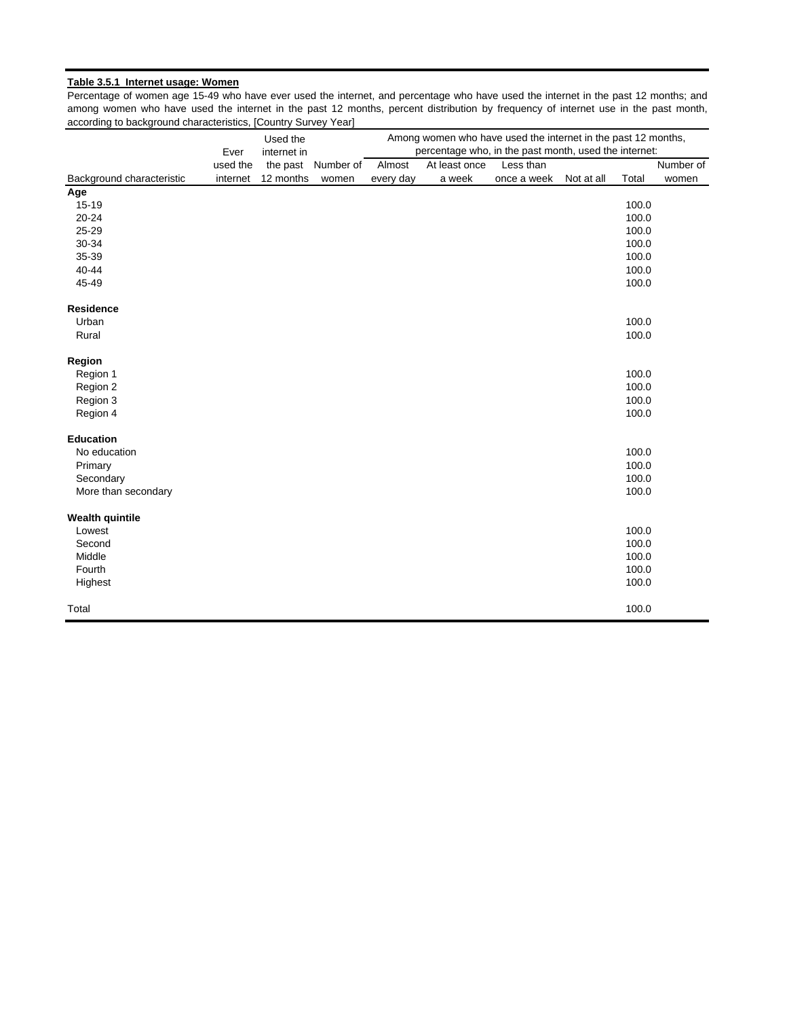### **Table 3.5.1 Internet usage: Women**

Percentage of women age 15-49 who have ever used the internet, and percentage who have used the internet in the past 12 months; and among women who have used the internet in the past 12 months, percent distribution by frequency of internet use in the past month, according to background characteristics, [Country Survey Year]

|                           |          | Among women who have used the internet in the past 12 months,<br>Used the<br>percentage who, in the past month, used the internet: |           |           |               |             |            |       |           |
|---------------------------|----------|------------------------------------------------------------------------------------------------------------------------------------|-----------|-----------|---------------|-------------|------------|-------|-----------|
|                           | Ever     | internet in                                                                                                                        |           |           |               |             |            |       |           |
|                           | used the | the past                                                                                                                           | Number of | Almost    | At least once | Less than   |            |       | Number of |
| Background characteristic | internet | 12 months                                                                                                                          | women     | every day | a week        | once a week | Not at all | Total | women     |
| Age                       |          |                                                                                                                                    |           |           |               |             |            |       |           |
| $15 - 19$                 |          |                                                                                                                                    |           |           |               |             |            | 100.0 |           |
| $20 - 24$                 |          |                                                                                                                                    |           |           |               |             |            | 100.0 |           |
| 25-29                     |          |                                                                                                                                    |           |           |               |             |            | 100.0 |           |
| 30-34                     |          |                                                                                                                                    |           |           |               |             |            | 100.0 |           |
| 35-39                     |          |                                                                                                                                    |           |           |               |             |            | 100.0 |           |
| 40-44                     |          |                                                                                                                                    |           |           |               |             |            | 100.0 |           |
| 45-49                     |          |                                                                                                                                    |           |           |               |             |            | 100.0 |           |
| <b>Residence</b>          |          |                                                                                                                                    |           |           |               |             |            |       |           |
| Urban                     |          |                                                                                                                                    |           |           |               |             |            | 100.0 |           |
| Rural                     |          |                                                                                                                                    |           |           |               |             |            | 100.0 |           |
| Region                    |          |                                                                                                                                    |           |           |               |             |            |       |           |
| Region 1                  |          |                                                                                                                                    |           |           |               |             |            | 100.0 |           |
| Region 2                  |          |                                                                                                                                    |           |           |               |             |            | 100.0 |           |
| Region 3                  |          |                                                                                                                                    |           |           |               |             |            | 100.0 |           |
| Region 4                  |          |                                                                                                                                    |           |           |               |             |            | 100.0 |           |
| <b>Education</b>          |          |                                                                                                                                    |           |           |               |             |            |       |           |
| No education              |          |                                                                                                                                    |           |           |               |             |            | 100.0 |           |
| Primary                   |          |                                                                                                                                    |           |           |               |             |            | 100.0 |           |
| Secondary                 |          |                                                                                                                                    |           |           |               |             |            | 100.0 |           |
| More than secondary       |          |                                                                                                                                    |           |           |               |             |            | 100.0 |           |
| <b>Wealth quintile</b>    |          |                                                                                                                                    |           |           |               |             |            |       |           |
| Lowest                    |          |                                                                                                                                    |           |           |               |             |            | 100.0 |           |
| Second                    |          |                                                                                                                                    |           |           |               |             |            | 100.0 |           |
| Middle                    |          |                                                                                                                                    |           |           |               |             |            | 100.0 |           |
| Fourth                    |          |                                                                                                                                    |           |           |               |             |            | 100.0 |           |
| Highest                   |          |                                                                                                                                    |           |           |               |             |            | 100.0 |           |
| Total                     |          |                                                                                                                                    |           |           |               |             |            | 100.0 |           |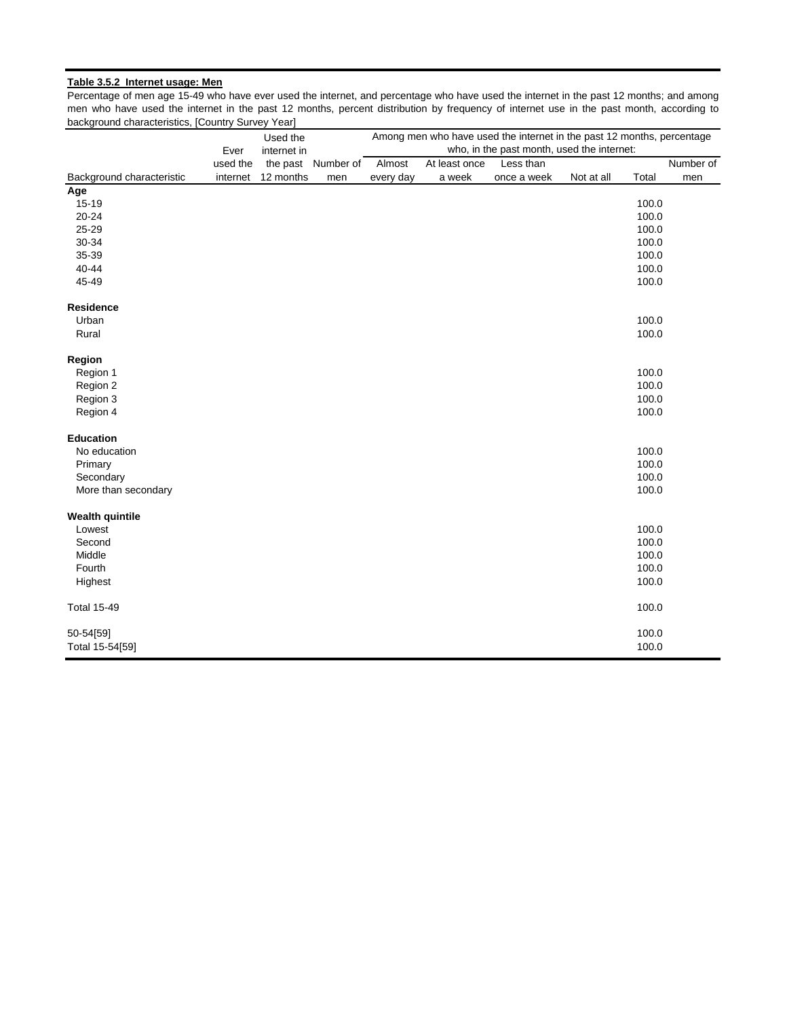### **Table 3.5.2 Internet usage: Men**

Percentage of men age 15-49 who have ever used the internet, and percentage who have used the internet in the past 12 months; and among men who have used the internet in the past 12 months, percent distribution by frequency of internet use in the past month, according to background characteristics, [Country Survey Year]

|                           |          | Used the    |                    |           |               | Among men who have used the internet in the past 12 months, percentage |            |       |           |
|---------------------------|----------|-------------|--------------------|-----------|---------------|------------------------------------------------------------------------|------------|-------|-----------|
|                           | Ever     | internet in |                    |           |               | who, in the past month, used the internet:                             |            |       |           |
|                           | used the |             | the past Number of | Almost    | At least once | Less than                                                              |            |       | Number of |
| Background characteristic | internet | 12 months   | men                | every day | a week        | once a week                                                            | Not at all | Total | men       |
| Age                       |          |             |                    |           |               |                                                                        |            |       |           |
| $15 - 19$                 |          |             |                    |           |               |                                                                        |            | 100.0 |           |
| $20 - 24$                 |          |             |                    |           |               |                                                                        |            | 100.0 |           |
| 25-29                     |          |             |                    |           |               |                                                                        |            | 100.0 |           |
| 30-34                     |          |             |                    |           |               |                                                                        |            | 100.0 |           |
| 35-39                     |          |             |                    |           |               |                                                                        |            | 100.0 |           |
| 40-44                     |          |             |                    |           |               |                                                                        |            | 100.0 |           |
| 45-49                     |          |             |                    |           |               |                                                                        |            | 100.0 |           |
| <b>Residence</b>          |          |             |                    |           |               |                                                                        |            |       |           |
| Urban                     |          |             |                    |           |               |                                                                        |            | 100.0 |           |
| Rural                     |          |             |                    |           |               |                                                                        |            | 100.0 |           |
| Region                    |          |             |                    |           |               |                                                                        |            |       |           |
| Region 1                  |          |             |                    |           |               |                                                                        |            | 100.0 |           |
| Region 2                  |          |             |                    |           |               |                                                                        |            | 100.0 |           |
| Region 3                  |          |             |                    |           |               |                                                                        |            | 100.0 |           |
| Region 4                  |          |             |                    |           |               |                                                                        |            | 100.0 |           |
| <b>Education</b>          |          |             |                    |           |               |                                                                        |            |       |           |
| No education              |          |             |                    |           |               |                                                                        |            | 100.0 |           |
| Primary                   |          |             |                    |           |               |                                                                        |            | 100.0 |           |
| Secondary                 |          |             |                    |           |               |                                                                        |            | 100.0 |           |
| More than secondary       |          |             |                    |           |               |                                                                        |            | 100.0 |           |
| <b>Wealth quintile</b>    |          |             |                    |           |               |                                                                        |            |       |           |
| Lowest                    |          |             |                    |           |               |                                                                        |            | 100.0 |           |
| Second                    |          |             |                    |           |               |                                                                        |            | 100.0 |           |
| Middle                    |          |             |                    |           |               |                                                                        |            | 100.0 |           |
| Fourth                    |          |             |                    |           |               |                                                                        |            | 100.0 |           |
| Highest                   |          |             |                    |           |               |                                                                        |            | 100.0 |           |
| <b>Total 15-49</b>        |          |             |                    |           |               |                                                                        |            | 100.0 |           |
| 50-54[59]                 |          |             |                    |           |               |                                                                        |            | 100.0 |           |
| Total 15-54[59]           |          |             |                    |           |               |                                                                        |            | 100.0 |           |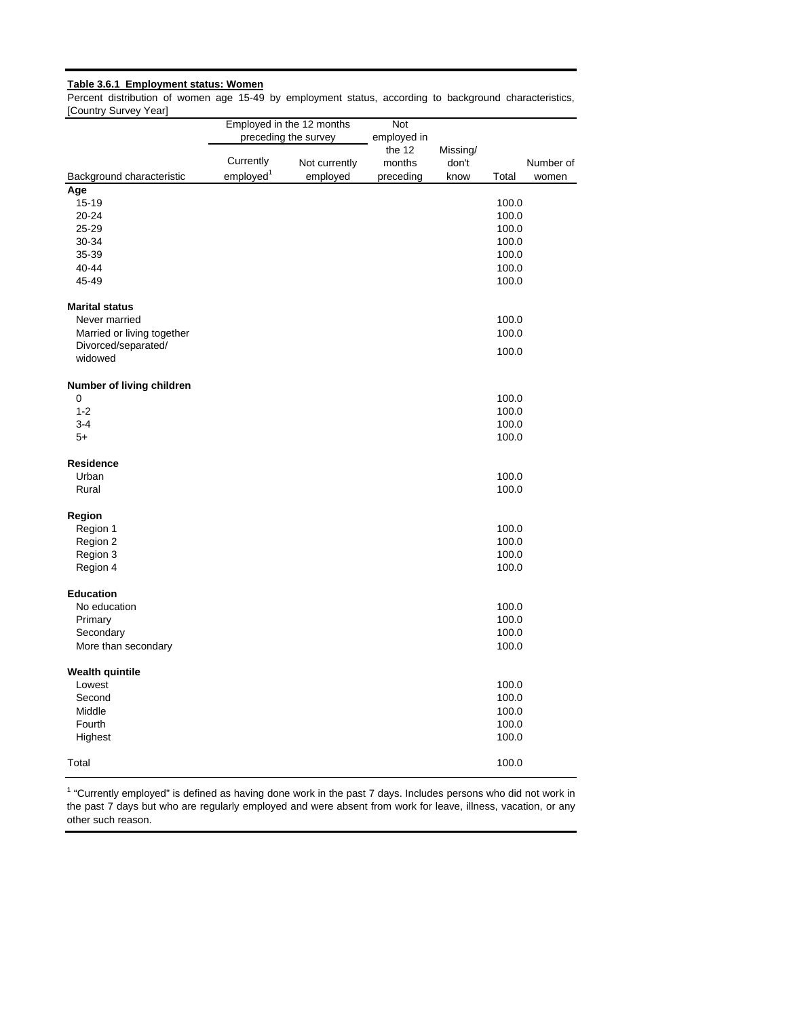### **Table 3.6.1 Employment status: Women**

Percent distribution of women age 15-49 by employment status, according to background characteristics, [Country Survey Year]

|                            |                       | Employed in the 12 months | Not                   |                   |       |           |
|----------------------------|-----------------------|---------------------------|-----------------------|-------------------|-------|-----------|
|                            |                       | preceding the survey      | employed in<br>the 12 |                   |       |           |
|                            | Currently             | Not currently             | months                | Missing/<br>don't |       | Number of |
| Background characteristic  | employed <sup>1</sup> | employed                  | preceding             | know              | Total | women     |
| Age                        |                       |                           |                       |                   |       |           |
| $15 - 19$                  |                       |                           |                       |                   | 100.0 |           |
| $20 - 24$                  |                       |                           |                       |                   | 100.0 |           |
| 25-29                      |                       |                           |                       |                   | 100.0 |           |
| 30-34                      |                       |                           |                       |                   | 100.0 |           |
| 35-39                      |                       |                           |                       |                   | 100.0 |           |
| 40-44                      |                       |                           |                       |                   | 100.0 |           |
| 45-49                      |                       |                           |                       |                   | 100.0 |           |
| <b>Marital status</b>      |                       |                           |                       |                   |       |           |
| Never married              |                       |                           |                       |                   | 100.0 |           |
| Married or living together |                       |                           |                       |                   | 100.0 |           |
| Divorced/separated/        |                       |                           |                       |                   | 100.0 |           |
| widowed                    |                       |                           |                       |                   |       |           |
| Number of living children  |                       |                           |                       |                   |       |           |
| 0                          |                       |                           |                       |                   | 100.0 |           |
| $1 - 2$                    |                       |                           |                       |                   | 100.0 |           |
| $3 - 4$                    |                       |                           |                       |                   | 100.0 |           |
| $5+$                       |                       |                           |                       |                   | 100.0 |           |
| <b>Residence</b>           |                       |                           |                       |                   |       |           |
| Urban                      |                       |                           |                       |                   | 100.0 |           |
| Rural                      |                       |                           |                       |                   | 100.0 |           |
| Region                     |                       |                           |                       |                   |       |           |
| Region 1                   |                       |                           |                       |                   | 100.0 |           |
| Region 2                   |                       |                           |                       |                   | 100.0 |           |
| Region 3                   |                       |                           |                       |                   | 100.0 |           |
| Region 4                   |                       |                           |                       |                   | 100.0 |           |
| <b>Education</b>           |                       |                           |                       |                   |       |           |
| No education               |                       |                           |                       |                   | 100.0 |           |
| Primary                    |                       |                           |                       |                   | 100.0 |           |
| Secondary                  |                       |                           |                       |                   | 100.0 |           |
| More than secondary        |                       |                           |                       |                   | 100.0 |           |
| <b>Wealth quintile</b>     |                       |                           |                       |                   |       |           |
| Lowest                     |                       |                           |                       |                   | 100.0 |           |
| Second                     |                       |                           |                       |                   | 100.0 |           |
| Middle                     |                       |                           |                       |                   | 100.0 |           |
| Fourth                     |                       |                           |                       |                   | 100.0 |           |
| Highest                    |                       |                           |                       |                   | 100.0 |           |
| Total                      |                       |                           |                       |                   | 100.0 |           |

 $<sup>1</sup>$  "Currently employed" is defined as having done work in the past 7 days. Includes persons who did not work in</sup> the past 7 days but who are regularly employed and were absent from work for leave, illness, vacation, or any other such reason.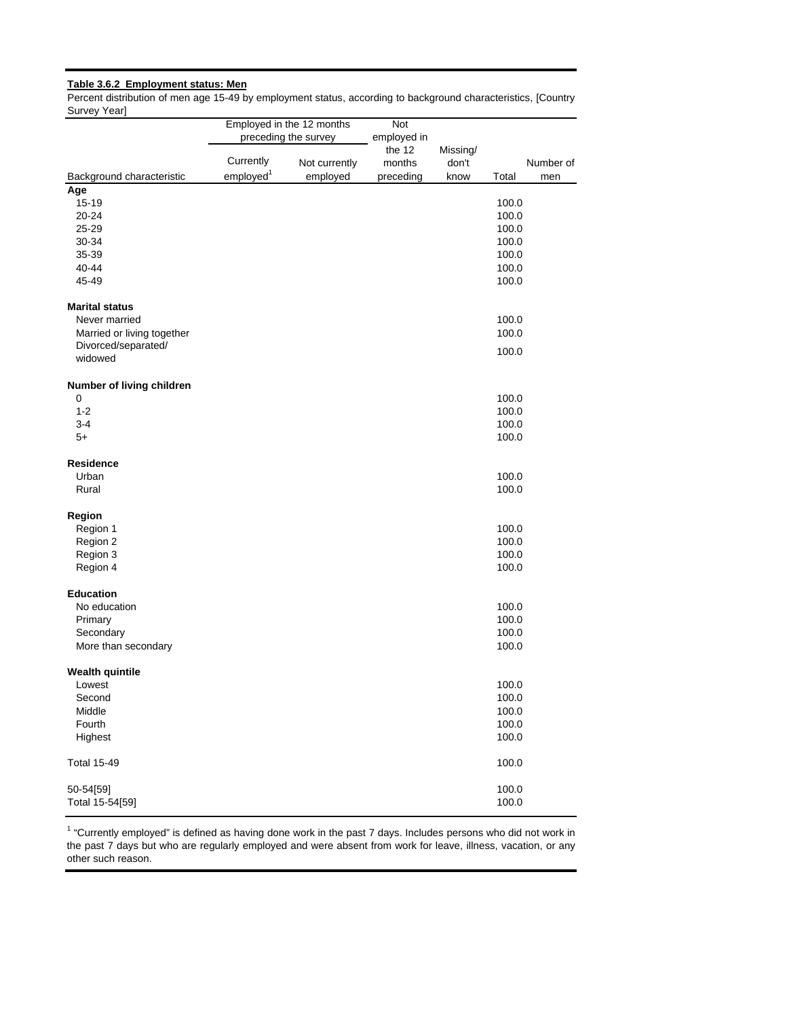# **Table 3.6.2 Employment status: Men**

Percent distribution of men age 15-49 by employment status, according to background characteristics, [Country Survey Year]

|                            |                       | Employed in the 12 months | Not         |          |       |           |
|----------------------------|-----------------------|---------------------------|-------------|----------|-------|-----------|
|                            |                       | preceding the survey      | employed in |          |       |           |
|                            |                       |                           | the 12      | Missing/ |       |           |
|                            | Currently             | Not currently             | months      | don't    |       | Number of |
| Background characteristic  | employed <sup>1</sup> | employed                  | preceding   | know     | Total | men       |
| Age                        |                       |                           |             |          |       |           |
| $15 - 19$                  |                       |                           |             |          | 100.0 |           |
| 20-24                      |                       |                           |             |          | 100.0 |           |
| 25-29                      |                       |                           |             |          | 100.0 |           |
| 30-34                      |                       |                           |             |          | 100.0 |           |
| 35-39                      |                       |                           |             |          | 100.0 |           |
| 40-44                      |                       |                           |             |          | 100.0 |           |
| 45-49                      |                       |                           |             |          | 100.0 |           |
| <b>Marital status</b>      |                       |                           |             |          |       |           |
| Never married              |                       |                           |             |          | 100.0 |           |
| Married or living together |                       |                           |             |          | 100.0 |           |
| Divorced/separated/        |                       |                           |             |          |       |           |
| widowed                    |                       |                           |             |          | 100.0 |           |
| Number of living children  |                       |                           |             |          |       |           |
| 0                          |                       |                           |             |          | 100.0 |           |
| $1 - 2$                    |                       |                           |             |          | 100.0 |           |
| $3 - 4$                    |                       |                           |             |          | 100.0 |           |
| $5+$                       |                       |                           |             |          | 100.0 |           |
| <b>Residence</b>           |                       |                           |             |          |       |           |
| Urban                      |                       |                           |             |          | 100.0 |           |
| Rural                      |                       |                           |             |          | 100.0 |           |
| Region                     |                       |                           |             |          |       |           |
| Region 1                   |                       |                           |             |          | 100.0 |           |
| Region 2                   |                       |                           |             |          | 100.0 |           |
| Region 3                   |                       |                           |             |          | 100.0 |           |
| Region 4                   |                       |                           |             |          | 100.0 |           |
| <b>Education</b>           |                       |                           |             |          |       |           |
| No education               |                       |                           |             |          | 100.0 |           |
| Primary                    |                       |                           |             |          | 100.0 |           |
| Secondary                  |                       |                           |             |          | 100.0 |           |
| More than secondary        |                       |                           |             |          | 100.0 |           |
| <b>Wealth quintile</b>     |                       |                           |             |          |       |           |
| Lowest                     |                       |                           |             |          | 100.0 |           |
| Second                     |                       |                           |             |          | 100.0 |           |
| Middle                     |                       |                           |             |          | 100.0 |           |
| Fourth                     |                       |                           |             |          | 100.0 |           |
| Highest                    |                       |                           |             |          | 100.0 |           |
| <b>Total 15-49</b>         |                       |                           |             |          | 100.0 |           |
| 50-54[59]                  |                       |                           |             |          | 100.0 |           |
| Total 15-54[59]            |                       |                           |             |          | 100.0 |           |

 $1$  "Currently employed" is defined as having done work in the past 7 days. Includes persons who did not work in the past 7 days but who are regularly employed and were absent from work for leave, illness, vacation, or any other such reason.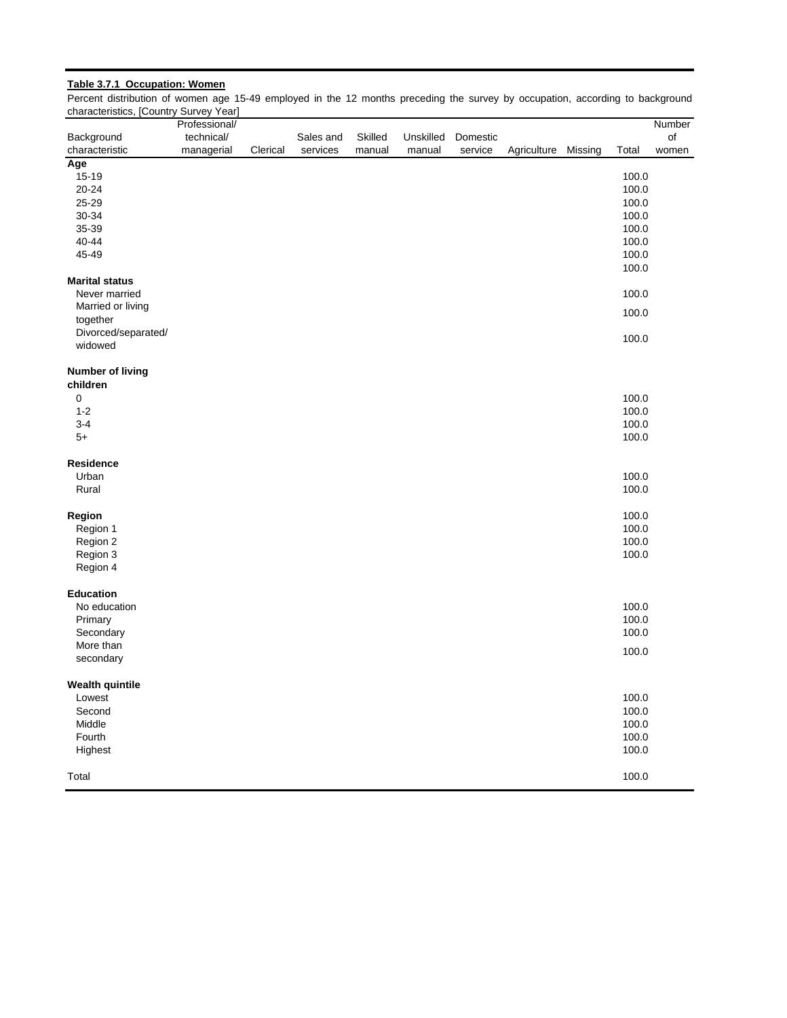# **Table 3.7.1 Occupation: Women**

Percent distribution of women age 15-49 employed in the 12 months preceding the survey by occupation, according to background characteristics, [Country Survey Year]

|                         | Professional/ |          |           |         |           |          |             |         |       | Number |
|-------------------------|---------------|----------|-----------|---------|-----------|----------|-------------|---------|-------|--------|
| Background              | technical/    |          | Sales and | Skilled | Unskilled | Domestic |             |         |       | of     |
| characteristic          | managerial    | Clerical | services  | manual  | manual    | service  | Agriculture | Missing | Total | women  |
| Age                     |               |          |           |         |           |          |             |         |       |        |
| $15 - 19$               |               |          |           |         |           |          |             |         | 100.0 |        |
| 20-24                   |               |          |           |         |           |          |             |         | 100.0 |        |
| 25-29                   |               |          |           |         |           |          |             |         | 100.0 |        |
| 30-34                   |               |          |           |         |           |          |             |         | 100.0 |        |
| 35-39                   |               |          |           |         |           |          |             |         | 100.0 |        |
| 40-44                   |               |          |           |         |           |          |             |         | 100.0 |        |
| 45-49                   |               |          |           |         |           |          |             |         | 100.0 |        |
|                         |               |          |           |         |           |          |             |         | 100.0 |        |
| <b>Marital status</b>   |               |          |           |         |           |          |             |         |       |        |
| Never married           |               |          |           |         |           |          |             |         | 100.0 |        |
| Married or living       |               |          |           |         |           |          |             |         | 100.0 |        |
| together                |               |          |           |         |           |          |             |         |       |        |
| Divorced/separated/     |               |          |           |         |           |          |             |         |       |        |
| widowed                 |               |          |           |         |           |          |             |         | 100.0 |        |
| <b>Number of living</b> |               |          |           |         |           |          |             |         |       |        |
| children                |               |          |           |         |           |          |             |         |       |        |
| $\mathbf 0$             |               |          |           |         |           |          |             |         | 100.0 |        |
| $1 - 2$                 |               |          |           |         |           |          |             |         | 100.0 |        |
| $3 - 4$                 |               |          |           |         |           |          |             |         | 100.0 |        |
| $5+$                    |               |          |           |         |           |          |             |         | 100.0 |        |
| <b>Residence</b>        |               |          |           |         |           |          |             |         |       |        |
| Urban                   |               |          |           |         |           |          |             |         | 100.0 |        |
| Rural                   |               |          |           |         |           |          |             |         | 100.0 |        |
| Region                  |               |          |           |         |           |          |             |         | 100.0 |        |
| Region 1                |               |          |           |         |           |          |             |         | 100.0 |        |
| Region 2                |               |          |           |         |           |          |             |         | 100.0 |        |
| Region 3                |               |          |           |         |           |          |             |         | 100.0 |        |
| Region 4                |               |          |           |         |           |          |             |         |       |        |
| <b>Education</b>        |               |          |           |         |           |          |             |         |       |        |
| No education            |               |          |           |         |           |          |             |         | 100.0 |        |
| Primary                 |               |          |           |         |           |          |             |         | 100.0 |        |
| Secondary               |               |          |           |         |           |          |             |         | 100.0 |        |
| More than               |               |          |           |         |           |          |             |         |       |        |
| secondary               |               |          |           |         |           |          |             |         | 100.0 |        |
| <b>Wealth quintile</b>  |               |          |           |         |           |          |             |         |       |        |
| Lowest                  |               |          |           |         |           |          |             |         | 100.0 |        |
| Second                  |               |          |           |         |           |          |             |         | 100.0 |        |
| Middle                  |               |          |           |         |           |          |             |         | 100.0 |        |
| Fourth                  |               |          |           |         |           |          |             |         | 100.0 |        |
| Highest                 |               |          |           |         |           |          |             |         | 100.0 |        |
| Total                   |               |          |           |         |           |          |             |         | 100.0 |        |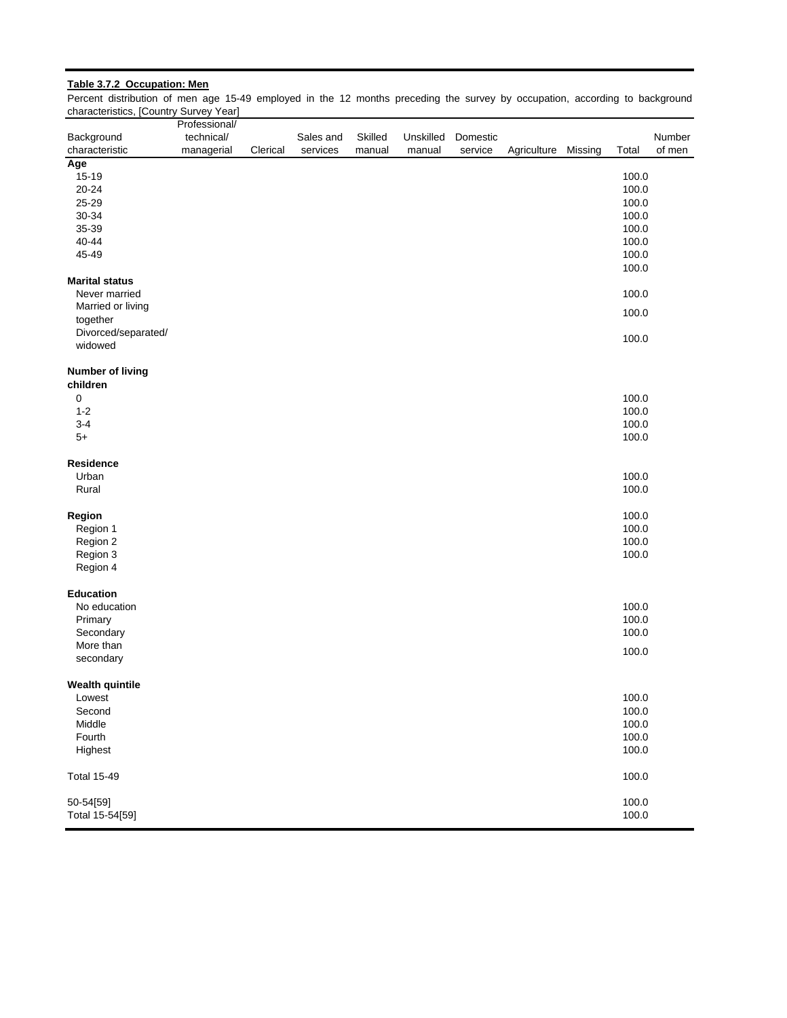# **Table 3.7.2 Occupation: Men**

Percent distribution of men age 15-49 employed in the 12 months preceding the survey by occupation, according to background characteristics, [Country Survey Year]

|                         | Professional/ |          |           |         |           |          |                     |       |        |
|-------------------------|---------------|----------|-----------|---------|-----------|----------|---------------------|-------|--------|
| Background              | technical/    |          | Sales and | Skilled | Unskilled | Domestic |                     |       | Number |
| characteristic          | managerial    | Clerical | services  | manual  | manual    | service  | Agriculture Missing | Total | of men |
| Age                     |               |          |           |         |           |          |                     |       |        |
| 15-19                   |               |          |           |         |           |          |                     | 100.0 |        |
|                         |               |          |           |         |           |          |                     |       |        |
| $20 - 24$               |               |          |           |         |           |          |                     | 100.0 |        |
| 25-29                   |               |          |           |         |           |          |                     | 100.0 |        |
| 30-34                   |               |          |           |         |           |          |                     | 100.0 |        |
| 35-39                   |               |          |           |         |           |          |                     | 100.0 |        |
| 40-44                   |               |          |           |         |           |          |                     | 100.0 |        |
| 45-49                   |               |          |           |         |           |          |                     | 100.0 |        |
|                         |               |          |           |         |           |          |                     | 100.0 |        |
| <b>Marital status</b>   |               |          |           |         |           |          |                     |       |        |
|                         |               |          |           |         |           |          |                     |       |        |
| Never married           |               |          |           |         |           |          |                     | 100.0 |        |
| Married or living       |               |          |           |         |           |          |                     | 100.0 |        |
| together                |               |          |           |         |           |          |                     |       |        |
| Divorced/separated/     |               |          |           |         |           |          |                     | 100.0 |        |
| widowed                 |               |          |           |         |           |          |                     |       |        |
|                         |               |          |           |         |           |          |                     |       |        |
| <b>Number of living</b> |               |          |           |         |           |          |                     |       |        |
| children                |               |          |           |         |           |          |                     |       |        |
| 0                       |               |          |           |         |           |          |                     | 100.0 |        |
|                         |               |          |           |         |           |          |                     |       |        |
| $1 - 2$                 |               |          |           |         |           |          |                     | 100.0 |        |
| $3 - 4$                 |               |          |           |         |           |          |                     | 100.0 |        |
| $5+$                    |               |          |           |         |           |          |                     | 100.0 |        |
| Residence               |               |          |           |         |           |          |                     |       |        |
| Urban                   |               |          |           |         |           |          |                     | 100.0 |        |
| Rural                   |               |          |           |         |           |          |                     | 100.0 |        |
|                         |               |          |           |         |           |          |                     |       |        |
| Region                  |               |          |           |         |           |          |                     | 100.0 |        |
| Region 1                |               |          |           |         |           |          |                     | 100.0 |        |
| Region 2                |               |          |           |         |           |          |                     | 100.0 |        |
| Region 3                |               |          |           |         |           |          |                     | 100.0 |        |
|                         |               |          |           |         |           |          |                     |       |        |
| Region 4                |               |          |           |         |           |          |                     |       |        |
| <b>Education</b>        |               |          |           |         |           |          |                     |       |        |
| No education            |               |          |           |         |           |          |                     | 100.0 |        |
| Primary                 |               |          |           |         |           |          |                     | 100.0 |        |
| Secondary               |               |          |           |         |           |          |                     | 100.0 |        |
| More than               |               |          |           |         |           |          |                     |       |        |
|                         |               |          |           |         |           |          |                     | 100.0 |        |
| secondary               |               |          |           |         |           |          |                     |       |        |
| <b>Wealth quintile</b>  |               |          |           |         |           |          |                     |       |        |
| Lowest                  |               |          |           |         |           |          |                     | 100.0 |        |
| Second                  |               |          |           |         |           |          |                     | 100.0 |        |
|                         |               |          |           |         |           |          |                     |       |        |
| Middle                  |               |          |           |         |           |          |                     | 100.0 |        |
| Fourth                  |               |          |           |         |           |          |                     | 100.0 |        |
| Highest                 |               |          |           |         |           |          |                     | 100.0 |        |
| <b>Total 15-49</b>      |               |          |           |         |           |          |                     | 100.0 |        |
| 50-54[59]               |               |          |           |         |           |          |                     | 100.0 |        |
| Total 15-54[59]         |               |          |           |         |           |          |                     | 100.0 |        |
|                         |               |          |           |         |           |          |                     |       |        |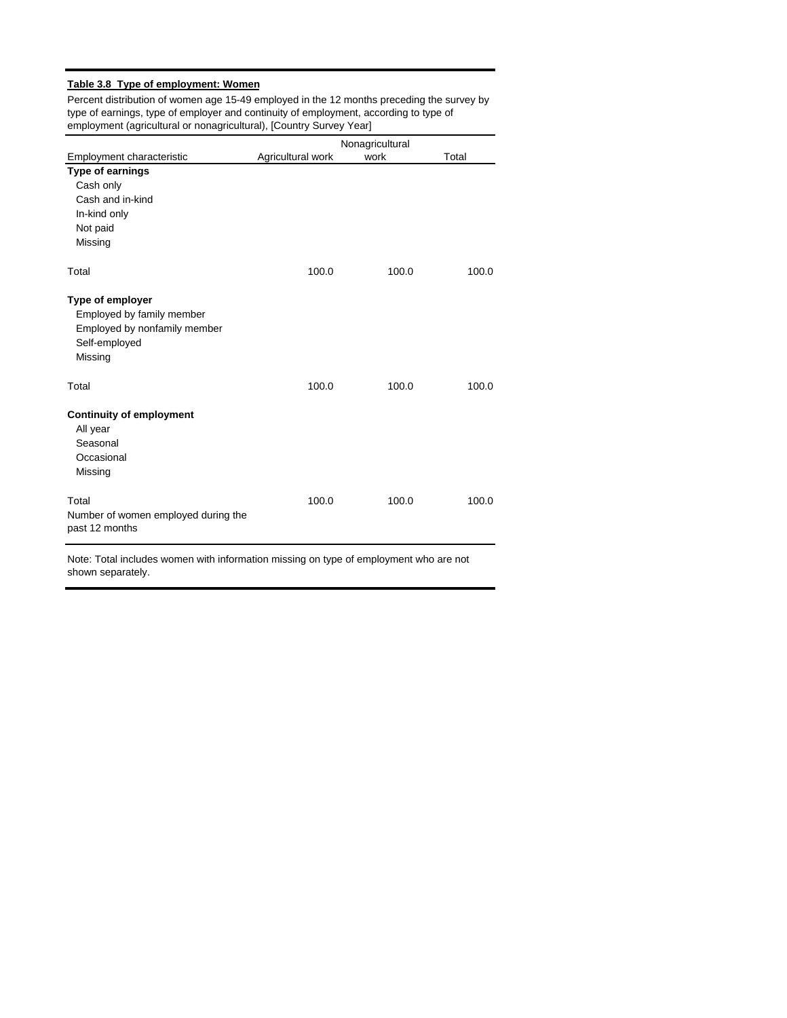# **Table 3.8 Type of employment: Women**

Percent distribution of women age 15-49 employed in the 12 months preceding the survey by type of earnings, type of employer and continuity of employment, according to type of employment (agricultural or nonagricultural), [Country Survey Year]

|                                                                                                           |                   | Nonagricultural |       |
|-----------------------------------------------------------------------------------------------------------|-------------------|-----------------|-------|
| Employment characteristic                                                                                 | Agricultural work | work            | Total |
| Type of earnings<br>Cash only<br>Cash and in-kind<br>In-kind only<br>Not paid<br>Missing                  |                   |                 |       |
| Total                                                                                                     | 100.0             | 100.0           | 100.0 |
| Type of employer<br>Employed by family member<br>Employed by nonfamily member<br>Self-employed<br>Missing |                   |                 |       |
| Total                                                                                                     | 100.0             | 100.0           | 100.0 |
| <b>Continuity of employment</b><br>All year<br>Seasonal<br>Occasional<br>Missing                          |                   |                 |       |
| Total<br>Number of women employed during the<br>past 12 months                                            | 100.0             | 100.0           | 100.0 |

Note: Total includes women with information missing on type of employment who are not shown separately.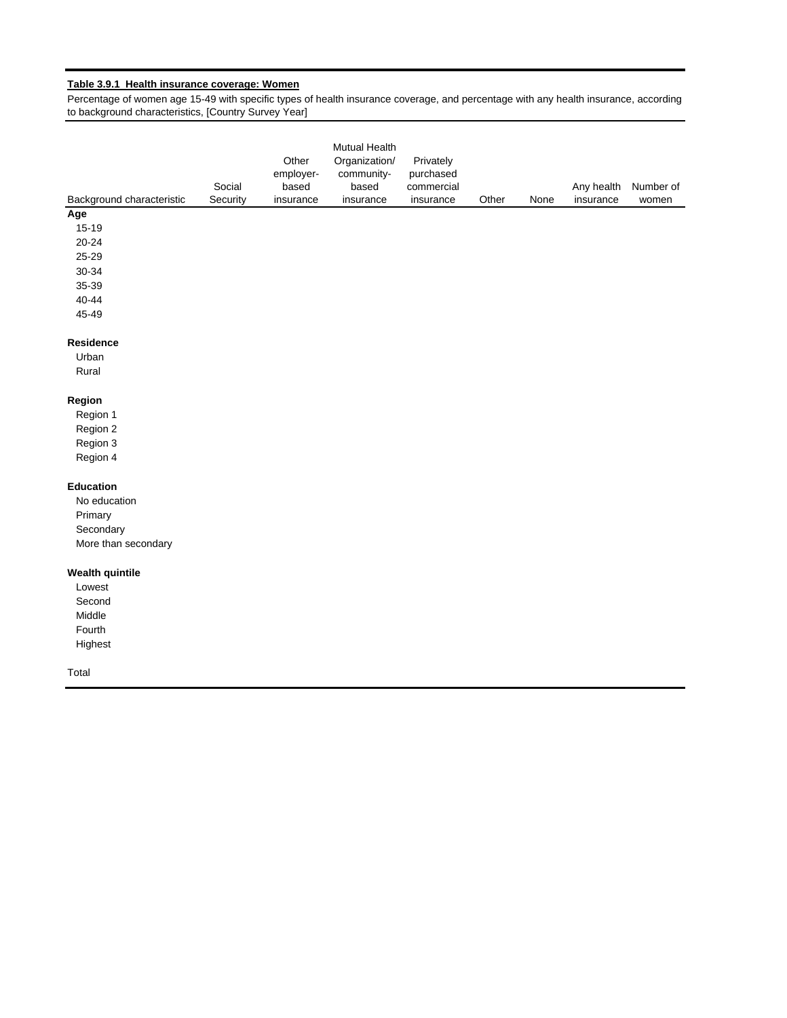# **Table 3.9.1 Health insurance coverage: Women**

Percentage of women age 15-49 with specific types of health insurance coverage, and percentage with any health insurance, according to background characteristics, [Country Survey Year]

| Background characteristic | Social<br>Security | Other<br>employer-<br>based<br>insurance | Mutual Health<br>Organization/<br>community-<br>based<br>insurance | Privately<br>purchased<br>commercial<br>insurance | Other | None | Any health<br>insurance | Number of<br>women |
|---------------------------|--------------------|------------------------------------------|--------------------------------------------------------------------|---------------------------------------------------|-------|------|-------------------------|--------------------|
| Age                       |                    |                                          |                                                                    |                                                   |       |      |                         |                    |
| $15 - 19$                 |                    |                                          |                                                                    |                                                   |       |      |                         |                    |
| $20 - 24$                 |                    |                                          |                                                                    |                                                   |       |      |                         |                    |
| 25-29                     |                    |                                          |                                                                    |                                                   |       |      |                         |                    |
| 30-34                     |                    |                                          |                                                                    |                                                   |       |      |                         |                    |
| 35-39                     |                    |                                          |                                                                    |                                                   |       |      |                         |                    |
| $40 - 44$                 |                    |                                          |                                                                    |                                                   |       |      |                         |                    |
| 45-49                     |                    |                                          |                                                                    |                                                   |       |      |                         |                    |
| Residence                 |                    |                                          |                                                                    |                                                   |       |      |                         |                    |
| Urban                     |                    |                                          |                                                                    |                                                   |       |      |                         |                    |
| Rural                     |                    |                                          |                                                                    |                                                   |       |      |                         |                    |
| Region                    |                    |                                          |                                                                    |                                                   |       |      |                         |                    |
| Region 1                  |                    |                                          |                                                                    |                                                   |       |      |                         |                    |
| Region 2                  |                    |                                          |                                                                    |                                                   |       |      |                         |                    |
| Region 3                  |                    |                                          |                                                                    |                                                   |       |      |                         |                    |
| Region 4                  |                    |                                          |                                                                    |                                                   |       |      |                         |                    |
| Education                 |                    |                                          |                                                                    |                                                   |       |      |                         |                    |
| No education              |                    |                                          |                                                                    |                                                   |       |      |                         |                    |
| Primary                   |                    |                                          |                                                                    |                                                   |       |      |                         |                    |
| Secondary                 |                    |                                          |                                                                    |                                                   |       |      |                         |                    |
| More than secondary       |                    |                                          |                                                                    |                                                   |       |      |                         |                    |
| <b>Wealth quintile</b>    |                    |                                          |                                                                    |                                                   |       |      |                         |                    |
| Lowest                    |                    |                                          |                                                                    |                                                   |       |      |                         |                    |
| Second                    |                    |                                          |                                                                    |                                                   |       |      |                         |                    |
| Middle                    |                    |                                          |                                                                    |                                                   |       |      |                         |                    |
| Fourth                    |                    |                                          |                                                                    |                                                   |       |      |                         |                    |
| Highest                   |                    |                                          |                                                                    |                                                   |       |      |                         |                    |
| Total                     |                    |                                          |                                                                    |                                                   |       |      |                         |                    |
|                           |                    |                                          |                                                                    |                                                   |       |      |                         |                    |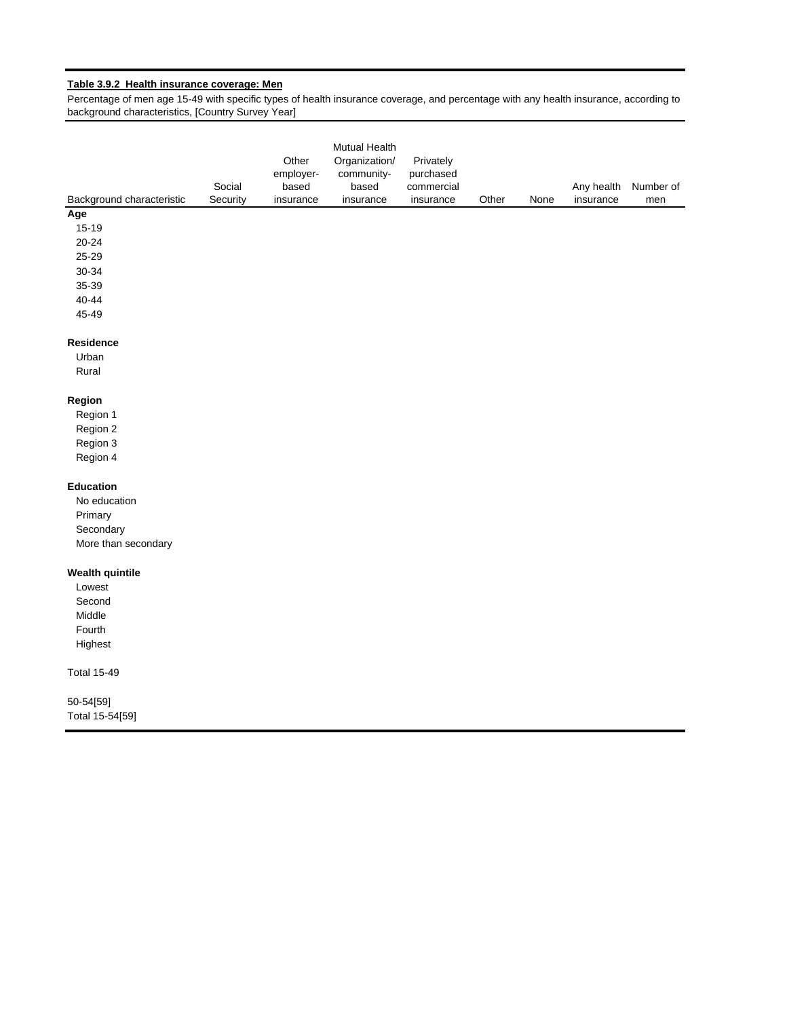# **Table 3.9.2 Health insurance coverage: Men**

Percentage of men age 15-49 with specific types of health insurance coverage, and percentage with any health insurance, according to background characteristics, [Country Survey Year]

| Background characteristic | Social<br>Security | Other<br>employer-<br>based<br>insurance | Mutual Health<br>Organization/<br>community-<br>based<br>insurance | Privately<br>purchased<br>commercial<br>insurance | Other | None | Any health<br>insurance | Number of |
|---------------------------|--------------------|------------------------------------------|--------------------------------------------------------------------|---------------------------------------------------|-------|------|-------------------------|-----------|
| Age                       |                    |                                          |                                                                    |                                                   |       |      |                         | men       |
| 15-19                     |                    |                                          |                                                                    |                                                   |       |      |                         |           |
| 20-24                     |                    |                                          |                                                                    |                                                   |       |      |                         |           |
| 25-29                     |                    |                                          |                                                                    |                                                   |       |      |                         |           |
| 30-34                     |                    |                                          |                                                                    |                                                   |       |      |                         |           |
| 35-39                     |                    |                                          |                                                                    |                                                   |       |      |                         |           |
| $40 - 44$                 |                    |                                          |                                                                    |                                                   |       |      |                         |           |
| 45-49                     |                    |                                          |                                                                    |                                                   |       |      |                         |           |
| Residence                 |                    |                                          |                                                                    |                                                   |       |      |                         |           |
| Urban                     |                    |                                          |                                                                    |                                                   |       |      |                         |           |
| Rural                     |                    |                                          |                                                                    |                                                   |       |      |                         |           |
| Region                    |                    |                                          |                                                                    |                                                   |       |      |                         |           |
| Region 1                  |                    |                                          |                                                                    |                                                   |       |      |                         |           |
| Region 2                  |                    |                                          |                                                                    |                                                   |       |      |                         |           |
| Region 3                  |                    |                                          |                                                                    |                                                   |       |      |                         |           |
| Region 4                  |                    |                                          |                                                                    |                                                   |       |      |                         |           |
| Education                 |                    |                                          |                                                                    |                                                   |       |      |                         |           |
| No education              |                    |                                          |                                                                    |                                                   |       |      |                         |           |
| Primary                   |                    |                                          |                                                                    |                                                   |       |      |                         |           |
| Secondary                 |                    |                                          |                                                                    |                                                   |       |      |                         |           |
| More than secondary       |                    |                                          |                                                                    |                                                   |       |      |                         |           |
| <b>Wealth quintile</b>    |                    |                                          |                                                                    |                                                   |       |      |                         |           |
| Lowest                    |                    |                                          |                                                                    |                                                   |       |      |                         |           |
| Second                    |                    |                                          |                                                                    |                                                   |       |      |                         |           |
| Middle                    |                    |                                          |                                                                    |                                                   |       |      |                         |           |
| Fourth                    |                    |                                          |                                                                    |                                                   |       |      |                         |           |
| Highest                   |                    |                                          |                                                                    |                                                   |       |      |                         |           |
| <b>Total 15-49</b>        |                    |                                          |                                                                    |                                                   |       |      |                         |           |
| 50-54[59]                 |                    |                                          |                                                                    |                                                   |       |      |                         |           |
| Total 15-54[59]           |                    |                                          |                                                                    |                                                   |       |      |                         |           |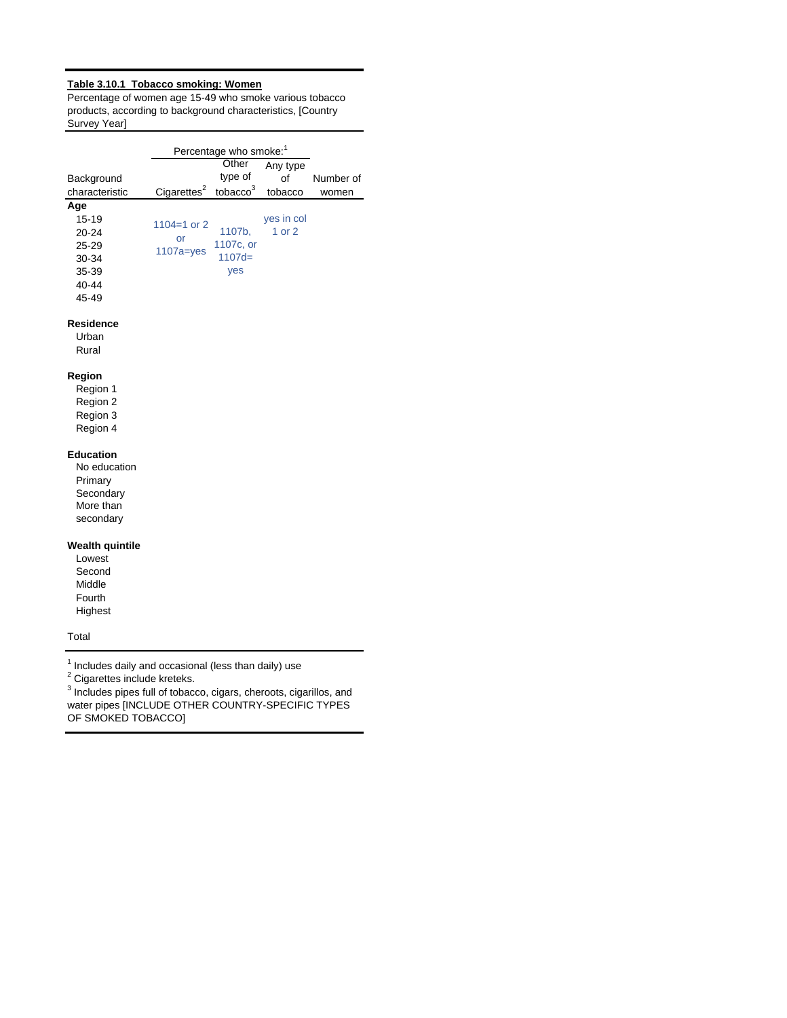# **Table 3.10.1 Tobacco smoking: Women**

Percentage of women age 15-49 who smoke various tobacco products, according to background characteristics, [Country Survey Year]

|                  |                                     | Percentage who smoke: <sup>1</sup> |            |           |
|------------------|-------------------------------------|------------------------------------|------------|-----------|
|                  |                                     | Other                              | Any type   |           |
| Background       |                                     | type of                            | οf         | Number of |
| characteristic   | Cigarettes $3$ tobacco <sup>3</sup> |                                    | tobacco    | women     |
| Age              |                                     |                                    |            |           |
| 15-19            | $1104 = 1$ or 2                     |                                    | yes in col |           |
| $20 - 24$        | or                                  | 1107b,                             | 1 or 2     |           |
| $25 - 29$        | $1107a = yes$                       | 1107c, or                          |            |           |
| 30-34            |                                     | $1107d=$                           |            |           |
| 35-39            |                                     | yes                                |            |           |
| 40-44            |                                     |                                    |            |           |
| 45-49            |                                     |                                    |            |           |
| <b>Residence</b> |                                     |                                    |            |           |
| Urban            |                                     |                                    |            |           |
| Rural            |                                     |                                    |            |           |

#### **Region**

Region 1 Region 2 Region 3 Region 4

#### **Education**

No education Primary **Secondary** More than secondary

#### **Wealth quintile**

Lowest Second Middle Fourth Highest

Total

 $<sup>1</sup>$  Includes daily and occasional (less than daily) use</sup>

 $2$  Cigarettes include kreteks.

 $3$  Includes pipes full of tobacco, cigars, cheroots, cigarillos, and water pipes [INCLUDE OTHER COUNTRY-SPECIFIC TYPES OF SMOKED TOBACCO]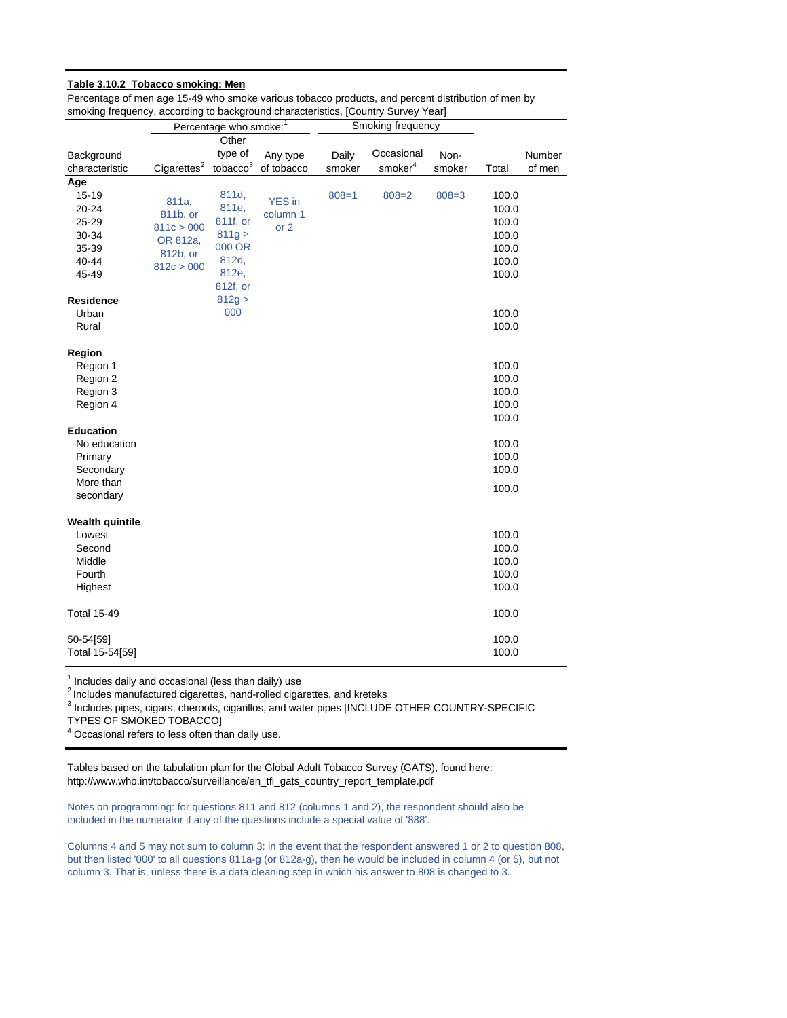#### **Table 3.10.2 Tobacco smoking: Men**

Percentage of men age 15-49 who smoke various tobacco products, and percent distribution of men by smoking frequency, according to background characteristics, [Country Survey Year]

|                        |                         | Percentage who smoke: <sup>1</sup> |               |           | Smoking frequency   |           |       |        |
|------------------------|-------------------------|------------------------------------|---------------|-----------|---------------------|-----------|-------|--------|
|                        |                         | Other                              |               |           |                     |           |       |        |
| Background             |                         | type of                            | Any type      | Daily     | Occasional          | Non-      |       | Number |
| characteristic         | Cigareftes <sup>2</sup> | tobacco <sup>3</sup>               | of tobacco    | smoker    | smoker <sup>4</sup> | smoker    | Total | of men |
| Age                    |                         |                                    |               |           |                     |           |       |        |
| 15-19                  | 811a,                   | 811d,                              | <b>YES</b> in | $808 = 1$ | $808 = 2$           | $808 = 3$ | 100.0 |        |
| 20-24                  | 811b, or                | 811e,                              | column 1      |           |                     |           | 100.0 |        |
| 25-29                  | 811c > 000              | 811f, or                           | or 2          |           |                     |           | 100.0 |        |
| 30-34                  | OR 812a,                | 811g >                             |               |           |                     |           | 100.0 |        |
| 35-39                  | 812b, or                | 000 OR                             |               |           |                     |           | 100.0 |        |
| 40-44                  | 812c > 000              | 812d,                              |               |           |                     |           | 100.0 |        |
| 45-49                  |                         | 812e,                              |               |           |                     |           | 100.0 |        |
|                        |                         | 812f, or                           |               |           |                     |           |       |        |
| Residence              |                         | 812g >                             |               |           |                     |           |       |        |
| Urban                  |                         | 000                                |               |           |                     |           | 100.0 |        |
| Rural                  |                         |                                    |               |           |                     |           | 100.0 |        |
|                        |                         |                                    |               |           |                     |           |       |        |
| Region                 |                         |                                    |               |           |                     |           | 100.0 |        |
| Region 1               |                         |                                    |               |           |                     |           | 100.0 |        |
| Region 2               |                         |                                    |               |           |                     |           | 100.0 |        |
| Region 3<br>Region 4   |                         |                                    |               |           |                     |           | 100.0 |        |
|                        |                         |                                    |               |           |                     |           | 100.0 |        |
| <b>Education</b>       |                         |                                    |               |           |                     |           |       |        |
| No education           |                         |                                    |               |           |                     |           | 100.0 |        |
| Primary                |                         |                                    |               |           |                     |           | 100.0 |        |
| Secondary              |                         |                                    |               |           |                     |           | 100.0 |        |
| More than              |                         |                                    |               |           |                     |           |       |        |
| secondary              |                         |                                    |               |           |                     |           | 100.0 |        |
|                        |                         |                                    |               |           |                     |           |       |        |
| <b>Wealth quintile</b> |                         |                                    |               |           |                     |           |       |        |
| Lowest                 |                         |                                    |               |           |                     |           | 100.0 |        |
| Second                 |                         |                                    |               |           |                     |           | 100.0 |        |
| Middle                 |                         |                                    |               |           |                     |           | 100.0 |        |
| Fourth                 |                         |                                    |               |           |                     |           | 100.0 |        |
| Highest                |                         |                                    |               |           |                     |           | 100.0 |        |
| <b>Total 15-49</b>     |                         |                                    |               |           |                     |           | 100.0 |        |
| 50-54[59]              |                         |                                    |               |           |                     |           | 100.0 |        |
| Total 15-54[59]        |                         |                                    |               |           |                     |           | 100.0 |        |
|                        |                         |                                    |               |           |                     |           |       |        |

 $1$  Includes daily and occasional (less than daily) use

2 Includes manufactured cigarettes, hand-rolled cigarettes, and kreteks

<sup>3</sup> Includes pipes, cigars, cheroots, cigarillos, and water pipes [INCLUDE OTHER COUNTRY-SPECIFIC TYPES OF SMOKED TOBACCO]

 $4$  Occasional refers to less often than daily use.

Tables based on the tabulation plan for the Global Adult Tobacco Survey (GATS), found here: http://www.who.int/tobacco/surveillance/en\_tfi\_gats\_country\_report\_template.pdf

Notes on programming: for questions 811 and 812 (columns 1 and 2), the respondent should also be included in the numerator if any of the questions include a special value of '888'.

Columns 4 and 5 may not sum to column 3: in the event that the respondent answered 1 or 2 to question 808, but then listed '000' to all questions 811a-g (or 812a-g), then he would be included in column 4 (or 5), but not column 3. That is, unless there is a data cleaning step in which his answer to 808 is changed to 3.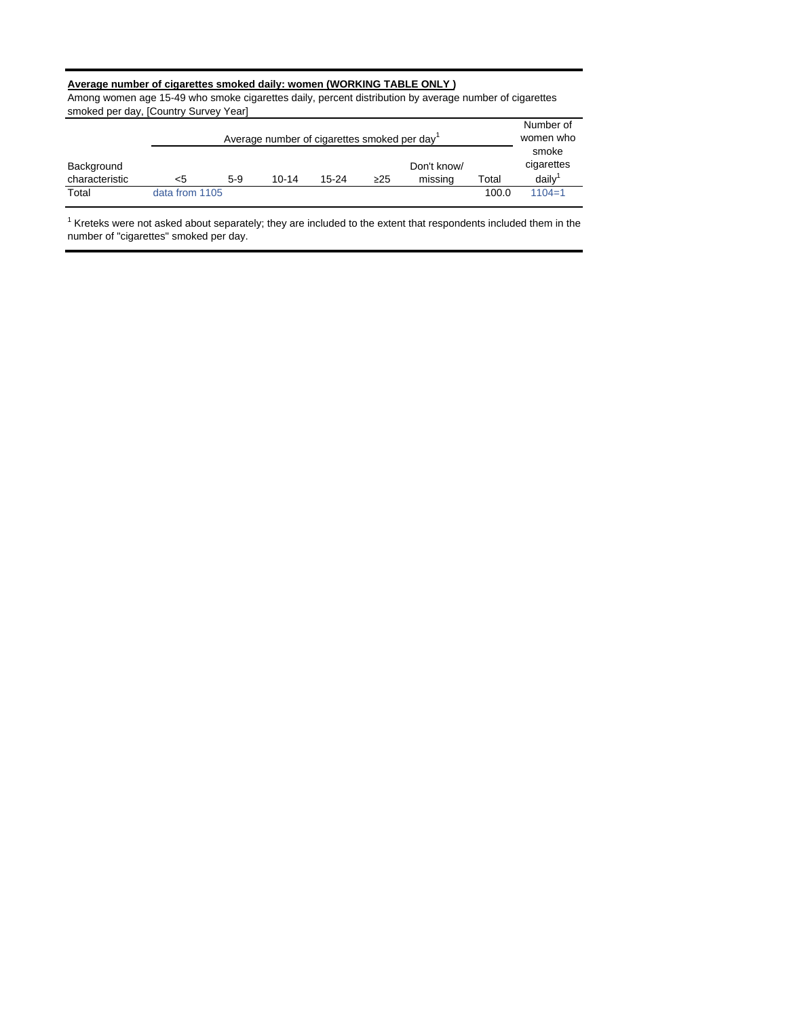## **Average number of cigarettes smoked daily: women (WORKING TABLE ONLY )**

Among women age 15-49 who smoke cigarettes daily, percent distribution by average number of cigarettes smoked per day, [Country Survey Year]

|                              |                |       | Average number of cigarettes smoked per day |           |           |                        |       | Number of<br>women who       |
|------------------------------|----------------|-------|---------------------------------------------|-----------|-----------|------------------------|-------|------------------------------|
| Background<br>characteristic | <5             | $5-9$ | 10-14                                       | $15 - 24$ | $\geq$ 25 | Don't know/<br>missing | Total | smoke<br>cigarettes<br>daily |
| Total                        | data from 1105 |       |                                             |           |           |                        | 100.0 | $1104 = 1$                   |

 $1$  Kreteks were not asked about separately; they are included to the extent that respondents included them in the number of "cigarettes" smoked per day.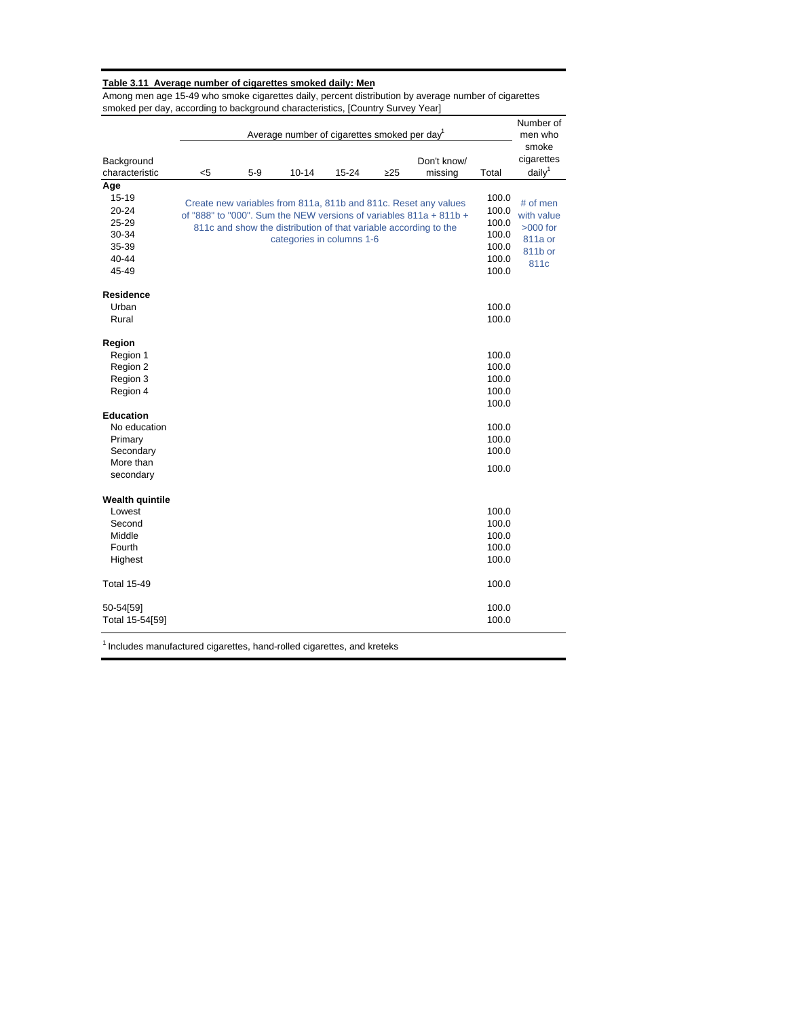#### **Table 3.11 Average number of cigarettes smoked daily: Men**

Among men age 15-49 who smoke cigarettes daily, percent distribution by average number of cigarettes smoked per day, according to background characteristics, [Country Survey Year]

|                                                                                    |     |       | Average number of cigarettes smoked per day <sup>1</sup>                                      |           |           |                                                                                                                                       |                                                             | Number of<br>men who                                               |
|------------------------------------------------------------------------------------|-----|-------|-----------------------------------------------------------------------------------------------|-----------|-----------|---------------------------------------------------------------------------------------------------------------------------------------|-------------------------------------------------------------|--------------------------------------------------------------------|
| Background<br>characteristic                                                       | $5$ | $5-9$ | $10 - 14$                                                                                     | $15 - 24$ | $\geq$ 25 | Don't know/<br>missing                                                                                                                | Total                                                       | smoke<br>cigarettes<br>daily <sup>1</sup>                          |
| Age<br>15-19<br>$20 - 24$<br>25-29<br>30-34<br>35-39<br>$40 - 44$<br>45-49         |     |       | 811c and show the distribution of that variable according to the<br>categories in columns 1-6 |           |           | Create new variables from 811a, 811b and 811c. Reset any values<br>of "888" to "000". Sum the NEW versions of variables 811a + 811b + | 100.0<br>100.0<br>100.0<br>100.0<br>100.0<br>100.0<br>100.0 | # of men<br>with value<br>$>000$ for<br>811a or<br>811b or<br>811c |
| <b>Residence</b><br>Urban<br>Rural                                                 |     |       |                                                                                               |           |           |                                                                                                                                       | 100.0<br>100.0                                              |                                                                    |
| Region<br>Region 1<br>Region 2<br>Region 3<br>Region 4                             |     |       |                                                                                               |           |           |                                                                                                                                       | 100.0<br>100.0<br>100.0<br>100.0                            |                                                                    |
| <b>Education</b><br>No education<br>Primary<br>Secondary<br>More than<br>secondary |     |       |                                                                                               |           |           |                                                                                                                                       | 100.0<br>100.0<br>100.0<br>100.0<br>100.0                   |                                                                    |
| <b>Wealth quintile</b><br>Lowest<br>Second<br>Middle<br>Fourth<br>Highest          |     |       |                                                                                               |           |           |                                                                                                                                       | 100.0<br>100.0<br>100.0<br>100.0<br>100.0                   |                                                                    |
| <b>Total 15-49</b>                                                                 |     |       |                                                                                               |           |           |                                                                                                                                       | 100.0                                                       |                                                                    |
| 50-54[59]<br>Total 15-54[59]                                                       |     |       |                                                                                               |           |           |                                                                                                                                       | 100.0<br>100.0                                              |                                                                    |

 $<sup>1</sup>$  Includes manufactured cigarettes, hand-rolled cigarettes, and kreteks</sup>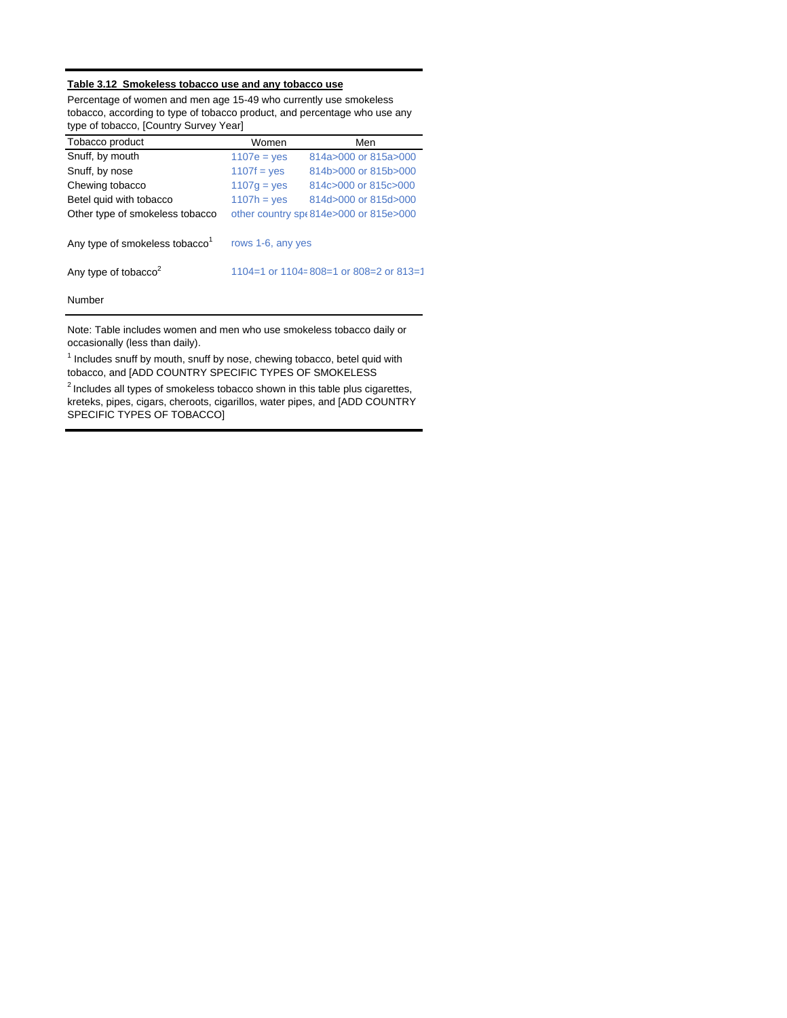## **Table 3.12 Smokeless tobacco use and any tobacco use**

Percentage of women and men age 15-49 who currently use smokeless tobacco, according to type of tobacco product, and percentage who use any type of tobacco, [Country Survey Year]

| Tobacco product                            | Women             | Men                                     |
|--------------------------------------------|-------------------|-----------------------------------------|
| Snuff, by mouth                            | $1107e = ves$     | 814a>000 or 815a>000                    |
| Snuff, by nose                             | $1107f = yes$     | 814b>000 or 815b>000                    |
| Chewing tobacco                            | $1107g = yes$     | 814c>000 or 815c>000                    |
| Betel quid with tobacco                    | $1107h = ves$     | 814d>000 or 815d>000                    |
| Other type of smokeless tobacco            |                   | other country sp(814e>000 or 815e>000   |
| Any type of smokeless tobacco <sup>1</sup> | rows 1-6, any yes |                                         |
| Any type of tobacco <sup>2</sup>           |                   | 1104=1 or 1104= 808=1 or 808=2 or 813=1 |
| Number                                     |                   |                                         |

Note: Table includes women and men who use smokeless tobacco daily or occasionally (less than daily).

<sup>1</sup> Includes snuff by mouth, snuff by nose, chewing tobacco, betel quid with tobacco, and [ADD COUNTRY SPECIFIC TYPES OF SMOKELESS

 $2$  Includes all types of smokeless tobacco shown in this table plus cigarettes, kreteks, pipes, cigars, cheroots, cigarillos, water pipes, and [ADD COUNTRY SPECIFIC TYPES OF TOBACCO]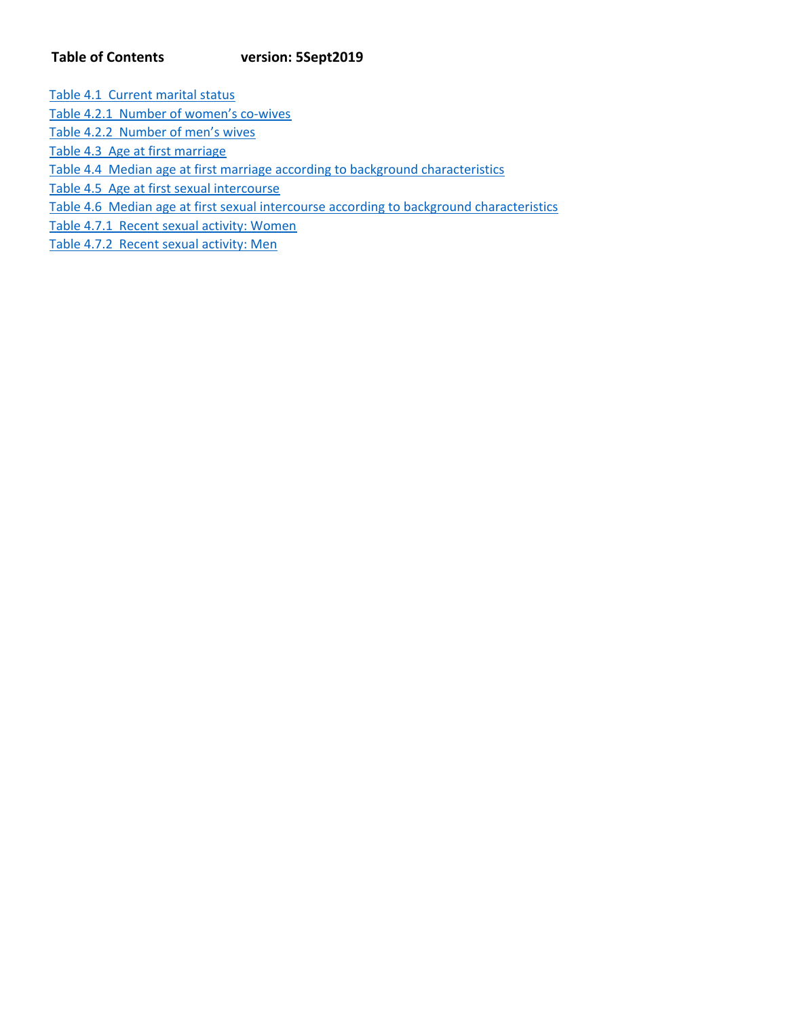# **Table of Contents version: 5Sept2019**

Table 4.1 Current marital status

Table 4.2.1 Number of women's co-wives

Table 4.2.2 Number of men's wives

Table 4.3 Age at first marriage

Table 4.4 Median age at first marriage according to background characteristics

Table 4.5 Age at first sexual intercourse

Table 4.6 Median age at first sexual intercourse according to background characteristics

Table 4.7.1 Recent sexual activity: Women

Table 4.7.2 Recent sexual activity: Men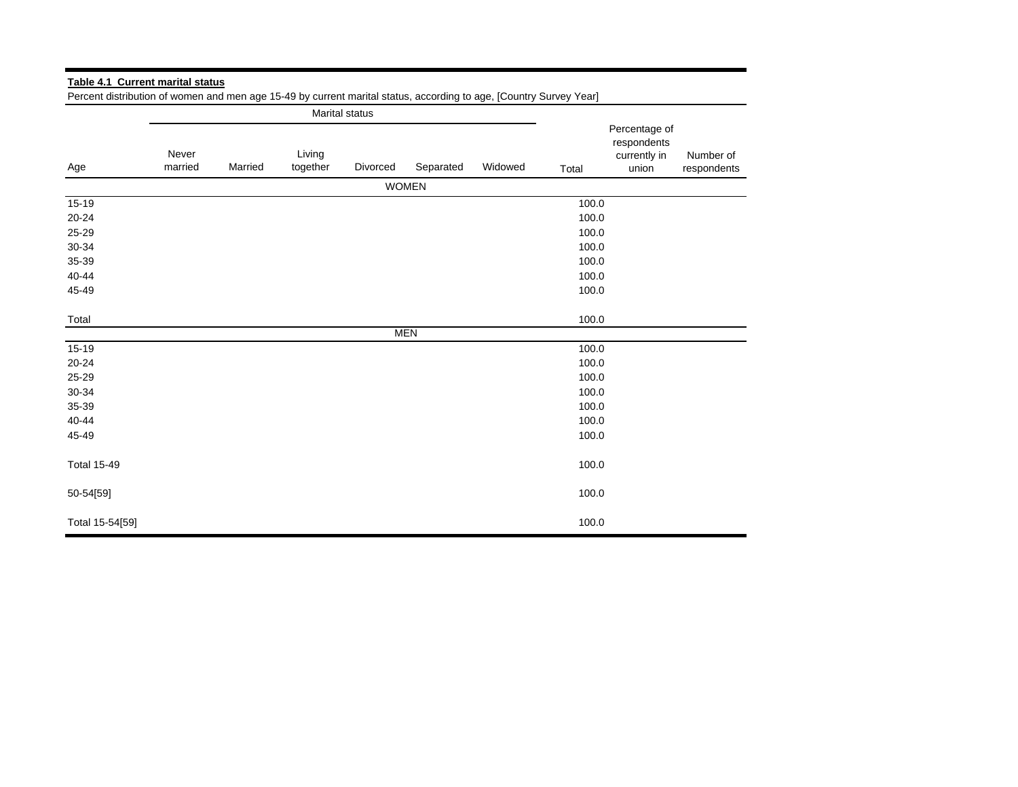|                    |                  |         |                    | Marital status |              |         |       |                                                       |                          |
|--------------------|------------------|---------|--------------------|----------------|--------------|---------|-------|-------------------------------------------------------|--------------------------|
| Age                | Never<br>married | Married | Living<br>together | Divorced       | Separated    | Widowed | Total | Percentage of<br>respondents<br>currently in<br>union | Number of<br>respondents |
|                    |                  |         |                    |                | <b>WOMEN</b> |         |       |                                                       |                          |
| 15-19              |                  |         |                    |                |              |         | 100.0 |                                                       |                          |
| $20 - 24$          |                  |         |                    |                |              |         | 100.0 |                                                       |                          |
| 25-29              |                  |         |                    |                |              |         | 100.0 |                                                       |                          |
| 30-34              |                  |         |                    |                |              |         | 100.0 |                                                       |                          |
| 35-39              |                  |         |                    |                |              |         | 100.0 |                                                       |                          |
| 40-44              |                  |         |                    |                |              |         | 100.0 |                                                       |                          |
| 45-49              |                  |         |                    |                |              |         | 100.0 |                                                       |                          |
| Total              |                  |         |                    |                |              |         | 100.0 |                                                       |                          |
|                    |                  |         |                    |                | <b>MEN</b>   |         |       |                                                       |                          |
| 15-19              |                  |         |                    |                |              |         | 100.0 |                                                       |                          |
| 20-24              |                  |         |                    |                |              |         | 100.0 |                                                       |                          |
| 25-29              |                  |         |                    |                |              |         | 100.0 |                                                       |                          |
| 30-34              |                  |         |                    |                |              |         | 100.0 |                                                       |                          |
| 35-39              |                  |         |                    |                |              |         | 100.0 |                                                       |                          |
| 40-44              |                  |         |                    |                |              |         | 100.0 |                                                       |                          |
| 45-49              |                  |         |                    |                |              |         | 100.0 |                                                       |                          |
| <b>Total 15-49</b> |                  |         |                    |                |              |         | 100.0 |                                                       |                          |
| 50-54[59]          |                  |         |                    |                |              |         | 100.0 |                                                       |                          |
| Total 15-54[59]    |                  |         |                    |                |              |         | 100.0 |                                                       |                          |

**Table 4.1 Current marital status** Percent distribution of women and men age 15-49 by current marital status, according to age, [Country Survey Year]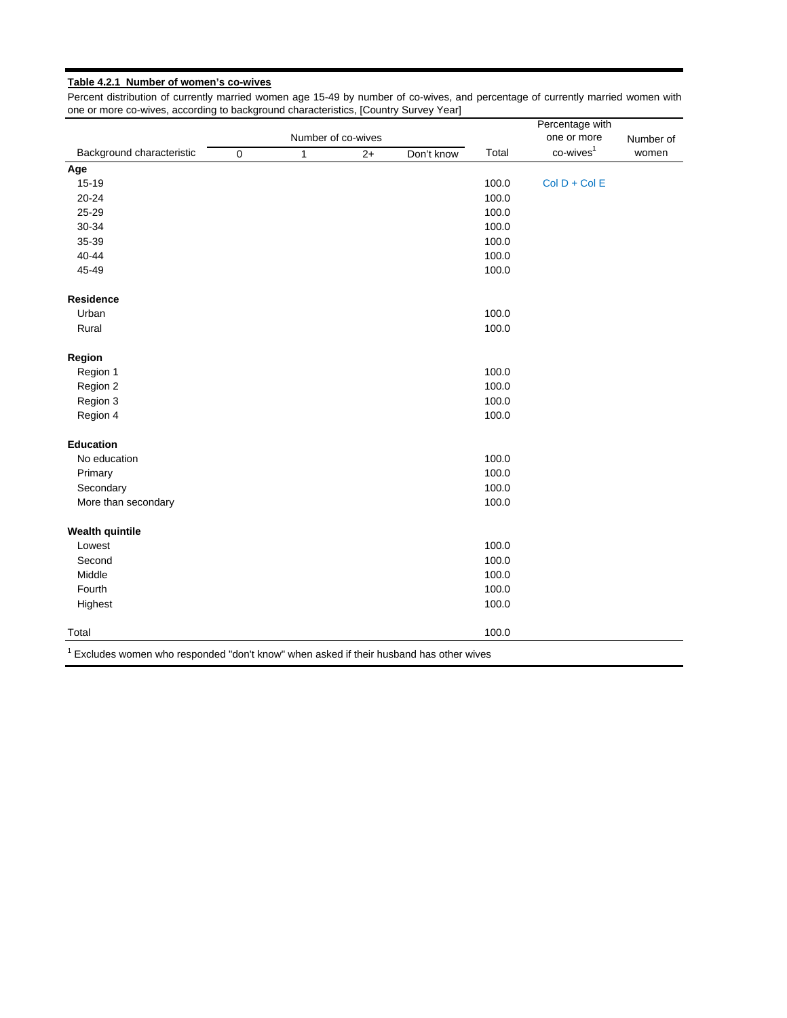## **Table 4.2.1 Number of women's co-wives**

Percent distribution of currently married women age 15-49 by number of co-wives, and percentage of currently married women with one or more co-wives, according to background characteristics, [Country Survey Year]

| $co$ -wives $1$<br>Background characteristic<br>Total<br>women<br>$\overline{0}$<br>Don't know<br>$\mathbf{1}$<br>$2+$<br>$15 - 19$<br>$Col D + Col E$<br>100.0<br>20-24<br>100.0<br>25-29<br>100.0<br>30-34<br>100.0<br>35-39<br>100.0<br>40-44<br>100.0<br>45-49<br>100.0<br>Residence<br>Urban<br>100.0<br>100.0<br>Rural<br>Region<br>Region 1<br>100.0<br>100.0<br>Region 2<br>100.0<br>Region 3<br>100.0<br>Region 4<br><b>Education</b><br>100.0<br>No education<br>100.0<br>Primary<br>100.0<br>Secondary<br>100.0<br>More than secondary<br>100.0<br>Lowest<br>100.0<br>Second<br>Middle<br>100.0<br>100.0<br>Fourth<br>100.0<br>Highest<br>100.0 |                        |  | Number of co-wives | Percentage with<br>one or more | Number of |  |
|------------------------------------------------------------------------------------------------------------------------------------------------------------------------------------------------------------------------------------------------------------------------------------------------------------------------------------------------------------------------------------------------------------------------------------------------------------------------------------------------------------------------------------------------------------------------------------------------------------------------------------------------------------|------------------------|--|--------------------|--------------------------------|-----------|--|
|                                                                                                                                                                                                                                                                                                                                                                                                                                                                                                                                                                                                                                                            |                        |  |                    |                                |           |  |
|                                                                                                                                                                                                                                                                                                                                                                                                                                                                                                                                                                                                                                                            | Age                    |  |                    |                                |           |  |
|                                                                                                                                                                                                                                                                                                                                                                                                                                                                                                                                                                                                                                                            |                        |  |                    |                                |           |  |
|                                                                                                                                                                                                                                                                                                                                                                                                                                                                                                                                                                                                                                                            |                        |  |                    |                                |           |  |
|                                                                                                                                                                                                                                                                                                                                                                                                                                                                                                                                                                                                                                                            |                        |  |                    |                                |           |  |
|                                                                                                                                                                                                                                                                                                                                                                                                                                                                                                                                                                                                                                                            |                        |  |                    |                                |           |  |
|                                                                                                                                                                                                                                                                                                                                                                                                                                                                                                                                                                                                                                                            |                        |  |                    |                                |           |  |
|                                                                                                                                                                                                                                                                                                                                                                                                                                                                                                                                                                                                                                                            |                        |  |                    |                                |           |  |
|                                                                                                                                                                                                                                                                                                                                                                                                                                                                                                                                                                                                                                                            |                        |  |                    |                                |           |  |
|                                                                                                                                                                                                                                                                                                                                                                                                                                                                                                                                                                                                                                                            |                        |  |                    |                                |           |  |
|                                                                                                                                                                                                                                                                                                                                                                                                                                                                                                                                                                                                                                                            |                        |  |                    |                                |           |  |
|                                                                                                                                                                                                                                                                                                                                                                                                                                                                                                                                                                                                                                                            |                        |  |                    |                                |           |  |
|                                                                                                                                                                                                                                                                                                                                                                                                                                                                                                                                                                                                                                                            |                        |  |                    |                                |           |  |
|                                                                                                                                                                                                                                                                                                                                                                                                                                                                                                                                                                                                                                                            |                        |  |                    |                                |           |  |
|                                                                                                                                                                                                                                                                                                                                                                                                                                                                                                                                                                                                                                                            |                        |  |                    |                                |           |  |
|                                                                                                                                                                                                                                                                                                                                                                                                                                                                                                                                                                                                                                                            |                        |  |                    |                                |           |  |
|                                                                                                                                                                                                                                                                                                                                                                                                                                                                                                                                                                                                                                                            |                        |  |                    |                                |           |  |
|                                                                                                                                                                                                                                                                                                                                                                                                                                                                                                                                                                                                                                                            |                        |  |                    |                                |           |  |
|                                                                                                                                                                                                                                                                                                                                                                                                                                                                                                                                                                                                                                                            |                        |  |                    |                                |           |  |
|                                                                                                                                                                                                                                                                                                                                                                                                                                                                                                                                                                                                                                                            |                        |  |                    |                                |           |  |
|                                                                                                                                                                                                                                                                                                                                                                                                                                                                                                                                                                                                                                                            |                        |  |                    |                                |           |  |
|                                                                                                                                                                                                                                                                                                                                                                                                                                                                                                                                                                                                                                                            |                        |  |                    |                                |           |  |
|                                                                                                                                                                                                                                                                                                                                                                                                                                                                                                                                                                                                                                                            | <b>Wealth quintile</b> |  |                    |                                |           |  |
|                                                                                                                                                                                                                                                                                                                                                                                                                                                                                                                                                                                                                                                            |                        |  |                    |                                |           |  |
|                                                                                                                                                                                                                                                                                                                                                                                                                                                                                                                                                                                                                                                            |                        |  |                    |                                |           |  |
|                                                                                                                                                                                                                                                                                                                                                                                                                                                                                                                                                                                                                                                            |                        |  |                    |                                |           |  |
|                                                                                                                                                                                                                                                                                                                                                                                                                                                                                                                                                                                                                                                            |                        |  |                    |                                |           |  |
|                                                                                                                                                                                                                                                                                                                                                                                                                                                                                                                                                                                                                                                            |                        |  |                    |                                |           |  |
|                                                                                                                                                                                                                                                                                                                                                                                                                                                                                                                                                                                                                                                            | Total                  |  |                    |                                |           |  |

 $1$  Excludes women who responded "don't know" when asked if their husband has other wives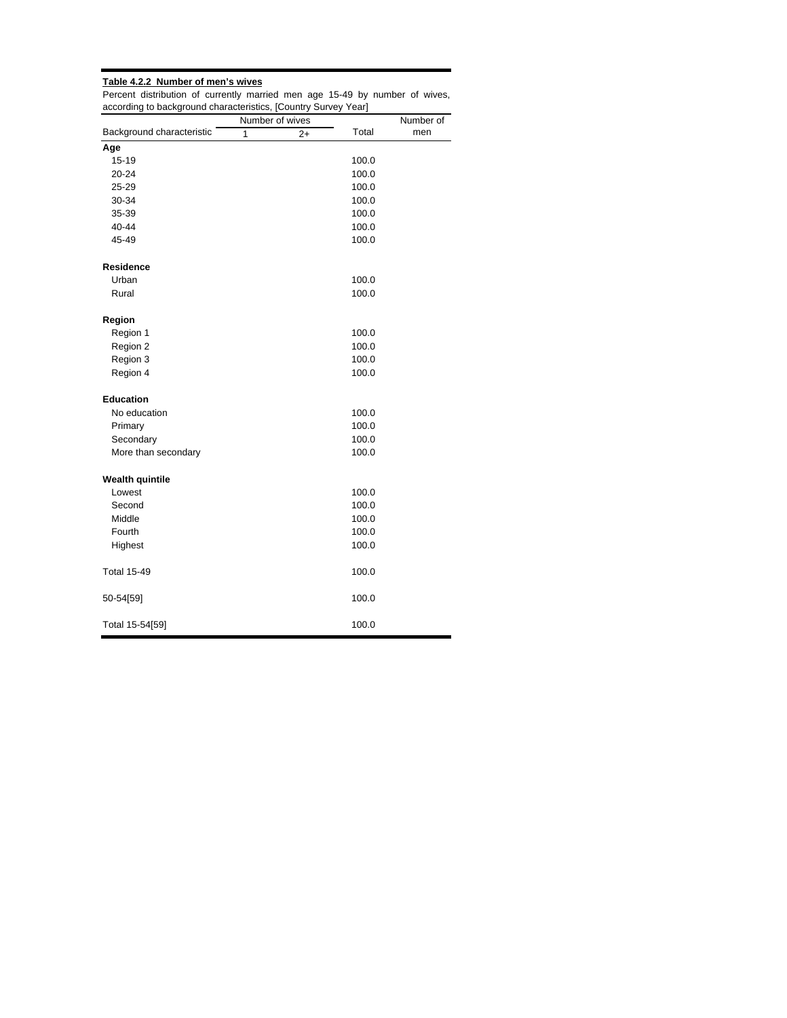# **Table 4.2.2 Number of men's wives**

Percent distribution of currently married men age 15-49 by number of wives, according to background characteristics, [Country Survey Year] ÷.

|                           |   | Number of wives |       | Number of |
|---------------------------|---|-----------------|-------|-----------|
| Background characteristic | 1 | 2+              | Total | men       |
| Age                       |   |                 |       |           |
| 15-19                     |   |                 | 100.0 |           |
| $20 - 24$                 |   |                 | 100.0 |           |
| 25-29                     |   |                 | 100.0 |           |
| 30-34                     |   |                 | 100.0 |           |
| 35-39                     |   |                 | 100.0 |           |
| 40-44                     |   |                 | 100.0 |           |
| 45-49                     |   |                 | 100.0 |           |
| Residence                 |   |                 |       |           |
| Urban                     |   |                 | 100.0 |           |
| Rural                     |   |                 | 100.0 |           |
| Region                    |   |                 |       |           |
| Region 1                  |   |                 | 100.0 |           |
| Region 2                  |   |                 | 100.0 |           |
| Region 3                  |   |                 | 100.0 |           |
| Region 4                  |   |                 | 100.0 |           |
| <b>Education</b>          |   |                 |       |           |
| No education              |   |                 | 100.0 |           |
| Primary                   |   |                 | 100.0 |           |
| Secondary                 |   |                 | 100.0 |           |
| More than secondary       |   |                 | 100.0 |           |
| <b>Wealth quintile</b>    |   |                 |       |           |
| Lowest                    |   |                 | 100.0 |           |
| Second                    |   |                 | 100.0 |           |
| Middle                    |   |                 | 100.0 |           |
| Fourth                    |   |                 | 100.0 |           |
| Highest                   |   |                 | 100.0 |           |
| <b>Total 15-49</b>        |   |                 | 100.0 |           |
| 50-54[59]                 |   |                 | 100.0 |           |
| Total 15-54[59]           |   |                 | 100.0 |           |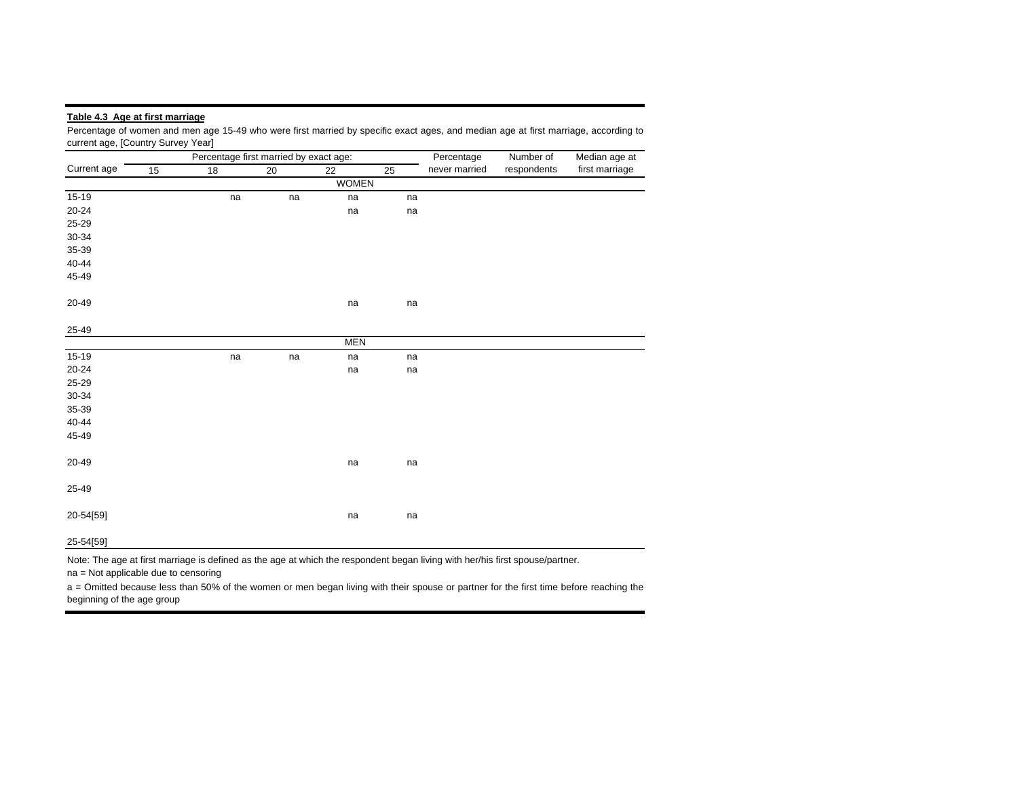#### **Table 4.3 Age at first marriage**

Percentage of women and men age 15-49 who were first married by specific exact ages, and median age at first marriage, according to current age, [Country Survey Year]

|             |    | Percentage first married by exact age: |    |              |    | Percentage    | Number of   | Median age at  |
|-------------|----|----------------------------------------|----|--------------|----|---------------|-------------|----------------|
| Current age | 15 | 18                                     | 20 | 22           | 25 | never married | respondents | first marriage |
|             |    |                                        |    | <b>WOMEN</b> |    |               |             |                |
| $15-19$     |    | na                                     | na | na           | na |               |             |                |
| $20 - 24$   |    |                                        |    | na           | na |               |             |                |
| 25-29       |    |                                        |    |              |    |               |             |                |
| $30 - 34$   |    |                                        |    |              |    |               |             |                |
| 35-39       |    |                                        |    |              |    |               |             |                |
| $40 - 44$   |    |                                        |    |              |    |               |             |                |
| 45-49       |    |                                        |    |              |    |               |             |                |
| 20-49       |    |                                        |    | na           | na |               |             |                |
| 25-49       |    |                                        |    |              |    |               |             |                |
|             |    |                                        |    | <b>MEN</b>   |    |               |             |                |
| $15-19$     |    | na                                     | na | na           | na |               |             |                |
| $20 - 24$   |    |                                        |    | na           | na |               |             |                |
| 25-29       |    |                                        |    |              |    |               |             |                |
| $30 - 34$   |    |                                        |    |              |    |               |             |                |
| 35-39       |    |                                        |    |              |    |               |             |                |
| $40 - 44$   |    |                                        |    |              |    |               |             |                |
| 45-49       |    |                                        |    |              |    |               |             |                |
| 20-49       |    |                                        |    | na           | na |               |             |                |
| 25-49       |    |                                        |    |              |    |               |             |                |
| 20-54[59]   |    |                                        |    | na           | na |               |             |                |
| 25-54[59]   |    |                                        |    |              |    |               |             |                |

Note: The age at first marriage is defined as the age at which the respondent began living with her/his first spouse/partner.

na = Not applicable due to censoring

<sup>a</sup> <sup>=</sup> Omitted because less than 50% of the women or men began living with their spouse or partner for the first time before reaching the beginning of the age group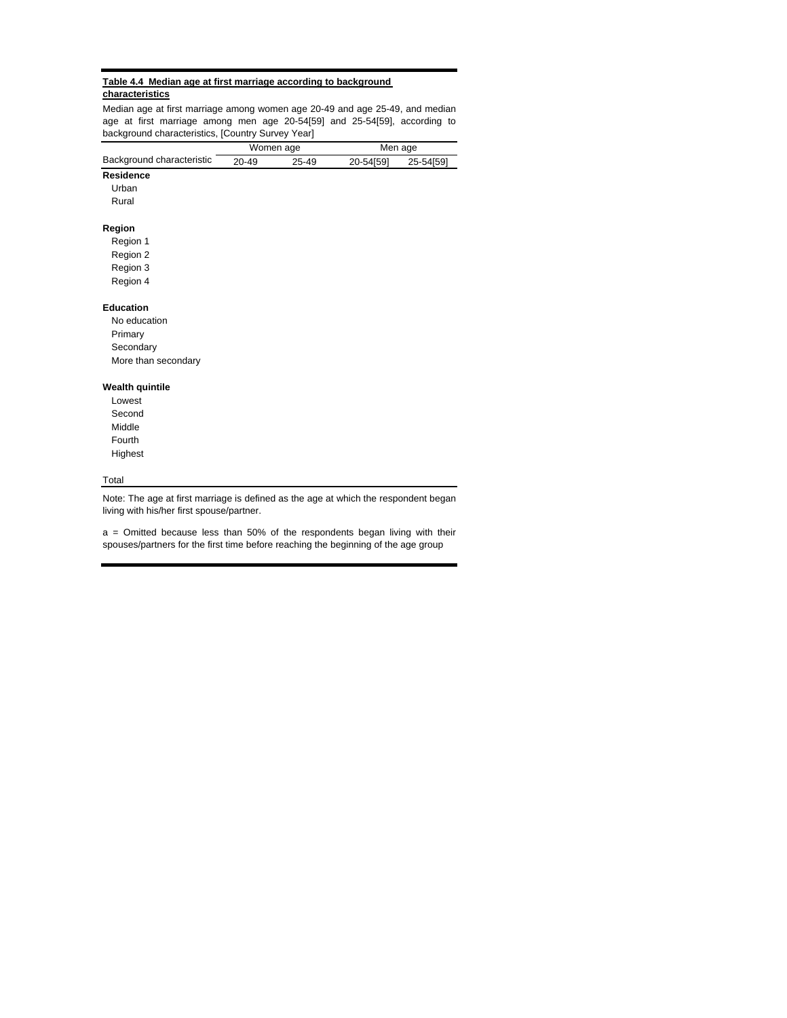### **Table 4.4 Median age at first marriage according to background characteristics**

Median age at first marriage among women age 20-49 and age 25-49, and median age at first marriage among men age 20-54[59] and 25-54[59], according to background characteristics, [Country Survey Year]

|                           |       | Women age | Men age   |           |  |
|---------------------------|-------|-----------|-----------|-----------|--|
| Background characteristic | 20-49 | 25-49     | 20-54[59] | 25-54[59] |  |
| <b>Residence</b>          |       |           |           |           |  |
| Urban                     |       |           |           |           |  |
| Rural                     |       |           |           |           |  |
| Region                    |       |           |           |           |  |
| Region 1                  |       |           |           |           |  |
| Region 2                  |       |           |           |           |  |
| Region 3                  |       |           |           |           |  |
| Region 4                  |       |           |           |           |  |
| <b>Education</b>          |       |           |           |           |  |
| No education              |       |           |           |           |  |
| Primary                   |       |           |           |           |  |
| Secondary                 |       |           |           |           |  |
| More than secondary       |       |           |           |           |  |
| <b>Wealth quintile</b>    |       |           |           |           |  |
| Lowest                    |       |           |           |           |  |
| Second                    |       |           |           |           |  |
| Middle                    |       |           |           |           |  |
| Fourth                    |       |           |           |           |  |
| Highest                   |       |           |           |           |  |

## **Total**

Note: The age at first marriage is defined as the age at which the respondent began living with his/her first spouse/partner.

a = Omitted because less than 50% of the respondents began living with their spouses/partners for the first time before reaching the beginning of the age group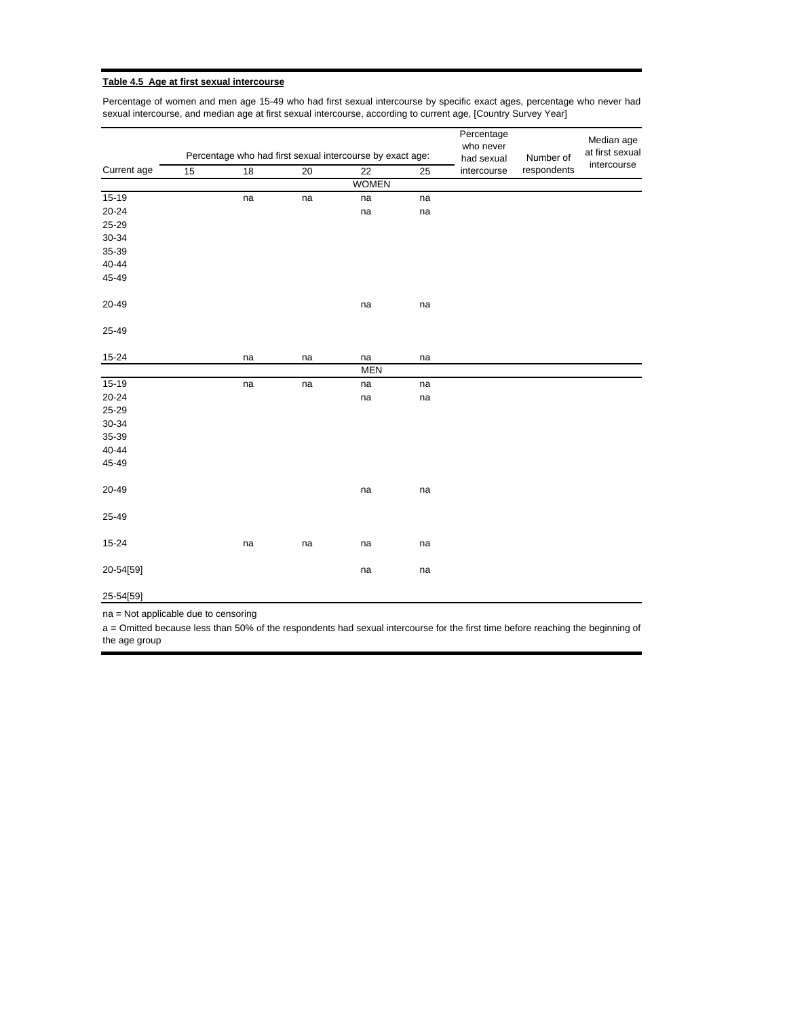#### **Table 4.5 Age at first sexual intercourse**

Percentage of women and men age 15-49 who had first sexual intercourse by specific exact ages, percentage who never had sexual intercourse, and median age at first sexual intercourse, according to current age, [Country Survey Year]

|             |    |    |    | Percentage who had first sexual intercourse by exact age: |    | Percentage<br>who never<br>had sexual | Number of   | Median age<br>at first sexual |
|-------------|----|----|----|-----------------------------------------------------------|----|---------------------------------------|-------------|-------------------------------|
| Current age | 15 | 18 | 20 | 22                                                        | 25 | intercourse                           | respondents | intercourse                   |
|             |    |    |    | <b>WOMEN</b>                                              |    |                                       |             |                               |
| $15-19$     |    | na | na | na                                                        | na |                                       |             |                               |
| 20-24       |    |    |    | na                                                        | na |                                       |             |                               |
| 25-29       |    |    |    |                                                           |    |                                       |             |                               |
| $30 - 34$   |    |    |    |                                                           |    |                                       |             |                               |
| 35-39       |    |    |    |                                                           |    |                                       |             |                               |
| 40-44       |    |    |    |                                                           |    |                                       |             |                               |
| 45-49       |    |    |    |                                                           |    |                                       |             |                               |
| 20-49       |    |    |    | na                                                        | na |                                       |             |                               |
| 25-49       |    |    |    |                                                           |    |                                       |             |                               |
| 15-24       |    | na | na | na                                                        | na |                                       |             |                               |
|             |    |    |    | <b>MEN</b>                                                |    |                                       |             |                               |
| 15-19       |    | na | na | na                                                        | na |                                       |             |                               |
| $20 - 24$   |    |    |    | na                                                        | na |                                       |             |                               |
| 25-29       |    |    |    |                                                           |    |                                       |             |                               |
| 30-34       |    |    |    |                                                           |    |                                       |             |                               |
| 35-39       |    |    |    |                                                           |    |                                       |             |                               |
| 40-44       |    |    |    |                                                           |    |                                       |             |                               |
| 45-49       |    |    |    |                                                           |    |                                       |             |                               |
| 20-49       |    |    |    | na                                                        | na |                                       |             |                               |
| 25-49       |    |    |    |                                                           |    |                                       |             |                               |
| $15 - 24$   |    | na | na | na                                                        | na |                                       |             |                               |
| 20-54[59]   |    |    |    | na                                                        | na |                                       |             |                               |

25-54[59]

na = Not applicable due to censoring

a = Omitted because less than 50% of the respondents had sexual intercourse for the first time before reaching the beginning of the age group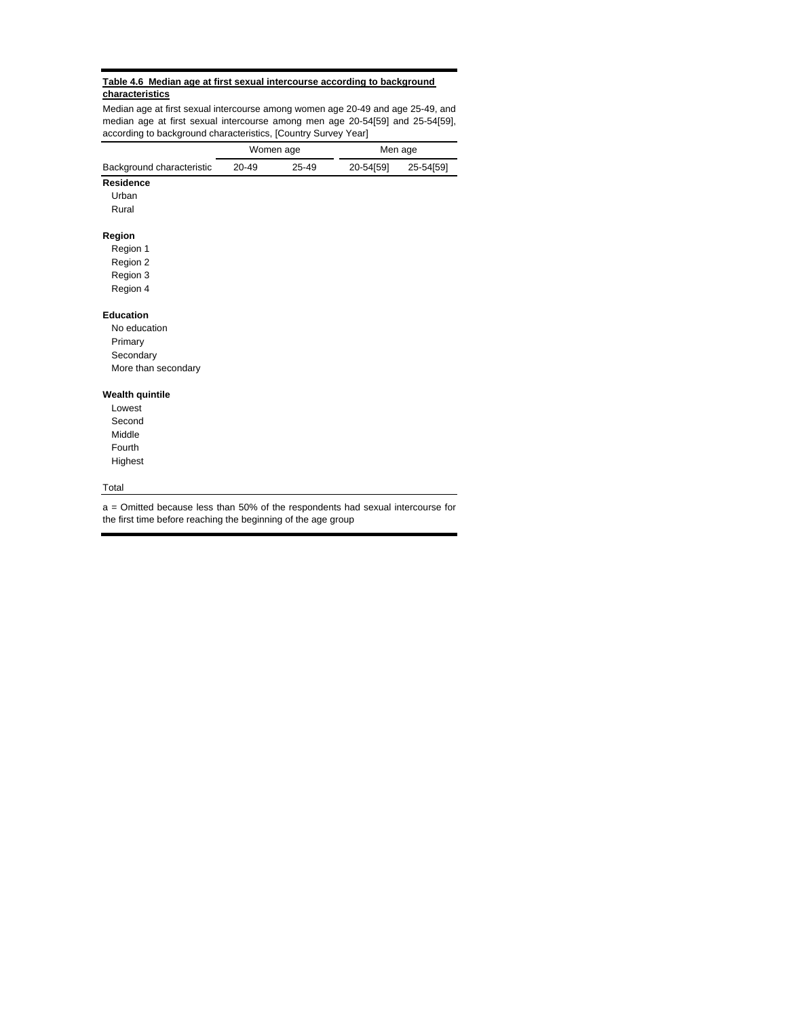#### **Table 4.6 Median age at first sexual intercourse according to background characteristics**

Median age at first sexual intercourse among women age 20-49 and age 25-49, and median age at first sexual intercourse among men age 20-54[59] and 25-54[59], according to background characteristics, [Country Survey Year]

|                           |       | Women age | Men age   |           |  |
|---------------------------|-------|-----------|-----------|-----------|--|
| Background characteristic | 20-49 | 25-49     | 20-54[59] | 25-54[59] |  |
| Residence                 |       |           |           |           |  |
| Urban                     |       |           |           |           |  |
| Rural                     |       |           |           |           |  |
| Region                    |       |           |           |           |  |
| Region 1                  |       |           |           |           |  |
| Region 2                  |       |           |           |           |  |
| Region 3                  |       |           |           |           |  |
| Region 4                  |       |           |           |           |  |
| <b>Education</b>          |       |           |           |           |  |
| No education              |       |           |           |           |  |
| Primary                   |       |           |           |           |  |
| Secondary                 |       |           |           |           |  |
| More than secondary       |       |           |           |           |  |
| Wealth quintile           |       |           |           |           |  |
| Lowest                    |       |           |           |           |  |
| Second                    |       |           |           |           |  |
| Middle                    |       |           |           |           |  |
| Fourth                    |       |           |           |           |  |
| Highest                   |       |           |           |           |  |
| Total                     |       |           |           |           |  |

a = Omitted because less than 50% of the respondents had sexual intercourse for the first time before reaching the beginning of the age group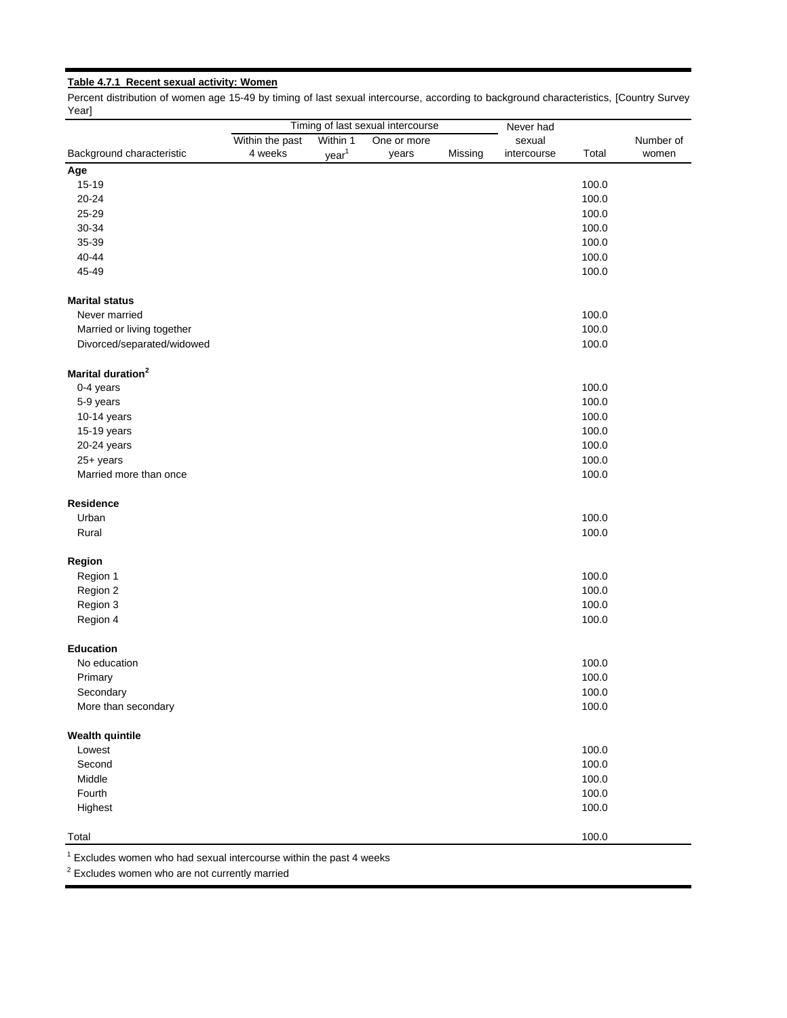# **Table 4.7.1 Recent sexual activity: Women**

Percent distribution of women age 15-49 by timing of last sexual intercourse, according to background characteristics, [Country Survey Year]

|                               |                 |                   | Timing of last sexual intercourse |         | Never had   |       |           |
|-------------------------------|-----------------|-------------------|-----------------------------------|---------|-------------|-------|-----------|
|                               | Within the past | Within 1          | One or more                       |         | sexual      |       | Number of |
| Background characteristic     | 4 weeks         | year <sup>1</sup> | years                             | Missing | intercourse | Total | women     |
| Age                           |                 |                   |                                   |         |             |       |           |
| 15-19                         |                 |                   |                                   |         |             | 100.0 |           |
| $20 - 24$                     |                 |                   |                                   |         |             | 100.0 |           |
| 25-29                         |                 |                   |                                   |         |             | 100.0 |           |
| 30-34                         |                 |                   |                                   |         |             | 100.0 |           |
| 35-39                         |                 |                   |                                   |         |             | 100.0 |           |
| 40-44                         |                 |                   |                                   |         |             | 100.0 |           |
| 45-49                         |                 |                   |                                   |         |             | 100.0 |           |
| <b>Marital status</b>         |                 |                   |                                   |         |             |       |           |
| Never married                 |                 |                   |                                   |         |             | 100.0 |           |
| Married or living together    |                 |                   |                                   |         |             | 100.0 |           |
| Divorced/separated/widowed    |                 |                   |                                   |         |             | 100.0 |           |
| Marital duration <sup>2</sup> |                 |                   |                                   |         |             |       |           |
| 0-4 years                     |                 |                   |                                   |         |             | 100.0 |           |
| 5-9 years                     |                 |                   |                                   |         |             | 100.0 |           |
| 10-14 years                   |                 |                   |                                   |         |             | 100.0 |           |
| 15-19 years                   |                 |                   |                                   |         |             | 100.0 |           |
| 20-24 years                   |                 |                   |                                   |         |             | 100.0 |           |
| 25+ years                     |                 |                   |                                   |         |             | 100.0 |           |
| Married more than once        |                 |                   |                                   |         |             | 100.0 |           |
| Residence                     |                 |                   |                                   |         |             |       |           |
| Urban                         |                 |                   |                                   |         |             | 100.0 |           |
| Rural                         |                 |                   |                                   |         |             | 100.0 |           |
| Region                        |                 |                   |                                   |         |             |       |           |
| Region 1                      |                 |                   |                                   |         |             | 100.0 |           |
| Region 2                      |                 |                   |                                   |         |             | 100.0 |           |
| Region 3                      |                 |                   |                                   |         |             | 100.0 |           |
| Region 4                      |                 |                   |                                   |         |             | 100.0 |           |
| <b>Education</b>              |                 |                   |                                   |         |             |       |           |
| No education                  |                 |                   |                                   |         |             | 100.0 |           |
| Primary                       |                 |                   |                                   |         |             | 100.0 |           |
| Secondary                     |                 |                   |                                   |         |             | 100.0 |           |
| More than secondary           |                 |                   |                                   |         |             | 100.0 |           |
| <b>Wealth quintile</b>        |                 |                   |                                   |         |             |       |           |
| Lowest                        |                 |                   |                                   |         |             | 100.0 |           |
| Second                        |                 |                   |                                   |         |             | 100.0 |           |
| Middle                        |                 |                   |                                   |         |             | 100.0 |           |
| Fourth                        |                 |                   |                                   |         |             | 100.0 |           |
|                               |                 |                   |                                   |         |             |       |           |
| Highest                       |                 |                   |                                   |         |             | 100.0 |           |
| Total                         |                 |                   |                                   |         |             | 100.0 |           |

 $1$  Excludes women who had sexual intercourse within the past 4 weeks

 $2$  Excludes women who are not currently married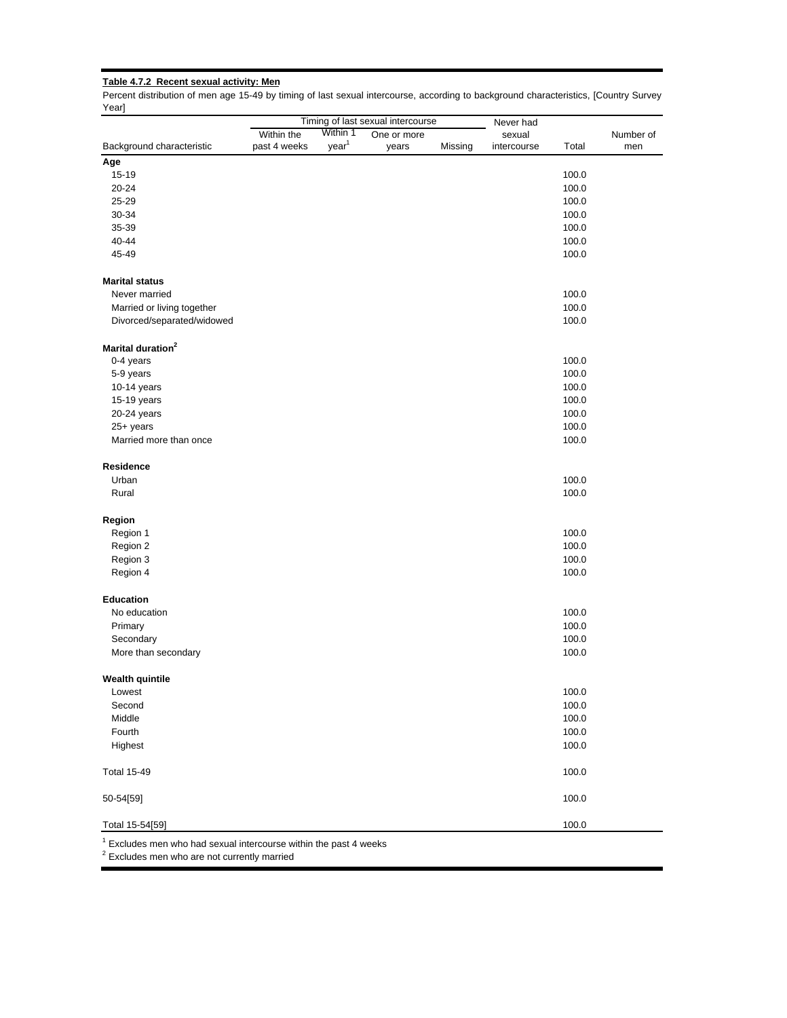# **Table 4.7.2 Recent sexual activity: Men**

Percent distribution of men age 15-49 by timing of last sexual intercourse, according to background characteristics, [Country Survey Year]

| Within the<br>Background characteristic<br>past 4 weeks<br>Age<br>15-19<br>20-24<br>25-29<br>30-34<br>35-39<br>40-44<br>45-49<br><b>Marital status</b><br>Never married<br>Married or living together<br>Divorced/separated/widowed<br>Marital duration <sup>2</sup><br>0-4 years<br>5-9 years<br>10-14 years<br>15-19 years<br>20-24 years<br>25+ years<br>Married more than once<br>Residence<br>Urban<br>Rural<br>Region<br>Region 1<br>Region 2<br>Region 3 | Within 1<br>year <sup>1</sup> | Timing of last sexual intercourse<br>One or more<br>years | Missing | Never had<br>sexual<br>intercourse | Total | Number of<br>men |
|-----------------------------------------------------------------------------------------------------------------------------------------------------------------------------------------------------------------------------------------------------------------------------------------------------------------------------------------------------------------------------------------------------------------------------------------------------------------|-------------------------------|-----------------------------------------------------------|---------|------------------------------------|-------|------------------|
|                                                                                                                                                                                                                                                                                                                                                                                                                                                                 |                               |                                                           |         |                                    |       |                  |
|                                                                                                                                                                                                                                                                                                                                                                                                                                                                 |                               |                                                           |         |                                    |       |                  |
|                                                                                                                                                                                                                                                                                                                                                                                                                                                                 |                               |                                                           |         |                                    |       |                  |
|                                                                                                                                                                                                                                                                                                                                                                                                                                                                 |                               |                                                           |         |                                    | 100.0 |                  |
|                                                                                                                                                                                                                                                                                                                                                                                                                                                                 |                               |                                                           |         |                                    | 100.0 |                  |
|                                                                                                                                                                                                                                                                                                                                                                                                                                                                 |                               |                                                           |         |                                    | 100.0 |                  |
|                                                                                                                                                                                                                                                                                                                                                                                                                                                                 |                               |                                                           |         |                                    | 100.0 |                  |
|                                                                                                                                                                                                                                                                                                                                                                                                                                                                 |                               |                                                           |         |                                    | 100.0 |                  |
|                                                                                                                                                                                                                                                                                                                                                                                                                                                                 |                               |                                                           |         |                                    | 100.0 |                  |
|                                                                                                                                                                                                                                                                                                                                                                                                                                                                 |                               |                                                           |         |                                    | 100.0 |                  |
|                                                                                                                                                                                                                                                                                                                                                                                                                                                                 |                               |                                                           |         |                                    |       |                  |
|                                                                                                                                                                                                                                                                                                                                                                                                                                                                 |                               |                                                           |         |                                    | 100.0 |                  |
|                                                                                                                                                                                                                                                                                                                                                                                                                                                                 |                               |                                                           |         |                                    | 100.0 |                  |
|                                                                                                                                                                                                                                                                                                                                                                                                                                                                 |                               |                                                           |         |                                    | 100.0 |                  |
|                                                                                                                                                                                                                                                                                                                                                                                                                                                                 |                               |                                                           |         |                                    |       |                  |
|                                                                                                                                                                                                                                                                                                                                                                                                                                                                 |                               |                                                           |         |                                    | 100.0 |                  |
|                                                                                                                                                                                                                                                                                                                                                                                                                                                                 |                               |                                                           |         |                                    | 100.0 |                  |
|                                                                                                                                                                                                                                                                                                                                                                                                                                                                 |                               |                                                           |         |                                    | 100.0 |                  |
|                                                                                                                                                                                                                                                                                                                                                                                                                                                                 |                               |                                                           |         |                                    | 100.0 |                  |
|                                                                                                                                                                                                                                                                                                                                                                                                                                                                 |                               |                                                           |         |                                    | 100.0 |                  |
|                                                                                                                                                                                                                                                                                                                                                                                                                                                                 |                               |                                                           |         |                                    | 100.0 |                  |
|                                                                                                                                                                                                                                                                                                                                                                                                                                                                 |                               |                                                           |         |                                    | 100.0 |                  |
|                                                                                                                                                                                                                                                                                                                                                                                                                                                                 |                               |                                                           |         |                                    |       |                  |
|                                                                                                                                                                                                                                                                                                                                                                                                                                                                 |                               |                                                           |         |                                    | 100.0 |                  |
|                                                                                                                                                                                                                                                                                                                                                                                                                                                                 |                               |                                                           |         |                                    | 100.0 |                  |
|                                                                                                                                                                                                                                                                                                                                                                                                                                                                 |                               |                                                           |         |                                    |       |                  |
|                                                                                                                                                                                                                                                                                                                                                                                                                                                                 |                               |                                                           |         |                                    | 100.0 |                  |
|                                                                                                                                                                                                                                                                                                                                                                                                                                                                 |                               |                                                           |         |                                    | 100.0 |                  |
|                                                                                                                                                                                                                                                                                                                                                                                                                                                                 |                               |                                                           |         |                                    | 100.0 |                  |
| Region 4                                                                                                                                                                                                                                                                                                                                                                                                                                                        |                               |                                                           |         |                                    | 100.0 |                  |
| Education                                                                                                                                                                                                                                                                                                                                                                                                                                                       |                               |                                                           |         |                                    |       |                  |
| No education                                                                                                                                                                                                                                                                                                                                                                                                                                                    |                               |                                                           |         |                                    | 100.0 |                  |
| Primary                                                                                                                                                                                                                                                                                                                                                                                                                                                         |                               |                                                           |         |                                    | 100.0 |                  |
| Secondary                                                                                                                                                                                                                                                                                                                                                                                                                                                       |                               |                                                           |         |                                    | 100.0 |                  |
| More than secondary                                                                                                                                                                                                                                                                                                                                                                                                                                             |                               |                                                           |         |                                    | 100.0 |                  |
| <b>Wealth quintile</b>                                                                                                                                                                                                                                                                                                                                                                                                                                          |                               |                                                           |         |                                    |       |                  |
| Lowest                                                                                                                                                                                                                                                                                                                                                                                                                                                          |                               |                                                           |         |                                    | 100.0 |                  |
| Second                                                                                                                                                                                                                                                                                                                                                                                                                                                          |                               |                                                           |         |                                    | 100.0 |                  |
| Middle                                                                                                                                                                                                                                                                                                                                                                                                                                                          |                               |                                                           |         |                                    | 100.0 |                  |
| Fourth                                                                                                                                                                                                                                                                                                                                                                                                                                                          |                               |                                                           |         |                                    | 100.0 |                  |
| Highest                                                                                                                                                                                                                                                                                                                                                                                                                                                         |                               |                                                           |         |                                    | 100.0 |                  |
| <b>Total 15-49</b>                                                                                                                                                                                                                                                                                                                                                                                                                                              |                               |                                                           |         |                                    | 100.0 |                  |
| 50-54[59]                                                                                                                                                                                                                                                                                                                                                                                                                                                       |                               |                                                           |         |                                    | 100.0 |                  |
| Total 15-54[59]                                                                                                                                                                                                                                                                                                                                                                                                                                                 |                               |                                                           |         |                                    | 100.0 |                  |

Excludes men who had sexual intercourse within the past 4 weeks

 $2$  Excludes men who are not currently married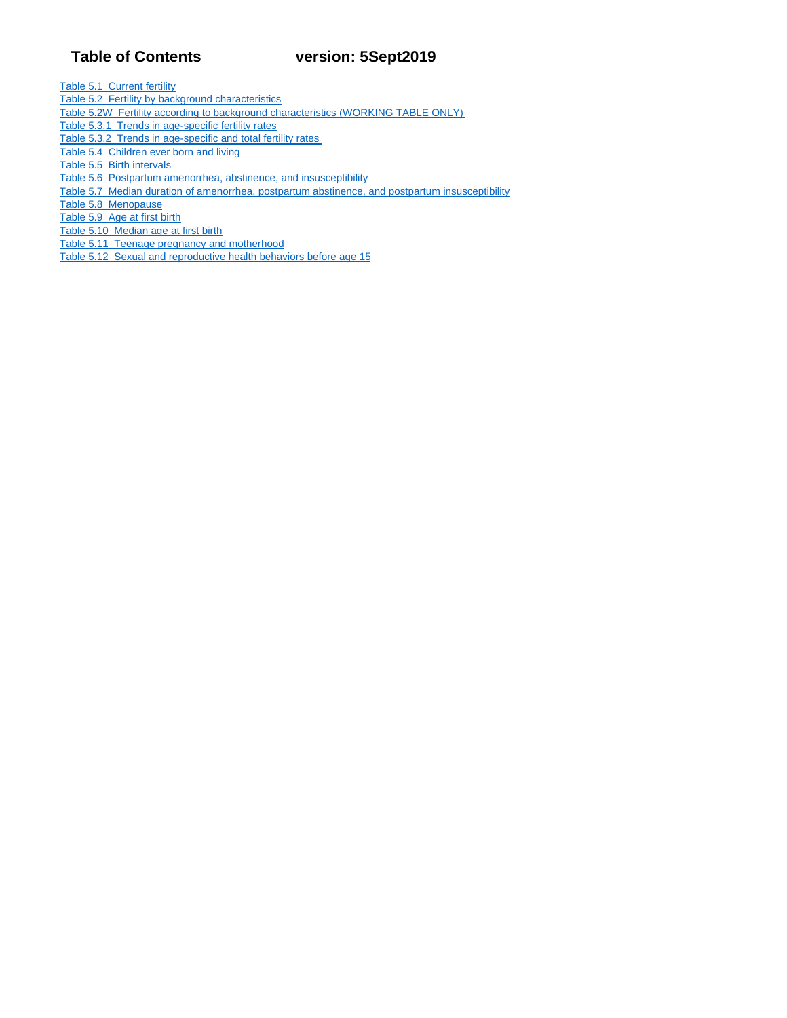# **Table of Contents version: 5Sept2019**

Table 5.1 Current fertility

- Table 5.2 Fertility by background characteristics
- Table 5.2W Fertility according to background characteristics (WORKING TABLE ONLY)
- Table 5.3.1 Trends in age-specific fertility rates
- Table 5.3.2 Trends in age-specific and total fertility rates
- Table 5.4 Children ever born and living
- Table 5.5 Birth intervals
- Table 5.6 Postpartum amenorrhea, abstinence, and insusceptibility
- Table 5.7 Median duration of amenorrhea, postpartum abstinence, and postpartum insusceptibility
- Table 5.8 Menopause

Table 5.9 Age at first birth

- Table 5.10 Median age at first birth
- Table 5.11 Teenage pregnancy and motherhood
- Table 5.12 Sexual and reproductive health behaviors before age 15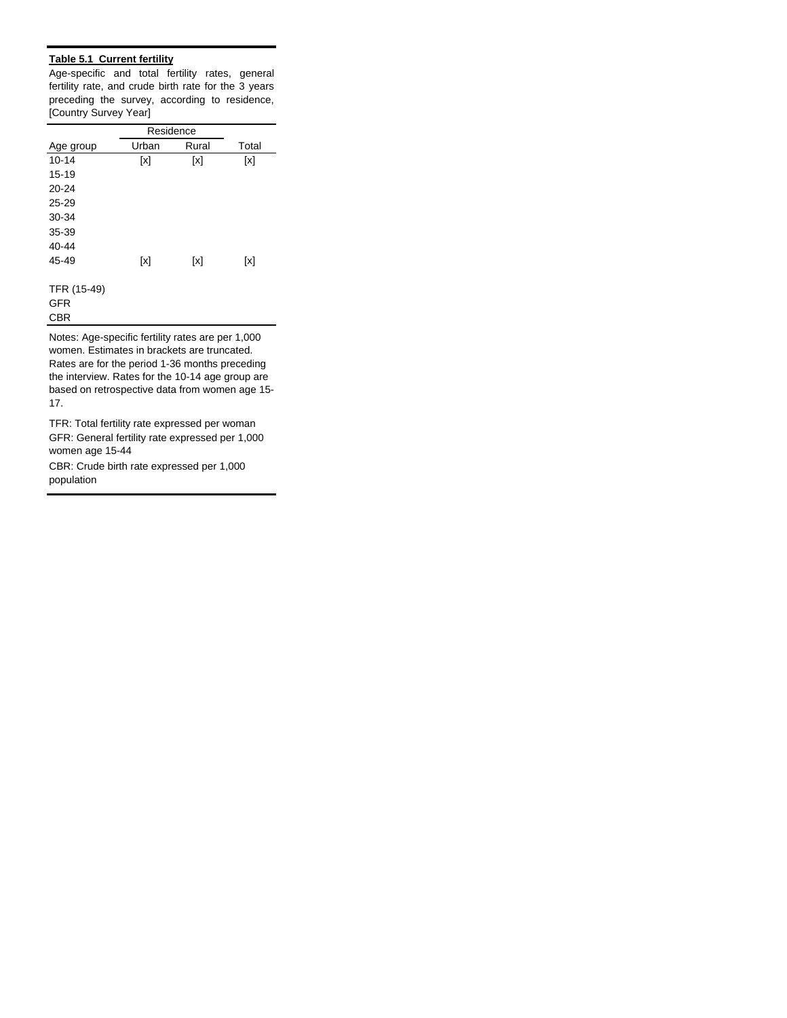# **Table 5.1 Current fertility**

Age-specific and total fertility rates, general fertility rate, and crude birth rate for the 3 years preceding the survey, according to residence, [Country Survey Year]

|             | Residence |       |       |
|-------------|-----------|-------|-------|
| Age group   | Urban     | Rural | Total |
| $10 - 14$   | [x]       | [x]   | [x]   |
| $15 - 19$   |           |       |       |
| $20 - 24$   |           |       |       |
| $25 - 29$   |           |       |       |
| 30-34       |           |       |       |
| 35-39       |           |       |       |
| $40 - 44$   |           |       |       |
| 45-49       | [x]       | [x]   | [x]   |
|             |           |       |       |
| TFR (15-49) |           |       |       |
| <b>GFR</b>  |           |       |       |
| <b>CBR</b>  |           |       |       |

Notes: Age-specific fertility rates are per 1,000 women. Estimates in brackets are truncated. Rates are for the period 1-36 months preceding the interview. Rates for the 10-14 age group are based on retrospective data from women age 15- 17.

GFR: General fertility rate expressed per 1,000 women age 15-44 TFR: Total fertility rate expressed per woman

CBR: Crude birth rate expressed per 1,000 population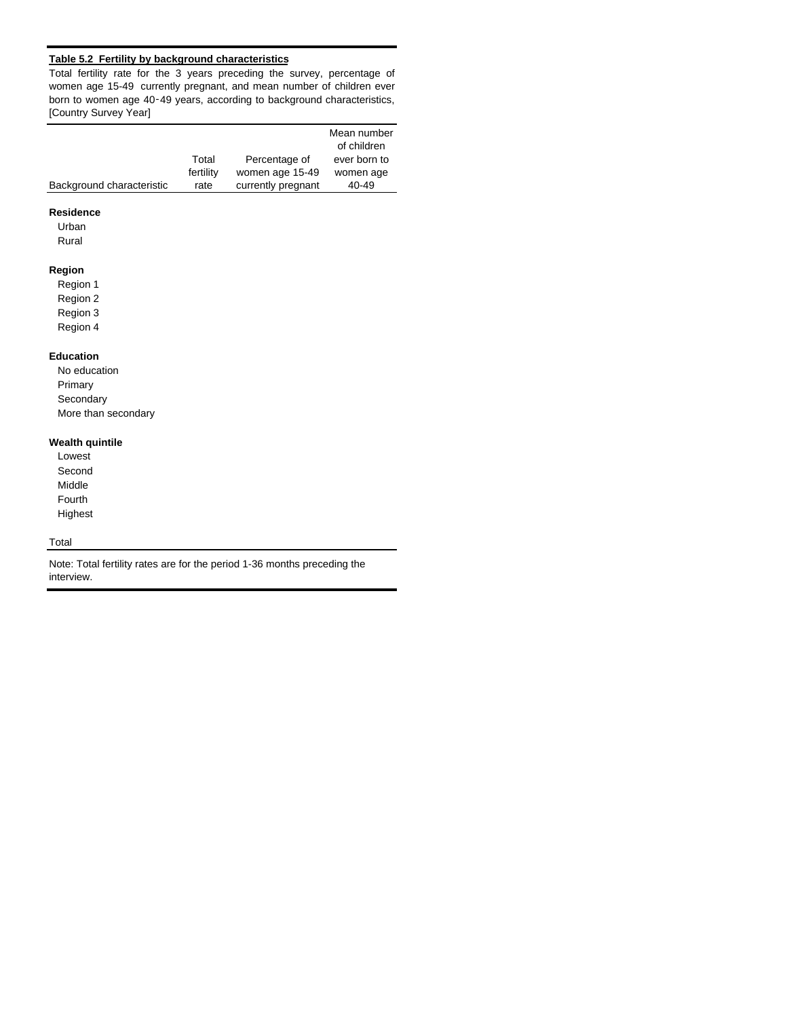## **Table 5.2 Fertility by background characteristics**

Total fertility rate for the 3 years preceding the survey, percentage of women age 15-49 currently pregnant, and mean number of children ever born to women age 40‑49 years, according to background characteristics, [Country Survey Year]

|                           |           |                    | Mean number<br>of children |
|---------------------------|-----------|--------------------|----------------------------|
|                           | Total     | Percentage of      | ever born to               |
|                           | fertility | women age 15-49    | women age                  |
| Background characteristic | rate      | currently pregnant | 40-49                      |

# **Residence**

Urban

Rural

## **Region**

Region 1 Region 2 Region 3

Region 4

#### **Education**

No education Primary **Secondary** More than secondary

## **Wealth quintile**

Lowest Second Middle Fourth Highest

# **Total**

Note: Total fertility rates are for the period 1-36 months preceding the interview.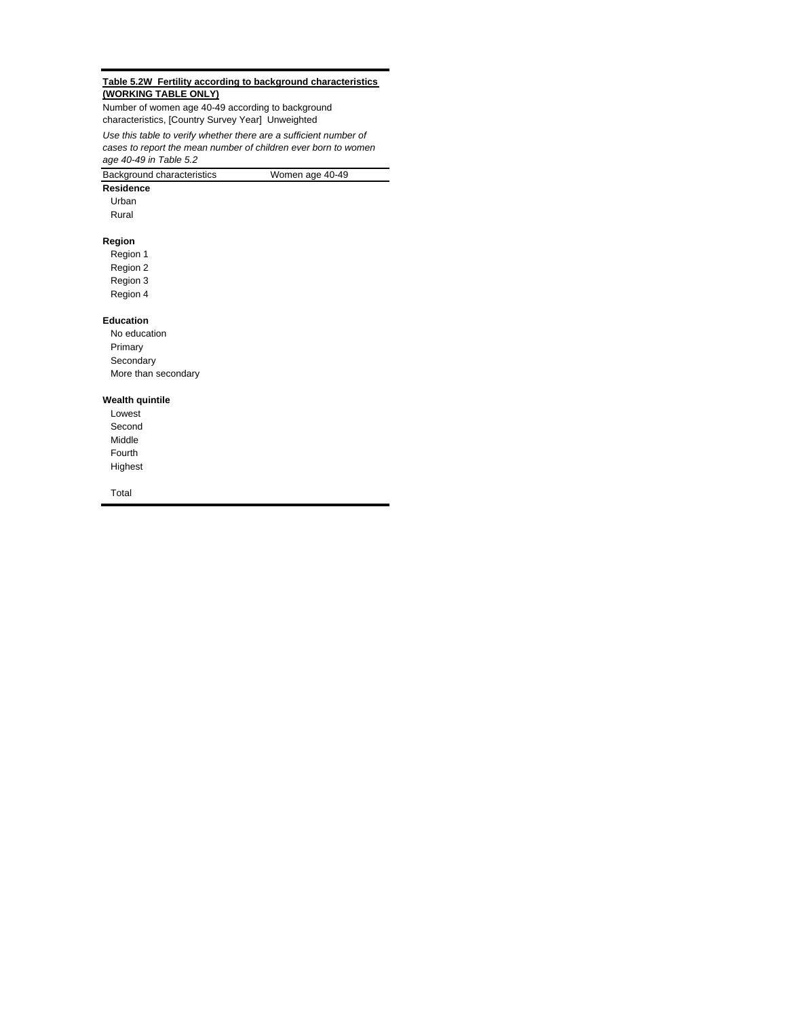#### **Table 5.2W Fertility according to background characteristics (WORKING TABLE ONLY)**

*Use this table to verify whether there are a sufficient number of cases to report the mean number of children ever born to women age 40-49 in Table 5.2* Number of women age 40-49 according to background characteristics, [Country Survey Year] Unweighted

| Background characteristics | Women age 40-49 |
|----------------------------|-----------------|
|                            |                 |

**Residence**

Urban

Rural

## **Region**

Region 1 Region 2 Region 3

Region 4

#### **Education**

No education Primary Secondary More than secondary

#### **Wealth quintile**

Lowest Second Middle Fourth Highest

Total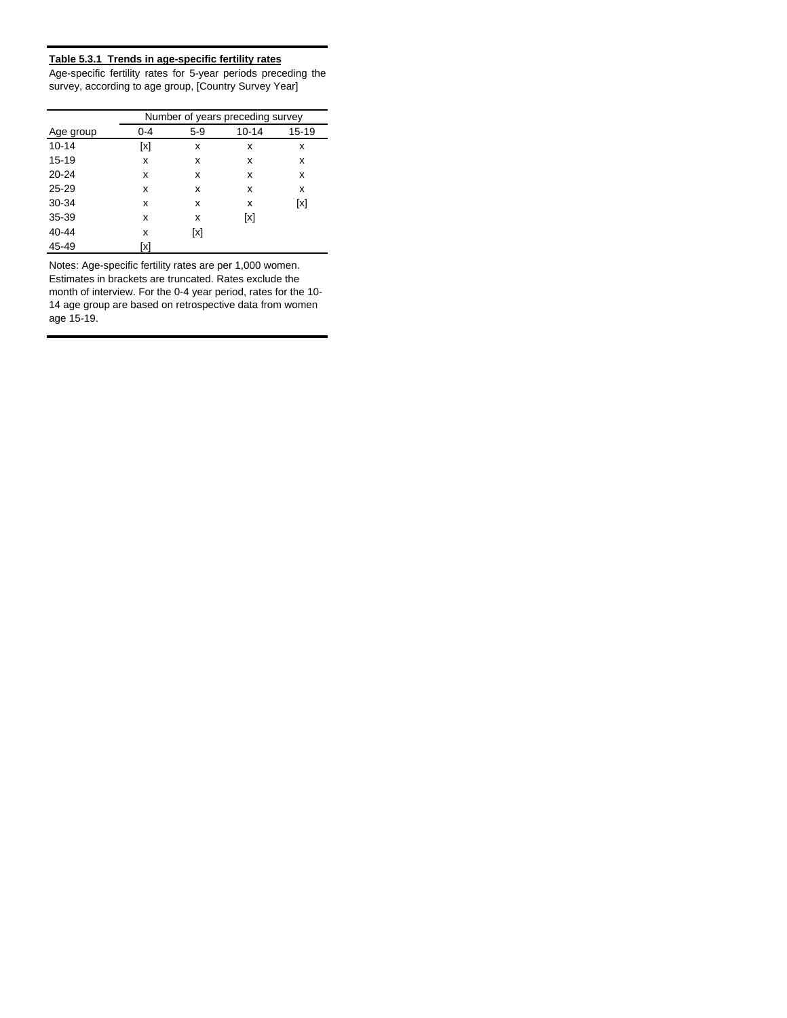## **Table 5.3.1 Trends in age-specific fertility rates**

Age-specific fertility rates for 5-year periods preceding the survey, according to age group, [Country Survey Year]

|           | Number of years preceding survey |       |           |           |  |  |  |
|-----------|----------------------------------|-------|-----------|-----------|--|--|--|
| Age group | $0 - 4$                          | $5-9$ | $10 - 14$ | $15 - 19$ |  |  |  |
| $10 - 14$ | [x]                              | x     | x         | x         |  |  |  |
| $15 - 19$ | x                                | x     | x         | x         |  |  |  |
| $20 - 24$ | x                                | x     | x         | x         |  |  |  |
| $25 - 29$ | x                                | х     | x         | x         |  |  |  |
| 30-34     | x                                | х     | х         | [x]       |  |  |  |
| 35-39     | x                                | х     | [x]       |           |  |  |  |
| 40-44     | x                                | [x]   |           |           |  |  |  |
| 45-49     | [x]                              |       |           |           |  |  |  |

Notes: Age-specific fertility rates are per 1,000 women. Estimates in brackets are truncated. Rates exclude the month of interview. For the 0-4 year period, rates for the 10- 14 age group are based on retrospective data from women age 15-19.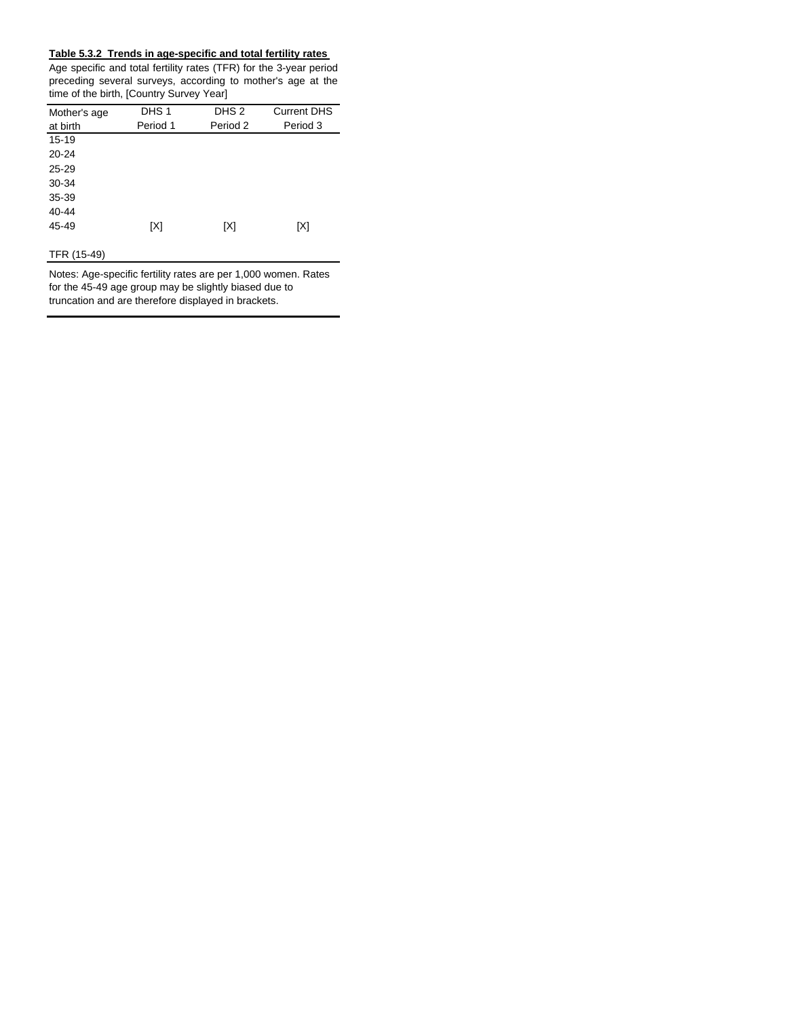## **Table 5.3.2 Trends in age-specific and total fertility rates**

Age specific and total fertility rates (TFR) for the 3-year period preceding several surveys, according to mother's age at the time of the birth, [Country Survey Year]

| Mother's age | DHS <sub>1</sub> | DHS <sub>2</sub> | <b>Current DHS</b> |
|--------------|------------------|------------------|--------------------|
| at birth     | Period 1         | Period 2         | Period 3           |
| $15 - 19$    |                  |                  |                    |
| 20-24        |                  |                  |                    |
| $25 - 29$    |                  |                  |                    |
| 30-34        |                  |                  |                    |
| 35-39        |                  |                  |                    |
| 40-44        |                  |                  |                    |
| 45-49        | [X]              | [X]              | [X]                |
|              |                  |                  |                    |

# TFR (15-49)

Notes: Age-specific fertility rates are per 1,000 women. Rates for the 45-49 age group may be slightly biased due to truncation and are therefore displayed in brackets.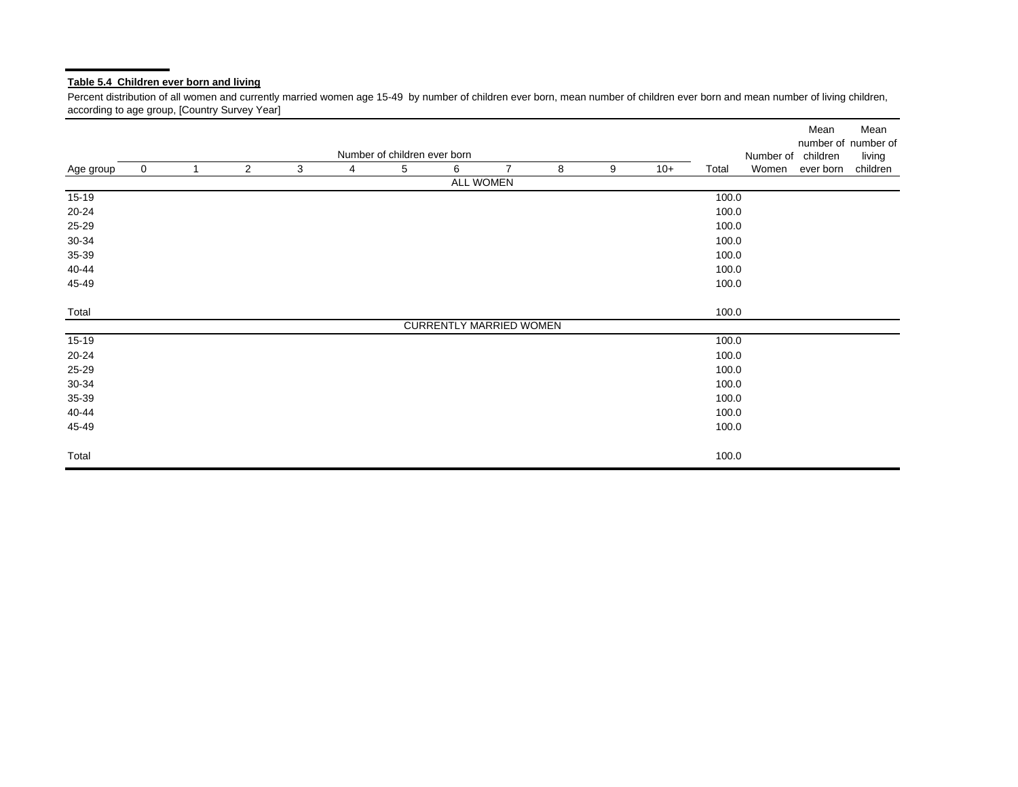# **Table 5.4 Children ever born and living**

Percent distribution of all women and currently married women age 15-49 by number of children ever born, mean number of children ever born and mean number of living children, according to age group, [Country Survey Year]

|           |   |                |                |   |   |                              |                                |                |   |   |       |       |           | Mean      | Mean<br>number of number of |
|-----------|---|----------------|----------------|---|---|------------------------------|--------------------------------|----------------|---|---|-------|-------|-----------|-----------|-----------------------------|
|           |   |                |                |   |   | Number of children ever born |                                |                |   |   |       |       | Number of | children  | living                      |
| Age group | 0 | $\overline{1}$ | $\overline{2}$ | 3 | 4 | 5                            | 6                              | $\overline{7}$ | 8 | 9 | $10+$ | Total | Women     | ever born | children                    |
|           |   |                |                |   |   |                              | ALL WOMEN                      |                |   |   |       |       |           |           |                             |
| $15-19$   |   |                |                |   |   |                              |                                |                |   |   |       | 100.0 |           |           |                             |
| 20-24     |   |                |                |   |   |                              |                                |                |   |   |       | 100.0 |           |           |                             |
| 25-29     |   |                |                |   |   |                              |                                |                |   |   |       | 100.0 |           |           |                             |
| 30-34     |   |                |                |   |   |                              |                                |                |   |   |       | 100.0 |           |           |                             |
| 35-39     |   |                |                |   |   |                              |                                |                |   |   |       | 100.0 |           |           |                             |
| 40-44     |   |                |                |   |   |                              |                                |                |   |   |       | 100.0 |           |           |                             |
| 45-49     |   |                |                |   |   |                              |                                |                |   |   |       | 100.0 |           |           |                             |
| Total     |   |                |                |   |   |                              |                                |                |   |   |       | 100.0 |           |           |                             |
|           |   |                |                |   |   |                              | <b>CURRENTLY MARRIED WOMEN</b> |                |   |   |       |       |           |           |                             |
| $15-19$   |   |                |                |   |   |                              |                                |                |   |   |       | 100.0 |           |           |                             |
| 20-24     |   |                |                |   |   |                              |                                |                |   |   |       | 100.0 |           |           |                             |
| 25-29     |   |                |                |   |   |                              |                                |                |   |   |       | 100.0 |           |           |                             |
| 30-34     |   |                |                |   |   |                              |                                |                |   |   |       | 100.0 |           |           |                             |
| 35-39     |   |                |                |   |   |                              |                                |                |   |   |       | 100.0 |           |           |                             |
| 40-44     |   |                |                |   |   |                              |                                |                |   |   |       | 100.0 |           |           |                             |
| 45-49     |   |                |                |   |   |                              |                                |                |   |   |       | 100.0 |           |           |                             |
| Total     |   |                |                |   |   |                              |                                |                |   |   |       | 100.0 |           |           |                             |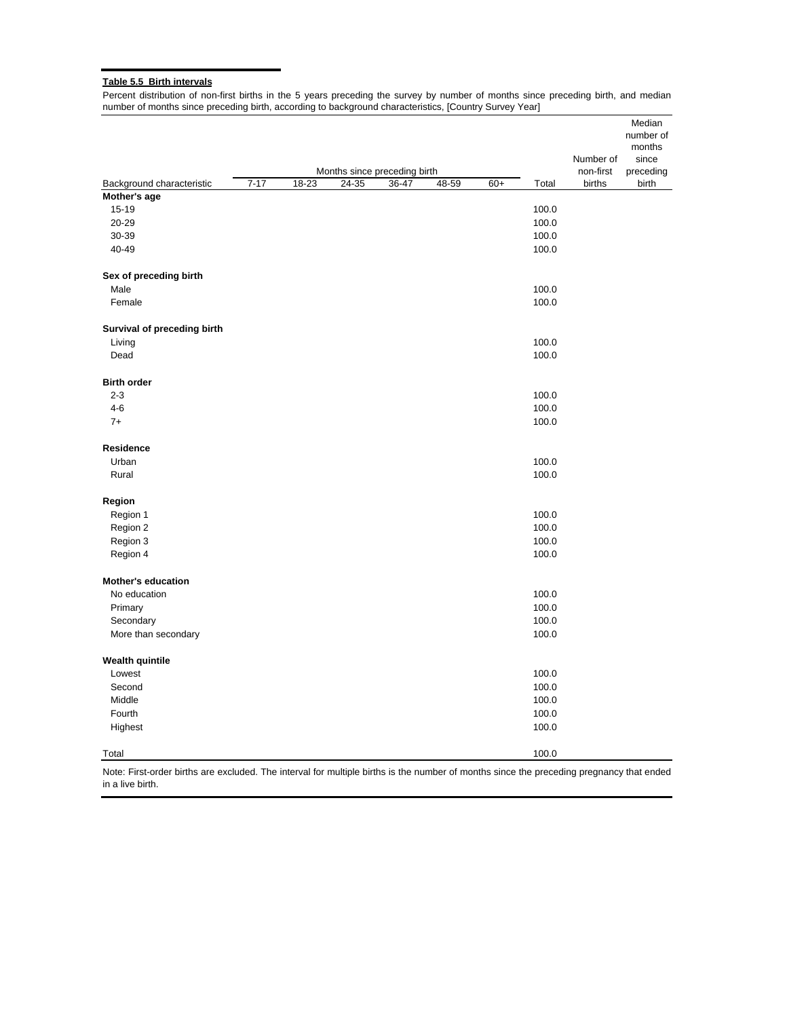## **Table 5.5 Birth intervals**

Percent distribution of non-first births in the 5 years preceding the survey by number of months since preceding birth, and median number of months since preceding birth, according to background characteristics, [Country Survey Year]

|                             |          |       | Months since preceding birth |       |       |       |       | Number of<br>non-first | Median<br>number of<br>months<br>since<br>preceding |
|-----------------------------|----------|-------|------------------------------|-------|-------|-------|-------|------------------------|-----------------------------------------------------|
| Background characteristic   | $7 - 17$ | 18-23 | 24-35                        | 36-47 | 48-59 | $60+$ | Total | births                 | birth                                               |
| Mother's age                |          |       |                              |       |       |       |       |                        |                                                     |
| 15-19                       |          |       |                              |       |       |       | 100.0 |                        |                                                     |
| 20-29                       |          |       |                              |       |       |       | 100.0 |                        |                                                     |
| 30-39                       |          |       |                              |       |       |       | 100.0 |                        |                                                     |
| 40-49                       |          |       |                              |       |       |       | 100.0 |                        |                                                     |
| Sex of preceding birth      |          |       |                              |       |       |       |       |                        |                                                     |
| Male                        |          |       |                              |       |       |       | 100.0 |                        |                                                     |
| Female                      |          |       |                              |       |       |       | 100.0 |                        |                                                     |
| Survival of preceding birth |          |       |                              |       |       |       |       |                        |                                                     |
| Living                      |          |       |                              |       |       |       | 100.0 |                        |                                                     |
| Dead                        |          |       |                              |       |       |       | 100.0 |                        |                                                     |
| <b>Birth order</b>          |          |       |                              |       |       |       |       |                        |                                                     |
| $2 - 3$                     |          |       |                              |       |       |       | 100.0 |                        |                                                     |
| $4-6$                       |          |       |                              |       |       |       | 100.0 |                        |                                                     |
| $7+$                        |          |       |                              |       |       |       | 100.0 |                        |                                                     |
| <b>Residence</b>            |          |       |                              |       |       |       |       |                        |                                                     |
| Urban                       |          |       |                              |       |       |       | 100.0 |                        |                                                     |
| Rural                       |          |       |                              |       |       |       | 100.0 |                        |                                                     |
| Region                      |          |       |                              |       |       |       |       |                        |                                                     |
| Region 1                    |          |       |                              |       |       |       | 100.0 |                        |                                                     |
| Region 2                    |          |       |                              |       |       |       | 100.0 |                        |                                                     |
| Region 3                    |          |       |                              |       |       |       | 100.0 |                        |                                                     |
| Region 4                    |          |       |                              |       |       |       | 100.0 |                        |                                                     |
| <b>Mother's education</b>   |          |       |                              |       |       |       |       |                        |                                                     |
| No education                |          |       |                              |       |       |       | 100.0 |                        |                                                     |
| Primary                     |          |       |                              |       |       |       | 100.0 |                        |                                                     |
| Secondary                   |          |       |                              |       |       |       | 100.0 |                        |                                                     |
| More than secondary         |          |       |                              |       |       |       | 100.0 |                        |                                                     |
| <b>Wealth quintile</b>      |          |       |                              |       |       |       |       |                        |                                                     |
| Lowest                      |          |       |                              |       |       |       | 100.0 |                        |                                                     |
| Second                      |          |       |                              |       |       |       | 100.0 |                        |                                                     |
| Middle                      |          |       |                              |       |       |       | 100.0 |                        |                                                     |
| Fourth                      |          |       |                              |       |       |       | 100.0 |                        |                                                     |
| Highest                     |          |       |                              |       |       |       | 100.0 |                        |                                                     |
| Total                       |          |       |                              |       |       |       | 100.0 |                        |                                                     |

Note: First-order births are excluded. The interval for multiple births is the number of months since the preceding pregnancy that ended in a live birth.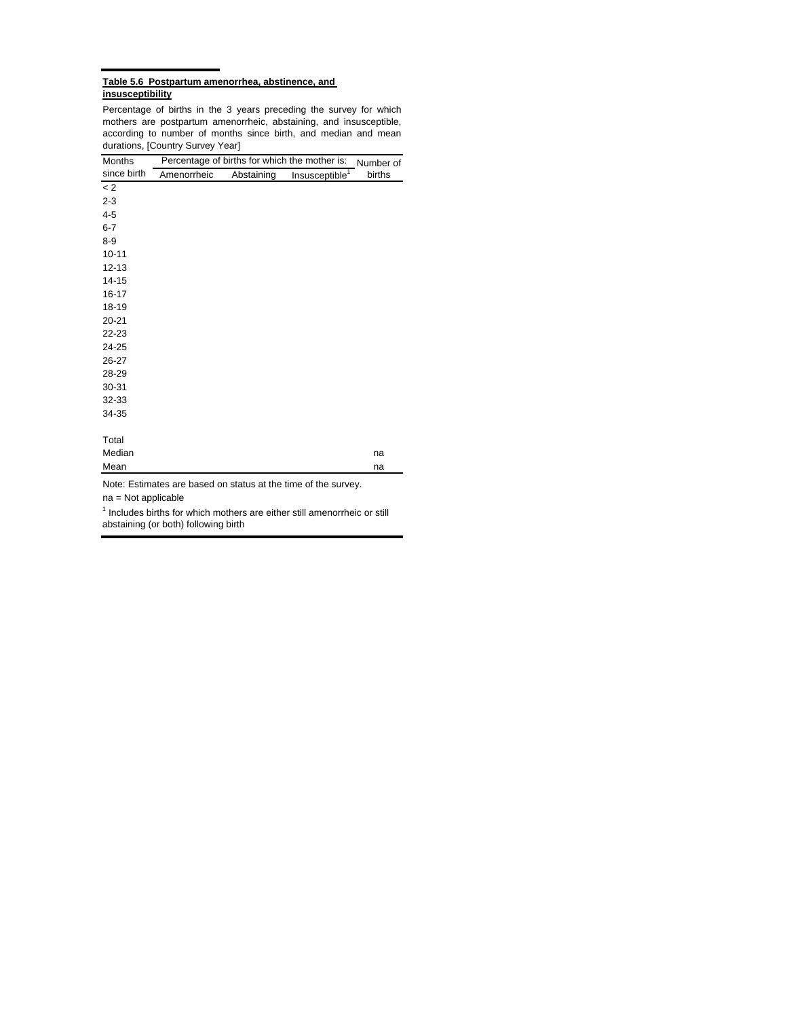#### **Table 5.6 Postpartum amenorrhea, abstinence, and insusceptibility**

Percentage of births in the 3 years preceding the survey for which mothers are postpartum amenorrheic, abstaining, and insusceptible, according to number of months since birth, and median and mean durations, [Country Survey Year]

| Months                | Percentage of births for which the mother is: |            |                                                                | Number of |
|-----------------------|-----------------------------------------------|------------|----------------------------------------------------------------|-----------|
| since birth           | Amenorrheic                                   | Abstaining | Insusceptible <sup>1</sup>                                     | births    |
| < 2                   |                                               |            |                                                                |           |
| $2 - 3$               |                                               |            |                                                                |           |
| $4 - 5$               |                                               |            |                                                                |           |
| $6 - 7$               |                                               |            |                                                                |           |
| $8 - 9$               |                                               |            |                                                                |           |
| $10 - 11$             |                                               |            |                                                                |           |
| $12 - 13$             |                                               |            |                                                                |           |
| $14 - 15$             |                                               |            |                                                                |           |
| $16 - 17$             |                                               |            |                                                                |           |
| 18-19                 |                                               |            |                                                                |           |
| $20 - 21$             |                                               |            |                                                                |           |
| 22-23                 |                                               |            |                                                                |           |
| 24-25                 |                                               |            |                                                                |           |
| 26-27                 |                                               |            |                                                                |           |
| 28-29                 |                                               |            |                                                                |           |
| 30-31                 |                                               |            |                                                                |           |
| 32-33                 |                                               |            |                                                                |           |
| 34-35                 |                                               |            |                                                                |           |
|                       |                                               |            |                                                                |           |
| Total                 |                                               |            |                                                                |           |
| Median                |                                               |            |                                                                | na        |
| Mean                  |                                               |            |                                                                | na        |
| $na = Not applicable$ |                                               |            | Note: Estimates are based on status at the time of the survey. |           |

<sup>1</sup> Includes births for which mothers are either still amenorrheic or still abstaining (or both) following birth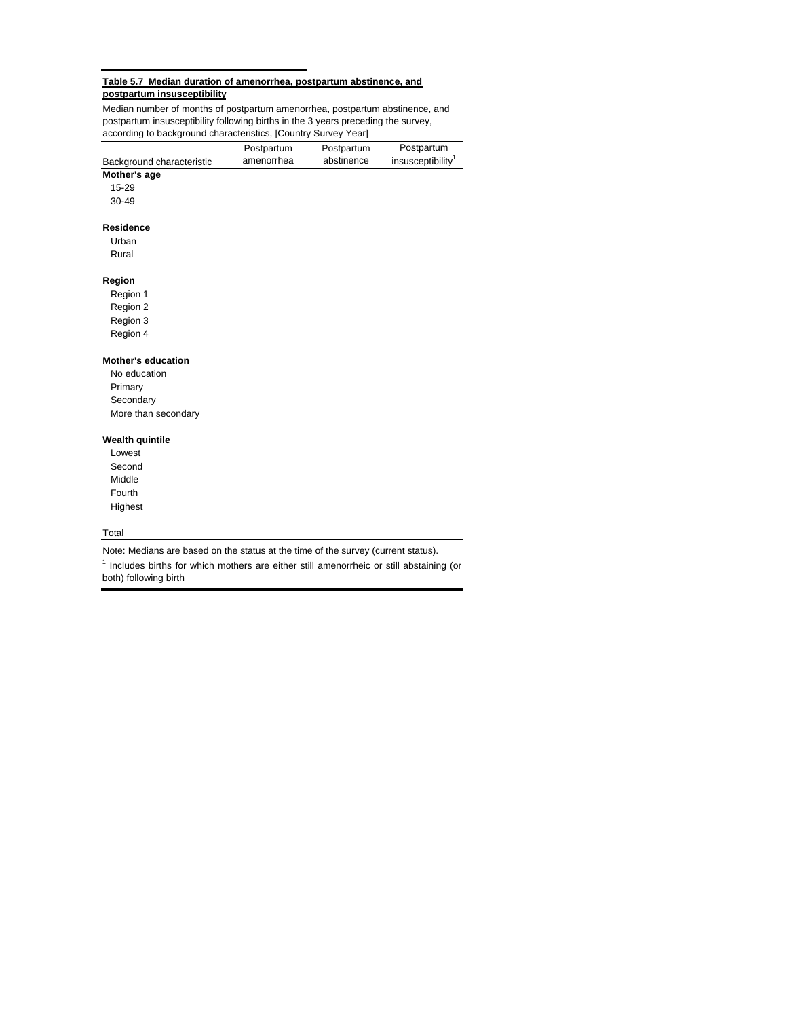#### **Table 5.7 Median duration of amenorrhea, postpartum abstinence, and postpartum insusceptibility**

Median number of months of postpartum amenorrhea, postpartum abstinence, and postpartum insusceptibility following births in the 3 years preceding the survey, according to background characteristics, [Country Survey Year]

|                           | Postpartum | Postpartum | Postpartum                    |
|---------------------------|------------|------------|-------------------------------|
| Background characteristic | amenorrhea | abstinence | insusceptibility <sup>1</sup> |
| Mother's age              |            |            |                               |
| 15-29                     |            |            |                               |
| 30-49                     |            |            |                               |
| <b>Residence</b>          |            |            |                               |
| Urban                     |            |            |                               |
| Rural                     |            |            |                               |
| Region                    |            |            |                               |
| Region 1                  |            |            |                               |
| Region 2                  |            |            |                               |
| Region 3                  |            |            |                               |
| Region 4                  |            |            |                               |
| <b>Mother's education</b> |            |            |                               |
| No education              |            |            |                               |
| Primary                   |            |            |                               |
| Secondary                 |            |            |                               |
| More than secondary       |            |            |                               |
| <b>Wealth quintile</b>    |            |            |                               |
| Lowest                    |            |            |                               |
| Second                    |            |            |                               |
| Middle                    |            |            |                               |
| Fourth                    |            |            |                               |
| Highest                   |            |            |                               |

#### Total

Note: Medians are based on the status at the time of the survey (current status).

 $<sup>1</sup>$  Includes births for which mothers are either still amenorrheic or still abstaining (or</sup> both) following birth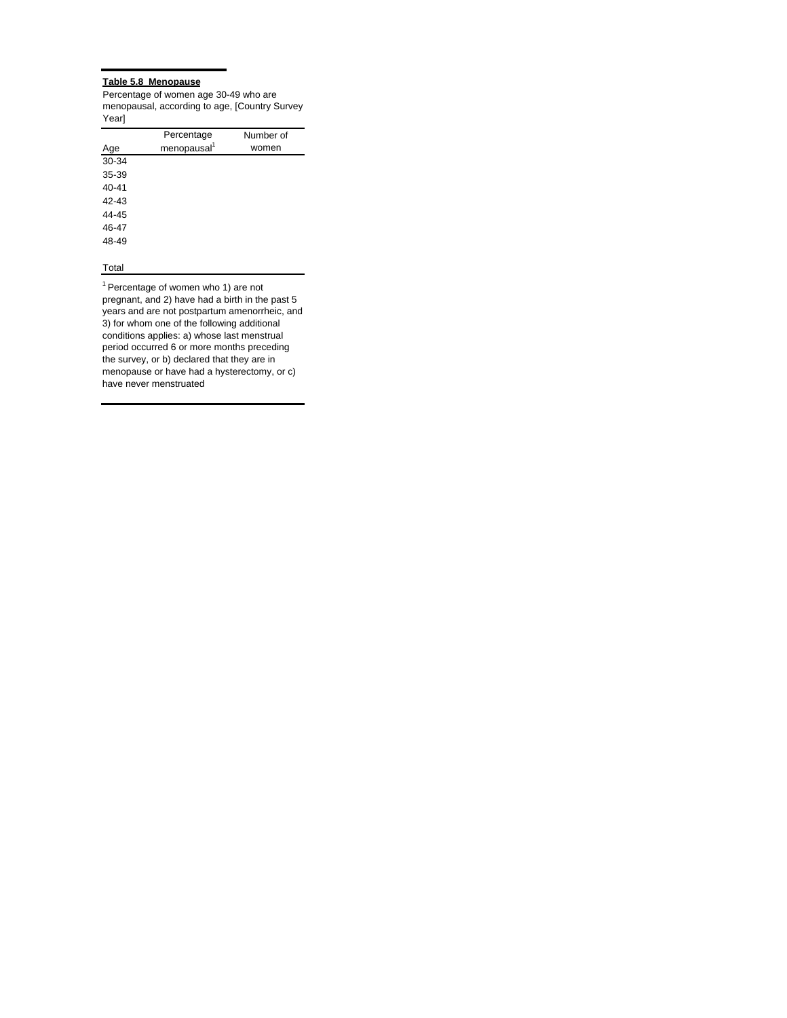#### **Table 5.8 Menopause**

Percentage of women age 30-49 who are menopausal, according to age, [Country Survey Year]

|           | Percentage              | Number of |
|-----------|-------------------------|-----------|
| Age       | menopausal <sup>1</sup> | women     |
| 30-34     |                         |           |
| 35-39     |                         |           |
| $40 - 41$ |                         |           |
| 42-43     |                         |           |
| 44-45     |                         |           |
| 46-47     |                         |           |
| 48-49     |                         |           |
|           |                         |           |

#### Total

 $1$  Percentage of women who 1) are not pregnant, and 2) have had a birth in the past 5 years and are not postpartum amenorrheic, and 3) for whom one of the following additional conditions applies: a) whose last menstrual period occurred 6 or more months preceding the survey, or b) declared that they are in menopause or have had a hysterectomy, or c) have never menstruated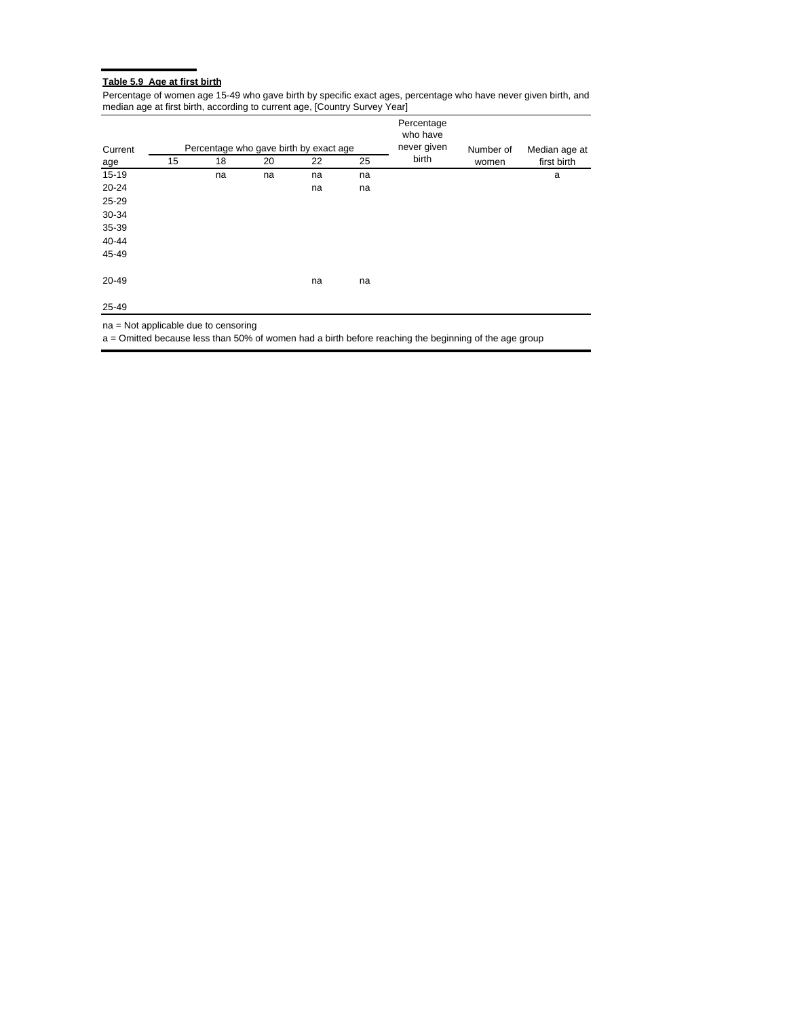# **Table 5.9 Age at first birth**

Percentage of women age 15-49 who gave birth by specific exact ages, percentage who have never given birth, and median age at first birth, according to current age, [Country Survey Year]

| Current   |    |    |    | Percentage who gave birth by exact age | Percentage<br>who have<br>never given | Number of | Median age at |             |
|-----------|----|----|----|----------------------------------------|---------------------------------------|-----------|---------------|-------------|
| age       | 15 | 18 | 20 | 22                                     | 25                                    | birth     | women         | first birth |
| 15-19     |    | na | na | na                                     | na                                    |           |               | a           |
| $20 - 24$ |    |    |    | na                                     | na                                    |           |               |             |
| 25-29     |    |    |    |                                        |                                       |           |               |             |
| 30-34     |    |    |    |                                        |                                       |           |               |             |
| 35-39     |    |    |    |                                        |                                       |           |               |             |
| 40-44     |    |    |    |                                        |                                       |           |               |             |
| 45-49     |    |    |    |                                        |                                       |           |               |             |
| $20 - 49$ |    |    |    | na                                     | na                                    |           |               |             |
| 25-49     |    |    |    |                                        |                                       |           |               |             |

na = Not applicable due to censoring

a = Omitted because less than 50% of women had a birth before reaching the beginning of the age group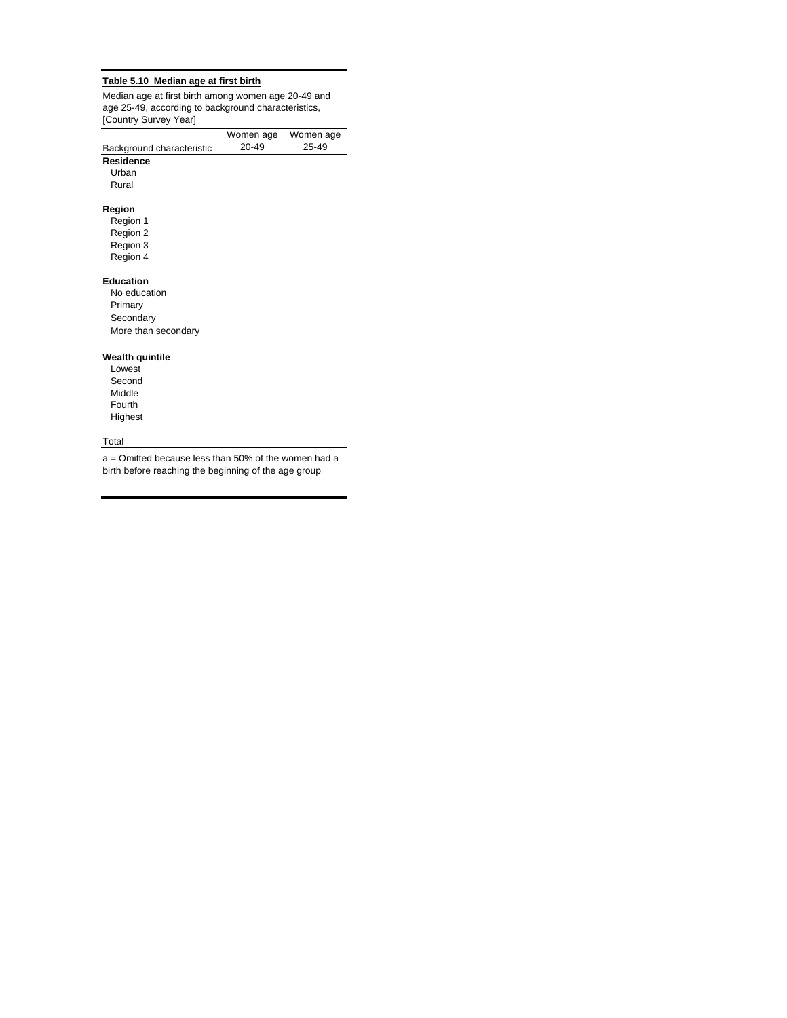#### **Table 5.10 Median age at first birth**

Median age at first birth among women age 20-49 and age 25-49, according to background characteristics, [Country Survey Year]

|                           | Women age | Women age |
|---------------------------|-----------|-----------|
| Background characteristic | 20-49     | 25-49     |
| <b>Residence</b>          |           |           |
| Urban                     |           |           |
| Rural                     |           |           |
|                           |           |           |
| Region                    |           |           |
| Region 1                  |           |           |
| Region 2                  |           |           |
| Region 3                  |           |           |
| Region 4                  |           |           |
| <b>Education</b>          |           |           |
| No education              |           |           |
| Primary                   |           |           |
| Secondary                 |           |           |
| More than secondary       |           |           |
|                           |           |           |
| <b>Wealth quintile</b>    |           |           |
| Lowest                    |           |           |
| Second                    |           |           |
| Middle                    |           |           |
| Fourth                    |           |           |
| Highest                   |           |           |
|                           |           |           |

# **Total**

a = Omitted because less than 50% of the women had a birth before reaching the beginning of the age group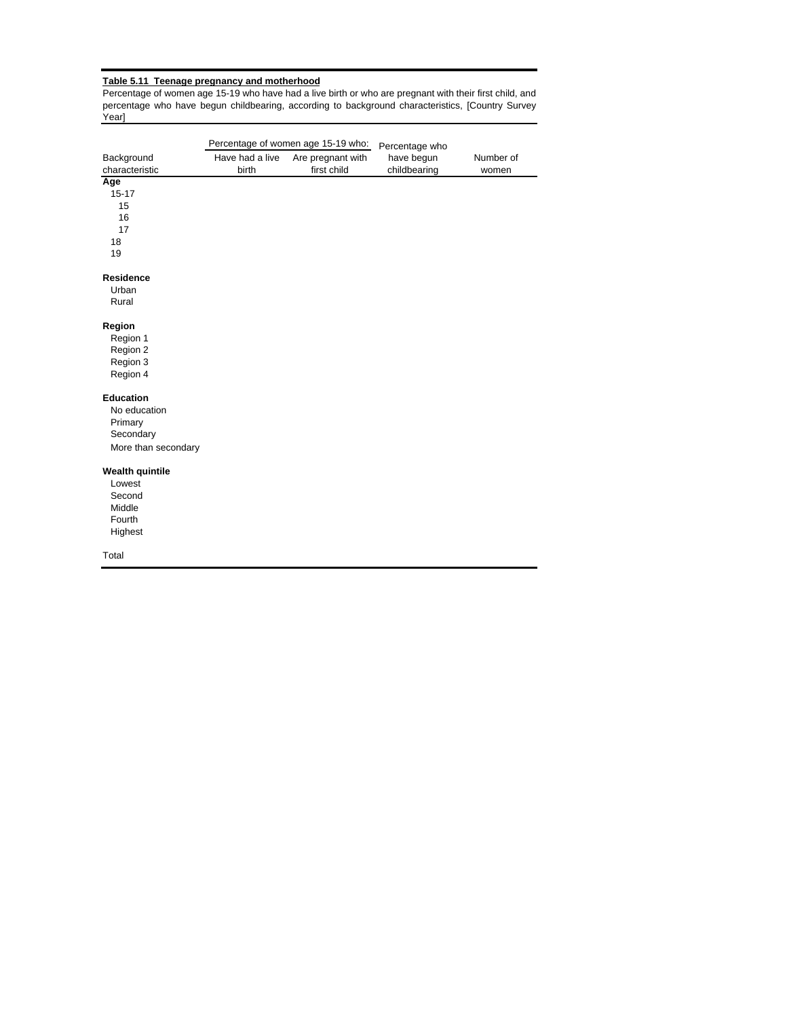## **Table 5.11 Teenage pregnancy and motherhood**

Percentage of women age 15-19 who have had a live birth or who are pregnant with their first child, and percentage who have begun childbearing, according to background characteristics, [Country Survey Year]

|                        |                 | Percentage of women age 15-19 who: | Percentage who |           |
|------------------------|-----------------|------------------------------------|----------------|-----------|
| Background             | Have had a live | Are pregnant with                  | have begun     | Number of |
| characteristic         | birth           | first child                        | childbearing   | women     |
| Age                    |                 |                                    |                |           |
| $15 - 17$              |                 |                                    |                |           |
| 15                     |                 |                                    |                |           |
| 16                     |                 |                                    |                |           |
| 17                     |                 |                                    |                |           |
| 18                     |                 |                                    |                |           |
| 19                     |                 |                                    |                |           |
| <b>Residence</b>       |                 |                                    |                |           |
| Urban                  |                 |                                    |                |           |
| Rural                  |                 |                                    |                |           |
|                        |                 |                                    |                |           |
| Region                 |                 |                                    |                |           |
| Region 1               |                 |                                    |                |           |
| Region 2               |                 |                                    |                |           |
| Region 3               |                 |                                    |                |           |
| Region 4               |                 |                                    |                |           |
| <b>Education</b>       |                 |                                    |                |           |
| No education           |                 |                                    |                |           |
| Primary                |                 |                                    |                |           |
| Secondary              |                 |                                    |                |           |
|                        |                 |                                    |                |           |
| More than secondary    |                 |                                    |                |           |
| <b>Wealth quintile</b> |                 |                                    |                |           |
| Lowest                 |                 |                                    |                |           |
| Second                 |                 |                                    |                |           |
| Middle                 |                 |                                    |                |           |
| Fourth                 |                 |                                    |                |           |
| Highest                |                 |                                    |                |           |
| Total                  |                 |                                    |                |           |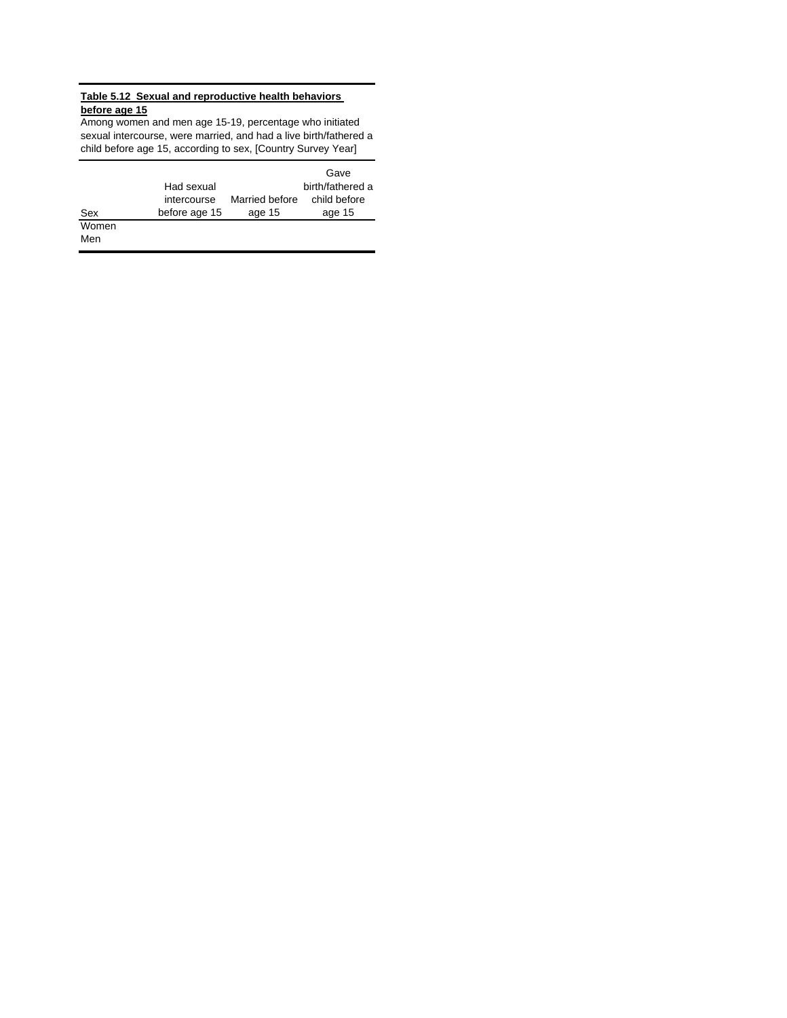## **Table 5.12 Sexual and reproductive health behaviors before age 15**

Among women and men age 15-19, percentage who initiated sexual intercourse, were married, and had a live birth/fathered a child before age 15, according to sex, [Country Survey Year]

|       |               |                | Gave             |
|-------|---------------|----------------|------------------|
|       | Had sexual    |                | birth/fathered a |
|       | intercourse   | Married before | child before     |
| Sex   | before age 15 | age 15         | age 15           |
| Women |               |                |                  |
| Men   |               |                |                  |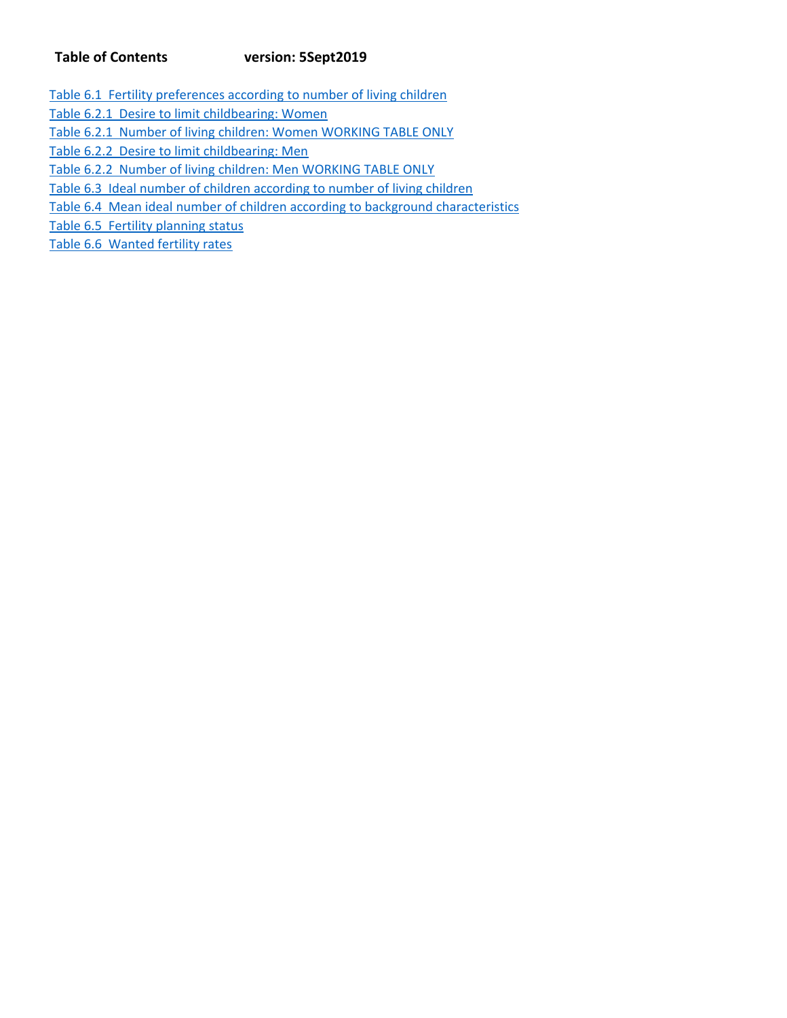## **Table of Contents version: 5Sept2019**

- Table 6.1 Fertility preferences according to number of living children
- Table 6.2.1 Desire to limit childbearing: Women
- Table 6.2.1 Number of living children: Women WORKING TABLE ONLY
- Table 6.2.2 Desire to limit childbearing: Men
- Table 6.2.2 Number of living children: Men WORKING TABLE ONLY
- Table 6.3 Ideal number of children according to number of living children
- Table 6.4 Mean ideal number of children according to background characteristics
- Table 6.5 Fertility planning status
- Table 6.6 Wanted fertility rates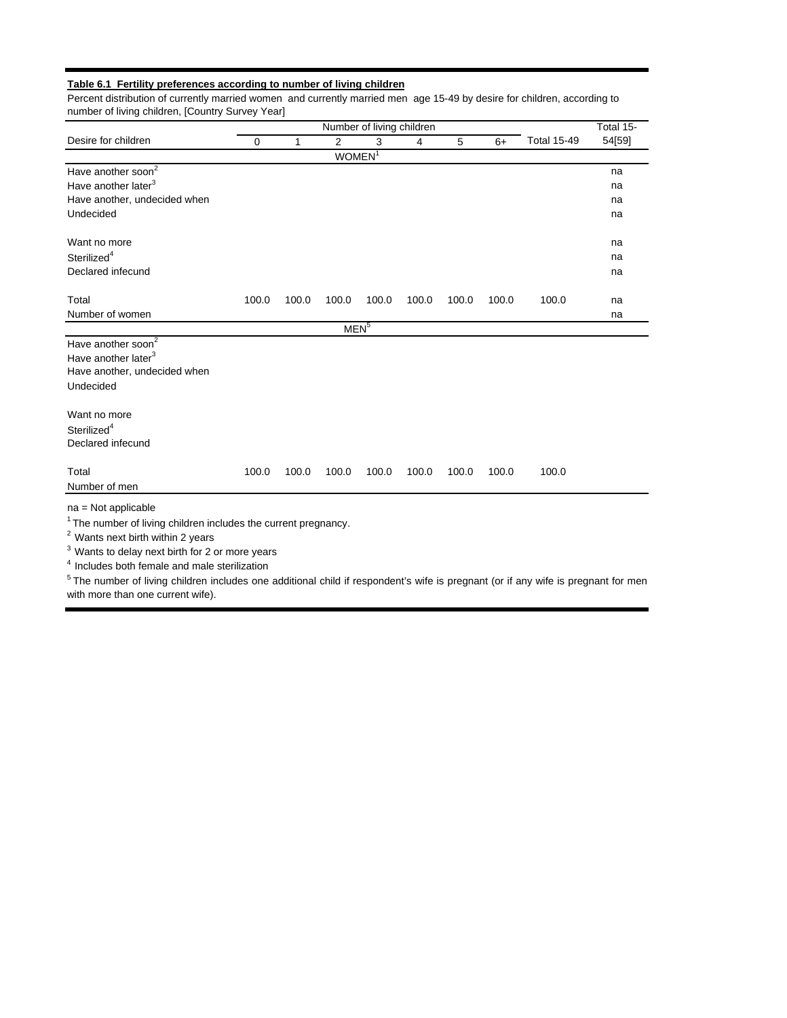## **Table 6.1 Fertility preferences according to number of living children**

Percent distribution of currently married women and currently married men age 15-49 by desire for children, according to number of living children, [Country Survey Year]

|                                                                                                                                                                                                                                                                               |          |       |                    | Number of living children |       |       |       |                    | Total 15- |
|-------------------------------------------------------------------------------------------------------------------------------------------------------------------------------------------------------------------------------------------------------------------------------|----------|-------|--------------------|---------------------------|-------|-------|-------|--------------------|-----------|
| Desire for children                                                                                                                                                                                                                                                           | $\Omega$ | 1     | 2                  |                           | 4     | 5     | $6+$  | <b>Total 15-49</b> | 54[59]    |
|                                                                                                                                                                                                                                                                               |          |       | WOMEN <sup>1</sup> |                           |       |       |       |                    |           |
| Have another soon <sup>2</sup>                                                                                                                                                                                                                                                |          |       |                    |                           |       |       |       |                    | na        |
| Have another later <sup>3</sup>                                                                                                                                                                                                                                               |          |       |                    |                           |       |       |       |                    | na        |
| Have another, undecided when                                                                                                                                                                                                                                                  |          |       |                    |                           |       |       |       |                    | na        |
| Undecided                                                                                                                                                                                                                                                                     |          |       |                    |                           |       |       |       |                    | na        |
| Want no more                                                                                                                                                                                                                                                                  |          |       |                    |                           |       |       |       |                    | na        |
| Sterilized <sup>4</sup>                                                                                                                                                                                                                                                       |          |       |                    |                           |       |       |       |                    | na        |
| Declared infecund                                                                                                                                                                                                                                                             |          |       |                    |                           |       |       |       |                    | na        |
| Total                                                                                                                                                                                                                                                                         | 100.0    | 100.0 | 100.0              | 100.0                     | 100.0 | 100.0 | 100.0 | 100.0              | na        |
| Number of women                                                                                                                                                                                                                                                               |          |       |                    |                           |       |       |       |                    | na        |
|                                                                                                                                                                                                                                                                               |          |       | MEN <sup>5</sup>   |                           |       |       |       |                    |           |
| Have another soon <sup>2</sup><br>Have another later <sup>3</sup><br>Have another, undecided when<br>Undecided<br>Want no more                                                                                                                                                |          |       |                    |                           |       |       |       |                    |           |
|                                                                                                                                                                                                                                                                               |          |       |                    |                           |       |       |       |                    |           |
| Sterilized <sup>4</sup><br>Declared infecund                                                                                                                                                                                                                                  |          |       |                    |                           |       |       |       |                    |           |
| Total                                                                                                                                                                                                                                                                         | 100.0    | 100.0 | 100.0              | 100.0                     | 100.0 | 100.0 | 100.0 | 100.0              |           |
| Number of men                                                                                                                                                                                                                                                                 |          |       |                    |                           |       |       |       |                    |           |
| $na = Not applicable$<br><sup>1</sup> The number of living children includes the current pregnancy.<br><sup>2</sup> Wants next birth within 2 years<br><sup>3</sup> Wants to delay next birth for 2 or more years<br><sup>4</sup> Includes both female and male sterilization |          |       |                    |                           |       |       |       |                    |           |
| <sup>5</sup> The number of living children includes one additional child if respondent's wife is pregnant (or if any wife is pregnant for men                                                                                                                                 |          |       |                    |                           |       |       |       |                    |           |

with more than one current wife).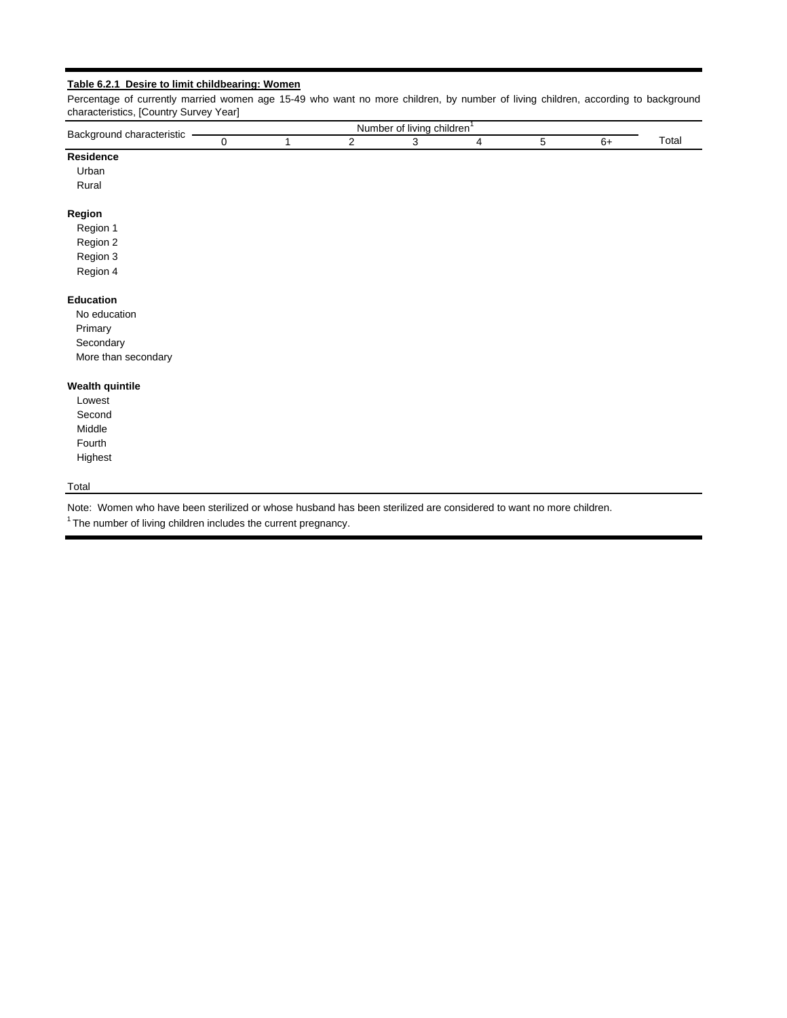## **Table 6.2.1 Desire to limit childbearing: Women**

Percentage of currently married women age 15-49 who want no more children, by number of living children, according to background characteristics, [Country Survey Year]

| Back<br>characteristic<br>nuno |  | ЛĽ | .ıber<br>livine<br>יט<br>-<br>. | $\cdot$ .<br>ı childrer |  |           |
|--------------------------------|--|----|---------------------------------|-------------------------|--|-----------|
| ___                            |  |    |                                 |                         |  | Ulc.<br>. |

## **Residence**

Urban

Rural

### **Region**

- Region 1 Region 2 Region 3
- Region 4

## **Education**

 No education Primary Secondary More than secondary

#### **Wealth quintile**

Lowest Second Middle Fourth Highest

## Total

Note: Women who have been sterilized or whose husband has been sterilized are considered to want no more children.

 $1$  The number of living children includes the current pregnancy.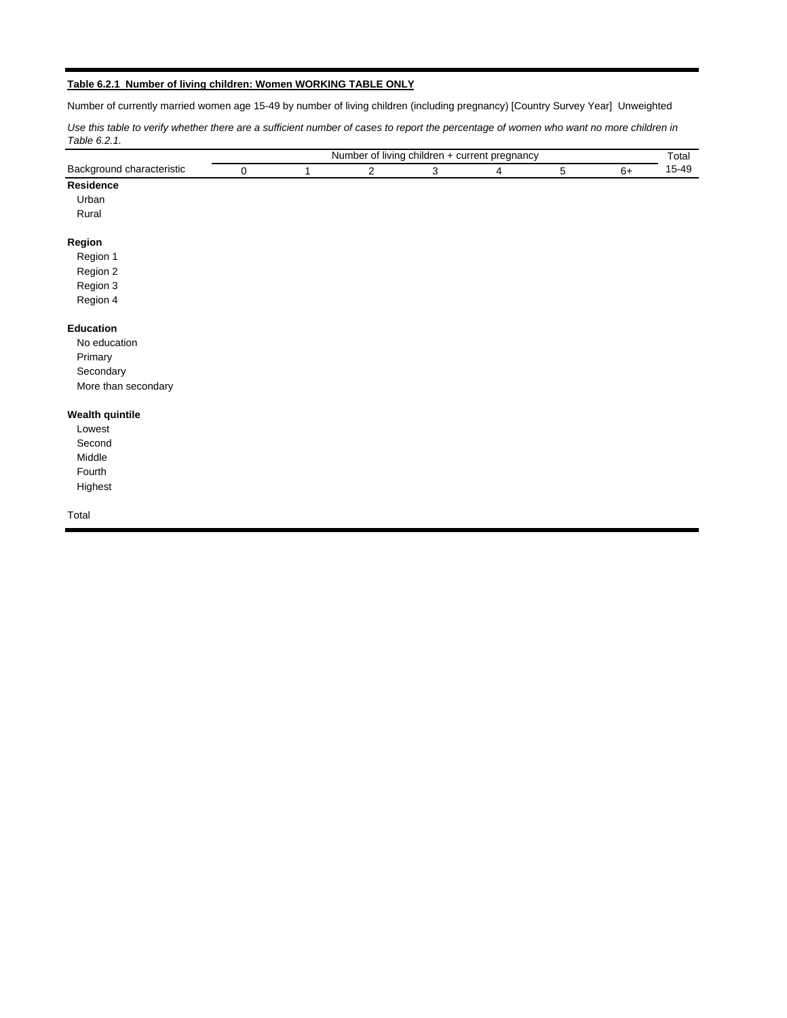## **Table 6.2.1 Number of living children: Women WORKING TABLE ONLY**

Number of currently married women age 15-49 by number of living children (including pregnancy) [Country Survey Year] Unweighted

Use this table to verify whether there are a sufficient number of cases to report the percentage of women who want no more children in *Table 6.2.1.*

|                           |             |   |   |   | Number of living children + current pregnancy |   |      | Total |
|---------------------------|-------------|---|---|---|-----------------------------------------------|---|------|-------|
| Background characteristic | $\mathbf 0$ | 1 | 2 | 3 | 4                                             | 5 | $6+$ | 15-49 |
| Residence                 |             |   |   |   |                                               |   |      |       |
| Urban                     |             |   |   |   |                                               |   |      |       |
| Rural                     |             |   |   |   |                                               |   |      |       |
| Region                    |             |   |   |   |                                               |   |      |       |
| Region 1                  |             |   |   |   |                                               |   |      |       |
| Region 2                  |             |   |   |   |                                               |   |      |       |
| Region 3                  |             |   |   |   |                                               |   |      |       |
| Region 4                  |             |   |   |   |                                               |   |      |       |
| Education                 |             |   |   |   |                                               |   |      |       |
| No education              |             |   |   |   |                                               |   |      |       |
| Primary                   |             |   |   |   |                                               |   |      |       |
| Secondary                 |             |   |   |   |                                               |   |      |       |
| More than secondary       |             |   |   |   |                                               |   |      |       |
| <b>Wealth quintile</b>    |             |   |   |   |                                               |   |      |       |
| Lowest                    |             |   |   |   |                                               |   |      |       |
| Second                    |             |   |   |   |                                               |   |      |       |
| Middle                    |             |   |   |   |                                               |   |      |       |
| Fourth                    |             |   |   |   |                                               |   |      |       |
| Highest                   |             |   |   |   |                                               |   |      |       |
| Total                     |             |   |   |   |                                               |   |      |       |
|                           |             |   |   |   |                                               |   |      |       |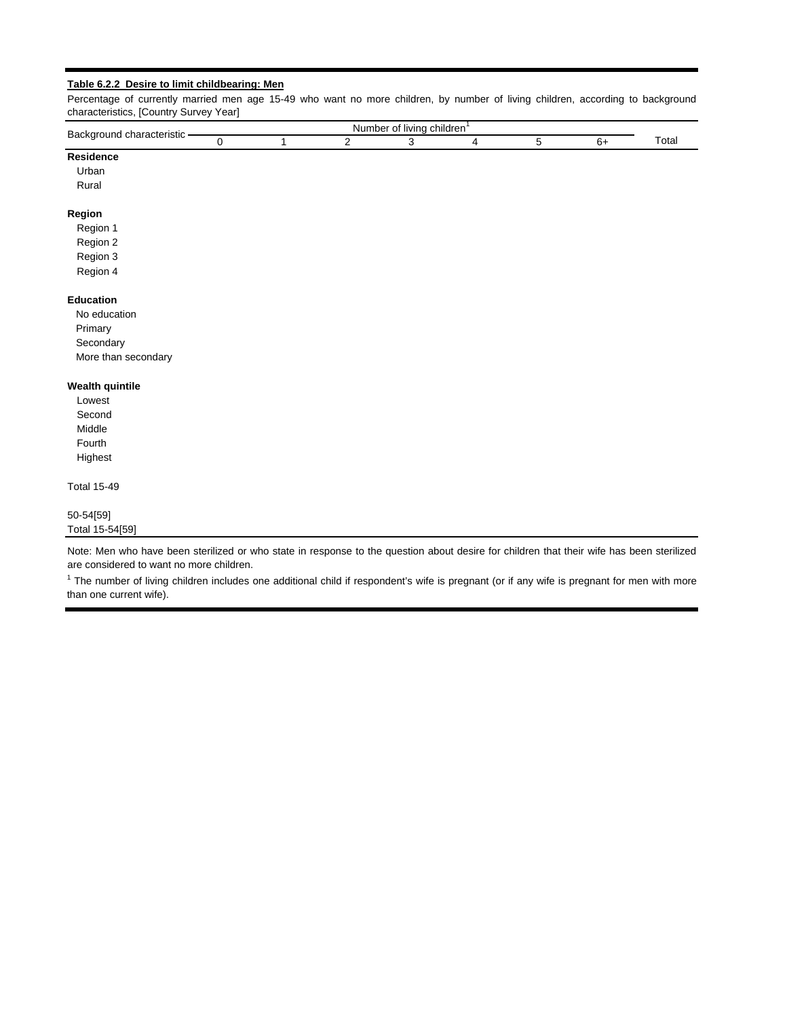#### **Table 6.2.2 Desire to limit childbearing: Men**

Percentage of currently married men age 15-49 who want no more children, by number of living children, according to background characteristics, [Country Survey Year]

| <b>Backo</b><br>∣ characteristic<br>around |  | Nui | $\sim$<br>0t<br>livina<br>nber | children |  |                                  |
|--------------------------------------------|--|-----|--------------------------------|----------|--|----------------------------------|
|                                            |  |     |                                |          |  | $\overline{\phantom{0}}$<br>otal |

## **Residence**

Urban

Rural

#### **Region**

- Region 1 Region 2 Region 3
- Region 4

#### **Education**

 No education Primary **Secondary** More than secondary

#### **Wealth quintile**

Lowest Second Middle Fourth Highest

Total 15-49

### 50-54[59] Total 15-54[59]

Note: Men who have been sterilized or who state in response to the question about desire for children that their wife has been sterilized are considered to want no more children.

 $1$  The number of living children includes one additional child if respondent's wife is pregnant (or if any wife is pregnant for men with more than one current wife).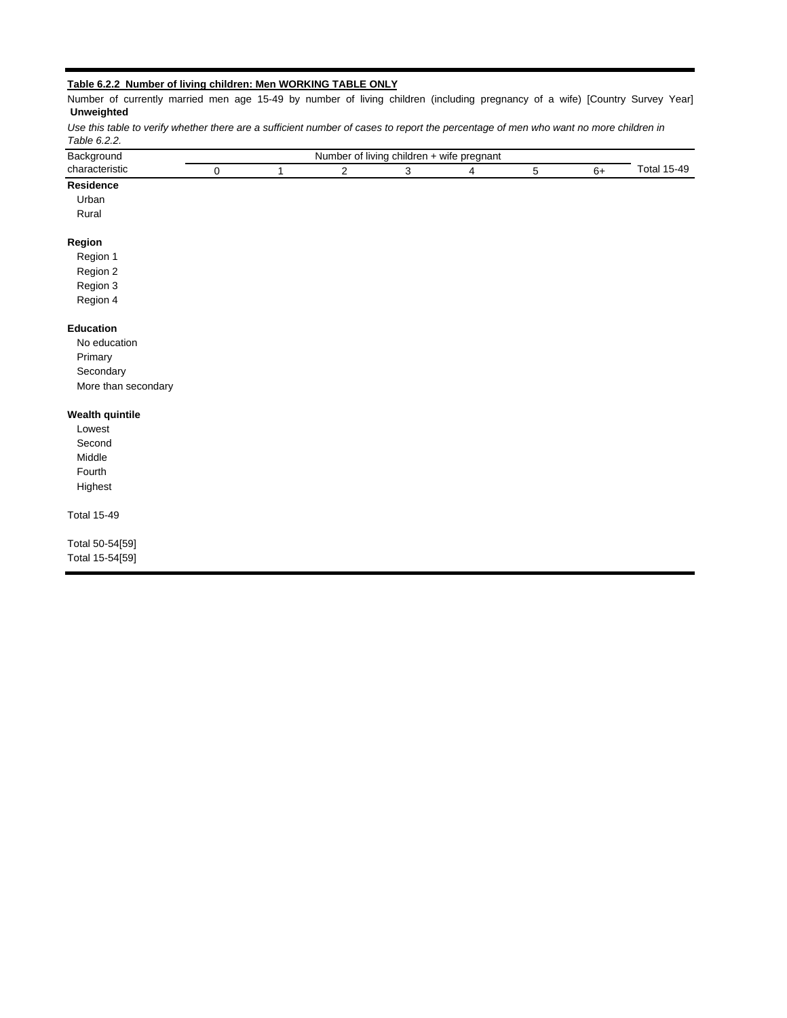### **Table 6.2.2 Number of living children: Men WORKING TABLE ONLY**

0 1 2 3 4 5 6+ **Residence** Urban Rural Total 15-49 *Use this table to verify whether there are a sufficient number of cases to report the percentage of men who want no more children in Table 6.2.2.* Number of currently married men age 15-49 by number of living children (including pregnancy of a wife) [Country Survey Year] **Unweighted** Background **Background Number of living children + wife pregnant** characteristic

## **Region**

Region 1 Region 2 Region 3

Region 4

#### **Education**

No education Primary **Secondary** More than secondary

### **Wealth quintile**

Lowest Second Middle Fourth Highest

Total 15-49

Total 50-54[59] Total 15-54[59]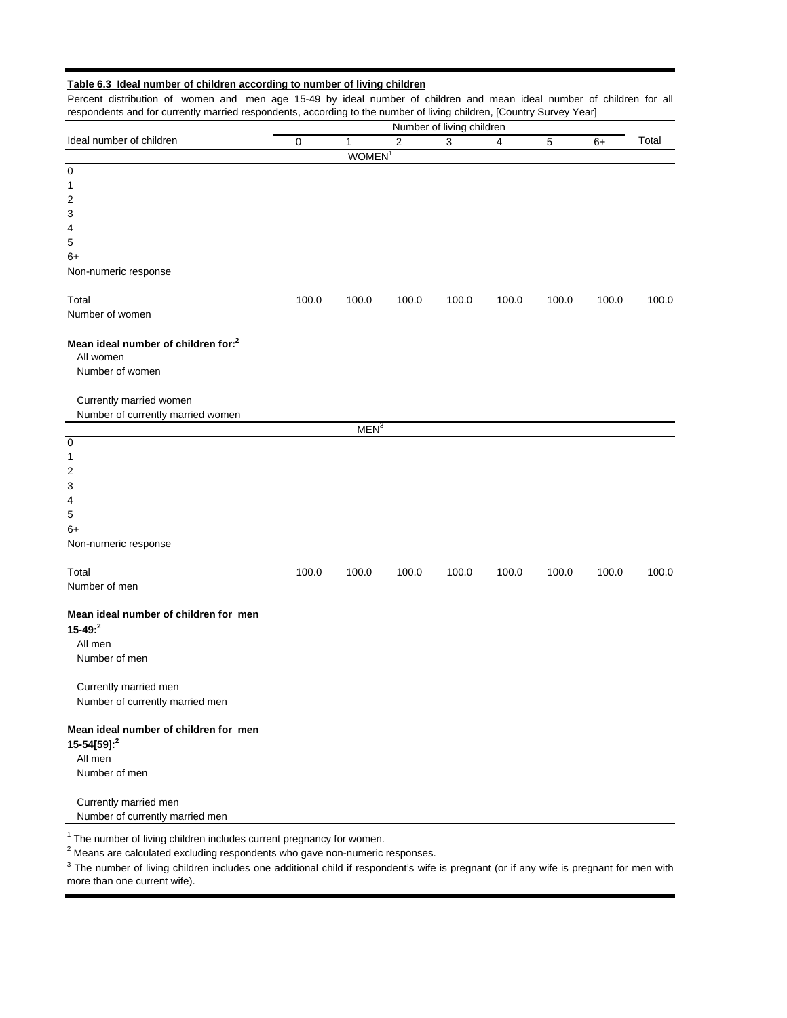## **Table 6.3 Ideal number of children according to number of living children**

Percent distribution of women and men age 15-49 by ideal number of children and mean ideal number of children for all respondents and for currently married respondents, according to the number of living children, [Country Survey Year]

|                                                                                                                                              | Number of living children |                    |            |       |       |             |       |       |  |  |  |
|----------------------------------------------------------------------------------------------------------------------------------------------|---------------------------|--------------------|------------|-------|-------|-------------|-------|-------|--|--|--|
| Ideal number of children                                                                                                                     | $\pmb{0}$                 | 1                  | $\sqrt{2}$ | 3     | 4     | $\mathbf 5$ | $6+$  | Total |  |  |  |
|                                                                                                                                              |                           | WOMEN <sup>1</sup> |            |       |       |             |       |       |  |  |  |
| $\pmb{0}$                                                                                                                                    |                           |                    |            |       |       |             |       |       |  |  |  |
| 1                                                                                                                                            |                           |                    |            |       |       |             |       |       |  |  |  |
| 2                                                                                                                                            |                           |                    |            |       |       |             |       |       |  |  |  |
| 3                                                                                                                                            |                           |                    |            |       |       |             |       |       |  |  |  |
| 4                                                                                                                                            |                           |                    |            |       |       |             |       |       |  |  |  |
| 5                                                                                                                                            |                           |                    |            |       |       |             |       |       |  |  |  |
| $6+$                                                                                                                                         |                           |                    |            |       |       |             |       |       |  |  |  |
| Non-numeric response                                                                                                                         |                           |                    |            |       |       |             |       |       |  |  |  |
| Total                                                                                                                                        | 100.0                     | 100.0              | 100.0      | 100.0 | 100.0 | 100.0       | 100.0 | 100.0 |  |  |  |
| Number of women                                                                                                                              |                           |                    |            |       |       |             |       |       |  |  |  |
| Mean ideal number of children for: <sup>2</sup><br>All women<br>Number of women                                                              |                           |                    |            |       |       |             |       |       |  |  |  |
| Currently married women<br>Number of currently married women                                                                                 |                           |                    |            |       |       |             |       |       |  |  |  |
|                                                                                                                                              |                           | MEN <sup>3</sup>   |            |       |       |             |       |       |  |  |  |
| $\overline{0}$                                                                                                                               |                           |                    |            |       |       |             |       |       |  |  |  |
| 1                                                                                                                                            |                           |                    |            |       |       |             |       |       |  |  |  |
| 2                                                                                                                                            |                           |                    |            |       |       |             |       |       |  |  |  |
| 3                                                                                                                                            |                           |                    |            |       |       |             |       |       |  |  |  |
| 4                                                                                                                                            |                           |                    |            |       |       |             |       |       |  |  |  |
| 5                                                                                                                                            |                           |                    |            |       |       |             |       |       |  |  |  |
| $6+$                                                                                                                                         |                           |                    |            |       |       |             |       |       |  |  |  |
| Non-numeric response                                                                                                                         |                           |                    |            |       |       |             |       |       |  |  |  |
| Total                                                                                                                                        | 100.0                     | 100.0              | 100.0      | 100.0 | 100.0 | 100.0       | 100.0 | 100.0 |  |  |  |
| Number of men                                                                                                                                |                           |                    |            |       |       |             |       |       |  |  |  |
|                                                                                                                                              |                           |                    |            |       |       |             |       |       |  |  |  |
| Mean ideal number of children for men<br>$15 - 49: ^2$<br>All men<br>Number of men                                                           |                           |                    |            |       |       |             |       |       |  |  |  |
| Currently married men<br>Number of currently married men                                                                                     |                           |                    |            |       |       |             |       |       |  |  |  |
| Mean ideal number of children for men<br>15-54[59]: <sup>2</sup><br>All men<br>Number of men                                                 |                           |                    |            |       |       |             |       |       |  |  |  |
| Currently married men<br>Number of currently married men<br><sup>1</sup> The number of living children includes current pregnancy for women. |                           |                    |            |       |       |             |       |       |  |  |  |

<sup>1</sup> The number of living children includes current pregnancy for women.<br><sup>2</sup> Means are calculated excluding respondents who gave non-numeric responses.

<sup>3</sup> The number of living children includes one additional child if respondent's wife is pregnant (or if any wife is pregnant for men with more than one current wife).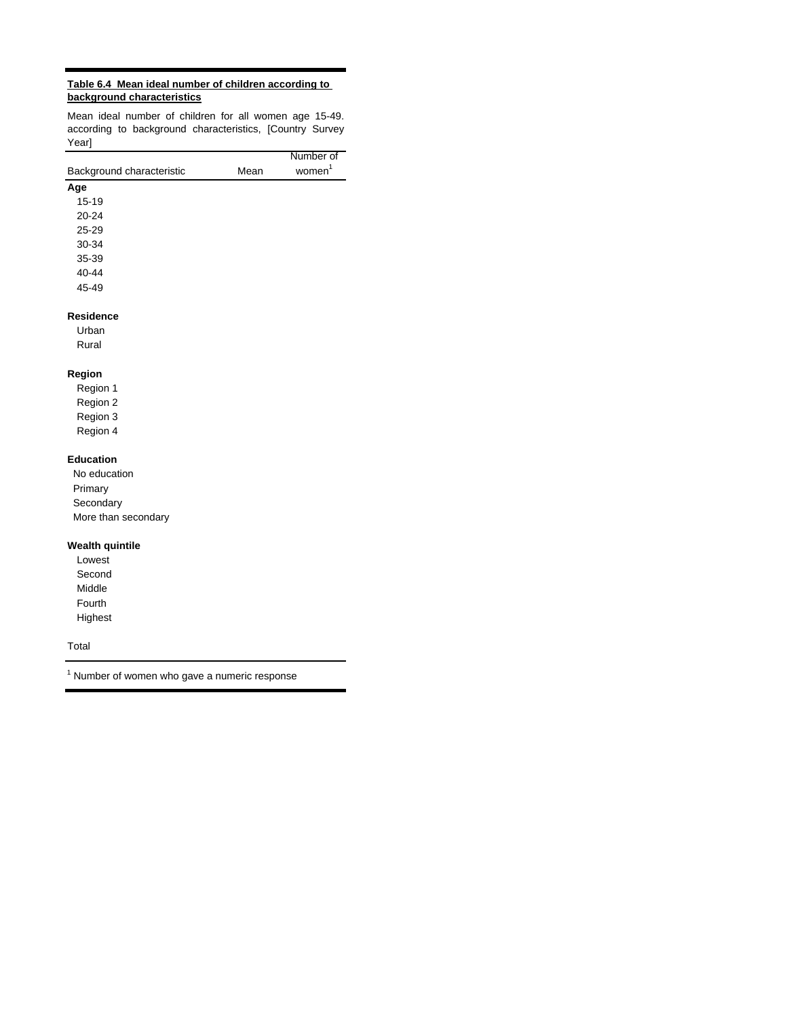## **Table 6.4 Mean ideal number of children according to background characteristics**

Mean ideal number of children for all women age 15-49. according to background characteristics, [Country Survey Year]

|                           |      | Number of          |
|---------------------------|------|--------------------|
| Background characteristic | Mean | women <sup>1</sup> |
| Age                       |      |                    |
| $15 - 19$                 |      |                    |
| 20-24                     |      |                    |
| 25-29                     |      |                    |
| 30-34                     |      |                    |
| 35-39                     |      |                    |
| 40-44                     |      |                    |
| 45-49                     |      |                    |
| <b>Residence</b>          |      |                    |
| Urban                     |      |                    |
| Rural                     |      |                    |
| Region                    |      |                    |
| Region 1                  |      |                    |
| Region 2                  |      |                    |
| Region 3                  |      |                    |
| Region 4                  |      |                    |
| <b>Education</b>          |      |                    |
| No education              |      |                    |
| Primary                   |      |                    |
| Secondary                 |      |                    |
| More than secondary       |      |                    |
|                           |      |                    |

## **Wealth quintile**

Lowest Second Middle Fourth Highest

Total

 $1$  Number of women who gave a numeric response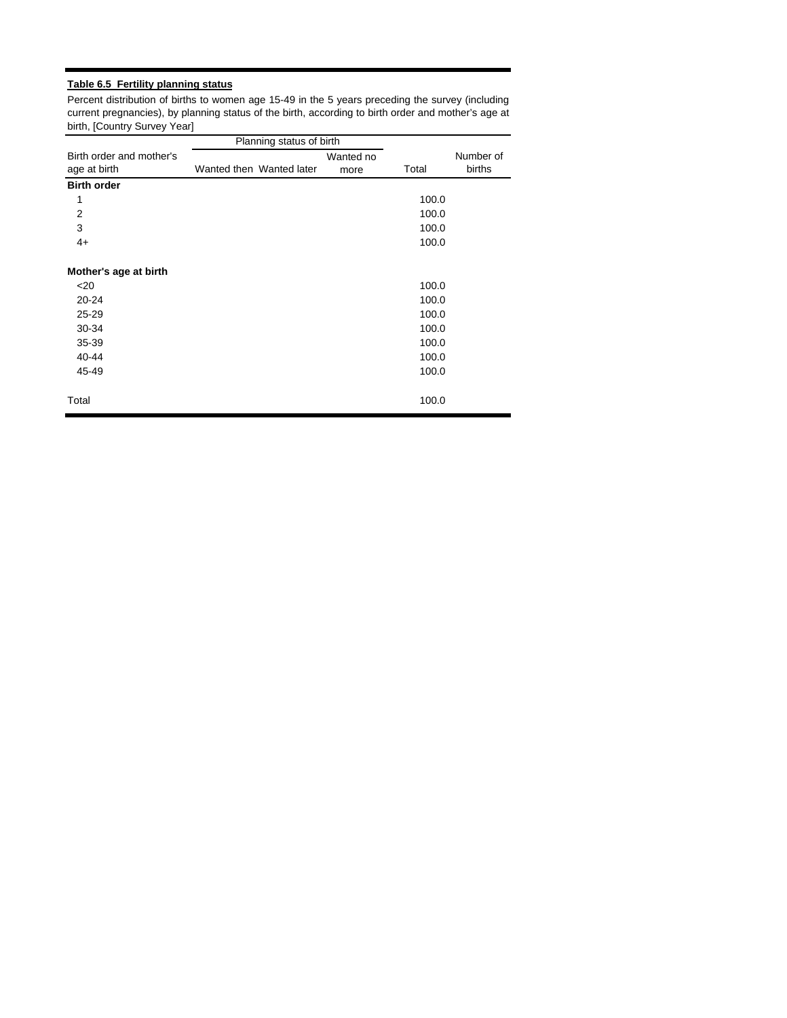## **Table 6.5 Fertility planning status**

Percent distribution of births to women age 15-49 in the 5 years preceding the survey (including current pregnancies), by planning status of the birth, according to birth order and mother's age at birth, [Country Survey Year]

|                          | Planning status of birth |           |       |           |
|--------------------------|--------------------------|-----------|-------|-----------|
| Birth order and mother's |                          | Wanted no |       | Number of |
| age at birth             | Wanted then Wanted later | more      | Total | births    |
| <b>Birth order</b>       |                          |           |       |           |
| 1                        |                          |           | 100.0 |           |
| $\overline{2}$           |                          |           | 100.0 |           |
| 3                        |                          |           | 100.0 |           |
| $4+$                     |                          |           | 100.0 |           |
|                          |                          |           |       |           |
| Mother's age at birth    |                          |           |       |           |
| $20$                     |                          |           | 100.0 |           |
| $20 - 24$                |                          |           | 100.0 |           |
| 25-29                    |                          |           | 100.0 |           |
| 30-34                    |                          |           | 100.0 |           |
| 35-39                    |                          |           | 100.0 |           |
| 40-44                    |                          |           | 100.0 |           |
| 45-49                    |                          |           | 100.0 |           |
|                          |                          |           |       |           |
| Total                    |                          |           | 100.0 |           |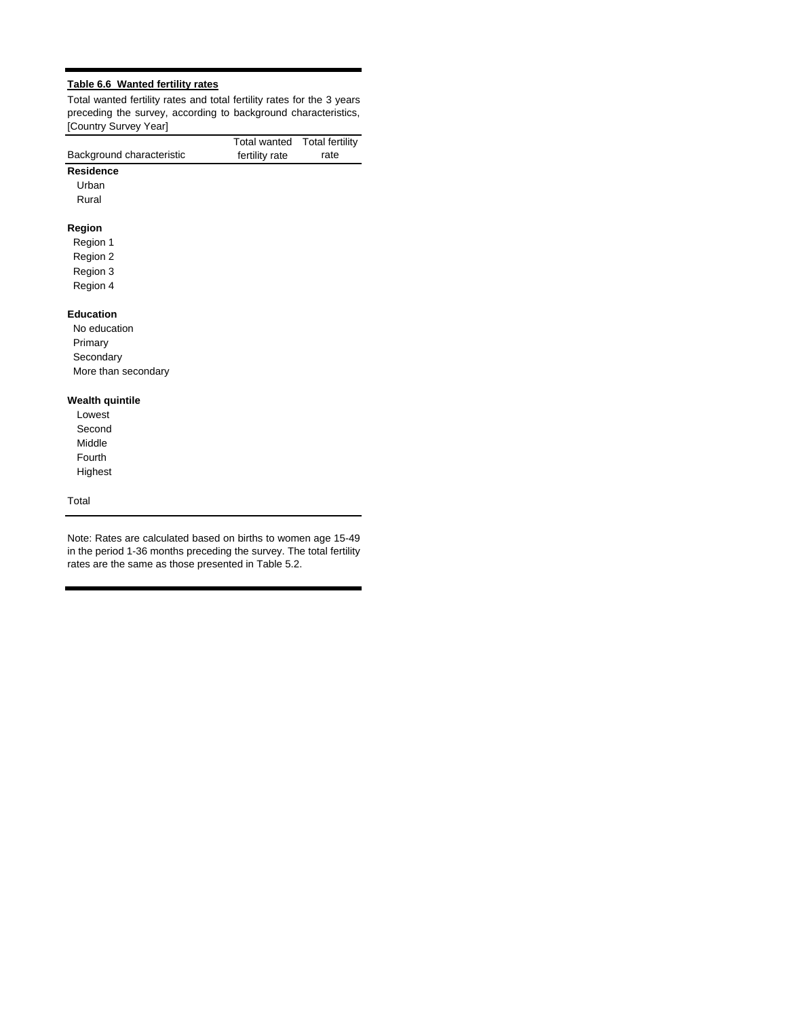## **Table 6.6 Wanted fertility rates**

Total wanted fertility rates and total fertility rates for the 3 years preceding the survey, according to background characteristics, [Country Survey Year]

Total wanted Total fertility

| Background characteristic | i viai wanivu<br>fertility rate | $1.9$ . $0.11$ . $0.11$ . $0.1$<br>rate |
|---------------------------|---------------------------------|-----------------------------------------|
| <b>Residence</b>          |                                 |                                         |
| Urban                     |                                 |                                         |
| Rural                     |                                 |                                         |
| Region                    |                                 |                                         |
| Region 1                  |                                 |                                         |
| Region 2                  |                                 |                                         |
| Region 3                  |                                 |                                         |
| Region 4                  |                                 |                                         |
| <b>Education</b>          |                                 |                                         |
| No education              |                                 |                                         |
| Primary                   |                                 |                                         |
| Secondary                 |                                 |                                         |
| More than secondary       |                                 |                                         |
| <b>Wealth quintile</b>    |                                 |                                         |
| Lowest                    |                                 |                                         |
| Second                    |                                 |                                         |
| Middle                    |                                 |                                         |
| Fourth                    |                                 |                                         |
| Highest                   |                                 |                                         |
| Total                     |                                 |                                         |

Note: Rates are calculated based on births to women age 15-49 in the period 1-36 months preceding the survey. The total fertility rates are the same as those presented in Table 5.2.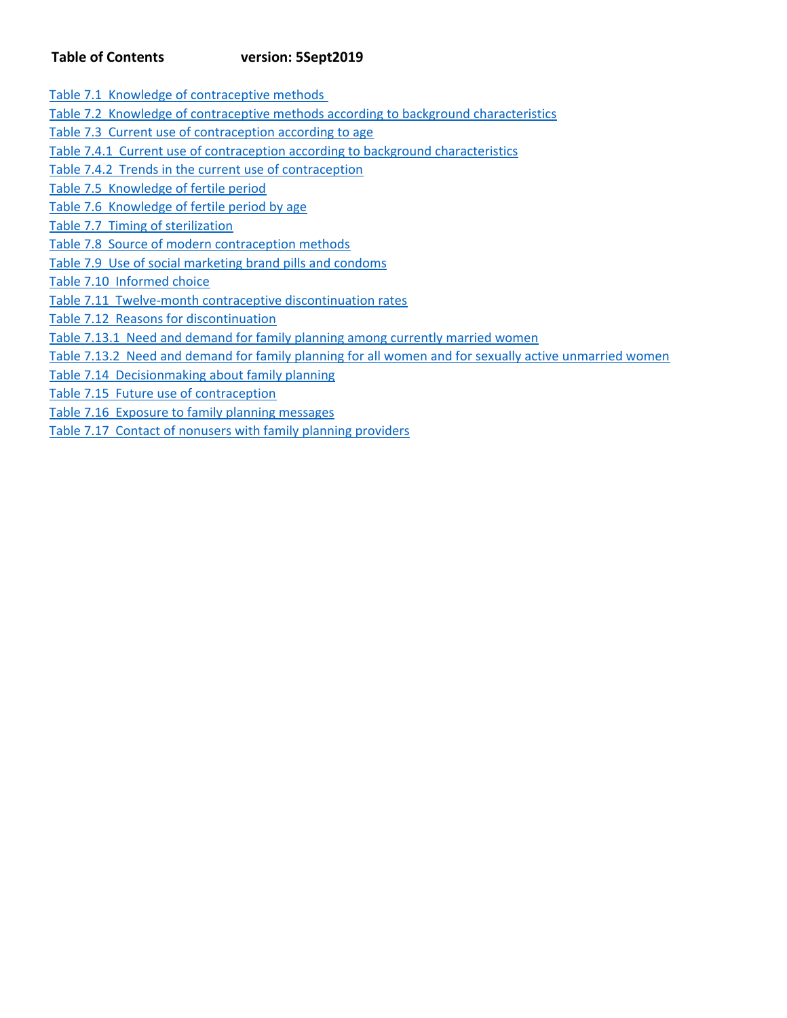## **Table of Contents version: 5Sept2019**

Table 7.1 Knowledge of contraceptive methods

Table 7.2 Knowledge of contraceptive methods according to background characteristics

Table 7.3 Current use of contraception according to age

Table 7.4.1 Current use of contraception according to background characteristics

Table 7.4.2 Trends in the current use of contraception

Table 7.5 Knowledge of fertile period

Table 7.6 Knowledge of fertile period by age

Table 7.7 Timing of sterilization

Table 7.8 Source of modern contraception methods

Table 7.9 Use of social marketing brand pills and condoms

Table 7.10 Informed choice

Table 7.11 Twelve‐month contraceptive discontinuation rates

Table 7.12 Reasons for discontinuation

Table 7.13.1 Need and demand for family planning among currently married women

Table 7.13.2 Need and demand for family planning for all women and for sexually active unmarried women

Table 7.14 Decisionmaking about family planning

Table 7.15 Future use of contraception

Table 7.16 Exposure to family planning messages

Table 7.17 Contact of nonusers with family planning providers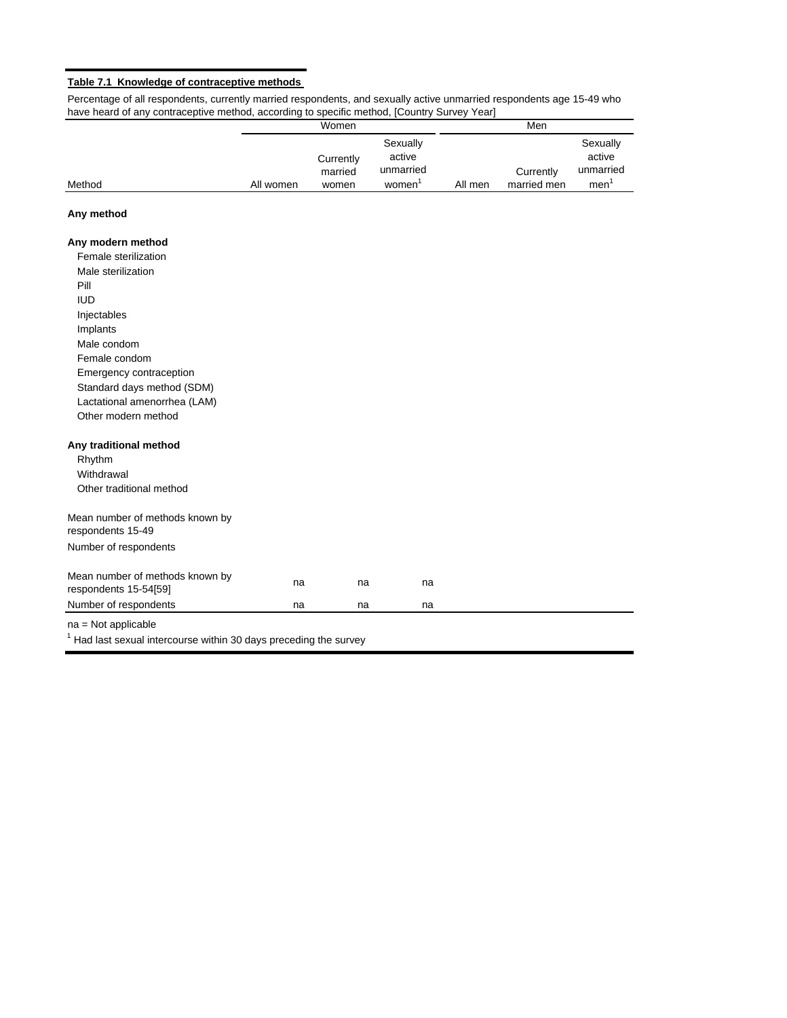### **Table 7.1 Knowledge of contraceptive methods**

Percentage of all respondents, currently married respondents, and sexually active unmarried respondents age 15-49 who have heard of any contraceptive method, according to specific method, [Country Survey Year]

|        |           | Women                |                                 |         | Men         |                                 |
|--------|-----------|----------------------|---------------------------------|---------|-------------|---------------------------------|
|        |           | Currently<br>married | Sexually<br>active<br>unmarried |         | Currently   | Sexually<br>active<br>unmarried |
| Method | All women | women                | women                           | All men | married men | men                             |

## **Any method**

## **Any modern method**

| Female sterilization                                     |    |    |    |  |
|----------------------------------------------------------|----|----|----|--|
| Male sterilization                                       |    |    |    |  |
| Pill                                                     |    |    |    |  |
| <b>IUD</b>                                               |    |    |    |  |
| Injectables                                              |    |    |    |  |
| Implants                                                 |    |    |    |  |
| Male condom                                              |    |    |    |  |
| Female condom                                            |    |    |    |  |
| Emergency contraception                                  |    |    |    |  |
| Standard days method (SDM)                               |    |    |    |  |
| Lactational amenorrhea (LAM)                             |    |    |    |  |
| Other modern method                                      |    |    |    |  |
| Any traditional method                                   |    |    |    |  |
| Rhythm                                                   |    |    |    |  |
| Withdrawal                                               |    |    |    |  |
| Other traditional method                                 |    |    |    |  |
| Mean number of methods known by<br>respondents 15-49     |    |    |    |  |
| Number of respondents                                    |    |    |    |  |
| Mean number of methods known by<br>respondents 15-54[59] | na | na | na |  |
|                                                          | na | na | na |  |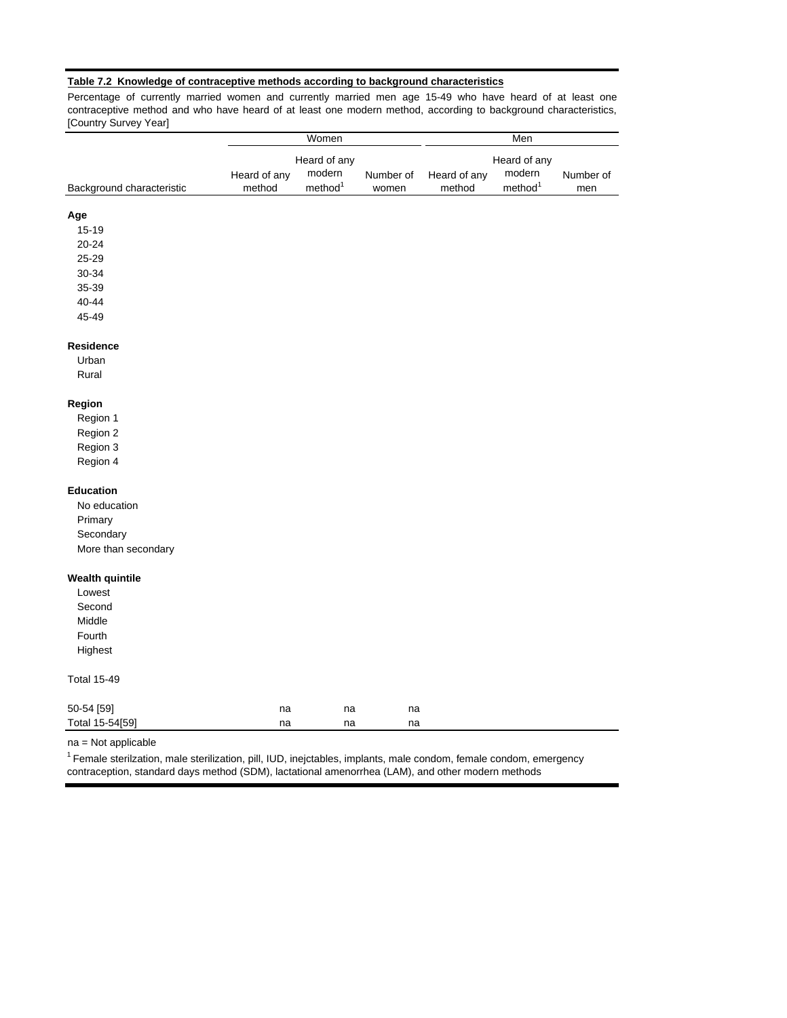## **Table 7.2 Knowledge of contraceptive methods according to background characteristics**

Percentage of currently married women and currently married men age 15-49 who have heard of at least one contraceptive method and who have heard of at least one modern method, according to background characteristics, [Country Survey Year]

|                           |              | Women               |           |              | Men                 |           |
|---------------------------|--------------|---------------------|-----------|--------------|---------------------|-----------|
|                           |              | Heard of any        |           |              | Heard of any        |           |
|                           | Heard of any | modern              | Number of | Heard of any | modern              | Number of |
| Background characteristic | method       | method <sup>1</sup> | women     | method       | method <sup>1</sup> | men       |
| Age                       |              |                     |           |              |                     |           |
| $15 - 19$                 |              |                     |           |              |                     |           |
| $20 - 24$                 |              |                     |           |              |                     |           |
| 25-29                     |              |                     |           |              |                     |           |
| 30-34                     |              |                     |           |              |                     |           |
| 35-39                     |              |                     |           |              |                     |           |
| $40 - 44$                 |              |                     |           |              |                     |           |
| 45-49                     |              |                     |           |              |                     |           |
| Residence                 |              |                     |           |              |                     |           |
| Urban                     |              |                     |           |              |                     |           |
| Rural                     |              |                     |           |              |                     |           |
| Region                    |              |                     |           |              |                     |           |
| Region 1                  |              |                     |           |              |                     |           |
| Region 2                  |              |                     |           |              |                     |           |
| Region 3                  |              |                     |           |              |                     |           |
| Region 4                  |              |                     |           |              |                     |           |
| <b>Education</b>          |              |                     |           |              |                     |           |
| No education              |              |                     |           |              |                     |           |
| Primary                   |              |                     |           |              |                     |           |
| Secondary                 |              |                     |           |              |                     |           |
| More than secondary       |              |                     |           |              |                     |           |
| <b>Wealth quintile</b>    |              |                     |           |              |                     |           |
| Lowest                    |              |                     |           |              |                     |           |
| Second                    |              |                     |           |              |                     |           |
| Middle                    |              |                     |           |              |                     |           |
| Fourth                    |              |                     |           |              |                     |           |
| Highest                   |              |                     |           |              |                     |           |
| <b>Total 15-49</b>        |              |                     |           |              |                     |           |
| 50-54 [59]                | na           | na                  | na        |              |                     |           |
| Total 15-54[59]           | na           | na                  | na        |              |                     |           |

na = Not applicable

1 Female sterilzation, male sterilization, pill, IUD, inejctables, implants, male condom, female condom, emergency contraception, standard days method (SDM), lactational amenorrhea (LAM), and other modern methods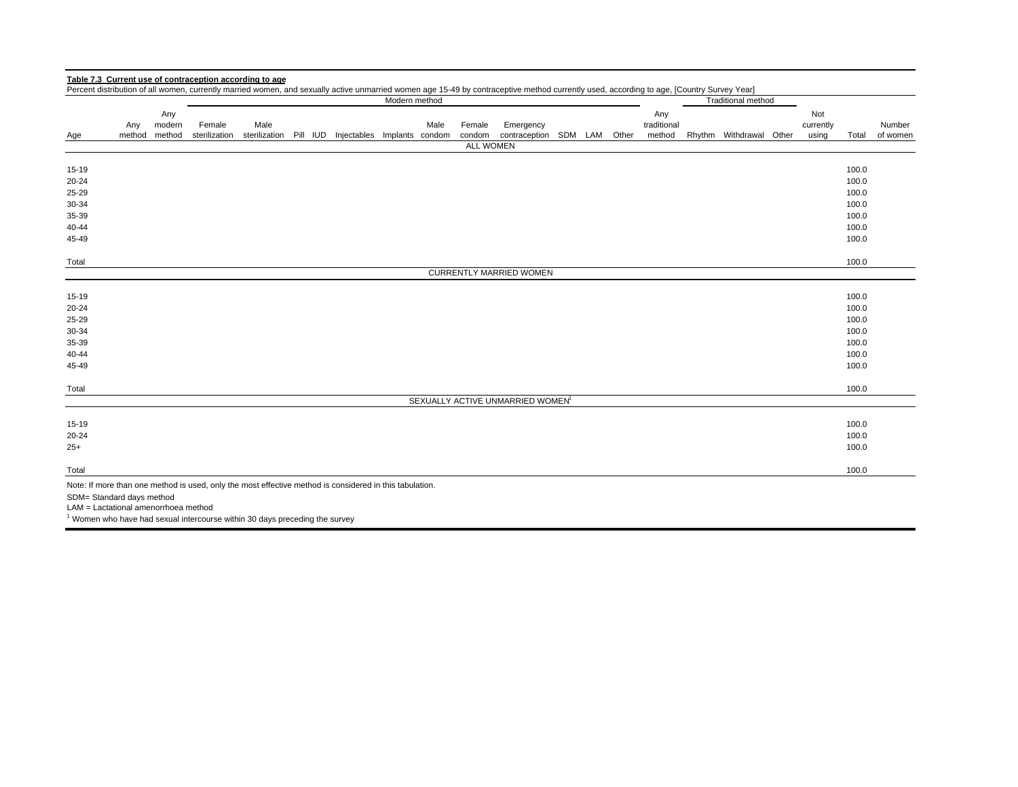|                                                                                                         |        |               |                                                                                        |      |  |                                                    | Modern method |      |                            | Percent distribution of all women, currently married women, and sexually active unmarried women age 15-49 by contraceptive method currently used, according to age, [Country Survey Year] |  |                    | <b>Traditional method</b> |                  |       |          |
|---------------------------------------------------------------------------------------------------------|--------|---------------|----------------------------------------------------------------------------------------|------|--|----------------------------------------------------|---------------|------|----------------------------|-------------------------------------------------------------------------------------------------------------------------------------------------------------------------------------------|--|--------------------|---------------------------|------------------|-------|----------|
|                                                                                                         | Any    | Any<br>modern | Female                                                                                 | Male |  |                                                    |               | Male | Female                     | Emergency                                                                                                                                                                                 |  | Any<br>traditional |                           | Not<br>currently |       | Number   |
| Age                                                                                                     | method | method        | sterilization                                                                          |      |  | sterilization Pill IUD Injectables Implants condom |               |      | condom<br><b>ALL WOMEN</b> | contraception SDM LAM Other                                                                                                                                                               |  | method             | Rhythm Withdrawal Other   | using            | Total | of women |
|                                                                                                         |        |               |                                                                                        |      |  |                                                    |               |      |                            |                                                                                                                                                                                           |  |                    |                           |                  |       |          |
| 15-19                                                                                                   |        |               |                                                                                        |      |  |                                                    |               |      |                            |                                                                                                                                                                                           |  |                    |                           |                  | 100.0 |          |
| 20-24                                                                                                   |        |               |                                                                                        |      |  |                                                    |               |      |                            |                                                                                                                                                                                           |  |                    |                           |                  | 100.0 |          |
| 25-29                                                                                                   |        |               |                                                                                        |      |  |                                                    |               |      |                            |                                                                                                                                                                                           |  |                    |                           |                  | 100.0 |          |
| 30-34                                                                                                   |        |               |                                                                                        |      |  |                                                    |               |      |                            |                                                                                                                                                                                           |  |                    |                           |                  | 100.0 |          |
| 35-39                                                                                                   |        |               |                                                                                        |      |  |                                                    |               |      |                            |                                                                                                                                                                                           |  |                    |                           |                  | 100.0 |          |
| 40-44                                                                                                   |        |               |                                                                                        |      |  |                                                    |               |      |                            |                                                                                                                                                                                           |  |                    |                           |                  | 100.0 |          |
| 45-49                                                                                                   |        |               |                                                                                        |      |  |                                                    |               |      |                            |                                                                                                                                                                                           |  |                    |                           |                  | 100.0 |          |
| Total                                                                                                   |        |               |                                                                                        |      |  |                                                    |               |      |                            |                                                                                                                                                                                           |  |                    |                           |                  | 100.0 |          |
|                                                                                                         |        |               |                                                                                        |      |  |                                                    |               |      |                            | <b>CURRENTLY MARRIED WOMEN</b>                                                                                                                                                            |  |                    |                           |                  |       |          |
| 15-19                                                                                                   |        |               |                                                                                        |      |  |                                                    |               |      |                            |                                                                                                                                                                                           |  |                    |                           |                  | 100.0 |          |
| 20-24                                                                                                   |        |               |                                                                                        |      |  |                                                    |               |      |                            |                                                                                                                                                                                           |  |                    |                           |                  | 100.0 |          |
| 25-29                                                                                                   |        |               |                                                                                        |      |  |                                                    |               |      |                            |                                                                                                                                                                                           |  |                    |                           |                  | 100.0 |          |
| 30-34                                                                                                   |        |               |                                                                                        |      |  |                                                    |               |      |                            |                                                                                                                                                                                           |  |                    |                           |                  | 100.0 |          |
| 35-39                                                                                                   |        |               |                                                                                        |      |  |                                                    |               |      |                            |                                                                                                                                                                                           |  |                    |                           |                  | 100.0 |          |
| 40-44                                                                                                   |        |               |                                                                                        |      |  |                                                    |               |      |                            |                                                                                                                                                                                           |  |                    |                           |                  | 100.0 |          |
| 45-49                                                                                                   |        |               |                                                                                        |      |  |                                                    |               |      |                            |                                                                                                                                                                                           |  |                    |                           |                  | 100.0 |          |
| Total                                                                                                   |        |               |                                                                                        |      |  |                                                    |               |      |                            |                                                                                                                                                                                           |  |                    |                           |                  | 100.0 |          |
|                                                                                                         |        |               |                                                                                        |      |  |                                                    |               |      |                            | SEXUALLY ACTIVE UNMARRIED WOMEN <sup>1</sup>                                                                                                                                              |  |                    |                           |                  |       |          |
| 15-19                                                                                                   |        |               |                                                                                        |      |  |                                                    |               |      |                            |                                                                                                                                                                                           |  |                    |                           |                  | 100.0 |          |
| 20-24                                                                                                   |        |               |                                                                                        |      |  |                                                    |               |      |                            |                                                                                                                                                                                           |  |                    |                           |                  | 100.0 |          |
| $25+$                                                                                                   |        |               |                                                                                        |      |  |                                                    |               |      |                            |                                                                                                                                                                                           |  |                    |                           |                  | 100.0 |          |
| Total                                                                                                   |        |               |                                                                                        |      |  |                                                    |               |      |                            |                                                                                                                                                                                           |  |                    |                           |                  | 100.0 |          |
| Note: If more than one method is used, only the most effective method is considered in this tabulation. |        |               |                                                                                        |      |  |                                                    |               |      |                            |                                                                                                                                                                                           |  |                    |                           |                  |       |          |
| SDM= Standard days method                                                                               |        |               |                                                                                        |      |  |                                                    |               |      |                            |                                                                                                                                                                                           |  |                    |                           |                  |       |          |
| LAM = Lactational amenorrhoea method                                                                    |        |               |                                                                                        |      |  |                                                    |               |      |                            |                                                                                                                                                                                           |  |                    |                           |                  |       |          |
|                                                                                                         |        |               | <sup>1</sup> Women who have had sexual intercourse within 30 days preceding the survey |      |  |                                                    |               |      |                            |                                                                                                                                                                                           |  |                    |                           |                  |       |          |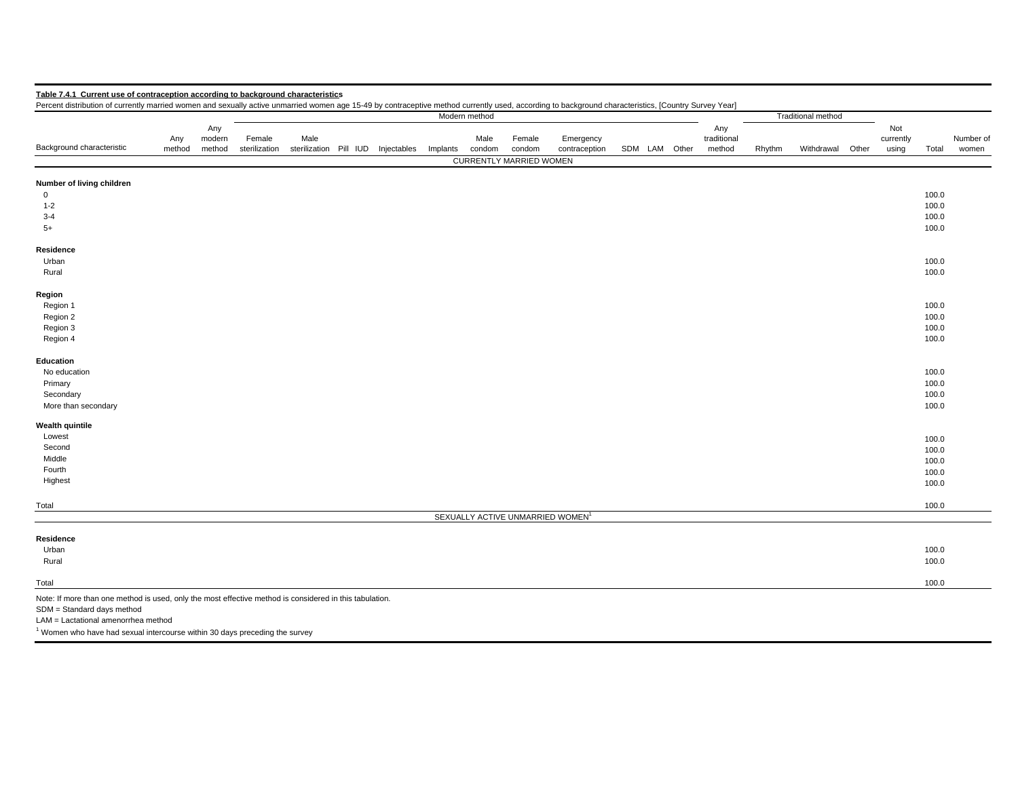| Table 7.4.1 Current use of contraception according to background characteristics                                                                                                                     |        |        |               |                        |             |          |               |                                |                                              |  |               |             |        |                           |       |           |       |           |
|------------------------------------------------------------------------------------------------------------------------------------------------------------------------------------------------------|--------|--------|---------------|------------------------|-------------|----------|---------------|--------------------------------|----------------------------------------------|--|---------------|-------------|--------|---------------------------|-------|-----------|-------|-----------|
| Percent distribution of currently married women and sexually active unmarried women age 15-49 by contraceptive method currently used, according to background characteristics, [Country Survey Year] |        |        |               |                        |             |          |               |                                |                                              |  |               |             |        |                           |       |           |       |           |
|                                                                                                                                                                                                      |        |        |               |                        |             |          | Modern method |                                |                                              |  |               |             |        | <b>Traditional method</b> |       |           |       |           |
|                                                                                                                                                                                                      |        | Any    |               |                        |             |          |               |                                |                                              |  |               | Any         |        |                           |       | Not       |       |           |
|                                                                                                                                                                                                      | Any    | modern | Female        | Male                   |             |          | Male          | Female                         | Emergency                                    |  |               | traditional |        |                           |       | currently |       | Number of |
| Background characteristic                                                                                                                                                                            | method | method | sterilization | sterilization Pill IUD | Injectables | Implants | condom        | condom                         | contraception                                |  | SDM LAM Other | method      | Rhythm | Withdrawal                | Other | using     | Total | women     |
|                                                                                                                                                                                                      |        |        |               |                        |             |          |               | <b>CURRENTLY MARRIED WOMEN</b> |                                              |  |               |             |        |                           |       |           |       |           |
| Number of living children                                                                                                                                                                            |        |        |               |                        |             |          |               |                                |                                              |  |               |             |        |                           |       |           |       |           |
| $\overline{0}$                                                                                                                                                                                       |        |        |               |                        |             |          |               |                                |                                              |  |               |             |        |                           |       |           | 100.0 |           |
| $1 - 2$                                                                                                                                                                                              |        |        |               |                        |             |          |               |                                |                                              |  |               |             |        |                           |       |           | 100.0 |           |
| $3 - 4$                                                                                                                                                                                              |        |        |               |                        |             |          |               |                                |                                              |  |               |             |        |                           |       |           | 100.0 |           |
| $5+$                                                                                                                                                                                                 |        |        |               |                        |             |          |               |                                |                                              |  |               |             |        |                           |       |           | 100.0 |           |
|                                                                                                                                                                                                      |        |        |               |                        |             |          |               |                                |                                              |  |               |             |        |                           |       |           |       |           |
| Residence                                                                                                                                                                                            |        |        |               |                        |             |          |               |                                |                                              |  |               |             |        |                           |       |           |       |           |
| Urban                                                                                                                                                                                                |        |        |               |                        |             |          |               |                                |                                              |  |               |             |        |                           |       |           | 100.0 |           |
| Rural                                                                                                                                                                                                |        |        |               |                        |             |          |               |                                |                                              |  |               |             |        |                           |       |           | 100.0 |           |
| Region                                                                                                                                                                                               |        |        |               |                        |             |          |               |                                |                                              |  |               |             |        |                           |       |           |       |           |
| Region 1                                                                                                                                                                                             |        |        |               |                        |             |          |               |                                |                                              |  |               |             |        |                           |       |           | 100.0 |           |
| Region 2                                                                                                                                                                                             |        |        |               |                        |             |          |               |                                |                                              |  |               |             |        |                           |       |           | 100.0 |           |
| Region 3                                                                                                                                                                                             |        |        |               |                        |             |          |               |                                |                                              |  |               |             |        |                           |       |           | 100.0 |           |
| Region 4                                                                                                                                                                                             |        |        |               |                        |             |          |               |                                |                                              |  |               |             |        |                           |       |           | 100.0 |           |
| Education                                                                                                                                                                                            |        |        |               |                        |             |          |               |                                |                                              |  |               |             |        |                           |       |           |       |           |
| No education                                                                                                                                                                                         |        |        |               |                        |             |          |               |                                |                                              |  |               |             |        |                           |       |           | 100.0 |           |
| Primary                                                                                                                                                                                              |        |        |               |                        |             |          |               |                                |                                              |  |               |             |        |                           |       |           | 100.0 |           |
| Secondary                                                                                                                                                                                            |        |        |               |                        |             |          |               |                                |                                              |  |               |             |        |                           |       |           | 100.0 |           |
| More than secondary                                                                                                                                                                                  |        |        |               |                        |             |          |               |                                |                                              |  |               |             |        |                           |       |           | 100.0 |           |
| Wealth quintile                                                                                                                                                                                      |        |        |               |                        |             |          |               |                                |                                              |  |               |             |        |                           |       |           |       |           |
| Lowest                                                                                                                                                                                               |        |        |               |                        |             |          |               |                                |                                              |  |               |             |        |                           |       |           | 100.0 |           |
| Second                                                                                                                                                                                               |        |        |               |                        |             |          |               |                                |                                              |  |               |             |        |                           |       |           | 100.0 |           |
| Middle                                                                                                                                                                                               |        |        |               |                        |             |          |               |                                |                                              |  |               |             |        |                           |       |           | 100.0 |           |
| Fourth                                                                                                                                                                                               |        |        |               |                        |             |          |               |                                |                                              |  |               |             |        |                           |       |           | 100.0 |           |
| Highest                                                                                                                                                                                              |        |        |               |                        |             |          |               |                                |                                              |  |               |             |        |                           |       |           | 100.0 |           |
| Total                                                                                                                                                                                                |        |        |               |                        |             |          |               |                                |                                              |  |               |             |        |                           |       |           | 100.0 |           |
|                                                                                                                                                                                                      |        |        |               |                        |             |          |               |                                | SEXUALLY ACTIVE UNMARRIED WOMEN <sup>1</sup> |  |               |             |        |                           |       |           |       |           |
|                                                                                                                                                                                                      |        |        |               |                        |             |          |               |                                |                                              |  |               |             |        |                           |       |           |       |           |
| Residence                                                                                                                                                                                            |        |        |               |                        |             |          |               |                                |                                              |  |               |             |        |                           |       |           | 100.0 |           |
| Urban                                                                                                                                                                                                |        |        |               |                        |             |          |               |                                |                                              |  |               |             |        |                           |       |           | 100.0 |           |
| Rural                                                                                                                                                                                                |        |        |               |                        |             |          |               |                                |                                              |  |               |             |        |                           |       |           |       |           |
| Total                                                                                                                                                                                                |        |        |               |                        |             |          |               |                                |                                              |  |               |             |        |                           |       |           | 100.0 |           |
| Note: If more than one method is used, only the most effective method is considered in this tabulation.                                                                                              |        |        |               |                        |             |          |               |                                |                                              |  |               |             |        |                           |       |           |       |           |
| SDM = Standard days method                                                                                                                                                                           |        |        |               |                        |             |          |               |                                |                                              |  |               |             |        |                           |       |           |       |           |
| LAM = Lactational amenorrhea method                                                                                                                                                                  |        |        |               |                        |             |          |               |                                |                                              |  |               |             |        |                           |       |           |       |           |
| <sup>1</sup> Women who have had sexual intercourse within 30 days preceding the survey                                                                                                               |        |        |               |                        |             |          |               |                                |                                              |  |               |             |        |                           |       |           |       |           |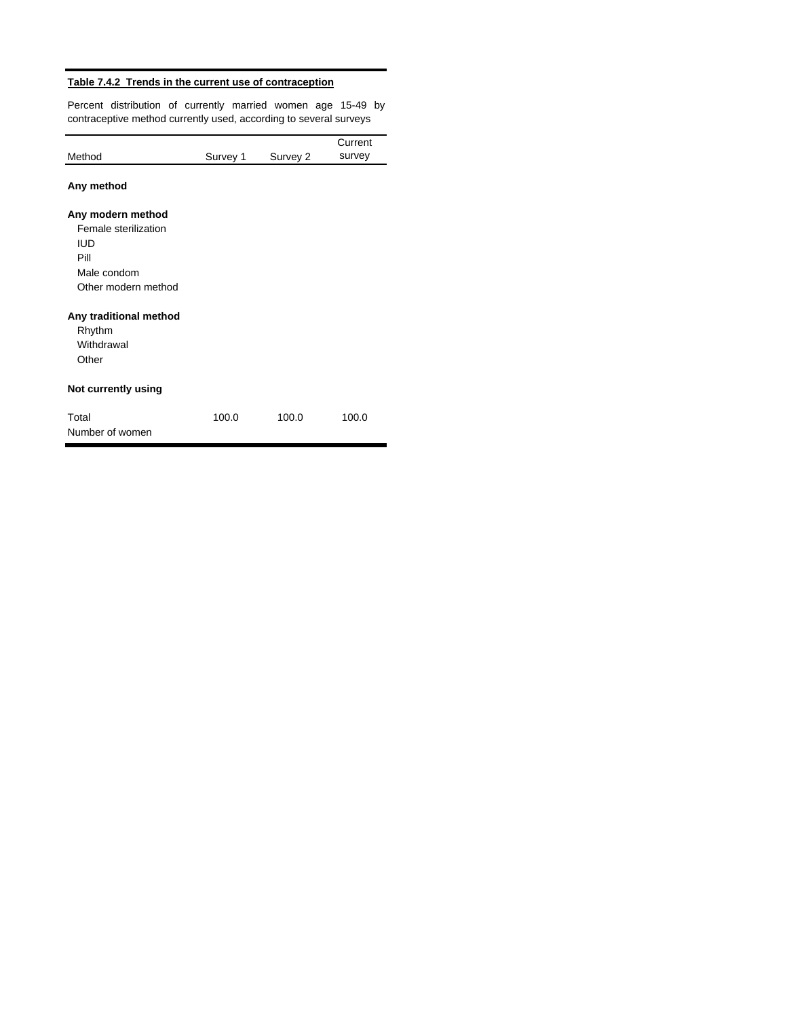## **Table 7.4.2 Trends in the current use of contraception**

Percent distribution of currently married women age 15-49 by contraceptive method currently used, according to several surveys

|                                  |          |          | Current |
|----------------------------------|----------|----------|---------|
| Method                           | Survey 1 | Survey 2 | survey  |
| Any method                       |          |          |         |
| Any modern method                |          |          |         |
| Female sterilization             |          |          |         |
| IUD<br>Pill                      |          |          |         |
| Male condom                      |          |          |         |
| Other modern method              |          |          |         |
| Any traditional method<br>Rhythm |          |          |         |
| Withdrawal                       |          |          |         |
| Other                            |          |          |         |
| Not currently using              |          |          |         |
| Total<br>Number of women         | 100.0    | 100.0    | 100.0   |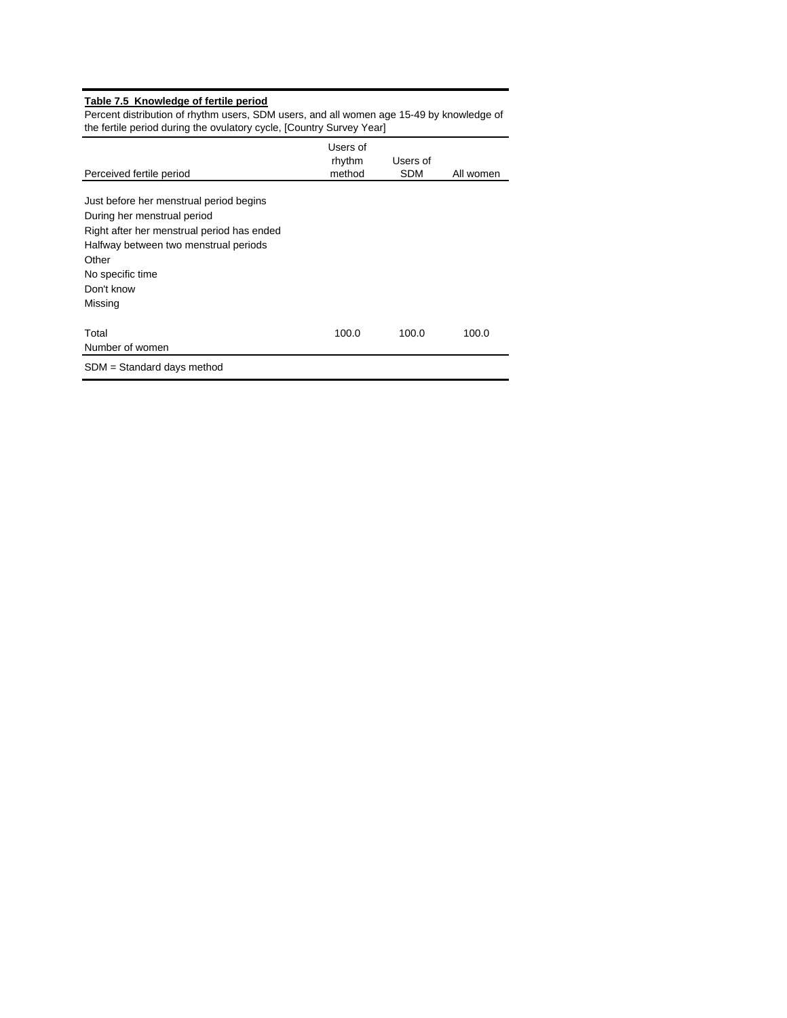#### **Table 7.5 Knowledge of fertile period**

Percent distribution of rhythm users, SDM users, and all women age 15-49 by knowledge of the fertile period during the ovulatory cycle, [Country Survey Year]

| Perceived fertile period                   | Users of<br>rhythm<br>method | Users of<br><b>SDM</b> | All women |
|--------------------------------------------|------------------------------|------------------------|-----------|
|                                            |                              |                        |           |
| Just before her menstrual period begins    |                              |                        |           |
| During her menstrual period                |                              |                        |           |
| Right after her menstrual period has ended |                              |                        |           |
| Halfway between two menstrual periods      |                              |                        |           |
| Other                                      |                              |                        |           |
| No specific time                           |                              |                        |           |
| Don't know                                 |                              |                        |           |
| Missing                                    |                              |                        |           |
| Total                                      | 100.0                        | 100.0                  | 100.0     |
| Number of women                            |                              |                        |           |
| .                                          |                              |                        |           |

SDM = Standard days method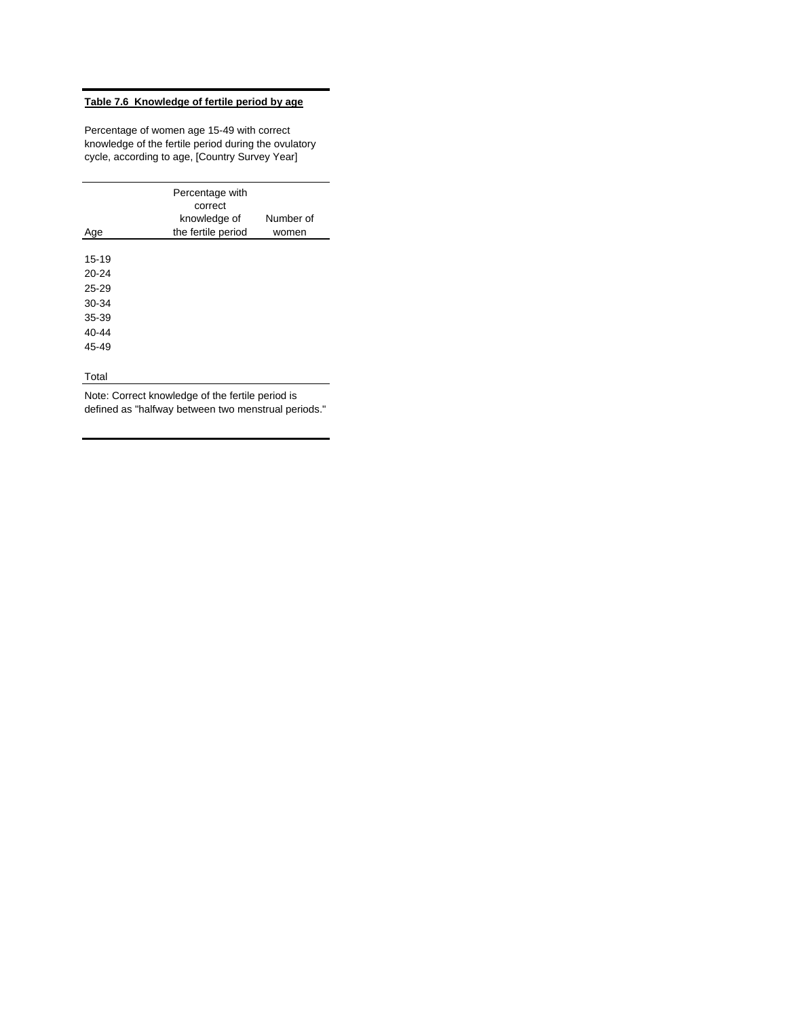## **Table 7.6 Knowledge of fertile period by age**

Percentage of women age 15-49 with correct knowledge of the fertile period during the ovulatory cycle, according to age, [Country Survey Year]

| Number of<br>knowledge of<br>the fertile period<br>Age<br>women |  |
|-----------------------------------------------------------------|--|
|                                                                 |  |
| $15 - 19$                                                       |  |
| $20 - 24$                                                       |  |
| $25 - 29$                                                       |  |
| 30-34                                                           |  |
| 35-39                                                           |  |
| $40 - 44$                                                       |  |
| 45-49                                                           |  |
|                                                                 |  |
| Total                                                           |  |

Note: Correct knowledge of the fertile period is defined as "halfway between two menstrual periods."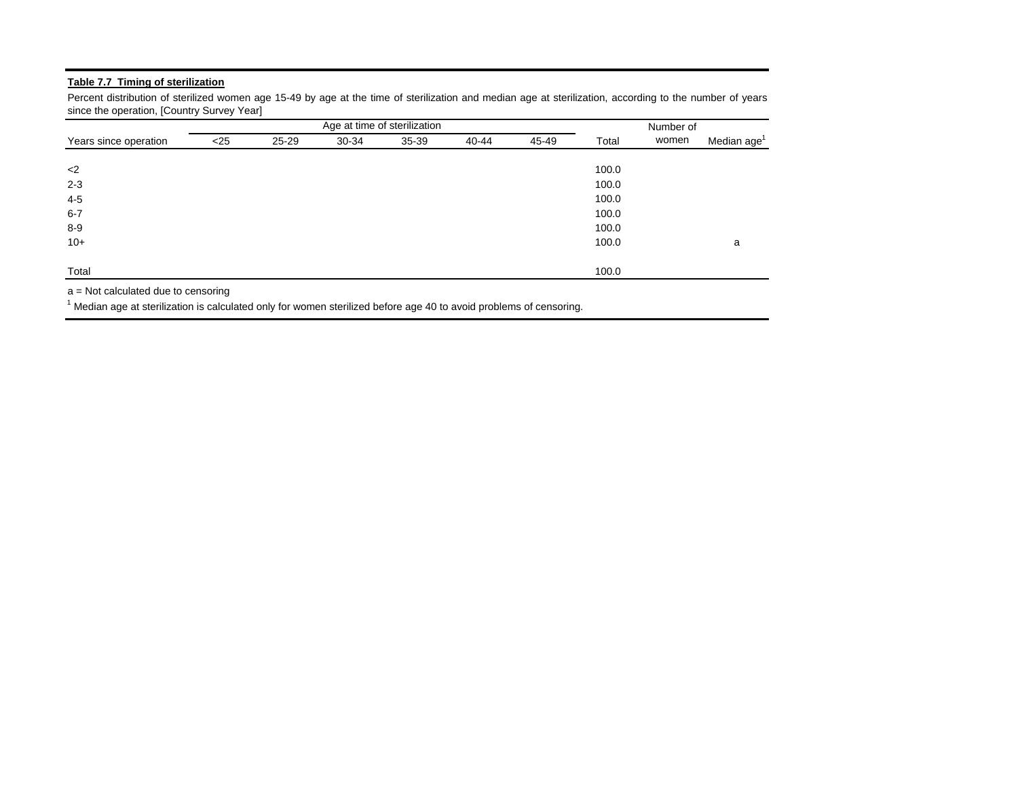## **Table 7.7 Timing of sterilization**

Percent distribution of sterilized women age 15-49 by age at the time of sterilization and median age at sterilization, according to the number of years since the operation, [Country Survey Year]

|                       |        |       | Age at time of sterilization | Number of |       |       |       |       |                         |
|-----------------------|--------|-------|------------------------------|-----------|-------|-------|-------|-------|-------------------------|
| Years since operation | $<$ 25 | 25-29 | 30-34                        | 35-39     | 40-44 | 45-49 | Total | women | Median age <sup>1</sup> |
|                       |        |       |                              |           |       |       |       |       |                         |
| $<$ 2                 |        |       |                              |           |       |       | 100.0 |       |                         |
| $2 - 3$               |        |       |                              |           |       |       | 100.0 |       |                         |
| 4-5                   |        |       |                              |           |       |       | 100.0 |       |                         |
| $6 - 7$               |        |       |                              |           |       |       | 100.0 |       |                         |
| $8 - 9$               |        |       |                              |           |       |       | 100.0 |       |                         |
| $10+$                 |        |       |                              |           |       |       | 100.0 |       | a                       |
| Total                 |        |       |                              |           |       |       | 100.0 |       |                         |

a = Not calculated due to censoring

 $1$  Median age at sterilization is calculated only for women sterilized before age 40 to avoid problems of censoring.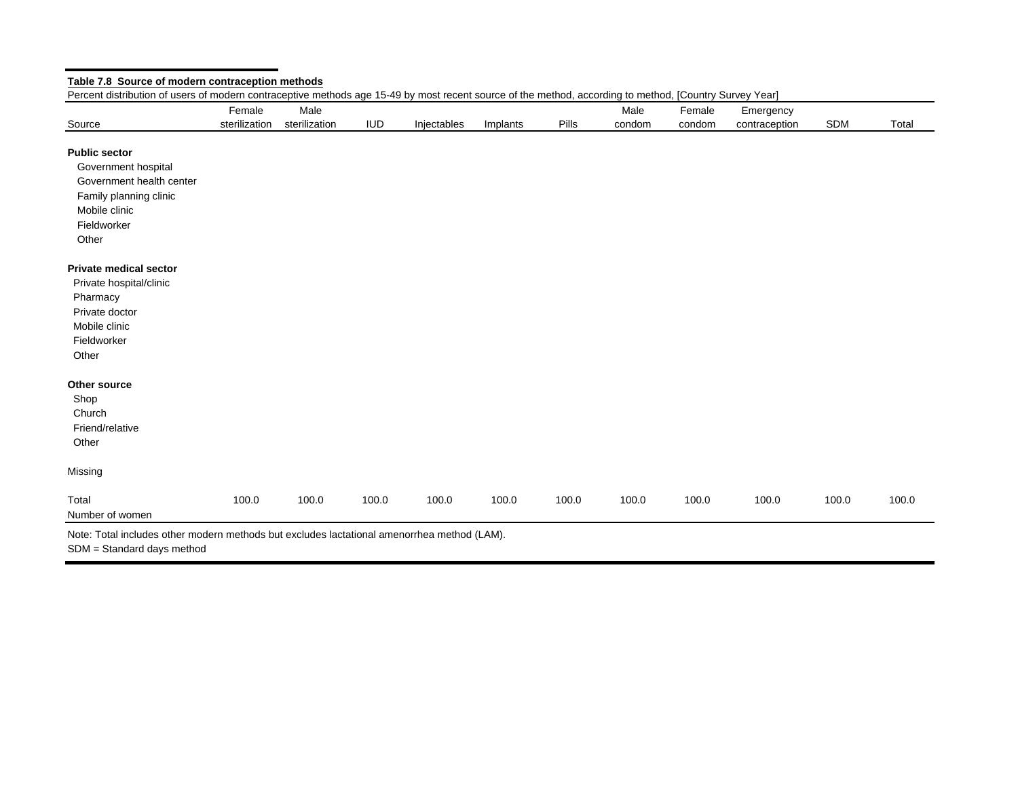|                               | Female        | Male          |            |             |          |       | Male   | Female | Emergency     |            |       |
|-------------------------------|---------------|---------------|------------|-------------|----------|-------|--------|--------|---------------|------------|-------|
| Source                        | sterilization | sterilization | <b>IUD</b> | Injectables | Implants | Pills | condom | condom | contraception | <b>SDM</b> | Total |
| <b>Public sector</b>          |               |               |            |             |          |       |        |        |               |            |       |
| Government hospital           |               |               |            |             |          |       |        |        |               |            |       |
| Government health center      |               |               |            |             |          |       |        |        |               |            |       |
| Family planning clinic        |               |               |            |             |          |       |        |        |               |            |       |
| Mobile clinic                 |               |               |            |             |          |       |        |        |               |            |       |
| Fieldworker                   |               |               |            |             |          |       |        |        |               |            |       |
| Other                         |               |               |            |             |          |       |        |        |               |            |       |
| <b>Private medical sector</b> |               |               |            |             |          |       |        |        |               |            |       |
| Private hospital/clinic       |               |               |            |             |          |       |        |        |               |            |       |
| Pharmacy                      |               |               |            |             |          |       |        |        |               |            |       |
| Private doctor                |               |               |            |             |          |       |        |        |               |            |       |
| Mobile clinic                 |               |               |            |             |          |       |        |        |               |            |       |
| Fieldworker                   |               |               |            |             |          |       |        |        |               |            |       |
| Other                         |               |               |            |             |          |       |        |        |               |            |       |
| Other source                  |               |               |            |             |          |       |        |        |               |            |       |
| Shop                          |               |               |            |             |          |       |        |        |               |            |       |
| Church                        |               |               |            |             |          |       |        |        |               |            |       |
| Friend/relative               |               |               |            |             |          |       |        |        |               |            |       |
| Other                         |               |               |            |             |          |       |        |        |               |            |       |
| Missing                       |               |               |            |             |          |       |        |        |               |            |       |
| Total                         | 100.0         | 100.0         | 100.0      | 100.0       | 100.0    | 100.0 | 100.0  | 100.0  | 100.0         | 100.0      | 100.0 |

SDM = Standard days method

 $\overline{\phantom{0}}$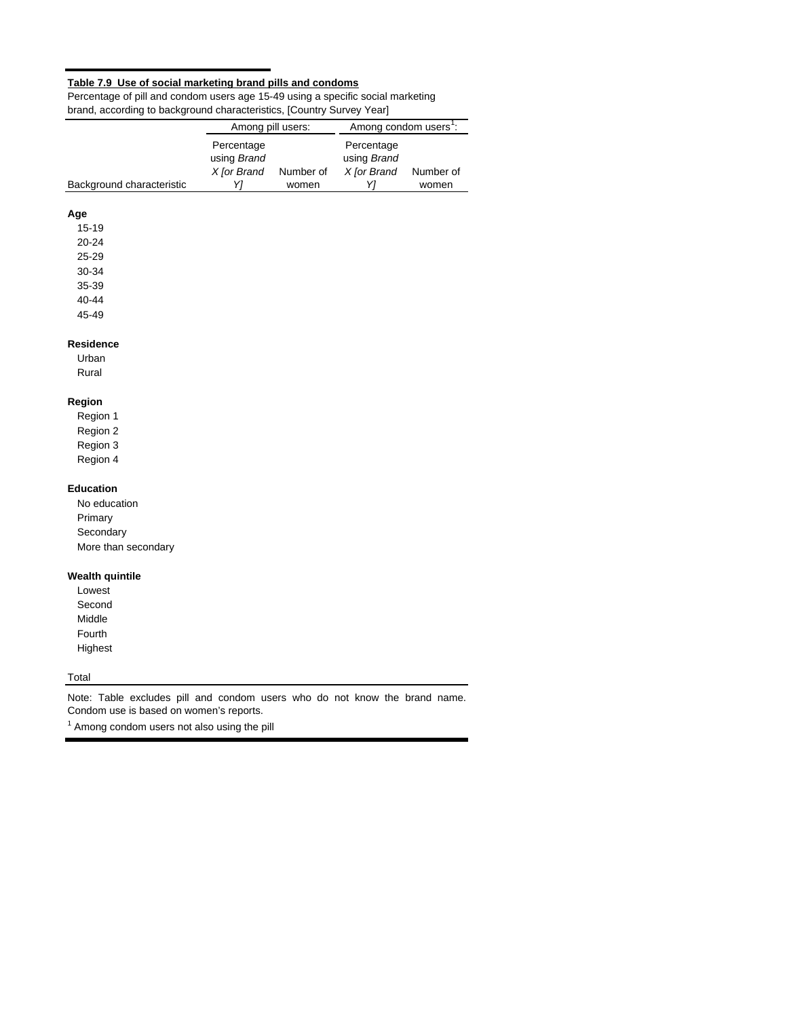## **Table 7.9 Use of social marketing brand pills and condoms**

Percentage of pill and condom users age 15-49 using a specific social marketing brand, according to background characteristics, [Country Survey Year]

|                           | Among pill users:                              |                    | Among condom users <sup>1</sup> :              |                    |  |  |  |
|---------------------------|------------------------------------------------|--------------------|------------------------------------------------|--------------------|--|--|--|
| Background characteristic | Percentage<br>using Brand<br>X [or Brand<br>Y1 | Number of<br>women | Percentage<br>using Brand<br>X [or Brand<br>Y1 | Number of<br>women |  |  |  |
|                           |                                                |                    |                                                |                    |  |  |  |
| Age                       |                                                |                    |                                                |                    |  |  |  |
| $15 - 19$                 |                                                |                    |                                                |                    |  |  |  |
| 20-24                     |                                                |                    |                                                |                    |  |  |  |
| 25-29                     |                                                |                    |                                                |                    |  |  |  |
| 30-34                     |                                                |                    |                                                |                    |  |  |  |
| 35-39                     |                                                |                    |                                                |                    |  |  |  |
| 40-44                     |                                                |                    |                                                |                    |  |  |  |
| 45-49                     |                                                |                    |                                                |                    |  |  |  |
| <b>Residence</b>          |                                                |                    |                                                |                    |  |  |  |
| Urban                     |                                                |                    |                                                |                    |  |  |  |
| Rural                     |                                                |                    |                                                |                    |  |  |  |
| Region                    |                                                |                    |                                                |                    |  |  |  |
| Region 1                  |                                                |                    |                                                |                    |  |  |  |
| Region 2                  |                                                |                    |                                                |                    |  |  |  |
| Region 3                  |                                                |                    |                                                |                    |  |  |  |
| Region 4                  |                                                |                    |                                                |                    |  |  |  |
| <b>Education</b>          |                                                |                    |                                                |                    |  |  |  |
| No education              |                                                |                    |                                                |                    |  |  |  |
| Primary                   |                                                |                    |                                                |                    |  |  |  |
| Secondary                 |                                                |                    |                                                |                    |  |  |  |
| More than secondary       |                                                |                    |                                                |                    |  |  |  |
| <b>Wealth quintile</b>    |                                                |                    |                                                |                    |  |  |  |
| Lowest                    |                                                |                    |                                                |                    |  |  |  |
| Second                    |                                                |                    |                                                |                    |  |  |  |
| Middle                    |                                                |                    |                                                |                    |  |  |  |
| Fourth                    |                                                |                    |                                                |                    |  |  |  |
| Highest                   |                                                |                    |                                                |                    |  |  |  |
|                           |                                                |                    |                                                |                    |  |  |  |

Total

Note: Table excludes pill and condom users who do not know the brand name. Condom use is based on women's reports.

 $1$  Among condom users not also using the pill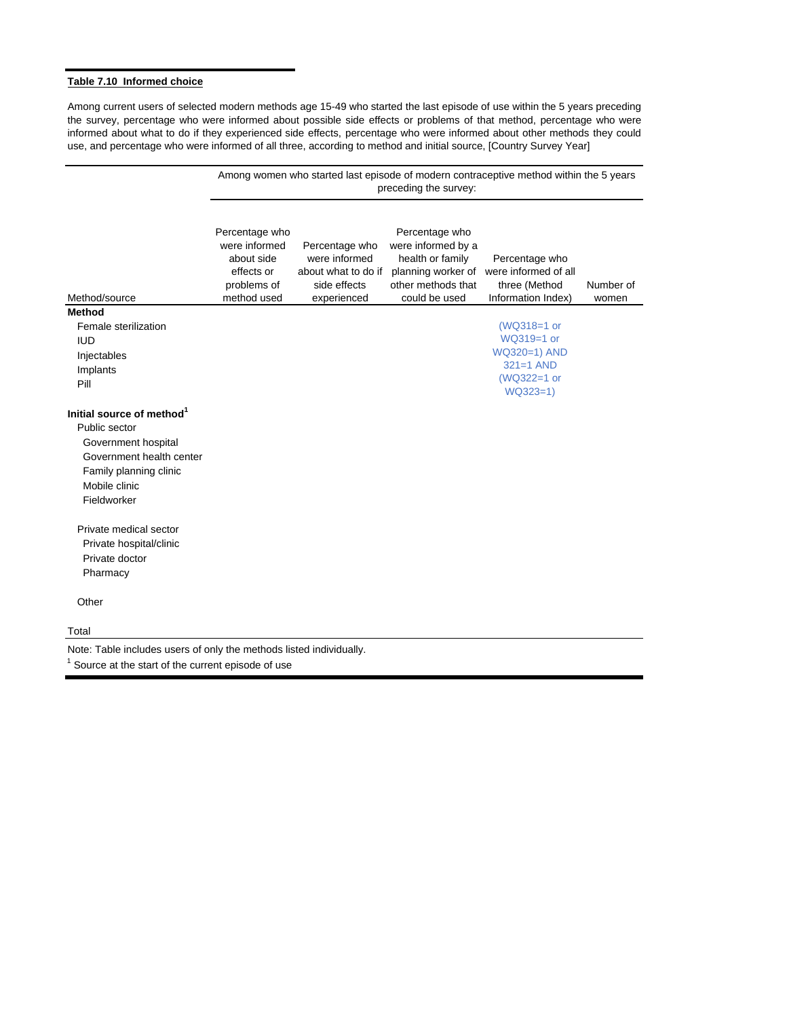### **Table 7.10 Informed choice**

Among current users of selected modern methods age 15-49 who started the last episode of use within the 5 years preceding the survey, percentage who were informed about possible side effects or problems of that method, percentage who were informed about what to do if they experienced side effects, percentage who were informed about other methods they could use, and percentage who were informed of all three, according to method and initial source, [Country Survey Year]

|                                                                                                                          | Among women who started last episode of modern contraceptive method within the 5 years<br>preceding the survey: |                                                                                       |                                                                                                                       |                                                                                      |                    |  |  |  |  |  |  |  |
|--------------------------------------------------------------------------------------------------------------------------|-----------------------------------------------------------------------------------------------------------------|---------------------------------------------------------------------------------------|-----------------------------------------------------------------------------------------------------------------------|--------------------------------------------------------------------------------------|--------------------|--|--|--|--|--|--|--|
| Method/source                                                                                                            | Percentage who<br>were informed<br>about side<br>effects or<br>problems of<br>method used                       | Percentage who<br>were informed<br>about what to do if<br>side effects<br>experienced | Percentage who<br>were informed by a<br>health or family<br>planning worker of<br>other methods that<br>could be used | Percentage who<br>were informed of all<br>three (Method<br>Information Index)        | Number of<br>women |  |  |  |  |  |  |  |
| <b>Method</b>                                                                                                            |                                                                                                                 |                                                                                       |                                                                                                                       |                                                                                      |                    |  |  |  |  |  |  |  |
| Female sterilization<br><b>IUD</b><br>Injectables<br>Implants<br>Pill                                                    |                                                                                                                 |                                                                                       |                                                                                                                       | (WQ318=1 or<br>WQ319=1 or<br>WQ320=1) AND<br>$321=1$ AND<br>(WQ322=1 or<br>$WQ323=1$ |                    |  |  |  |  |  |  |  |
| Initial source of method <sup>1</sup>                                                                                    |                                                                                                                 |                                                                                       |                                                                                                                       |                                                                                      |                    |  |  |  |  |  |  |  |
| Public sector<br>Government hospital<br>Government health center                                                         |                                                                                                                 |                                                                                       |                                                                                                                       |                                                                                      |                    |  |  |  |  |  |  |  |
| Family planning clinic<br>Mobile clinic<br>Fieldworker                                                                   |                                                                                                                 |                                                                                       |                                                                                                                       |                                                                                      |                    |  |  |  |  |  |  |  |
| Private medical sector<br>Private hospital/clinic<br>Private doctor<br>Pharmacy                                          |                                                                                                                 |                                                                                       |                                                                                                                       |                                                                                      |                    |  |  |  |  |  |  |  |
| Other                                                                                                                    |                                                                                                                 |                                                                                       |                                                                                                                       |                                                                                      |                    |  |  |  |  |  |  |  |
| Total                                                                                                                    |                                                                                                                 |                                                                                       |                                                                                                                       |                                                                                      |                    |  |  |  |  |  |  |  |
| Note: Table includes users of only the methods listed individually.<br>Source at the start of the current episode of use |                                                                                                                 |                                                                                       |                                                                                                                       |                                                                                      |                    |  |  |  |  |  |  |  |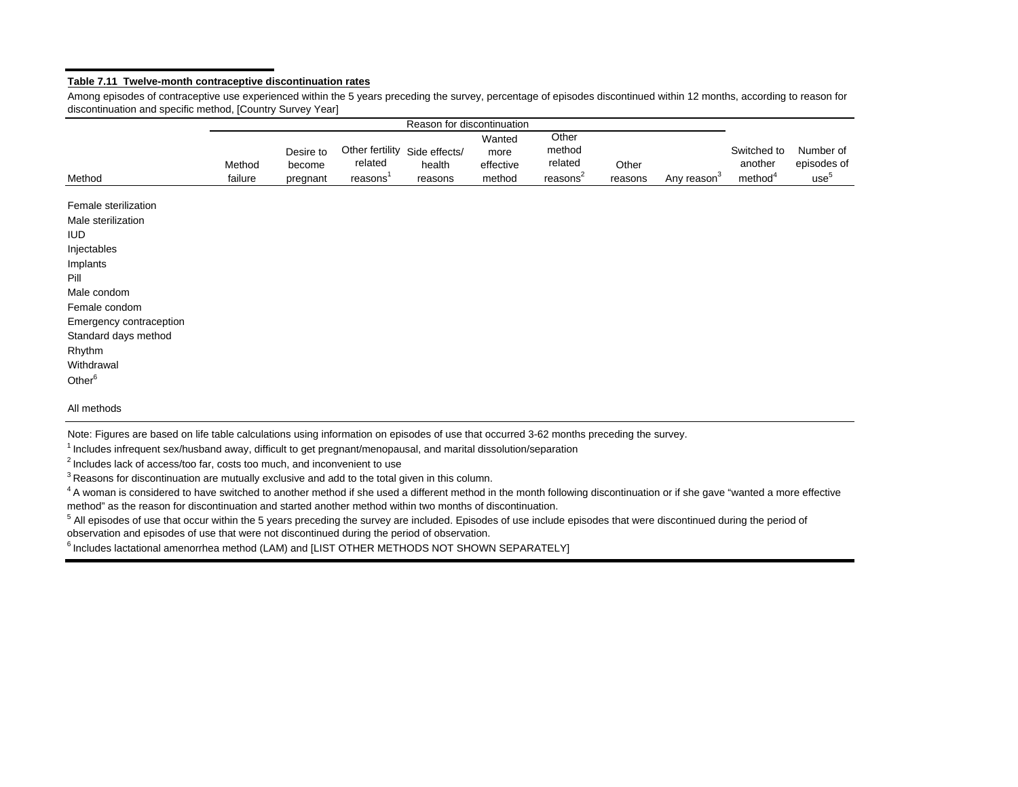#### **Table 7.11 Twelve-month contraceptive discontinuation rates**

Among episodes of contraceptive use experienced within the 5 years preceding the survey, percentage of episodes discontinued within 12 months, according to reason for discontinuation and specific method, [Country Survey Year]

| Method                                                                                                                                                                                                                       | Method<br>failure | Desire to<br>become<br>pregnant | Other fertility Side effects/<br>related<br>reasons' | health<br>reasons | Wanted<br>more<br>effective<br>method | Other<br>method<br>related<br>reasons <sup>2</sup> | Other<br>reasons | Any reason <sup>3</sup> | Switched to<br>another<br>method <sup>4</sup> | Number of<br>episodes of<br>use <sup>5</sup> |
|------------------------------------------------------------------------------------------------------------------------------------------------------------------------------------------------------------------------------|-------------------|---------------------------------|------------------------------------------------------|-------------------|---------------------------------------|----------------------------------------------------|------------------|-------------------------|-----------------------------------------------|----------------------------------------------|
| Female sterilization<br>Male sterilization<br><b>IUD</b><br>Injectables<br>Implants<br>Pill<br>Male condom<br>Female condom<br>Emergency contraception<br>Standard days method<br>Rhythm<br>Withdrawal<br>Other <sup>6</sup> |                   |                                 |                                                      |                   |                                       |                                                    |                  |                         |                                               |                                              |
| All methods                                                                                                                                                                                                                  |                   |                                 |                                                      |                   |                                       |                                                    |                  |                         |                                               |                                              |

Note: Figures are based on life table calculations using information on episodes of use that occurred 3-62 months preceding the survey.

1 Includes infrequent sex/husband away, difficult to get pregnant/menopausal, and marital dissolution/separation

 $2$  Includes lack of access/too far, costs too much, and inconvenient to use

 $3$  Reasons for discontinuation are mutually exclusive and add to the total given in this column.

<sup>4</sup> A woman is considered to have switched to another method if she used a different method in the month following discontinuation or if she gave "wanted a more effective method" as the reason for discontinuation and started another method within two months of discontinuation.

<sup>5</sup> All episodes of use that occur within the 5 years preceding the survey are included. Episodes of use include episodes that were discontinued during the period of observation and episodes of use that were not discontinued during the period of observation.

<sup>6</sup> Includes lactational amenorrhea method (LAM) and [LIST OTHER METHODS NOT SHOWN SEPARATELY]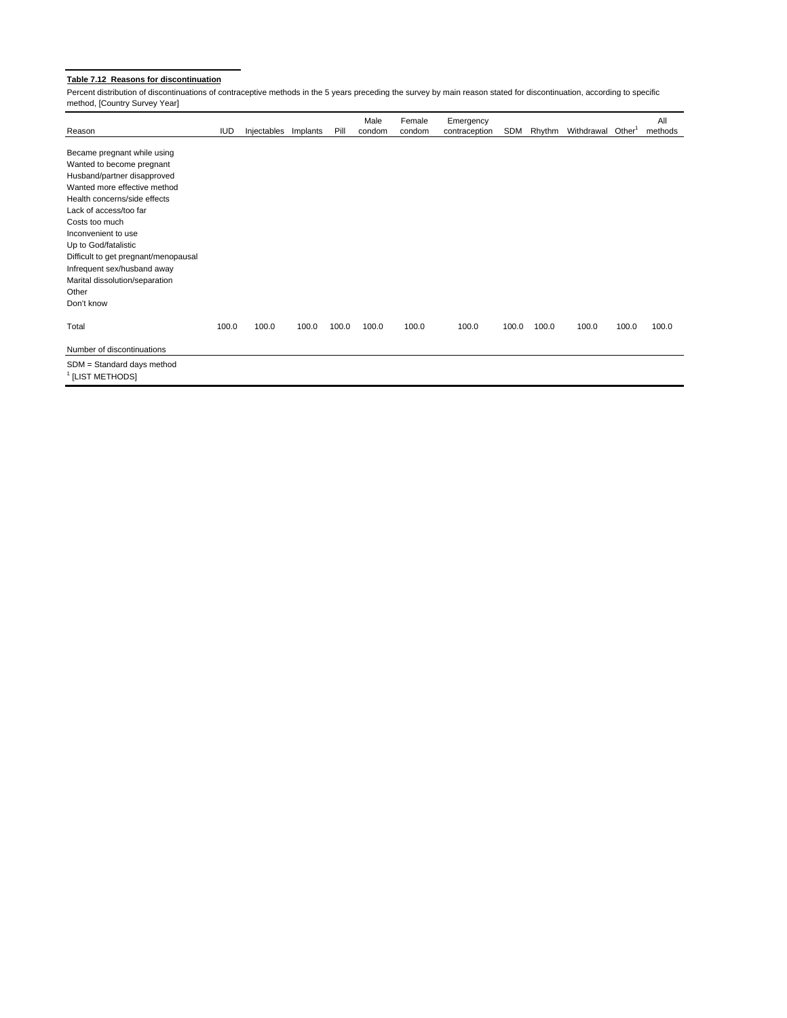## **Table 7.12 Reasons for discontinuation**

Percent distribution of discontinuations of contraceptive methods in the 5 years preceding the survey by main reason stated for discontinuation, according to specific method, [Country Survey Year]

| Reason                               | <b>IUD</b> | Injectables | Implants | Pill  | Male<br>condom | Female<br>condom | Emergency<br>contraception | SDM   | Rhythm | Withdrawal Other <sup>1</sup> |       | All<br>methods |
|--------------------------------------|------------|-------------|----------|-------|----------------|------------------|----------------------------|-------|--------|-------------------------------|-------|----------------|
|                                      |            |             |          |       |                |                  |                            |       |        |                               |       |                |
| Became pregnant while using          |            |             |          |       |                |                  |                            |       |        |                               |       |                |
| Wanted to become pregnant            |            |             |          |       |                |                  |                            |       |        |                               |       |                |
| Husband/partner disapproved          |            |             |          |       |                |                  |                            |       |        |                               |       |                |
| Wanted more effective method         |            |             |          |       |                |                  |                            |       |        |                               |       |                |
| Health concerns/side effects         |            |             |          |       |                |                  |                            |       |        |                               |       |                |
| Lack of access/too far               |            |             |          |       |                |                  |                            |       |        |                               |       |                |
| Costs too much                       |            |             |          |       |                |                  |                            |       |        |                               |       |                |
| Inconvenient to use                  |            |             |          |       |                |                  |                            |       |        |                               |       |                |
| Up to God/fatalistic                 |            |             |          |       |                |                  |                            |       |        |                               |       |                |
| Difficult to get pregnant/menopausal |            |             |          |       |                |                  |                            |       |        |                               |       |                |
| Infrequent sex/husband away          |            |             |          |       |                |                  |                            |       |        |                               |       |                |
| Marital dissolution/separation       |            |             |          |       |                |                  |                            |       |        |                               |       |                |
| Other                                |            |             |          |       |                |                  |                            |       |        |                               |       |                |
| Don't know                           |            |             |          |       |                |                  |                            |       |        |                               |       |                |
| Total                                | 100.0      | 100.0       | 100.0    | 100.0 | 100.0          | 100.0            | 100.0                      | 100.0 | 100.0  | 100.0                         | 100.0 | 100.0          |
| Number of discontinuations           |            |             |          |       |                |                  |                            |       |        |                               |       |                |
| SDM = Standard days method           |            |             |          |       |                |                  |                            |       |        |                               |       |                |
| <sup>1</sup> [LIST METHODS]          |            |             |          |       |                |                  |                            |       |        |                               |       |                |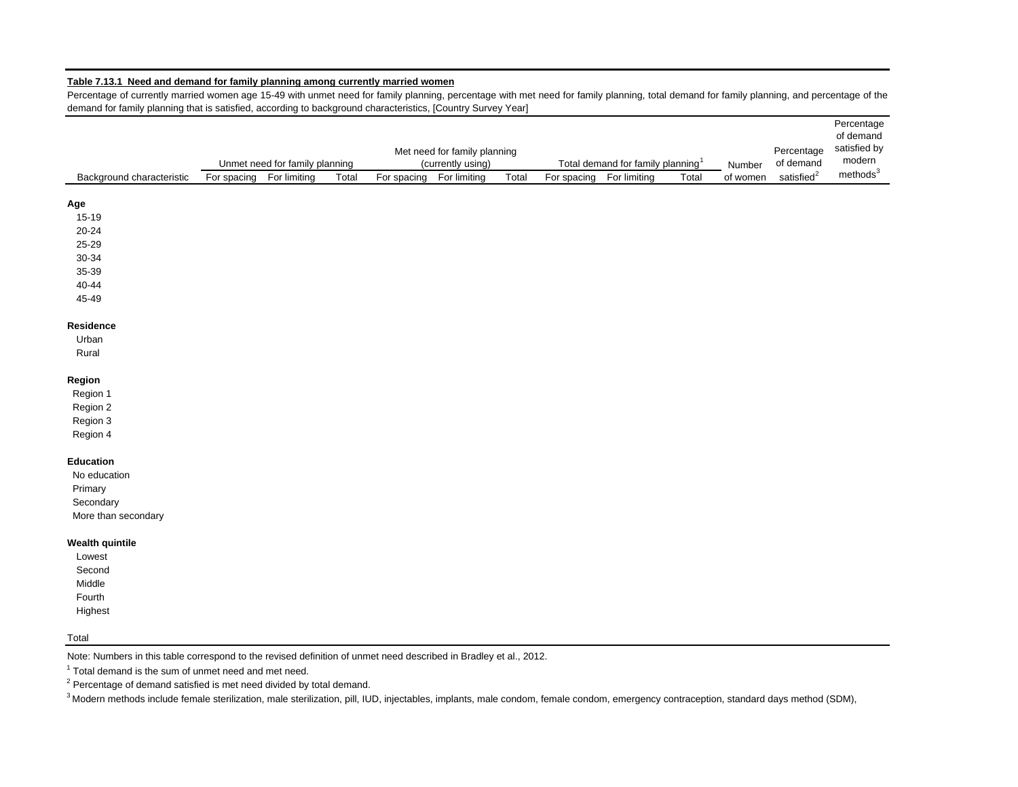#### **Table 7.13.1 Need and demand for family planning among currently married women**

Percentage of currently married women age 15-49 with unmet need for family planning, percentage with met need for family planning, total demand for family planning, and percentage of the demand for family planning that is satisfied, according to background characteristics, [Country Survey Year]

|                           | Percentage<br>Met need for family planning<br>of demand<br>Unmet need for family planning<br>(currently using)<br>Total demand for family planning <sup>1</sup><br>Number |              |       |             |              |       |             |              |       |          |                        | Percentage<br>of demand<br>satisfied by<br>modern |
|---------------------------|---------------------------------------------------------------------------------------------------------------------------------------------------------------------------|--------------|-------|-------------|--------------|-------|-------------|--------------|-------|----------|------------------------|---------------------------------------------------|
| Background characteristic | For spacing                                                                                                                                                               | For limiting | Total | For spacing | For limiting | Total | For spacing | For limiting | Total | of women | satisfied <sup>2</sup> | methods <sup>3</sup>                              |
| Age                       |                                                                                                                                                                           |              |       |             |              |       |             |              |       |          |                        |                                                   |
| 15-19                     |                                                                                                                                                                           |              |       |             |              |       |             |              |       |          |                        |                                                   |
| 20-24                     |                                                                                                                                                                           |              |       |             |              |       |             |              |       |          |                        |                                                   |
| 25-29                     |                                                                                                                                                                           |              |       |             |              |       |             |              |       |          |                        |                                                   |
| 30-34                     |                                                                                                                                                                           |              |       |             |              |       |             |              |       |          |                        |                                                   |
| 35-39                     |                                                                                                                                                                           |              |       |             |              |       |             |              |       |          |                        |                                                   |
| 40-44                     |                                                                                                                                                                           |              |       |             |              |       |             |              |       |          |                        |                                                   |
| 45-49                     |                                                                                                                                                                           |              |       |             |              |       |             |              |       |          |                        |                                                   |
| Residence                 |                                                                                                                                                                           |              |       |             |              |       |             |              |       |          |                        |                                                   |
| Urban                     |                                                                                                                                                                           |              |       |             |              |       |             |              |       |          |                        |                                                   |
| Rural                     |                                                                                                                                                                           |              |       |             |              |       |             |              |       |          |                        |                                                   |
| Region                    |                                                                                                                                                                           |              |       |             |              |       |             |              |       |          |                        |                                                   |
| Region 1                  |                                                                                                                                                                           |              |       |             |              |       |             |              |       |          |                        |                                                   |
| Region 2                  |                                                                                                                                                                           |              |       |             |              |       |             |              |       |          |                        |                                                   |
| Region 3                  |                                                                                                                                                                           |              |       |             |              |       |             |              |       |          |                        |                                                   |
| Region 4                  |                                                                                                                                                                           |              |       |             |              |       |             |              |       |          |                        |                                                   |
| <b>Education</b>          |                                                                                                                                                                           |              |       |             |              |       |             |              |       |          |                        |                                                   |
| No education              |                                                                                                                                                                           |              |       |             |              |       |             |              |       |          |                        |                                                   |
| Primary                   |                                                                                                                                                                           |              |       |             |              |       |             |              |       |          |                        |                                                   |
| Secondary                 |                                                                                                                                                                           |              |       |             |              |       |             |              |       |          |                        |                                                   |
| More than secondary       |                                                                                                                                                                           |              |       |             |              |       |             |              |       |          |                        |                                                   |
| <b>Wealth quintile</b>    |                                                                                                                                                                           |              |       |             |              |       |             |              |       |          |                        |                                                   |
| Lowest                    |                                                                                                                                                                           |              |       |             |              |       |             |              |       |          |                        |                                                   |
| Second                    |                                                                                                                                                                           |              |       |             |              |       |             |              |       |          |                        |                                                   |
| Middle                    |                                                                                                                                                                           |              |       |             |              |       |             |              |       |          |                        |                                                   |
| Fourth                    |                                                                                                                                                                           |              |       |             |              |       |             |              |       |          |                        |                                                   |
| Highest                   |                                                                                                                                                                           |              |       |             |              |       |             |              |       |          |                        |                                                   |

#### Total

Note: Numbers in this table correspond to the revised definition of unmet need described in Bradley et al., 2012.

 $1$  Total demand is the sum of unmet need and met need.

 $2$  Percentage of demand satisfied is met need divided by total demand.

<sup>3</sup> Modern methods include female sterilization, male sterilization, pill, IUD, injectables, implants, male condom, female condom, emergency contraception, standard days method (SDM),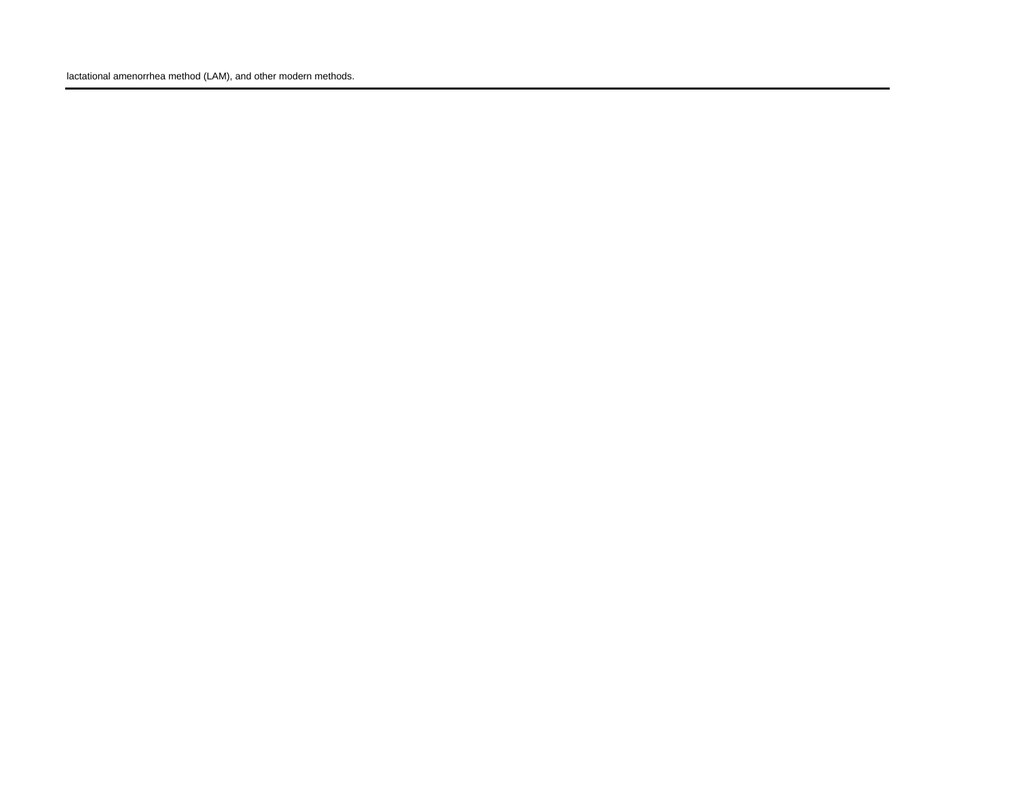lactational amenorrhea method (LAM), and other modern methods.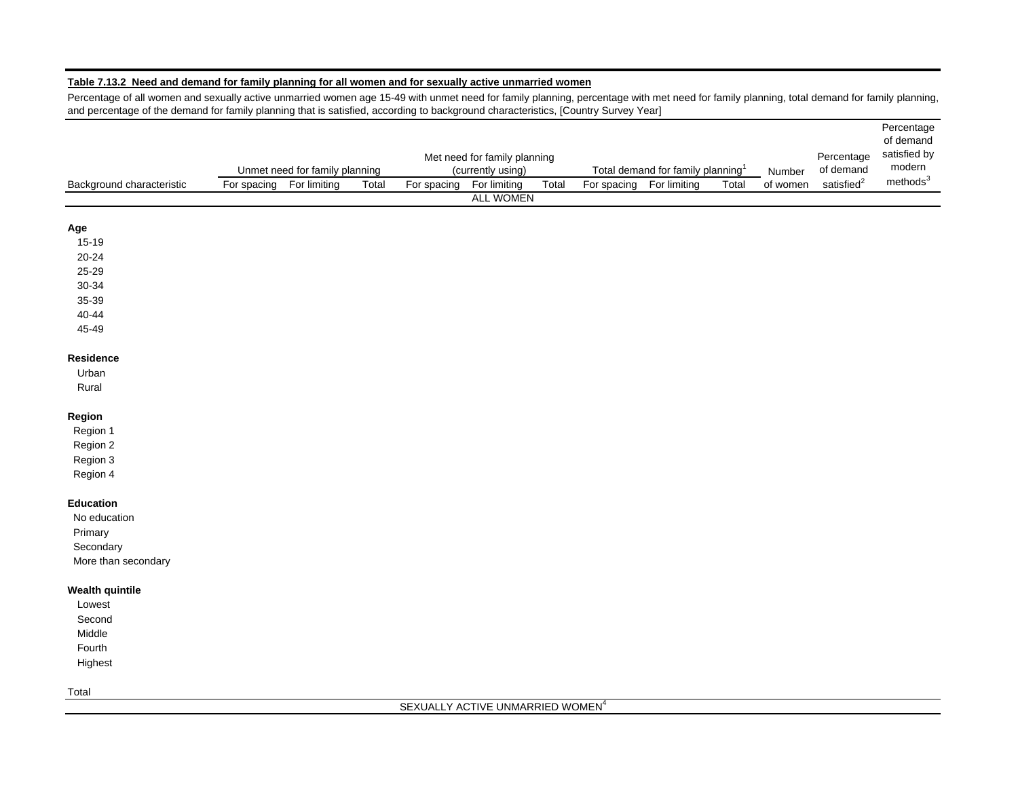## **Table 7.13.2 Need and demand for family planning for all women and for sexually active unmarried women**

Percentage of all women and sexually active unmarried women age 15-49 with unmet need for family planning, percentage with met need for family planning, total demand for family planning, and percentage of the demand for family planning that is satisfied, according to background characteristics, [Country Survey Year]

Percentage

|                           |             | Unmet need for family planning |       |             | Met need for family planning<br>(currently using) |       |             | Total demand for family planning <sup>1</sup> |       | Number   | Percentage<br>of demand | of demand<br>satisfied by<br>modern |
|---------------------------|-------------|--------------------------------|-------|-------------|---------------------------------------------------|-------|-------------|-----------------------------------------------|-------|----------|-------------------------|-------------------------------------|
| Background characteristic | For spacing | For limiting                   | Total | For spacing | For limiting                                      | Total | For spacing | For limiting                                  | Total | of women | satisfied ${}^{2}$      | methods <sup>3</sup>                |
|                           |             |                                |       |             | <b>ALL WOMEN</b>                                  |       |             |                                               |       |          |                         |                                     |
| Age                       |             |                                |       |             |                                                   |       |             |                                               |       |          |                         |                                     |
| $15 - 19$                 |             |                                |       |             |                                                   |       |             |                                               |       |          |                         |                                     |
| $20 - 24$                 |             |                                |       |             |                                                   |       |             |                                               |       |          |                         |                                     |
| 25-29                     |             |                                |       |             |                                                   |       |             |                                               |       |          |                         |                                     |
| 30-34                     |             |                                |       |             |                                                   |       |             |                                               |       |          |                         |                                     |
| 35-39                     |             |                                |       |             |                                                   |       |             |                                               |       |          |                         |                                     |
| 40-44                     |             |                                |       |             |                                                   |       |             |                                               |       |          |                         |                                     |
| 45-49                     |             |                                |       |             |                                                   |       |             |                                               |       |          |                         |                                     |
| Residence                 |             |                                |       |             |                                                   |       |             |                                               |       |          |                         |                                     |
| Urban                     |             |                                |       |             |                                                   |       |             |                                               |       |          |                         |                                     |
| Rural                     |             |                                |       |             |                                                   |       |             |                                               |       |          |                         |                                     |
| Region                    |             |                                |       |             |                                                   |       |             |                                               |       |          |                         |                                     |
| Region 1                  |             |                                |       |             |                                                   |       |             |                                               |       |          |                         |                                     |
| Region 2                  |             |                                |       |             |                                                   |       |             |                                               |       |          |                         |                                     |
| Region 3                  |             |                                |       |             |                                                   |       |             |                                               |       |          |                         |                                     |
| Region 4                  |             |                                |       |             |                                                   |       |             |                                               |       |          |                         |                                     |
| <b>Education</b>          |             |                                |       |             |                                                   |       |             |                                               |       |          |                         |                                     |
| No education              |             |                                |       |             |                                                   |       |             |                                               |       |          |                         |                                     |
| Primary                   |             |                                |       |             |                                                   |       |             |                                               |       |          |                         |                                     |
| Secondary                 |             |                                |       |             |                                                   |       |             |                                               |       |          |                         |                                     |
| More than secondary       |             |                                |       |             |                                                   |       |             |                                               |       |          |                         |                                     |
| <b>Wealth quintile</b>    |             |                                |       |             |                                                   |       |             |                                               |       |          |                         |                                     |
| Lowest                    |             |                                |       |             |                                                   |       |             |                                               |       |          |                         |                                     |
| Second                    |             |                                |       |             |                                                   |       |             |                                               |       |          |                         |                                     |
| Middle                    |             |                                |       |             |                                                   |       |             |                                               |       |          |                         |                                     |
| Fourth                    |             |                                |       |             |                                                   |       |             |                                               |       |          |                         |                                     |
| Highest                   |             |                                |       |             |                                                   |       |             |                                               |       |          |                         |                                     |
|                           |             |                                |       |             |                                                   |       |             |                                               |       |          |                         |                                     |

Total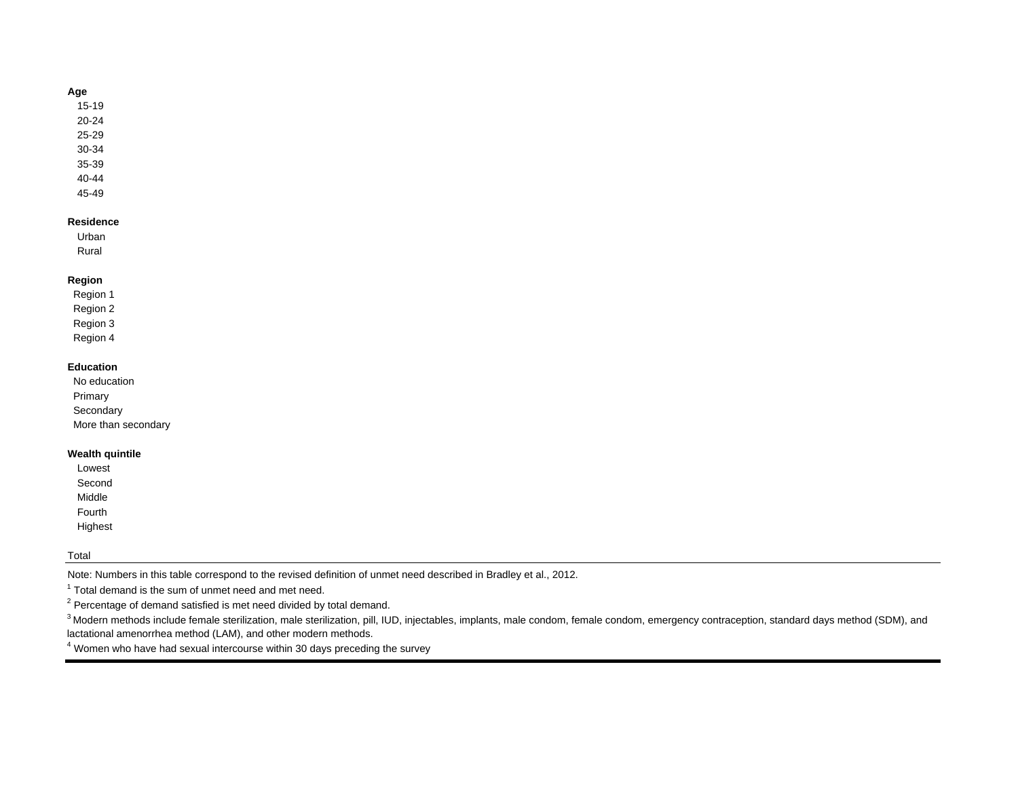### **Age**

15-19

20-24

25-29

30-34

35-39 40-44

45-49

### **Residence**

Urban Rural

## **Region**

 Region 1 Region 2 Region 3 Region 4

### **Education**

| No education        |  |
|---------------------|--|
| Primary             |  |
| Secondary           |  |
| More than secondary |  |
|                     |  |

## **Wealth quintile**

| Lowest  |
|---------|
| Second  |
| Middle  |
| Fourth  |
| Highest |

## Total

Note: Numbers in this table correspond to the revised definition of unmet need described in Bradley et al., 2012.

 $1$  Total demand is the sum of unmet need and met need.

 $2$  Percentage of demand satisfied is met need divided by total demand.

<sup>3</sup> Modern methods include female sterilization, male sterilization, pill, IUD, injectables, implants, male condom, female condom, emergency contraception, standard days method (SDM), and lactational amenorrhea method (LAM), and other modern methods.

4 Women who have had sexual intercourse within 30 days preceding the survey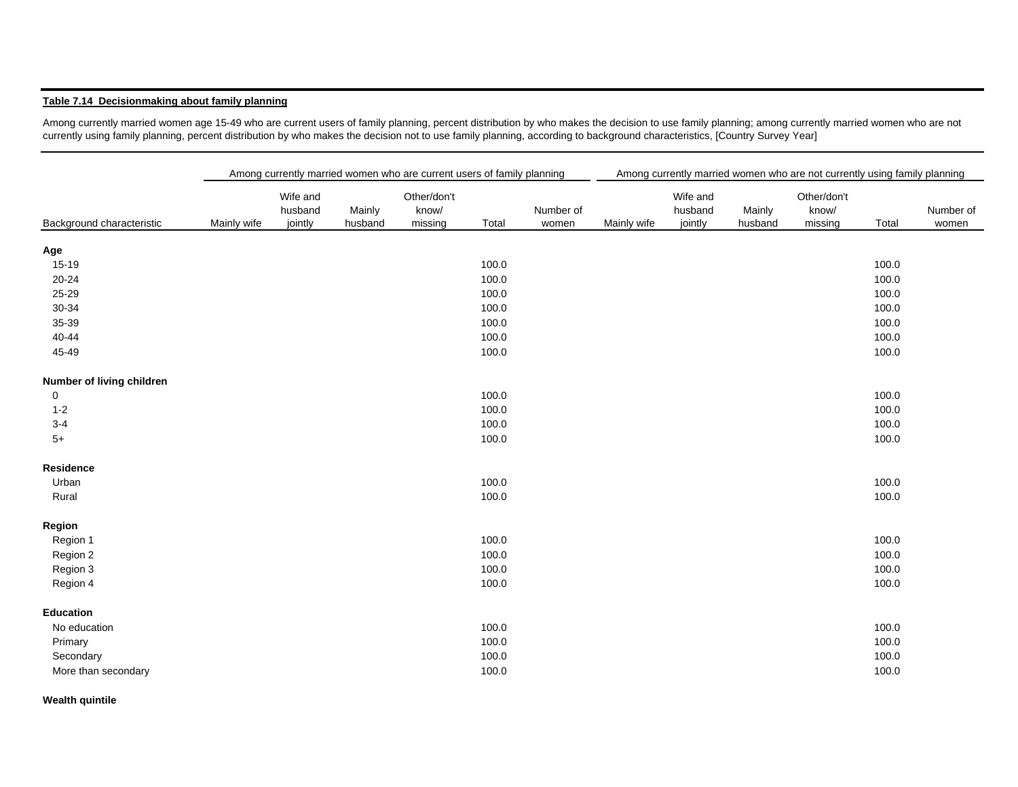## **Table 7.14 Decisionmaking about family planning**

Among currently married women age 15-49 who are current users of family planning, percent distribution by who makes the decision to use family planning; among currently married women who are not currently using family planning, percent distribution by who makes the decision not to use family planning, according to background characteristics, [Country Survey Year]

|                           | Among currently married women who are current users of family planning |                                |                   |                                 |       |                    |             | Among currently married women who are not currently using family planning |                   |                                 |       |                    |
|---------------------------|------------------------------------------------------------------------|--------------------------------|-------------------|---------------------------------|-------|--------------------|-------------|---------------------------------------------------------------------------|-------------------|---------------------------------|-------|--------------------|
| Background characteristic | Mainly wife                                                            | Wife and<br>husband<br>jointly | Mainly<br>husband | Other/don't<br>know/<br>missing | Total | Number of<br>women | Mainly wife | Wife and<br>husband<br>jointly                                            | Mainly<br>husband | Other/don't<br>know/<br>missing | Total | Number of<br>women |
| Age                       |                                                                        |                                |                   |                                 |       |                    |             |                                                                           |                   |                                 |       |                    |
| 15-19                     |                                                                        |                                |                   |                                 | 100.0 |                    |             |                                                                           |                   |                                 | 100.0 |                    |
| 20-24                     |                                                                        |                                |                   |                                 | 100.0 |                    |             |                                                                           |                   |                                 | 100.0 |                    |
| 25-29                     |                                                                        |                                |                   |                                 | 100.0 |                    |             |                                                                           |                   |                                 | 100.0 |                    |
| 30-34                     |                                                                        |                                |                   |                                 | 100.0 |                    |             |                                                                           |                   |                                 | 100.0 |                    |
| 35-39                     |                                                                        |                                |                   |                                 | 100.0 |                    |             |                                                                           |                   |                                 | 100.0 |                    |
| 40-44                     |                                                                        |                                |                   |                                 | 100.0 |                    |             |                                                                           |                   |                                 | 100.0 |                    |
| 45-49                     |                                                                        |                                |                   |                                 | 100.0 |                    |             |                                                                           |                   |                                 | 100.0 |                    |
| Number of living children |                                                                        |                                |                   |                                 |       |                    |             |                                                                           |                   |                                 |       |                    |
| 0                         |                                                                        |                                |                   |                                 | 100.0 |                    |             |                                                                           |                   |                                 | 100.0 |                    |
| $1 - 2$                   |                                                                        |                                |                   |                                 | 100.0 |                    |             |                                                                           |                   |                                 | 100.0 |                    |
| $3 - 4$                   |                                                                        |                                |                   |                                 | 100.0 |                    |             |                                                                           |                   |                                 | 100.0 |                    |
| $5+$                      |                                                                        |                                |                   |                                 | 100.0 |                    |             |                                                                           |                   |                                 | 100.0 |                    |
| Residence                 |                                                                        |                                |                   |                                 |       |                    |             |                                                                           |                   |                                 |       |                    |
| Urban                     |                                                                        |                                |                   |                                 | 100.0 |                    |             |                                                                           |                   |                                 | 100.0 |                    |
| Rural                     |                                                                        |                                |                   |                                 | 100.0 |                    |             |                                                                           |                   |                                 | 100.0 |                    |
| Region                    |                                                                        |                                |                   |                                 |       |                    |             |                                                                           |                   |                                 |       |                    |
| Region 1                  |                                                                        |                                |                   |                                 | 100.0 |                    |             |                                                                           |                   |                                 | 100.0 |                    |
| Region 2                  |                                                                        |                                |                   |                                 | 100.0 |                    |             |                                                                           |                   |                                 | 100.0 |                    |
| Region 3                  |                                                                        |                                |                   |                                 | 100.0 |                    |             |                                                                           |                   |                                 | 100.0 |                    |
| Region 4                  |                                                                        |                                |                   |                                 | 100.0 |                    |             |                                                                           |                   |                                 | 100.0 |                    |
| <b>Education</b>          |                                                                        |                                |                   |                                 |       |                    |             |                                                                           |                   |                                 |       |                    |
| No education              |                                                                        |                                |                   |                                 | 100.0 |                    |             |                                                                           |                   |                                 | 100.0 |                    |
| Primary                   |                                                                        |                                |                   |                                 | 100.0 |                    |             |                                                                           |                   |                                 | 100.0 |                    |
| Secondary                 |                                                                        |                                |                   |                                 | 100.0 |                    |             |                                                                           |                   |                                 | 100.0 |                    |
| More than secondary       |                                                                        |                                |                   |                                 | 100.0 |                    |             |                                                                           |                   |                                 | 100.0 |                    |

**Wealth quintile**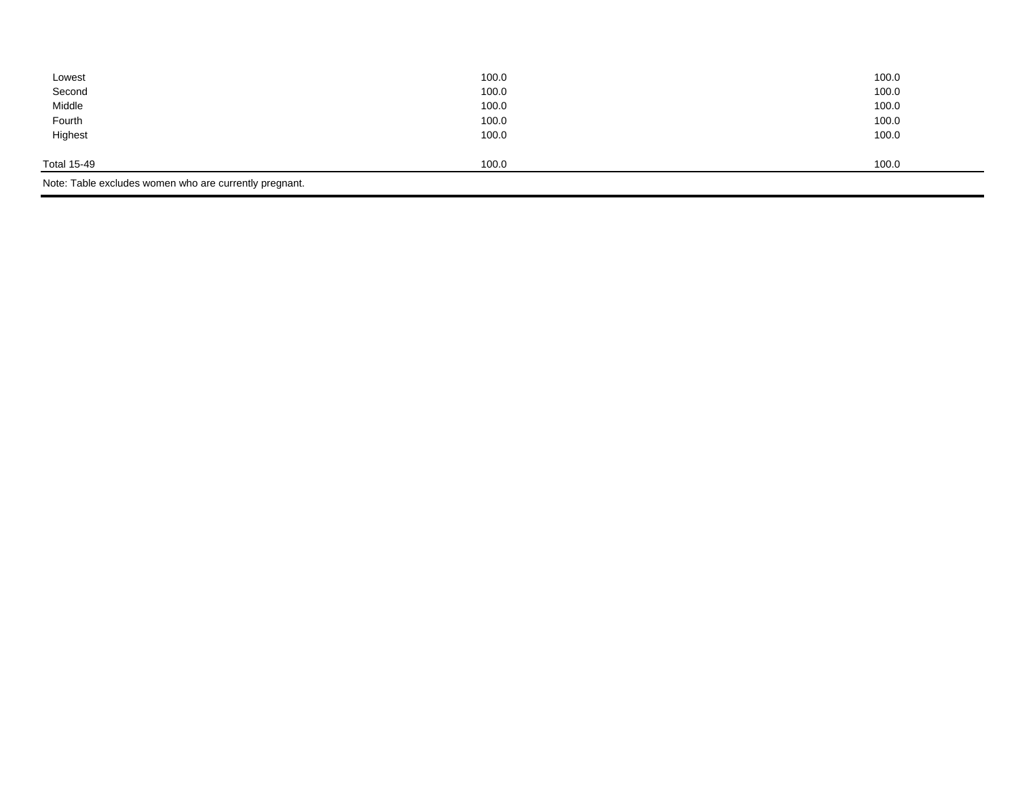| Lowest                                                 | 100.0 | 100.0 |
|--------------------------------------------------------|-------|-------|
| Second                                                 | 100.0 | 100.0 |
| Middle                                                 | 100.0 | 100.0 |
| Fourth                                                 | 100.0 | 100.0 |
| Highest                                                | 100.0 | 100.0 |
|                                                        |       |       |
| Total 15-49                                            | 100.0 | 100.0 |
| Note: Table excludes women who are currently pregnant. |       |       |
|                                                        |       |       |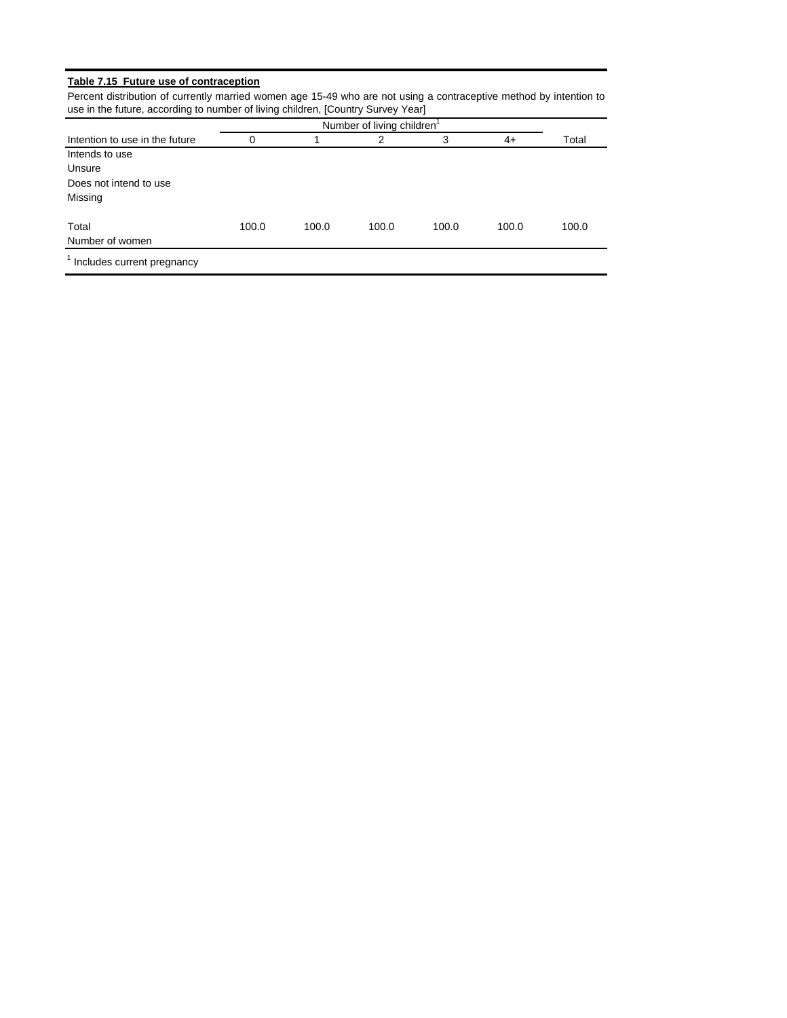## **Table 7.15 Future use of contraception**

Percent distribution of currently married women age 15-49 who are not using a contraceptive method by intention to use in the future, according to number of living children, [Country Survey Year]

| Intention to use in the future          | 0     |       | 2     | 3     | 4+    | Total |
|-----------------------------------------|-------|-------|-------|-------|-------|-------|
| Intends to use                          |       |       |       |       |       |       |
| Unsure                                  |       |       |       |       |       |       |
| Does not intend to use                  |       |       |       |       |       |       |
| Missing                                 |       |       |       |       |       |       |
| Total                                   | 100.0 | 100.0 | 100.0 | 100.0 | 100.0 | 100.0 |
| Number of women                         |       |       |       |       |       |       |
| <sup>1</sup> Includes current pregnancy |       |       |       |       |       |       |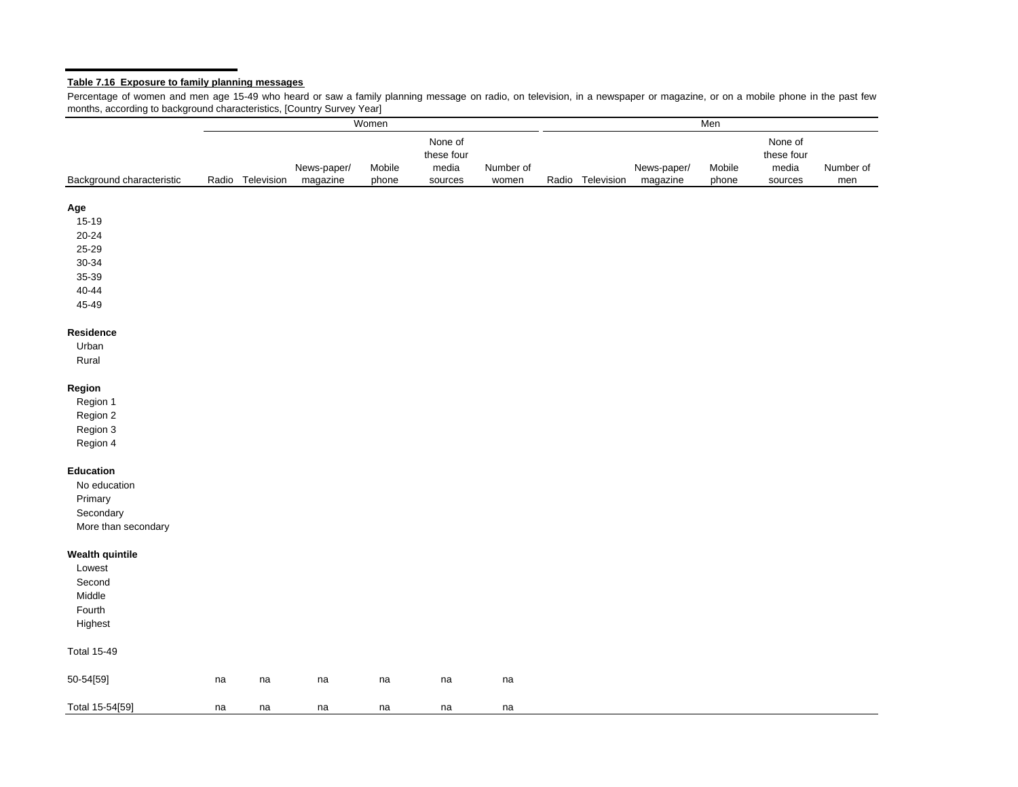#### **Table 7.16 Exposure to family planning messages**

Percentage of women and men age 15-49 who heard or saw <sup>a</sup> family planning message on radio, on television, in <sup>a</sup> newspaper or magazine, or on <sup>a</sup> mobile phone in the past few months, according to background characteristics, [Country Survey Year]

|                           |    | Women            |                         |                 |                                           |                    | Men |                  |                         |                 |                                           |                  |
|---------------------------|----|------------------|-------------------------|-----------------|-------------------------------------------|--------------------|-----|------------------|-------------------------|-----------------|-------------------------------------------|------------------|
| Background characteristic |    | Radio Television | News-paper/<br>magazine | Mobile<br>phone | None of<br>these four<br>media<br>sources | Number of<br>women |     | Radio Television | News-paper/<br>magazine | Mobile<br>phone | None of<br>these four<br>media<br>sources | Number of<br>men |
|                           |    |                  |                         |                 |                                           |                    |     |                  |                         |                 |                                           |                  |
| Age                       |    |                  |                         |                 |                                           |                    |     |                  |                         |                 |                                           |                  |
| 15-19                     |    |                  |                         |                 |                                           |                    |     |                  |                         |                 |                                           |                  |
| $20 - 24$                 |    |                  |                         |                 |                                           |                    |     |                  |                         |                 |                                           |                  |
| 25-29                     |    |                  |                         |                 |                                           |                    |     |                  |                         |                 |                                           |                  |
| 30-34                     |    |                  |                         |                 |                                           |                    |     |                  |                         |                 |                                           |                  |
| 35-39                     |    |                  |                         |                 |                                           |                    |     |                  |                         |                 |                                           |                  |
| 40-44                     |    |                  |                         |                 |                                           |                    |     |                  |                         |                 |                                           |                  |
| 45-49                     |    |                  |                         |                 |                                           |                    |     |                  |                         |                 |                                           |                  |
| Residence                 |    |                  |                         |                 |                                           |                    |     |                  |                         |                 |                                           |                  |
| Urban                     |    |                  |                         |                 |                                           |                    |     |                  |                         |                 |                                           |                  |
| Rural                     |    |                  |                         |                 |                                           |                    |     |                  |                         |                 |                                           |                  |
| Region                    |    |                  |                         |                 |                                           |                    |     |                  |                         |                 |                                           |                  |
| Region 1                  |    |                  |                         |                 |                                           |                    |     |                  |                         |                 |                                           |                  |
| Region 2                  |    |                  |                         |                 |                                           |                    |     |                  |                         |                 |                                           |                  |
| Region 3                  |    |                  |                         |                 |                                           |                    |     |                  |                         |                 |                                           |                  |
| Region 4                  |    |                  |                         |                 |                                           |                    |     |                  |                         |                 |                                           |                  |
| Education                 |    |                  |                         |                 |                                           |                    |     |                  |                         |                 |                                           |                  |
| No education              |    |                  |                         |                 |                                           |                    |     |                  |                         |                 |                                           |                  |
| Primary                   |    |                  |                         |                 |                                           |                    |     |                  |                         |                 |                                           |                  |
| Secondary                 |    |                  |                         |                 |                                           |                    |     |                  |                         |                 |                                           |                  |
| More than secondary       |    |                  |                         |                 |                                           |                    |     |                  |                         |                 |                                           |                  |
| <b>Wealth quintile</b>    |    |                  |                         |                 |                                           |                    |     |                  |                         |                 |                                           |                  |
| Lowest                    |    |                  |                         |                 |                                           |                    |     |                  |                         |                 |                                           |                  |
| Second                    |    |                  |                         |                 |                                           |                    |     |                  |                         |                 |                                           |                  |
| Middle                    |    |                  |                         |                 |                                           |                    |     |                  |                         |                 |                                           |                  |
| Fourth                    |    |                  |                         |                 |                                           |                    |     |                  |                         |                 |                                           |                  |
| Highest                   |    |                  |                         |                 |                                           |                    |     |                  |                         |                 |                                           |                  |
| <b>Total 15-49</b>        |    |                  |                         |                 |                                           |                    |     |                  |                         |                 |                                           |                  |
| 50-54[59]                 | na | na               | na                      | na              | na                                        | na                 |     |                  |                         |                 |                                           |                  |
| Total 15-54[59]           | na | na               | na                      | na              | na                                        | na                 |     |                  |                         |                 |                                           |                  |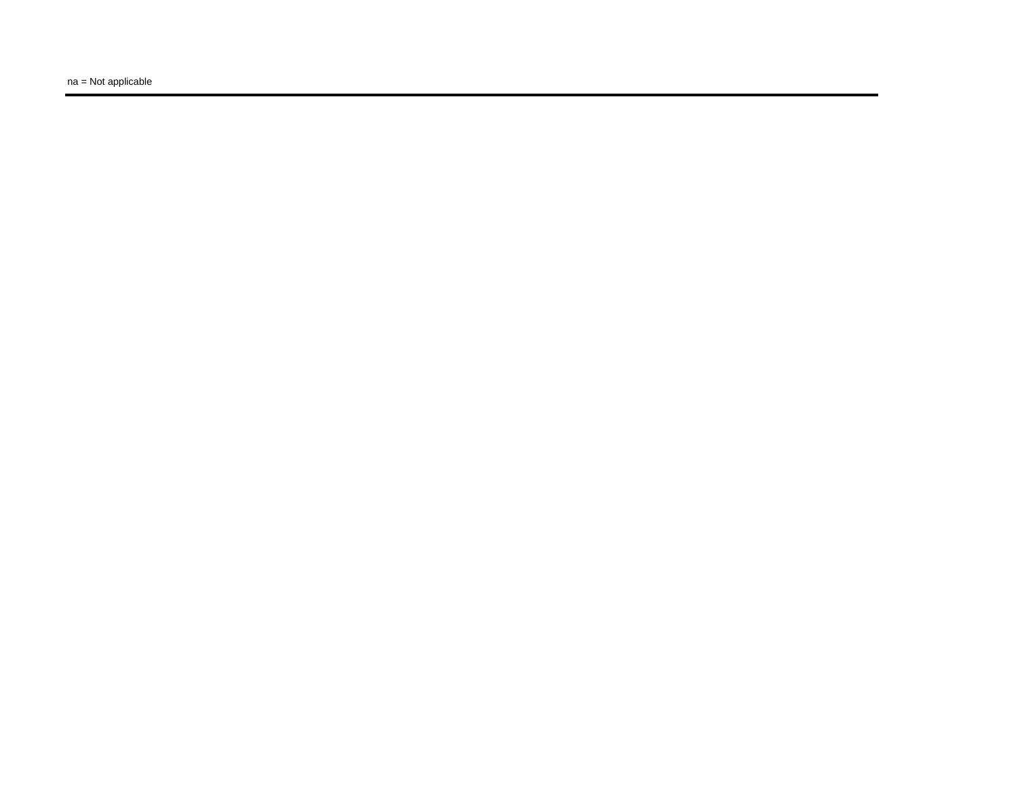na = Not applicable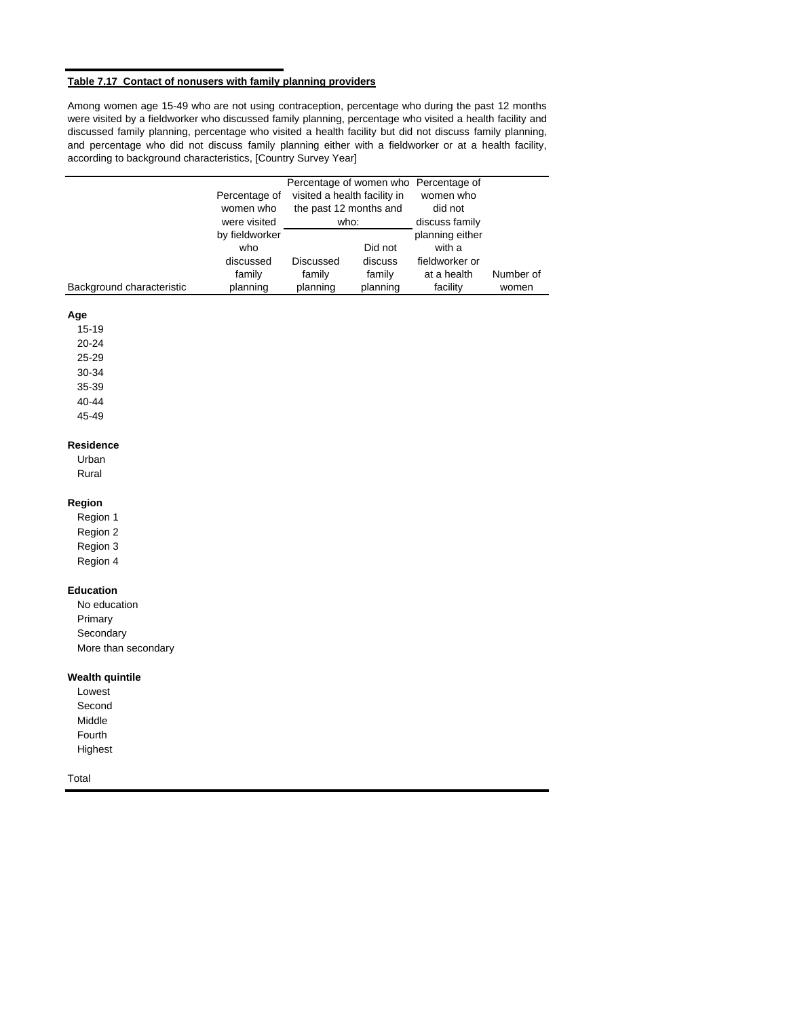### **Table 7.17 Contact of nonusers with family planning providers**

Among women age 15-49 who are not using contraception, percentage who during the past 12 months were visited by a fieldworker who discussed family planning, percentage who visited a health facility and discussed family planning, percentage who visited a health facility but did not discuss family planning, and percentage who did not discuss family planning either with a fieldworker or at a health facility, according to background characteristics, [Country Survey Year]

|                                                                                    | Percentage of<br>women who<br>were visited               | visited a health facility in<br>the past 12 months and<br>who: |                                          | Percentage of women who Percentage of<br>women who<br>did not<br>discuss family |                    |
|------------------------------------------------------------------------------------|----------------------------------------------------------|----------------------------------------------------------------|------------------------------------------|---------------------------------------------------------------------------------|--------------------|
| Background characteristic                                                          | by fieldworker<br>who<br>discussed<br>family<br>planning | <b>Discussed</b><br>family<br>planning                         | Did not<br>discuss<br>family<br>planning | planning either<br>with a<br>fieldworker or<br>at a health<br>facility          | Number of<br>women |
| Age<br>15-19<br>20-24<br>25-29<br>30-34<br>35-39<br>40-44<br>45-49                 |                                                          |                                                                |                                          |                                                                                 |                    |
| <b>Residence</b><br>Urban<br>Rural                                                 |                                                          |                                                                |                                          |                                                                                 |                    |
| Region<br>Region 1<br>Region 2<br>Region 3<br>Region 4                             |                                                          |                                                                |                                          |                                                                                 |                    |
| <b>Education</b><br>No education<br>Primary<br>Secondary<br>More than secondary    |                                                          |                                                                |                                          |                                                                                 |                    |
| <b>Wealth quintile</b><br>Lowest<br>Second<br>Middle<br>Fourth<br>Highest<br>Total |                                                          |                                                                |                                          |                                                                                 |                    |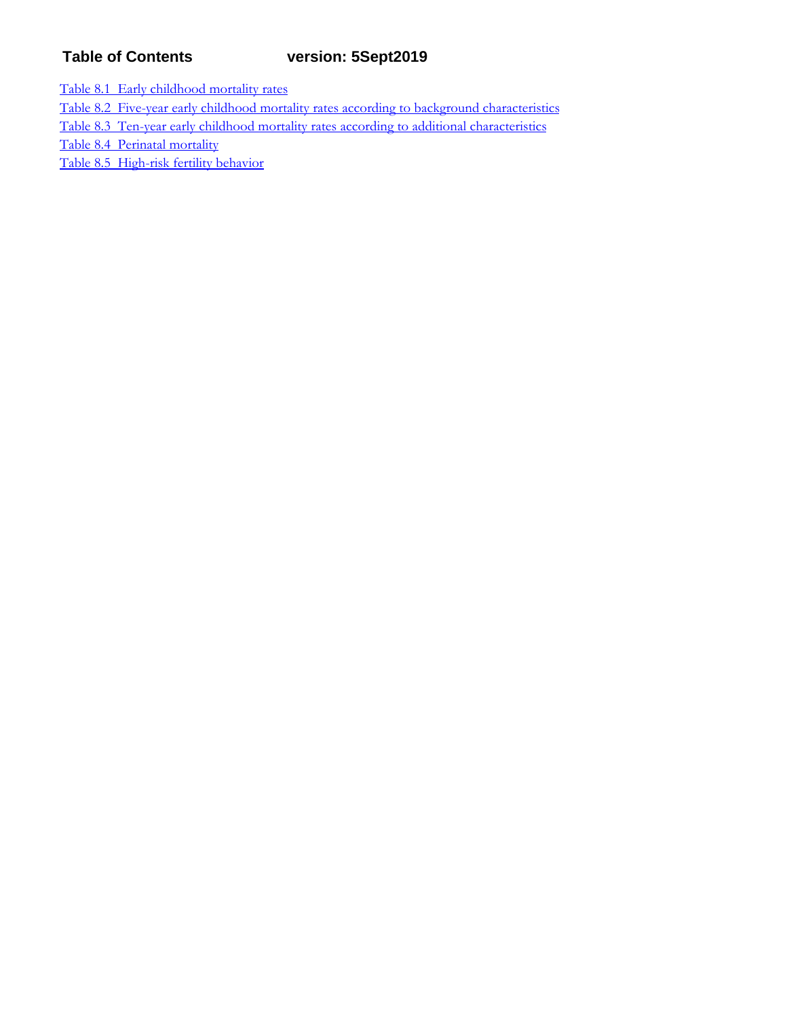# **Table of Contents version: 5Sept2019**

Table 8.1 Early childhood mortality rates

Table 8.2 Five-year early childhood mortality rates according to background characteristics

Table 8.3 Ten-year early childhood mortality rates according to additional characteristics

Table 8.4 Perinatal mortality

Table 8.5 High-risk fertility behavior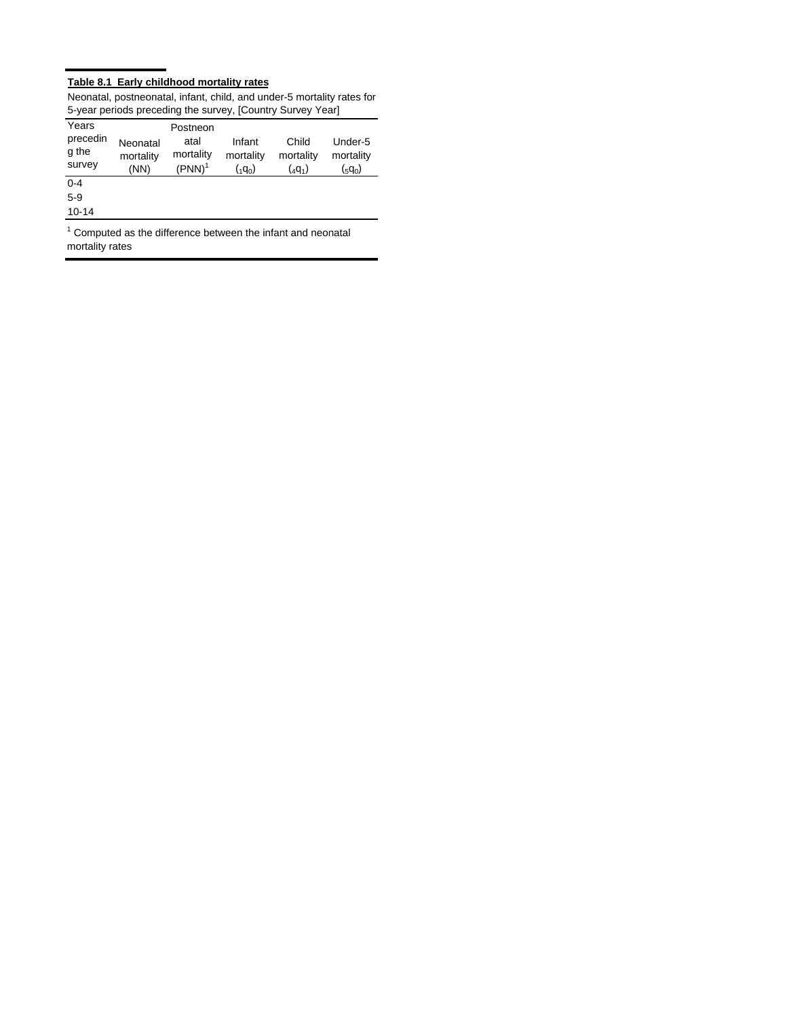## **Table 8.1 Early childhood mortality rates**

| o your ponous proceding the survey, joedning ourvey Tear |           |           |                 |             |                 |  |  |
|----------------------------------------------------------|-----------|-----------|-----------------|-------------|-----------------|--|--|
| Years                                                    |           | Postneon  |                 |             |                 |  |  |
| precedin                                                 | Neonatal  | atal      | Infant          | Child       | Under-5         |  |  |
| g the                                                    | mortality | mortality | mortality       | mortality   | mortality       |  |  |
| survey                                                   | (NN)      | $(PNN)^1$ | $({}_{1}q_{0})$ | $({}_4q_1)$ | $({}_{5}q_{0})$ |  |  |
| $0 - 4$                                                  |           |           |                 |             |                 |  |  |
| $5-9$                                                    |           |           |                 |             |                 |  |  |
| $10 - 14$                                                |           |           |                 |             |                 |  |  |
|                                                          |           |           |                 |             |                 |  |  |

Neonatal, postneonatal, infant, child, and under-5 mortality rates for 5-year periods preceding the survey, [Country Survey Year]

 $1$  Computed as the difference between the infant and neonatal mortality rates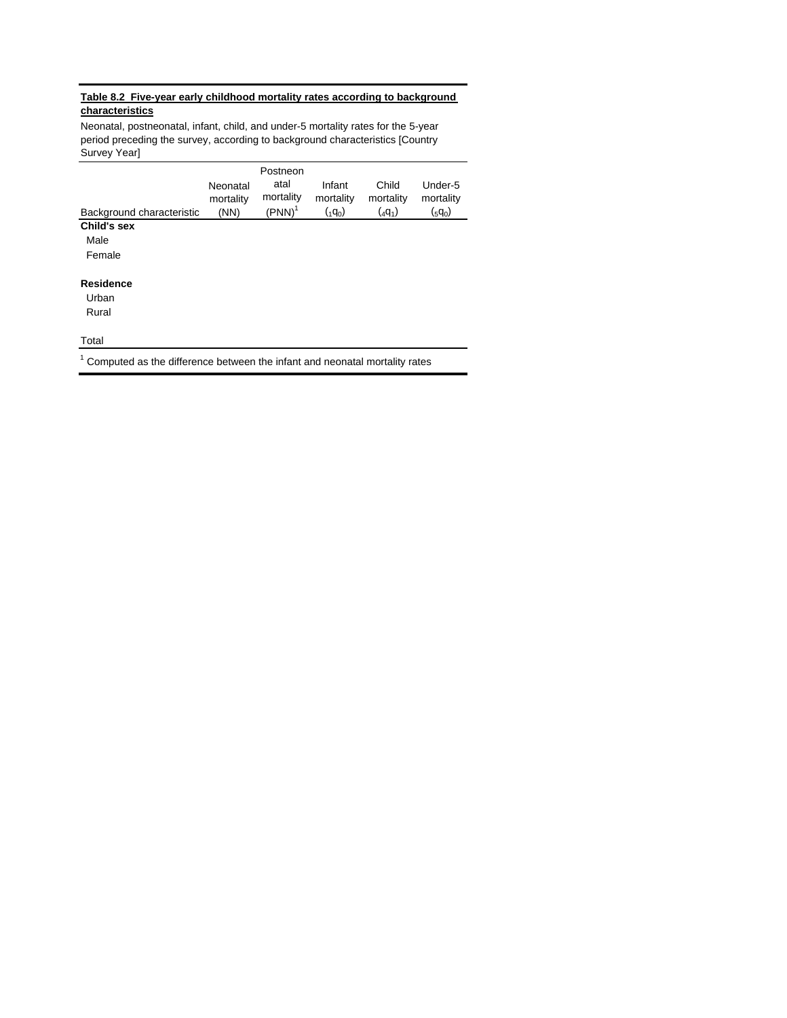# **Table 8.2 Five-year early childhood mortality rates according to background characteristics**

Neonatal, postneonatal, infant, child, and under-5 mortality rates for the 5-year period preceding the survey, according to background characteristics [Country Survey Year]

|                                                                                |           | Postneon  |                 |           |           |
|--------------------------------------------------------------------------------|-----------|-----------|-----------------|-----------|-----------|
|                                                                                | Neonatal  | atal      | Infant          | Child     | Under-5   |
|                                                                                | mortality | mortality | mortality       | mortality | mortality |
| Background characteristic                                                      | (NN)      | $(PNN)^T$ | $({}_{1}q_{0})$ | $(4q_1)$  | $(gq_0)$  |
| Child's sex                                                                    |           |           |                 |           |           |
| Male                                                                           |           |           |                 |           |           |
| Female                                                                         |           |           |                 |           |           |
| <b>Residence</b>                                                               |           |           |                 |           |           |
| Urban                                                                          |           |           |                 |           |           |
| Rural                                                                          |           |           |                 |           |           |
| Total                                                                          |           |           |                 |           |           |
| $1$ Computed as the difference between the infant and neonatal mortality rates |           |           |                 |           |           |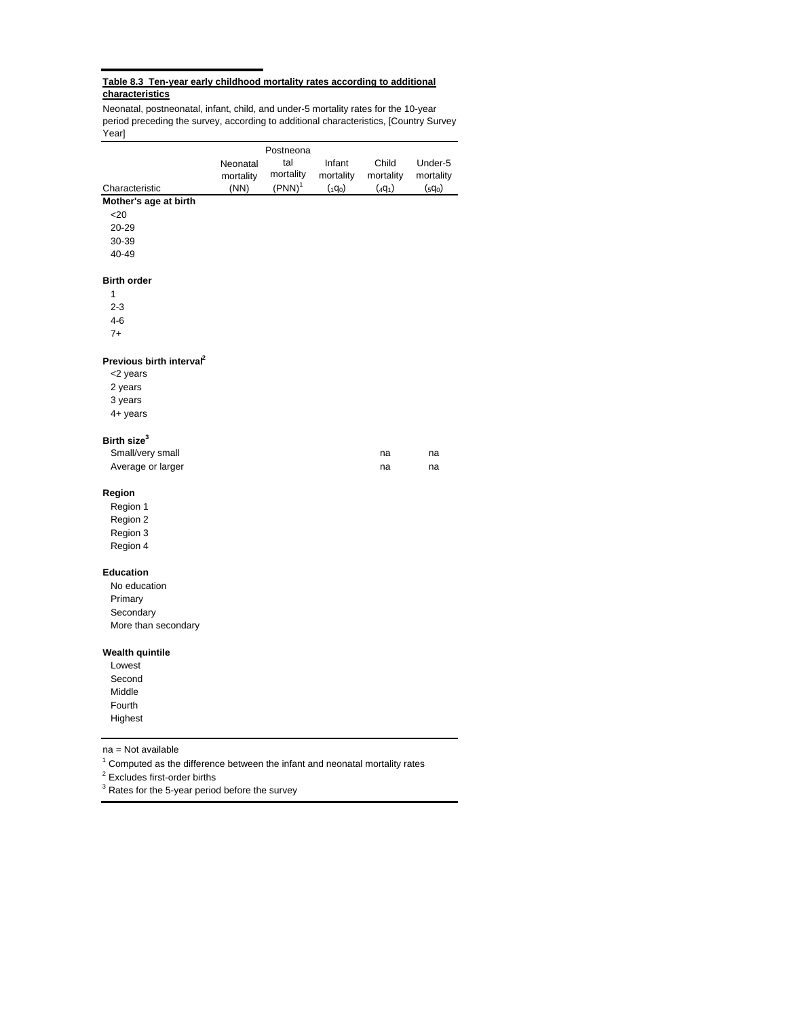#### **Table 8.3 Ten-year early childhood mortality rates according to additional characteristics**

Neonatal, postneonatal, infant, child, and under-5 mortality rates for the 10-year period preceding the survey, according to additional characteristics, [Country Survey Year]

|                                      |           | Postneona |                 |             |                 |
|--------------------------------------|-----------|-----------|-----------------|-------------|-----------------|
|                                      | Neonatal  | tal       | Infant          | Child       | Under-5         |
|                                      | mortality | mortality | mortality       | mortality   | mortality       |
| Characteristic                       | (NN)      | $(PNN)^1$ | $({}_{1}q_{0})$ | $({}_4q_1)$ | $({}_{5}q_{0})$ |
| Mother's age at birth                |           |           |                 |             |                 |
| $<$ 20                               |           |           |                 |             |                 |
| 20-29                                |           |           |                 |             |                 |
| 30-39                                |           |           |                 |             |                 |
| 40-49                                |           |           |                 |             |                 |
| <b>Birth order</b>                   |           |           |                 |             |                 |
| 1                                    |           |           |                 |             |                 |
| $2 - 3$                              |           |           |                 |             |                 |
| $4 - 6$                              |           |           |                 |             |                 |
| $7+$                                 |           |           |                 |             |                 |
| Previous birth interval <sup>2</sup> |           |           |                 |             |                 |
| <2 years                             |           |           |                 |             |                 |
| 2 years                              |           |           |                 |             |                 |
| 3 years                              |           |           |                 |             |                 |
| 4+ years                             |           |           |                 |             |                 |
| Birth size <sup>3</sup>              |           |           |                 |             |                 |
| Small/very small                     |           |           |                 | na          | na              |
| Average or larger                    |           |           |                 | na          | na              |
| Region                               |           |           |                 |             |                 |
| Region 1                             |           |           |                 |             |                 |
| Region 2                             |           |           |                 |             |                 |
| Region 3                             |           |           |                 |             |                 |
| Region 4                             |           |           |                 |             |                 |
| <b>Education</b>                     |           |           |                 |             |                 |
| No education                         |           |           |                 |             |                 |
| Primary                              |           |           |                 |             |                 |
| Secondary                            |           |           |                 |             |                 |
| More than secondary                  |           |           |                 |             |                 |
| <b>Wealth quintile</b>               |           |           |                 |             |                 |
| Lowest                               |           |           |                 |             |                 |
| Second                               |           |           |                 |             |                 |
| Middle                               |           |           |                 |             |                 |
| Fourth                               |           |           |                 |             |                 |
| Highest                              |           |           |                 |             |                 |
|                                      |           |           |                 |             |                 |

na = Not available

 $1$  Computed as the difference between the infant and neonatal mortality rates

<sup>2</sup> Excludes first-order births

 $3$  Rates for the 5-year period before the survey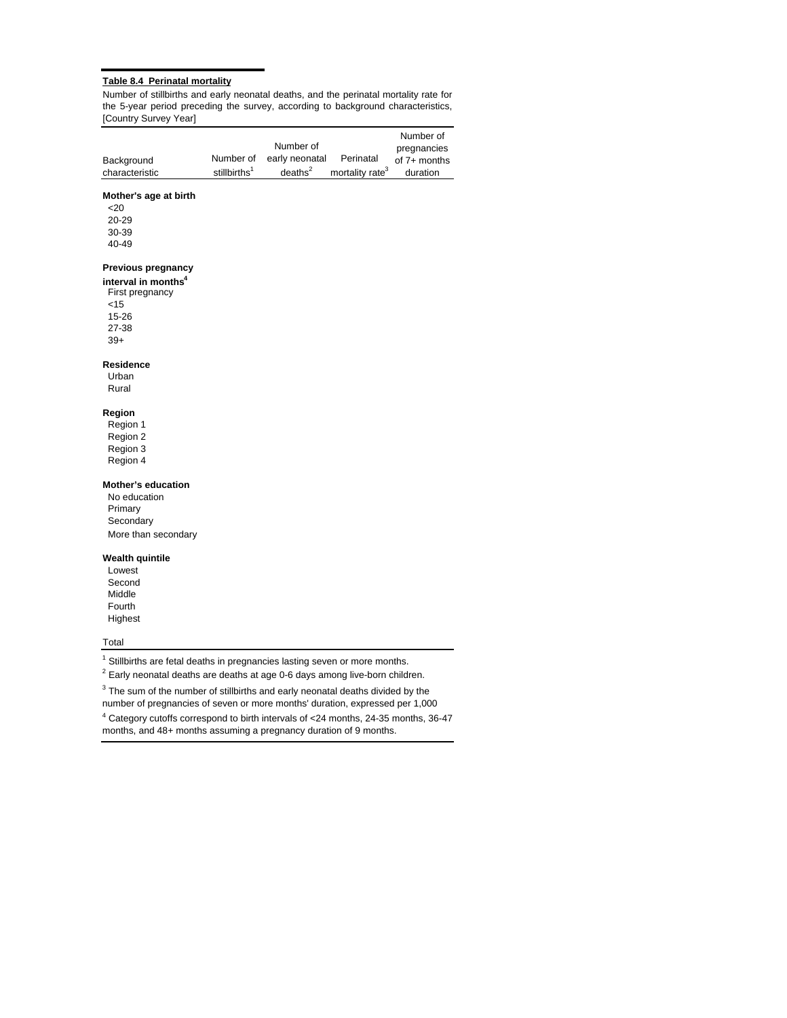#### **Table 8.4 Perinatal mortality**

Number of stillbirths and early neonatal deaths, and the perinatal mortality rate for the 5-year period preceding the survey, according to background characteristics, [Country Survey Year]

|                |                          |                     |                             | Number of    |
|----------------|--------------------------|---------------------|-----------------------------|--------------|
|                |                          | Number of           |                             | pregnancies  |
| Background     | Number of                | early neonatal      | Perinatal                   | of 7+ months |
| characteristic | stillbirths <sup>1</sup> | deaths <sup>2</sup> | mortality rate <sup>3</sup> | duration     |

#### **Mother's age at birth**

 $<20$  20-29 30-39 40-49

#### **Previous pregnancy**

 First pregnancy <15 15-26 27-38 **interval in months4**

# **Residence**

 Urban Rural

39+

# **Region**

 Region 1 Region 2 Region 3 Region 4

#### **Mother's education**

 No education Primary Secondary More than secondary

#### **Wealth quintile**

 Lowest Second Middle Fourth Highest

#### Total

 $1$  Stillbirths are fetal deaths in pregnancies lasting seven or more months.

 $2$  Early neonatal deaths are deaths at age 0-6 days among live-born children.

 $3$  The sum of the number of stillbirths and early neonatal deaths divided by the

 $^4$  Category cutoffs correspond to birth intervals of  $<$  24 months, 24-35 months, 36-47  $\,$ number of pregnancies of seven or more months' duration, expressed per 1,000

months, and 48+ months assuming a pregnancy duration of 9 months.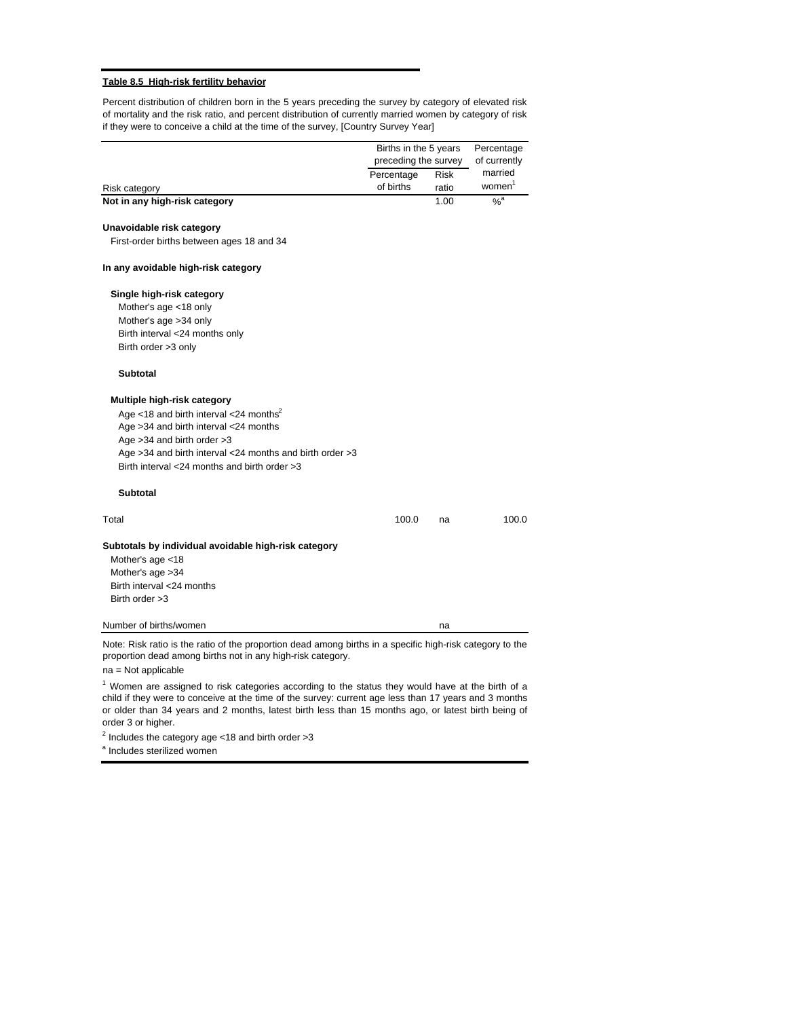#### **Table 8.5 High-risk fertility behavior**

Percent distribution of children born in the 5 years preceding the survey by category of elevated risk of mortality and the risk ratio, and percent distribution of currently married women by category of risk if they were to conceive a child at the time of the survey, [Country Survey Year]

|                                                                                                                                                                                                   | Births in the 5 years              |       | Percentage              |
|---------------------------------------------------------------------------------------------------------------------------------------------------------------------------------------------------|------------------------------------|-------|-------------------------|
|                                                                                                                                                                                                   | preceding the survey<br>Percentage | Risk  | of currently<br>married |
| Risk category                                                                                                                                                                                     | of births                          | ratio | women <sup>1</sup>      |
| Not in any high-risk category                                                                                                                                                                     |                                    | 1.00  | $\alpha$ <sup>a</sup>   |
| Unavoidable risk category                                                                                                                                                                         |                                    |       |                         |
| First-order births between ages 18 and 34                                                                                                                                                         |                                    |       |                         |
| In any avoidable high-risk category                                                                                                                                                               |                                    |       |                         |
| Single high-risk category                                                                                                                                                                         |                                    |       |                         |
| Mother's age <18 only                                                                                                                                                                             |                                    |       |                         |
| Mother's age >34 only                                                                                                                                                                             |                                    |       |                         |
| Birth interval <24 months only                                                                                                                                                                    |                                    |       |                         |
| Birth order >3 only                                                                                                                                                                               |                                    |       |                         |
| <b>Subtotal</b>                                                                                                                                                                                   |                                    |       |                         |
| Multiple high-risk category                                                                                                                                                                       |                                    |       |                         |
| Age <18 and birth interval <24 months <sup>2</sup>                                                                                                                                                |                                    |       |                         |
| Age >34 and birth interval <24 months                                                                                                                                                             |                                    |       |                         |
| Age $>34$ and birth order $>3$                                                                                                                                                                    |                                    |       |                         |
| Age >34 and birth interval <24 months and birth order >3                                                                                                                                          |                                    |       |                         |
| Birth interval <24 months and birth order >3                                                                                                                                                      |                                    |       |                         |
| <b>Subtotal</b>                                                                                                                                                                                   |                                    |       |                         |
| Total                                                                                                                                                                                             | 100.0                              | na    | 100.0                   |
| Subtotals by individual avoidable high-risk category<br>Mother's age <18                                                                                                                          |                                    |       |                         |
| Mother's age > 34                                                                                                                                                                                 |                                    |       |                         |
| Birth interval <24 months                                                                                                                                                                         |                                    |       |                         |
| Birth order > 3                                                                                                                                                                                   |                                    |       |                         |
| Number of births/women                                                                                                                                                                            |                                    | na    |                         |
| Note: Risk ratio is the ratio of the proportion dead among births in a specific high-risk category to the<br>proportion dead among births not in any high-risk category.<br>$na = Not applicable$ |                                    |       |                         |

 $1$  Women are assigned to risk categories according to the status they would have at the birth of a child if they were to conceive at the time of the survey: current age less than 17 years and 3 months or older than 34 years and 2 months, latest birth less than 15 months ago, or latest birth being of order 3 or higher.

 $2$  Includes the category age <18 and birth order >3

<sup>a</sup> Includes sterilized women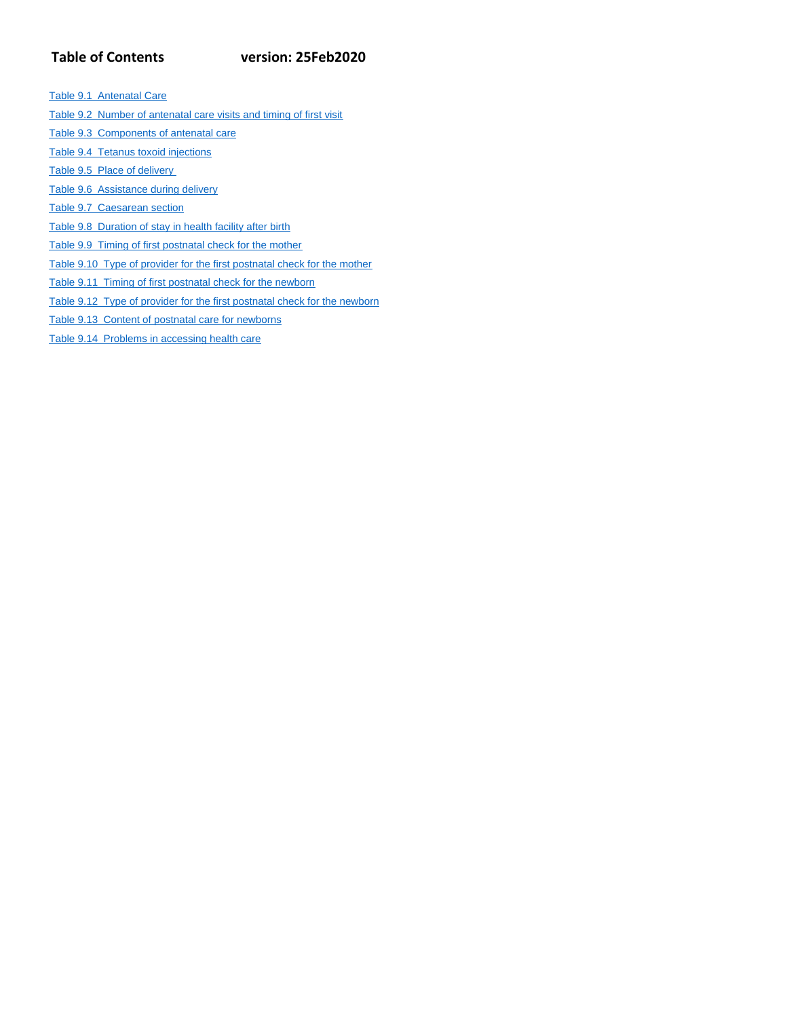# **Table of Contents version: 25Feb2020**

Table 9.1 Antenatal Care

- Table 9.2 Number of antenatal care visits and timing of first visit
- Table 9.3 Components of antenatal care
- Table 9.4 Tetanus toxoid injections
- Table 9.5 Place of delivery
- Table 9.6 Assistance during delivery
- Table 9.7 Caesarean section
- Table 9.8 Duration of stay in health facility after birth
- Table 9.9 Timing of first postnatal check for the mother
- Table 9.10 Type of provider for the first postnatal check for the mother
- Table 9.11 Timing of first postnatal check for the newborn
- Table 9.12 Type of provider for the first postnatal check for the newborn
- Table 9.13 Content of postnatal care for newborns
- Table 9.14 Problems in accessing health care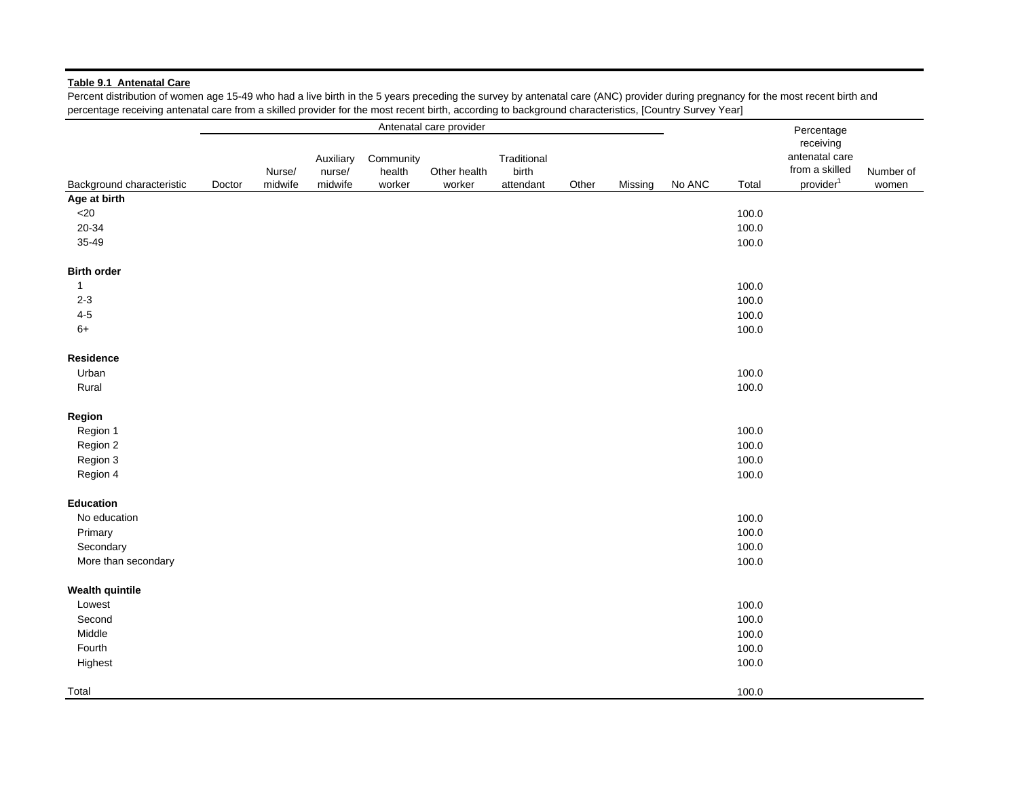#### **Table 9.1 Antenatal Care**

Percent distribution of women age 15-49 who had a live birth in the 5 years preceding the survey by antenatal care (ANC) provider during pregnancy for the most recent birth and percentage receiving antenatal care from a skilled provider for the most recent birth, according to background characteristics, [Country Survey Year]

|                           |        |                   |                                |                               | Antenatal care provider |                                   |       |         |                 |       | Percentage                                                             |                    |
|---------------------------|--------|-------------------|--------------------------------|-------------------------------|-------------------------|-----------------------------------|-------|---------|-----------------|-------|------------------------------------------------------------------------|--------------------|
| Background characteristic | Doctor | Nurse/<br>midwife | Auxiliary<br>nurse/<br>midwife | Community<br>health<br>worker | Other health<br>worker  | Traditional<br>birth<br>attendant | Other | Missing | No ANC<br>Total |       | receiving<br>antenatal care<br>from a skilled<br>provider <sup>1</sup> | Number of<br>women |
| Age at birth              |        |                   |                                |                               |                         |                                   |       |         |                 |       |                                                                        |                    |
| $<$ 20                    |        |                   |                                |                               |                         |                                   |       |         |                 | 100.0 |                                                                        |                    |
| 20-34                     |        |                   |                                |                               |                         |                                   |       |         |                 | 100.0 |                                                                        |                    |
| 35-49                     |        |                   |                                |                               |                         |                                   |       |         |                 | 100.0 |                                                                        |                    |
| <b>Birth order</b>        |        |                   |                                |                               |                         |                                   |       |         |                 |       |                                                                        |                    |
| $\mathbf{1}$              |        |                   |                                |                               |                         |                                   |       |         |                 | 100.0 |                                                                        |                    |
| $2 - 3$                   |        |                   |                                |                               |                         |                                   |       |         |                 | 100.0 |                                                                        |                    |
| $4 - 5$                   |        |                   |                                |                               |                         |                                   |       |         |                 | 100.0 |                                                                        |                    |
| $6+$                      |        |                   |                                |                               |                         |                                   |       |         |                 | 100.0 |                                                                        |                    |
| Residence                 |        |                   |                                |                               |                         |                                   |       |         |                 |       |                                                                        |                    |
| Urban                     |        |                   |                                |                               |                         |                                   |       |         |                 | 100.0 |                                                                        |                    |
| Rural                     |        |                   |                                |                               |                         |                                   |       |         |                 | 100.0 |                                                                        |                    |
| Region                    |        |                   |                                |                               |                         |                                   |       |         |                 |       |                                                                        |                    |
| Region 1                  |        |                   |                                |                               |                         |                                   |       |         |                 | 100.0 |                                                                        |                    |
| Region 2                  |        |                   |                                |                               |                         |                                   |       |         |                 | 100.0 |                                                                        |                    |
| Region 3                  |        |                   |                                |                               |                         |                                   |       |         |                 | 100.0 |                                                                        |                    |
| Region 4                  |        |                   |                                |                               |                         |                                   |       |         |                 | 100.0 |                                                                        |                    |
| <b>Education</b>          |        |                   |                                |                               |                         |                                   |       |         |                 |       |                                                                        |                    |
| No education              |        |                   |                                |                               |                         |                                   |       |         |                 | 100.0 |                                                                        |                    |
| Primary                   |        |                   |                                |                               |                         |                                   |       |         |                 | 100.0 |                                                                        |                    |
| Secondary                 |        |                   |                                |                               |                         |                                   |       |         |                 | 100.0 |                                                                        |                    |
| More than secondary       |        |                   |                                |                               |                         |                                   |       |         |                 | 100.0 |                                                                        |                    |
| <b>Wealth quintile</b>    |        |                   |                                |                               |                         |                                   |       |         |                 |       |                                                                        |                    |
| Lowest                    |        |                   |                                |                               |                         |                                   |       |         |                 | 100.0 |                                                                        |                    |
| Second                    |        |                   |                                |                               |                         |                                   |       |         |                 | 100.0 |                                                                        |                    |
| Middle                    |        |                   |                                |                               |                         |                                   |       |         |                 | 100.0 |                                                                        |                    |
| Fourth                    |        |                   |                                |                               |                         |                                   |       |         |                 | 100.0 |                                                                        |                    |
| Highest                   |        |                   |                                |                               |                         |                                   |       |         |                 | 100.0 |                                                                        |                    |
| Total                     |        |                   |                                |                               |                         |                                   |       |         |                 | 100.0 |                                                                        |                    |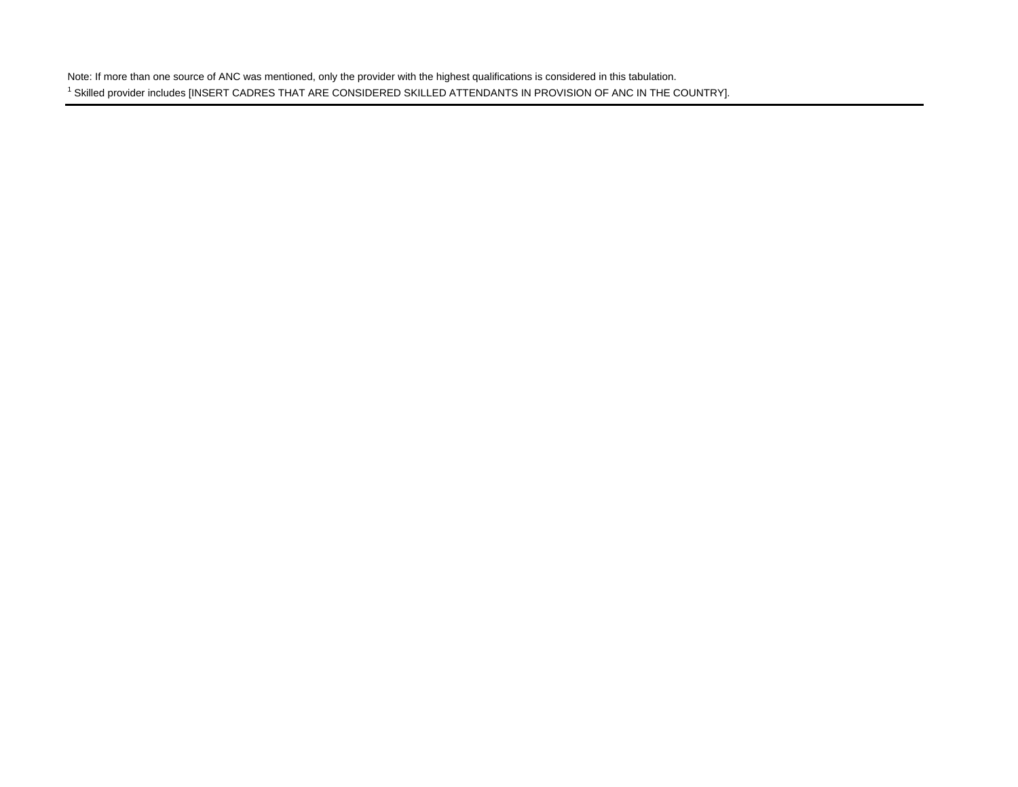Note: If more than one source of ANC was mentioned, only the provider with the highest qualifications is considered in this tabulation. <sup>1</sup> Skilled provider includes [INSERT CADRES THAT ARE CONSIDERED SKILLED ATTENDANTS IN PROVISION OF ANC IN THE COUNTRY].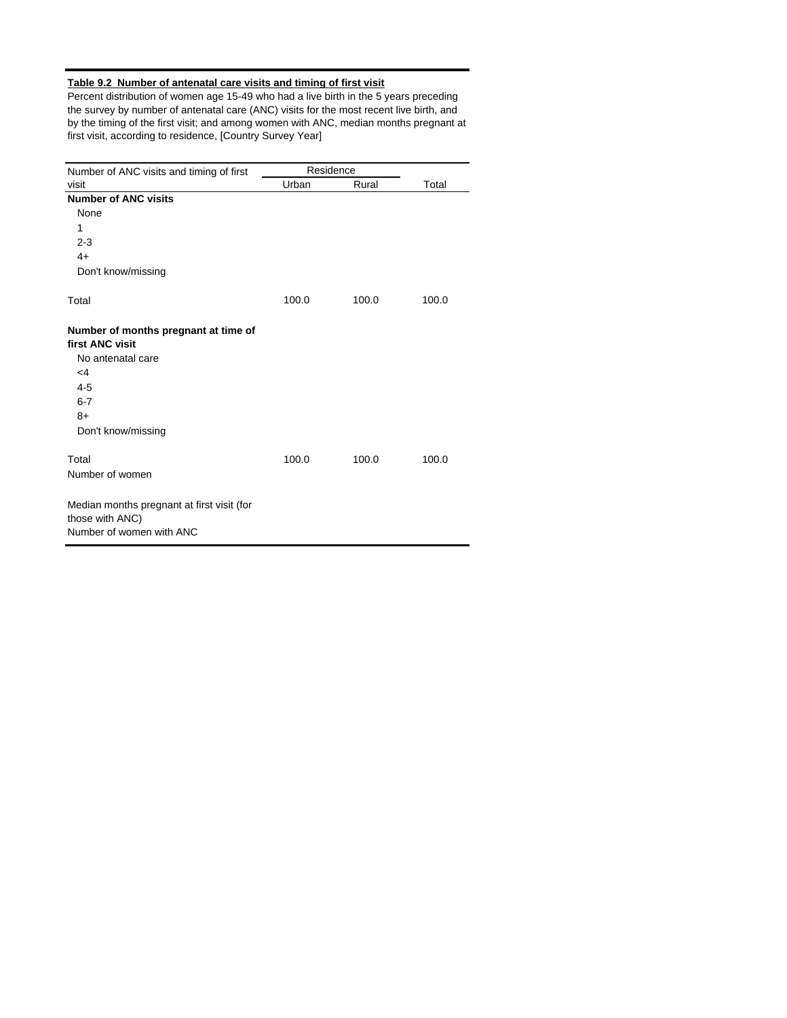# **Table 9.2 Number of antenatal care visits and timing of first visit**

Percent distribution of women age 15-49 who had a live birth in the 5 years preceding the survey by number of antenatal care (ANC) visits for the most recent live birth, and by the timing of the first visit; and among women with ANC, median months pregnant at first visit, according to residence, [Country Survey Year]

| Number of ANC visits and timing of first                                                  | Residence |       |       |
|-------------------------------------------------------------------------------------------|-----------|-------|-------|
| visit                                                                                     | Urban     | Rural | Total |
| <b>Number of ANC visits</b>                                                               |           |       |       |
| None                                                                                      |           |       |       |
| 1                                                                                         |           |       |       |
| $2 - 3$                                                                                   |           |       |       |
| $4+$                                                                                      |           |       |       |
| Don't know/missing                                                                        |           |       |       |
| Total                                                                                     | 100.0     | 100.0 | 100.0 |
| Number of months pregnant at time of<br>first ANC visit                                   |           |       |       |
| No antenatal care                                                                         |           |       |       |
| $\leq 4$                                                                                  |           |       |       |
| $4 - 5$                                                                                   |           |       |       |
| $6 - 7$                                                                                   |           |       |       |
| $8+$                                                                                      |           |       |       |
| Don't know/missing                                                                        |           |       |       |
| Total                                                                                     | 100.0     | 100.0 | 100.0 |
| Number of women                                                                           |           |       |       |
| Median months pregnant at first visit (for<br>those with ANC)<br>Number of women with ANC |           |       |       |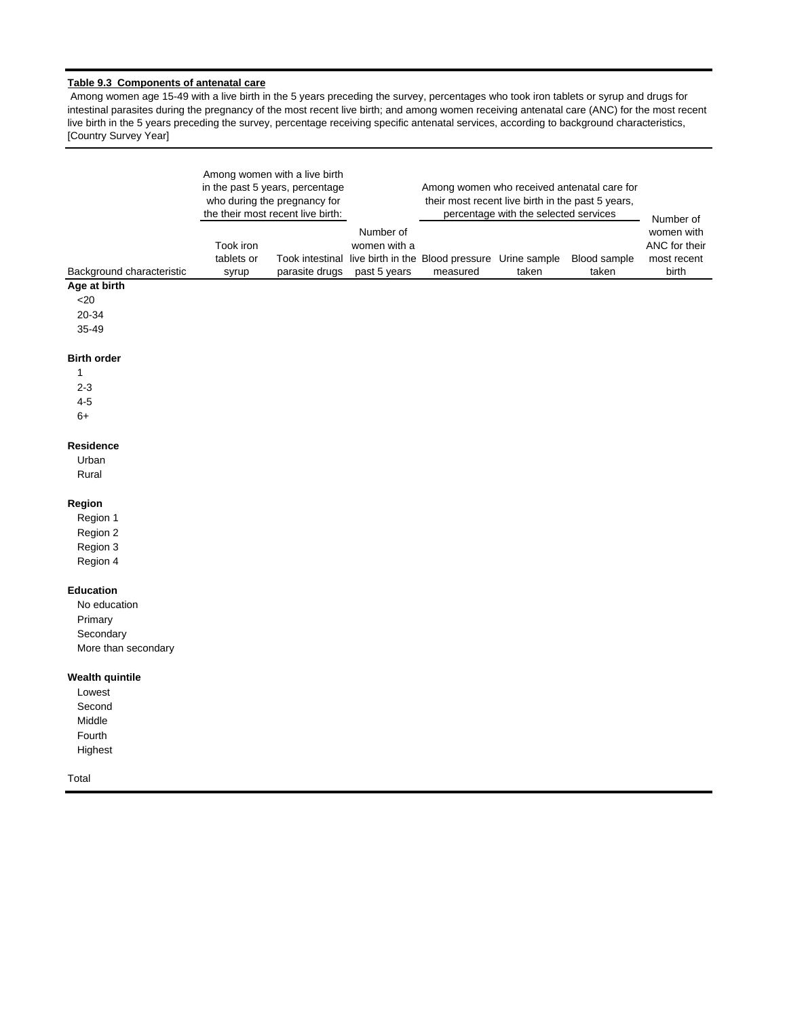## **Table 9.3 Components of antenatal care**

 Among women age 15-49 with a live birth in the 5 years preceding the survey, percentages who took iron tablets or syrup and drugs for intestinal parasites during the pregnancy of the most recent live birth; and among women receiving antenatal care (ANC) for the most recent live birth in the 5 years preceding the survey, percentage receiving specific antenatal services, according to background characteristics, [Country Survey Year]

|                           |                                  | Among women with a live birth<br>in the past 5 years, percentage<br>who during the pregnancy for<br>the their most recent live birth: |                                           | their most recent live birth in the past 5 years,                         | percentage with the selected services | Among women who received antenatal care for | Number of                                           |
|---------------------------|----------------------------------|---------------------------------------------------------------------------------------------------------------------------------------|-------------------------------------------|---------------------------------------------------------------------------|---------------------------------------|---------------------------------------------|-----------------------------------------------------|
| Background characteristic | Took iron<br>tablets or<br>syrup | parasite drugs                                                                                                                        | Number of<br>women with a<br>past 5 years | Took intestinal live birth in the Blood pressure Urine sample<br>measured | taken                                 | Blood sample<br>taken                       | women with<br>ANC for their<br>most recent<br>birth |
| Age at birth              |                                  |                                                                                                                                       |                                           |                                                                           |                                       |                                             |                                                     |
| $20$                      |                                  |                                                                                                                                       |                                           |                                                                           |                                       |                                             |                                                     |
| 20-34                     |                                  |                                                                                                                                       |                                           |                                                                           |                                       |                                             |                                                     |
| 35-49                     |                                  |                                                                                                                                       |                                           |                                                                           |                                       |                                             |                                                     |
| <b>Birth order</b>        |                                  |                                                                                                                                       |                                           |                                                                           |                                       |                                             |                                                     |
| 1                         |                                  |                                                                                                                                       |                                           |                                                                           |                                       |                                             |                                                     |
| $2 - 3$                   |                                  |                                                                                                                                       |                                           |                                                                           |                                       |                                             |                                                     |
| $4 - 5$                   |                                  |                                                                                                                                       |                                           |                                                                           |                                       |                                             |                                                     |
| $6+$                      |                                  |                                                                                                                                       |                                           |                                                                           |                                       |                                             |                                                     |
| <b>Residence</b>          |                                  |                                                                                                                                       |                                           |                                                                           |                                       |                                             |                                                     |
| Urban                     |                                  |                                                                                                                                       |                                           |                                                                           |                                       |                                             |                                                     |
| Rural                     |                                  |                                                                                                                                       |                                           |                                                                           |                                       |                                             |                                                     |
| Region                    |                                  |                                                                                                                                       |                                           |                                                                           |                                       |                                             |                                                     |
| Region 1                  |                                  |                                                                                                                                       |                                           |                                                                           |                                       |                                             |                                                     |
| Region 2                  |                                  |                                                                                                                                       |                                           |                                                                           |                                       |                                             |                                                     |
| Region 3                  |                                  |                                                                                                                                       |                                           |                                                                           |                                       |                                             |                                                     |
| Region 4                  |                                  |                                                                                                                                       |                                           |                                                                           |                                       |                                             |                                                     |
| <b>Education</b>          |                                  |                                                                                                                                       |                                           |                                                                           |                                       |                                             |                                                     |
| No education              |                                  |                                                                                                                                       |                                           |                                                                           |                                       |                                             |                                                     |
| Primary                   |                                  |                                                                                                                                       |                                           |                                                                           |                                       |                                             |                                                     |
| Secondary                 |                                  |                                                                                                                                       |                                           |                                                                           |                                       |                                             |                                                     |
| More than secondary       |                                  |                                                                                                                                       |                                           |                                                                           |                                       |                                             |                                                     |
| <b>Wealth quintile</b>    |                                  |                                                                                                                                       |                                           |                                                                           |                                       |                                             |                                                     |
| Lowest                    |                                  |                                                                                                                                       |                                           |                                                                           |                                       |                                             |                                                     |
| Second                    |                                  |                                                                                                                                       |                                           |                                                                           |                                       |                                             |                                                     |
| Middle                    |                                  |                                                                                                                                       |                                           |                                                                           |                                       |                                             |                                                     |
| Fourth                    |                                  |                                                                                                                                       |                                           |                                                                           |                                       |                                             |                                                     |
| Highest                   |                                  |                                                                                                                                       |                                           |                                                                           |                                       |                                             |                                                     |
| Total                     |                                  |                                                                                                                                       |                                           |                                                                           |                                       |                                             |                                                     |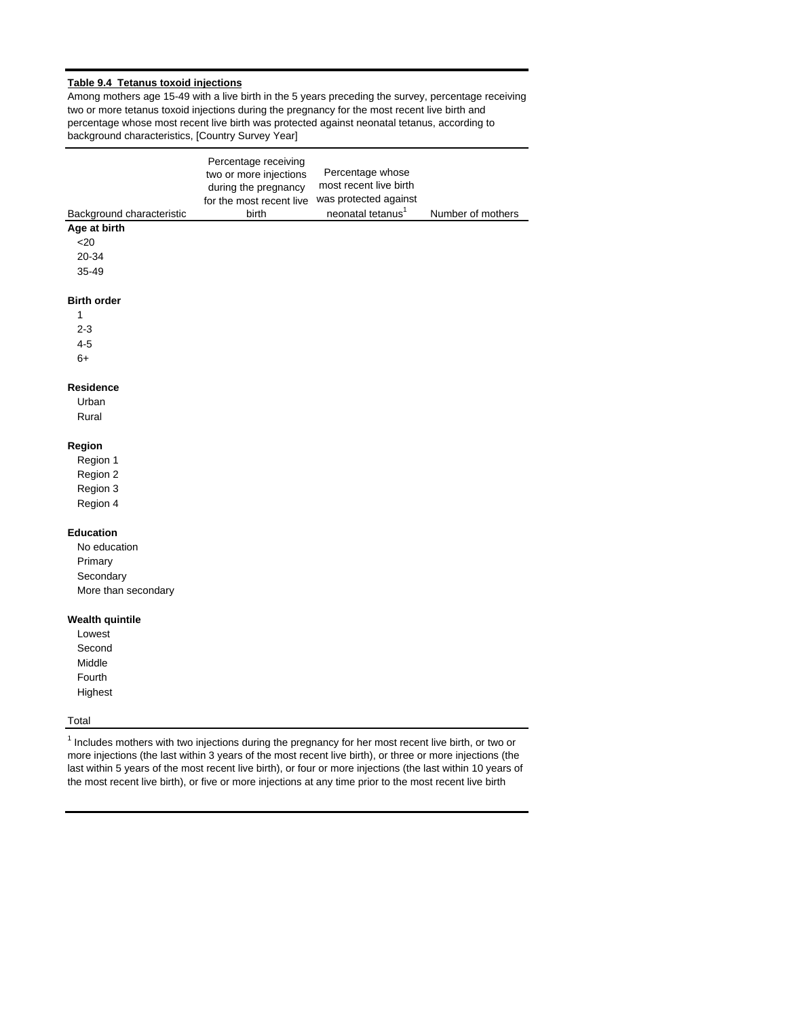## **Table 9.4 Tetanus toxoid injections**

Among mothers age 15-49 with a live birth in the 5 years preceding the survey, percentage receiving two or more tetanus toxoid injections during the pregnancy for the most recent live birth and percentage whose most recent live birth was protected against neonatal tetanus, according to background characteristics, [Country Survey Year]

|                           | Percentage receiving     |                               |                   |
|---------------------------|--------------------------|-------------------------------|-------------------|
|                           | two or more injections   | Percentage whose              |                   |
|                           | during the pregnancy     | most recent live birth        |                   |
|                           | for the most recent live | was protected against         |                   |
| Background characteristic | birth                    | neonatal tetanus <sup>1</sup> | Number of mothers |
| Age at birth              |                          |                               |                   |
| $20$                      |                          |                               |                   |
| 20-34                     |                          |                               |                   |
| 35-49                     |                          |                               |                   |
|                           |                          |                               |                   |
| <b>Birth order</b>        |                          |                               |                   |
| 1                         |                          |                               |                   |
| $2 - 3$                   |                          |                               |                   |
| $4 - 5$                   |                          |                               |                   |
| $6+$                      |                          |                               |                   |
|                           |                          |                               |                   |
| <b>Residence</b>          |                          |                               |                   |
| Urban                     |                          |                               |                   |
| Rural                     |                          |                               |                   |
|                           |                          |                               |                   |
| Region                    |                          |                               |                   |
| Region 1                  |                          |                               |                   |
| Region 2                  |                          |                               |                   |
| Region 3                  |                          |                               |                   |
| Region 4                  |                          |                               |                   |
|                           |                          |                               |                   |
| <b>Education</b>          |                          |                               |                   |
| No education              |                          |                               |                   |
| Primary                   |                          |                               |                   |
| Secondary                 |                          |                               |                   |
| More than secondary       |                          |                               |                   |
|                           |                          |                               |                   |
| <b>Wealth quintile</b>    |                          |                               |                   |
| Lowest<br>Second          |                          |                               |                   |
| Middle                    |                          |                               |                   |
|                           |                          |                               |                   |
| Fourth                    |                          |                               |                   |
| Highest                   |                          |                               |                   |
| Total                     |                          |                               |                   |
|                           |                          |                               |                   |

<sup>1</sup> Includes mothers with two injections during the pregnancy for her most recent live birth, or two or more injections (the last within 3 years of the most recent live birth), or three or more injections (the last within 5 years of the most recent live birth), or four or more injections (the last within 10 years of the most recent live birth), or five or more injections at any time prior to the most recent live birth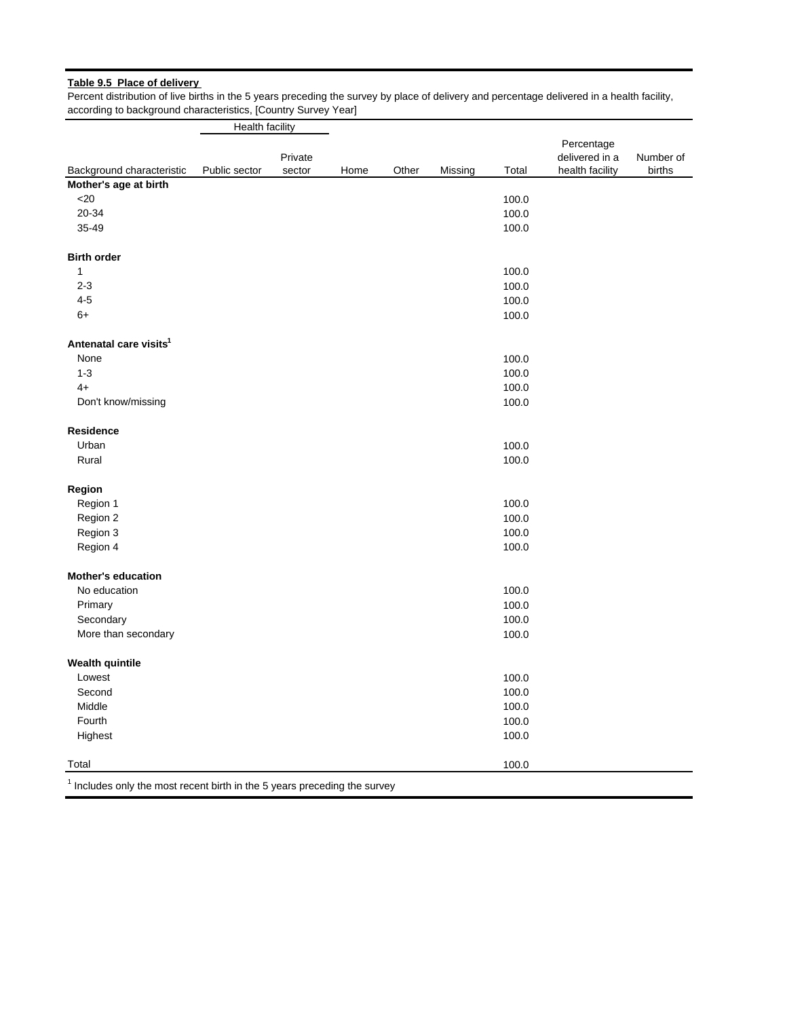# **Table 9.5 Place of delivery**

Percent distribution of live births in the 5 years preceding the survey by place of delivery and percentage delivered in a health facility, according to background characteristics, [Country Survey Year]

|                                                                             | Health facility |                   |      |       |         |       |                                                 |                     |
|-----------------------------------------------------------------------------|-----------------|-------------------|------|-------|---------|-------|-------------------------------------------------|---------------------|
| Background characteristic                                                   | Public sector   | Private<br>sector | Home | Other | Missing | Total | Percentage<br>delivered in a<br>health facility | Number of<br>births |
| Mother's age at birth                                                       |                 |                   |      |       |         |       |                                                 |                     |
| $<$ 20                                                                      |                 |                   |      |       |         | 100.0 |                                                 |                     |
| 20-34                                                                       |                 |                   |      |       |         | 100.0 |                                                 |                     |
| 35-49                                                                       |                 |                   |      |       |         | 100.0 |                                                 |                     |
| <b>Birth order</b>                                                          |                 |                   |      |       |         |       |                                                 |                     |
| 1                                                                           |                 |                   |      |       |         | 100.0 |                                                 |                     |
| $2 - 3$                                                                     |                 |                   |      |       |         | 100.0 |                                                 |                     |
| $4 - 5$                                                                     |                 |                   |      |       |         | 100.0 |                                                 |                     |
| $6+$                                                                        |                 |                   |      |       |         | 100.0 |                                                 |                     |
| Antenatal care visits <sup>1</sup>                                          |                 |                   |      |       |         |       |                                                 |                     |
| None                                                                        |                 |                   |      |       |         | 100.0 |                                                 |                     |
| $1 - 3$                                                                     |                 |                   |      |       |         | 100.0 |                                                 |                     |
| $4+$                                                                        |                 |                   |      |       |         | 100.0 |                                                 |                     |
| Don't know/missing                                                          |                 |                   |      |       |         | 100.0 |                                                 |                     |
| <b>Residence</b>                                                            |                 |                   |      |       |         |       |                                                 |                     |
| Urban                                                                       |                 |                   |      |       |         | 100.0 |                                                 |                     |
| Rural                                                                       |                 |                   |      |       |         | 100.0 |                                                 |                     |
| Region                                                                      |                 |                   |      |       |         |       |                                                 |                     |
| Region 1                                                                    |                 |                   |      |       |         | 100.0 |                                                 |                     |
| Region 2                                                                    |                 |                   |      |       |         | 100.0 |                                                 |                     |
| Region 3                                                                    |                 |                   |      |       |         | 100.0 |                                                 |                     |
| Region 4                                                                    |                 |                   |      |       |         | 100.0 |                                                 |                     |
| <b>Mother's education</b>                                                   |                 |                   |      |       |         |       |                                                 |                     |
| No education                                                                |                 |                   |      |       |         | 100.0 |                                                 |                     |
| Primary                                                                     |                 |                   |      |       |         | 100.0 |                                                 |                     |
| Secondary                                                                   |                 |                   |      |       |         | 100.0 |                                                 |                     |
| More than secondary                                                         |                 |                   |      |       |         | 100.0 |                                                 |                     |
| <b>Wealth quintile</b>                                                      |                 |                   |      |       |         |       |                                                 |                     |
| Lowest                                                                      |                 |                   |      |       |         | 100.0 |                                                 |                     |
| Second                                                                      |                 |                   |      |       |         | 100.0 |                                                 |                     |
| Middle                                                                      |                 |                   |      |       |         | 100.0 |                                                 |                     |
| Fourth                                                                      |                 |                   |      |       |         | 100.0 |                                                 |                     |
| Highest                                                                     |                 |                   |      |       |         | 100.0 |                                                 |                     |
| Total                                                                       |                 |                   |      |       |         | 100.0 |                                                 |                     |
| $1$ Includes only the most recent birth in the 5 years preceding the survey |                 |                   |      |       |         |       |                                                 |                     |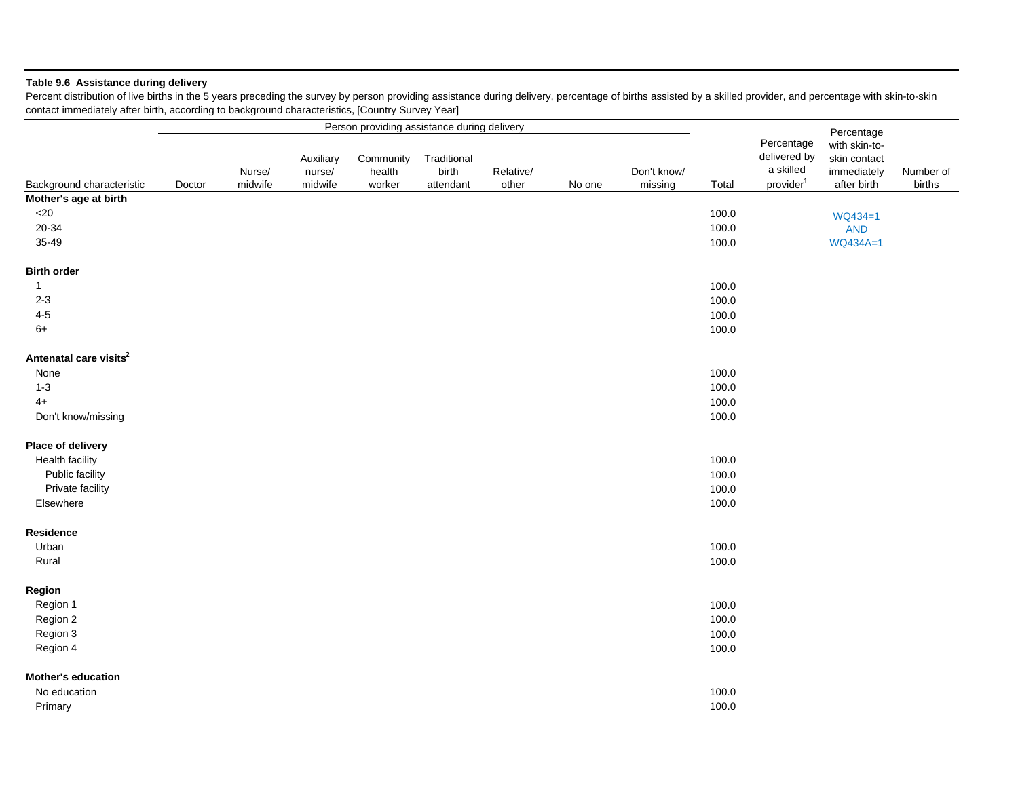# **Table 9.6 Assistance during delivery**

Percent distribution of live births in the 5 years preceding the survey by person providing assistance during delivery, percentage of births assisted by a skilled provider, and percentage with skin-to-skin contact immediately after birth, according to background characteristics, [Country Survey Year]

|                                    |        |                   |                                | Person providing assistance during delivery |                                   |                    |        |                        |       |                                                                  | Percentage                                                  |                     |
|------------------------------------|--------|-------------------|--------------------------------|---------------------------------------------|-----------------------------------|--------------------|--------|------------------------|-------|------------------------------------------------------------------|-------------------------------------------------------------|---------------------|
| Background characteristic          | Doctor | Nurse/<br>midwife | Auxiliary<br>nurse/<br>midwife | Community<br>health<br>worker               | Traditional<br>birth<br>attendant | Relative/<br>other | No one | Don't know/<br>missing | Total | Percentage<br>delivered by<br>a skilled<br>provider <sup>1</sup> | with skin-to-<br>skin contact<br>immediately<br>after birth | Number of<br>births |
| Mother's age at birth              |        |                   |                                |                                             |                                   |                    |        |                        |       |                                                                  |                                                             |                     |
| $<$ 20                             |        |                   |                                |                                             |                                   |                    |        |                        | 100.0 |                                                                  | WQ434=1                                                     |                     |
| 20-34                              |        |                   |                                |                                             |                                   |                    |        |                        | 100.0 |                                                                  | <b>AND</b>                                                  |                     |
| 35-49                              |        |                   |                                |                                             |                                   |                    |        |                        | 100.0 |                                                                  | WQ434A=1                                                    |                     |
| <b>Birth order</b>                 |        |                   |                                |                                             |                                   |                    |        |                        |       |                                                                  |                                                             |                     |
| $\mathbf{1}$                       |        |                   |                                |                                             |                                   |                    |        |                        | 100.0 |                                                                  |                                                             |                     |
| $2 - 3$                            |        |                   |                                |                                             |                                   |                    |        |                        | 100.0 |                                                                  |                                                             |                     |
| $4 - 5$                            |        |                   |                                |                                             |                                   |                    |        |                        | 100.0 |                                                                  |                                                             |                     |
| $6+$                               |        |                   |                                |                                             |                                   |                    |        |                        | 100.0 |                                                                  |                                                             |                     |
| Antenatal care visits <sup>2</sup> |        |                   |                                |                                             |                                   |                    |        |                        |       |                                                                  |                                                             |                     |
| None                               |        |                   |                                |                                             |                                   |                    |        |                        | 100.0 |                                                                  |                                                             |                     |
| $1 - 3$                            |        |                   |                                |                                             |                                   |                    |        |                        | 100.0 |                                                                  |                                                             |                     |
| $4+$                               |        |                   |                                |                                             |                                   |                    |        |                        | 100.0 |                                                                  |                                                             |                     |
| Don't know/missing                 |        |                   |                                |                                             |                                   |                    |        |                        | 100.0 |                                                                  |                                                             |                     |
| Place of delivery                  |        |                   |                                |                                             |                                   |                    |        |                        |       |                                                                  |                                                             |                     |
| <b>Health facility</b>             |        |                   |                                |                                             |                                   |                    |        |                        | 100.0 |                                                                  |                                                             |                     |
| Public facility                    |        |                   |                                |                                             |                                   |                    |        |                        | 100.0 |                                                                  |                                                             |                     |
| Private facility                   |        |                   |                                |                                             |                                   |                    |        |                        | 100.0 |                                                                  |                                                             |                     |
| Elsewhere                          |        |                   |                                |                                             |                                   |                    |        |                        | 100.0 |                                                                  |                                                             |                     |
| Residence                          |        |                   |                                |                                             |                                   |                    |        |                        |       |                                                                  |                                                             |                     |
| Urban                              |        |                   |                                |                                             |                                   |                    |        |                        | 100.0 |                                                                  |                                                             |                     |
| Rural                              |        |                   |                                |                                             |                                   |                    |        |                        | 100.0 |                                                                  |                                                             |                     |
|                                    |        |                   |                                |                                             |                                   |                    |        |                        |       |                                                                  |                                                             |                     |
| Region                             |        |                   |                                |                                             |                                   |                    |        |                        |       |                                                                  |                                                             |                     |
| Region 1                           |        |                   |                                |                                             |                                   |                    |        |                        | 100.0 |                                                                  |                                                             |                     |
| Region 2                           |        |                   |                                |                                             |                                   |                    |        |                        | 100.0 |                                                                  |                                                             |                     |
| Region 3                           |        |                   |                                |                                             |                                   |                    |        |                        | 100.0 |                                                                  |                                                             |                     |
| Region 4                           |        |                   |                                |                                             |                                   |                    |        |                        | 100.0 |                                                                  |                                                             |                     |
| <b>Mother's education</b>          |        |                   |                                |                                             |                                   |                    |        |                        |       |                                                                  |                                                             |                     |
| No education                       |        |                   |                                |                                             |                                   |                    |        |                        | 100.0 |                                                                  |                                                             |                     |
| Primary                            |        |                   |                                |                                             |                                   |                    |        |                        | 100.0 |                                                                  |                                                             |                     |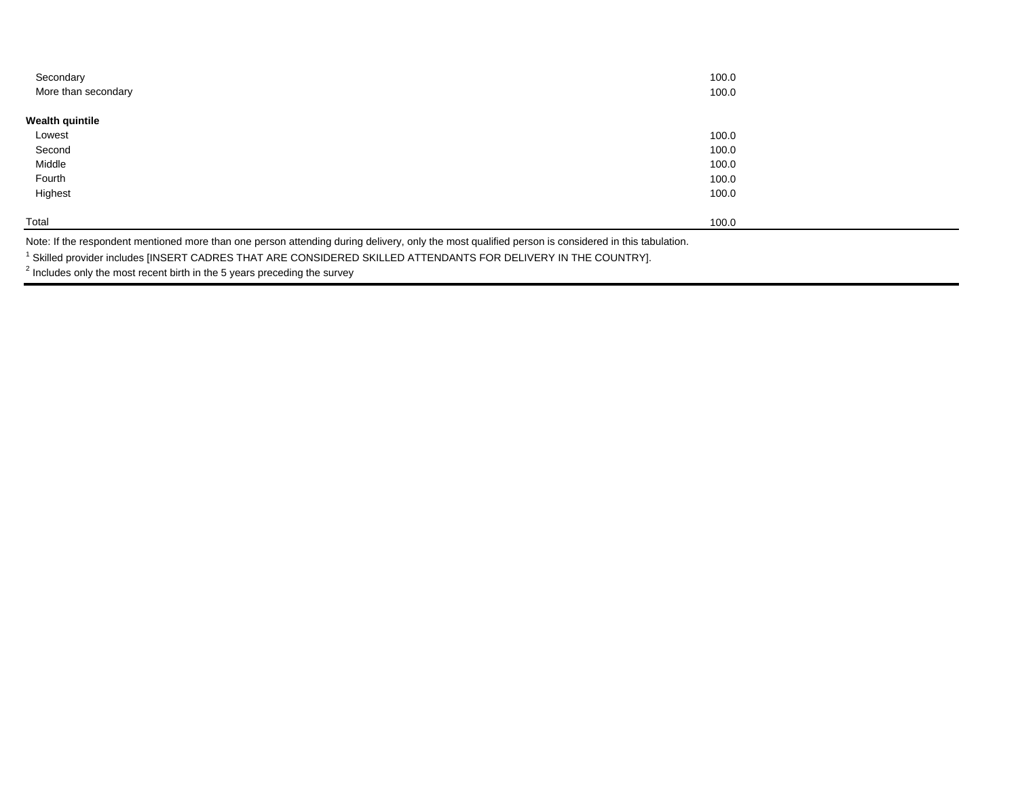| 100.0<br>100.0 |
|----------------|
|                |
|                |
| 100.0          |
| 100.0          |
| 100.0          |
| 100.0          |
| 100.0          |
| 100.0          |
|                |

Note: If the respondent mentioned more than one person attending during delivery, only the most qualified person is considered in this tabulation.

1 Skilled provider includes [INSERT CADRES THAT ARE CONSIDERED SKILLED ATTENDANTS FOR DELIVERY IN THE COUNTRY].

 $2$  Includes only the most recent birth in the 5 years preceding the survey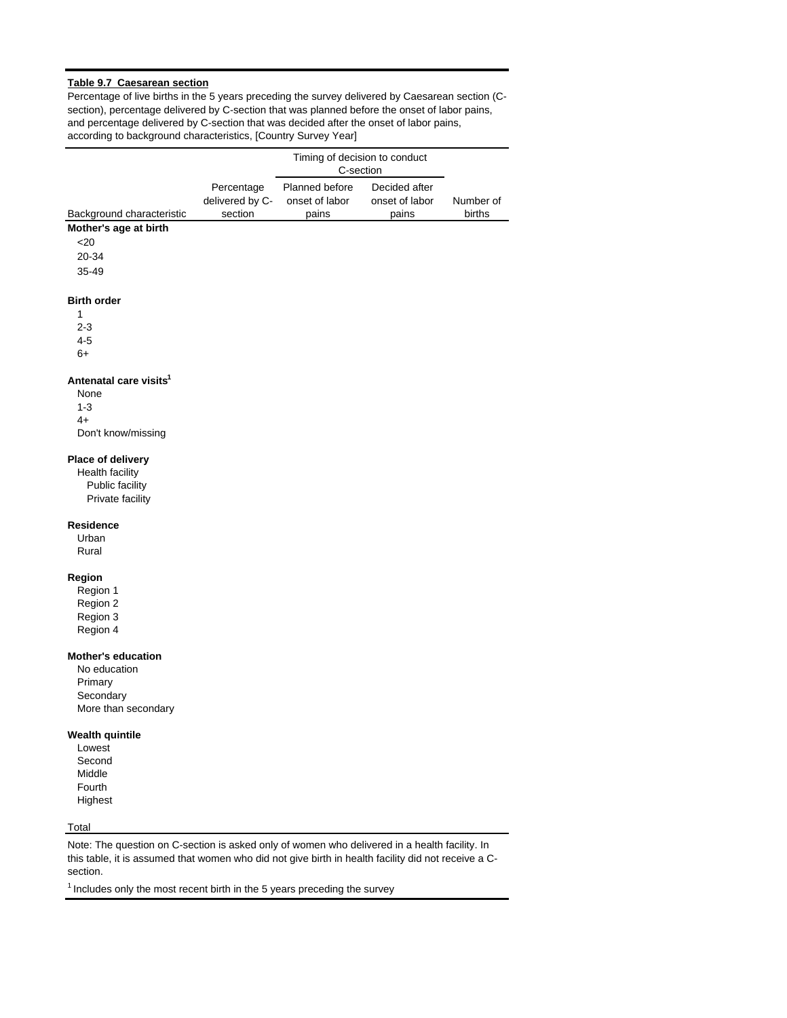## **Table 9.7 Caesarean section**

Percentage of live births in the 5 years preceding the survey delivered by Caesarean section (Csection), percentage delivered by C-section that was planned before the onset of labor pains, and percentage delivered by C-section that was decided after the onset of labor pains, according to background characteristics, [Country Survey Year]

|                                                    |                            | Timing of decision to conduct<br>C-section |                         |                     |
|----------------------------------------------------|----------------------------|--------------------------------------------|-------------------------|---------------------|
|                                                    |                            |                                            |                         |                     |
|                                                    | Percentage                 | Planned before<br>onset of labor           | Decided after           |                     |
|                                                    | delivered by C-<br>section | pains                                      | onset of labor<br>pains | Number of<br>births |
| Background characteristic<br>Mother's age at birth |                            |                                            |                         |                     |
| $20$                                               |                            |                                            |                         |                     |
|                                                    |                            |                                            |                         |                     |
| 20-34                                              |                            |                                            |                         |                     |
| 35-49                                              |                            |                                            |                         |                     |
| <b>Birth order</b>                                 |                            |                                            |                         |                     |
| 1                                                  |                            |                                            |                         |                     |
| $2 - 3$                                            |                            |                                            |                         |                     |
| $4 - 5$                                            |                            |                                            |                         |                     |
| $6+$                                               |                            |                                            |                         |                     |
|                                                    |                            |                                            |                         |                     |
| Antenatal care visits <sup>1</sup>                 |                            |                                            |                         |                     |
| None                                               |                            |                                            |                         |                     |
| $1 - 3$                                            |                            |                                            |                         |                     |
| $4+$                                               |                            |                                            |                         |                     |
| Don't know/missing                                 |                            |                                            |                         |                     |
| Place of delivery                                  |                            |                                            |                         |                     |
| <b>Health facility</b>                             |                            |                                            |                         |                     |
| Public facility                                    |                            |                                            |                         |                     |
| Private facility                                   |                            |                                            |                         |                     |
| Residence                                          |                            |                                            |                         |                     |
| Urban                                              |                            |                                            |                         |                     |
| Rural                                              |                            |                                            |                         |                     |
|                                                    |                            |                                            |                         |                     |
| Region                                             |                            |                                            |                         |                     |
| Region 1                                           |                            |                                            |                         |                     |
| Region 2                                           |                            |                                            |                         |                     |
| Region 3                                           |                            |                                            |                         |                     |
| Region 4                                           |                            |                                            |                         |                     |
| <b>Mother's education</b>                          |                            |                                            |                         |                     |
| No education                                       |                            |                                            |                         |                     |
| Primary                                            |                            |                                            |                         |                     |
| Secondary                                          |                            |                                            |                         |                     |
| More than secondary                                |                            |                                            |                         |                     |
|                                                    |                            |                                            |                         |                     |
| Wealth quintile                                    |                            |                                            |                         |                     |
| Lowest                                             |                            |                                            |                         |                     |
| Second                                             |                            |                                            |                         |                     |
| Middle                                             |                            |                                            |                         |                     |
| Fourth                                             |                            |                                            |                         |                     |
| Highest                                            |                            |                                            |                         |                     |
| Total                                              |                            |                                            |                         |                     |
|                                                    |                            |                                            |                         |                     |

Note: The question on C-section is asked only of women who delivered in a health facility. In this table, it is assumed that women who did not give birth in health facility did not receive a Csection.

 $<sup>1</sup>$  Includes only the most recent birth in the 5 years preceding the survey</sup>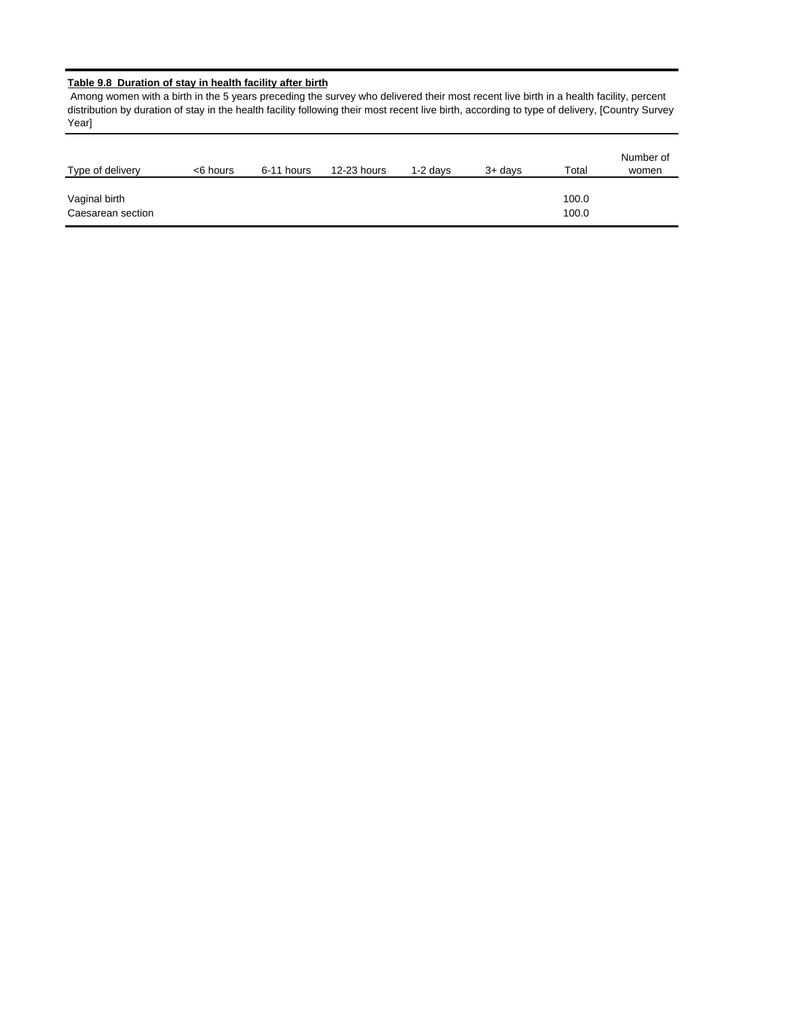# **Table 9.8 Duration of stay in health facility after birth**

 Among women with a birth in the 5 years preceding the survey who delivered their most recent live birth in a health facility, percent distribution by duration of stay in the health facility following their most recent live birth, according to type of delivery, [Country Survey Year]

| Type of delivery                   | <6 hours | 6-11 hours | 12-23 hours | 1-2 davs | $3+$ davs | Total          | Number of<br>women |
|------------------------------------|----------|------------|-------------|----------|-----------|----------------|--------------------|
| Vaginal birth<br>Caesarean section |          |            |             |          |           | 100.0<br>100.0 |                    |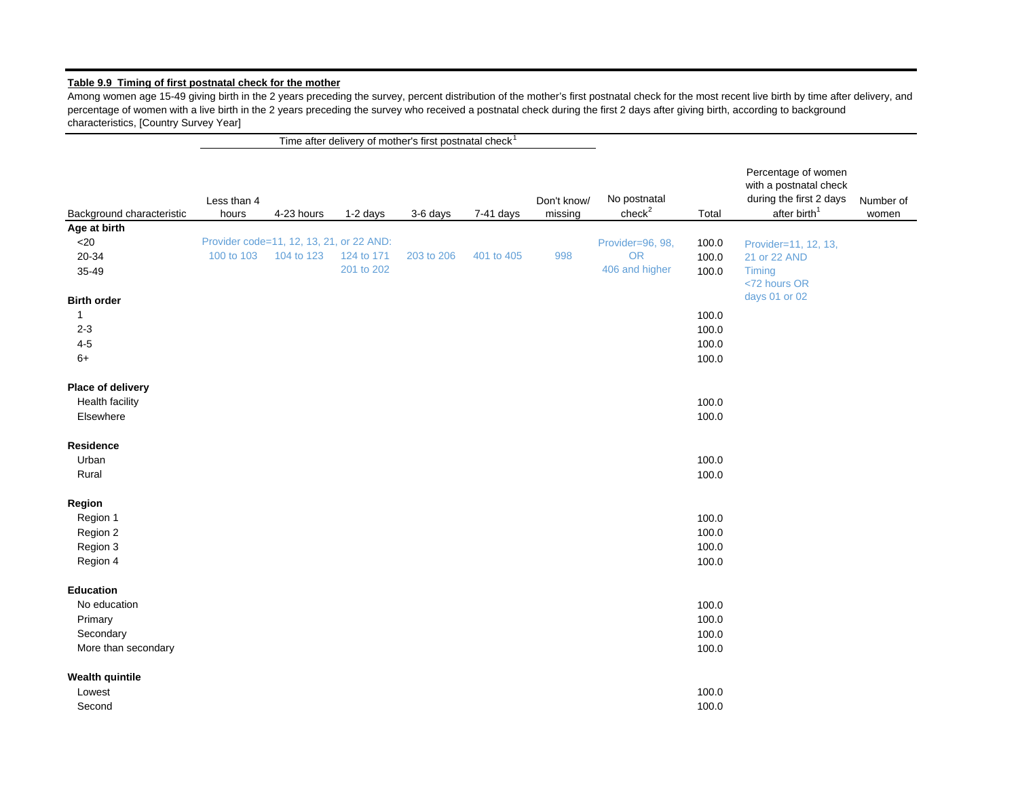# **Table 9.9 Timing of first postnatal check for the mother**

Among women age 15-49 giving birth in the 2 years preceding the survey, percent distribution of the mother's first postnatal check for the most recent live birth by time after delivery, and percentage of women with a live birth in the 2 years preceding the survey who received a postnatal check during the first 2 days after giving birth, according to background characteristics, [Country Survey Year]

Time after delivery of mother's first postnatal check<sup>1</sup>

| Background characteristic | Less than 4<br>hours | 4-23 hours                               | 1-2 days   | 3-6 days   | 7-41 days  | Don't know/<br>missing | No postnatal<br>check <sup>2</sup> | Total | Percentage of women<br>with a postnatal check<br>during the first 2 days<br>after birth <sup>1</sup> | Number of<br>women |
|---------------------------|----------------------|------------------------------------------|------------|------------|------------|------------------------|------------------------------------|-------|------------------------------------------------------------------------------------------------------|--------------------|
| Age at birth              |                      |                                          |            |            |            |                        |                                    |       |                                                                                                      |                    |
| $<$ 20                    |                      | Provider code=11, 12, 13, 21, or 22 AND: |            |            |            |                        | Provider=96, 98,                   | 100.0 | Provider=11, 12, 13,                                                                                 |                    |
| 20-34                     | 100 to 103           | 104 to 123                               | 124 to 171 | 203 to 206 | 401 to 405 | 998                    | <b>OR</b>                          | 100.0 | 21 or 22 AND                                                                                         |                    |
| 35-49                     |                      |                                          | 201 to 202 |            |            |                        | 406 and higher                     | 100.0 | Timing<br><72 hours OR                                                                               |                    |
| <b>Birth order</b>        |                      |                                          |            |            |            |                        |                                    |       | days 01 or 02                                                                                        |                    |
| $\mathbf{1}$              |                      |                                          |            |            |            |                        |                                    | 100.0 |                                                                                                      |                    |
| $2 - 3$                   |                      |                                          |            |            |            |                        |                                    | 100.0 |                                                                                                      |                    |
| $4 - 5$                   |                      |                                          |            |            |            |                        |                                    | 100.0 |                                                                                                      |                    |
| $6+$                      |                      |                                          |            |            |            |                        |                                    | 100.0 |                                                                                                      |                    |
| Place of delivery         |                      |                                          |            |            |            |                        |                                    |       |                                                                                                      |                    |
| <b>Health facility</b>    |                      |                                          |            |            |            |                        |                                    | 100.0 |                                                                                                      |                    |
| Elsewhere                 |                      |                                          |            |            |            |                        |                                    | 100.0 |                                                                                                      |                    |
| Residence                 |                      |                                          |            |            |            |                        |                                    |       |                                                                                                      |                    |
| Urban                     |                      |                                          |            |            |            |                        |                                    | 100.0 |                                                                                                      |                    |
| Rural                     |                      |                                          |            |            |            |                        |                                    | 100.0 |                                                                                                      |                    |
| Region                    |                      |                                          |            |            |            |                        |                                    |       |                                                                                                      |                    |
| Region 1                  |                      |                                          |            |            |            |                        |                                    | 100.0 |                                                                                                      |                    |
| Region 2                  |                      |                                          |            |            |            |                        |                                    | 100.0 |                                                                                                      |                    |
| Region 3                  |                      |                                          |            |            |            |                        |                                    | 100.0 |                                                                                                      |                    |
| Region 4                  |                      |                                          |            |            |            |                        |                                    | 100.0 |                                                                                                      |                    |
| <b>Education</b>          |                      |                                          |            |            |            |                        |                                    |       |                                                                                                      |                    |
| No education              |                      |                                          |            |            |            |                        |                                    | 100.0 |                                                                                                      |                    |
| Primary                   |                      |                                          |            |            |            |                        |                                    | 100.0 |                                                                                                      |                    |
| Secondary                 |                      |                                          |            |            |            |                        |                                    | 100.0 |                                                                                                      |                    |
| More than secondary       |                      |                                          |            |            |            |                        |                                    | 100.0 |                                                                                                      |                    |
| <b>Wealth quintile</b>    |                      |                                          |            |            |            |                        |                                    |       |                                                                                                      |                    |
| Lowest                    |                      |                                          |            |            |            |                        |                                    | 100.0 |                                                                                                      |                    |
| Second                    |                      |                                          |            |            |            |                        |                                    | 100.0 |                                                                                                      |                    |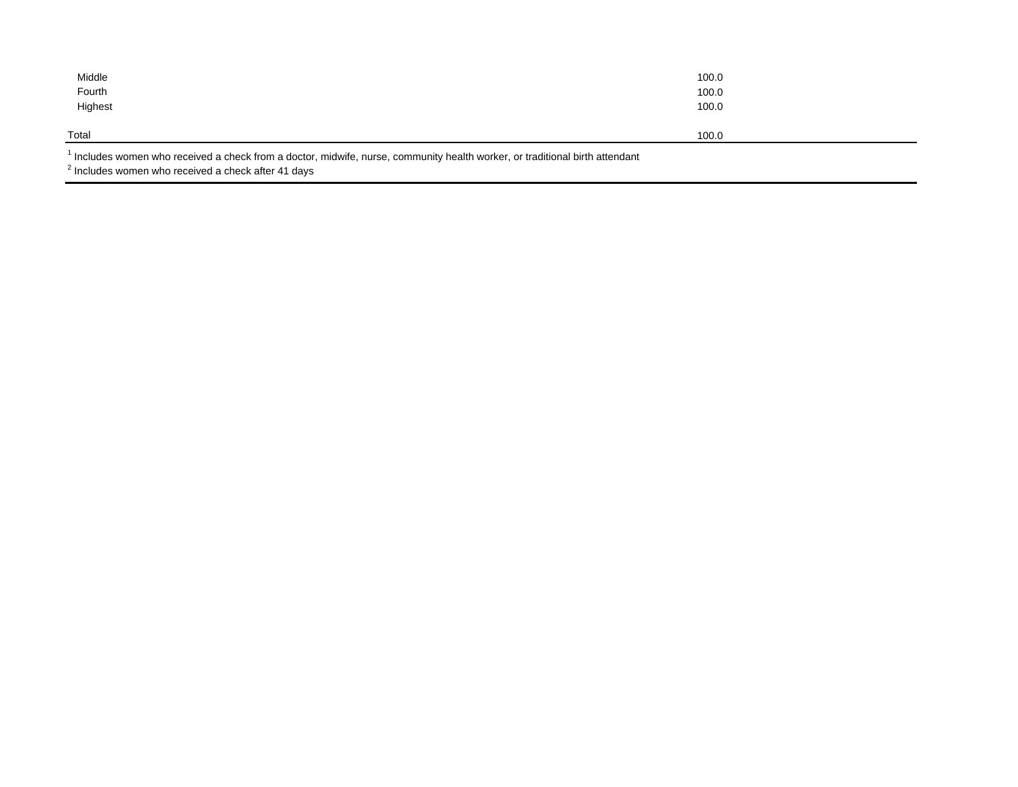| Middle<br>Fourth<br>Highest | 100.0<br>100.0<br>100.0 |
|-----------------------------|-------------------------|
| Total                       | 100.0                   |

 $<sup>1</sup>$  Includes women who received a check from a doctor, midwife, nurse, community health worker, or traditional birth attendant</sup>

 $2$  Includes women who received a check after 41 days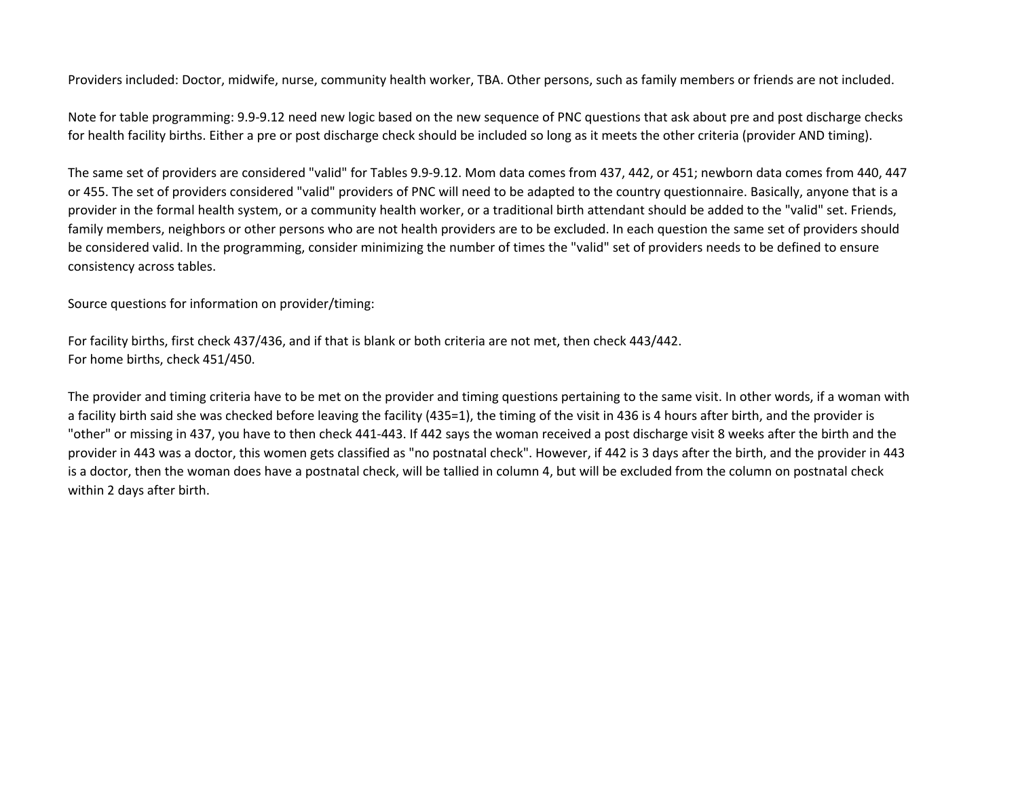Providers included: Doctor, midwife, nurse, community health worker, TBA. Other persons, such as family members or friends are not included.

Note for table programming: 9.9‐9.12 need new logic based on the new sequence of PNC questions that ask about pre and post discharge checks for health facility births. Either <sup>a</sup> pre or post discharge check should be included so long as it meets the other criteria (provider AND timing).

The same set of providers are considered "valid" for Tables 9.9‐9.12. Mom data comes from 437, 442, or 451; newborn data comes from 440, 447 or 455. The set of providers considered "valid" providers of PNC will need to be adapted to the country questionnaire. Basically, anyone that is <sup>a</sup> provider in the formal health system, or <sup>a</sup> community health worker, or <sup>a</sup> traditional birth attendant should be added to the "valid" set. Friends, family members, neighbors or other persons who are not health providers are to be excluded. In each question the same set of providers should be considered valid. In the programming, consider minimizing the number of times the "valid" set of providers needs to be defined to ensure consistency across tables.

Source questions for information on provider/timing:

For facility births, first check 437/436, and if that is blank or both criteria are not met, then check 443/442. For home births, check 451/450.

The provider and timing criteria have to be met on the provider and timing questions pertaining to the same visit. In other words, if <sup>a</sup> woman with a facility birth said she was checked before leaving the facility (435=1), the timing of the visit in 436 is 4 hours after birth, and the provider is "other" or missing in 437, you have to then check 441‐443. If 442 says the woman received <sup>a</sup> post discharge visit 8 weeks after the birth and the provider in 443 was <sup>a</sup> doctor, this women gets classified as "no postnatal check". However, if 442 is 3 days after the birth, and the provider in 443 is a doctor, then the woman does have <sup>a</sup> postnatal check, will be tallied in column 4, but will be excluded from the column on postnatal check within 2 days after birth.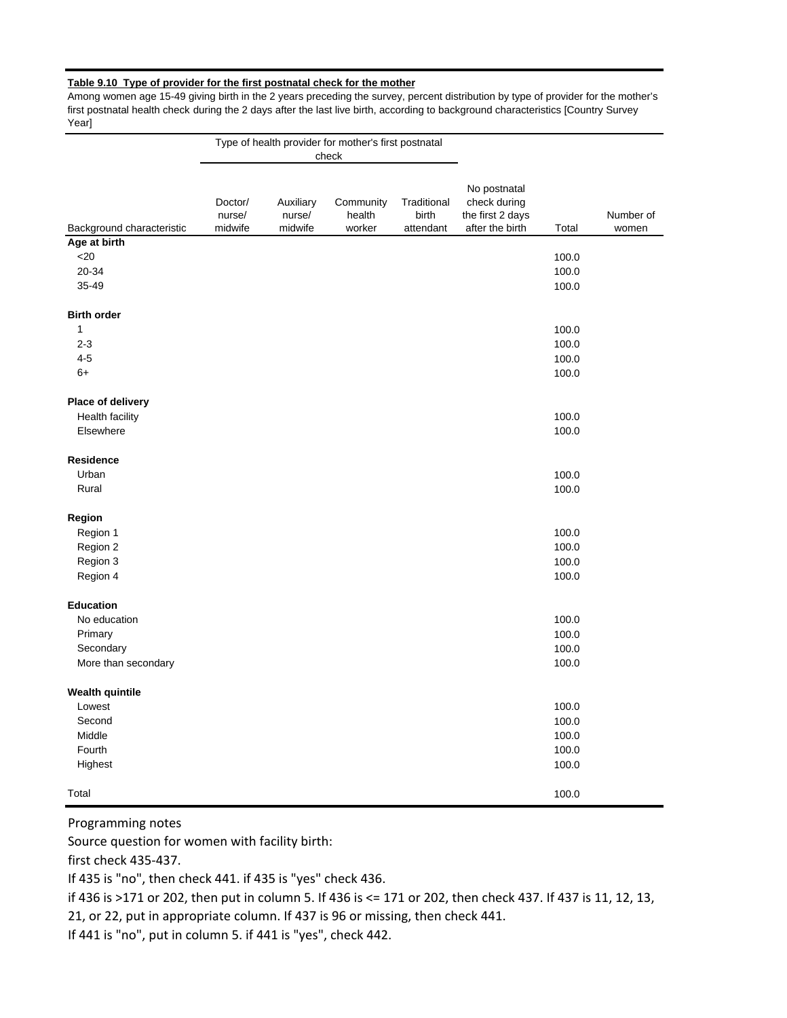## **Table 9.10 Type of provider for the first postnatal check for the mother**

Among women age 15-49 giving birth in the 2 years preceding the survey, percent distribution by type of provider for the mother's first postnatal health check during the 2 days after the last live birth, according to background characteristics [Country Survey Yearl

|                           |                              |                                | Type of health provider for mother's first postnatal<br>check |                                   |                                                                     |       |                    |
|---------------------------|------------------------------|--------------------------------|---------------------------------------------------------------|-----------------------------------|---------------------------------------------------------------------|-------|--------------------|
| Background characteristic | Doctor/<br>nurse/<br>midwife | Auxiliary<br>nurse/<br>midwife | Community<br>health<br>worker                                 | Traditional<br>birth<br>attendant | No postnatal<br>check during<br>the first 2 days<br>after the birth | Total | Number of<br>women |
| Age at birth              |                              |                                |                                                               |                                   |                                                                     |       |                    |
| $<$ 20                    |                              |                                |                                                               |                                   |                                                                     | 100.0 |                    |
| 20-34                     |                              |                                |                                                               |                                   |                                                                     | 100.0 |                    |
| 35-49                     |                              |                                |                                                               |                                   |                                                                     | 100.0 |                    |
| <b>Birth order</b>        |                              |                                |                                                               |                                   |                                                                     |       |                    |
| $\mathbf{1}$              |                              |                                |                                                               |                                   |                                                                     | 100.0 |                    |
| $2 - 3$                   |                              |                                |                                                               |                                   |                                                                     | 100.0 |                    |
| $4 - 5$                   |                              |                                |                                                               |                                   |                                                                     | 100.0 |                    |
| $6+$                      |                              |                                |                                                               |                                   |                                                                     | 100.0 |                    |
| Place of delivery         |                              |                                |                                                               |                                   |                                                                     |       |                    |
| <b>Health facility</b>    |                              |                                |                                                               |                                   |                                                                     | 100.0 |                    |
| Elsewhere                 |                              |                                |                                                               |                                   |                                                                     | 100.0 |                    |
| <b>Residence</b>          |                              |                                |                                                               |                                   |                                                                     |       |                    |
| Urban                     |                              |                                |                                                               |                                   |                                                                     | 100.0 |                    |
| Rural                     |                              |                                |                                                               |                                   |                                                                     | 100.0 |                    |
| Region                    |                              |                                |                                                               |                                   |                                                                     |       |                    |
| Region 1                  |                              |                                |                                                               |                                   |                                                                     | 100.0 |                    |
| Region 2                  |                              |                                |                                                               |                                   |                                                                     | 100.0 |                    |
| Region 3                  |                              |                                |                                                               |                                   |                                                                     | 100.0 |                    |
| Region 4                  |                              |                                |                                                               |                                   |                                                                     | 100.0 |                    |
| <b>Education</b>          |                              |                                |                                                               |                                   |                                                                     |       |                    |
| No education              |                              |                                |                                                               |                                   |                                                                     | 100.0 |                    |
| Primary                   |                              |                                |                                                               |                                   |                                                                     | 100.0 |                    |
| Secondary                 |                              |                                |                                                               |                                   |                                                                     | 100.0 |                    |
| More than secondary       |                              |                                |                                                               |                                   |                                                                     | 100.0 |                    |
| <b>Wealth quintile</b>    |                              |                                |                                                               |                                   |                                                                     |       |                    |
| Lowest                    |                              |                                |                                                               |                                   |                                                                     | 100.0 |                    |
| Second                    |                              |                                |                                                               |                                   |                                                                     | 100.0 |                    |
| Middle                    |                              |                                |                                                               |                                   |                                                                     | 100.0 |                    |
| Fourth                    |                              |                                |                                                               |                                   |                                                                     | 100.0 |                    |
| Highest                   |                              |                                |                                                               |                                   |                                                                     | 100.0 |                    |
| Total                     |                              |                                |                                                               |                                   |                                                                     | 100.0 |                    |

Programming notes

Source question for women with facility birth:

first check 435‐437.

If 435 is "no", then check 441. if 435 is "yes" check 436.

if 436 is >171 or 202, then put in column 5. If 436 is <= 171 or 202, then check 437. If 437 is 11, 12, 13,

21, or 22, put in appropriate column. If 437 is 96 or missing, then check 441.

If 441 is "no", put in column 5. if 441 is "yes", check 442.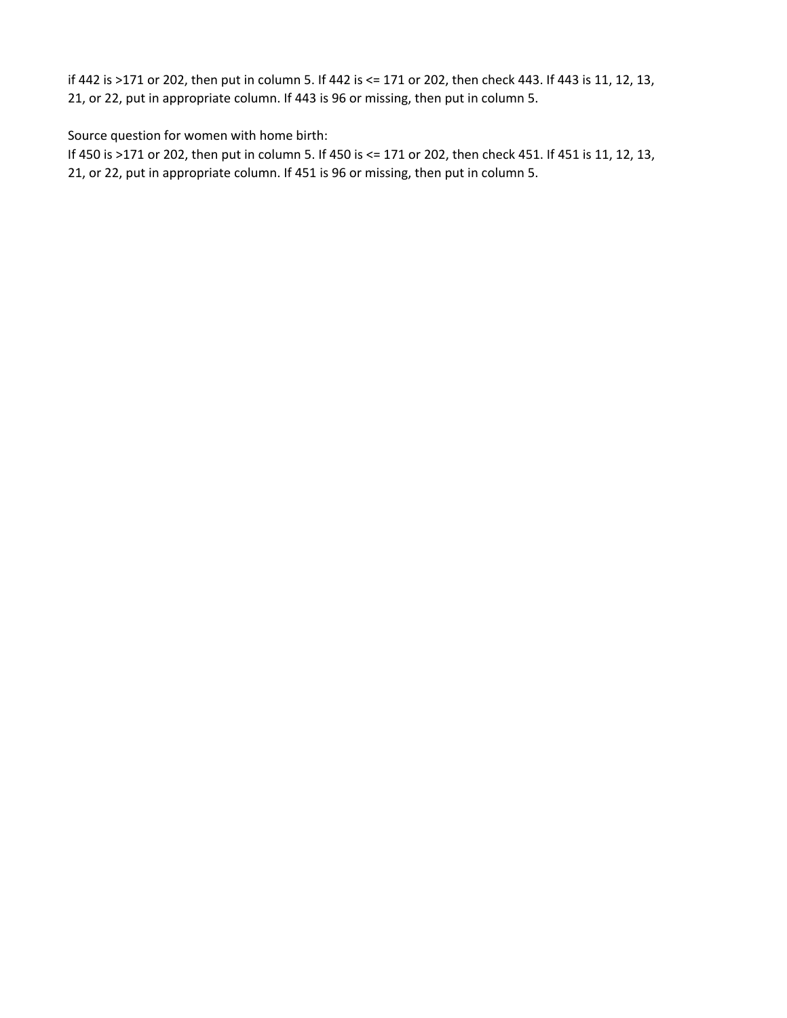if 442 is >171 or 202, then put in column 5. If 442 is <= 171 or 202, then check 443. If 443 is 11, 12, 13, 21, or 22, put in appropriate column. If 443 is 96 or missing, then put in column 5.

Source question for women with home birth:

If 450 is >171 or 202, then put in column 5. If 450 is <= 171 or 202, then check 451. If 451 is 11, 12, 13, 21, or 22, put in appropriate column. If 451 is 96 or missing, then put in column 5.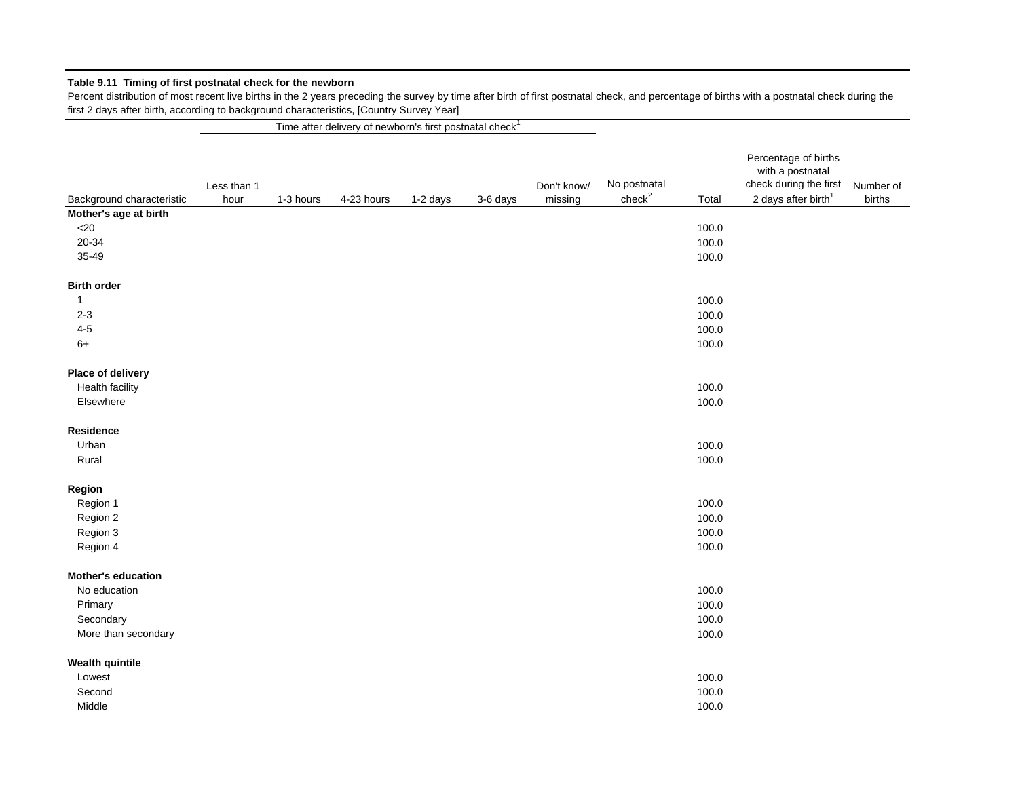# **Table 9.11 Timing of first postnatal check for the newborn**

Percent distribution of most recent live births in the 2 years preceding the survey by time after birth of first postnatal check, and percentage of births with a postnatal check during the first 2 days after birth, according to background characteristics, [Country Survey Year]

Time after delivery of newborn's first postnatal check $1$ 

|                           |                     |           |            |          |          |             |                    |       | Percentage of births                       |                     |
|---------------------------|---------------------|-----------|------------|----------|----------|-------------|--------------------|-------|--------------------------------------------|---------------------|
|                           |                     |           |            |          |          |             | No postnatal       |       | with a postnatal<br>check during the first |                     |
| Background characteristic | Less than 1<br>hour | 1-3 hours | 4-23 hours |          |          | Don't know/ | check <sup>2</sup> | Total | 2 days after birth <sup>1</sup>            | Number of<br>births |
|                           |                     |           |            | 1-2 days | 3-6 days | missing     |                    |       |                                            |                     |
| Mother's age at birth     |                     |           |            |          |          |             |                    |       |                                            |                     |
| $<$ 20                    |                     |           |            |          |          |             |                    | 100.0 |                                            |                     |
| 20-34                     |                     |           |            |          |          |             |                    | 100.0 |                                            |                     |
| 35-49                     |                     |           |            |          |          |             |                    | 100.0 |                                            |                     |
| <b>Birth order</b>        |                     |           |            |          |          |             |                    |       |                                            |                     |
| $\mathbf{1}$              |                     |           |            |          |          |             |                    | 100.0 |                                            |                     |
| $2 - 3$                   |                     |           |            |          |          |             |                    | 100.0 |                                            |                     |
| $4 - 5$                   |                     |           |            |          |          |             |                    | 100.0 |                                            |                     |
| $6+$                      |                     |           |            |          |          |             |                    | 100.0 |                                            |                     |
| Place of delivery         |                     |           |            |          |          |             |                    |       |                                            |                     |
| Health facility           |                     |           |            |          |          |             |                    | 100.0 |                                            |                     |
| Elsewhere                 |                     |           |            |          |          |             |                    | 100.0 |                                            |                     |
| <b>Residence</b>          |                     |           |            |          |          |             |                    |       |                                            |                     |
| Urban                     |                     |           |            |          |          |             |                    | 100.0 |                                            |                     |
| Rural                     |                     |           |            |          |          |             |                    | 100.0 |                                            |                     |
| Region                    |                     |           |            |          |          |             |                    |       |                                            |                     |
| Region 1                  |                     |           |            |          |          |             |                    | 100.0 |                                            |                     |
| Region 2                  |                     |           |            |          |          |             |                    | 100.0 |                                            |                     |
| Region 3                  |                     |           |            |          |          |             |                    | 100.0 |                                            |                     |
| Region 4                  |                     |           |            |          |          |             |                    | 100.0 |                                            |                     |
| <b>Mother's education</b> |                     |           |            |          |          |             |                    |       |                                            |                     |
| No education              |                     |           |            |          |          |             |                    | 100.0 |                                            |                     |
| Primary                   |                     |           |            |          |          |             |                    | 100.0 |                                            |                     |
| Secondary                 |                     |           |            |          |          |             |                    | 100.0 |                                            |                     |
| More than secondary       |                     |           |            |          |          |             |                    | 100.0 |                                            |                     |
|                           |                     |           |            |          |          |             |                    |       |                                            |                     |
| <b>Wealth quintile</b>    |                     |           |            |          |          |             |                    |       |                                            |                     |
| Lowest                    |                     |           |            |          |          |             |                    | 100.0 |                                            |                     |
| Second                    |                     |           |            |          |          |             |                    | 100.0 |                                            |                     |
| Middle                    |                     |           |            |          |          |             |                    | 100.0 |                                            |                     |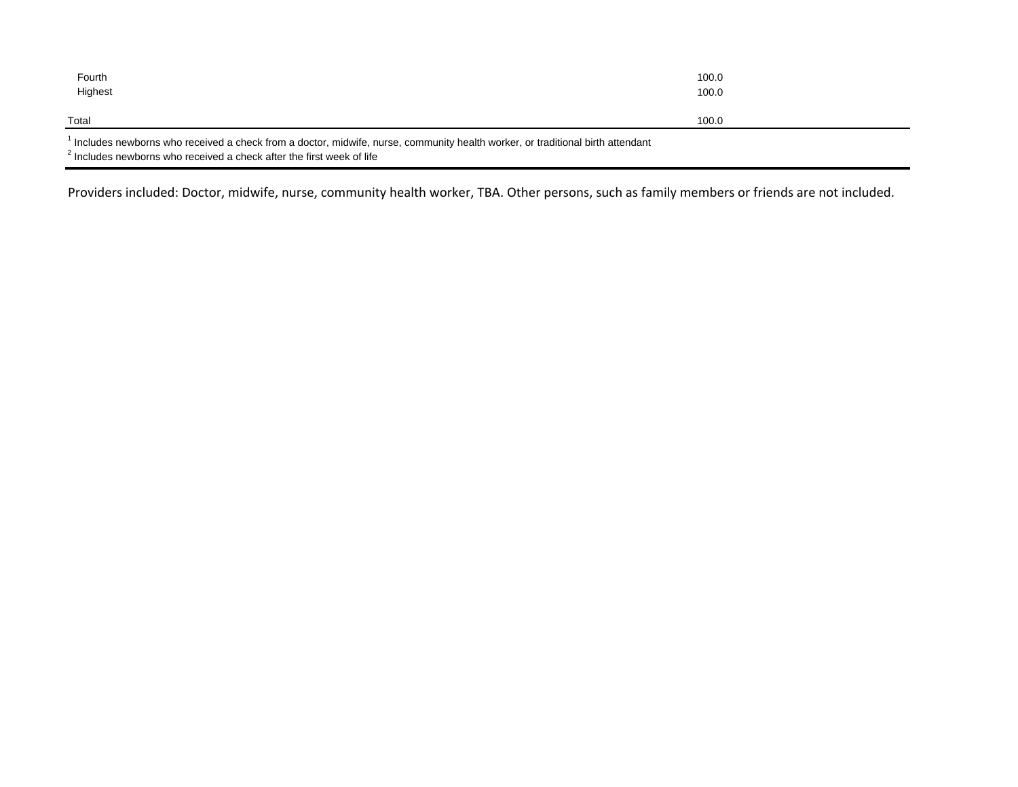| Fourth<br>Highest                                                                                                                                                                                          | 100.0<br>100.0 |  |
|------------------------------------------------------------------------------------------------------------------------------------------------------------------------------------------------------------|----------------|--|
| Total                                                                                                                                                                                                      | 100.0          |  |
| l Includes newborns who received a check from a doctor, midwife, nurse, community health worker, or traditional birth attendant<br>$2$ Includes newborns who received a check after the first week of life |                |  |

Providers included: Doctor, midwife, nurse, community health worker, TBA. Other persons, such as family members or friends are not included.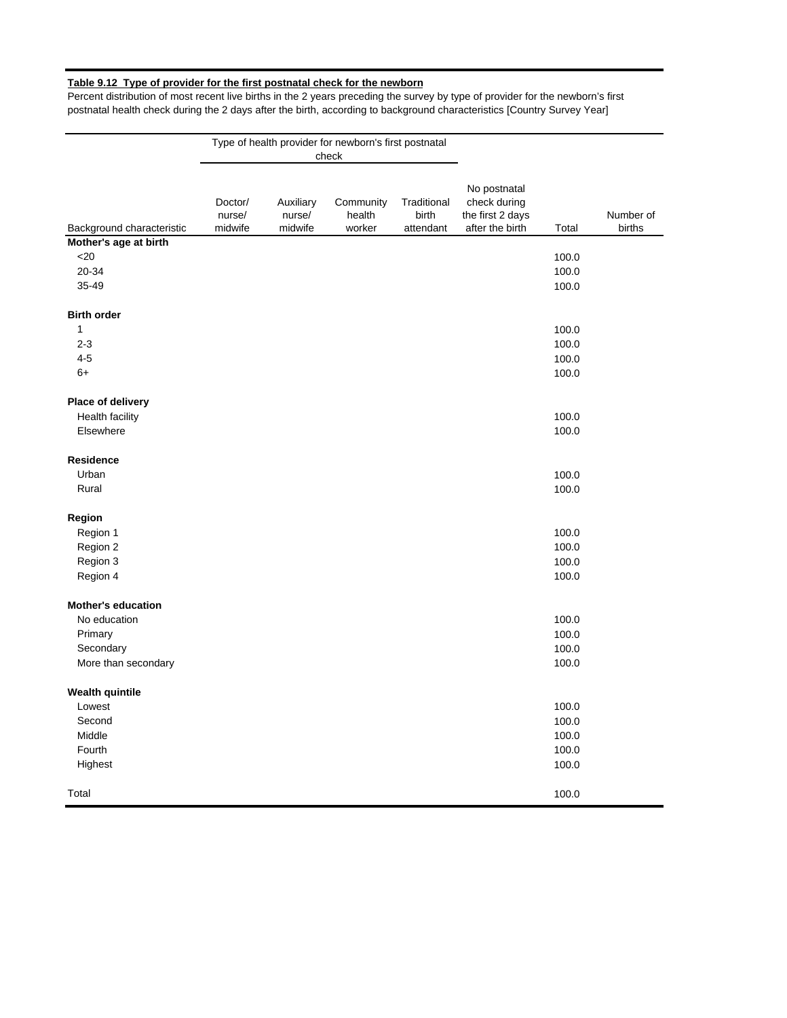# **Table 9.12 Type of provider for the first postnatal check for the newborn**

Percent distribution of most recent live births in the 2 years preceding the survey by type of provider for the newborn's first postnatal health check during the 2 days after the birth, according to background characteristics [Country Survey Year]

|                           |                              |                                | Type of health provider for newborn's first postnatal<br>check |                                   |                                                                     |       |                     |
|---------------------------|------------------------------|--------------------------------|----------------------------------------------------------------|-----------------------------------|---------------------------------------------------------------------|-------|---------------------|
|                           |                              |                                |                                                                |                                   |                                                                     |       |                     |
| Background characteristic | Doctor/<br>nurse/<br>midwife | Auxiliary<br>nurse/<br>midwife | Community<br>health<br>worker                                  | Traditional<br>birth<br>attendant | No postnatal<br>check during<br>the first 2 days<br>after the birth | Total | Number of<br>births |
| Mother's age at birth     |                              |                                |                                                                |                                   |                                                                     |       |                     |
| $<$ 20                    |                              |                                |                                                                |                                   |                                                                     | 100.0 |                     |
| 20-34                     |                              |                                |                                                                |                                   |                                                                     | 100.0 |                     |
| 35-49                     |                              |                                |                                                                |                                   |                                                                     | 100.0 |                     |
| <b>Birth order</b>        |                              |                                |                                                                |                                   |                                                                     |       |                     |
| $\mathbf{1}$              |                              |                                |                                                                |                                   |                                                                     | 100.0 |                     |
| $2 - 3$                   |                              |                                |                                                                |                                   |                                                                     | 100.0 |                     |
| $4 - 5$                   |                              |                                |                                                                |                                   |                                                                     | 100.0 |                     |
| $6+$                      |                              |                                |                                                                |                                   |                                                                     | 100.0 |                     |
| Place of delivery         |                              |                                |                                                                |                                   |                                                                     |       |                     |
| <b>Health facility</b>    |                              |                                |                                                                |                                   |                                                                     | 100.0 |                     |
| Elsewhere                 |                              |                                |                                                                |                                   |                                                                     | 100.0 |                     |
| Residence                 |                              |                                |                                                                |                                   |                                                                     |       |                     |
| Urban                     |                              |                                |                                                                |                                   |                                                                     | 100.0 |                     |
| Rural                     |                              |                                |                                                                |                                   |                                                                     | 100.0 |                     |
| Region                    |                              |                                |                                                                |                                   |                                                                     |       |                     |
| Region 1                  |                              |                                |                                                                |                                   |                                                                     | 100.0 |                     |
| Region 2                  |                              |                                |                                                                |                                   |                                                                     | 100.0 |                     |
| Region 3                  |                              |                                |                                                                |                                   |                                                                     | 100.0 |                     |
| Region 4                  |                              |                                |                                                                |                                   |                                                                     | 100.0 |                     |
| <b>Mother's education</b> |                              |                                |                                                                |                                   |                                                                     |       |                     |
| No education              |                              |                                |                                                                |                                   |                                                                     | 100.0 |                     |
| Primary                   |                              |                                |                                                                |                                   |                                                                     | 100.0 |                     |
| Secondary                 |                              |                                |                                                                |                                   |                                                                     | 100.0 |                     |
| More than secondary       |                              |                                |                                                                |                                   |                                                                     | 100.0 |                     |
| <b>Wealth quintile</b>    |                              |                                |                                                                |                                   |                                                                     |       |                     |
| Lowest                    |                              |                                |                                                                |                                   |                                                                     | 100.0 |                     |
| Second                    |                              |                                |                                                                |                                   |                                                                     | 100.0 |                     |
| Middle                    |                              |                                |                                                                |                                   |                                                                     | 100.0 |                     |
| Fourth                    |                              |                                |                                                                |                                   |                                                                     | 100.0 |                     |
| Highest                   |                              |                                |                                                                |                                   |                                                                     | 100.0 |                     |
| Total                     |                              |                                |                                                                |                                   |                                                                     | 100.0 |                     |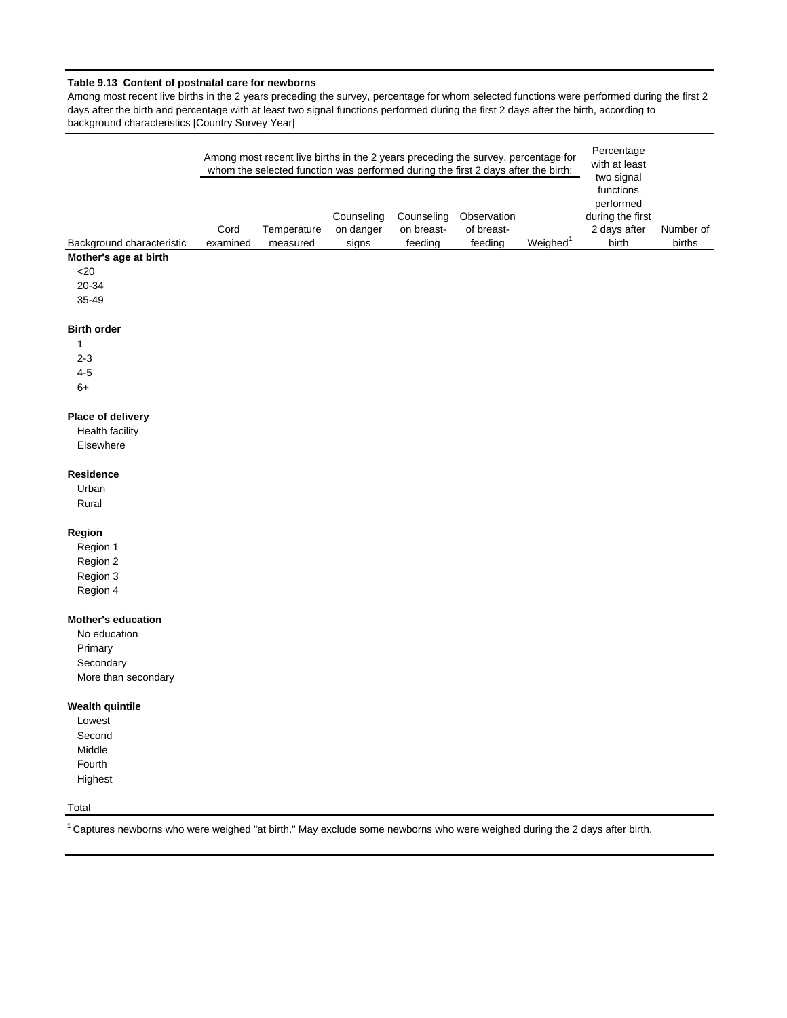# **Table 9.13 Content of postnatal care for newborns**

Among most recent live births in the 2 years preceding the survey, percentage for whom selected functions were performed during the first 2 days after the birth and percentage with at least two signal functions performed during the first 2 days after the birth, according to background characteristics [Country Survey Year]

|                                                                                                                                       |                  | Among most recent live births in the 2 years preceding the survey, percentage for<br>whom the selected function was performed during the first 2 days after the birth: |                                  |                                     | Percentage<br>with at least<br>two signal |                      |                                                                     |                     |
|---------------------------------------------------------------------------------------------------------------------------------------|------------------|------------------------------------------------------------------------------------------------------------------------------------------------------------------------|----------------------------------|-------------------------------------|-------------------------------------------|----------------------|---------------------------------------------------------------------|---------------------|
| Background characteristic                                                                                                             | Cord<br>examined | Temperature<br>measured                                                                                                                                                | Counseling<br>on danger<br>signs | Counseling<br>on breast-<br>feeding | Observation<br>of breast-<br>feeding      | Weighed <sup>1</sup> | functions<br>performed<br>during the first<br>2 days after<br>birth | Number of<br>births |
| Mother's age at birth                                                                                                                 |                  |                                                                                                                                                                        |                                  |                                     |                                           |                      |                                                                     |                     |
| $<$ 20                                                                                                                                |                  |                                                                                                                                                                        |                                  |                                     |                                           |                      |                                                                     |                     |
| 20-34                                                                                                                                 |                  |                                                                                                                                                                        |                                  |                                     |                                           |                      |                                                                     |                     |
| 35-49                                                                                                                                 |                  |                                                                                                                                                                        |                                  |                                     |                                           |                      |                                                                     |                     |
| <b>Birth order</b>                                                                                                                    |                  |                                                                                                                                                                        |                                  |                                     |                                           |                      |                                                                     |                     |
| $\mathbf 1$                                                                                                                           |                  |                                                                                                                                                                        |                                  |                                     |                                           |                      |                                                                     |                     |
| $2 - 3$                                                                                                                               |                  |                                                                                                                                                                        |                                  |                                     |                                           |                      |                                                                     |                     |
| $4 - 5$                                                                                                                               |                  |                                                                                                                                                                        |                                  |                                     |                                           |                      |                                                                     |                     |
| $6+$                                                                                                                                  |                  |                                                                                                                                                                        |                                  |                                     |                                           |                      |                                                                     |                     |
| Place of delivery                                                                                                                     |                  |                                                                                                                                                                        |                                  |                                     |                                           |                      |                                                                     |                     |
| <b>Health facility</b>                                                                                                                |                  |                                                                                                                                                                        |                                  |                                     |                                           |                      |                                                                     |                     |
| Elsewhere                                                                                                                             |                  |                                                                                                                                                                        |                                  |                                     |                                           |                      |                                                                     |                     |
| Residence                                                                                                                             |                  |                                                                                                                                                                        |                                  |                                     |                                           |                      |                                                                     |                     |
| Urban                                                                                                                                 |                  |                                                                                                                                                                        |                                  |                                     |                                           |                      |                                                                     |                     |
| Rural                                                                                                                                 |                  |                                                                                                                                                                        |                                  |                                     |                                           |                      |                                                                     |                     |
| Region                                                                                                                                |                  |                                                                                                                                                                        |                                  |                                     |                                           |                      |                                                                     |                     |
| Region 1                                                                                                                              |                  |                                                                                                                                                                        |                                  |                                     |                                           |                      |                                                                     |                     |
| Region 2                                                                                                                              |                  |                                                                                                                                                                        |                                  |                                     |                                           |                      |                                                                     |                     |
| Region 3                                                                                                                              |                  |                                                                                                                                                                        |                                  |                                     |                                           |                      |                                                                     |                     |
| Region 4                                                                                                                              |                  |                                                                                                                                                                        |                                  |                                     |                                           |                      |                                                                     |                     |
| <b>Mother's education</b>                                                                                                             |                  |                                                                                                                                                                        |                                  |                                     |                                           |                      |                                                                     |                     |
| No education                                                                                                                          |                  |                                                                                                                                                                        |                                  |                                     |                                           |                      |                                                                     |                     |
| Primary                                                                                                                               |                  |                                                                                                                                                                        |                                  |                                     |                                           |                      |                                                                     |                     |
| Secondary                                                                                                                             |                  |                                                                                                                                                                        |                                  |                                     |                                           |                      |                                                                     |                     |
| More than secondary                                                                                                                   |                  |                                                                                                                                                                        |                                  |                                     |                                           |                      |                                                                     |                     |
| <b>Wealth quintile</b>                                                                                                                |                  |                                                                                                                                                                        |                                  |                                     |                                           |                      |                                                                     |                     |
| Lowest                                                                                                                                |                  |                                                                                                                                                                        |                                  |                                     |                                           |                      |                                                                     |                     |
| Second                                                                                                                                |                  |                                                                                                                                                                        |                                  |                                     |                                           |                      |                                                                     |                     |
| Middle                                                                                                                                |                  |                                                                                                                                                                        |                                  |                                     |                                           |                      |                                                                     |                     |
| Fourth                                                                                                                                |                  |                                                                                                                                                                        |                                  |                                     |                                           |                      |                                                                     |                     |
| Highest                                                                                                                               |                  |                                                                                                                                                                        |                                  |                                     |                                           |                      |                                                                     |                     |
| Total                                                                                                                                 |                  |                                                                                                                                                                        |                                  |                                     |                                           |                      |                                                                     |                     |
| <sup>1</sup> Captures newborns who were weighed "at birth." May exclude some newborns who were weighed during the 2 days after birth. |                  |                                                                                                                                                                        |                                  |                                     |                                           |                      |                                                                     |                     |
|                                                                                                                                       |                  |                                                                                                                                                                        |                                  |                                     |                                           |                      |                                                                     |                     |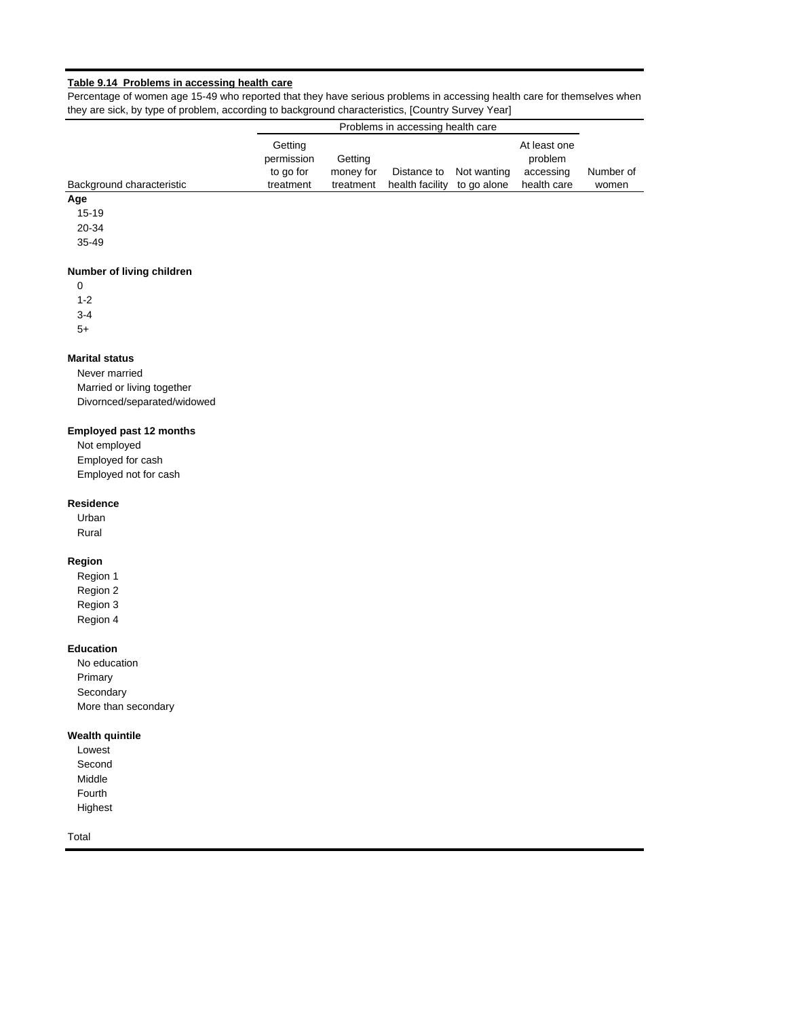#### **Table 9.14 Problems in accessing health care**

Percentage of women age 15-49 who reported that they have serious problems in accessing health care for themselves when they are sick, by type of problem, according to background characteristics, [Country Survey Year]

|                           |                                    | Problems in accessing health care |                 |             |                                      |           |  |
|---------------------------|------------------------------------|-----------------------------------|-----------------|-------------|--------------------------------------|-----------|--|
|                           | Getting<br>permission<br>to go for | Getting<br>money for              | Distance to     | Not wanting | At least one<br>problem<br>accessing | Number of |  |
| Background characteristic | treatment                          | treatment                         | health facility | to go alone | health care                          | women     |  |
| Age                       |                                    |                                   |                 |             |                                      |           |  |

15-19

20-34

35-49

## **Number of living children**

0

1-2

3-4

5+

# **Marital status**

Never married Married or living together Divornced/separated/widowed

#### **Employed past 12 months**

Not employed Employed for cash Employed not for cash

## **Residence**

Urban Rural

## **Region**

Region 1 Region 2 Region 3 Region 4

#### **Education**

No education Primary Secondary More than secondary

## **Wealth quintile**

Lowest Second Middle Fourth Highest

Total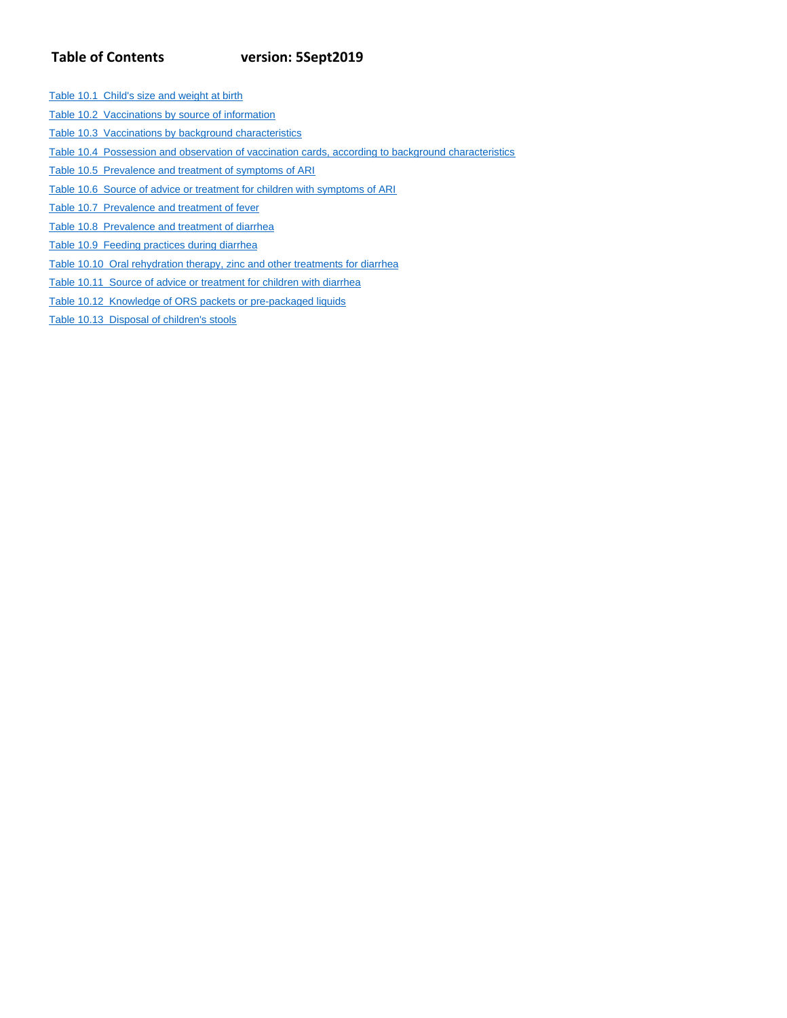# **Table of Contents version: 5Sept2019**

- Table 10.1 Child's size and weight at birth
- Table 10.2 Vaccinations by source of information
- Table 10.3 Vaccinations by background characteristics
- Table 10.4 Possession and observation of vaccination cards, according to background characteristics
- Table 10.5 Prevalence and treatment of symptoms of ARI
- Table 10.6 Source of advice or treatment for children with symptoms of ARI
- Table 10.7 Prevalence and treatment of fever
- Table 10.8 Prevalence and treatment of diarrhea
- Table 10.9 Feeding practices during diarrhea
- Table 10.10 Oral rehydration therapy, zinc and other treatments for diarrhea
- Table 10.11 Source of advice or treatment for children with diarrhea
- Table 10.12 Knowledge of ORS packets or pre-packaged liquids
- Table 10.13 Disposal of children's stools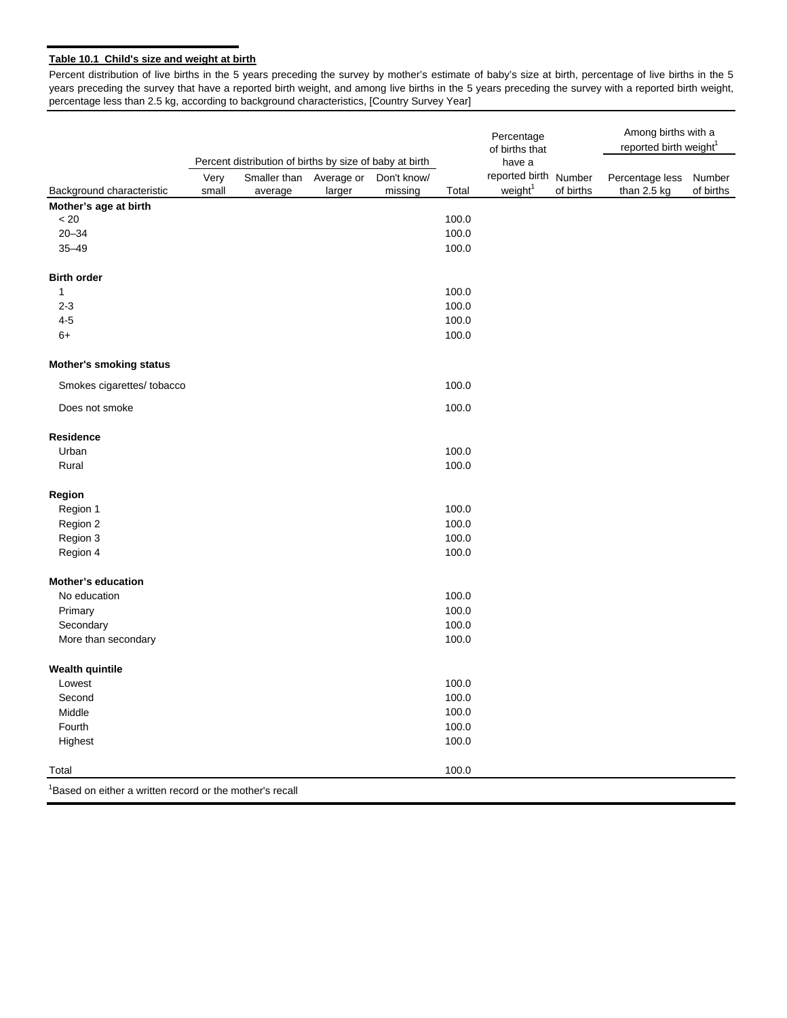# **Table 10.1 Child's size and weight at birth**

Percent distribution of live births in the 5 years preceding the survey by mother's estimate of baby's size at birth, percentage of live births in the 5 years preceding the survey that have a reported birth weight, and among live births in the 5 years preceding the survey with a reported birth weight, percentage less than 2.5 kg, according to background characteristics, [Country Survey Year]

|                                                                      |       |                                                         |            |             |                | Percentage<br>of births that |           | Among births with a<br>reported birth weight <sup>1</sup> |           |
|----------------------------------------------------------------------|-------|---------------------------------------------------------|------------|-------------|----------------|------------------------------|-----------|-----------------------------------------------------------|-----------|
|                                                                      |       | Percent distribution of births by size of baby at birth |            |             |                | have a                       |           |                                                           |           |
|                                                                      | Very  | Smaller than                                            | Average or | Don't know/ |                | reported birth Number        |           | Percentage less                                           | Number    |
| Background characteristic                                            | small | average                                                 | larger     | missing     | Total          | weight <sup>1</sup>          | of births | than 2.5 kg                                               | of births |
| Mother's age at birth                                                |       |                                                         |            |             |                |                              |           |                                                           |           |
| < 20<br>$20 - 34$                                                    |       |                                                         |            |             | 100.0<br>100.0 |                              |           |                                                           |           |
| $35 - 49$                                                            |       |                                                         |            |             | 100.0          |                              |           |                                                           |           |
|                                                                      |       |                                                         |            |             |                |                              |           |                                                           |           |
| <b>Birth order</b>                                                   |       |                                                         |            |             |                |                              |           |                                                           |           |
| 1                                                                    |       |                                                         |            |             | 100.0          |                              |           |                                                           |           |
| $2 - 3$                                                              |       |                                                         |            |             | 100.0          |                              |           |                                                           |           |
| $4 - 5$                                                              |       |                                                         |            |             | 100.0          |                              |           |                                                           |           |
| $6+$                                                                 |       |                                                         |            |             | 100.0          |                              |           |                                                           |           |
| <b>Mother's smoking status</b>                                       |       |                                                         |            |             |                |                              |           |                                                           |           |
| Smokes cigarettes/ tobacco                                           |       |                                                         |            |             | 100.0          |                              |           |                                                           |           |
| Does not smoke                                                       |       |                                                         |            |             | 100.0          |                              |           |                                                           |           |
| <b>Residence</b>                                                     |       |                                                         |            |             |                |                              |           |                                                           |           |
| Urban                                                                |       |                                                         |            |             | 100.0          |                              |           |                                                           |           |
| Rural                                                                |       |                                                         |            |             | 100.0          |                              |           |                                                           |           |
| Region                                                               |       |                                                         |            |             |                |                              |           |                                                           |           |
| Region 1                                                             |       |                                                         |            |             | 100.0          |                              |           |                                                           |           |
| Region 2                                                             |       |                                                         |            |             | 100.0          |                              |           |                                                           |           |
| Region 3                                                             |       |                                                         |            |             | 100.0          |                              |           |                                                           |           |
| Region 4                                                             |       |                                                         |            |             | 100.0          |                              |           |                                                           |           |
| <b>Mother's education</b>                                            |       |                                                         |            |             |                |                              |           |                                                           |           |
| No education                                                         |       |                                                         |            |             | 100.0          |                              |           |                                                           |           |
| Primary                                                              |       |                                                         |            |             | 100.0          |                              |           |                                                           |           |
| Secondary                                                            |       |                                                         |            |             | 100.0          |                              |           |                                                           |           |
| More than secondary                                                  |       |                                                         |            |             | 100.0          |                              |           |                                                           |           |
| <b>Wealth quintile</b>                                               |       |                                                         |            |             |                |                              |           |                                                           |           |
| Lowest                                                               |       |                                                         |            |             | 100.0          |                              |           |                                                           |           |
| Second                                                               |       |                                                         |            |             | 100.0          |                              |           |                                                           |           |
| Middle                                                               |       |                                                         |            |             | 100.0          |                              |           |                                                           |           |
| Fourth                                                               |       |                                                         |            |             | 100.0          |                              |           |                                                           |           |
| Highest                                                              |       |                                                         |            |             | 100.0          |                              |           |                                                           |           |
| Total                                                                |       |                                                         |            |             | 100.0          |                              |           |                                                           |           |
| <sup>1</sup> Based on either a written record or the mother's recall |       |                                                         |            |             |                |                              |           |                                                           |           |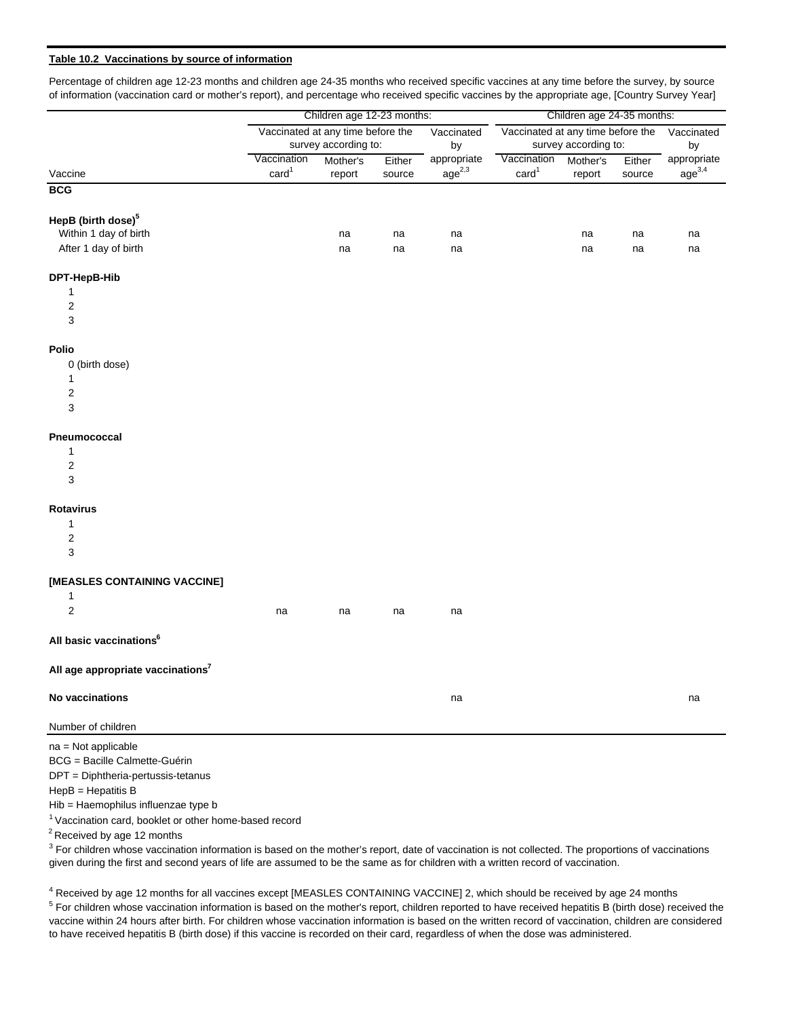## **Table 10.2 Vaccinations by source of information**

Percentage of children age 12-23 months and children age 24-35 months who received specific vaccines at any time before the survey, by source of information (vaccination card or mother's report), and percentage who received specific vaccines by the appropriate age, [Country Survey Year]

|                                                                   |                                  | Children age 12-23 months:        |                  | Children age 24-35 months:        |                                   |                      |                  |                                   |
|-------------------------------------------------------------------|----------------------------------|-----------------------------------|------------------|-----------------------------------|-----------------------------------|----------------------|------------------|-----------------------------------|
|                                                                   |                                  | Vaccinated at any time before the |                  | Vaccinated                        | Vaccinated at any time before the |                      |                  | Vaccinated                        |
|                                                                   |                                  | survey according to:              |                  | by                                |                                   | survey according to: |                  | by                                |
| Vaccine                                                           | Vaccination<br>card <sup>1</sup> | Mother's<br>report                | Either<br>source | appropriate<br>age <sup>2,3</sup> | Vaccination<br>card <sup>1</sup>  | Mother's<br>report   | Either<br>source | appropriate<br>age <sup>3,4</sup> |
| <b>BCG</b>                                                        |                                  |                                   |                  |                                   |                                   |                      |                  |                                   |
|                                                                   |                                  |                                   |                  |                                   |                                   |                      |                  |                                   |
| HepB (birth dose) <sup>5</sup>                                    |                                  |                                   |                  |                                   |                                   |                      |                  |                                   |
| Within 1 day of birth                                             |                                  | na                                | na               | na                                |                                   | na                   | na               | na                                |
| After 1 day of birth                                              |                                  | na                                | na               | na                                |                                   | na                   | na               | na                                |
| DPT-HepB-Hib                                                      |                                  |                                   |                  |                                   |                                   |                      |                  |                                   |
| 1                                                                 |                                  |                                   |                  |                                   |                                   |                      |                  |                                   |
| 2                                                                 |                                  |                                   |                  |                                   |                                   |                      |                  |                                   |
| 3                                                                 |                                  |                                   |                  |                                   |                                   |                      |                  |                                   |
| <b>Polio</b>                                                      |                                  |                                   |                  |                                   |                                   |                      |                  |                                   |
| 0 (birth dose)                                                    |                                  |                                   |                  |                                   |                                   |                      |                  |                                   |
| 1                                                                 |                                  |                                   |                  |                                   |                                   |                      |                  |                                   |
| 2                                                                 |                                  |                                   |                  |                                   |                                   |                      |                  |                                   |
| 3                                                                 |                                  |                                   |                  |                                   |                                   |                      |                  |                                   |
| Pneumococcal                                                      |                                  |                                   |                  |                                   |                                   |                      |                  |                                   |
| $\mathbf{1}$                                                      |                                  |                                   |                  |                                   |                                   |                      |                  |                                   |
| 2                                                                 |                                  |                                   |                  |                                   |                                   |                      |                  |                                   |
| 3                                                                 |                                  |                                   |                  |                                   |                                   |                      |                  |                                   |
| <b>Rotavirus</b>                                                  |                                  |                                   |                  |                                   |                                   |                      |                  |                                   |
| 1                                                                 |                                  |                                   |                  |                                   |                                   |                      |                  |                                   |
| $\overline{\mathbf{c}}$                                           |                                  |                                   |                  |                                   |                                   |                      |                  |                                   |
| 3                                                                 |                                  |                                   |                  |                                   |                                   |                      |                  |                                   |
| [MEASLES CONTAINING VACCINE]                                      |                                  |                                   |                  |                                   |                                   |                      |                  |                                   |
| 1                                                                 |                                  |                                   |                  |                                   |                                   |                      |                  |                                   |
| $\mathbf 2$                                                       | na                               | na                                | na               | na                                |                                   |                      |                  |                                   |
| All basic vaccinations <sup>6</sup>                               |                                  |                                   |                  |                                   |                                   |                      |                  |                                   |
| All age appropriate vaccinations <sup>7</sup>                     |                                  |                                   |                  |                                   |                                   |                      |                  |                                   |
| No vaccinations                                                   |                                  |                                   |                  | na                                |                                   |                      |                  | na                                |
|                                                                   |                                  |                                   |                  |                                   |                                   |                      |                  |                                   |
| Number of children                                                |                                  |                                   |                  |                                   |                                   |                      |                  |                                   |
| na = Not applicable                                               |                                  |                                   |                  |                                   |                                   |                      |                  |                                   |
| BCG = Bacille Calmette-Guérin                                     |                                  |                                   |                  |                                   |                                   |                      |                  |                                   |
| DPT = Diphtheria-pertussis-tetanus                                |                                  |                                   |                  |                                   |                                   |                      |                  |                                   |
| $HepB = Hepatitis B$                                              |                                  |                                   |                  |                                   |                                   |                      |                  |                                   |
| Hib = Haemophilus influenzae type b                               |                                  |                                   |                  |                                   |                                   |                      |                  |                                   |
| <sup>1</sup> Vaccination card, booklet or other home-based record |                                  |                                   |                  |                                   |                                   |                      |                  |                                   |

Received by age 12 months

 $3$  For children whose vaccination information is based on the mother's report, date of vaccination is not collected. The proportions of vaccinations given during the first and second years of life are assumed to be the same as for children with a written record of vaccination.

 $5$  For children whose vaccination information is based on the mother's report, children reported to have received hepatitis B (birth dose) received the vaccine within 24 hours after birth. For children whose vaccination information is based on the written record of vaccination, children are considered to have received hepatitis B (birth dose) if this vaccine is recorded on their card, regardless of when the dose was administered. <sup>4</sup> Received by age 12 months for all vaccines except [MEASLES CONTAINING VACCINE] 2, which should be received by age 24 months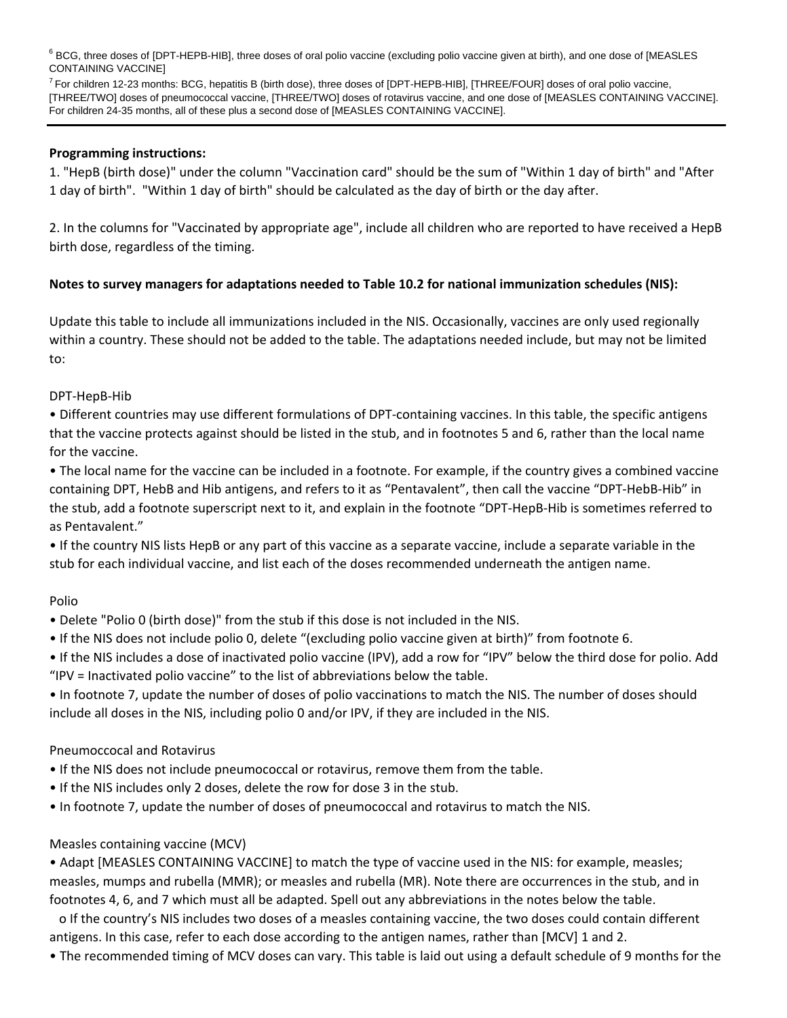<sup>6</sup> BCG, three doses of [DPT-HEPB-HIB], three doses of oral polio vaccine (excluding polio vaccine given at birth), and one dose of [MEASLES CONTAINING VACCINE]

 $^7$  For children 12-23 months: BCG, hepatitis B (birth dose), three doses of [DPT-HEPB-HIB], [THREE/FOUR] doses of oral polio vaccine, [THREE/TWO] doses of pneumococcal vaccine, [THREE/TWO] doses of rotavirus vaccine, and one dose of [MEASLES CONTAINING VACCINE]. For children 24-35 months, all of these plus a second dose of [MEASLES CONTAINING VACCINE].

# **Programming instructions:**

1. "HepB (birth dose)" under the column "Vaccination card" should be the sum of "Within 1 day of birth" and "After 1 day of birth". "Within 1 day of birth" should be calculated as the day of birth or the day after.

2. In the columns for "Vaccinated by appropriate age", include all children who are reported to have received a HepB birth dose, regardless of the timing.

# **Notes to survey managers for adaptations needed to Table 10.2 for national immunization schedules (NIS):**

Update this table to include all immunizations included in the NIS. Occasionally, vaccines are only used regionally within a country. These should not be added to the table. The adaptations needed include, but may not be limited to:

# DPT‐HepB‐Hib

• Different countries may use different formulations of DPT‐containing vaccines. In this table, the specific antigens that the vaccine protects against should be listed in the stub, and in footnotes 5 and 6, rather than the local name for the vaccine.

• The local name for the vaccine can be included in a footnote. For example, if the country gives a combined vaccine containing DPT, HebB and Hib antigens, and refers to it as "Pentavalent", then call the vaccine "DPT‐HebB‐Hib" in the stub, add a footnote superscript next to it, and explain in the footnote "DPT‐HepB‐Hib is sometimes referred to as Pentavalent."

• If the country NIS lists HepB or any part of this vaccine as a separate vaccine, include a separate variable in the stub for each individual vaccine, and list each of the doses recommended underneath the antigen name.

# Polio

• Delete "Polio 0 (birth dose)" from the stub if this dose is not included in the NIS.

• If the NIS does not include polio 0, delete "(excluding polio vaccine given at birth)" from footnote 6.

• If the NIS includes a dose of inactivated polio vaccine (IPV), add a row for "IPV" below the third dose for polio. Add "IPV = Inactivated polio vaccine" to the list of abbreviations below the table.

• In footnote 7, update the number of doses of polio vaccinations to match the NIS. The number of doses should include all doses in the NIS, including polio 0 and/or IPV, if they are included in the NIS.

# Pneumoccocal and Rotavirus

• If the NIS does not include pneumococcal or rotavirus, remove them from the table.

- If the NIS includes only 2 doses, delete the row for dose 3 in the stub.
- In footnote 7, update the number of doses of pneumococcal and rotavirus to match the NIS.

# Measles containing vaccine (MCV)

• Adapt [MEASLES CONTAINING VACCINE] to match the type of vaccine used in the NIS: for example, measles; measles, mumps and rubella (MMR); or measles and rubella (MR). Note there are occurrences in the stub, and in footnotes 4, 6, and 7 which must all be adapted. Spell out any abbreviations in the notes below the table.

o If the country's NIS includes two doses of a measles containing vaccine, the two doses could contain different antigens. In this case, refer to each dose according to the antigen names, rather than [MCV] 1 and 2.

• The recommended timing of MCV doses can vary. This table is laid out using a default schedule of 9 months for the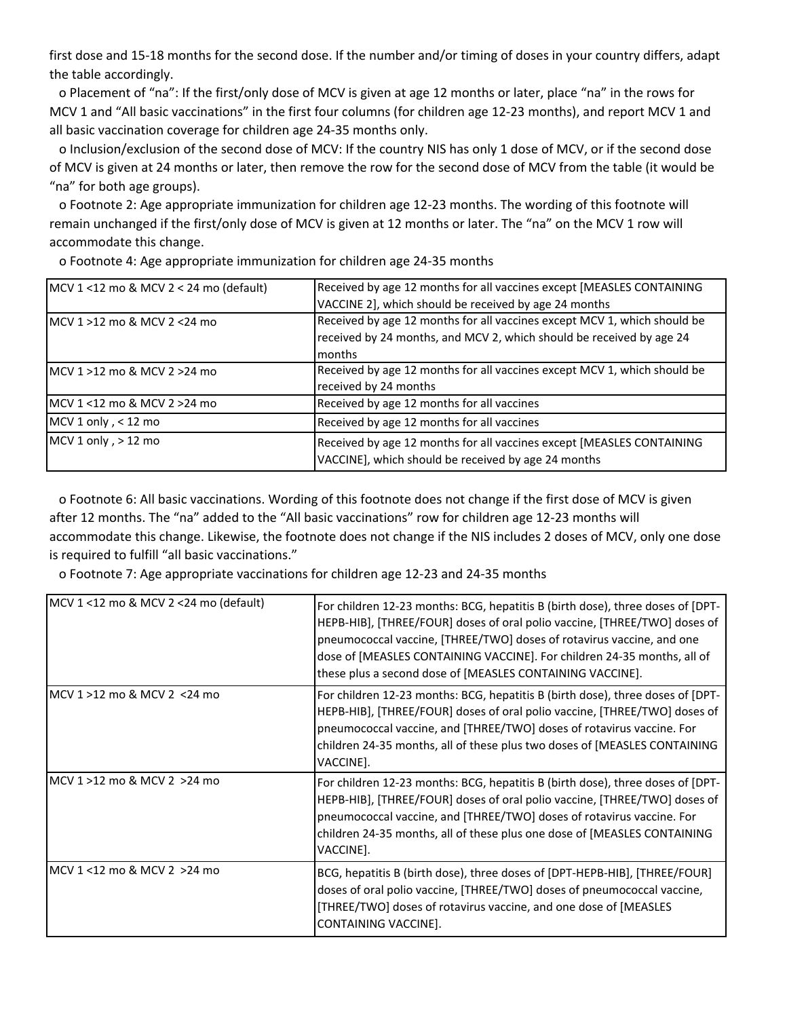first dose and 15-18 months for the second dose. If the number and/or timing of doses in your country differs, adapt the table accordingly.

o Placement of "na": If the first/only dose of MCV is given at age 12 months or later, place "na" in the rows for MCV 1 and "All basic vaccinations" in the first four columns (for children age 12‐23 months), and report MCV 1 and all basic vaccination coverage for children age 24‐35 months only.

o Inclusion/exclusion of the second dose of MCV: If the country NIS has only 1 dose of MCV, or if the second dose of MCV is given at 24 months or later, then remove the row for the second dose of MCV from the table (it would be "na" for both age groups).

o Footnote 2: Age appropriate immunization for children age 12‐23 months. The wording of this footnote will remain unchanged if the first/only dose of MCV is given at 12 months or later. The "na" on the MCV 1 row will accommodate this change.

| MCV $1 < 12$ mo & MCV $2 < 24$ mo (default) | Received by age 12 months for all vaccines except [MEASLES CONTAINING                                                        |
|---------------------------------------------|------------------------------------------------------------------------------------------------------------------------------|
|                                             | VACCINE 2], which should be received by age 24 months                                                                        |
| $MCV 1 > 12$ mo & MCV 2 < 24 mo             | Received by age 12 months for all vaccines except MCV 1, which should be                                                     |
|                                             | received by 24 months, and MCV 2, which should be received by age 24                                                         |
|                                             | months                                                                                                                       |
| $MCV 1 > 12$ mo & MCV 2 > 24 mo             | Received by age 12 months for all vaccines except MCV 1, which should be                                                     |
|                                             | received by 24 months                                                                                                        |
| MCV 1 <12 mo & MCV 2 >24 mo                 | Received by age 12 months for all vaccines                                                                                   |
| MCV 1 only, < 12 mo                         | Received by age 12 months for all vaccines                                                                                   |
| MCV 1 only, > 12 mo                         | Received by age 12 months for all vaccines except [MEASLES CONTAINING<br>VACCINE], which should be received by age 24 months |

o Footnote 4: Age appropriate immunization for children age 24‐35 months

o Footnote 6: All basic vaccinations. Wording of this footnote does not change if the first dose of MCV is given after 12 months. The "na" added to the "All basic vaccinations" row for children age 12‐23 months will accommodate this change. Likewise, the footnote does not change if the NIS includes 2 doses of MCV, only one dose is required to fulfill "all basic vaccinations."

o Footnote 7: Age appropriate vaccinations for children age 12‐23 and 24‐35 months

| MCV 1 <12 mo & MCV 2 <24 mo (default) | For children 12-23 months: BCG, hepatitis B (birth dose), three doses of [DPT-<br>HEPB-HIB], [THREE/FOUR] doses of oral polio vaccine, [THREE/TWO] doses of<br>pneumococcal vaccine, [THREE/TWO] doses of rotavirus vaccine, and one<br>dose of [MEASLES CONTAINING VACCINE]. For children 24-35 months, all of<br>these plus a second dose of [MEASLES CONTAINING VACCINE]. |
|---------------------------------------|------------------------------------------------------------------------------------------------------------------------------------------------------------------------------------------------------------------------------------------------------------------------------------------------------------------------------------------------------------------------------|
| MCV 1 >12 mo & MCV 2 <24 mo           | For children 12-23 months: BCG, hepatitis B (birth dose), three doses of [DPT-<br>HEPB-HIB], [THREE/FOUR] doses of oral polio vaccine, [THREE/TWO] doses of<br>pneumococcal vaccine, and [THREE/TWO] doses of rotavirus vaccine. For<br>children 24-35 months, all of these plus two doses of [MEASLES CONTAINING<br>VACCINE].                                               |
| IMCV 1 >12 mo & MCV 2 >24 mo          | For children 12-23 months: BCG, hepatitis B (birth dose), three doses of [DPT-<br>HEPB-HIB], [THREE/FOUR] doses of oral polio vaccine, [THREE/TWO] doses of<br>pneumococcal vaccine, and [THREE/TWO] doses of rotavirus vaccine. For<br>children 24-35 months, all of these plus one dose of [MEASLES CONTAINING<br>VACCINE].                                                |
| IMCV 1 <12 mo & MCV 2 >24 mo          | BCG, hepatitis B (birth dose), three doses of [DPT-HEPB-HIB], [THREE/FOUR]<br>doses of oral polio vaccine, [THREE/TWO] doses of pneumococcal vaccine,<br>[THREE/TWO] doses of rotavirus vaccine, and one dose of [MEASLES]<br>CONTAINING VACCINE].                                                                                                                           |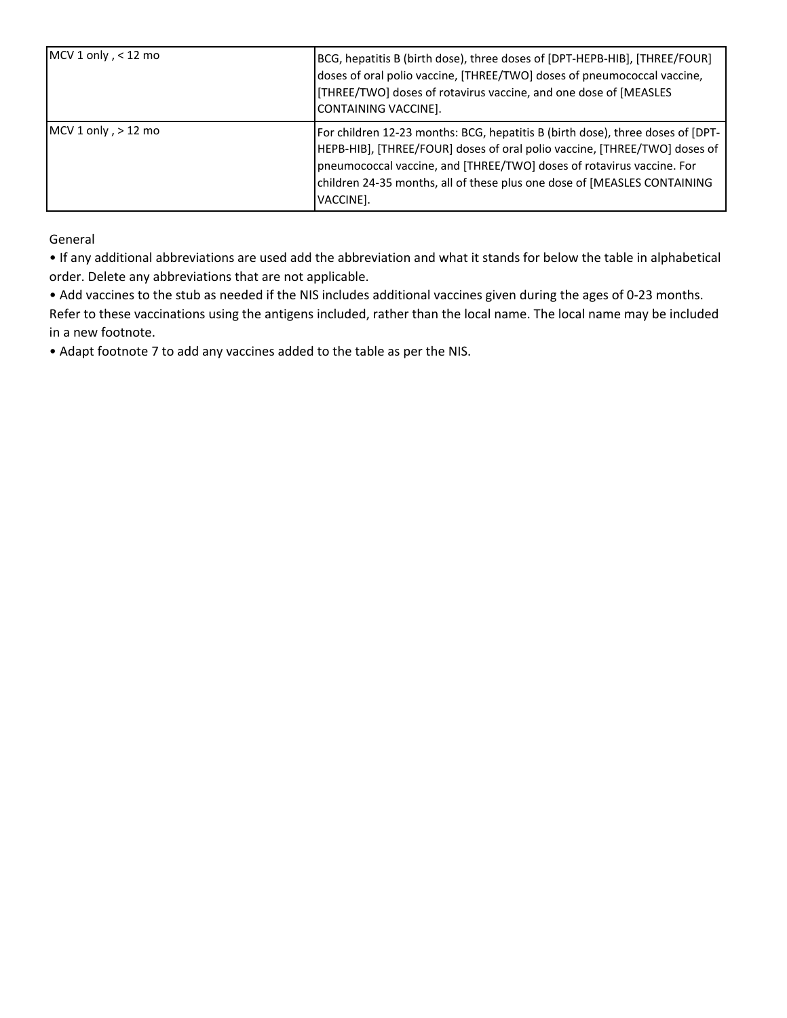| MCV 1 only, $<$ 12 mo | BCG, hepatitis B (birth dose), three doses of [DPT-HEPB-HIB], [THREE/FOUR]<br>doses of oral polio vaccine, [THREE/TWO] doses of pneumococcal vaccine,<br>[THREE/TWO] doses of rotavirus vaccine, and one dose of [MEASLES<br>CONTAINING VACCINE].                                                                              |
|-----------------------|--------------------------------------------------------------------------------------------------------------------------------------------------------------------------------------------------------------------------------------------------------------------------------------------------------------------------------|
| MCV 1 only, $> 12$ mo | For children 12-23 months: BCG, hepatitis B (birth dose), three doses of [DPT-<br>[HEPB-HIB], [THREE/FOUR] doses of oral polio vaccine, [THREE/TWO] doses of<br>pneumococcal vaccine, and [THREE/TWO] doses of rotavirus vaccine. For<br>children 24-35 months, all of these plus one dose of [MEASLES CONTAINING<br>VACCINE]. |

General

• If any additional abbreviations are used add the abbreviation and what it stands for below the table in alphabetical order. Delete any abbreviations that are not applicable.

• Add vaccines to the stub as needed if the NIS includes additional vaccines given during the ages of 0‐23 months. Refer to these vaccinations using the antigens included, rather than the local name. The local name may be included in a new footnote.

• Adapt footnote 7 to add any vaccines added to the table as per the NIS.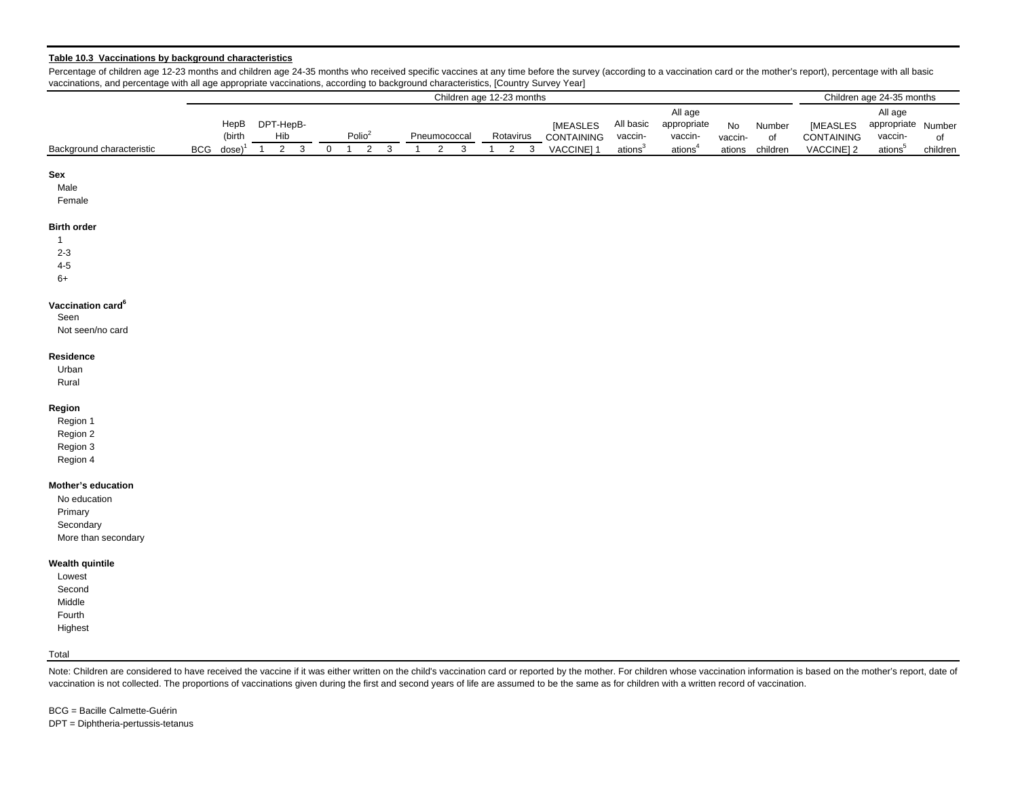#### **Table 10.3 Vaccinations by background characteristics**

Background characteristic BCG dose) $1 \quad 2 \quad 3 \quad 0 \quad 1 \quad 2 \quad 3 \quad 1 \quad 2 \quad 3 \quad 1 \quad 2 \quad 3$ **Sex** Male Female **Birth order** 12-34-56+**Vaccination card<sup>6</sup>** SeenNot seen/no card**Residence**Urban Rural **Region** Region 1 Region 2 Region 3 Region 4 **Mother's education** No education Primary **Secondary** More than secondary **Wealth quintile** Lowest Second Middle Fourth Highest Total Children age 12-23 months Children age 24-35 months  $BCG\;$  dose) $^1$ HepB (birth DPT-HepB- $Hib$  Polio<sup>2</sup> Pneumococcal Rotavirus All age appropriate Number vaccinations<sup>5</sup> of children [MEASLES CONTAINING VACCINE] 2 **IMEASLES** CONTAINING VACCINE] 1 All basic vaccinations<sup>3</sup> All age appropriate vaccinations<sup>4</sup> No vaccinationsNumber of children

Percentage of children age 12-23 months and children age 24-35 months who received specific vaccines at any time before the survey (according to a vaccination card or the mother's report), percentage with all basic vaccinations, and percentage with all age appropriate vaccinations, according to background characteristics, [Country Survey Year]

Note: Children are considered to have received the vaccine if it was either written on the child's vaccination card or reported by the mother. For children whose vaccination information is based on the mother's report, dat vaccination is not collected. The proportions of vaccinations given during the first and second years of life are assumed to be the same as for children with a written record of vaccination.

BCG = Bacille Calmette-GuérinDPT = Diphtheria-pertussis-tetanus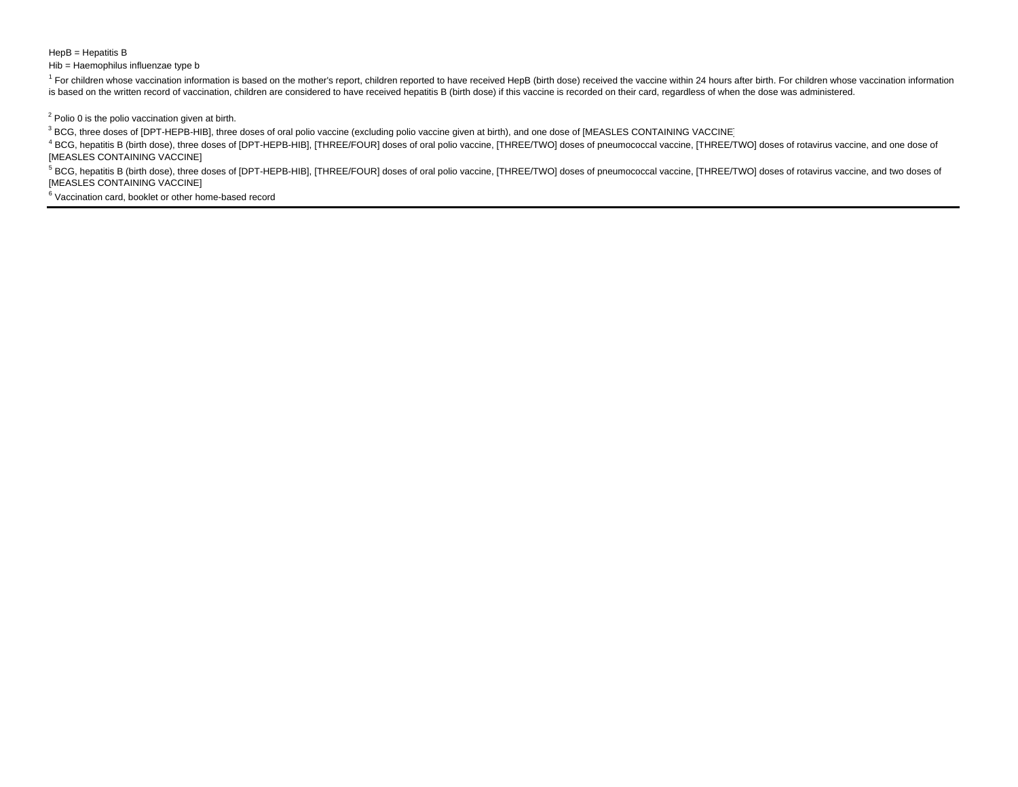#### HepB = Hepatitis B

#### Hib = Haemophilus influenzae type b

<sup>1</sup> For children whose vaccination information is based on the mother's report, children reported to have received HepB (birth dose) received the vaccine within 24 hours after birth. For children whose vaccination informat is based on the written record of vaccination, children are considered to have received hepatitis B (birth dose) if this vaccine is recorded on their card, regardless of when the dose was administered.

 $2$  Polio 0 is the polio vaccination given at birth.

<sup>3</sup> BCG, three doses of [DPT-HEPB-HIB], three doses of oral polio vaccine (excluding polio vaccine given at birth), and one dose of [MEASLES CONTAINING VACCINE]

4 BCG, hepatitis B (birth dose), three doses of [DPT-HEPB-HIB], [THREE/FOUR] doses of oral polio vaccine, [THREE/TWO] doses of pneumococcal vaccine, [THREE/TWO] doses of rotavirus vaccine, and one dose of [MEASLES CONTAINING VACCINE]

<sup>5</sup> BCG, hepatitis B (birth dose), three doses of [DPT-HEPB-HIB], [THREE/FOUR] doses of oral polio vaccine, [THREE/TWO] doses of pneumococcal vaccine, [THREE/TWO] doses of rotavirus vaccine, and two doses of [MEASLES CONTAINING VACCINE]

6 Vaccination card, booklet or other home-based record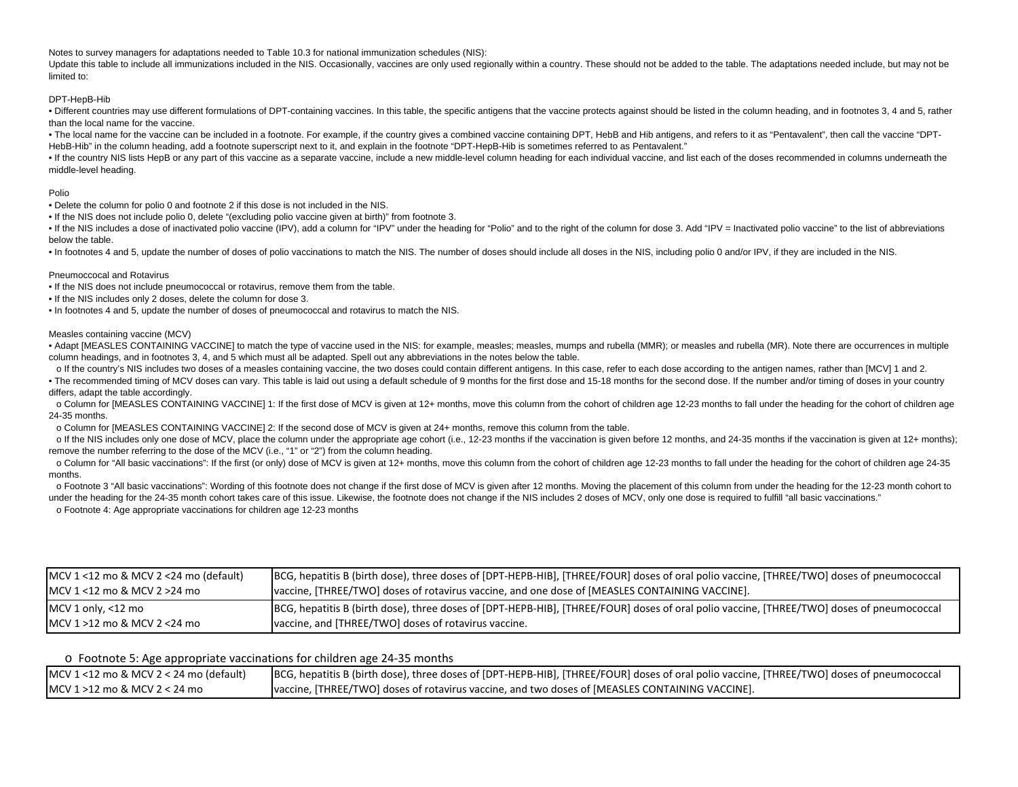Notes to survey managers for adaptations needed to Table 10.3 for national immunization schedules (NIS):

Update this table to include all immunizations included in the NIS. Occasionally, vaccines are only used regionally within a country. These should not be added to the table. The adaptations needed include, but may not be limited to:

#### DPT-HepB-Hib

• Different countries may use different formulations of DPT-containing vaccines. In this table, the specific antigens that the vaccine protects against should be listed in the column heading, and in footnotes 3, 4 and 5, r than the local name for the vaccine.

• The local name for the vaccine can be included in a footnote. For example, if the country gives a combined vaccine containing DPT, HebB and Hib antigens, and refers to it as "Pentavalent", then call the vaccine "DPT-HebB-Hib" in the column heading, add a footnote superscript next to it, and explain in the footnote "DPT-HepB-Hib is sometimes referred to as Pentavalent."

• If the country NIS lists HepB or any part of this vaccine as a separate vaccine, include a new middle-level column heading for each individual vaccine, and list each of the doses recommended in columns underneath the middle-level heading.

#### Polio

• Delete the column for polio 0 and footnote 2 if this dose is not included in the NIS.

• If the NIS does not include polio 0, delete "(excluding polio vaccine given at birth)" from footnote 3.

• If the NIS includes a dose of inactivated polio vaccine (IPV), add a column for "IPV" under the heading for "Polio" and to the right of the column for dose 3. Add "IPV = Inactivated polio vaccine" to the list of abbrevia below the table.

• In footnotes 4 and 5, update the number of doses of polio vaccinations to match the NIS. The number of doses should include all doses in the NIS, including polio 0 and/or IPV, if they are included in the NIS.

#### Pneumoccocal and Rotavirus

• If the NIS does not include pneumococcal or rotavirus, remove them from the table.

• If the NIS includes only 2 doses, delete the column for dose 3.

• In footnotes 4 and 5, update the number of doses of pneumococcal and rotavirus to match the NIS.

#### Measles containing vaccine (MCV)

• Adapt [MEASLES CONTAINING VACCINE] to match the type of vaccine used in the NIS: for example, measles; measles, mumps and rubella (MMR); or measles and rubella (MR). Note there are occurrences in multiple column headings, and in footnotes 3, 4, and 5 which must all be adapted. Spell out any abbreviations in the notes below the table.

o If the country's NIS includes two doses of a measles containing vaccine, the two doses could contain different antigens. In this case, refer to each dose according to the antigen names, rather than [MCV] 1 and 2.

• The recommended timing of MCV doses can vary. This table is laid out using a default schedule of 9 months for the first dose and 15-18 months for the second dose. If the number and/or timing of doses in your country differs, adapt the table accordingly.

o Column for [MEASLES CONTAINING VACCINE] 1: If the first dose of MCV is given at 12+ months, move this column from the cohort of children age 12-23 months to fall under the heading for the cohort of children age 24-35 months.

<sup>o</sup> Column for [MEASLES CONTAINING VACCINE] 2: If the second dose of MCV is given at 24+ months, remove this column from the table.

o If the NIS includes only one dose of MCV, place the column under the appropriate age cohort (i.e., 12-23 months if the vaccination is given before 12 months, and 24-35 months if the vaccination is given at 12+ months); remove the number referring to the dose of the MCV (i.e., "1" or "2") from the column heading.

o Column for "All basic vaccinations": If the first (or only) dose of MCV is given at 12+ months, move this column from the cohort of children age 12-23 months to fall under the heading for the cohort of children age 24-35 months.

o Footnote 3 "All basic vaccinations": Wording of this footnote does not change if the first dose of MCV is given after 12 months. Moving the placement of this column from under the heading for the 12-23 month cohort to under the heading for the 24-35 month cohort takes care of this issue. Likewise, the footnote does not change if the NIS includes 2 doses of MCV, only one dose is required to fulfill "all basic vaccinations."

<sup>o</sup> Footnote 4: Age appropriate vaccinations for children age 12-23 months

| $MCV$ 1 <12 mo & MCV 2 <24 mo (default)          | BCG, hepatitis B (birth dose), three doses of [DPT-HEPB-HIB], [THREE/FOUR] doses of oral polio vaccine, [THREE/TWO] doses of pneumococcal |
|--------------------------------------------------|-------------------------------------------------------------------------------------------------------------------------------------------|
| $MCV 1 < 12 \text{ mo } 8 MCV 2 > 24 \text{ mo}$ | vaccine, [THREE/TWO] doses of rotavirus vaccine, and one dose of [MEASLES CONTAINING VACCINE].                                            |
| MCV 1 only, $<$ 12 mo                            | BCG, hepatitis B (birth dose), three doses of [DPT-HEPB-HIB], [THREE/FOUR] doses of oral polio vaccine, [THREE/TWO] doses of pneumococcal |
| $MCV 1 > 12$ mo & MCV 2 < 24 mo                  | vaccine, and [THREE/TWO] doses of rotavirus vaccine.                                                                                      |

#### o Footnote 5: Age appropriate vaccinations for children age 24‐35 months

| $MCV$ 1 <12 mo & MCV 2 < 24 mo (default) | BCG, hepatitis B (birth dose), three doses of [DPT-HEPB-HIB], [THREE/FOUR] doses of oral polio vaccine, [THREE/TWO] doses of pneumococcal |
|------------------------------------------|-------------------------------------------------------------------------------------------------------------------------------------------|
| $MCV$ 1 >12 mo & MCV 2 < 24 mo           | vaccine, [THREE/TWO] doses of rotavirus vaccine, and two doses of [MEASLES CONTAINING VACCINE].                                           |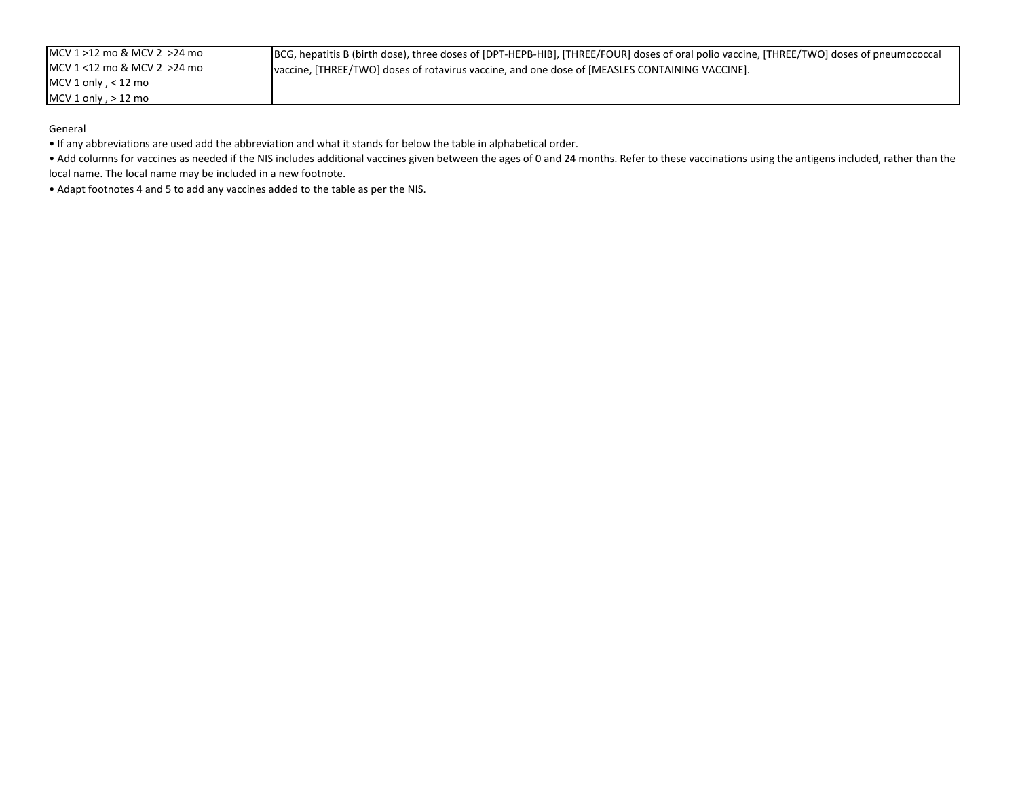General

• If any abbreviations are used add the abbreviation and what it stands for below the table in alphabetical order.

• Add columns for vaccines as needed if the NIS includes additional vaccines given between the ages of 0 and 24 months. Refer to these vaccinations using the antigens included, rather than the local name. The local name may be included in <sup>a</sup> new footnote.

• Adapt footnotes 4 and 5 to add any vaccines added to the table as per the NIS.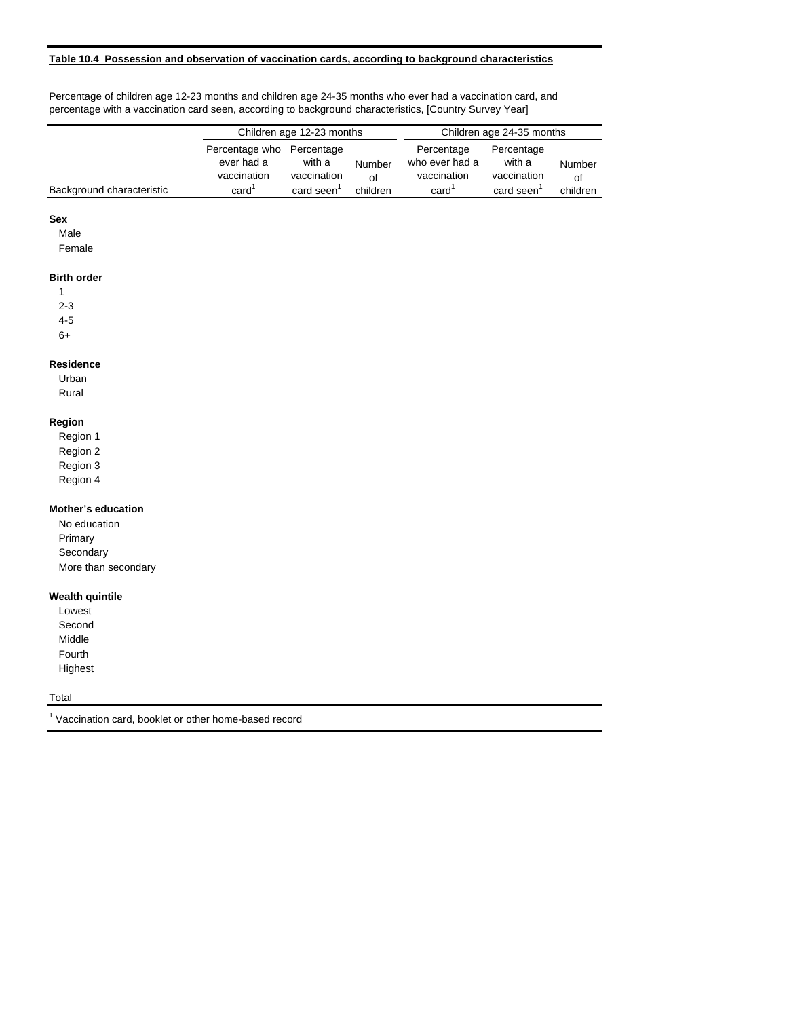#### **Table 10.4 Possession and observation of vaccination cards, according to background characteristics**

Percentage of children age 12-23 months and children age 24-35 months who ever had a vaccination card, and percentage with a vaccination card seen, according to background characteristics, [Country Survey Year]

|                           | Children age 12-23 months                                        |                                                      |                          | Children age 24-35 months                                        |                                                        |                          |
|---------------------------|------------------------------------------------------------------|------------------------------------------------------|--------------------------|------------------------------------------------------------------|--------------------------------------------------------|--------------------------|
| Background characteristic | Percentage who<br>ever had a<br>vaccination<br>card <sup>1</sup> | Percentage<br>with a<br>vaccination<br>card seen $1$ | Number<br>of<br>children | Percentage<br>who ever had a<br>vaccination<br>card <sup>1</sup> | Percentage<br>with a<br>vaccination<br>$card$ seen $1$ | Number<br>0f<br>children |
|                           |                                                                  |                                                      |                          |                                                                  |                                                        |                          |
| <b>Sex</b>                |                                                                  |                                                      |                          |                                                                  |                                                        |                          |
| Male                      |                                                                  |                                                      |                          |                                                                  |                                                        |                          |
| Female                    |                                                                  |                                                      |                          |                                                                  |                                                        |                          |
| <b>Birth order</b>        |                                                                  |                                                      |                          |                                                                  |                                                        |                          |
|                           |                                                                  |                                                      |                          |                                                                  |                                                        |                          |

2-3 4-5

6+

## **Residence**

Urban Rural

# **Region**

Region 1 Region 2 Region 3

Region 4

# **Mother's education**

No education Primary **Secondary** More than secondary

#### **Wealth quintile**

Lowest Second Middle Fourth Highest

## **Total**

<sup>1</sup> Vaccination card, booklet or other home-based record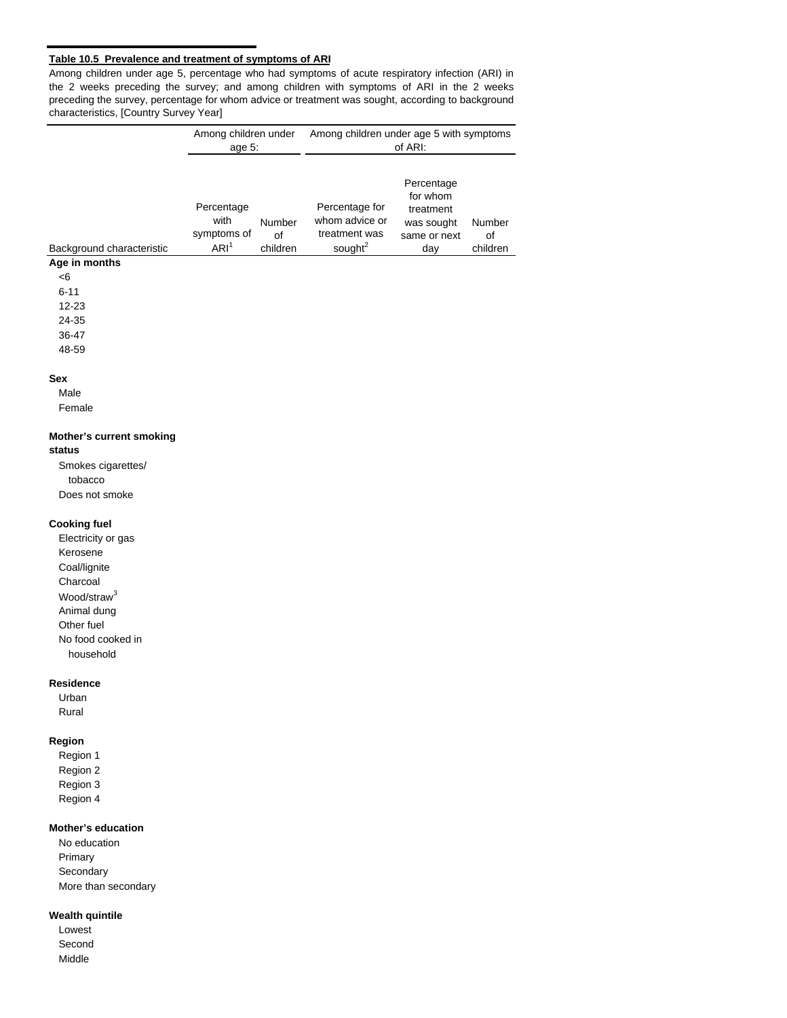## **Table 10.5 Prevalence and treatment of symptoms of ARI**

Among children under age 5, percentage who had symptoms of acute respiratory infection (ARI) in the 2 weeks preceding the survey; and among children with symptoms of ARI in the 2 weeks preceding the survey, percentage for whom advice or treatment was sought, according to background characteristics, [Country Survey Year]

|                                                                                                   | Among children under<br>age $5$ :                     |                          | Among children under age 5 with symptoms<br>of ARI:                      |                                                                          |                          |  |  |  |
|---------------------------------------------------------------------------------------------------|-------------------------------------------------------|--------------------------|--------------------------------------------------------------------------|--------------------------------------------------------------------------|--------------------------|--|--|--|
| Background characteristic<br>Age in months<br>< 6<br>$6 - 11$<br>12-23<br>24-35<br>36-47<br>48-59 | Percentage<br>with<br>symptoms of<br>ARI <sup>1</sup> | Number<br>of<br>children | Percentage for<br>whom advice or<br>treatment was<br>sought <sup>2</sup> | Percentage<br>for whom<br>treatment<br>was sought<br>same or next<br>day | Number<br>οf<br>children |  |  |  |
| <b>Sex</b><br>Male                                                                                |                                                       |                          |                                                                          |                                                                          |                          |  |  |  |

Female

# **Mother's current smoking**

#### **status**

Smokes cigarettes/ tobacco Does not smoke

# **Cooking fuel**

Electricity or gas Kerosene Coal/lignite Charcoal Wood/straw<sup>3</sup> Animal dung Other fuel No food cooked in household

## **Residence**

Urban Rural

# **Region**

Region 1 Region 2 Region 3 Region 4

#### **Mother's education**

No education Primary Secondary More than secondary

#### **Wealth quintile**

Lowest Second Middle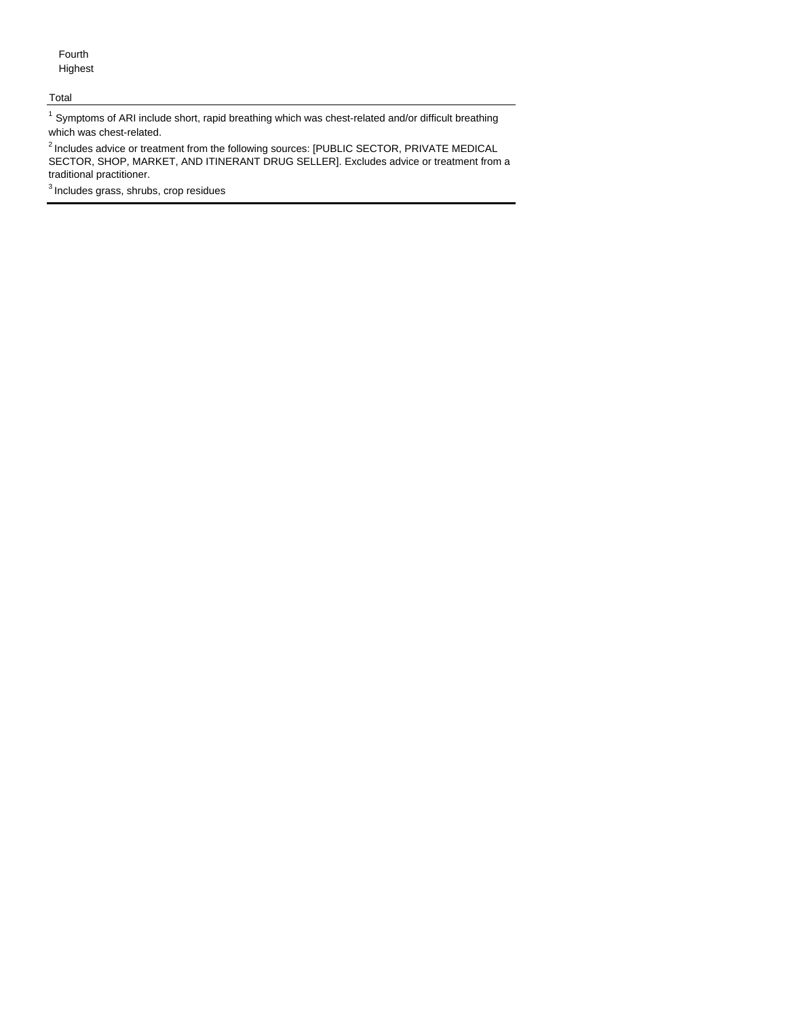Fourth Highest

#### Total

 $1$  Symptoms of ARI include short, rapid breathing which was chest-related and/or difficult breathing which was chest-related.

<sup>2</sup> Includes advice or treatment from the following sources: [PUBLIC SECTOR, PRIVATE MEDICAL SECTOR, SHOP, MARKET, AND ITINERANT DRUG SELLER]. Excludes advice or treatment from a traditional practitioner.

 $3$  Includes grass, shrubs, crop residues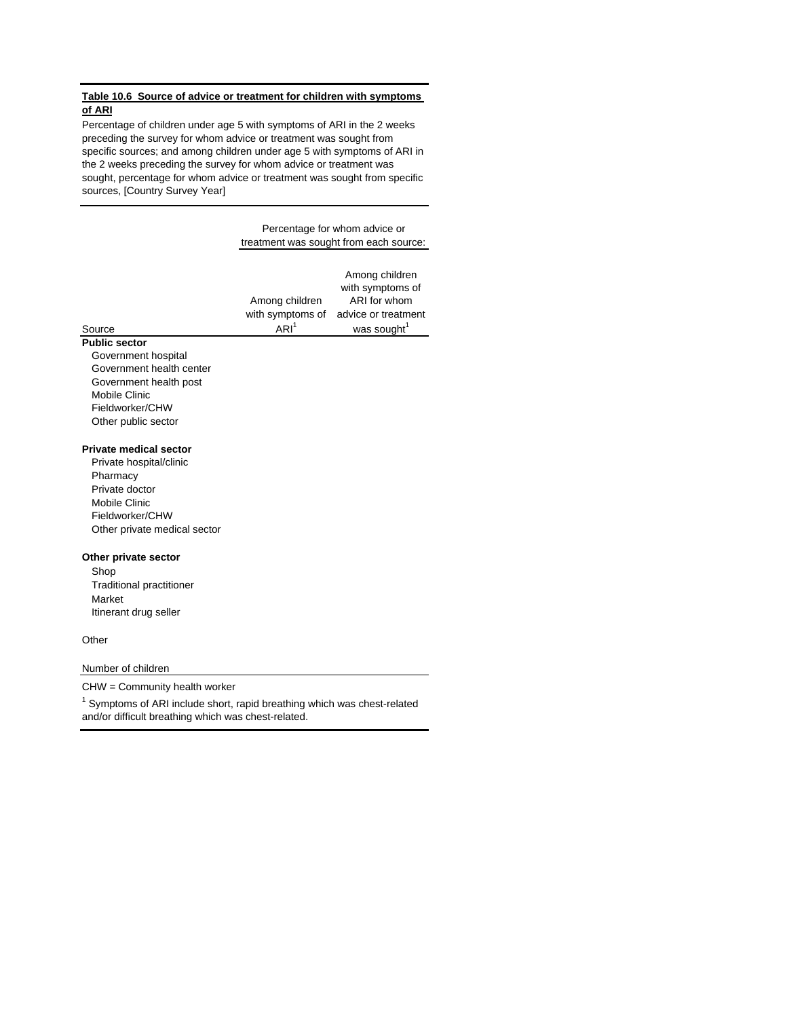#### **Table 10.6 Source of advice or treatment for children with symptoms of ARI**

Percentage of children under age 5 with symptoms of ARI in the 2 weeks preceding the survey for whom advice or treatment was sought from specific sources; and among children under age 5 with symptoms of ARI in the 2 weeks preceding the survey for whom advice or treatment was sought, percentage for whom advice or treatment was sought from specific sources, [Country Survey Year]

#### Percentage for whom advice or treatment was sought from each source:

|        |                  | Among children<br>with symptoms of   |
|--------|------------------|--------------------------------------|
|        | Among children   | ARI for whom                         |
|        |                  | with symptoms of advice or treatment |
| Source | ARI <sup>1</sup> | was sought <sup>1</sup>              |
|        |                  |                                      |

# **Public sector**

Government hospital Government health center Government health post Mobile Clinic Fieldworker/CHW Other public sector

#### **Private medical sector**

Private hospital/clinic Pharmacy Private doctor Mobile Clinic Fieldworker/CHW Other private medical sector

#### **Other private sector**

Shop Traditional practitioner Market Itinerant drug seller

#### **Other**

#### Number of children

CHW = Community health worker

 $1$  Symptoms of ARI include short, rapid breathing which was chest-related and/or difficult breathing which was chest-related.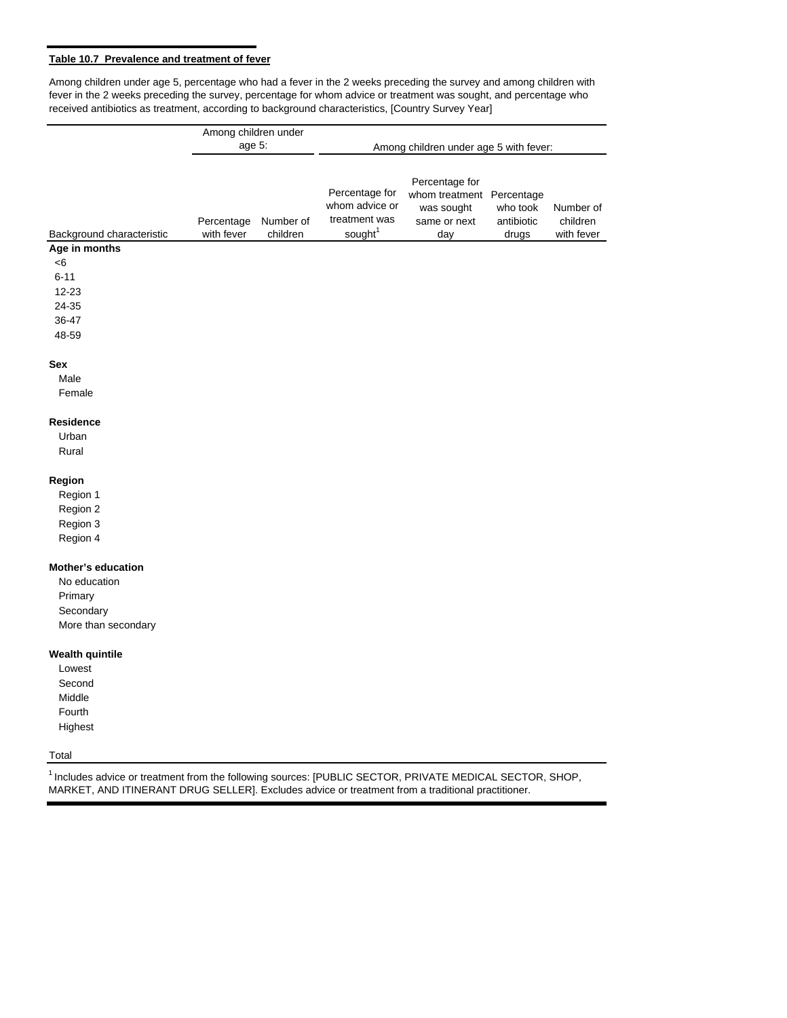# **Table 10.7 Prevalence and treatment of fever**

Among children under age 5, percentage who had a fever in the 2 weeks preceding the survey and among children with fever in the 2 weeks preceding the survey, percentage for whom advice or treatment was sought, and percentage who received antibiotics as treatment, according to background characteristics, [Country Survey Year]

|                           | Among children under     |                       |                                                                          |                                                                                  |                                 |                                     |  |  |  |  |
|---------------------------|--------------------------|-----------------------|--------------------------------------------------------------------------|----------------------------------------------------------------------------------|---------------------------------|-------------------------------------|--|--|--|--|
|                           | age 5:                   |                       | Among children under age 5 with fever:                                   |                                                                                  |                                 |                                     |  |  |  |  |
|                           |                          |                       |                                                                          |                                                                                  |                                 |                                     |  |  |  |  |
| Background characteristic | Percentage<br>with fever | Number of<br>children | Percentage for<br>whom advice or<br>treatment was<br>sought <sup>1</sup> | Percentage for<br>whom treatment Percentage<br>was sought<br>same or next<br>day | who took<br>antibiotic<br>drugs | Number of<br>children<br>with fever |  |  |  |  |
| Age in months             |                          |                       |                                                                          |                                                                                  |                                 |                                     |  |  |  |  |
| $<$ 6                     |                          |                       |                                                                          |                                                                                  |                                 |                                     |  |  |  |  |
| $6 - 11$                  |                          |                       |                                                                          |                                                                                  |                                 |                                     |  |  |  |  |
| 12-23                     |                          |                       |                                                                          |                                                                                  |                                 |                                     |  |  |  |  |
| 24-35                     |                          |                       |                                                                          |                                                                                  |                                 |                                     |  |  |  |  |
| 36-47                     |                          |                       |                                                                          |                                                                                  |                                 |                                     |  |  |  |  |
| 48-59                     |                          |                       |                                                                          |                                                                                  |                                 |                                     |  |  |  |  |
| Sex                       |                          |                       |                                                                          |                                                                                  |                                 |                                     |  |  |  |  |
| Male                      |                          |                       |                                                                          |                                                                                  |                                 |                                     |  |  |  |  |
| Female                    |                          |                       |                                                                          |                                                                                  |                                 |                                     |  |  |  |  |
| <b>Residence</b>          |                          |                       |                                                                          |                                                                                  |                                 |                                     |  |  |  |  |
| Urban                     |                          |                       |                                                                          |                                                                                  |                                 |                                     |  |  |  |  |
| Rural                     |                          |                       |                                                                          |                                                                                  |                                 |                                     |  |  |  |  |
| Region                    |                          |                       |                                                                          |                                                                                  |                                 |                                     |  |  |  |  |
| Region 1                  |                          |                       |                                                                          |                                                                                  |                                 |                                     |  |  |  |  |
| Region 2                  |                          |                       |                                                                          |                                                                                  |                                 |                                     |  |  |  |  |
| Region 3                  |                          |                       |                                                                          |                                                                                  |                                 |                                     |  |  |  |  |
| Region 4                  |                          |                       |                                                                          |                                                                                  |                                 |                                     |  |  |  |  |
| <b>Mother's education</b> |                          |                       |                                                                          |                                                                                  |                                 |                                     |  |  |  |  |
| No education              |                          |                       |                                                                          |                                                                                  |                                 |                                     |  |  |  |  |
| Primary                   |                          |                       |                                                                          |                                                                                  |                                 |                                     |  |  |  |  |
| Secondary                 |                          |                       |                                                                          |                                                                                  |                                 |                                     |  |  |  |  |
| More than secondary       |                          |                       |                                                                          |                                                                                  |                                 |                                     |  |  |  |  |
| <b>Wealth quintile</b>    |                          |                       |                                                                          |                                                                                  |                                 |                                     |  |  |  |  |
| Lowest                    |                          |                       |                                                                          |                                                                                  |                                 |                                     |  |  |  |  |
| Second                    |                          |                       |                                                                          |                                                                                  |                                 |                                     |  |  |  |  |
| Middle                    |                          |                       |                                                                          |                                                                                  |                                 |                                     |  |  |  |  |
| Fourth                    |                          |                       |                                                                          |                                                                                  |                                 |                                     |  |  |  |  |
| Highest                   |                          |                       |                                                                          |                                                                                  |                                 |                                     |  |  |  |  |
| Total                     |                          |                       |                                                                          |                                                                                  |                                 |                                     |  |  |  |  |

1 Includes advice or treatment from the following sources: [PUBLIC SECTOR, PRIVATE MEDICAL SECTOR, SHOP, MARKET, AND ITINERANT DRUG SELLER]. Excludes advice or treatment from a traditional practitioner.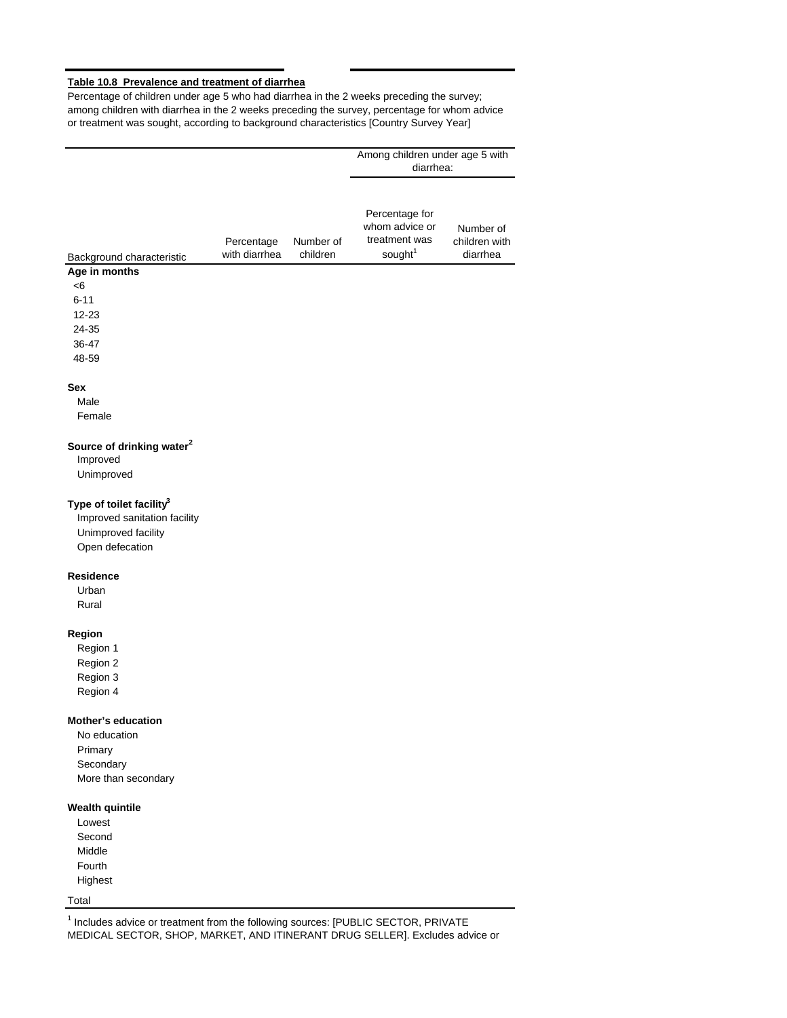## **Table 10.8 Prevalence and treatment of diarrhea**

Percentage of children under age 5 who had diarrhea in the 2 weeks preceding the survey; among children with diarrhea in the 2 weeks preceding the survey, percentage for whom advice or treatment was sought, according to background characteristics [Country Survey Year]

Among children under age 5 with

|                                       |                             |                       | Among children under age 5 with<br>diarrhea:                             |                                        |
|---------------------------------------|-----------------------------|-----------------------|--------------------------------------------------------------------------|----------------------------------------|
| Background characteristic             | Percentage<br>with diarrhea | Number of<br>children | Percentage for<br>whom advice or<br>treatment was<br>sought <sup>1</sup> | Number of<br>children with<br>diarrhea |
| Age in months                         |                             |                       |                                                                          |                                        |
| <6                                    |                             |                       |                                                                          |                                        |
| $6 - 11$                              |                             |                       |                                                                          |                                        |
| 12-23                                 |                             |                       |                                                                          |                                        |
| 24-35                                 |                             |                       |                                                                          |                                        |
| 36-47                                 |                             |                       |                                                                          |                                        |
| 48-59                                 |                             |                       |                                                                          |                                        |
| Sex                                   |                             |                       |                                                                          |                                        |
| Male                                  |                             |                       |                                                                          |                                        |
| Female                                |                             |                       |                                                                          |                                        |
|                                       |                             |                       |                                                                          |                                        |
| Source of drinking water <sup>2</sup> |                             |                       |                                                                          |                                        |
| Improved                              |                             |                       |                                                                          |                                        |
| Unimproved                            |                             |                       |                                                                          |                                        |
| Type of toilet facility <sup>3</sup>  |                             |                       |                                                                          |                                        |
| Improved sanitation facility          |                             |                       |                                                                          |                                        |
| Unimproved facility                   |                             |                       |                                                                          |                                        |
| Open defecation                       |                             |                       |                                                                          |                                        |
|                                       |                             |                       |                                                                          |                                        |
| <b>Residence</b>                      |                             |                       |                                                                          |                                        |
| Urban                                 |                             |                       |                                                                          |                                        |
| Rural                                 |                             |                       |                                                                          |                                        |
| Region                                |                             |                       |                                                                          |                                        |
| Region 1                              |                             |                       |                                                                          |                                        |
| Region 2                              |                             |                       |                                                                          |                                        |
| Region 3                              |                             |                       |                                                                          |                                        |
| Region 4                              |                             |                       |                                                                          |                                        |
|                                       |                             |                       |                                                                          |                                        |
| <b>Mother's education</b>             |                             |                       |                                                                          |                                        |
| No education                          |                             |                       |                                                                          |                                        |
| Primary                               |                             |                       |                                                                          |                                        |
| Secondary                             |                             |                       |                                                                          |                                        |
| More than secondary                   |                             |                       |                                                                          |                                        |
| <b>Wealth quintile</b>                |                             |                       |                                                                          |                                        |
|                                       |                             |                       |                                                                          |                                        |

Lowest Second Middle Fourth Highest

## Total

 $1$  Includes advice or treatment from the following sources: [PUBLIC SECTOR, PRIVATE MEDICAL SECTOR, SHOP, MARKET, AND ITINERANT DRUG SELLER]. Excludes advice or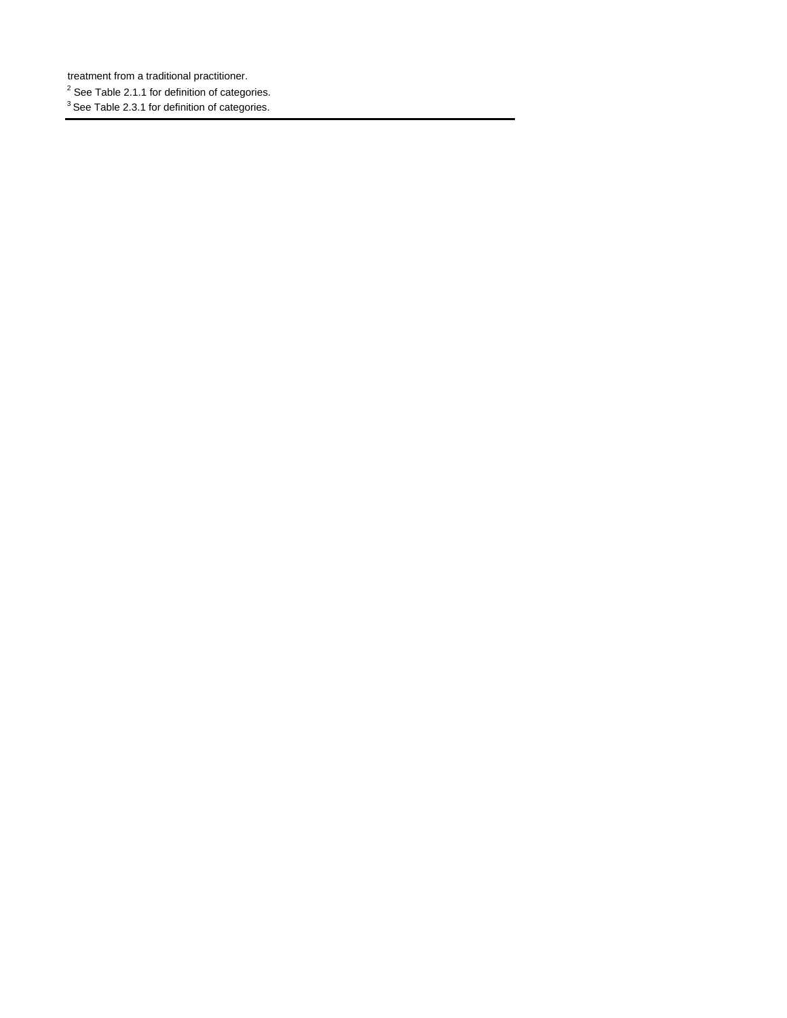treatment from a traditional practitioner.

 $2$  See Table 2.1.1 for definition of categories.

<sup>3</sup> See Table 2.3.1 for definition of categories.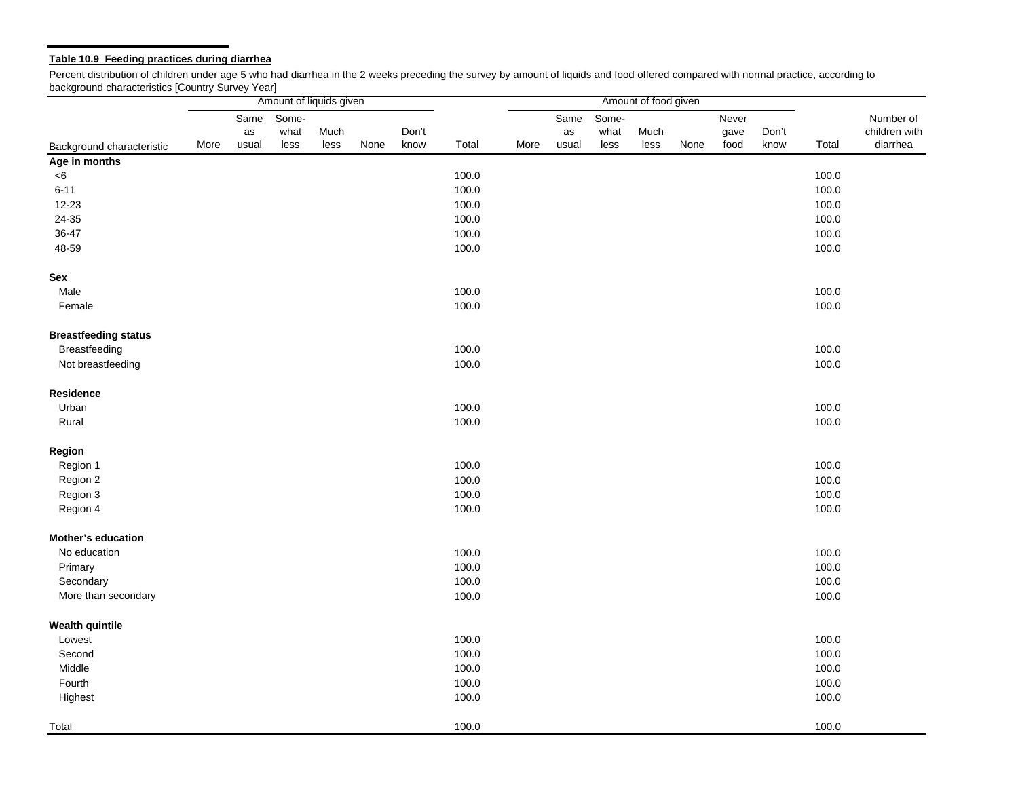## **Table 10.9 Feeding practices during diarrhea**

Percent distribution of children under age 5 who had diarrhea in the 2 weeks preceding the survey by amount of liquids and food offered compared with normal practice, according to background characteristics [Country Survey Year]

|                             |      |            | Amount of liquids given |      |      |       |       |      |            |               | Amount of food given |      |               |       |       |                            |
|-----------------------------|------|------------|-------------------------|------|------|-------|-------|------|------------|---------------|----------------------|------|---------------|-------|-------|----------------------------|
|                             |      | Same<br>as | Some-<br>what           | Much |      | Don't |       |      | Same<br>as | Some-<br>what | Much                 |      | Never<br>gave | Don't |       | Number of<br>children with |
| Background characteristic   | More | usual      | less                    | less | None | know  | Total | More | usual      | less          | less                 | None | food          | know  | Total | diarrhea                   |
| Age in months               |      |            |                         |      |      |       |       |      |            |               |                      |      |               |       |       |                            |
| < 6                         |      |            |                         |      |      |       | 100.0 |      |            |               |                      |      |               |       | 100.0 |                            |
| $6 - 11$                    |      |            |                         |      |      |       | 100.0 |      |            |               |                      |      |               |       | 100.0 |                            |
| 12-23                       |      |            |                         |      |      |       | 100.0 |      |            |               |                      |      |               |       | 100.0 |                            |
| 24-35                       |      |            |                         |      |      |       | 100.0 |      |            |               |                      |      |               |       | 100.0 |                            |
| 36-47                       |      |            |                         |      |      |       | 100.0 |      |            |               |                      |      |               |       | 100.0 |                            |
| 48-59                       |      |            |                         |      |      |       | 100.0 |      |            |               |                      |      |               |       | 100.0 |                            |
| Sex                         |      |            |                         |      |      |       |       |      |            |               |                      |      |               |       |       |                            |
| Male                        |      |            |                         |      |      |       | 100.0 |      |            |               |                      |      |               |       | 100.0 |                            |
| Female                      |      |            |                         |      |      |       | 100.0 |      |            |               |                      |      |               |       | 100.0 |                            |
| <b>Breastfeeding status</b> |      |            |                         |      |      |       |       |      |            |               |                      |      |               |       |       |                            |
| Breastfeeding               |      |            |                         |      |      |       | 100.0 |      |            |               |                      |      |               |       | 100.0 |                            |
| Not breastfeeding           |      |            |                         |      |      |       | 100.0 |      |            |               |                      |      |               |       | 100.0 |                            |
| Residence                   |      |            |                         |      |      |       |       |      |            |               |                      |      |               |       |       |                            |
| Urban                       |      |            |                         |      |      |       | 100.0 |      |            |               |                      |      |               |       | 100.0 |                            |
| Rural                       |      |            |                         |      |      |       | 100.0 |      |            |               |                      |      |               |       | 100.0 |                            |
| Region                      |      |            |                         |      |      |       |       |      |            |               |                      |      |               |       |       |                            |
| Region 1                    |      |            |                         |      |      |       | 100.0 |      |            |               |                      |      |               |       | 100.0 |                            |
| Region 2                    |      |            |                         |      |      |       | 100.0 |      |            |               |                      |      |               |       | 100.0 |                            |
| Region 3                    |      |            |                         |      |      |       | 100.0 |      |            |               |                      |      |               |       | 100.0 |                            |
| Region 4                    |      |            |                         |      |      |       | 100.0 |      |            |               |                      |      |               |       | 100.0 |                            |
| <b>Mother's education</b>   |      |            |                         |      |      |       |       |      |            |               |                      |      |               |       |       |                            |
| No education                |      |            |                         |      |      |       | 100.0 |      |            |               |                      |      |               |       | 100.0 |                            |
| Primary                     |      |            |                         |      |      |       | 100.0 |      |            |               |                      |      |               |       | 100.0 |                            |
| Secondary                   |      |            |                         |      |      |       | 100.0 |      |            |               |                      |      |               |       | 100.0 |                            |
| More than secondary         |      |            |                         |      |      |       | 100.0 |      |            |               |                      |      |               |       | 100.0 |                            |
| <b>Wealth quintile</b>      |      |            |                         |      |      |       |       |      |            |               |                      |      |               |       |       |                            |
| Lowest                      |      |            |                         |      |      |       | 100.0 |      |            |               |                      |      |               |       | 100.0 |                            |
| Second                      |      |            |                         |      |      |       | 100.0 |      |            |               |                      |      |               |       | 100.0 |                            |
| Middle                      |      |            |                         |      |      |       | 100.0 |      |            |               |                      |      |               |       | 100.0 |                            |
| Fourth                      |      |            |                         |      |      |       | 100.0 |      |            |               |                      |      |               |       | 100.0 |                            |
| Highest                     |      |            |                         |      |      |       | 100.0 |      |            |               |                      |      |               |       | 100.0 |                            |
| Total                       |      |            |                         |      |      |       | 100.0 |      |            |               |                      |      |               |       | 100.0 |                            |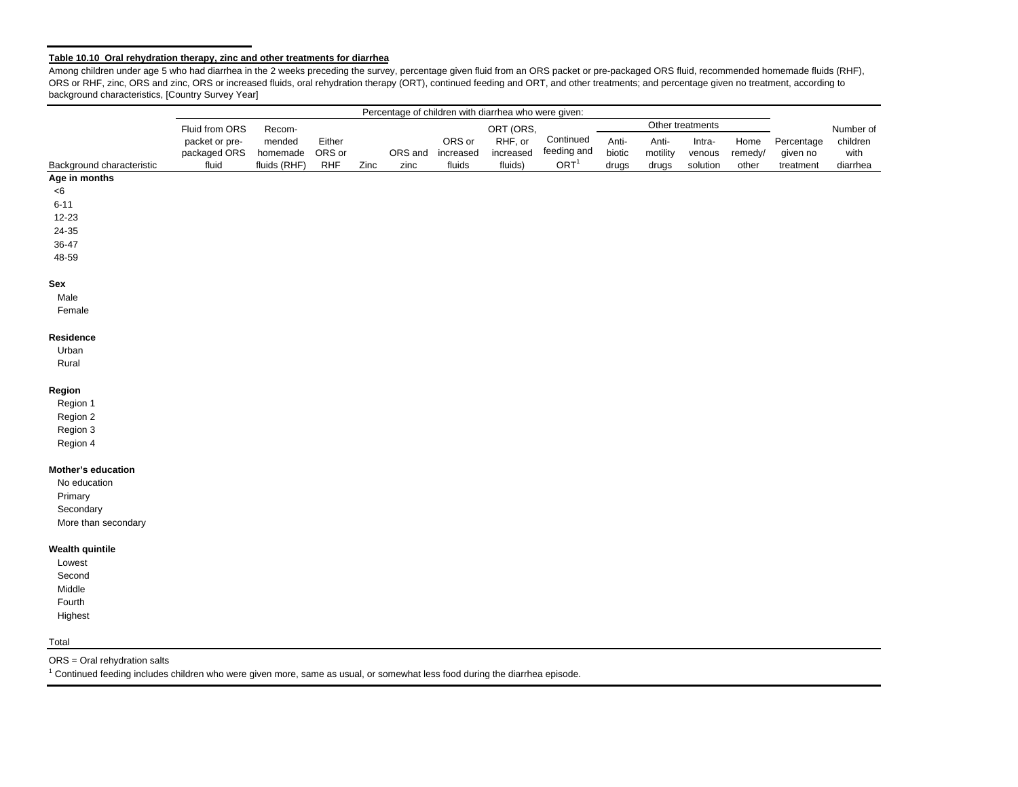#### **Table 10.10 Oral rehydration therapy, zinc and other treatments for diarrhea**

Among children under age 5 who had diarrhea in the 2 weeks preceding the survey, percentage given fluid from an ORS packet or pre-packaged ORS fluid, recommended homemade fluids (RHF), ORS or RHF, zinc, ORS and zinc, ORS or increased fluids, oral rehydration therapy (ORT), continued feeding and ORT, and other treatments; and percentage given no treatment, according to background characteristics, [Country Survey Year]

|                           |                |              |        |      |         |           | Percentage of children with diarrhea who were given: |                  |        |          |                  |         |            |           |
|---------------------------|----------------|--------------|--------|------|---------|-----------|------------------------------------------------------|------------------|--------|----------|------------------|---------|------------|-----------|
|                           | Fluid from ORS | Recom-       |        |      |         |           | ORT (ORS,                                            |                  |        |          | Other treatments |         |            | Number of |
|                           | packet or pre- | mended       | Either |      |         | ORS or    | RHF, or                                              | Continued        | Anti-  | Anti-    | Intra-           | Home    | Percentage | children  |
|                           | packaged ORS   | homemade     | ORS or |      | ORS and | increased | increased                                            | feeding and      | biotic | motility | venous           | remedy/ | given no   | with      |
| Background characteristic | fluid          | fluids (RHF) | RHF    | Zinc | zinc    | fluids    | fluids)                                              | ORT <sup>1</sup> | drugs  | drugs    | solution         | other   | treatment  | diarrhea  |
| Age in months             |                |              |        |      |         |           |                                                      |                  |        |          |                  |         |            |           |
| <6                        |                |              |        |      |         |           |                                                      |                  |        |          |                  |         |            |           |
| $6 - 11$                  |                |              |        |      |         |           |                                                      |                  |        |          |                  |         |            |           |
| 12-23                     |                |              |        |      |         |           |                                                      |                  |        |          |                  |         |            |           |
| 24-35                     |                |              |        |      |         |           |                                                      |                  |        |          |                  |         |            |           |
| 36-47                     |                |              |        |      |         |           |                                                      |                  |        |          |                  |         |            |           |
| 48-59                     |                |              |        |      |         |           |                                                      |                  |        |          |                  |         |            |           |
| Sex                       |                |              |        |      |         |           |                                                      |                  |        |          |                  |         |            |           |
| Male                      |                |              |        |      |         |           |                                                      |                  |        |          |                  |         |            |           |
| Female                    |                |              |        |      |         |           |                                                      |                  |        |          |                  |         |            |           |
| Residence                 |                |              |        |      |         |           |                                                      |                  |        |          |                  |         |            |           |
| Urban                     |                |              |        |      |         |           |                                                      |                  |        |          |                  |         |            |           |
| Rural                     |                |              |        |      |         |           |                                                      |                  |        |          |                  |         |            |           |
| Region                    |                |              |        |      |         |           |                                                      |                  |        |          |                  |         |            |           |
| Region 1                  |                |              |        |      |         |           |                                                      |                  |        |          |                  |         |            |           |
| Region 2                  |                |              |        |      |         |           |                                                      |                  |        |          |                  |         |            |           |
| Region 3                  |                |              |        |      |         |           |                                                      |                  |        |          |                  |         |            |           |
| Region 4                  |                |              |        |      |         |           |                                                      |                  |        |          |                  |         |            |           |
| Mother's education        |                |              |        |      |         |           |                                                      |                  |        |          |                  |         |            |           |
| No education              |                |              |        |      |         |           |                                                      |                  |        |          |                  |         |            |           |
| Primary                   |                |              |        |      |         |           |                                                      |                  |        |          |                  |         |            |           |
| Secondary                 |                |              |        |      |         |           |                                                      |                  |        |          |                  |         |            |           |
| More than secondary       |                |              |        |      |         |           |                                                      |                  |        |          |                  |         |            |           |
| <b>Wealth quintile</b>    |                |              |        |      |         |           |                                                      |                  |        |          |                  |         |            |           |
| Lowest                    |                |              |        |      |         |           |                                                      |                  |        |          |                  |         |            |           |
| Second                    |                |              |        |      |         |           |                                                      |                  |        |          |                  |         |            |           |
| Middle                    |                |              |        |      |         |           |                                                      |                  |        |          |                  |         |            |           |
| Fourth                    |                |              |        |      |         |           |                                                      |                  |        |          |                  |         |            |           |
| Highest                   |                |              |        |      |         |           |                                                      |                  |        |          |                  |         |            |           |
| Total                     |                |              |        |      |         |           |                                                      |                  |        |          |                  |         |            |           |

ORS = Oral rehydration salts

1 Continued feeding includes children who were given more, same as usual, or somewhat less food during the diarrhea episode.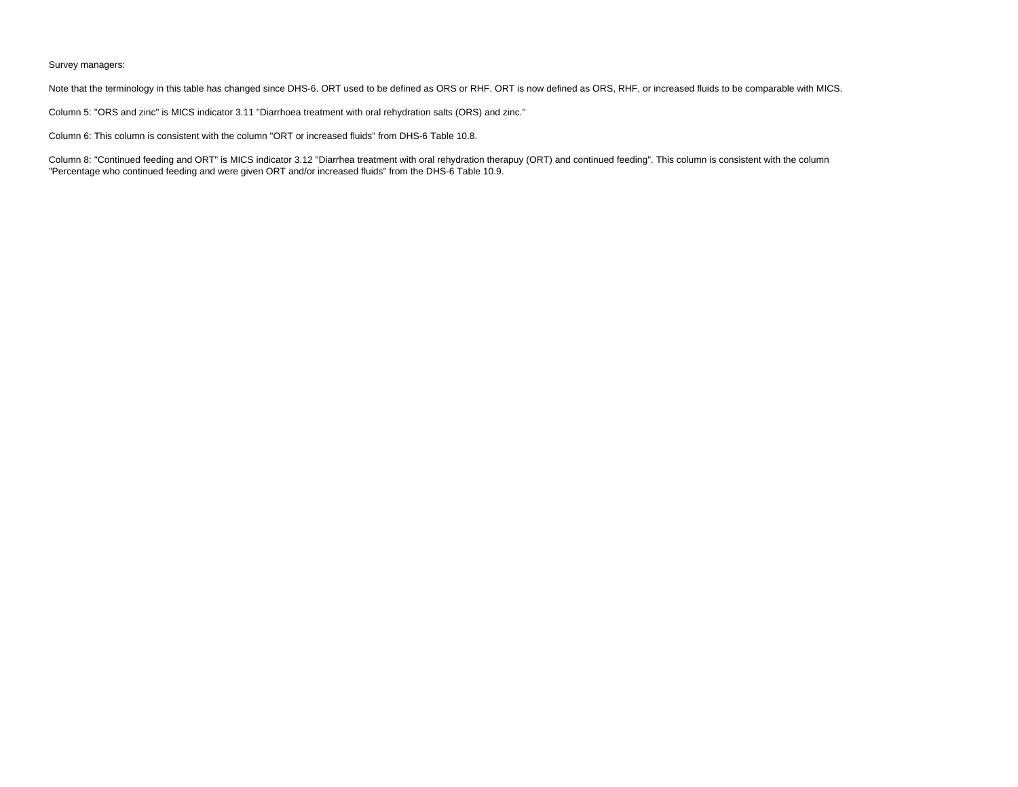#### Survey managers:

Note that the terminology in this table has changed since DHS-6. ORT used to be defined as ORS or RHF. ORT is now defined as ORS, RHF, or increased fluids to be comparable with MICS.

Column 5: "ORS and zinc" is MICS indicator 3.11 "Diarrhoea treatment with oral rehydration salts (ORS) and zinc."

Column 6: This column is consistent with the column "ORT or increased fluids" from DHS-6 Table 10.8.

Column 8: "Continued feeding and ORT" is MICS indicator 3.12 "Diarrhea treatment with oral rehydration therapuy (ORT) and continued feeding". This column is consistent with the column "Percentage who continued feeding and were given ORT and/or increased fluids" from the DHS-6 Table 10.9.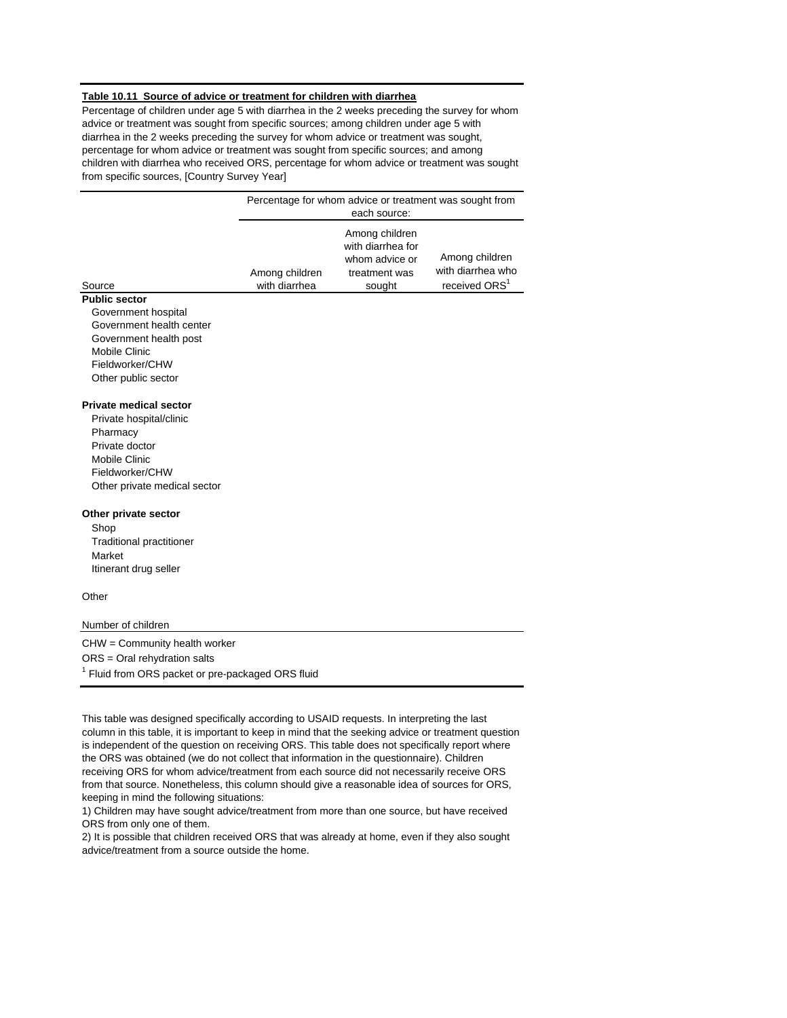#### **Table 10.11 Source of advice or treatment for children with diarrhea**

Percentage of children under age 5 with diarrhea in the 2 weeks preceding the survey for whom advice or treatment was sought from specific sources; among children under age 5 with diarrhea in the 2 weeks preceding the survey for whom advice or treatment was sought, percentage for whom advice or treatment was sought from specific sources; and among children with diarrhea who received ORS, percentage for whom advice or treatment was sought from specific sources, [Country Survey Year]

|                                 |                                 | Percentage for whom advice or treatment was sought from<br>each source:          |                                                                  |
|---------------------------------|---------------------------------|----------------------------------------------------------------------------------|------------------------------------------------------------------|
| Source                          | Among children<br>with diarrhea | Among children<br>with diarrhea for<br>whom advice or<br>treatment was<br>sought | Among children<br>with diarrhea who<br>received ORS <sup>1</sup> |
| <b>Public sector</b>            |                                 |                                                                                  |                                                                  |
| Government hospital             |                                 |                                                                                  |                                                                  |
| Government health center        |                                 |                                                                                  |                                                                  |
| Government health post          |                                 |                                                                                  |                                                                  |
| Mobile Clinic                   |                                 |                                                                                  |                                                                  |
| Fieldworker/CHW                 |                                 |                                                                                  |                                                                  |
| Other public sector             |                                 |                                                                                  |                                                                  |
| <b>Private medical sector</b>   |                                 |                                                                                  |                                                                  |
| Private hospital/clinic         |                                 |                                                                                  |                                                                  |
| Pharmacy                        |                                 |                                                                                  |                                                                  |
| Private doctor                  |                                 |                                                                                  |                                                                  |
| Mobile Clinic                   |                                 |                                                                                  |                                                                  |
| Fieldworker/CHW                 |                                 |                                                                                  |                                                                  |
| Other private medical sector    |                                 |                                                                                  |                                                                  |
| Other private sector            |                                 |                                                                                  |                                                                  |
| Shop                            |                                 |                                                                                  |                                                                  |
| <b>Traditional practitioner</b> |                                 |                                                                                  |                                                                  |
| Market                          |                                 |                                                                                  |                                                                  |
| Itinerant drug seller           |                                 |                                                                                  |                                                                  |
| Other                           |                                 |                                                                                  |                                                                  |

Number of children

CHW = Community health worker ORS = Oral rehydration salts <sup>1</sup> Fluid from ORS packet or pre-packaged ORS fluid

This table was designed specifically according to USAID requests. In interpreting the last column in this table, it is important to keep in mind that the seeking advice or treatment question is independent of the question on receiving ORS. This table does not specifically report where the ORS was obtained (we do not collect that information in the questionnaire). Children receiving ORS for whom advice/treatment from each source did not necessarily receive ORS from that source. Nonetheless, this column should give a reasonable idea of sources for ORS, keeping in mind the following situations:

1) Children may have sought advice/treatment from more than one source, but have received ORS from only one of them.

2) It is possible that children received ORS that was already at home, even if they also sought advice/treatment from a source outside the home.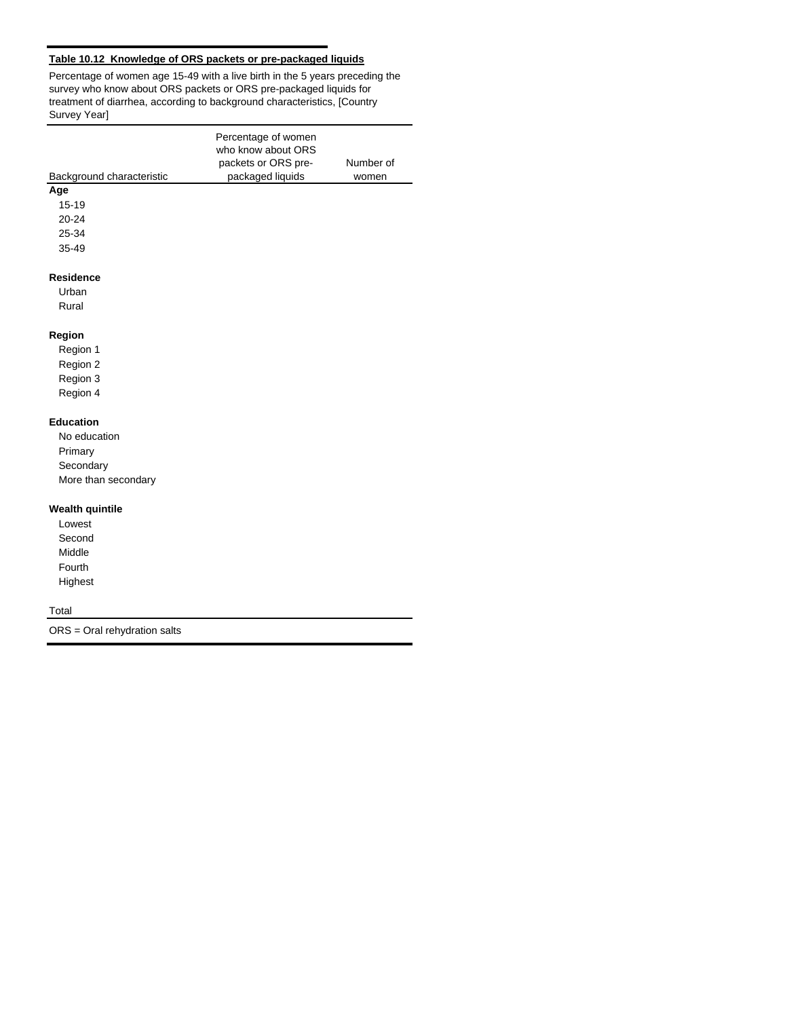# **Table 10.12 Knowledge of ORS packets or pre-packaged liquids**

Percentage of women age 15-49 with a live birth in the 5 years preceding the survey who know about ORS packets or ORS pre-packaged liquids for treatment of diarrhea, according to background characteristics, [Country Survey Year]

|                           | Percentage of women<br>who know about ORS |           |
|---------------------------|-------------------------------------------|-----------|
|                           | packets or ORS pre-                       | Number of |
| Background characteristic | packaged liquids                          | women     |
| Age                       |                                           |           |
| 15-19                     |                                           |           |
| $20 - 24$                 |                                           |           |
| 25-34                     |                                           |           |
| 35-49                     |                                           |           |
| <b>Residence</b>          |                                           |           |
| Urban                     |                                           |           |
| Rural                     |                                           |           |
| Region                    |                                           |           |
| Region 1                  |                                           |           |
| Region 2                  |                                           |           |
| Region 3                  |                                           |           |
| Region 4                  |                                           |           |
| <b>Education</b>          |                                           |           |
| No education              |                                           |           |
| Primary                   |                                           |           |
| Secondary                 |                                           |           |
| More than secondary       |                                           |           |
| <b>Wealth quintile</b>    |                                           |           |
| Lowest                    |                                           |           |
| Second                    |                                           |           |
| Middle                    |                                           |           |
| Fourth                    |                                           |           |
| Highest                   |                                           |           |
| Total                     |                                           |           |

ORS = Oral rehydration salts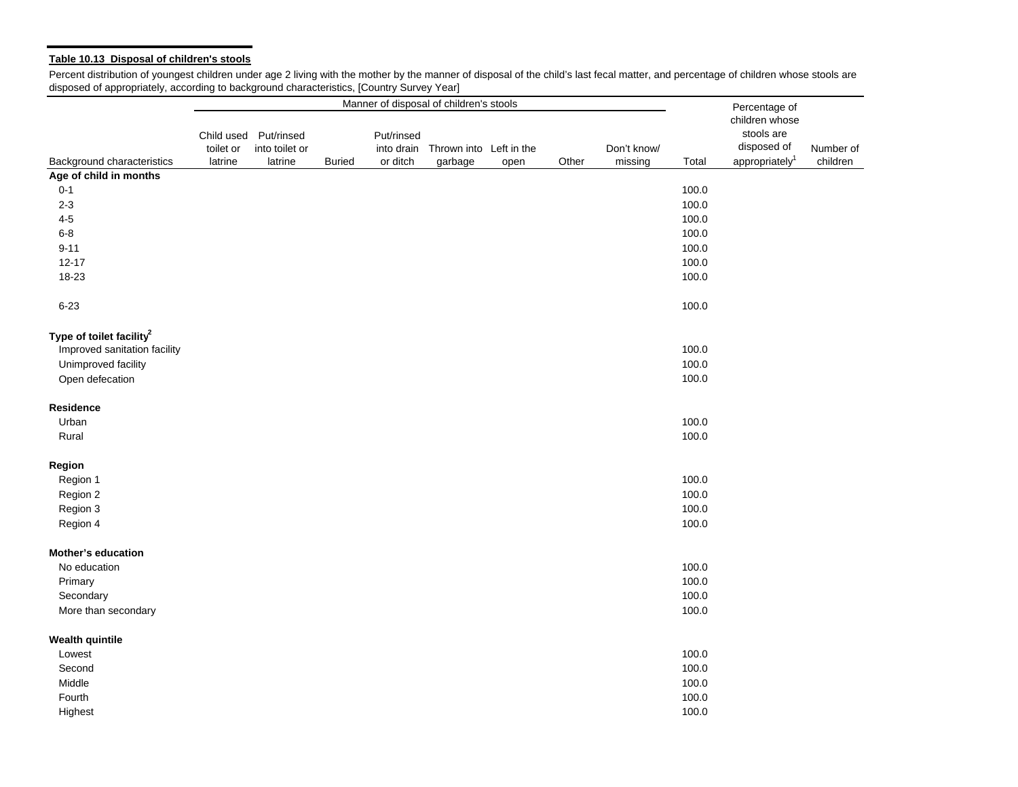# **Table 10.13 Disposal of children's stools**

Percent distribution of youngest children under age 2 living with the mother by the manner of disposal of the child's last fecal matter, and percentage of children whose stools are disposed of appropriately, according to background characteristics, [Country Survey Year]

|                                                                      | Manner of disposal of children's stools |                                                    |               |                                      |                                    |      |       |                        |       |                                                                                            |                       |
|----------------------------------------------------------------------|-----------------------------------------|----------------------------------------------------|---------------|--------------------------------------|------------------------------------|------|-------|------------------------|-------|--------------------------------------------------------------------------------------------|-----------------------|
| Background characteristics                                           | toilet or<br>latrine                    | Child used Put/rinsed<br>into toilet or<br>latrine | <b>Buried</b> | Put/rinsed<br>into drain<br>or ditch | Thrown into Left in the<br>garbage | open | Other | Don't know/<br>missing | Total | Percentage of<br>children whose<br>stools are<br>disposed of<br>appropriately <sup>1</sup> | Number of<br>children |
| Age of child in months                                               |                                         |                                                    |               |                                      |                                    |      |       |                        |       |                                                                                            |                       |
| $0 - 1$                                                              |                                         |                                                    |               |                                      |                                    |      |       |                        | 100.0 |                                                                                            |                       |
| $2 - 3$                                                              |                                         |                                                    |               |                                      |                                    |      |       |                        | 100.0 |                                                                                            |                       |
| $4-5$                                                                |                                         |                                                    |               |                                      |                                    |      |       |                        | 100.0 |                                                                                            |                       |
| $6 - 8$                                                              |                                         |                                                    |               |                                      |                                    |      |       |                        | 100.0 |                                                                                            |                       |
| $9 - 11$                                                             |                                         |                                                    |               |                                      |                                    |      |       |                        | 100.0 |                                                                                            |                       |
| $12 - 17$                                                            |                                         |                                                    |               |                                      |                                    |      |       |                        | 100.0 |                                                                                            |                       |
| 18-23                                                                |                                         |                                                    |               |                                      |                                    |      |       |                        | 100.0 |                                                                                            |                       |
| $6 - 23$                                                             |                                         |                                                    |               |                                      |                                    |      |       |                        | 100.0 |                                                                                            |                       |
| Type of toilet facility <sup>2</sup><br>Improved sanitation facility |                                         |                                                    |               |                                      |                                    |      |       |                        | 100.0 |                                                                                            |                       |
|                                                                      |                                         |                                                    |               |                                      |                                    |      |       |                        | 100.0 |                                                                                            |                       |
| Unimproved facility<br>Open defecation                               |                                         |                                                    |               |                                      |                                    |      |       |                        | 100.0 |                                                                                            |                       |
| <b>Residence</b>                                                     |                                         |                                                    |               |                                      |                                    |      |       |                        |       |                                                                                            |                       |
| Urban                                                                |                                         |                                                    |               |                                      |                                    |      |       |                        | 100.0 |                                                                                            |                       |
| Rural                                                                |                                         |                                                    |               |                                      |                                    |      |       |                        | 100.0 |                                                                                            |                       |
| Region                                                               |                                         |                                                    |               |                                      |                                    |      |       |                        |       |                                                                                            |                       |
| Region 1                                                             |                                         |                                                    |               |                                      |                                    |      |       |                        | 100.0 |                                                                                            |                       |
| Region 2                                                             |                                         |                                                    |               |                                      |                                    |      |       |                        | 100.0 |                                                                                            |                       |
| Region 3                                                             |                                         |                                                    |               |                                      |                                    |      |       |                        | 100.0 |                                                                                            |                       |
| Region 4                                                             |                                         |                                                    |               |                                      |                                    |      |       |                        | 100.0 |                                                                                            |                       |
| Mother's education                                                   |                                         |                                                    |               |                                      |                                    |      |       |                        |       |                                                                                            |                       |
| No education                                                         |                                         |                                                    |               |                                      |                                    |      |       |                        | 100.0 |                                                                                            |                       |
| Primary                                                              |                                         |                                                    |               |                                      |                                    |      |       |                        | 100.0 |                                                                                            |                       |
| Secondary                                                            |                                         |                                                    |               |                                      |                                    |      |       |                        | 100.0 |                                                                                            |                       |
| More than secondary                                                  |                                         |                                                    |               |                                      |                                    |      |       |                        | 100.0 |                                                                                            |                       |
| <b>Wealth quintile</b>                                               |                                         |                                                    |               |                                      |                                    |      |       |                        |       |                                                                                            |                       |
| Lowest                                                               |                                         |                                                    |               |                                      |                                    |      |       |                        | 100.0 |                                                                                            |                       |
| Second                                                               |                                         |                                                    |               |                                      |                                    |      |       |                        | 100.0 |                                                                                            |                       |
| Middle                                                               |                                         |                                                    |               |                                      |                                    |      |       |                        | 100.0 |                                                                                            |                       |
| Fourth                                                               |                                         |                                                    |               |                                      |                                    |      |       |                        | 100.0 |                                                                                            |                       |
| Highest                                                              |                                         |                                                    |               |                                      |                                    |      |       |                        | 100.0 |                                                                                            |                       |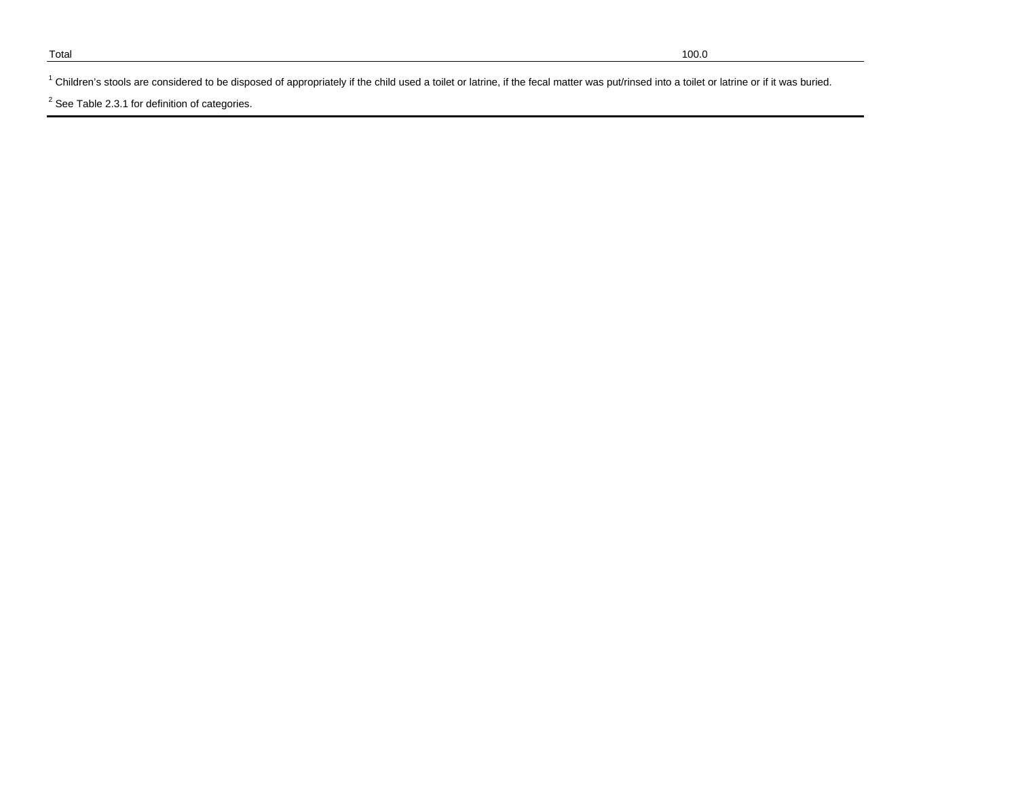<sup>1</sup> Children's stools are considered to be disposed of appropriately if the child used a toilet or latrine, if the fecal matter was put/rinsed into a toilet or latrine or if it was buried.

 $2$  See Table 2.3.1 for definition of categories.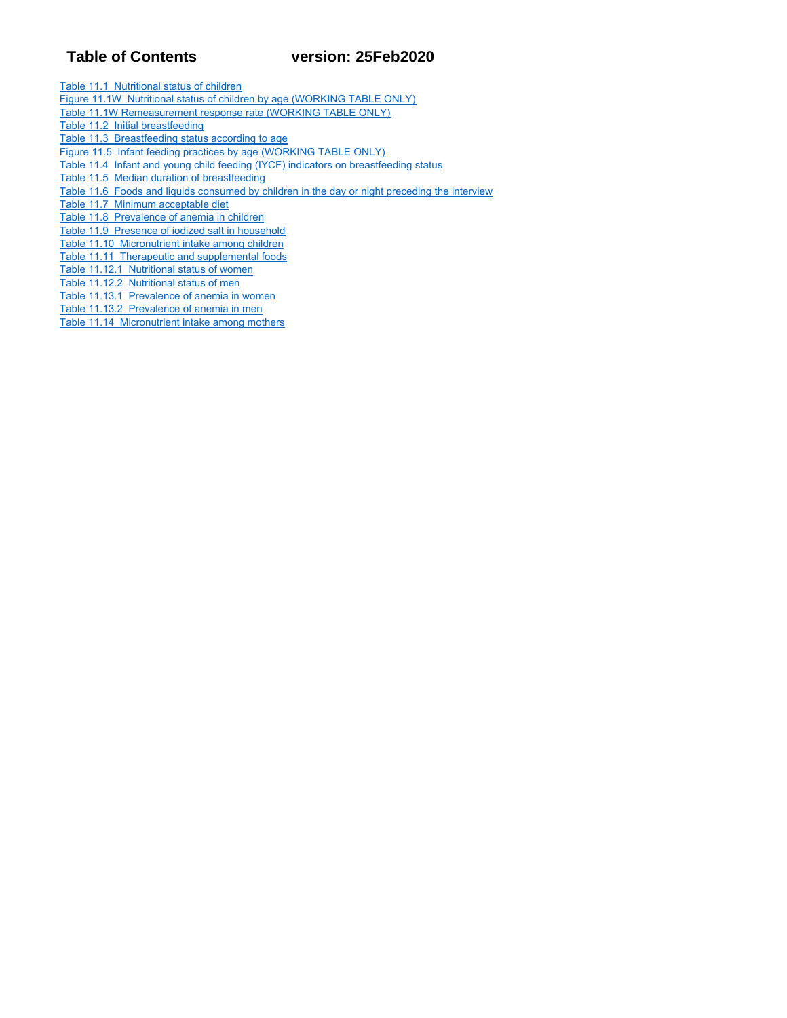# **Table of Contents version: 25Feb2020**

Table 11.1 Nutritional status of children

- Figure 11.1W Nutritional status of children by age (WORKING TABLE ONLY)
- Table 11.1W Remeasurement response rate (WORKING TABLE ONLY)
- Table 11.2 Initial breastfeeding
- Table 11.3 Breastfeeding status according to age
- Figure 11.5 Infant feeding practices by age (WORKING TABLE ONLY)
- Table 11.4 Infant and young child feeding (IYCF) indicators on breastfeeding status
- Table 11.5 Median duration of breastfeeding
- Table 11.6 Foods and liquids consumed by children in the day or night preceding the interview
- Table 11.7 Minimum acceptable diet
- Table 11.8 Prevalence of anemia in children
- Table 11.9 Presence of iodized salt in household
- Table 11.10 Micronutrient intake among children
- Table 11.11 Therapeutic and supplemental foods
- Table 11.12.1 Nutritional status of women
- Table 11.12.2 Nutritional status of men
- Table 11.13.1 Prevalence of anemia in women Table 11.13.2 Prevalence of anemia in men
- Table 11.14 Micronutrient intake among mothers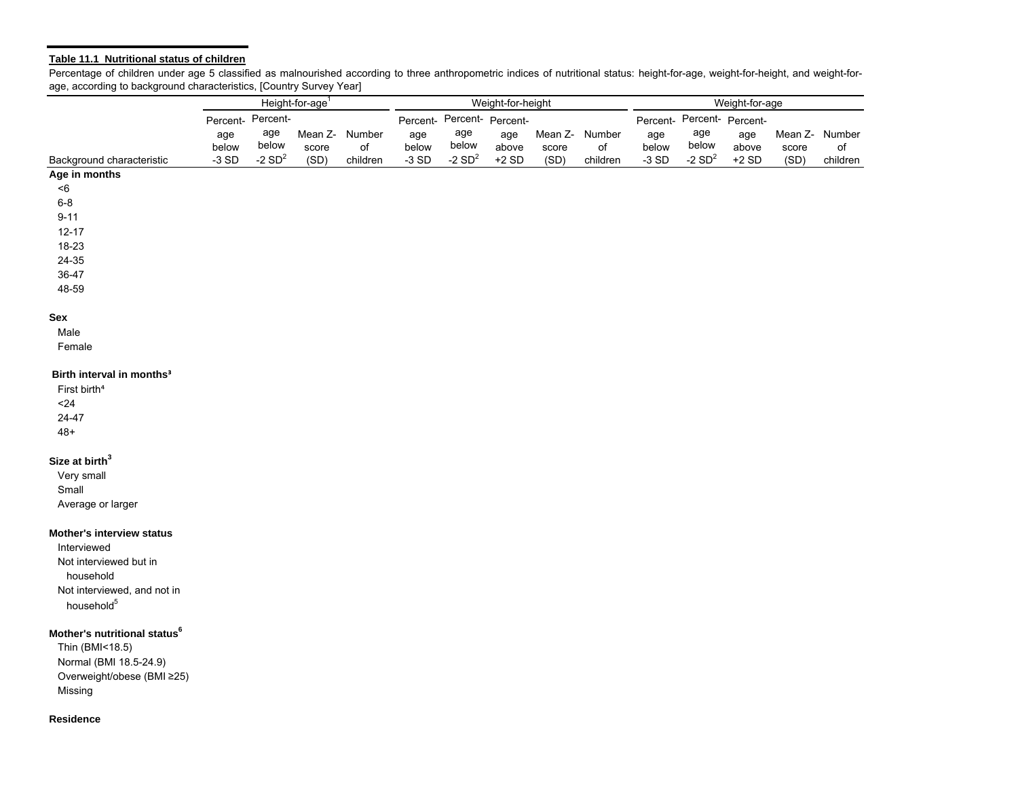#### **Table 11.1 Nutritional status of children**

Percentage of children under age 5 classified as malnourished according to three anthropometric indices of nutritional status: height-for-age, weight-for-height, and weight-forage, according to background characteristics, [Country Survey Year]

|                                          |                   |          | Height-for-age <sup>1</sup> |                |         | Weight-for-height |                            |       |                | Weight-for-age |          |                            |         |          |
|------------------------------------------|-------------------|----------|-----------------------------|----------------|---------|-------------------|----------------------------|-------|----------------|----------------|----------|----------------------------|---------|----------|
|                                          | Percent- Percent- |          |                             |                |         |                   | Percent- Percent- Percent- |       |                |                |          | Percent- Percent- Percent- |         |          |
|                                          | age               | age      |                             | Mean Z- Number | age     | age               | age                        |       | Mean Z- Number | age            | age      | age                        | Mean Z- | Number   |
|                                          | below             | below    | score                       | of             | below   | below             | above                      | score | of             | below          | below    | above                      | score   | of       |
| Background characteristic                | $-3$ SD           | -2 $SD2$ | (SD)                        | children       | $-3$ SD | -2 $SD2$          | $+2SD$                     | (SD)  | children       | $-3$ SD        | -2 $SD2$ | $+2SD$                     | (SD)    | children |
| Age in months                            |                   |          |                             |                |         |                   |                            |       |                |                |          |                            |         |          |
| $<\!6$                                   |                   |          |                             |                |         |                   |                            |       |                |                |          |                            |         |          |
| $6 - 8$                                  |                   |          |                             |                |         |                   |                            |       |                |                |          |                            |         |          |
| $9 - 11$                                 |                   |          |                             |                |         |                   |                            |       |                |                |          |                            |         |          |
| $12 - 17$                                |                   |          |                             |                |         |                   |                            |       |                |                |          |                            |         |          |
| 18-23                                    |                   |          |                             |                |         |                   |                            |       |                |                |          |                            |         |          |
| 24-35                                    |                   |          |                             |                |         |                   |                            |       |                |                |          |                            |         |          |
| 36-47                                    |                   |          |                             |                |         |                   |                            |       |                |                |          |                            |         |          |
| 48-59                                    |                   |          |                             |                |         |                   |                            |       |                |                |          |                            |         |          |
|                                          |                   |          |                             |                |         |                   |                            |       |                |                |          |                            |         |          |
| Sex                                      |                   |          |                             |                |         |                   |                            |       |                |                |          |                            |         |          |
| Male                                     |                   |          |                             |                |         |                   |                            |       |                |                |          |                            |         |          |
| Female                                   |                   |          |                             |                |         |                   |                            |       |                |                |          |                            |         |          |
|                                          |                   |          |                             |                |         |                   |                            |       |                |                |          |                            |         |          |
| Birth interval in months <sup>3</sup>    |                   |          |                             |                |         |                   |                            |       |                |                |          |                            |         |          |
| First birth <sup>4</sup>                 |                   |          |                             |                |         |                   |                            |       |                |                |          |                            |         |          |
| $24$                                     |                   |          |                             |                |         |                   |                            |       |                |                |          |                            |         |          |
|                                          |                   |          |                             |                |         |                   |                            |       |                |                |          |                            |         |          |
| 24-47                                    |                   |          |                             |                |         |                   |                            |       |                |                |          |                            |         |          |
| $48+$                                    |                   |          |                             |                |         |                   |                            |       |                |                |          |                            |         |          |
| Size at birth <sup>3</sup>               |                   |          |                             |                |         |                   |                            |       |                |                |          |                            |         |          |
|                                          |                   |          |                             |                |         |                   |                            |       |                |                |          |                            |         |          |
| Very small                               |                   |          |                             |                |         |                   |                            |       |                |                |          |                            |         |          |
| Small                                    |                   |          |                             |                |         |                   |                            |       |                |                |          |                            |         |          |
| Average or larger                        |                   |          |                             |                |         |                   |                            |       |                |                |          |                            |         |          |
|                                          |                   |          |                             |                |         |                   |                            |       |                |                |          |                            |         |          |
| Mother's interview status                |                   |          |                             |                |         |                   |                            |       |                |                |          |                            |         |          |
| Interviewed                              |                   |          |                             |                |         |                   |                            |       |                |                |          |                            |         |          |
| Not interviewed but in                   |                   |          |                             |                |         |                   |                            |       |                |                |          |                            |         |          |
| household                                |                   |          |                             |                |         |                   |                            |       |                |                |          |                            |         |          |
| Not interviewed, and not in              |                   |          |                             |                |         |                   |                            |       |                |                |          |                            |         |          |
| household <sup>5</sup>                   |                   |          |                             |                |         |                   |                            |       |                |                |          |                            |         |          |
|                                          |                   |          |                             |                |         |                   |                            |       |                |                |          |                            |         |          |
| Mother's nutritional status <sup>6</sup> |                   |          |                             |                |         |                   |                            |       |                |                |          |                            |         |          |
| Thin (BMI<18.5)                          |                   |          |                             |                |         |                   |                            |       |                |                |          |                            |         |          |
| Normal (BMI 18.5-24.9)                   |                   |          |                             |                |         |                   |                            |       |                |                |          |                            |         |          |
| Overweight/obese (BMI ≥25)               |                   |          |                             |                |         |                   |                            |       |                |                |          |                            |         |          |
| Missing                                  |                   |          |                             |                |         |                   |                            |       |                |                |          |                            |         |          |
|                                          |                   |          |                             |                |         |                   |                            |       |                |                |          |                            |         |          |

#### **Residence**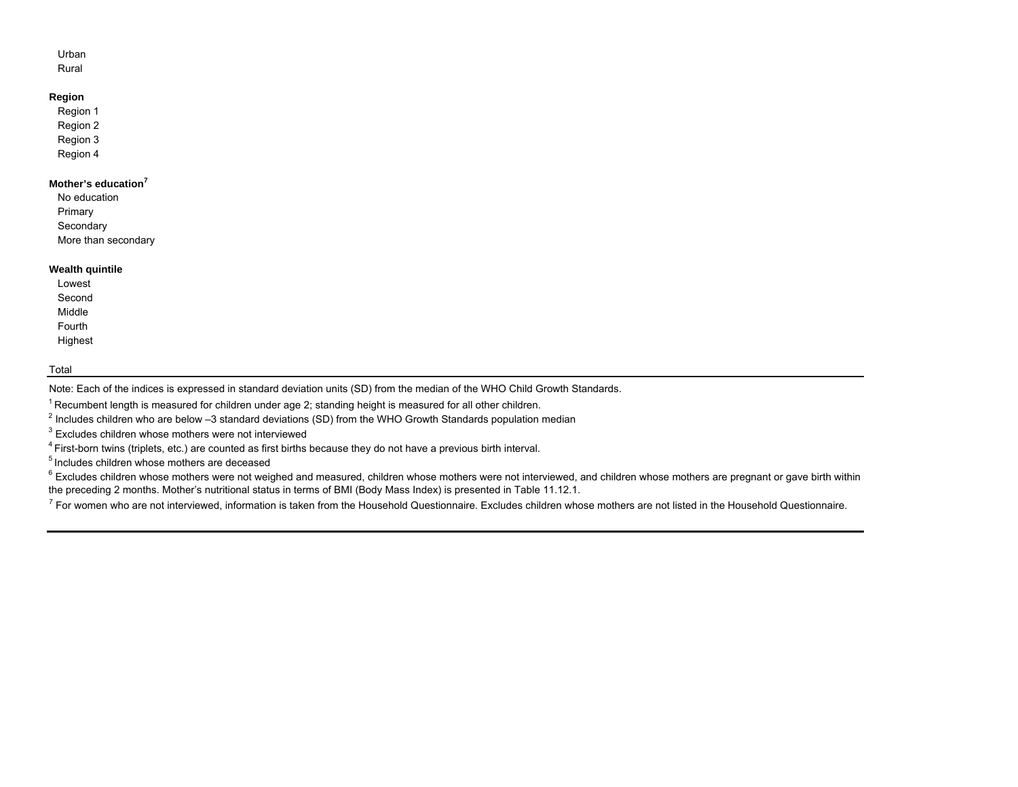# Urban

Rural

# **Region**

Region 1 Region 2 Region 3 Region 4

# **Mother's education<sup>7</sup>**

No educationPrimary **Secondary** More than secondary

## **Wealth quintile**

LowestSecondMiddleFourth Highest

## Total

Note: Each of the indices is expressed in standard deviation units (SD) from the median of the WHO Child Growth Standards.

<sup>1</sup> Recumbent length is measured for children under age 2; standing height is measured for all other children.

2 Includes children who are below –3 standard deviations (SD) from the WHO Growth Standards population median

 $3$  Excludes children whose mothers were not interviewed

4 First-born twins (triplets, etc.) are counted as first births because they do not have a previous birth interval.

<sup>5</sup> Includes children whose mothers are deceased

<sup>6</sup> Excludes children whose mothers were not weighed and measured, children whose mothers were not interviewed, and children whose mothers are pregnant or gave birth within the preceding 2 months. Mother's nutritional status in terms of BMI (Body Mass Index) is presented in Table 11.12.1.

 $^7$  For women who are not interviewed, information is taken from the Household Questionnaire. Excludes children whose mothers are not listed in the Household Questionnaire.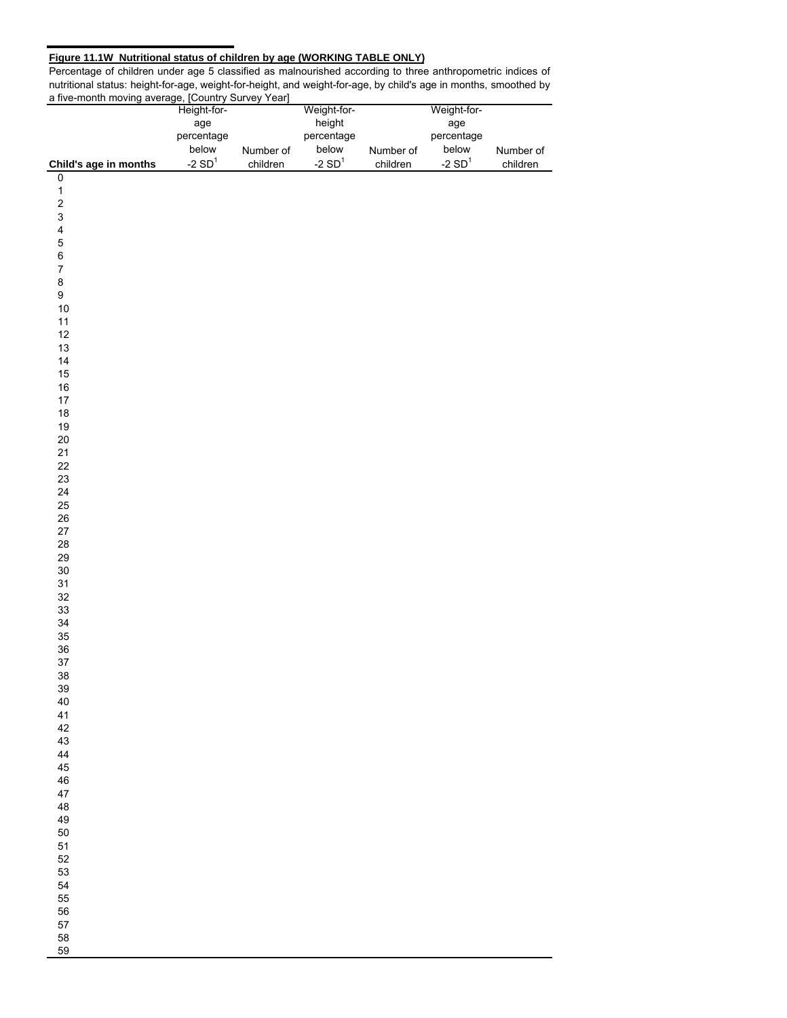## **Figure 11.1W Nutritional status of children by age (WORKING TABLE ONLY)**

Percentage of children under age 5 classified as malnourished according to three anthropometric indices of nutritional status: height-for-age, weight-for-height, and weight-for-age, by child's age in months, smoothed by a five-month moving average, [Country Survey Year]

|                       | Height-for- |           | Weight-for- |           | Weight-for-      |           |
|-----------------------|-------------|-----------|-------------|-----------|------------------|-----------|
|                       | age         |           | height      |           | age              |           |
|                       | percentage  |           | percentage  |           | percentage       |           |
|                       | below       | Number of | below       | Number of | below            | Number of |
| Child's age in months | -2 $SD1$    | children  | -2 $SD1$    | children  | -2 $\text{SD}^1$ | children  |
| $\pmb{0}$             |             |           |             |           |                  |           |
|                       |             |           |             |           |                  |           |
|                       |             |           |             |           |                  |           |
|                       |             |           |             |           |                  |           |
|                       |             |           |             |           |                  |           |
| 123456789             |             |           |             |           |                  |           |
|                       |             |           |             |           |                  |           |
|                       |             |           |             |           |                  |           |
|                       |             |           |             |           |                  |           |
|                       |             |           |             |           |                  |           |
| $10\,$                |             |           |             |           |                  |           |
| 11                    |             |           |             |           |                  |           |
| 12                    |             |           |             |           |                  |           |
| 13                    |             |           |             |           |                  |           |
| 14<br>$15\,$          |             |           |             |           |                  |           |
| $16\,$                |             |           |             |           |                  |           |
| $17\,$                |             |           |             |           |                  |           |
| $18\,$                |             |           |             |           |                  |           |
| $19$                  |             |           |             |           |                  |           |
| $20\,$                |             |           |             |           |                  |           |
| 21                    |             |           |             |           |                  |           |
| 22                    |             |           |             |           |                  |           |
| 23                    |             |           |             |           |                  |           |
| 24                    |             |           |             |           |                  |           |
| 25                    |             |           |             |           |                  |           |
| ${\bf 26}$            |             |           |             |           |                  |           |
| $27\,$                |             |           |             |           |                  |           |
| 28                    |             |           |             |           |                  |           |
| 29                    |             |           |             |           |                  |           |
| $30\,$                |             |           |             |           |                  |           |
| 31                    |             |           |             |           |                  |           |
| $32\,$                |             |           |             |           |                  |           |
| 33                    |             |           |             |           |                  |           |
| $34\,$                |             |           |             |           |                  |           |
| $35\,$<br>36          |             |           |             |           |                  |           |
| 37                    |             |           |             |           |                  |           |
| 38                    |             |           |             |           |                  |           |
| 39                    |             |           |             |           |                  |           |
| 40                    |             |           |             |           |                  |           |
| 41                    |             |           |             |           |                  |           |
| 42                    |             |           |             |           |                  |           |
| 43                    |             |           |             |           |                  |           |
| 44                    |             |           |             |           |                  |           |
| 45                    |             |           |             |           |                  |           |
| 46                    |             |           |             |           |                  |           |
| 47                    |             |           |             |           |                  |           |
| 48                    |             |           |             |           |                  |           |
| 49                    |             |           |             |           |                  |           |
| 50                    |             |           |             |           |                  |           |
| 51                    |             |           |             |           |                  |           |
| 52<br>53              |             |           |             |           |                  |           |
| 54                    |             |           |             |           |                  |           |
| 55                    |             |           |             |           |                  |           |
| 56                    |             |           |             |           |                  |           |
| 57                    |             |           |             |           |                  |           |
| 58                    |             |           |             |           |                  |           |
| 59                    |             |           |             |           |                  |           |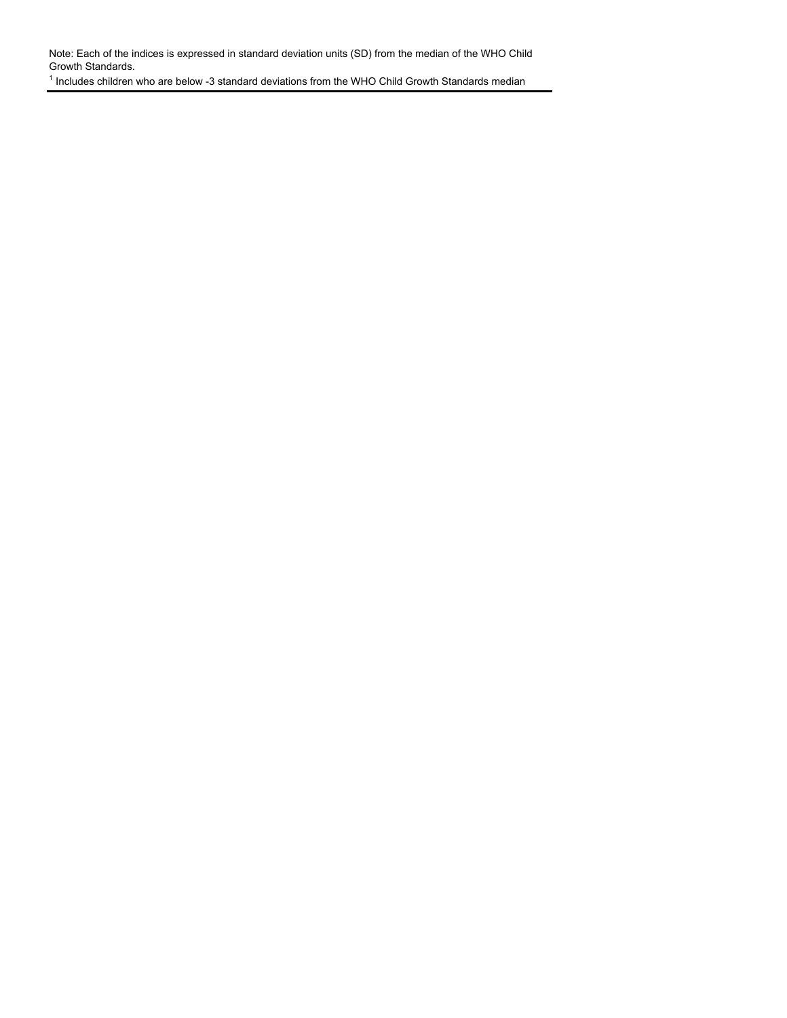Note: Each of the indices is expressed in standard deviation units (SD) from the median of the WHO Child Growth Standards.

<sup>1</sup> Includes children who are below -3 standard deviations from the WHO Child Growth Standards median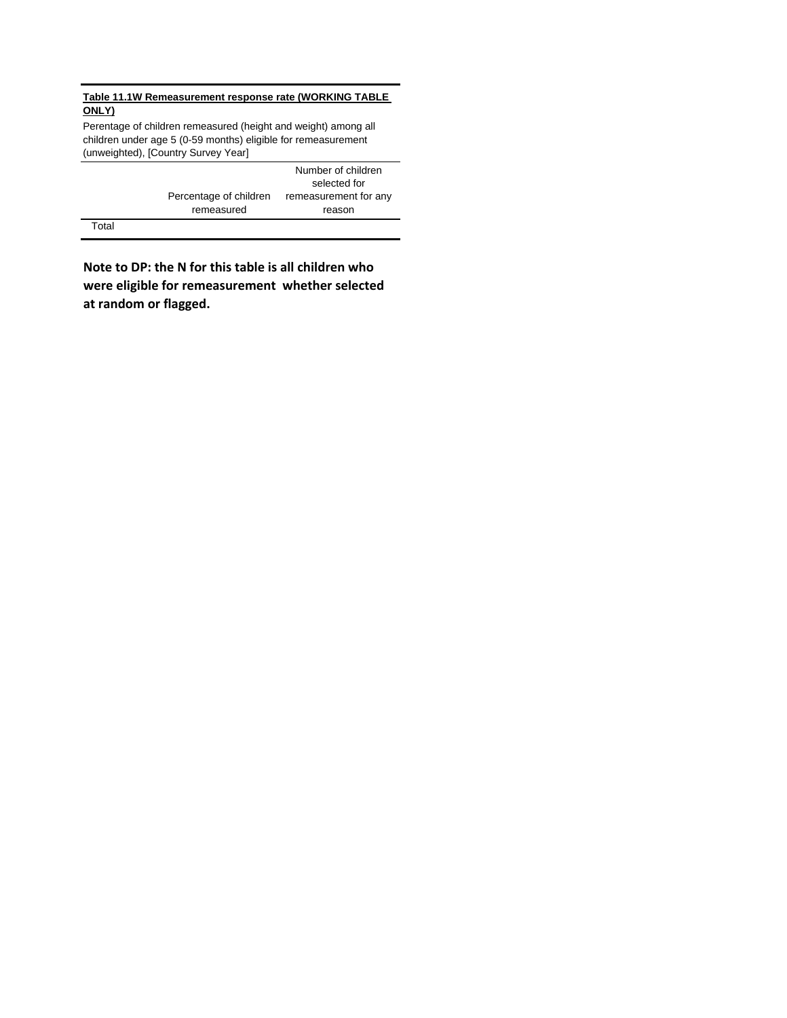## **Table 11.1W Remeasurement response rate (WORKING TABLE ONLY)**

Perentage of children remeasured (height and weight) among all children under age 5 (0-59 months) eligible for remeasurement (unweighted), [Country Survey Year]

|        |                        | Number of children    |
|--------|------------------------|-----------------------|
|        |                        | selected for          |
|        | Percentage of children | remeasurement for any |
|        | remeasured             | reason                |
| $\tau$ |                        |                       |

Total

**Note to DP: the N for this table is all children who were eligible for remeasurement whether selected at random or flagged.**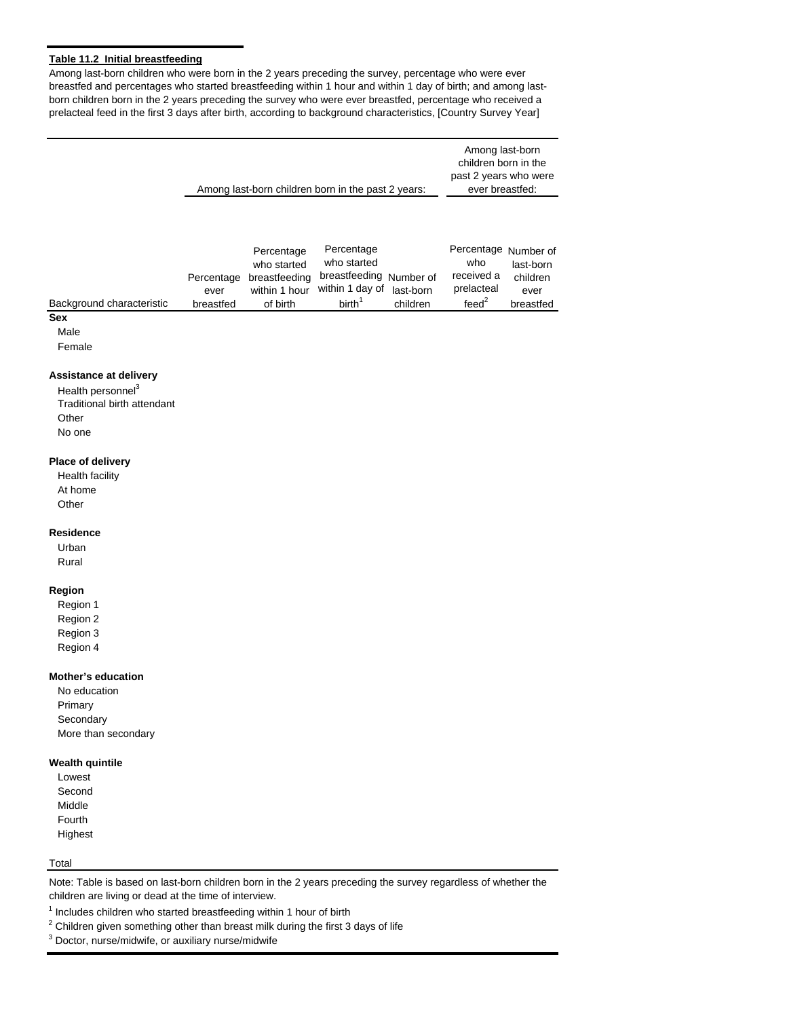## **Table 11.2 Initial breastfeeding**

Among last-born children who were born in the 2 years preceding the survey, percentage who were ever breastfed and percentages who started breastfeeding within 1 hour and within 1 day of birth; and among lastborn children born in the 2 years preceding the survey who were ever breastfed, percentage who received a prelacteal feed in the first 3 days after birth, according to background characteristics, [Country Survey Year]

|                                                                                                           |                                 |                                                                         | Among last-born children born in the past 2 years:                                                      |          | Among last-born<br>children born in the<br>past 2 years who were<br>ever breastfed: |                                            |
|-----------------------------------------------------------------------------------------------------------|---------------------------------|-------------------------------------------------------------------------|---------------------------------------------------------------------------------------------------------|----------|-------------------------------------------------------------------------------------|--------------------------------------------|
| Background characteristic<br><b>Sex</b>                                                                   | Percentage<br>ever<br>breastfed | Percentage<br>who started<br>breastfeeding<br>within 1 hour<br>of birth | Percentage<br>who started<br>breastfeeding Number of<br>within 1 day of last-born<br>birth <sup>1</sup> | children | Percentage Number of<br>who<br>received a<br>prelacteal<br>feed <sup>2</sup>        | last-born<br>children<br>ever<br>breastfed |
| Male<br>Female                                                                                            |                                 |                                                                         |                                                                                                         |          |                                                                                     |                                            |
| Assistance at delivery<br>Health personnel <sup>3</sup><br>Traditional birth attendant<br>Other<br>No one |                                 |                                                                         |                                                                                                         |          |                                                                                     |                                            |
| Place of delivery<br>Health facility<br>At home<br>Other                                                  |                                 |                                                                         |                                                                                                         |          |                                                                                     |                                            |
| <b>Residence</b><br>Urban<br>Rural                                                                        |                                 |                                                                         |                                                                                                         |          |                                                                                     |                                            |
| Region<br>Region 1<br>Region 2<br>Region 3<br>Region 4                                                    |                                 |                                                                         |                                                                                                         |          |                                                                                     |                                            |
| <b>Mother's education</b><br>No education<br>Primary<br>Secondary<br>More than secondary                  |                                 |                                                                         |                                                                                                         |          |                                                                                     |                                            |
| <b>Wealth quintile</b><br>Lowest<br>Second<br>Middle<br>Fourth<br>Highest                                 |                                 |                                                                         |                                                                                                         |          |                                                                                     |                                            |

## Total

Note: Table is based on last-born children born in the 2 years preceding the survey regardless of whether the children are living or dead at the time of interview.

 $1$  Includes children who started breastfeeding within 1 hour of birth

 $2$  Children given something other than breast milk during the first 3 days of life

<sup>3</sup> Doctor, nurse/midwife, or auxiliary nurse/midwife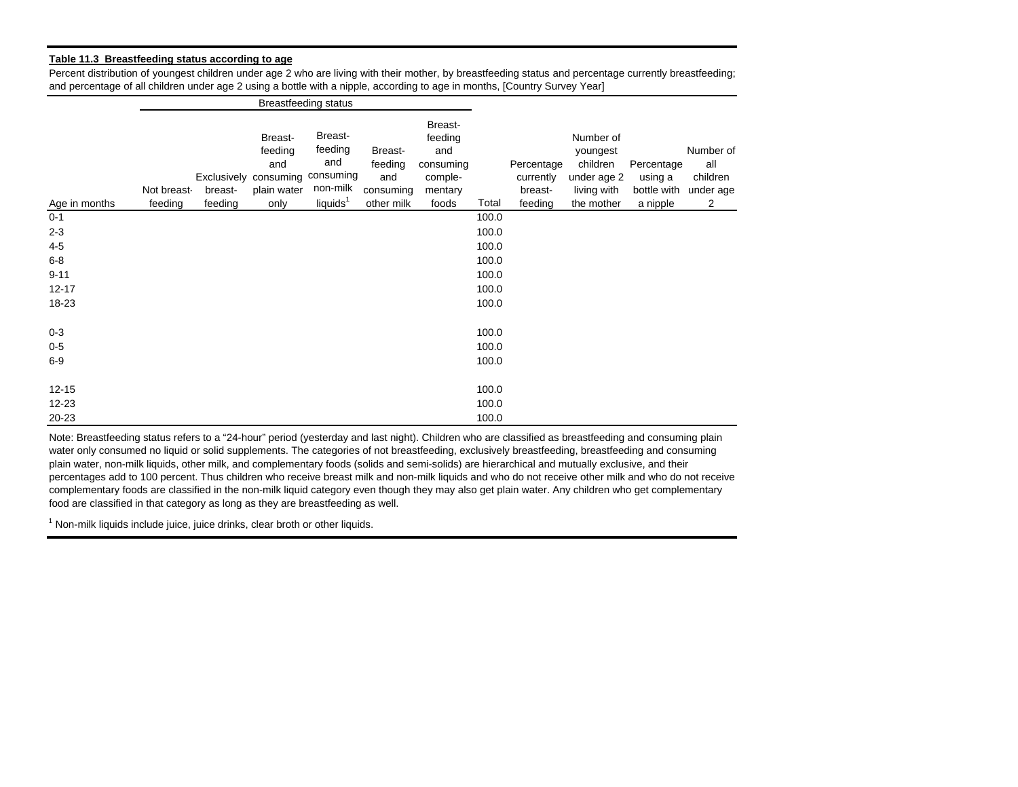#### **Table 11.3 Breastfeeding status according to age**

Percent distribution of youngest children under age 2 who are living with their mother, by breastfeeding status and percentage currently breastfeeding; and percentage of all children under age 2 using a bottle with a nipple, according to age in months, [Country Survey Year]

|               |                        |                    |                                                                                     | <b>Breastfeeding status</b>                                   |                                                      |                                                                       |       |                                               |                                                                               |                                                  |                                                |
|---------------|------------------------|--------------------|-------------------------------------------------------------------------------------|---------------------------------------------------------------|------------------------------------------------------|-----------------------------------------------------------------------|-------|-----------------------------------------------|-------------------------------------------------------------------------------|--------------------------------------------------|------------------------------------------------|
| Age in months | Not breast-<br>feeding | breast-<br>feeding | Breast-<br>feeding<br>and<br>Exclusively consuming consuming<br>plain water<br>only | Breast-<br>feeding<br>and<br>non-milk<br>liquids <sup>1</sup> | Breast-<br>feeding<br>and<br>consuming<br>other milk | Breast-<br>feeding<br>and<br>consuming<br>comple-<br>mentary<br>foods | Total | Percentage<br>currently<br>breast-<br>feeding | Number of<br>youngest<br>children<br>under age 2<br>living with<br>the mother | Percentage<br>using a<br>bottle with<br>a nipple | Number of<br>all<br>children<br>under age<br>2 |
| $0 - 1$       |                        |                    |                                                                                     |                                                               |                                                      |                                                                       | 100.0 |                                               |                                                                               |                                                  |                                                |
| $2 - 3$       |                        |                    |                                                                                     |                                                               |                                                      |                                                                       | 100.0 |                                               |                                                                               |                                                  |                                                |
| $4-5$         |                        |                    |                                                                                     |                                                               |                                                      |                                                                       | 100.0 |                                               |                                                                               |                                                  |                                                |
| $6 - 8$       |                        |                    |                                                                                     |                                                               |                                                      |                                                                       | 100.0 |                                               |                                                                               |                                                  |                                                |
| $9 - 11$      |                        |                    |                                                                                     |                                                               |                                                      |                                                                       | 100.0 |                                               |                                                                               |                                                  |                                                |
| $12 - 17$     |                        |                    |                                                                                     |                                                               |                                                      |                                                                       | 100.0 |                                               |                                                                               |                                                  |                                                |
| 18-23         |                        |                    |                                                                                     |                                                               |                                                      |                                                                       | 100.0 |                                               |                                                                               |                                                  |                                                |
| $0 - 3$       |                        |                    |                                                                                     |                                                               |                                                      |                                                                       | 100.0 |                                               |                                                                               |                                                  |                                                |
| $0-5$         |                        |                    |                                                                                     |                                                               |                                                      |                                                                       | 100.0 |                                               |                                                                               |                                                  |                                                |
| $6-9$         |                        |                    |                                                                                     |                                                               |                                                      |                                                                       | 100.0 |                                               |                                                                               |                                                  |                                                |
| $12 - 15$     |                        |                    |                                                                                     |                                                               |                                                      |                                                                       | 100.0 |                                               |                                                                               |                                                  |                                                |
| $12 - 23$     |                        |                    |                                                                                     |                                                               |                                                      |                                                                       | 100.0 |                                               |                                                                               |                                                  |                                                |
| 20-23         |                        |                    |                                                                                     |                                                               |                                                      |                                                                       | 100.0 |                                               |                                                                               |                                                  |                                                |

Note: Breastfeeding status refers to a "24-hour" period (yesterday and last night). Children who are classified as breastfeeding and consuming plain water only consumed no liquid or solid supplements. The categories of not breastfeeding, exclusively breastfeeding, breastfeeding and consuming plain water, non-milk liquids, other milk, and complementary foods (solids and semi-solids) are hierarchical and mutually exclusive, and their percentages add to 100 percent. Thus children who receive breast milk and non-milk liquids and who do not receive other milk and who do not receive complementary foods are classified in the non-milk liquid category even though they may also get plain water. Any children who get complementary food are classified in that category as long as they are breastfeeding as well.

 $1$  Non-milk liquids include juice, juice drinks, clear broth or other liquids.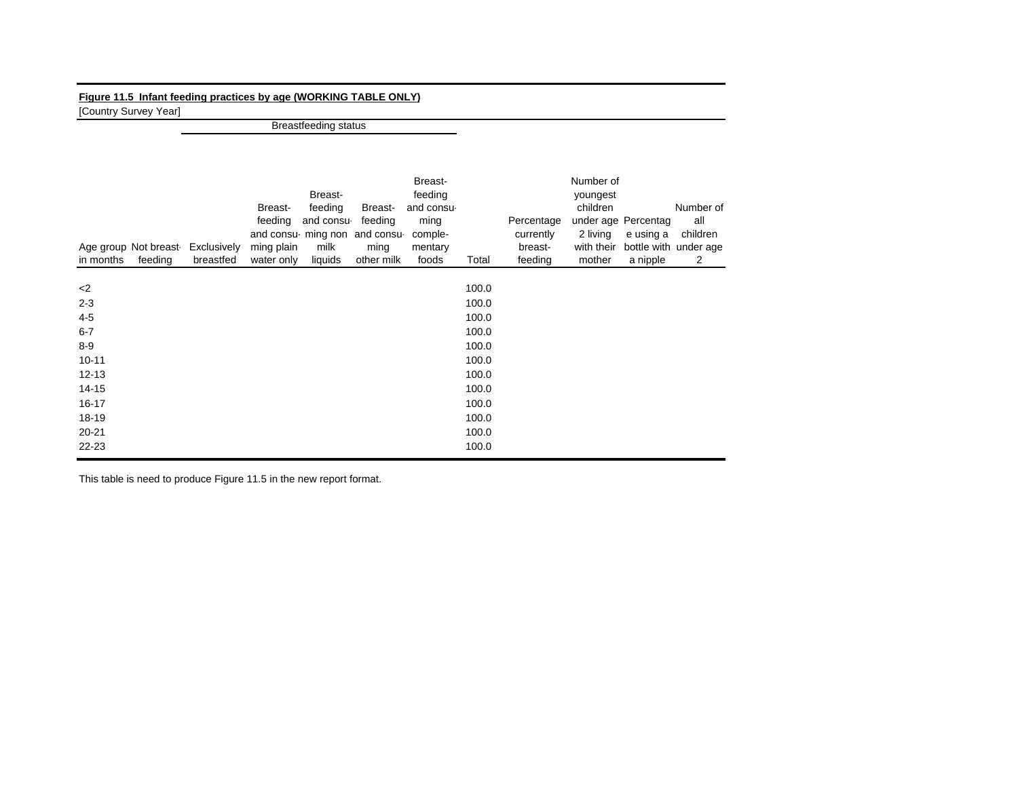# **Figure 11.5 Infant feeding practices by age (WORKING TABLE ONLY)**

[Country Survey Year]

Breastfeeding status

| Age group Not breast<br>feeding<br>in months | Exclusively<br>breastfed | Breast-<br>feeding<br>ming plain<br>water only | Breast-<br>feeding<br>and consu-<br>milk<br>liquids | Breast-<br>feeding<br>and consu ming non and consu<br>ming<br>other milk | Breast-<br>feeding<br>and consu-<br>ming<br>comple-<br>mentary<br>foods | Total | Percentage<br>currently<br>breast-<br>feeding | Number of<br>youngest<br>children<br>2 living<br>with their<br>mother | under age Percentag<br>e using a<br>a nipple | Number of<br>all<br>children<br>bottle with under age<br>2 |
|----------------------------------------------|--------------------------|------------------------------------------------|-----------------------------------------------------|--------------------------------------------------------------------------|-------------------------------------------------------------------------|-------|-----------------------------------------------|-----------------------------------------------------------------------|----------------------------------------------|------------------------------------------------------------|
| $<$ 2                                        |                          |                                                |                                                     |                                                                          |                                                                         | 100.0 |                                               |                                                                       |                                              |                                                            |
| $2 - 3$                                      |                          |                                                |                                                     |                                                                          |                                                                         | 100.0 |                                               |                                                                       |                                              |                                                            |
| $4-5$                                        |                          |                                                |                                                     |                                                                          |                                                                         | 100.0 |                                               |                                                                       |                                              |                                                            |
| $6 - 7$                                      |                          |                                                |                                                     |                                                                          |                                                                         | 100.0 |                                               |                                                                       |                                              |                                                            |
| $8-9$                                        |                          |                                                |                                                     |                                                                          |                                                                         | 100.0 |                                               |                                                                       |                                              |                                                            |
| $10 - 11$                                    |                          |                                                |                                                     |                                                                          |                                                                         | 100.0 |                                               |                                                                       |                                              |                                                            |
| $12 - 13$                                    |                          |                                                |                                                     |                                                                          |                                                                         | 100.0 |                                               |                                                                       |                                              |                                                            |
| $14 - 15$                                    |                          |                                                |                                                     |                                                                          |                                                                         | 100.0 |                                               |                                                                       |                                              |                                                            |
| 16-17                                        |                          |                                                |                                                     |                                                                          |                                                                         | 100.0 |                                               |                                                                       |                                              |                                                            |
| $18 - 19$                                    |                          |                                                |                                                     |                                                                          |                                                                         | 100.0 |                                               |                                                                       |                                              |                                                            |
| $20 - 21$                                    |                          |                                                |                                                     |                                                                          |                                                                         | 100.0 |                                               |                                                                       |                                              |                                                            |
| $22 - 23$                                    |                          |                                                |                                                     |                                                                          |                                                                         | 100.0 |                                               |                                                                       |                                              |                                                            |

This table is need to produce Figure 11.5 in the new report format.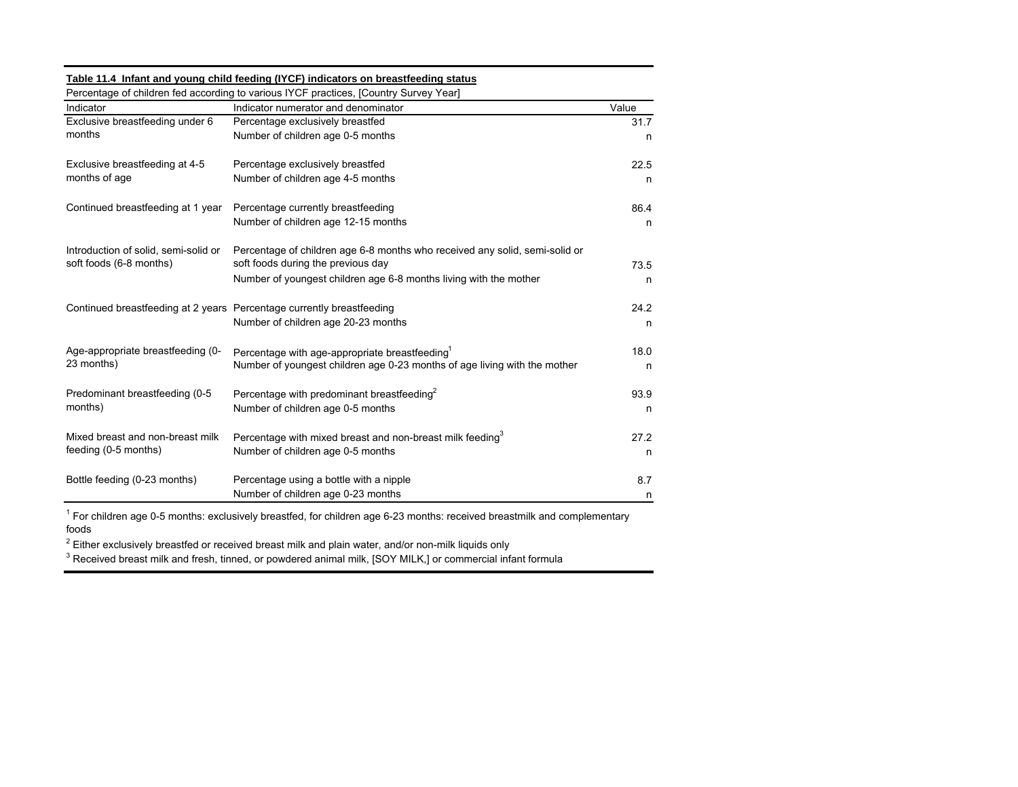## **Table 11.4 Infant and young child feeding (IYCF) indicators on breastfeeding status**

| Indicator                            | Indicator numerator and denominator                                         | Value |
|--------------------------------------|-----------------------------------------------------------------------------|-------|
| Exclusive breastfeeding under 6      | Percentage exclusively breastfed                                            | 31.7  |
| months                               | Number of children age 0-5 months                                           | n     |
| Exclusive breastfeeding at 4-5       | Percentage exclusively breastfed                                            | 22.5  |
| months of age                        | Number of children age 4-5 months                                           | n     |
| Continued breastfeeding at 1 year    | Percentage currently breastfeeding                                          | 86.4  |
|                                      | Number of children age 12-15 months                                         | n     |
| Introduction of solid, semi-solid or | Percentage of children age 6-8 months who received any solid, semi-solid or |       |
| soft foods (6-8 months)              | soft foods during the previous day                                          | 73.5  |
|                                      | Number of youngest children age 6-8 months living with the mother           | n     |
|                                      | Continued breastfeeding at 2 years Percentage currently breastfeeding       | 24.2  |
|                                      | Number of children age 20-23 months                                         | n     |
| Age-appropriate breastfeeding (0-    | Percentage with age-appropriate breastfeeding <sup>1</sup>                  | 18.0  |
| 23 months)                           | Number of youngest children age 0-23 months of age living with the mother   | n     |
| Predominant breastfeeding (0-5       | Percentage with predominant breastfeeding <sup>2</sup>                      | 93.9  |
| months)                              | Number of children age 0-5 months                                           | n     |
| Mixed breast and non-breast milk     | Percentage with mixed breast and non-breast milk feeding <sup>3</sup>       | 27.2  |
| feeding (0-5 months)                 | Number of children age 0-5 months                                           | n     |
| Bottle feeding (0-23 months)         | Percentage using a bottle with a nipple                                     | 8.7   |
|                                      | Number of children age 0-23 months                                          | n     |

 $1$  For children age 0-5 months: exclusively breastfed, for children age 6-23 months: received breastmilk and complementary foods

 $2$  Either exclusively breastfed or received breast milk and plain water, and/or non-milk liquids only

<sup>3</sup> Received breast milk and fresh, tinned, or powdered animal milk, [SOY MILK,] or commercial infant formula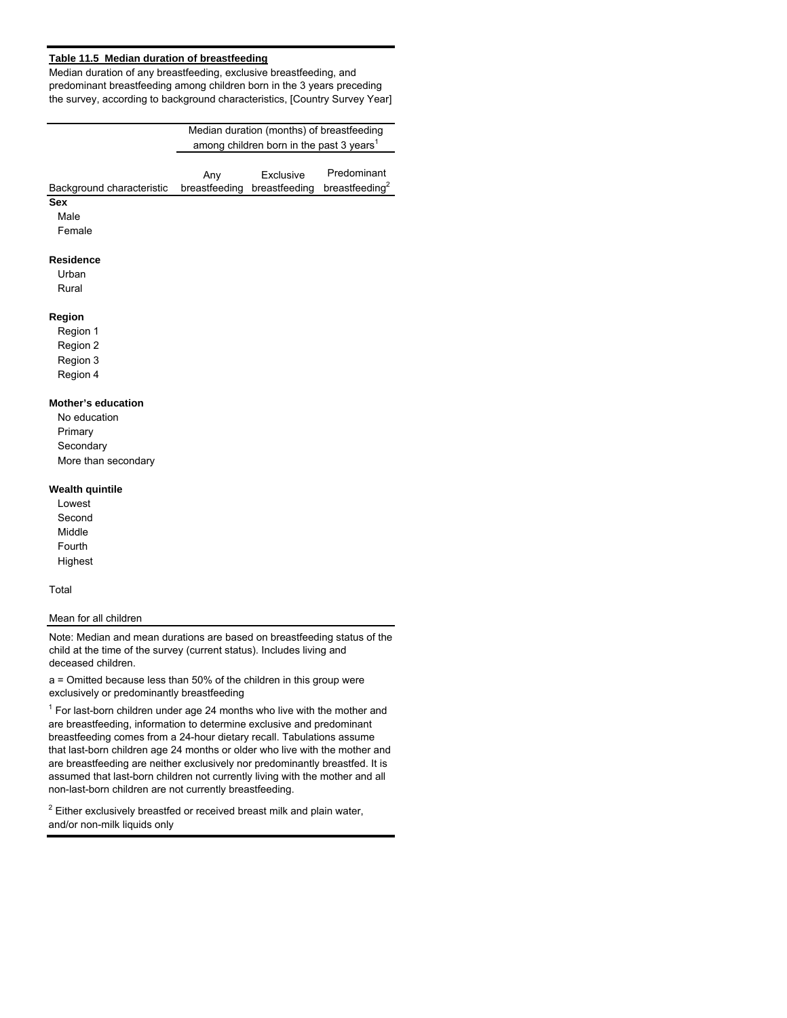## **Table 11.5 Median duration of breastfeeding**

Median duration of any breastfeeding, exclusive breastfeeding, and predominant breastfeeding among children born in the 3 years preceding the survey, according to background characteristics, [Country Survey Year]

|                           |               | Median duration (months) of breastfeeding            |                            |
|---------------------------|---------------|------------------------------------------------------|----------------------------|
|                           |               | among children born in the past 3 years <sup>1</sup> |                            |
|                           |               |                                                      |                            |
|                           | Any           | Exclusive                                            | Predominant                |
| Background characteristic | breastfeeding | breastfeeding                                        | breastfeeding <sup>2</sup> |
| <b>Sex</b>                |               |                                                      |                            |
| Male                      |               |                                                      |                            |
| Female                    |               |                                                      |                            |
|                           |               |                                                      |                            |
| <b>Residence</b>          |               |                                                      |                            |
| Urban                     |               |                                                      |                            |
| Rural                     |               |                                                      |                            |
|                           |               |                                                      |                            |
| Region                    |               |                                                      |                            |
| Region 1                  |               |                                                      |                            |
| Region 2                  |               |                                                      |                            |
| Region 3                  |               |                                                      |                            |

Region 3

Region 4

# **Mother's education**

No education Primary Secondary More than secondary

#### **Wealth quintile**

Lowest Second Middle Fourth Highest

#### Total

#### Mean for all children

Note: Median and mean durations are based on breastfeeding status of the child at the time of the survey (current status). Includes living and deceased children.

a = Omitted because less than 50% of the children in this group were exclusively or predominantly breastfeeding

 $1$  For last-born children under age 24 months who live with the mother and are breastfeeding, information to determine exclusive and predominant breastfeeding comes from a 24-hour dietary recall. Tabulations assume that last-born children age 24 months or older who live with the mother and are breastfeeding are neither exclusively nor predominantly breastfed. It is assumed that last-born children not currently living with the mother and all non-last-born children are not currently breastfeeding.

 $2$  Either exclusively breastfed or received breast milk and plain water, and/or non-milk liquids only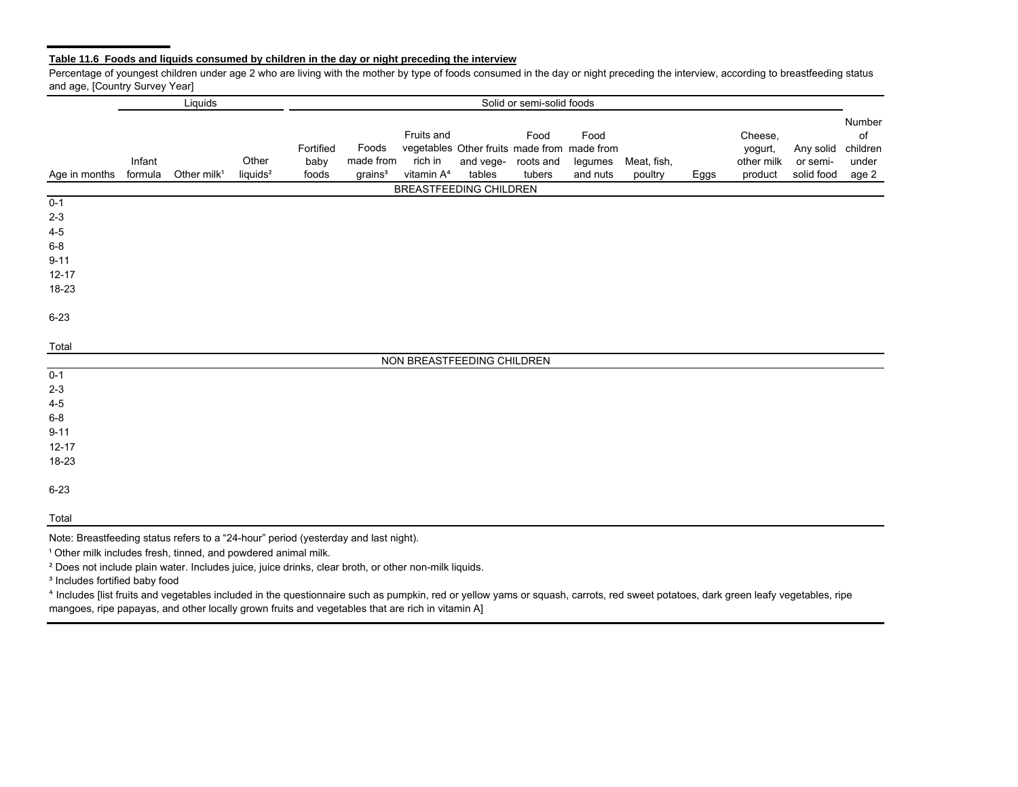## **Table 11.6 Foods and liquids consumed by children in the day or night preceding the interview**

Percentage of youngest children under age 2 who are living with the mother by type of foods consumed in the day or night preceding the interview, according to breastfeeding status and age, [Country Survey Year]

|                                                                                             |                   | Liquids                 |                               |                            | Solid or semi-solid foods                 |                                                 |                                                       |                                       |                             |                        |      |                                             |                                     |                                            |
|---------------------------------------------------------------------------------------------|-------------------|-------------------------|-------------------------------|----------------------------|-------------------------------------------|-------------------------------------------------|-------------------------------------------------------|---------------------------------------|-----------------------------|------------------------|------|---------------------------------------------|-------------------------------------|--------------------------------------------|
| Age in months                                                                               | Infant<br>formula | Other milk <sup>1</sup> | Other<br>liquids <sup>2</sup> | Fortified<br>baby<br>foods | Foods<br>made from<br>grains <sup>3</sup> | Fruits and<br>rich in<br>vitamin A <sup>4</sup> | vegetables Other fruits made from made from<br>tables | Food<br>and vege- roots and<br>tubers | Food<br>legumes<br>and nuts | Meat, fish,<br>poultry | Eggs | Cheese,<br>yogurt,<br>other milk<br>product | Any solid<br>or semi-<br>solid food | Number<br>of<br>children<br>under<br>age 2 |
|                                                                                             |                   |                         |                               |                            |                                           | BREASTFEEDING CHILDREN                          |                                                       |                                       |                             |                        |      |                                             |                                     |                                            |
| $0 - 1$<br>$2 - 3$<br>$4 - 5$<br>$6 - 8$<br>$9 - 11$<br>$12 - 17$<br>18-23                  |                   |                         |                               |                            |                                           |                                                 |                                                       |                                       |                             |                        |      |                                             |                                     |                                            |
| $6 - 23$                                                                                    |                   |                         |                               |                            |                                           |                                                 |                                                       |                                       |                             |                        |      |                                             |                                     |                                            |
| Total                                                                                       |                   |                         |                               |                            |                                           |                                                 |                                                       |                                       |                             |                        |      |                                             |                                     |                                            |
|                                                                                             |                   |                         |                               |                            |                                           | NON BREASTFEEDING CHILDREN                      |                                                       |                                       |                             |                        |      |                                             |                                     |                                            |
| $0 - 1$<br>$2 - 3$<br>$4 - 5$<br>$6-8$                                                      |                   |                         |                               |                            |                                           |                                                 |                                                       |                                       |                             |                        |      |                                             |                                     |                                            |
| $9 - 11$<br>$12 - 17$                                                                       |                   |                         |                               |                            |                                           |                                                 |                                                       |                                       |                             |                        |      |                                             |                                     |                                            |
| 18-23                                                                                       |                   |                         |                               |                            |                                           |                                                 |                                                       |                                       |                             |                        |      |                                             |                                     |                                            |
| $6 - 23$                                                                                    |                   |                         |                               |                            |                                           |                                                 |                                                       |                                       |                             |                        |      |                                             |                                     |                                            |
| Total<br>Note: Breastfeeding status refers to a "24-bour" period (vesterday and last night) |                   |                         |                               |                            |                                           |                                                 |                                                       |                                       |                             |                        |      |                                             |                                     |                                            |

Note: Breastfeeding status refers to a "24-hour" period (yesterday and last night).

<sup>1</sup> Other milk includes fresh, tinned, and powdered animal milk.

<sup>²</sup> Does not include plain water. Includes juice, juice drinks, clear broth, or other non-milk liquids.

<sup>3</sup> Includes fortified baby food

<sup>⁴</sup> Includes [list fruits and vegetables included in the questionnaire such as pumpkin, red or yellow yams or squash, carrots, red sweet potatoes, dark green leafy vegetables, ripe mangoes, ripe papayas, and other locally grown fruits and vegetables that are rich in vitamin A]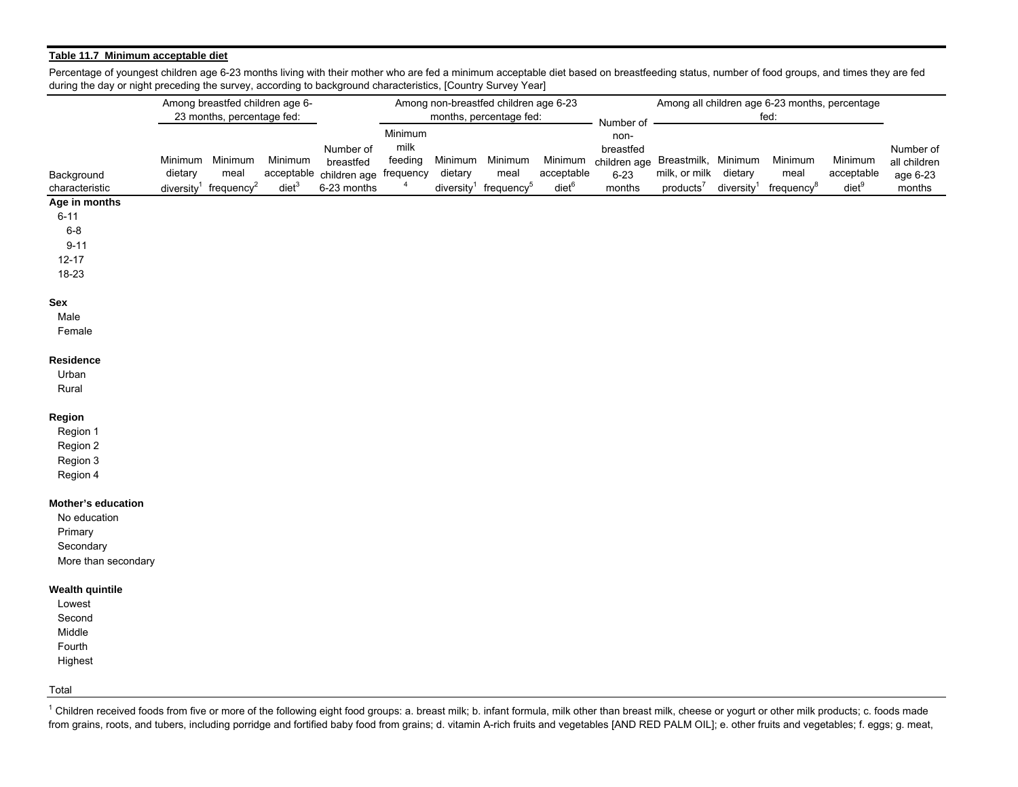## **Table 11.7 Minimum acceptable diet**

Percentage of youngest children age 6-23 months living with their mother who are fed a minimum acceptable diet based on breastfeeding status, number of food groups, and times they are fed during the day or night preceding the survey, according to background characteristics, [Country Survey Year]

|                           |         | Among breastfed children age 6-               |                  |                        |                |         | Among non-breastfed children age 6-23         |                   |                                  |                       |                        | Among all children age 6-23 months, percentage |                 |              |
|---------------------------|---------|-----------------------------------------------|------------------|------------------------|----------------|---------|-----------------------------------------------|-------------------|----------------------------------|-----------------------|------------------------|------------------------------------------------|-----------------|--------------|
|                           |         | 23 months, percentage fed:                    |                  |                        |                |         | months, percentage fed:                       |                   | Number of                        |                       |                        | fed:                                           |                 |              |
|                           |         |                                               |                  |                        | Minimum        |         |                                               |                   | non-                             |                       |                        |                                                |                 |              |
|                           |         |                                               |                  | Number of              | milk           |         |                                               |                   | breastfed                        |                       |                        |                                                |                 | Number of    |
|                           |         | Minimum Minimum                               | Minimum          | breastfed              | feeding        |         | Minimum Minimum                               | Minimum           | children age Breastmilk, Minimum |                       |                        | Minimum                                        | Minimum         | all children |
| Background                | dietary | meal                                          | acceptable       | children age frequency |                | dietary | meal                                          | acceptable        | $6 - 23$                         | milk, or milk dietary |                        | meal                                           | acceptable      | age 6-23     |
| characteristic            |         | diversity <sup>1</sup> frequency <sup>2</sup> | die <sup>3</sup> | 6-23 months            | $\overline{4}$ |         | diversity <sup>1</sup> frequency <sup>5</sup> | diet <sup>6</sup> | months                           | products <sup>7</sup> | diversity <sup>1</sup> | frequency <sup>8</sup>                         | $\text{diet}^9$ | months       |
| Age in months             |         |                                               |                  |                        |                |         |                                               |                   |                                  |                       |                        |                                                |                 |              |
| $6 - 11$                  |         |                                               |                  |                        |                |         |                                               |                   |                                  |                       |                        |                                                |                 |              |
| $6 - 8$                   |         |                                               |                  |                        |                |         |                                               |                   |                                  |                       |                        |                                                |                 |              |
| $9 - 11$                  |         |                                               |                  |                        |                |         |                                               |                   |                                  |                       |                        |                                                |                 |              |
| $12 - 17$                 |         |                                               |                  |                        |                |         |                                               |                   |                                  |                       |                        |                                                |                 |              |
| 18-23                     |         |                                               |                  |                        |                |         |                                               |                   |                                  |                       |                        |                                                |                 |              |
| Sex                       |         |                                               |                  |                        |                |         |                                               |                   |                                  |                       |                        |                                                |                 |              |
| Male                      |         |                                               |                  |                        |                |         |                                               |                   |                                  |                       |                        |                                                |                 |              |
| Female                    |         |                                               |                  |                        |                |         |                                               |                   |                                  |                       |                        |                                                |                 |              |
|                           |         |                                               |                  |                        |                |         |                                               |                   |                                  |                       |                        |                                                |                 |              |
| Residence                 |         |                                               |                  |                        |                |         |                                               |                   |                                  |                       |                        |                                                |                 |              |
| Urban                     |         |                                               |                  |                        |                |         |                                               |                   |                                  |                       |                        |                                                |                 |              |
| Rural                     |         |                                               |                  |                        |                |         |                                               |                   |                                  |                       |                        |                                                |                 |              |
|                           |         |                                               |                  |                        |                |         |                                               |                   |                                  |                       |                        |                                                |                 |              |
| Region                    |         |                                               |                  |                        |                |         |                                               |                   |                                  |                       |                        |                                                |                 |              |
| Region 1                  |         |                                               |                  |                        |                |         |                                               |                   |                                  |                       |                        |                                                |                 |              |
| Region 2                  |         |                                               |                  |                        |                |         |                                               |                   |                                  |                       |                        |                                                |                 |              |
| Region 3                  |         |                                               |                  |                        |                |         |                                               |                   |                                  |                       |                        |                                                |                 |              |
| Region 4                  |         |                                               |                  |                        |                |         |                                               |                   |                                  |                       |                        |                                                |                 |              |
| <b>Mother's education</b> |         |                                               |                  |                        |                |         |                                               |                   |                                  |                       |                        |                                                |                 |              |
| No education              |         |                                               |                  |                        |                |         |                                               |                   |                                  |                       |                        |                                                |                 |              |
| Primary                   |         |                                               |                  |                        |                |         |                                               |                   |                                  |                       |                        |                                                |                 |              |
| Secondary                 |         |                                               |                  |                        |                |         |                                               |                   |                                  |                       |                        |                                                |                 |              |
| More than secondary       |         |                                               |                  |                        |                |         |                                               |                   |                                  |                       |                        |                                                |                 |              |
|                           |         |                                               |                  |                        |                |         |                                               |                   |                                  |                       |                        |                                                |                 |              |
| <b>Wealth quintile</b>    |         |                                               |                  |                        |                |         |                                               |                   |                                  |                       |                        |                                                |                 |              |
| Lowest                    |         |                                               |                  |                        |                |         |                                               |                   |                                  |                       |                        |                                                |                 |              |
| Second                    |         |                                               |                  |                        |                |         |                                               |                   |                                  |                       |                        |                                                |                 |              |
| Middle                    |         |                                               |                  |                        |                |         |                                               |                   |                                  |                       |                        |                                                |                 |              |
| Fourth                    |         |                                               |                  |                        |                |         |                                               |                   |                                  |                       |                        |                                                |                 |              |
| Highest                   |         |                                               |                  |                        |                |         |                                               |                   |                                  |                       |                        |                                                |                 |              |
|                           |         |                                               |                  |                        |                |         |                                               |                   |                                  |                       |                        |                                                |                 |              |

Total

<sup>1</sup> Children received foods from five or more of the following eight food groups: a. breast milk; b. infant formula, milk other than breast milk, cheese or yogurt or other milk products; c. foods made from grains, roots, and tubers, including porridge and fortified baby food from grains; d. vitamin A-rich fruits and vegetables [AND RED PALM OIL]; e. other fruits and vegetables; f. eggs; g. meat,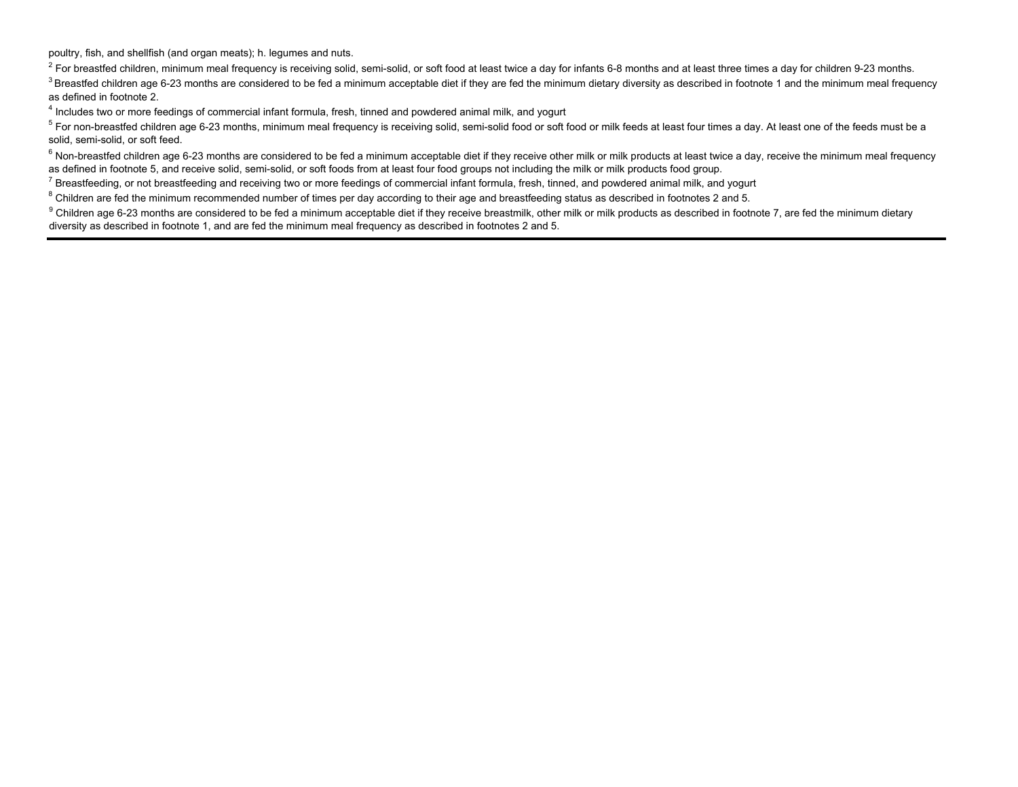poultry, fish, and shellfish (and organ meats); h. legumes and nuts.

<sup>2</sup> For breastfed children, minimum meal frequency is receiving solid, semi-solid, or soft food at least twice a day for infants 6-8 months and at least three times a day for children 9-23 months.

<sup>3</sup> Breastfed children age 6-23 months are considered to be fed a minimum acceptable diet if they are fed the minimum dietary diversity as described in footnote 1 and the minimum meal frequency as defined in footnote 2.

4 Includes two or more feedings of commercial infant formula, fresh, tinned and powdered animal milk, and yogurt

 $5$  For non-breastfed children age 6-23 months, minimum meal frequency is receiving solid, semi-solid food or soft food or milk feeds at least four times a day. At least one of the feeds must be a solid, semi-solid, or soft feed.

 $6$  Non-breastfed children age 6-23 months are considered to be fed a minimum acceptable diet if they receive other milk or milk products at least twice a day, receive the minimum meal frequency as defined in footnote 5, and receive solid, semi-solid, or soft foods from at least four food groups not including the milk or milk products food group.

 $^7$  Breastfeeding, or not breastfeeding and receiving two or more feedings of commercial infant formula, fresh, tinned, and powdered animal milk, and yogurt

<sup>8</sup> Children are fed the minimum recommended number of times per day according to their age and breastfeeding status as described in footnotes 2 and 5.

<sup>9</sup> Children age 6-23 months are considered to be fed a minimum acceptable diet if they receive breastmilk, other milk or milk products as described in footnote 7, are fed the minimum dietary diversity as described in footnote 1, and are fed the minimum meal frequency as described in footnotes 2 and 5.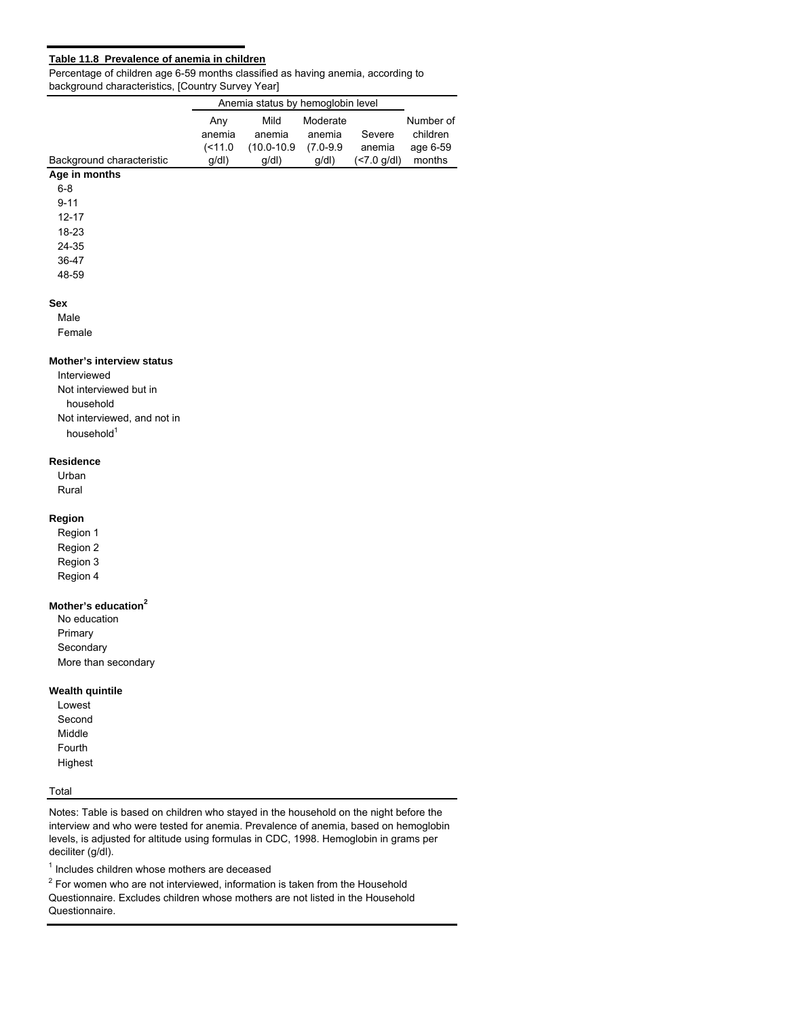## **Table 11.8 Prevalence of anemia in children**

Percentage of children age 6-59 months classified as having anemia, according to background characteristics, [Country Survey Year]

|                             |            | Anemia status by hemoglobin level |               |                      |           |
|-----------------------------|------------|-----------------------------------|---------------|----------------------|-----------|
|                             | Any        | Mild                              | Moderate      |                      | Number of |
|                             | anemia     | anemia                            | anemia        | Severe               | children  |
|                             | $($ < 11.0 | $(10.0 - 10.9$                    | $(7.0 - 9.9)$ | anemia               | age 6-59  |
| Background characteristic   | g/dl       | g/dl                              | g/dl          | $(27.0 \text{ g/d})$ | months    |
| Age in months               |            |                                   |               |                      |           |
| $6 - 8$                     |            |                                   |               |                      |           |
| $9 - 11$<br>$12 - 17$       |            |                                   |               |                      |           |
| 18-23                       |            |                                   |               |                      |           |
| 24-35                       |            |                                   |               |                      |           |
| 36-47                       |            |                                   |               |                      |           |
| 48-59                       |            |                                   |               |                      |           |
| <b>Sex</b>                  |            |                                   |               |                      |           |
| Male                        |            |                                   |               |                      |           |
| Female                      |            |                                   |               |                      |           |
| Mother's interview status   |            |                                   |               |                      |           |
| Interviewed                 |            |                                   |               |                      |           |
| Not interviewed but in      |            |                                   |               |                      |           |
| household                   |            |                                   |               |                      |           |
| Not interviewed, and not in |            |                                   |               |                      |           |
| household <sup>1</sup>      |            |                                   |               |                      |           |
| <b>Residence</b>            |            |                                   |               |                      |           |

Urban

Rural

## **Region**

Region 1 Region 2 Region 3

Region 4

# **Mother's education<sup>2</sup>**

No education Primary **Secondary** More than secondary

#### **Wealth quintile**

Lowest Second Middle Fourth Highest

# Total

Notes: Table is based on children who stayed in the household on the night before the interview and who were tested for anemia. Prevalence of anemia, based on hemoglobin levels, is adjusted for altitude using formulas in CDC, 1998. Hemoglobin in grams per deciliter (g/dl).

 $<sup>1</sup>$  Includes children whose mothers are deceased</sup>

 $2$  For women who are not interviewed, information is taken from the Household Questionnaire. Excludes children whose mothers are not listed in the Household

Questionnaire.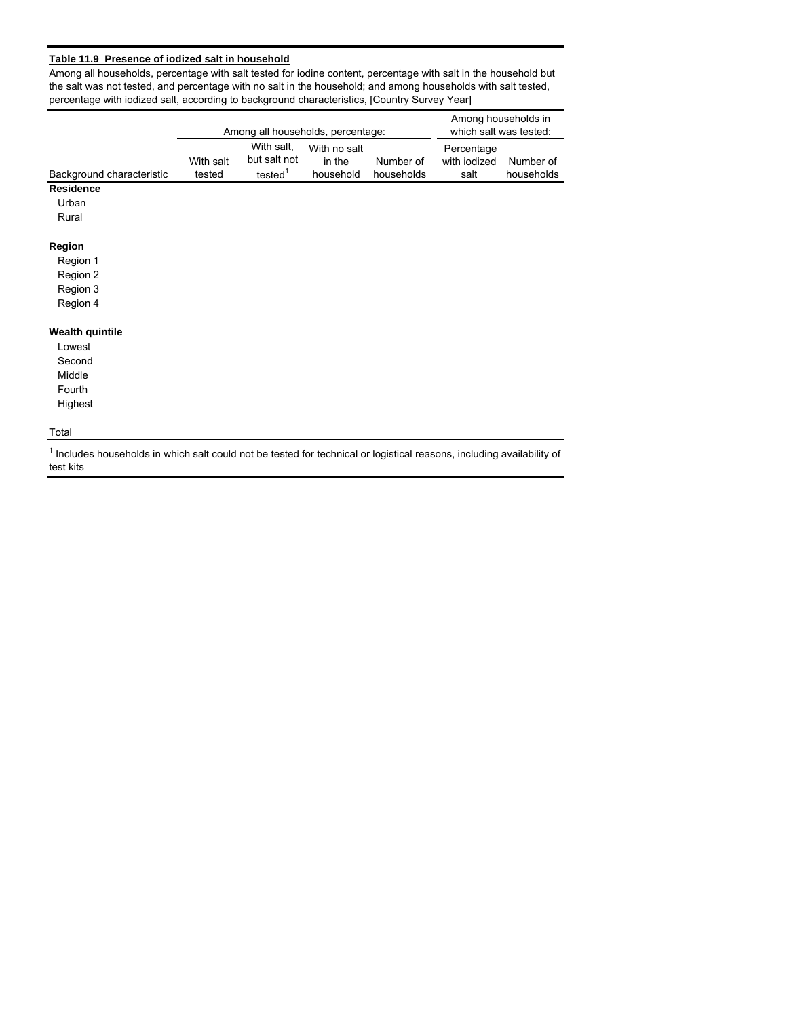# **Table 11.9 Presence of iodized salt in household**

Among all households, percentage with salt tested for iodine content, percentage with salt in the household but the salt was not tested, and percentage with no salt in the household; and among households with salt tested, percentage with iodized salt, according to background characteristics, [Country Survey Year]

| Number of<br>households | Percentage<br>with iodized |            |
|-------------------------|----------------------------|------------|
|                         |                            |            |
|                         |                            | Number of  |
|                         |                            | households |
|                         |                            |            |
|                         |                            |            |
|                         |                            |            |
|                         |                            |            |
|                         |                            |            |
|                         |                            |            |
|                         |                            |            |
|                         |                            |            |
|                         |                            |            |
|                         |                            |            |
|                         |                            |            |
|                         |                            |            |
|                         |                            |            |
|                         |                            |            |
|                         |                            |            |
|                         |                            | salt       |

<sup>1</sup> Includes households in which salt could not be tested for technical or logistical reasons, including availability of test kits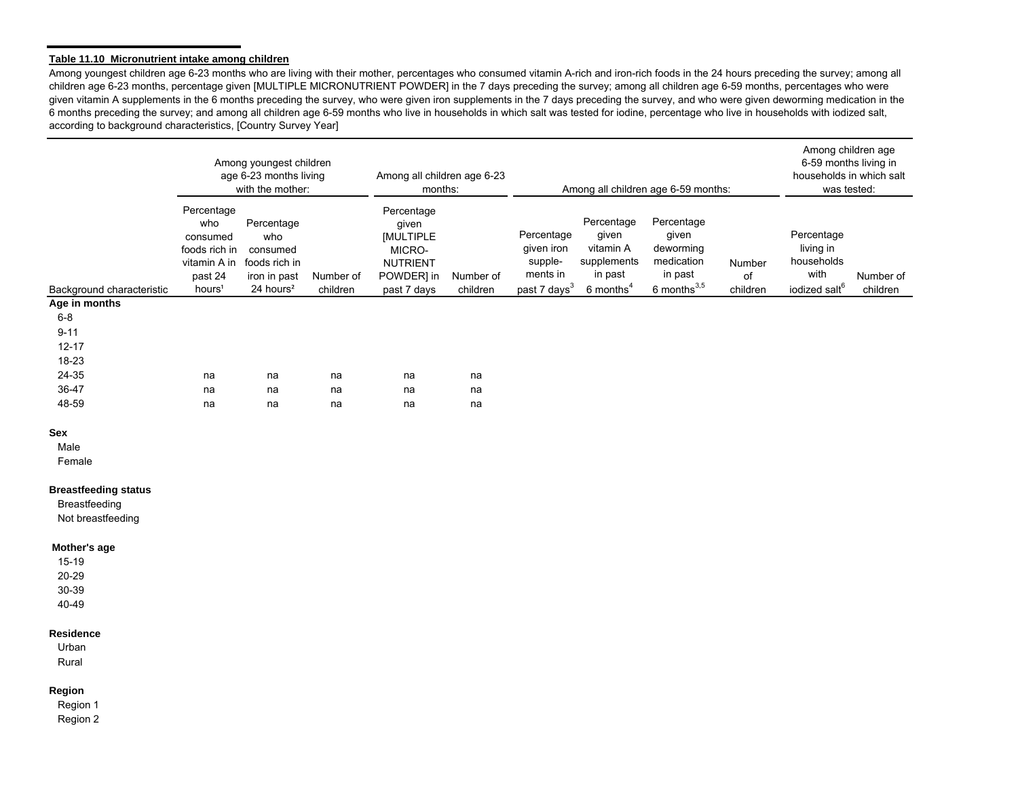#### **Table 11.10 Micronutrient intake among children**

Among youngest children age 6-23 months who are living with their mother, percentages who consumed vitamin A-rich and iron-rich foods in the 24 hours preceding the survey; among all children age 6-23 months, percentage given [MULTIPLE MICRONUTRIENT POWDER] in the 7 days preceding the survey; among all children age 6-59 months, percentages who were given vitamin A supplements in the 6 months preceding the survey, who were given iron supplements in the 7 days preceding the survey, and who were given deworming medication in the 6 months preceding the survey; and among all children age 6-59 months who live in households in which salt was tested for iodine, percentage who live in households with iodized salt, according to background characteristics, [Country Survey Year]

|                                                                   |                                                                                                 | Among youngest children<br>age 6-23 months living<br>with the mother:                   |                       | Among all children age 6-23<br>months:                                                     |                       |                                                                             |                                                                                       | Among all children age 6-59 months:                                            |                          | Among children age<br>6-59 months living in<br>households in which salt<br>was tested: |                       |
|-------------------------------------------------------------------|-------------------------------------------------------------------------------------------------|-----------------------------------------------------------------------------------------|-----------------------|--------------------------------------------------------------------------------------------|-----------------------|-----------------------------------------------------------------------------|---------------------------------------------------------------------------------------|--------------------------------------------------------------------------------|--------------------------|----------------------------------------------------------------------------------------|-----------------------|
| Background characteristic                                         | Percentage<br>who<br>consumed<br>foods rich in<br>vitamin A in<br>past 24<br>hours <sup>1</sup> | Percentage<br>who<br>consumed<br>foods rich in<br>iron in past<br>24 hours <sup>2</sup> | Number of<br>children | Percentage<br>given<br>[MULTIPLE<br>MICRO-<br><b>NUTRIENT</b><br>POWDER] in<br>past 7 days | Number of<br>children | Percentage<br>given iron<br>supple-<br>ments in<br>past 7 days <sup>3</sup> | Percentage<br>given<br>vitamin A<br>supplements<br>in past<br>$6$ months <sup>4</sup> | Percentage<br>given<br>deworming<br>medication<br>in past<br>6 months $^{3,5}$ | Number<br>οf<br>children | Percentage<br>living in<br>households<br>with<br>iodized salt <sup>6</sup>             | Number of<br>children |
| Age in months                                                     |                                                                                                 |                                                                                         |                       |                                                                                            |                       |                                                                             |                                                                                       |                                                                                |                          |                                                                                        |                       |
| $6 - 8$                                                           |                                                                                                 |                                                                                         |                       |                                                                                            |                       |                                                                             |                                                                                       |                                                                                |                          |                                                                                        |                       |
| $9 - 11$                                                          |                                                                                                 |                                                                                         |                       |                                                                                            |                       |                                                                             |                                                                                       |                                                                                |                          |                                                                                        |                       |
| $12 - 17$                                                         |                                                                                                 |                                                                                         |                       |                                                                                            |                       |                                                                             |                                                                                       |                                                                                |                          |                                                                                        |                       |
| 18-23                                                             |                                                                                                 |                                                                                         |                       |                                                                                            |                       |                                                                             |                                                                                       |                                                                                |                          |                                                                                        |                       |
| 24-35                                                             | na                                                                                              | na                                                                                      | na                    | na                                                                                         | na                    |                                                                             |                                                                                       |                                                                                |                          |                                                                                        |                       |
| 36-47                                                             | na                                                                                              | na                                                                                      | na                    | na                                                                                         | na                    |                                                                             |                                                                                       |                                                                                |                          |                                                                                        |                       |
| 48-59                                                             | na                                                                                              | na                                                                                      | na                    | na                                                                                         | na                    |                                                                             |                                                                                       |                                                                                |                          |                                                                                        |                       |
| <b>Sex</b><br>Male<br>Female                                      |                                                                                                 |                                                                                         |                       |                                                                                            |                       |                                                                             |                                                                                       |                                                                                |                          |                                                                                        |                       |
| <b>Breastfeeding status</b><br>Breastfeeding<br>Not breastfeeding |                                                                                                 |                                                                                         |                       |                                                                                            |                       |                                                                             |                                                                                       |                                                                                |                          |                                                                                        |                       |

#### **Mother's age**

| 15-19 |  |
|-------|--|
| 20-29 |  |
| 30-39 |  |
| 40-49 |  |

#### **Residence**

Urban Rural

## **Region**

Region 1 Region 2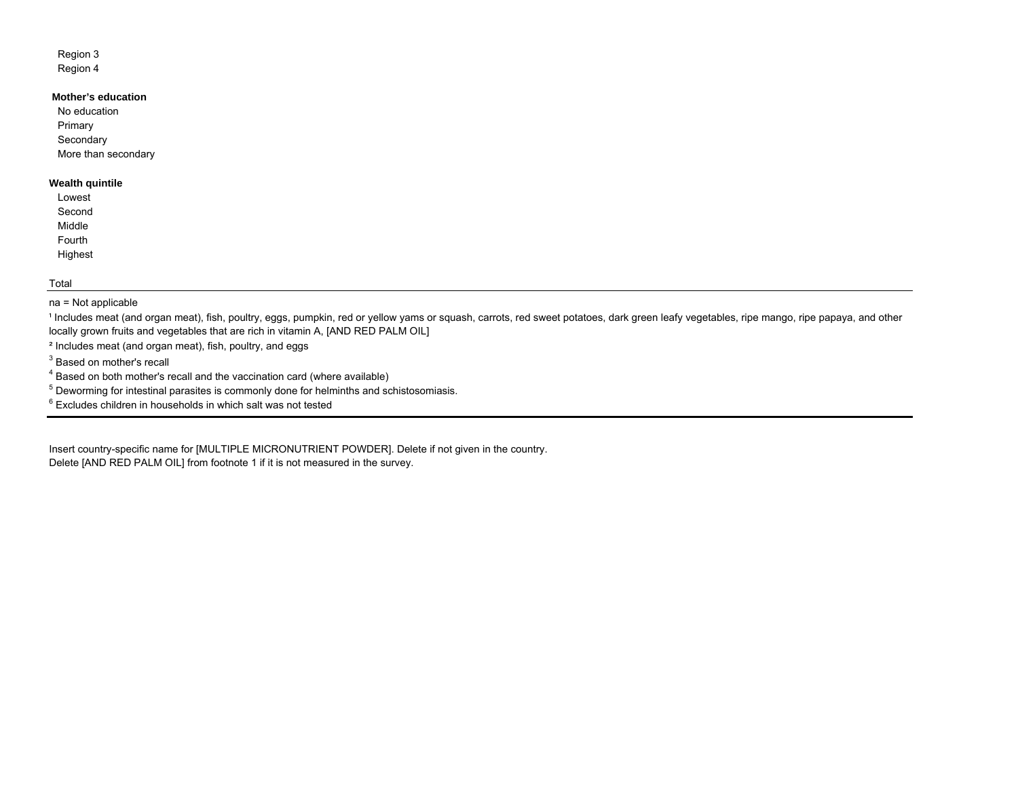## Region 3 Region 4

# **Mother's education**

No educationPrimary **Secondary** More than secondary

## **Wealth quintile**

| Lowest  |
|---------|
| Second  |
| Middle  |
| Fourth  |
| Highest |

#### Total

#### na = Not applicable

<sup>1</sup> Includes meat (and organ meat), fish, poultry, eggs, pumpkin, red or yellow yams or squash, carrots, red sweet potatoes, dark green leafy vegetables, ripe mango, ripe papaya, and other locally grown fruits and vegetables that are rich in vitamin A, [AND RED PALM OIL]

² Includes meat (and organ meat), fish, poultry, and eggs

<sup>3</sup> Based on mother's recall

4 Based on both mother's recall and the vaccination card (where available)

<sup>5</sup> Deworming for intestinal parasites is commonly done for helminths and schistosomiasis.

6 Excludes children in households in which salt was not tested

Delete [AND RED PALM OIL] from footnote 1 if it is not measured in the survey. Insert country-specific name for [MULTIPLE MICRONUTRIENT POWDER]. Delete if not given in the country.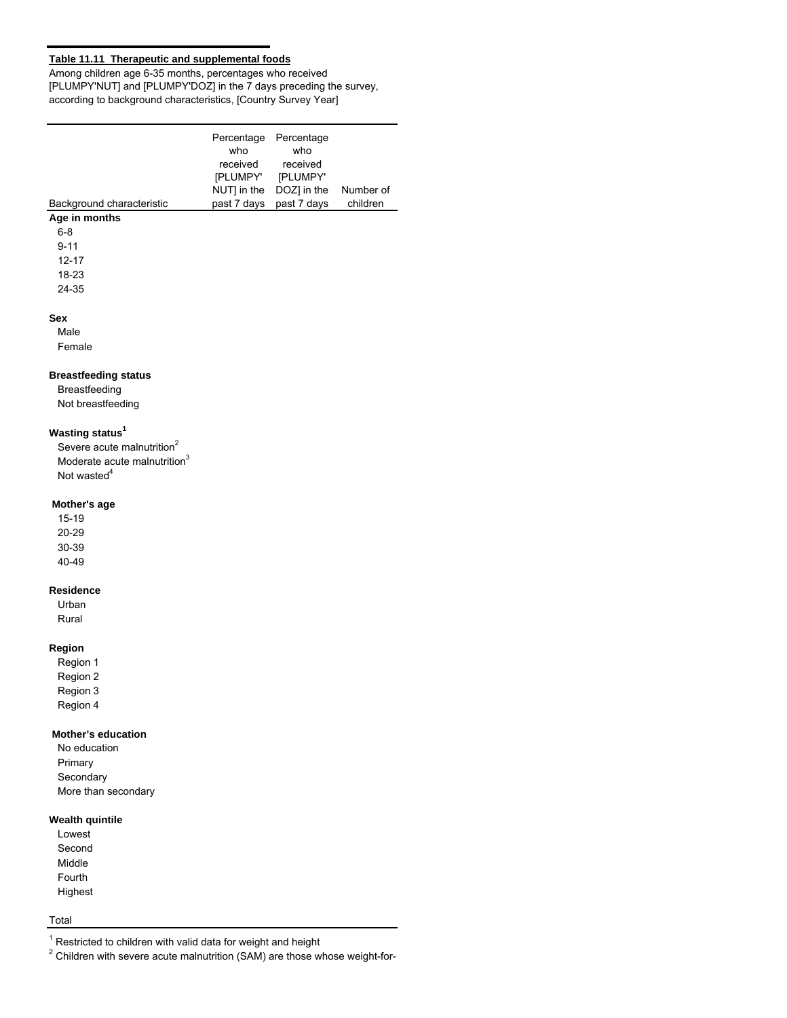## **Table 11.11 Therapeutic and supplemental foods**

Among children age 6-35 months, percentages who received [PLUMPY'NUT] and [PLUMPY'DOZ] in the 7 days preceding the survey, according to background characteristics, [Country Survey Year]

| Background characteristic   | Percentage<br>who<br>received<br>[PLUMPY'<br>NUT] in the<br>past 7 days | Percentage<br>who<br>received<br>[PLUMPY'<br>DOZ] in the<br>past 7 days | Number of<br>children |
|-----------------------------|-------------------------------------------------------------------------|-------------------------------------------------------------------------|-----------------------|
| Age in months               |                                                                         |                                                                         |                       |
| $6 - 8$                     |                                                                         |                                                                         |                       |
| $9 - 11$                    |                                                                         |                                                                         |                       |
| $12 - 17$                   |                                                                         |                                                                         |                       |
| 18-23                       |                                                                         |                                                                         |                       |
| 24-35                       |                                                                         |                                                                         |                       |
| <b>Sex</b>                  |                                                                         |                                                                         |                       |
| Male                        |                                                                         |                                                                         |                       |
| Female                      |                                                                         |                                                                         |                       |
| <b>Breastfeeding status</b> |                                                                         |                                                                         |                       |
| Breastfeeding               |                                                                         |                                                                         |                       |
| Not breastfeeding           |                                                                         |                                                                         |                       |

## **Wasting status<sup>1</sup>**

Severe acute malnutrition<sup>2</sup> Moderate acute malnutrition $3$ Not wasted<sup>4</sup>

#### **Mother's age**

15-19 20-29 30-39 40-49

#### **Residence**

Urban Rural

#### **Region**

Region 1 Region 2 Region 3 Region 4

#### **Mother's education**

No education Primary Secondary More than secondary

# **Wealth quintile**

Lowest Second Middle Fourth Highest

# Total

 $1$  Restricted to children with valid data for weight and height

 $2$  Children with severe acute malnutrition (SAM) are those whose weight-for-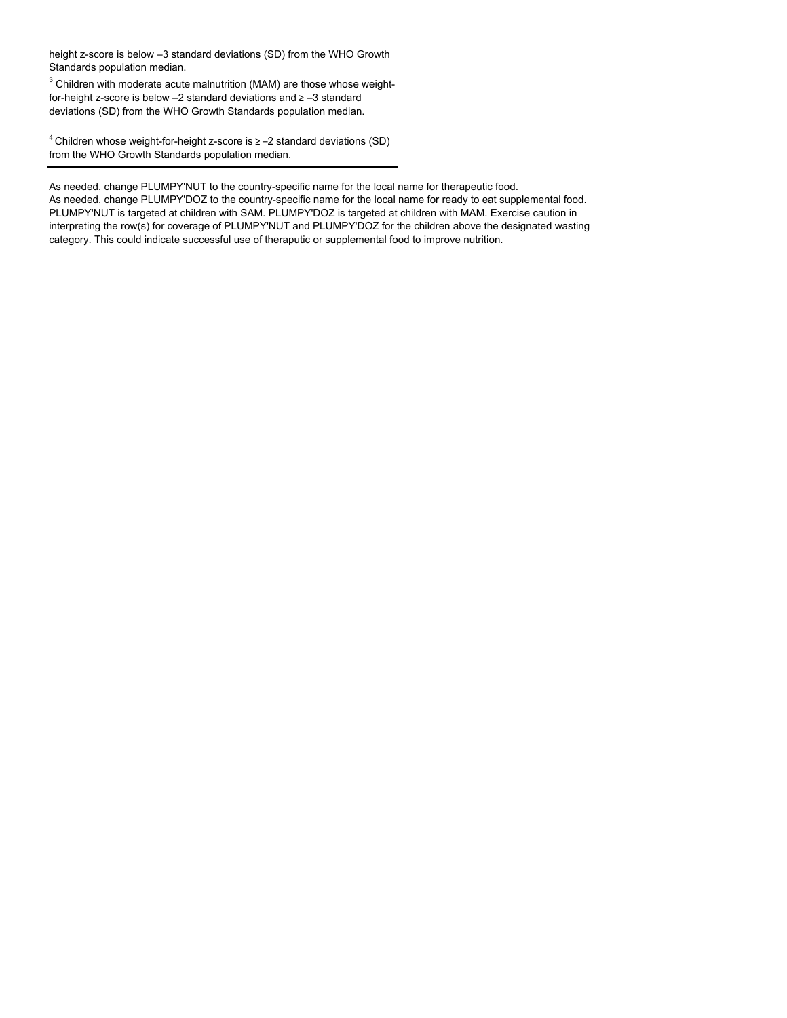height z-score is below –3 standard deviations (SD) from the WHO Growth Standards population median.

 $3$  Children with moderate acute malnutrition (MAM) are those whose weightfor-height z-score is below –2 standard deviations and ≥ –3 standard deviations (SD) from the WHO Growth Standards population median.

4 Children whose weight-for-height z-score is ≥ –2 standard deviations (SD) from the WHO Growth Standards population median.

As needed, change PLUMPY'NUT to the country-specific name for the local name for therapeutic food.

As needed, change PLUMPY'DOZ to the country-specific name for the local name for ready to eat supplemental food. PLUMPY'NUT is targeted at children with SAM. PLUMPY'DOZ is targeted at children with MAM. Exercise caution in interpreting the row(s) for coverage of PLUMPY'NUT and PLUMPY'DOZ for the children above the designated wasting category. This could indicate successful use of theraputic or supplemental food to improve nutrition.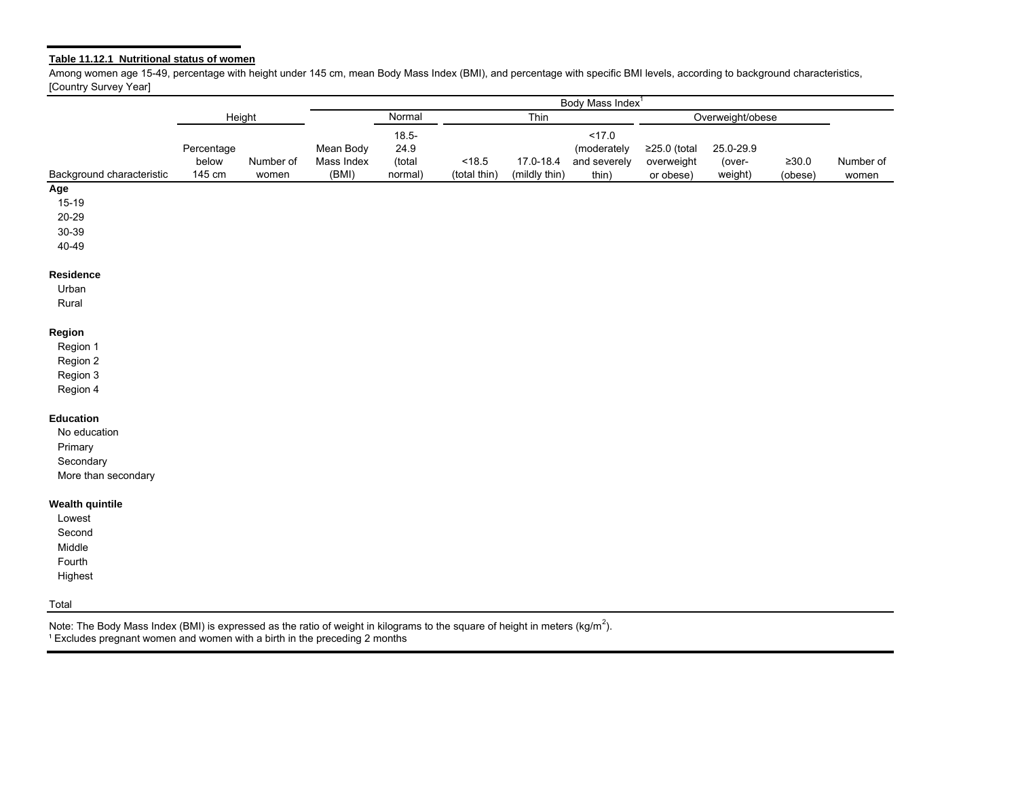#### **Table 11.12.1 Nutritional status of women**

Among women age 15-49, percentage with height under 145 cm, mean Body Mass Index (BMI), and percentage with specific BMI levels, according to background characteristics, [Country Survey Year]

|                           | Body Mass Index <sup>1</sup> |           |                |          |              |               |                  |              |           |             |           |
|---------------------------|------------------------------|-----------|----------------|----------|--------------|---------------|------------------|--------------|-----------|-------------|-----------|
|                           | Height                       |           | Normal<br>Thin |          |              |               | Overweight/obese |              |           |             |           |
|                           |                              |           |                | $18.5 -$ |              |               | 17.0             |              |           |             |           |
|                           | Percentage                   |           | Mean Body      | 24.9     |              |               | (moderately      | ≥25.0 (total | 25.0-29.9 |             |           |
|                           | below                        | Number of | Mass Index     | (total   | < 18.5       | 17.0-18.4     | and severely     | overweight   | (over-    | $\geq 30.0$ | Number of |
| Background characteristic | 145 cm                       | women     | (BMI)          | normal)  | (total thin) | (mildly thin) | thin)            | or obese)    | weight)   | (obese)     | women     |
| Age                       |                              |           |                |          |              |               |                  |              |           |             |           |
| $15-19$                   |                              |           |                |          |              |               |                  |              |           |             |           |
| $20 - 29$                 |                              |           |                |          |              |               |                  |              |           |             |           |
| 30-39                     |                              |           |                |          |              |               |                  |              |           |             |           |
| 40-49                     |                              |           |                |          |              |               |                  |              |           |             |           |
| Residence                 |                              |           |                |          |              |               |                  |              |           |             |           |
| Urban                     |                              |           |                |          |              |               |                  |              |           |             |           |
| Rural                     |                              |           |                |          |              |               |                  |              |           |             |           |
| Region                    |                              |           |                |          |              |               |                  |              |           |             |           |
| Region 1                  |                              |           |                |          |              |               |                  |              |           |             |           |
| Region 2                  |                              |           |                |          |              |               |                  |              |           |             |           |
| Region 3                  |                              |           |                |          |              |               |                  |              |           |             |           |
| Region 4                  |                              |           |                |          |              |               |                  |              |           |             |           |
| <b>Education</b>          |                              |           |                |          |              |               |                  |              |           |             |           |
| No education              |                              |           |                |          |              |               |                  |              |           |             |           |
| Primary                   |                              |           |                |          |              |               |                  |              |           |             |           |
| Secondary                 |                              |           |                |          |              |               |                  |              |           |             |           |
| More than secondary       |                              |           |                |          |              |               |                  |              |           |             |           |
| <b>Wealth quintile</b>    |                              |           |                |          |              |               |                  |              |           |             |           |
| Lowest                    |                              |           |                |          |              |               |                  |              |           |             |           |
| Second                    |                              |           |                |          |              |               |                  |              |           |             |           |
| Middle                    |                              |           |                |          |              |               |                  |              |           |             |           |
| Fourth                    |                              |           |                |          |              |               |                  |              |           |             |           |
| Highest                   |                              |           |                |          |              |               |                  |              |           |             |           |
| Total                     |                              |           |                |          |              |               |                  |              |           |             |           |

<sup>1</sup> Excludes pregnant women and women with a birth in the preceding 2 months Note: The Body Mass Index (BMI) is expressed as the ratio of weight in kilograms to the square of height in meters (kg/m<sup>2</sup>).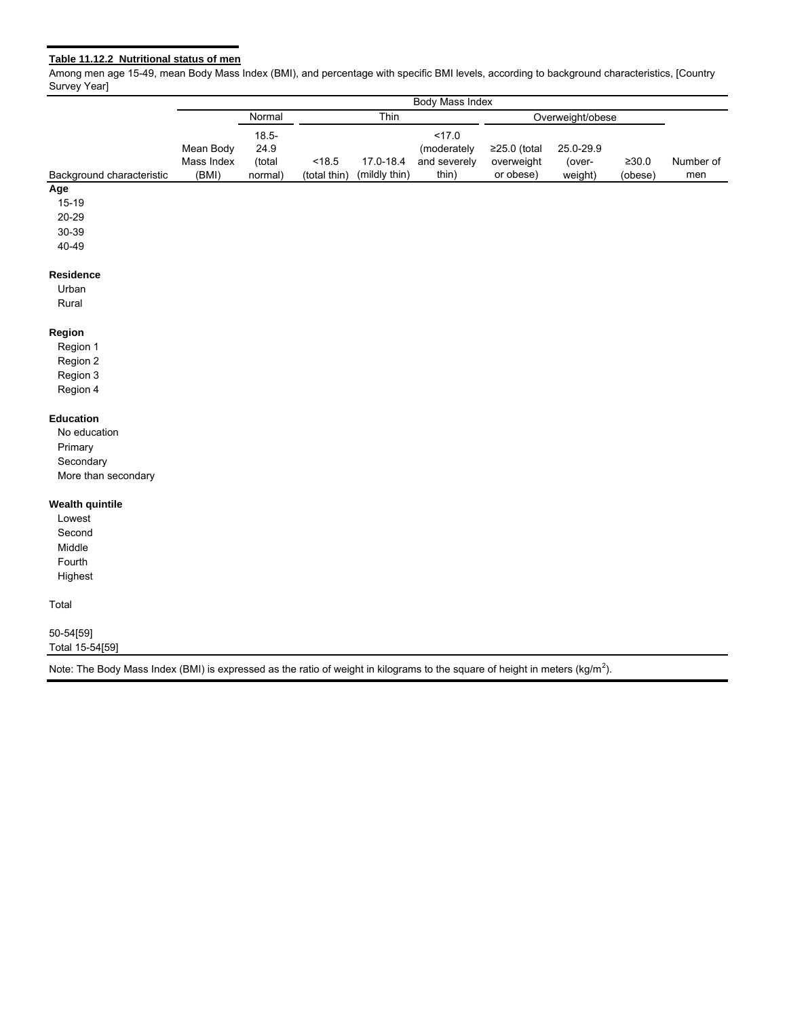# **Table 11.12.2 Nutritional status of men**

Among men age 15-49, mean Body Mass Index (BMI), and percentage with specific BMI levels, according to background characteristics, [Country Survey Year]

|                           | Body Mass Index |          |              |               |              |                  |           |             |           |
|---------------------------|-----------------|----------|--------------|---------------|--------------|------------------|-----------|-------------|-----------|
|                           |                 | Normal   | Thin         |               |              | Overweight/obese |           |             |           |
|                           |                 | $18.5 -$ |              |               | 17.0         |                  |           |             |           |
|                           | Mean Body       | 24.9     |              |               | (moderately  | $≥25.0$ (total   | 25.0-29.9 |             |           |
|                           | Mass Index      | (total   | < 18.5       | 17.0-18.4     | and severely | overweight       | (over-    | $\geq 30.0$ | Number of |
| Background characteristic | (BMI)           | normal)  | (total thin) | (mildly thin) | thin)        | or obese)        | weight)   | (obese)     | men       |
| Age                       |                 |          |              |               |              |                  |           |             |           |
| $15 - 19$                 |                 |          |              |               |              |                  |           |             |           |
| $20 - 29$                 |                 |          |              |               |              |                  |           |             |           |
| 30-39                     |                 |          |              |               |              |                  |           |             |           |
| 40-49                     |                 |          |              |               |              |                  |           |             |           |
| Residence                 |                 |          |              |               |              |                  |           |             |           |
| Urban                     |                 |          |              |               |              |                  |           |             |           |
| Rural                     |                 |          |              |               |              |                  |           |             |           |
| Region                    |                 |          |              |               |              |                  |           |             |           |
| Region 1                  |                 |          |              |               |              |                  |           |             |           |
| Region 2                  |                 |          |              |               |              |                  |           |             |           |
| Region 3                  |                 |          |              |               |              |                  |           |             |           |
| Region 4                  |                 |          |              |               |              |                  |           |             |           |
| <b>Education</b>          |                 |          |              |               |              |                  |           |             |           |
| No education              |                 |          |              |               |              |                  |           |             |           |
| Primary                   |                 |          |              |               |              |                  |           |             |           |
| Secondary                 |                 |          |              |               |              |                  |           |             |           |
| More than secondary       |                 |          |              |               |              |                  |           |             |           |
| <b>Wealth quintile</b>    |                 |          |              |               |              |                  |           |             |           |
| Lowest                    |                 |          |              |               |              |                  |           |             |           |
| Second                    |                 |          |              |               |              |                  |           |             |           |
| Middle                    |                 |          |              |               |              |                  |           |             |           |
| Fourth                    |                 |          |              |               |              |                  |           |             |           |
| Highest                   |                 |          |              |               |              |                  |           |             |           |
| Total                     |                 |          |              |               |              |                  |           |             |           |
| 50-54[59]                 |                 |          |              |               |              |                  |           |             |           |
| Total 15-54[59]           |                 |          |              |               |              |                  |           |             |           |

Note: The Body Mass Index (BMI) is expressed as the ratio of weight in kilograms to the square of height in meters (kg/m<sup>2</sup>).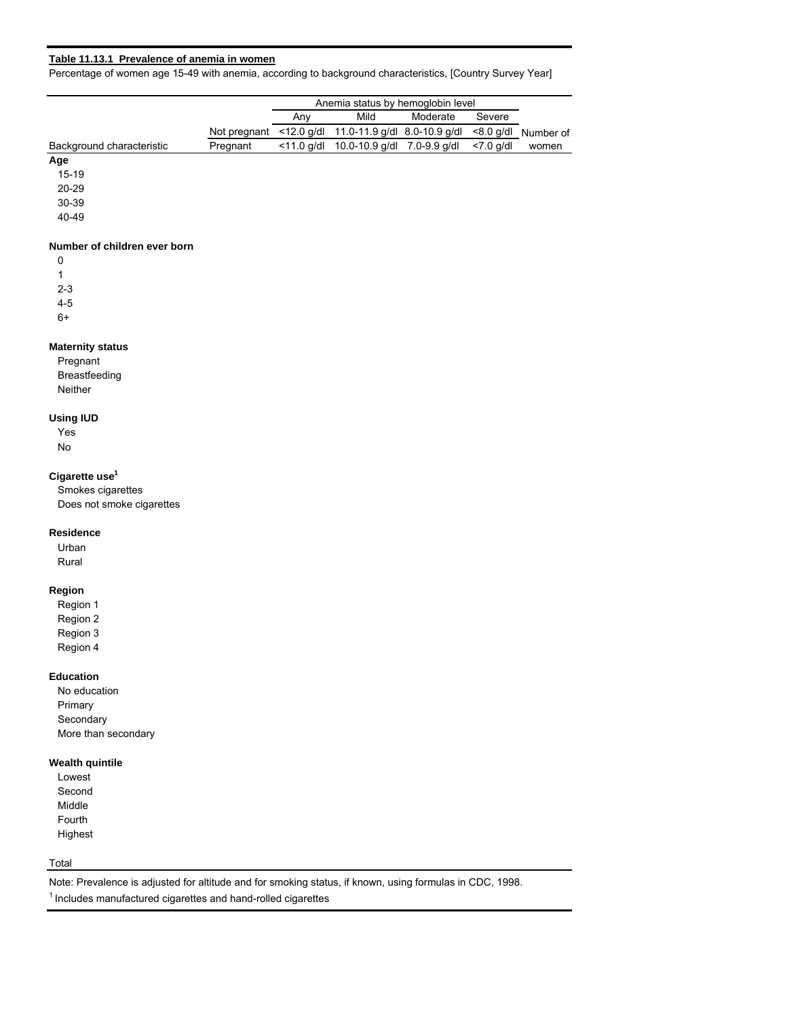## **Table 11.13.1 Prevalence of anemia in women**

Percentage of women age 15-49 with anemia, according to background characteristics, [Country Survey Year]

|                           |              | Anemia status by hemoglobin level |                                                             |  |              |       |  |  |
|---------------------------|--------------|-----------------------------------|-------------------------------------------------------------|--|--------------|-------|--|--|
|                           |              | Anv                               | Mild<br>Moderate<br>Severe                                  |  |              |       |  |  |
|                           | Not pregnant |                                   | <12.0 g/dl 11.0-11.9 g/dl 8.0-10.9 g/dl <8.0 g/dl Number of |  |              |       |  |  |
| Background characteristic | Pregnant     | $<$ 11.0 g/dl                     | 10.0-10.9 g/dl 7.0-9.9 g/dl                                 |  | $< 7.0$ a/dl | women |  |  |
| Age                       |              |                                   |                                                             |  |              |       |  |  |
| $15 - 19$                 |              |                                   |                                                             |  |              |       |  |  |

20-29

30-39

40-49

## **Number of children ever born**

0 1 2-3

4-5

6+

## **Maternity status**

Pregnant Breastfeeding Neither

## **Using IUD**

Yes No

## **Cigarette use1**

Smokes cigarettes Does not smoke cigarettes

#### **Residence**

Urban Rural

## **Region**

Region 1 Region 2 Region 3 Region 4

#### **Education**

No education Primary **Secondary** More than secondary

## **Wealth quintile**

Lowest Second Middle Fourth Highest

## Total

Note: Prevalence is adjusted for altitude and for smoking status, if known, using formulas in CDC, 1998.

 $1$ Includes manufactured cigarettes and hand-rolled cigarettes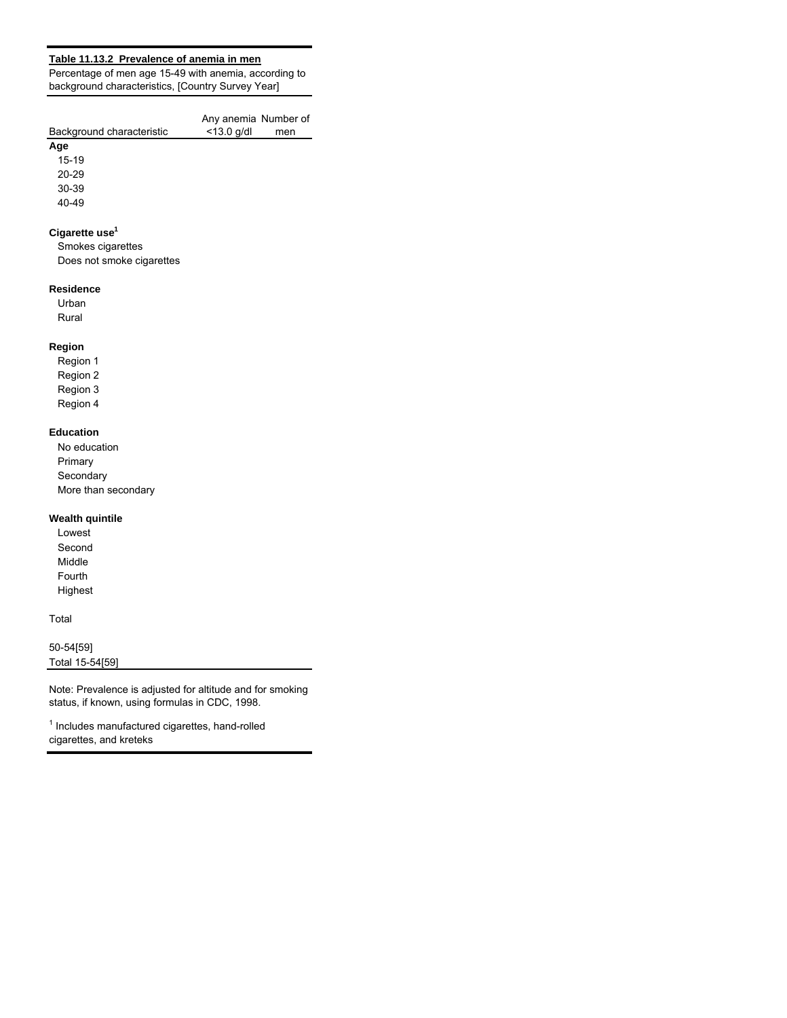## **Table 11.13.2 Prevalence of anemia in men**

Percentage of men age 15-49 with anemia, according to background characteristics, [Country Survey Year]

| Background characteristic | Any anemia Number of<br>$<$ 13.0 a/dl | men |
|---------------------------|---------------------------------------|-----|
| Age                       |                                       |     |

15-19 20-29

30-39 40-49

# **Cigarette use1**

Smokes cigarettes Does not smoke cigarettes

## **Residence**

Urban Rural

# **Region**

Region 1 Region 2 Region 3 Region 4

## **Education**

No education Primary **Secondary** More than secondary

## **Wealth quintile**

Lowest Second Middle Fourth Highest

## Total

50-54[59] Total 15-54[59]

Note: Prevalence is adjusted for altitude and for smoking status, if known, using formulas in CDC, 1998.

<sup>1</sup> Includes manufactured cigarettes, hand-rolled cigarettes, and kreteks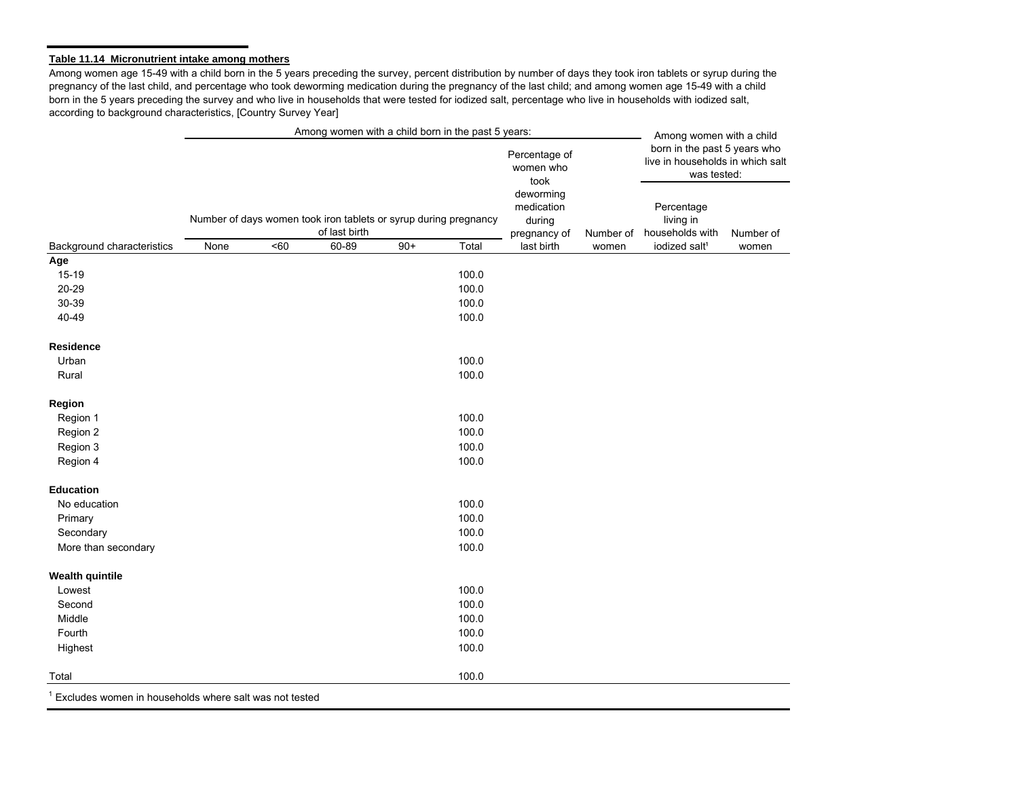## **Table 11.14 Micronutrient intake among mothers**

Among women age 15-49 with a child born in the 5 years preceding the survey, percent distribution by number of days they took iron tablets or syrup during the pregnancy of the last child, and percentage who took deworming medication during the pregnancy of the last child; and among women age 15-49 with a child born in the 5 years preceding the survey and who live in households that were tested for iodized salt, percentage who live in households with iodized salt, according to background characteristics, [Country Survey Year]

|                                                        |      |     | Among women with a child born in the past 5 years:                                |       |       |                                                   |           | Among women with a child                                                        |           |
|--------------------------------------------------------|------|-----|-----------------------------------------------------------------------------------|-------|-------|---------------------------------------------------|-----------|---------------------------------------------------------------------------------|-----------|
|                                                        |      |     |                                                                                   |       |       | Percentage of<br>women who<br>took                |           | born in the past 5 years who<br>live in households in which salt<br>was tested: |           |
|                                                        |      |     | Number of days women took iron tablets or syrup during pregnancy<br>of last birth |       |       | deworming<br>medication<br>during<br>pregnancy of | Number of | Percentage<br>living in<br>households with                                      | Number of |
| Background characteristics                             | None | <60 | 60-89                                                                             | $90+$ | Total | last birth                                        | women     | iodized salt <sup>1</sup>                                                       | women     |
| Age                                                    |      |     |                                                                                   |       |       |                                                   |           |                                                                                 |           |
| $15-19$                                                |      |     |                                                                                   |       | 100.0 |                                                   |           |                                                                                 |           |
| 20-29                                                  |      |     |                                                                                   |       | 100.0 |                                                   |           |                                                                                 |           |
| 30-39                                                  |      |     |                                                                                   |       | 100.0 |                                                   |           |                                                                                 |           |
| 40-49                                                  |      |     |                                                                                   |       | 100.0 |                                                   |           |                                                                                 |           |
| <b>Residence</b>                                       |      |     |                                                                                   |       |       |                                                   |           |                                                                                 |           |
| Urban                                                  |      |     |                                                                                   |       | 100.0 |                                                   |           |                                                                                 |           |
| Rural                                                  |      |     |                                                                                   |       | 100.0 |                                                   |           |                                                                                 |           |
| Region                                                 |      |     |                                                                                   |       |       |                                                   |           |                                                                                 |           |
| Region 1                                               |      |     |                                                                                   |       | 100.0 |                                                   |           |                                                                                 |           |
| Region 2                                               |      |     |                                                                                   |       | 100.0 |                                                   |           |                                                                                 |           |
| Region 3                                               |      |     |                                                                                   |       | 100.0 |                                                   |           |                                                                                 |           |
| Region 4                                               |      |     |                                                                                   |       | 100.0 |                                                   |           |                                                                                 |           |
| <b>Education</b>                                       |      |     |                                                                                   |       |       |                                                   |           |                                                                                 |           |
| No education                                           |      |     |                                                                                   |       | 100.0 |                                                   |           |                                                                                 |           |
| Primary                                                |      |     |                                                                                   |       | 100.0 |                                                   |           |                                                                                 |           |
| Secondary                                              |      |     |                                                                                   |       | 100.0 |                                                   |           |                                                                                 |           |
| More than secondary                                    |      |     |                                                                                   |       | 100.0 |                                                   |           |                                                                                 |           |
| <b>Wealth quintile</b>                                 |      |     |                                                                                   |       |       |                                                   |           |                                                                                 |           |
| Lowest                                                 |      |     |                                                                                   |       | 100.0 |                                                   |           |                                                                                 |           |
| Second                                                 |      |     |                                                                                   |       | 100.0 |                                                   |           |                                                                                 |           |
| Middle                                                 |      |     |                                                                                   |       | 100.0 |                                                   |           |                                                                                 |           |
| Fourth                                                 |      |     |                                                                                   |       | 100.0 |                                                   |           |                                                                                 |           |
| Highest                                                |      |     |                                                                                   |       | 100.0 |                                                   |           |                                                                                 |           |
| Total                                                  |      |     |                                                                                   |       | 100.0 |                                                   |           |                                                                                 |           |
| Excludes women in households where salt was not tested |      |     |                                                                                   |       |       |                                                   |           |                                                                                 |           |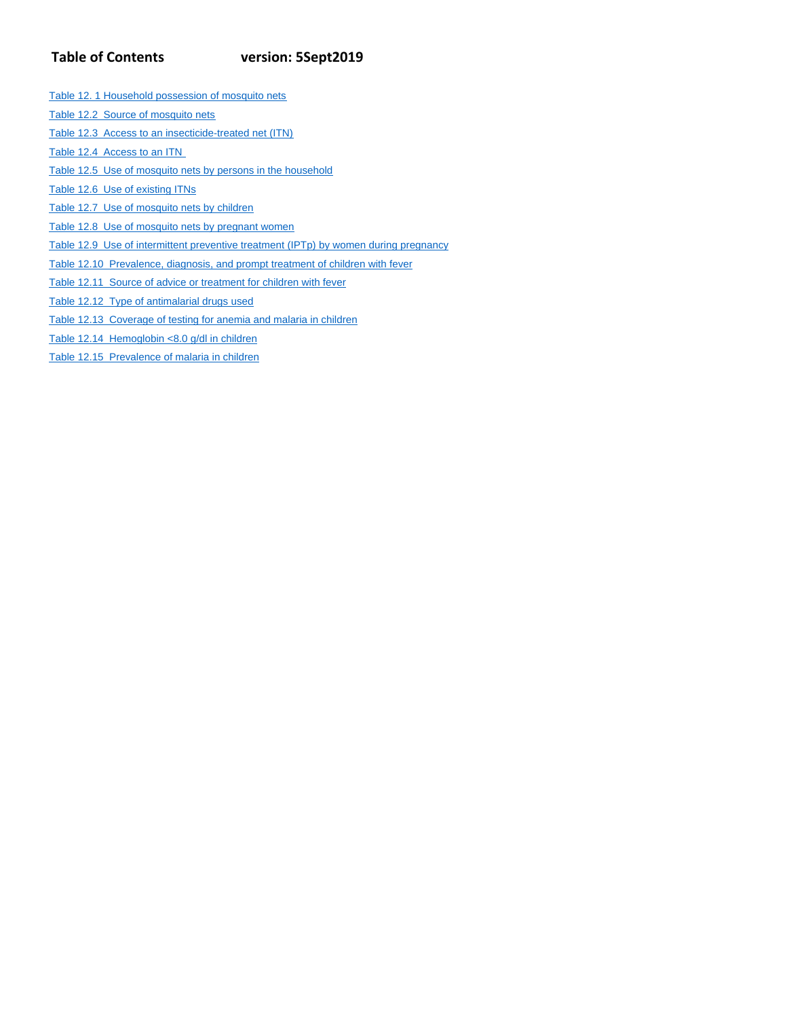# **Table of Contents version: 5Sept2019**

- Table 12. 1 Household possession of mosquito nets
- Table 12.2 Source of mosquito nets
- Table 12.3 Access to an insecticide-treated net (ITN)
- Table 12.4 Access to an ITN
- Table 12.5 Use of mosquito nets by persons in the household
- Table 12.6 Use of existing ITNs
- Table 12.7 Use of mosquito nets by children
- Table 12.8 Use of mosquito nets by pregnant women
- Table 12.9 Use of intermittent preventive treatment (IPTp) by women during pregnancy
- Table 12.10 Prevalence, diagnosis, and prompt treatment of children with fever
- Table 12.11 Source of advice or treatment for children with fever
- Table 12.12 Type of antimalarial drugs used
- Table 12.13 Coverage of testing for anemia and malaria in children
- Table 12.14 Hemoglobin <8.0 g/dl in children
- Table 12.15 Prevalence of malaria in children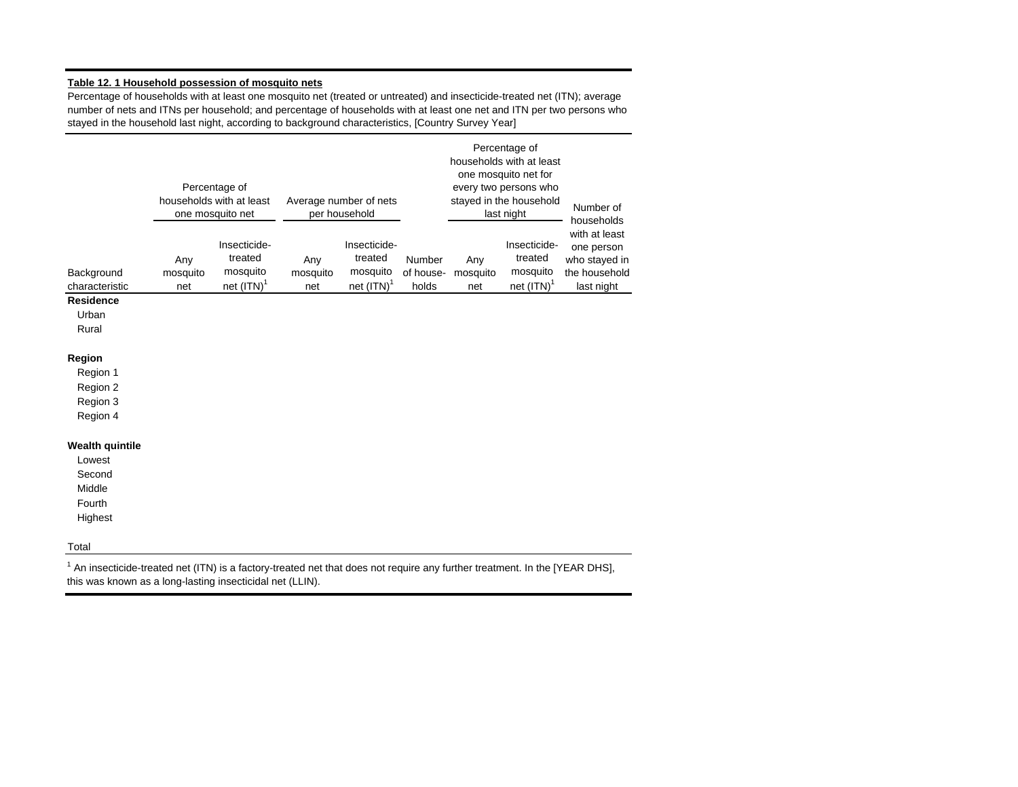# **Table 12. 1 Household possession of mosquito nets**

Percentage of households with at least one mosquito net (treated or untreated) and insecticide-treated net (ITN); average number of nets and ITNs per household; and percentage of households with at least one net and ITN per two persons who stayed in the household last night, according to background characteristics, [Country Survey Year]

|                              |                        | Percentage of<br>households with at least<br>one mosquito net |                        | Average number of nets<br>per household              |                              |                        | Percentage of<br>households with at least<br>one mosquito net for<br>every two persons who<br>stayed in the household<br>last night | Number of<br>households                                                     |
|------------------------------|------------------------|---------------------------------------------------------------|------------------------|------------------------------------------------------|------------------------------|------------------------|-------------------------------------------------------------------------------------------------------------------------------------|-----------------------------------------------------------------------------|
| Background<br>characteristic | Any<br>mosquito<br>net | Insecticide-<br>treated<br>mosquito<br>net $(ITN)^T$          | Any<br>mosquito<br>net | Insecticide-<br>treated<br>mosquito<br>net $(ITN)^T$ | Number<br>of house-<br>holds | Any<br>mosquito<br>net | Insecticide-<br>treated<br>mosquito<br>net $(ITN)^T$                                                                                | with at least<br>one person<br>who stayed in<br>the household<br>last night |
| Residence<br>Urban<br>Rural  |                        |                                                               |                        |                                                      |                              |                        |                                                                                                                                     |                                                                             |

# **Region**

Region 1 Region 2

Region 3

Region 4

## **Wealth quintile**

| Lowest  |  |
|---------|--|
| Second  |  |
| Middle  |  |
| Fourth  |  |
| Highest |  |

### Total

 $1$  An insecticide-treated net (ITN) is a factory-treated net that does not require any further treatment. In the [YEAR DHS], this was known as a long-lasting insecticidal net (LLIN).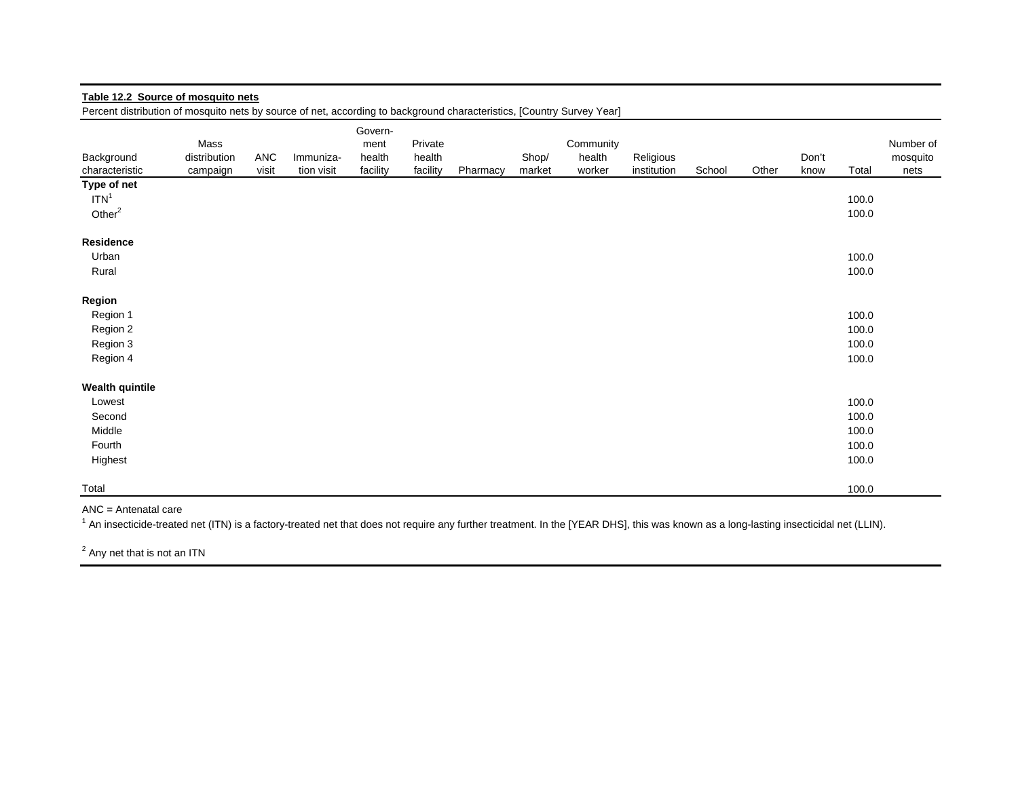| Table 12.2 Source of mosquito nets                                                                                     |                                  |              |                         |                                       |                               |          |                 |                               |                          |        |       |               |                                           |                               |
|------------------------------------------------------------------------------------------------------------------------|----------------------------------|--------------|-------------------------|---------------------------------------|-------------------------------|----------|-----------------|-------------------------------|--------------------------|--------|-------|---------------|-------------------------------------------|-------------------------------|
| Percent distribution of mosquito nets by source of net, according to background characteristics, [Country Survey Year] |                                  |              |                         |                                       |                               |          |                 |                               |                          |        |       |               |                                           |                               |
| Background<br>characteristic                                                                                           | Mass<br>distribution<br>campaign | ANC<br>visit | Immuniza-<br>tion visit | Govern-<br>ment<br>health<br>facility | Private<br>health<br>facility | Pharmacy | Shop/<br>market | Community<br>health<br>worker | Religious<br>institution | School | Other | Don't<br>know | Total                                     | Number of<br>mosquito<br>nets |
| Type of net<br>ITN <sup>1</sup><br>Other $2$                                                                           |                                  |              |                         |                                       |                               |          |                 |                               |                          |        |       |               | 100.0<br>100.0                            |                               |
| <b>Residence</b><br>Urban<br>Rural                                                                                     |                                  |              |                         |                                       |                               |          |                 |                               |                          |        |       |               | 100.0<br>100.0                            |                               |
| Region<br>Region 1<br>Region 2<br>Region 3<br>Region 4                                                                 |                                  |              |                         |                                       |                               |          |                 |                               |                          |        |       |               | 100.0<br>100.0<br>100.0<br>100.0          |                               |
| <b>Wealth quintile</b><br>Lowest<br>Second<br>Middle<br>Fourth<br>Highest                                              |                                  |              |                         |                                       |                               |          |                 |                               |                          |        |       |               | 100.0<br>100.0<br>100.0<br>100.0<br>100.0 |                               |
| Total                                                                                                                  |                                  |              |                         |                                       |                               |          |                 |                               |                          |        |       |               | 100.0                                     |                               |

ANC = Antenatal care

<sup>1</sup> An insecticide-treated net (ITN) is a factory-treated net that does not require any further treatment. In the [YEAR DHS], this was known as a long-lasting insecticidal net (LLIN).

<sup>2</sup> Any net that is not an ITN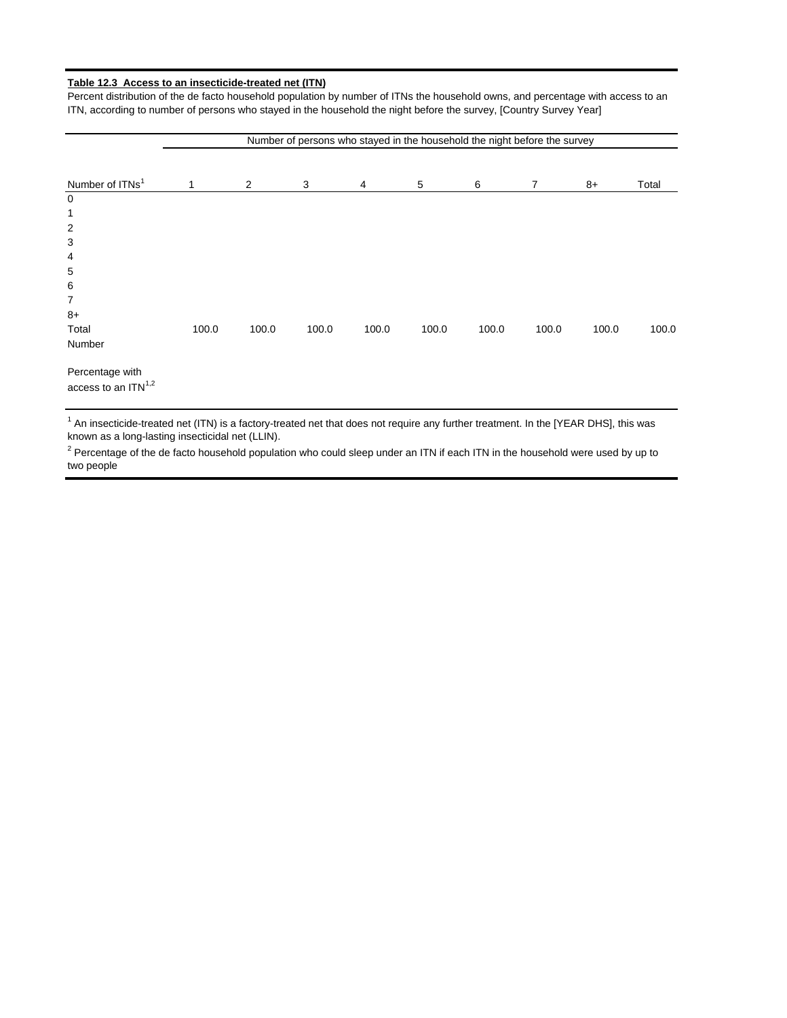## **Table 12.3 Access to an insecticide-treated net (ITN)**

Percent distribution of the de facto household population by number of ITNs the household owns, and percentage with access to an ITN, according to number of persons who stayed in the household the night before the survey, [Country Survey Year]

| Number of persons who stayed in the household the night before the survey |       |       |       |       |       |       |                |       |       |
|---------------------------------------------------------------------------|-------|-------|-------|-------|-------|-------|----------------|-------|-------|
|                                                                           |       |       |       |       |       |       |                |       |       |
| Number of ITNs <sup>1</sup>                                               | 1     | 2     | 3     | 4     | 5     | 6     | $\overline{7}$ | 8+    | Total |
| 0                                                                         |       |       |       |       |       |       |                |       |       |
| 1                                                                         |       |       |       |       |       |       |                |       |       |
| $\boldsymbol{2}$                                                          |       |       |       |       |       |       |                |       |       |
| 3                                                                         |       |       |       |       |       |       |                |       |       |
| 4                                                                         |       |       |       |       |       |       |                |       |       |
| $\mathbf 5$                                                               |       |       |       |       |       |       |                |       |       |
| 6                                                                         |       |       |       |       |       |       |                |       |       |
| 7                                                                         |       |       |       |       |       |       |                |       |       |
| $8+$                                                                      |       |       |       |       |       |       |                |       |       |
| Total                                                                     | 100.0 | 100.0 | 100.0 | 100.0 | 100.0 | 100.0 | 100.0          | 100.0 | 100.0 |
| Number                                                                    |       |       |       |       |       |       |                |       |       |
| Percentage with<br>access to an ITN <sup>1,2</sup>                        |       |       |       |       |       |       |                |       |       |

<sup>1</sup> An insecticide-treated net (ITN) is a factory-treated net that does not require any further treatment. In the [YEAR DHS], this was known as a long-lasting insecticidal net (LLIN).

 $^2$  Percentage of the de facto household population who could sleep under an ITN if each ITN in the household were used by up to two people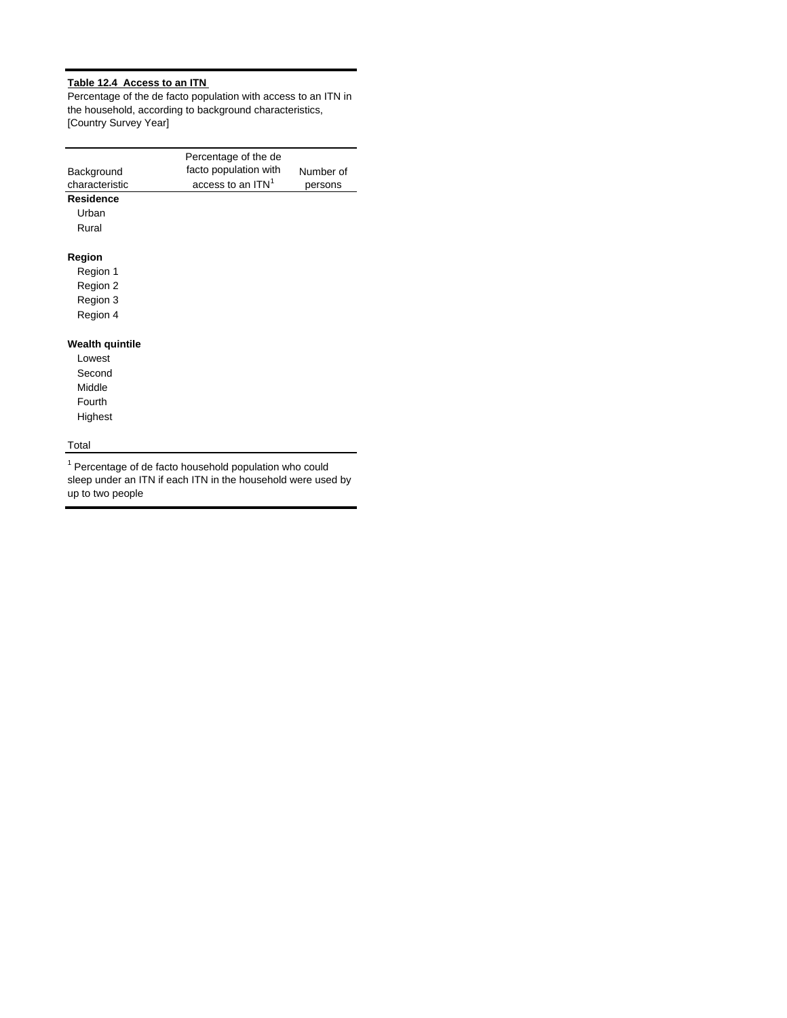# **Table 12.4 Access to an ITN**

Percentage of the de facto population with access to an ITN in the household, according to background characteristics, [Country Survey Year]

|                 | Percentage of the de          |           |
|-----------------|-------------------------------|-----------|
| Background      | facto population with         | Number of |
| characteristic  | access to an ITN <sup>1</sup> | persons   |
| Residence       |                               |           |
| Urban           |                               |           |
| Rural           |                               |           |
| Region          |                               |           |
| Region 1        |                               |           |
| Region 2        |                               |           |
| Region 3        |                               |           |
| Region 4        |                               |           |
| Wealth quintile |                               |           |
| Lowest          |                               |           |
| Second          |                               |           |
| Middle          |                               |           |
| Fourth          |                               |           |
| Highest         |                               |           |
| Total           |                               |           |

<sup>1</sup> Percentage of de facto household population who could sleep under an ITN if each ITN in the household were used by up to two people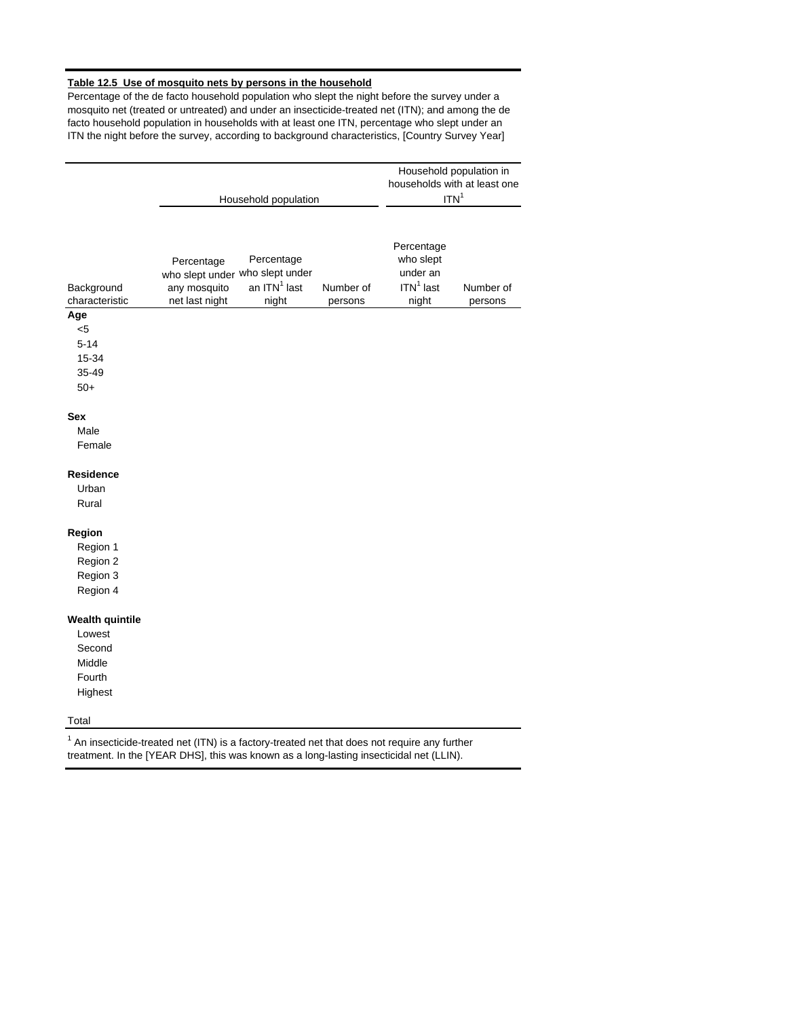# **Table 12.5 Use of mosquito nets by persons in the household**

Percentage of the de facto household population who slept the night before the survey under a mosquito net (treated or untreated) and under an insecticide-treated net (ITN); and among the de facto household population in households with at least one ITN, percentage who slept under an ITN the night before the survey, according to background characteristics, [Country Survey Year]

|                                                                           | Household population                                                                                                               |                      | Household population in<br>households with at least one<br>ITN <sup>1</sup> |                      |
|---------------------------------------------------------------------------|------------------------------------------------------------------------------------------------------------------------------------|----------------------|-----------------------------------------------------------------------------|----------------------|
| Background<br>characteristic                                              | Percentage<br>Percentage<br>who slept under who slept under<br>an ITN <sup>1</sup> last<br>any mosquito<br>net last night<br>night | Number of<br>persons | Percentage<br>who slept<br>under an<br>$ITN1$ last<br>night                 | Number of<br>persons |
| Age<br>$5$<br>$5 - 14$<br>15-34<br>35-49<br>$50+$                         |                                                                                                                                    |                      |                                                                             |                      |
| <b>Sex</b><br>Male<br>Female                                              |                                                                                                                                    |                      |                                                                             |                      |
| <b>Residence</b><br>Urban<br>Rural                                        |                                                                                                                                    |                      |                                                                             |                      |
| Region<br>Region 1<br>Region 2<br>Region 3<br>Region 4                    |                                                                                                                                    |                      |                                                                             |                      |
| <b>Wealth quintile</b><br>Lowest<br>Second<br>Middle<br>Fourth<br>Highest |                                                                                                                                    |                      |                                                                             |                      |
| Total                                                                     |                                                                                                                                    |                      |                                                                             |                      |

 $1$  An insecticide-treated net (ITN) is a factory-treated net that does not require any further treatment. In the [YEAR DHS], this was known as a long-lasting insecticidal net (LLIN).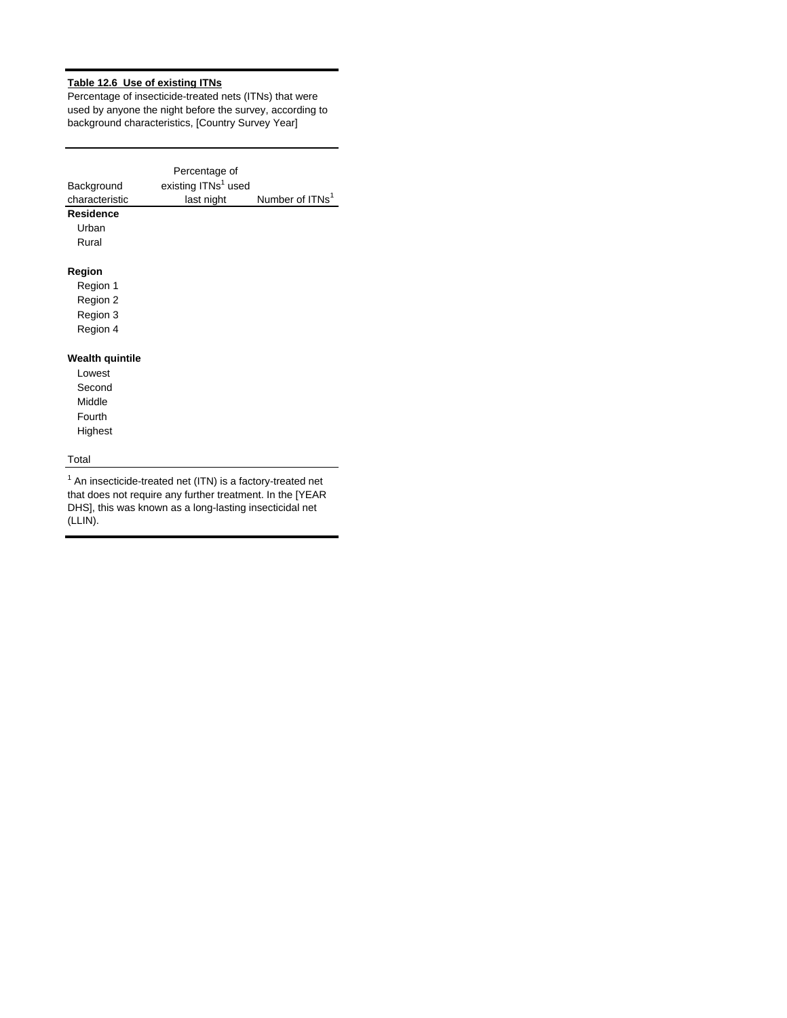# **Table 12.6 Use of existing ITNs**

Percentage of insecticide-treated nets (ITNs) that were used by anyone the night before the survey, according to background characteristics, [Country Survey Year]

| Background<br>characteristic<br>Residence<br>Urban                 | Percentage of<br>existing ITNs <sup>1</sup> used<br>last night | Number of ITNs <sup>1</sup> |  |
|--------------------------------------------------------------------|----------------------------------------------------------------|-----------------------------|--|
| Rural                                                              |                                                                |                             |  |
| Region<br>Region 1                                                 |                                                                |                             |  |
| Region 2                                                           |                                                                |                             |  |
| Region 3                                                           |                                                                |                             |  |
| Region 4                                                           |                                                                |                             |  |
| Wealth quintile<br>Lowest<br>Second<br>Middle<br>Fourth<br>Highest |                                                                |                             |  |
| Total                                                              |                                                                |                             |  |

 $1$  An insecticide-treated net (ITN) is a factory-treated net that does not require any further treatment. In the [YEAR DHS], this was known as a long-lasting insecticidal net (LLIN).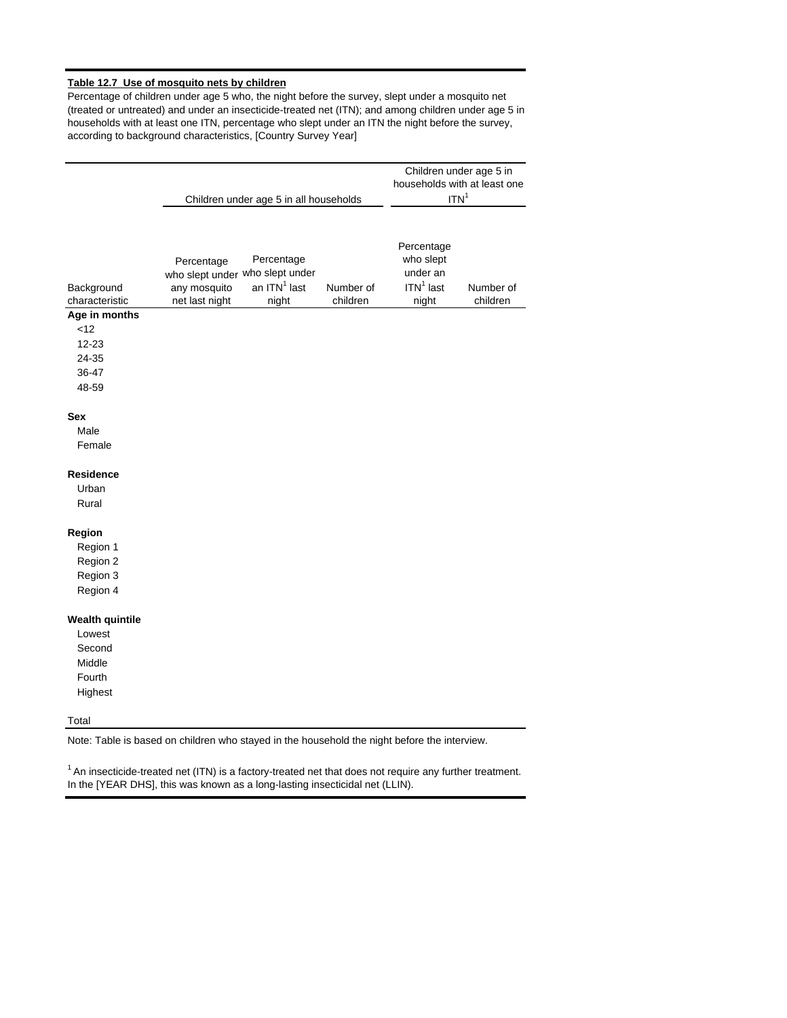## **Table 12.7 Use of mosquito nets by children**

Percentage of children under age 5 who, the night before the survey, slept under a mosquito net (treated or untreated) and under an insecticide-treated net (ITN); and among children under age 5 in households with at least one ITN, percentage who slept under an ITN the night before the survey, according to background characteristics, [Country Survey Year]

|                                                                           |                                                                                 | Children under age 5 in all households | Children under age 5 in<br>households with at least one<br>ITN <sup>1</sup> |                                                             |                       |
|---------------------------------------------------------------------------|---------------------------------------------------------------------------------|----------------------------------------|-----------------------------------------------------------------------------|-------------------------------------------------------------|-----------------------|
| Background<br>characteristic                                              | Percentage<br>who slept under who slept under<br>any mosquito<br>net last night | Percentage<br>an $ITN1$ last<br>night  | Number of<br>children                                                       | Percentage<br>who slept<br>under an<br>$ITN1$ last<br>night | Number of<br>children |
| Age in months<br>12<br>$12 - 23$<br>24-35<br>36-47<br>48-59               |                                                                                 |                                        |                                                                             |                                                             |                       |
| <b>Sex</b><br>Male<br>Female                                              |                                                                                 |                                        |                                                                             |                                                             |                       |
| <b>Residence</b><br>Urban<br>Rural                                        |                                                                                 |                                        |                                                                             |                                                             |                       |
| Region<br>Region 1<br>Region 2<br>Region 3<br>Region 4                    |                                                                                 |                                        |                                                                             |                                                             |                       |
| <b>Wealth quintile</b><br>Lowest<br>Second<br>Middle<br>Fourth<br>Highest |                                                                                 |                                        |                                                                             |                                                             |                       |
| Total                                                                     |                                                                                 |                                        |                                                                             |                                                             |                       |

Note: Table is based on children who stayed in the household the night before the interview.

 $1$  An insecticide-treated net (ITN) is a factory-treated net that does not require any further treatment. In the [YEAR DHS], this was known as a long-lasting insecticidal net (LLIN).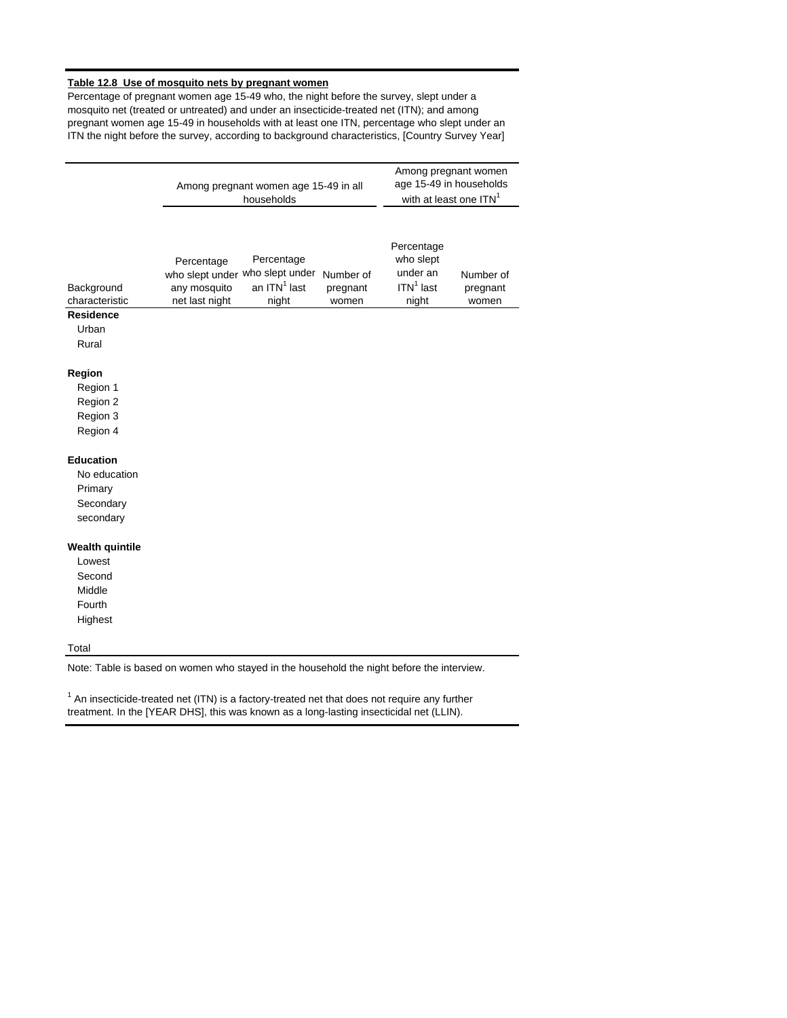## **Table 12.8 Use of mosquito nets by pregnant women**

Percentage of pregnant women age 15-49 who, the night before the survey, slept under a mosquito net (treated or untreated) and under an insecticide-treated net (ITN); and among pregnant women age 15-49 in households with at least one ITN, percentage who slept under an ITN the night before the survey, according to background characteristics, [Country Survey Year]

|                                                                                    |                                                                                 | Among pregnant women age 15-49 in all<br>households | Among pregnant women<br>age 15-49 in households<br>with at least one ITN <sup>1</sup> |                                                             |                                |
|------------------------------------------------------------------------------------|---------------------------------------------------------------------------------|-----------------------------------------------------|---------------------------------------------------------------------------------------|-------------------------------------------------------------|--------------------------------|
| Background<br>characteristic<br><b>Residence</b><br>Urban<br>Rural                 | Percentage<br>who slept under who slept under<br>any mosquito<br>net last night | Percentage<br>an $ITN1$ last<br>night               | Number of<br>pregnant<br>women                                                        | Percentage<br>who slept<br>under an<br>$ITN1$ last<br>night | Number of<br>pregnant<br>women |
| Region<br>Region 1<br>Region 2<br>Region 3<br>Region 4                             |                                                                                 |                                                     |                                                                                       |                                                             |                                |
| <b>Education</b><br>No education<br>Primary<br>Secondary<br>secondary              |                                                                                 |                                                     |                                                                                       |                                                             |                                |
| <b>Wealth quintile</b><br>Lowest<br>Second<br>Middle<br>Fourth<br>Highest<br>Total |                                                                                 |                                                     |                                                                                       |                                                             |                                |

Note: Table is based on women who stayed in the household the night before the interview.

 $1$  An insecticide-treated net (ITN) is a factory-treated net that does not require any further treatment. In the [YEAR DHS], this was known as a long-lasting insecticidal net (LLIN).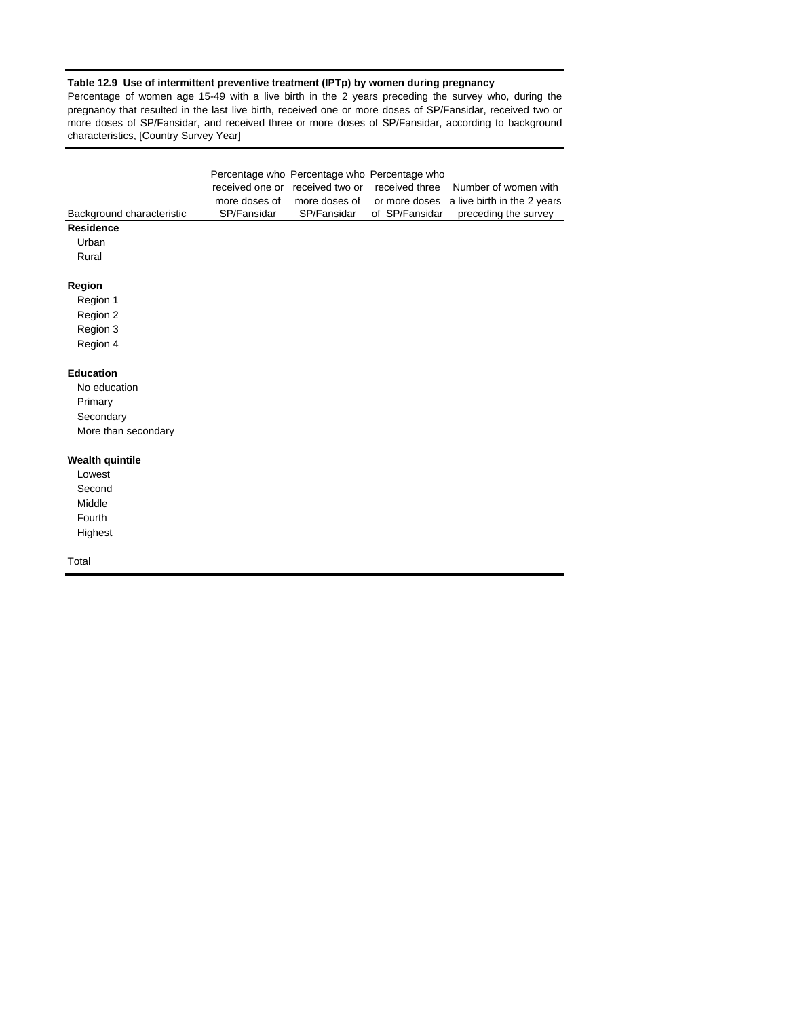# **Table 12.9 Use of intermittent preventive treatment (IPTp) by women during pregnancy**

Percentage of women age 15-49 with a live birth in the 2 years preceding the survey who, during the pregnancy that resulted in the last live birth, received one or more doses of SP/Fansidar, received two or more doses of SP/Fansidar, and received three or more doses of SP/Fansidar, according to background characteristics, [Country Survey Year]

| Background characteristic<br><b>Residence</b><br>Urban<br>Rural                 | received one or<br>more doses of<br>SP/Fansidar | Percentage who Percentage who Percentage who<br>received two or<br>more doses of<br>SP/Fansidar | received three<br>or more doses<br>of SP/Fansidar | Number of women with<br>a live birth in the 2 years<br>preceding the survey |
|---------------------------------------------------------------------------------|-------------------------------------------------|-------------------------------------------------------------------------------------------------|---------------------------------------------------|-----------------------------------------------------------------------------|
| Region<br>Region 1<br>Region 2<br>Region 3<br>Region 4                          |                                                 |                                                                                                 |                                                   |                                                                             |
| <b>Education</b><br>No education<br>Primary<br>Secondary<br>More than secondary |                                                 |                                                                                                 |                                                   |                                                                             |
| <b>Wealth quintile</b><br>Lowest<br>Second<br>Middle<br>Fourth<br>Highest       |                                                 |                                                                                                 |                                                   |                                                                             |
| Total                                                                           |                                                 |                                                                                                 |                                                   |                                                                             |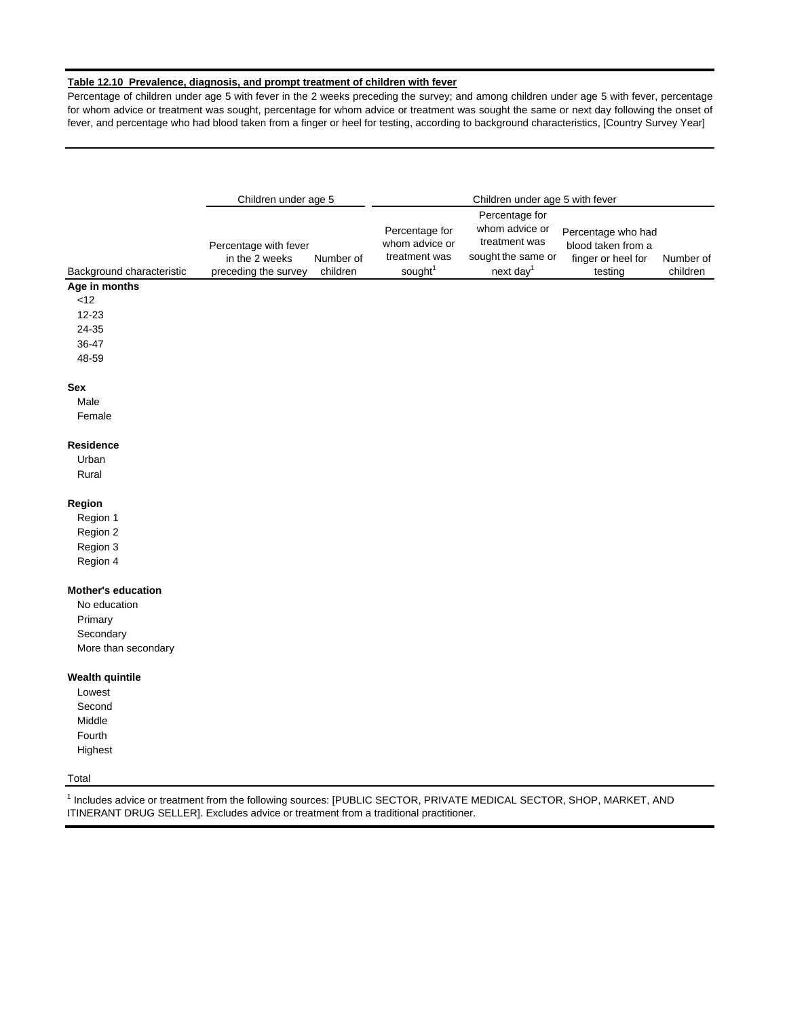# **Table 12.10 Prevalence, diagnosis, and prompt treatment of children with fever**

Percentage of children under age 5 with fever in the 2 weeks preceding the survey; and among children under age 5 with fever, percentage for whom advice or treatment was sought, percentage for whom advice or treatment was sought the same or next day following the onset of fever, and percentage who had blood taken from a finger or heel for testing, according to background characteristics, [Country Survey Year]

|                                                                                                                                                                                                                          | Children under age 5                    |           |                                                   | Children under age 5 with fever                       |                                                                |           |
|--------------------------------------------------------------------------------------------------------------------------------------------------------------------------------------------------------------------------|-----------------------------------------|-----------|---------------------------------------------------|-------------------------------------------------------|----------------------------------------------------------------|-----------|
|                                                                                                                                                                                                                          |                                         |           |                                                   | Percentage for                                        |                                                                |           |
|                                                                                                                                                                                                                          | Percentage with fever<br>in the 2 weeks | Number of | Percentage for<br>whom advice or<br>treatment was | whom advice or<br>treatment was<br>sought the same or | Percentage who had<br>blood taken from a<br>finger or heel for | Number of |
| Background characteristic                                                                                                                                                                                                | preceding the survey                    | children  | sought <sup>1</sup>                               | next day <sup>1</sup>                                 | testing                                                        | children  |
| Age in months                                                                                                                                                                                                            |                                         |           |                                                   |                                                       |                                                                |           |
| $<$ 12                                                                                                                                                                                                                   |                                         |           |                                                   |                                                       |                                                                |           |
| 12-23                                                                                                                                                                                                                    |                                         |           |                                                   |                                                       |                                                                |           |
| 24-35                                                                                                                                                                                                                    |                                         |           |                                                   |                                                       |                                                                |           |
| 36-47                                                                                                                                                                                                                    |                                         |           |                                                   |                                                       |                                                                |           |
| 48-59                                                                                                                                                                                                                    |                                         |           |                                                   |                                                       |                                                                |           |
| Sex                                                                                                                                                                                                                      |                                         |           |                                                   |                                                       |                                                                |           |
| Male                                                                                                                                                                                                                     |                                         |           |                                                   |                                                       |                                                                |           |
| Female                                                                                                                                                                                                                   |                                         |           |                                                   |                                                       |                                                                |           |
| Residence                                                                                                                                                                                                                |                                         |           |                                                   |                                                       |                                                                |           |
| Urban                                                                                                                                                                                                                    |                                         |           |                                                   |                                                       |                                                                |           |
| Rural                                                                                                                                                                                                                    |                                         |           |                                                   |                                                       |                                                                |           |
| Region                                                                                                                                                                                                                   |                                         |           |                                                   |                                                       |                                                                |           |
| Region 1                                                                                                                                                                                                                 |                                         |           |                                                   |                                                       |                                                                |           |
| Region 2                                                                                                                                                                                                                 |                                         |           |                                                   |                                                       |                                                                |           |
| Region 3                                                                                                                                                                                                                 |                                         |           |                                                   |                                                       |                                                                |           |
| Region 4                                                                                                                                                                                                                 |                                         |           |                                                   |                                                       |                                                                |           |
| <b>Mother's education</b>                                                                                                                                                                                                |                                         |           |                                                   |                                                       |                                                                |           |
| No education                                                                                                                                                                                                             |                                         |           |                                                   |                                                       |                                                                |           |
| Primary                                                                                                                                                                                                                  |                                         |           |                                                   |                                                       |                                                                |           |
| Secondary                                                                                                                                                                                                                |                                         |           |                                                   |                                                       |                                                                |           |
| More than secondary                                                                                                                                                                                                      |                                         |           |                                                   |                                                       |                                                                |           |
| <b>Wealth quintile</b>                                                                                                                                                                                                   |                                         |           |                                                   |                                                       |                                                                |           |
| Lowest                                                                                                                                                                                                                   |                                         |           |                                                   |                                                       |                                                                |           |
| Second                                                                                                                                                                                                                   |                                         |           |                                                   |                                                       |                                                                |           |
| Middle                                                                                                                                                                                                                   |                                         |           |                                                   |                                                       |                                                                |           |
| Fourth                                                                                                                                                                                                                   |                                         |           |                                                   |                                                       |                                                                |           |
| Highest                                                                                                                                                                                                                  |                                         |           |                                                   |                                                       |                                                                |           |
| Total                                                                                                                                                                                                                    |                                         |           |                                                   |                                                       |                                                                |           |
| <sup>1</sup> Includes advice or treatment from the following sources: [PUBLIC SECTOR, PRIVATE MEDICAL SECTOR, SHOP, MARKET, AND<br>ITINERANT DRUG SELLER]. Excludes advice or treatment from a traditional practitioner. |                                         |           |                                                   |                                                       |                                                                |           |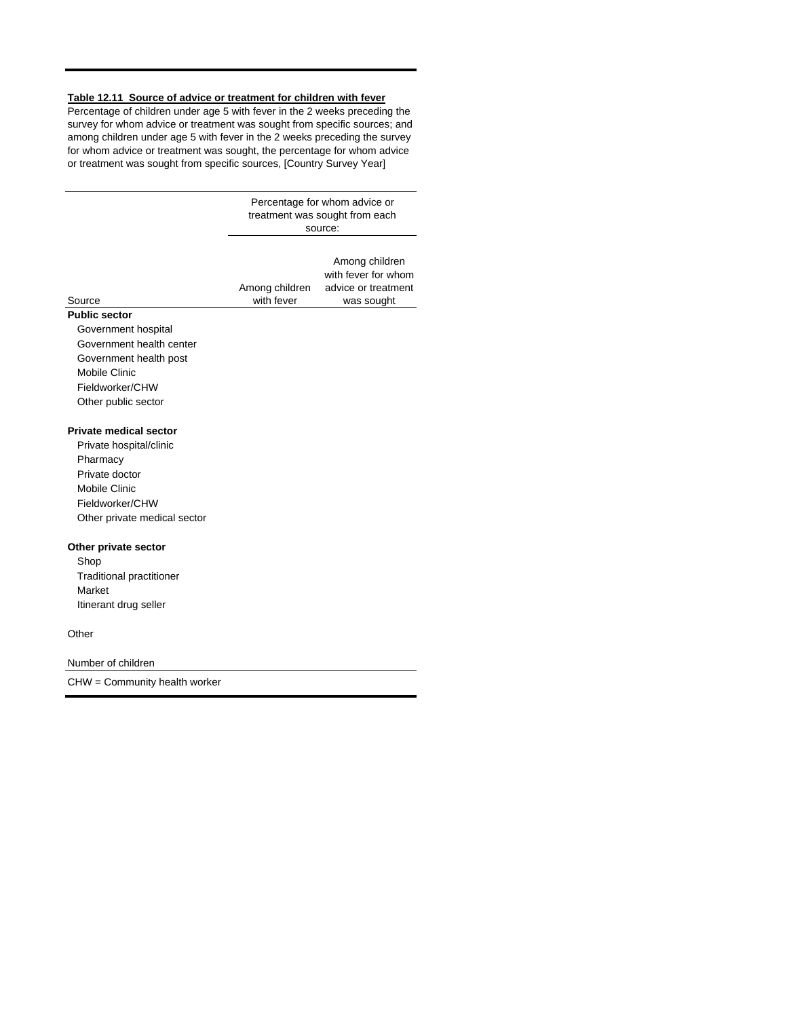#### **Table 12.11 Source of advice or treatment for children with fever**

Percentage of children under age 5 with fever in the 2 weeks preceding the survey for whom advice or treatment was sought from specific sources; and among children under age 5 with fever in the 2 weeks preceding the survey for whom advice or treatment was sought, the percentage for whom advice or treatment was sought from specific sources, [Country Survey Year]

> Percentage for whom advice or treatment was sought from each source:

Among children with fever Among children with fever for whom advice or treatment was sought

#### **Public sector** Source

Government hospital Government health center Government health post Mobile Clinic Fieldworker/CHW Other public sector

## **Private medical sector**

Private hospital/clinic Pharmacy Private doctor Mobile Clinic Fieldworker/CHW Other private medical sector

#### **Other private sector**

Shop Traditional practitioner Market Itinerant drug seller

**Other** 

Number of children

CHW = Community health worker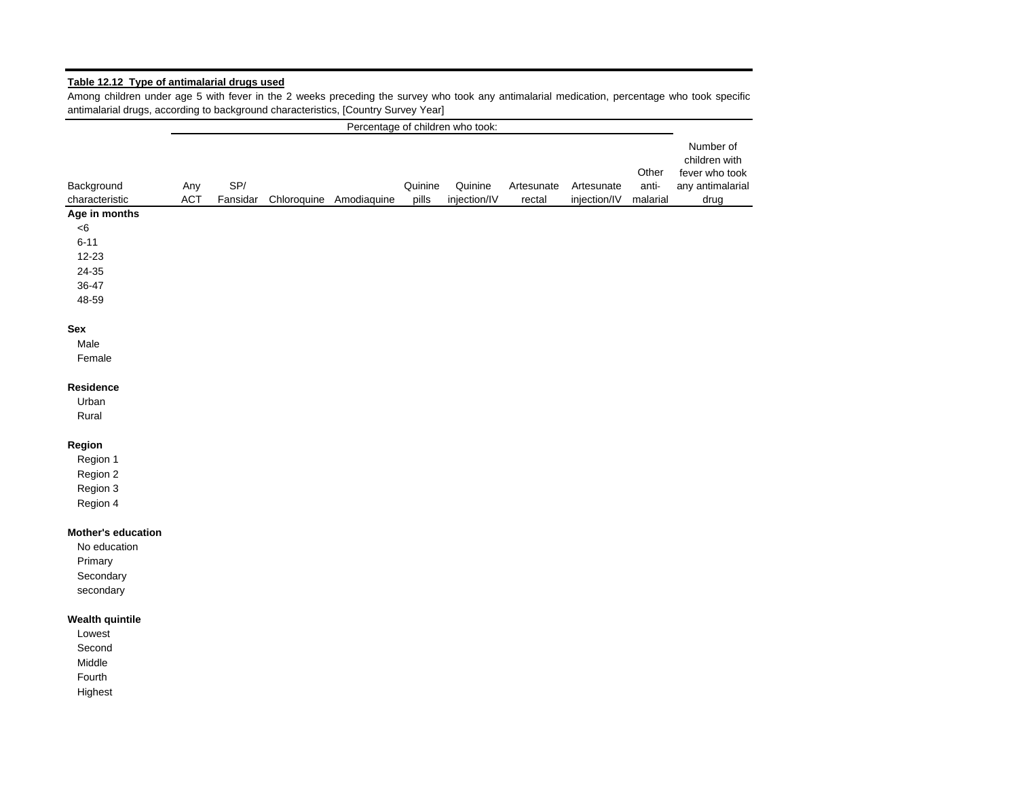# **Table 12.12 Type of antimalarial drugs used**

Among children under age 5 with fever in the 2 weeks preceding the survey who took any antimalarial medication, percentage who took specific antimalarial drugs, according to background characteristics, [Country Survey Year]

|                              |            |                 |                         |                  | Percentage of children who took: |                      |                            |                            |                                                                          |
|------------------------------|------------|-----------------|-------------------------|------------------|----------------------------------|----------------------|----------------------------|----------------------------|--------------------------------------------------------------------------|
| Background<br>characteristic | Any<br>ACT | SP/<br>Fansidar | Chloroquine Amodiaquine | Quinine<br>pills | Quinine<br>injection/IV          | Artesunate<br>rectal | Artesunate<br>injection/IV | Other<br>anti-<br>malarial | Number of<br>children with<br>fever who took<br>any antimalarial<br>drug |
| Age in months                |            |                 |                         |                  |                                  |                      |                            |                            |                                                                          |
| < 6                          |            |                 |                         |                  |                                  |                      |                            |                            |                                                                          |
| $6 - 11$                     |            |                 |                         |                  |                                  |                      |                            |                            |                                                                          |
| $12 - 23$                    |            |                 |                         |                  |                                  |                      |                            |                            |                                                                          |
| 24-35                        |            |                 |                         |                  |                                  |                      |                            |                            |                                                                          |
| 36-47                        |            |                 |                         |                  |                                  |                      |                            |                            |                                                                          |
| 48-59                        |            |                 |                         |                  |                                  |                      |                            |                            |                                                                          |
| Sex                          |            |                 |                         |                  |                                  |                      |                            |                            |                                                                          |
| Male                         |            |                 |                         |                  |                                  |                      |                            |                            |                                                                          |
| Female                       |            |                 |                         |                  |                                  |                      |                            |                            |                                                                          |
| Residence<br>Urban<br>Rural  |            |                 |                         |                  |                                  |                      |                            |                            |                                                                          |
| Region                       |            |                 |                         |                  |                                  |                      |                            |                            |                                                                          |
| Region 1                     |            |                 |                         |                  |                                  |                      |                            |                            |                                                                          |
| Region 2                     |            |                 |                         |                  |                                  |                      |                            |                            |                                                                          |
| Region 3                     |            |                 |                         |                  |                                  |                      |                            |                            |                                                                          |
| Region 4                     |            |                 |                         |                  |                                  |                      |                            |                            |                                                                          |
| Mother's education           |            |                 |                         |                  |                                  |                      |                            |                            |                                                                          |
| No education                 |            |                 |                         |                  |                                  |                      |                            |                            |                                                                          |
| Primary                      |            |                 |                         |                  |                                  |                      |                            |                            |                                                                          |
| Secondary                    |            |                 |                         |                  |                                  |                      |                            |                            |                                                                          |
| secondary                    |            |                 |                         |                  |                                  |                      |                            |                            |                                                                          |
| <b>Wealth quintile</b>       |            |                 |                         |                  |                                  |                      |                            |                            |                                                                          |
| Lowest                       |            |                 |                         |                  |                                  |                      |                            |                            |                                                                          |
| Second                       |            |                 |                         |                  |                                  |                      |                            |                            |                                                                          |
| Middle                       |            |                 |                         |                  |                                  |                      |                            |                            |                                                                          |
| Fourth                       |            |                 |                         |                  |                                  |                      |                            |                            |                                                                          |
| Highest                      |            |                 |                         |                  |                                  |                      |                            |                            |                                                                          |
|                              |            |                 |                         |                  |                                  |                      |                            |                            |                                                                          |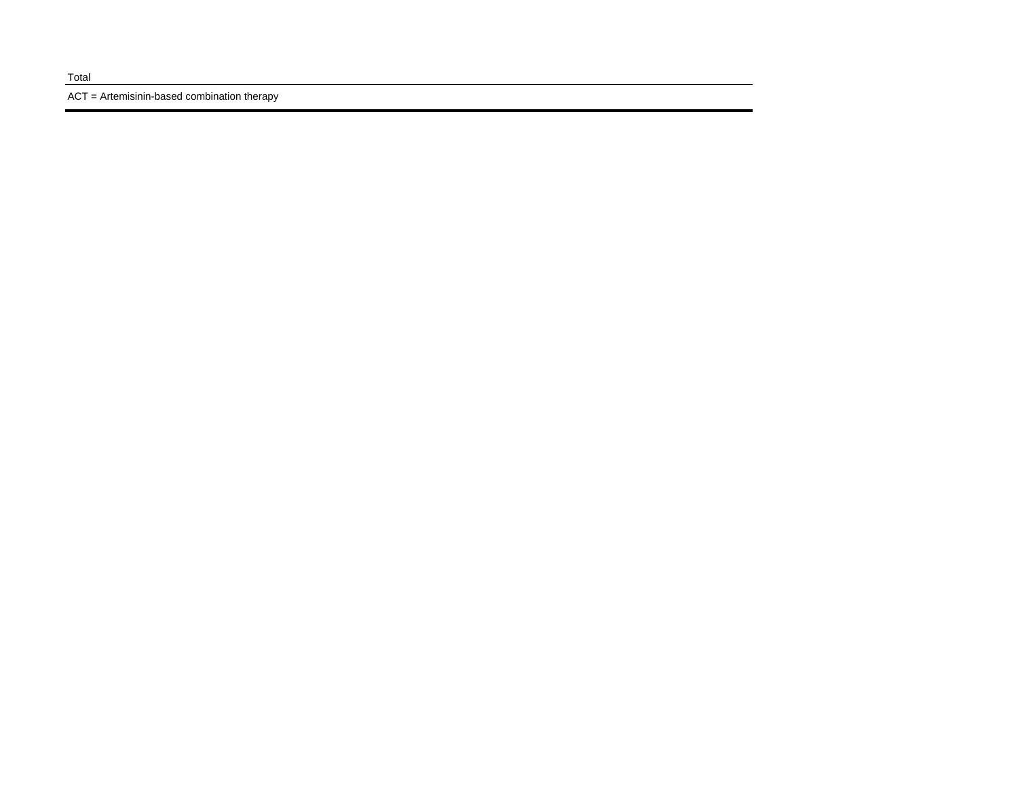ACT = Artemisinin-based combination therapy

#### Total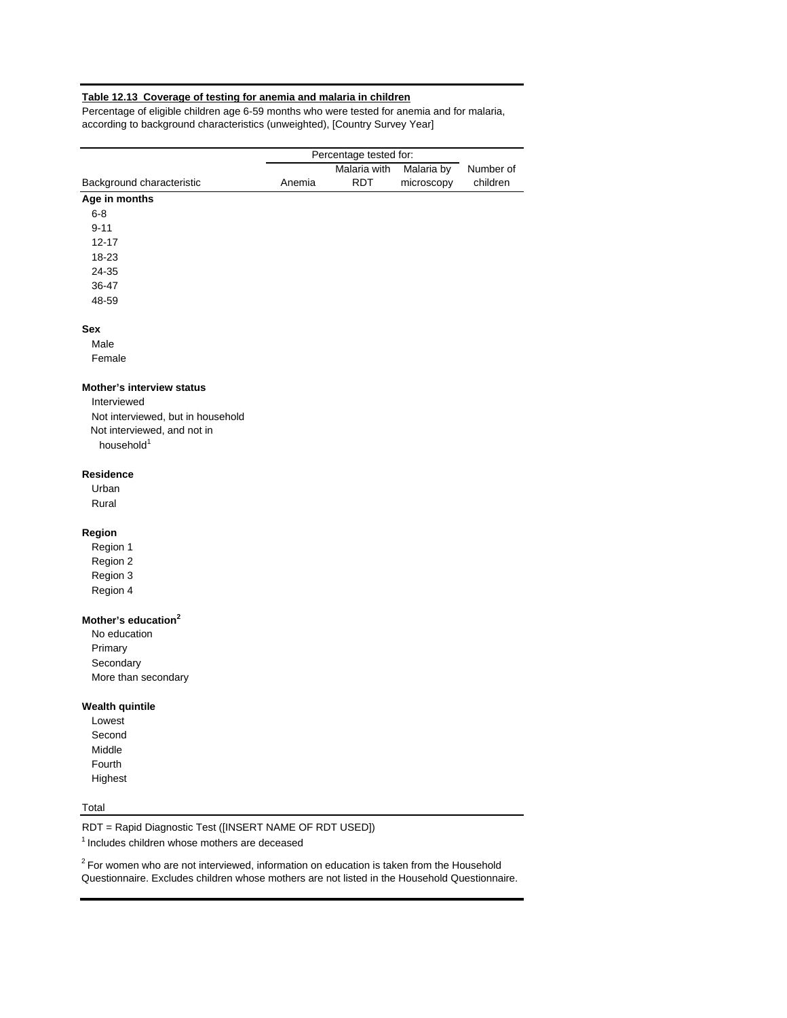# **Table 12.13 Coverage of testing for anemia and malaria in children**

Percentage of eligible children age 6-59 months who were tested for anemia and for malaria, according to background characteristics (unweighted), [Country Survey Year]

|                                   |        | Percentage tested for: |            |           |
|-----------------------------------|--------|------------------------|------------|-----------|
|                                   |        | Malaria with           | Malaria by | Number of |
| Background characteristic         | Anemia | <b>RDT</b>             | microscopy | children  |
| Age in months                     |        |                        |            |           |
| $6 - 8$                           |        |                        |            |           |
| $9 - 11$                          |        |                        |            |           |
| $12 - 17$                         |        |                        |            |           |
| 18-23                             |        |                        |            |           |
| 24-35                             |        |                        |            |           |
| 36-47                             |        |                        |            |           |
| 48-59                             |        |                        |            |           |
| Sex                               |        |                        |            |           |
| Male                              |        |                        |            |           |
| Female                            |        |                        |            |           |
| <b>Mother's interview status</b>  |        |                        |            |           |
| Interviewed                       |        |                        |            |           |
| Not interviewed, but in household |        |                        |            |           |
| Not interviewed, and not in       |        |                        |            |           |
| household <sup>1</sup>            |        |                        |            |           |
| <b>Residence</b>                  |        |                        |            |           |
| Urban                             |        |                        |            |           |
| Rural                             |        |                        |            |           |
| Region                            |        |                        |            |           |
| Region 1                          |        |                        |            |           |
| Region 2                          |        |                        |            |           |
| Region 3                          |        |                        |            |           |
| Region 4                          |        |                        |            |           |
| Mother's education <sup>2</sup>   |        |                        |            |           |
| No education                      |        |                        |            |           |
| Primary                           |        |                        |            |           |
| Secondary                         |        |                        |            |           |
| More than secondary               |        |                        |            |           |
| <b>Wealth quintile</b>            |        |                        |            |           |
| Lowest                            |        |                        |            |           |
| Second                            |        |                        |            |           |
| Middle                            |        |                        |            |           |
| Fourth                            |        |                        |            |           |
| Highest                           |        |                        |            |           |

# Total

RDT = Rapid Diagnostic Test ([INSERT NAME OF RDT USED])

1 Includes children whose mothers are deceased

 $2$  For women who are not interviewed, information on education is taken from the Household Questionnaire. Excludes children whose mothers are not listed in the Household Questionnaire.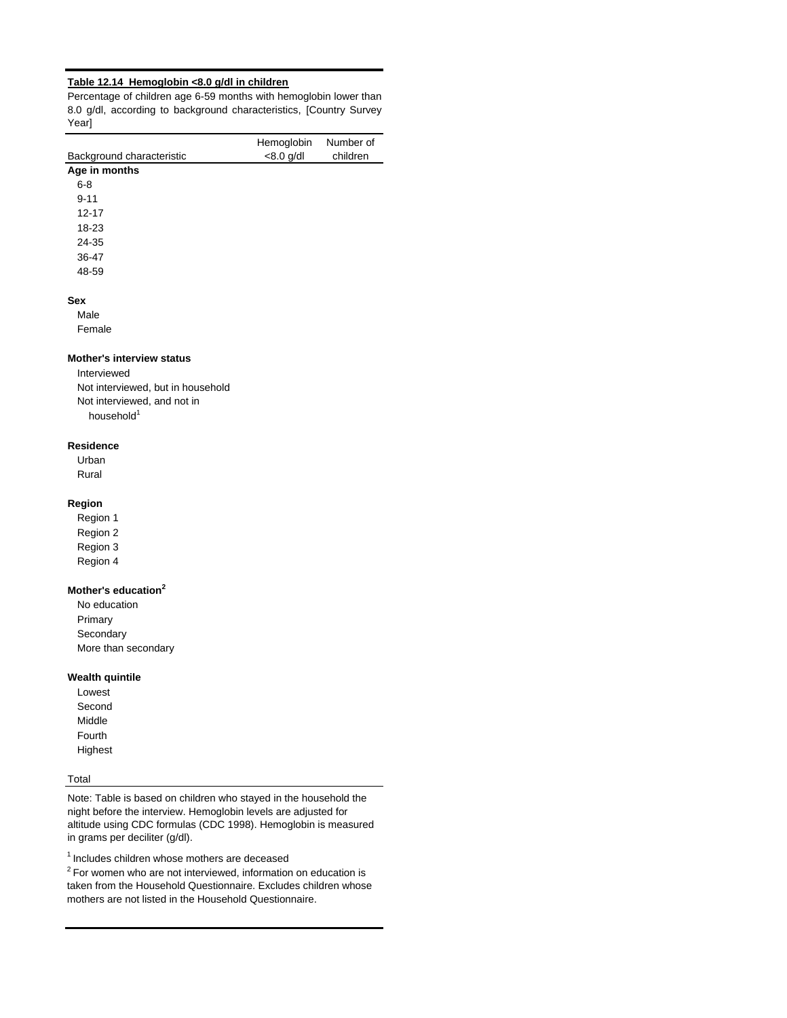## **Table 12.14 Hemoglobin <8.0 g/dl in children**

Percentage of children age 6-59 months with hemoglobin lower than 8.0 g/dl, according to background characteristics, [Country Survey Year<sup>1</sup>

|                           | Hemoglobin   | Number of |
|---------------------------|--------------|-----------|
| Background characteristic | $< 8.0$ g/dl | children  |
| Age in months             |              |           |
| $6 - 8$                   |              |           |
| $9 - 11$                  |              |           |
| $12 - 17$                 |              |           |
| 18-23                     |              |           |
| 24-35                     |              |           |
| 36-47                     |              |           |
| 48-59                     |              |           |
| Sex                       |              |           |
| Male                      |              |           |
| Female                    |              |           |
| .                         |              |           |

# **Mother's interview status**

Interviewed Not interviewed, but in household Not interviewed, and not in household<sup>1</sup>

## **Residence**

Urban Rural

# **Region**

Region 1 Region 2 Region 3

Region 4

## **Mother's education<sup>2</sup>**

No education Primary **Secondary** More than secondary

#### **Wealth quintile**

Lowest Second Middle Fourth Highest

#### Total

Note: Table is based on children who stayed in the household the night before the interview. Hemoglobin levels are adjusted for altitude using CDC formulas (CDC 1998). Hemoglobin is measured in grams per deciliter (g/dl).

1 Includes children whose mothers are deceased

 $2$  For women who are not interviewed, information on education is taken from the Household Questionnaire. Excludes children whose mothers are not listed in the Household Questionnaire.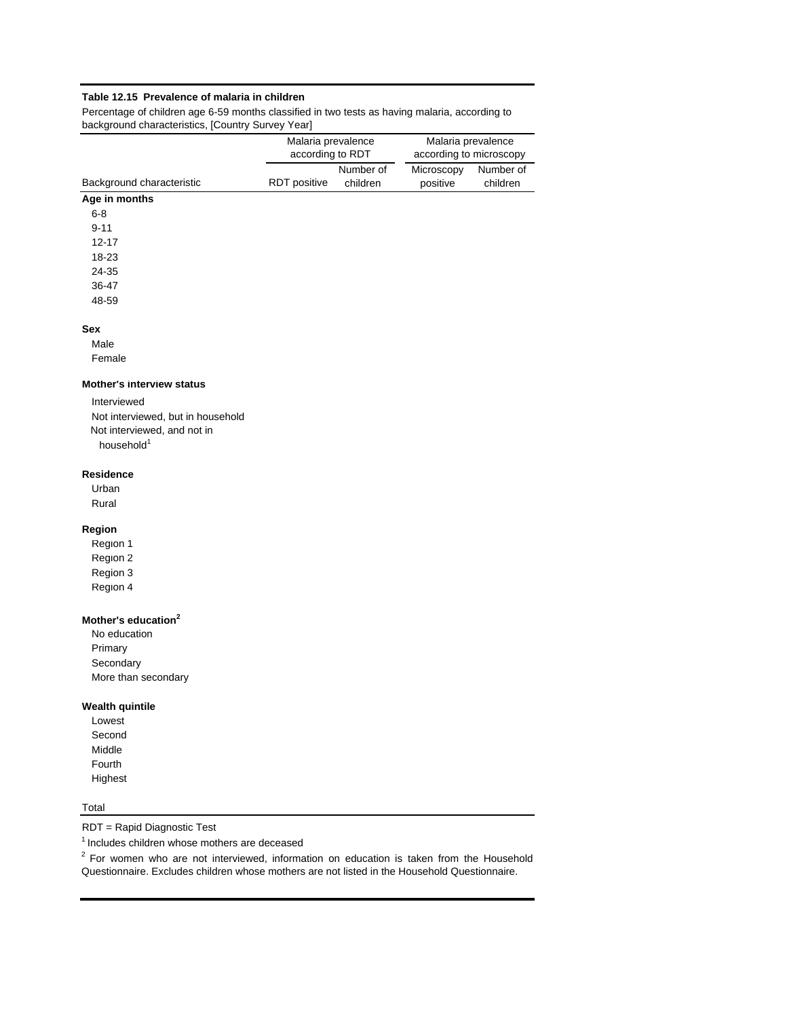# **Table 12.15 Prevalence of malaria in children**

Percentage of children age 6-59 months classified in two tests as having malaria, according to background characteristics, [Country Survey Year]

|                                   | Malaria prevalence<br>according to RDT |                       |                        | Malaria prevalence<br>according to microscopy |
|-----------------------------------|----------------------------------------|-----------------------|------------------------|-----------------------------------------------|
| Background characteristic         | RDT positive                           | Number of<br>children | Microscopy<br>positive | Number of<br>children                         |
| Age in months                     |                                        |                       |                        |                                               |
| $6 - 8$                           |                                        |                       |                        |                                               |
| $9 - 11$                          |                                        |                       |                        |                                               |
| $12 - 17$                         |                                        |                       |                        |                                               |
| 18-23                             |                                        |                       |                        |                                               |
| 24-35                             |                                        |                       |                        |                                               |
| 36-47                             |                                        |                       |                        |                                               |
| 48-59                             |                                        |                       |                        |                                               |
| <b>Sex</b>                        |                                        |                       |                        |                                               |
| Male                              |                                        |                       |                        |                                               |
| Female                            |                                        |                       |                        |                                               |
| <b>Mother's interview status</b>  |                                        |                       |                        |                                               |
| Interviewed                       |                                        |                       |                        |                                               |
| Not interviewed, but in household |                                        |                       |                        |                                               |
| Not interviewed, and not in       |                                        |                       |                        |                                               |
| household <sup>1</sup>            |                                        |                       |                        |                                               |
| <b>Residence</b>                  |                                        |                       |                        |                                               |
| Urban                             |                                        |                       |                        |                                               |
| Rural                             |                                        |                       |                        |                                               |
| Region                            |                                        |                       |                        |                                               |
|                                   |                                        |                       |                        |                                               |

Region 1 Region 2 Region 3

Region 4

# **Mother's education<sup>2</sup>**

No education Primary **Secondary** More than secondary

# **Wealth quintile**

Lowest Second Middle Fourth Highest

# Total

RDT = Rapid Diagnostic Test

1 Includes children whose mothers are deceased

 $2$  For women who are not interviewed, information on education is taken from the Household Questionnaire. Excludes children whose mothers are not listed in the Household Questionnaire.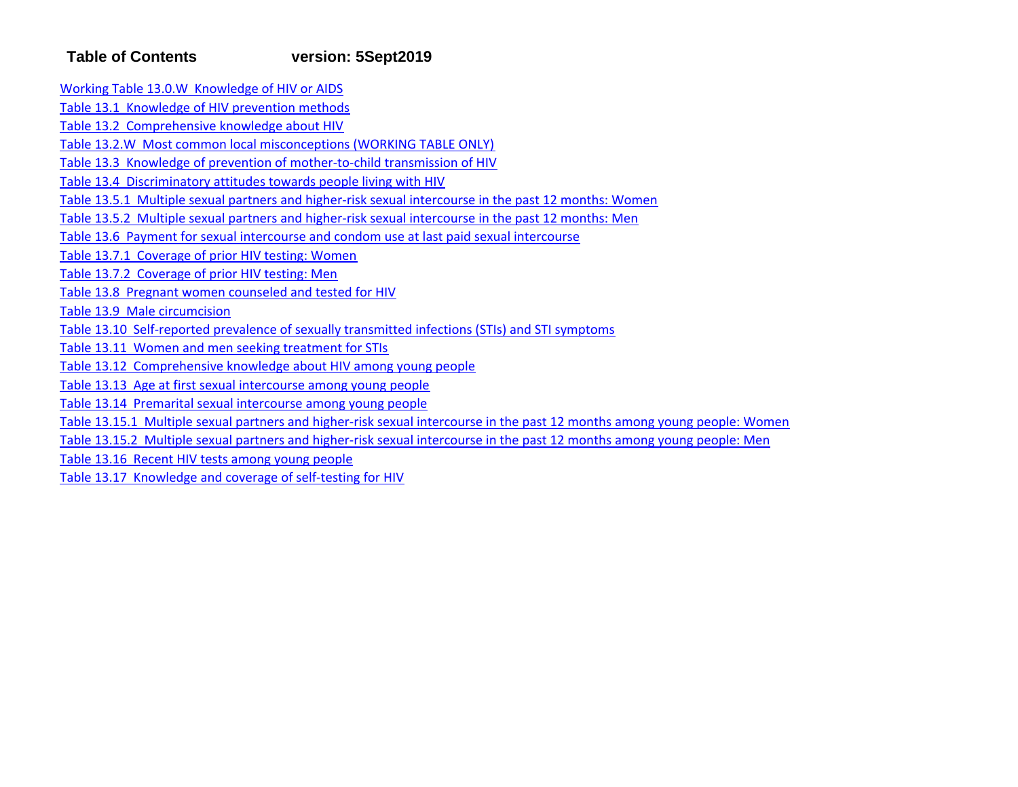# **Table of Contents version: 5Sept2019**

Working Table 13.0.W Knowledge of HIV or AIDS

Table 13.1 Knowledge of HIV prevention methods

Table 13.2 Comprehensive knowledge about HIV

Table 13.2.W Most common local misconceptions (WORKING TABLE ONLY)

Table 13.3 Knowledge of prevention of mother‐to‐child transmission of HIV

Table 13.4 Discriminatory attitudes towards people living with HIV

Table 13.5.1 Multiple sexual partners and higher‐risk sexual intercourse in the past 12 months: Women

Table 13.5.2 Multiple sexual partners and higher-risk sexual intercourse in the past 12 months: Men

Table 13.6 Payment for sexual intercourse and condom use at last paid sexual intercourse

Table 13.7.1 Coverage of prior HIV testing: Women

Table 13.7.2 Coverage of prior HIV testing: Men

Table 13.8 Pregnant women counseled and tested for HIV

Table 13.9 Male circumcision

Table 13.10 Self-reported prevalence of sexually transmitted infections (STIs) and STI symptoms

Table 13.11 Women and men seeking treatment for STIs

Table 13.12 Comprehensive knowledge about HIV among young people

Table 13.13 Age at first sexual intercourse among young people

Table 13.14 Premarital sexual intercourse among young people

Table 13.15.1 Multiple sexual partners and higher‐risk sexual intercourse in the past 12 months among young people: Women

Table 13.15.2 Multiple sexual partners and higher‐risk sexual intercourse in the past 12 months among young people: Men

Table 13.16 Recent HIV tests among young people

Table 13.17 Knowledge and coverage of self‐testing for HIV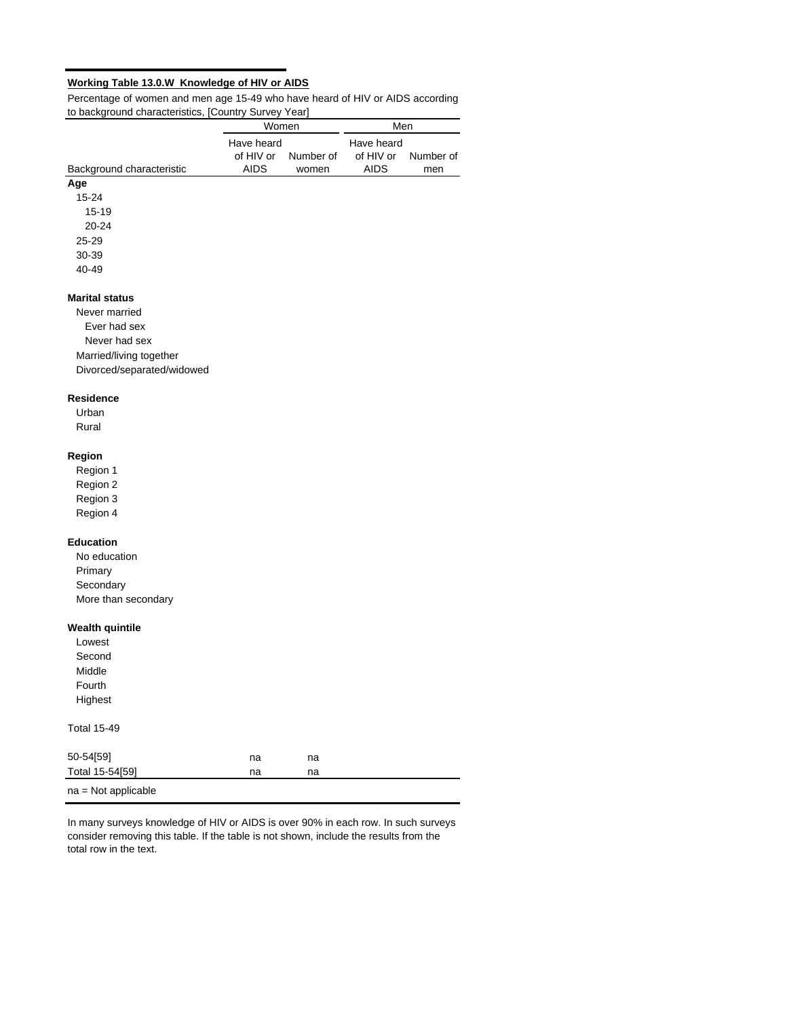# **Working Table 13.0.W Knowledge of HIV or AIDS**

Percentage of women and men age 15-49 who have heard of HIV or AIDS according to background characteristics, [Country Survey Year]  $\overline{a}$ 

| to background characteristics, | $[0.001]$ in $y$ our $y$ is $0.01$<br>Women |           | Men                     |           |
|--------------------------------|---------------------------------------------|-----------|-------------------------|-----------|
|                                | Have heard<br>of HIV or                     | Number of | Have heard<br>of HIV or | Number of |
| Background characteristic      | <b>AIDS</b>                                 | women     | <b>AIDS</b>             | men       |
| Age                            |                                             |           |                         |           |
| 15-24                          |                                             |           |                         |           |
| 15-19                          |                                             |           |                         |           |
| 20-24                          |                                             |           |                         |           |
| $25 - 29$                      |                                             |           |                         |           |
| 30-39                          |                                             |           |                         |           |
| 40-49                          |                                             |           |                         |           |
| <b>Marital status</b>          |                                             |           |                         |           |
| Never married                  |                                             |           |                         |           |
| Ever had sex                   |                                             |           |                         |           |
| Never had sex                  |                                             |           |                         |           |
| Married/living together        |                                             |           |                         |           |
| Divorced/separated/widowed     |                                             |           |                         |           |
| <b>Residence</b>               |                                             |           |                         |           |
| Urban                          |                                             |           |                         |           |
| Rural                          |                                             |           |                         |           |
| Region                         |                                             |           |                         |           |
| Region 1                       |                                             |           |                         |           |
| Region 2                       |                                             |           |                         |           |
| Region 3                       |                                             |           |                         |           |
| Region 4                       |                                             |           |                         |           |
| <b>Education</b>               |                                             |           |                         |           |
| No education                   |                                             |           |                         |           |
| Primary                        |                                             |           |                         |           |
| Secondary                      |                                             |           |                         |           |
| More than secondary            |                                             |           |                         |           |
| Wealth quintile                |                                             |           |                         |           |
| Lowest                         |                                             |           |                         |           |
| Second                         |                                             |           |                         |           |
| Middle                         |                                             |           |                         |           |
| Fourth                         |                                             |           |                         |           |
| Highest                        |                                             |           |                         |           |
| <b>Total 15-49</b>             |                                             |           |                         |           |
| 50-54[59]                      | na                                          | na        |                         |           |
| Total 15-54[59]                | na                                          | na        |                         |           |
| na = Not applicable            |                                             |           |                         |           |

In many surveys knowledge of HIV or AIDS is over 90% in each row. In such surveys consider removing this table. If the table is not shown, include the results from the total row in the text.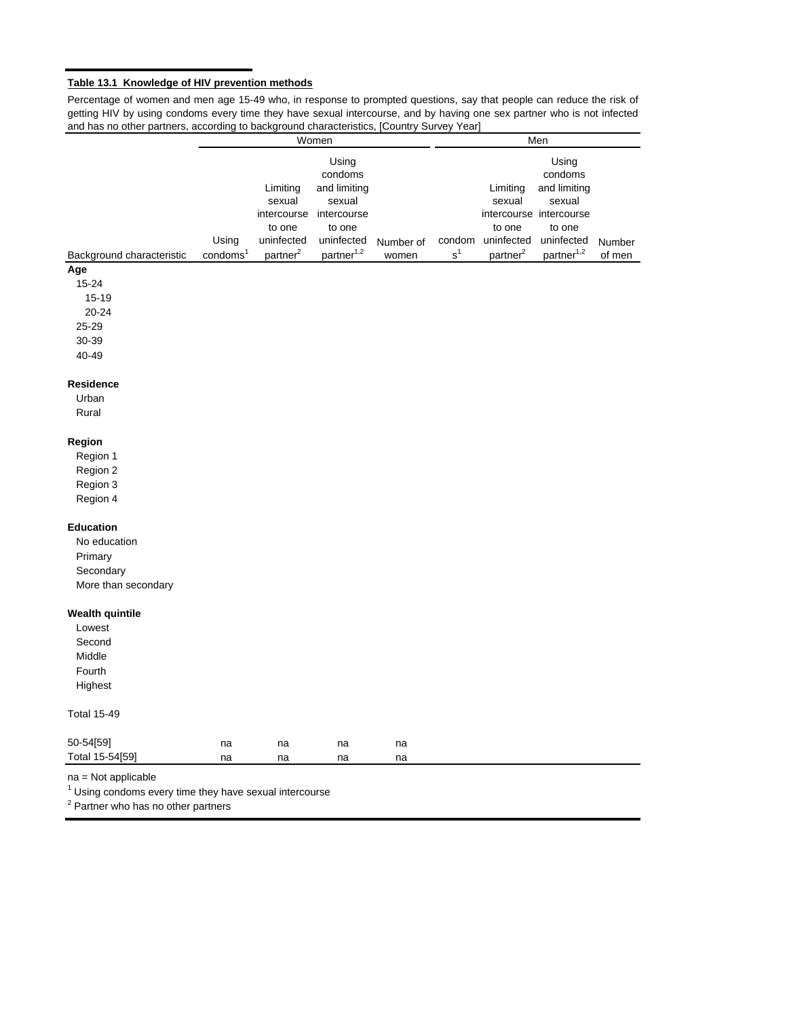# **Table 13.1 Knowledge of HIV prevention methods**

Percentage of women and men age 15-49 who, in response to prompted questions, say that people can reduce the risk of getting HIV by using condoms every time they have sexual intercourse, and by having one sex partner who is not infected and has no other partners, according to background characteristics, [Country Survey Year]

|                                                           |                      |                      | Women                  |           |                |                      | Men                     |        |
|-----------------------------------------------------------|----------------------|----------------------|------------------------|-----------|----------------|----------------------|-------------------------|--------|
|                                                           |                      |                      | Using                  |           |                |                      | Using                   |        |
|                                                           |                      |                      | condoms                |           |                |                      | condoms                 |        |
|                                                           |                      | Limiting             | and limiting           |           |                | Limiting             | and limiting            |        |
|                                                           |                      | sexual               | sexual                 |           |                | sexual               | sexual                  |        |
|                                                           |                      | intercourse          | intercourse            |           |                |                      | intercourse intercourse |        |
|                                                           |                      | to one               | to one                 |           |                | to one               | to one                  |        |
|                                                           | Using                | uninfected           | uninfected             | Number of | condom         | uninfected           | uninfected              | Number |
| Background characteristic                                 | condoms <sup>1</sup> | partner <sup>2</sup> | partner <sup>1,2</sup> | women     | s <sup>1</sup> | partner <sup>2</sup> | partner <sup>1,2</sup>  | of men |
| Age                                                       |                      |                      |                        |           |                |                      |                         |        |
| 15-24                                                     |                      |                      |                        |           |                |                      |                         |        |
| 15-19                                                     |                      |                      |                        |           |                |                      |                         |        |
| 20-24                                                     |                      |                      |                        |           |                |                      |                         |        |
| 25-29                                                     |                      |                      |                        |           |                |                      |                         |        |
| 30-39                                                     |                      |                      |                        |           |                |                      |                         |        |
| 40-49                                                     |                      |                      |                        |           |                |                      |                         |        |
|                                                           |                      |                      |                        |           |                |                      |                         |        |
| <b>Residence</b>                                          |                      |                      |                        |           |                |                      |                         |        |
| Urban                                                     |                      |                      |                        |           |                |                      |                         |        |
| Rural                                                     |                      |                      |                        |           |                |                      |                         |        |
|                                                           |                      |                      |                        |           |                |                      |                         |        |
| Region                                                    |                      |                      |                        |           |                |                      |                         |        |
| Region 1                                                  |                      |                      |                        |           |                |                      |                         |        |
| Region 2                                                  |                      |                      |                        |           |                |                      |                         |        |
|                                                           |                      |                      |                        |           |                |                      |                         |        |
| Region 3                                                  |                      |                      |                        |           |                |                      |                         |        |
| Region 4                                                  |                      |                      |                        |           |                |                      |                         |        |
| <b>Education</b>                                          |                      |                      |                        |           |                |                      |                         |        |
| No education                                              |                      |                      |                        |           |                |                      |                         |        |
| Primary                                                   |                      |                      |                        |           |                |                      |                         |        |
| Secondary                                                 |                      |                      |                        |           |                |                      |                         |        |
|                                                           |                      |                      |                        |           |                |                      |                         |        |
| More than secondary                                       |                      |                      |                        |           |                |                      |                         |        |
| <b>Wealth quintile</b>                                    |                      |                      |                        |           |                |                      |                         |        |
| Lowest                                                    |                      |                      |                        |           |                |                      |                         |        |
| Second                                                    |                      |                      |                        |           |                |                      |                         |        |
| Middle                                                    |                      |                      |                        |           |                |                      |                         |        |
| Fourth                                                    |                      |                      |                        |           |                |                      |                         |        |
|                                                           |                      |                      |                        |           |                |                      |                         |        |
| Highest                                                   |                      |                      |                        |           |                |                      |                         |        |
| <b>Total 15-49</b>                                        |                      |                      |                        |           |                |                      |                         |        |
|                                                           |                      |                      |                        |           |                |                      |                         |        |
| 50-54[59]                                                 | na                   | na                   | na                     | na        |                |                      |                         |        |
| Total 15-54[59]                                           | na                   | na                   | na                     | na        |                |                      |                         |        |
| na = Not applicable                                       |                      |                      |                        |           |                |                      |                         |        |
| $1$ Using condoms every time they have sexual intercourse |                      |                      |                        |           |                |                      |                         |        |
| <sup>2</sup> Partner who has no other partners            |                      |                      |                        |           |                |                      |                         |        |
|                                                           |                      |                      |                        |           |                |                      |                         |        |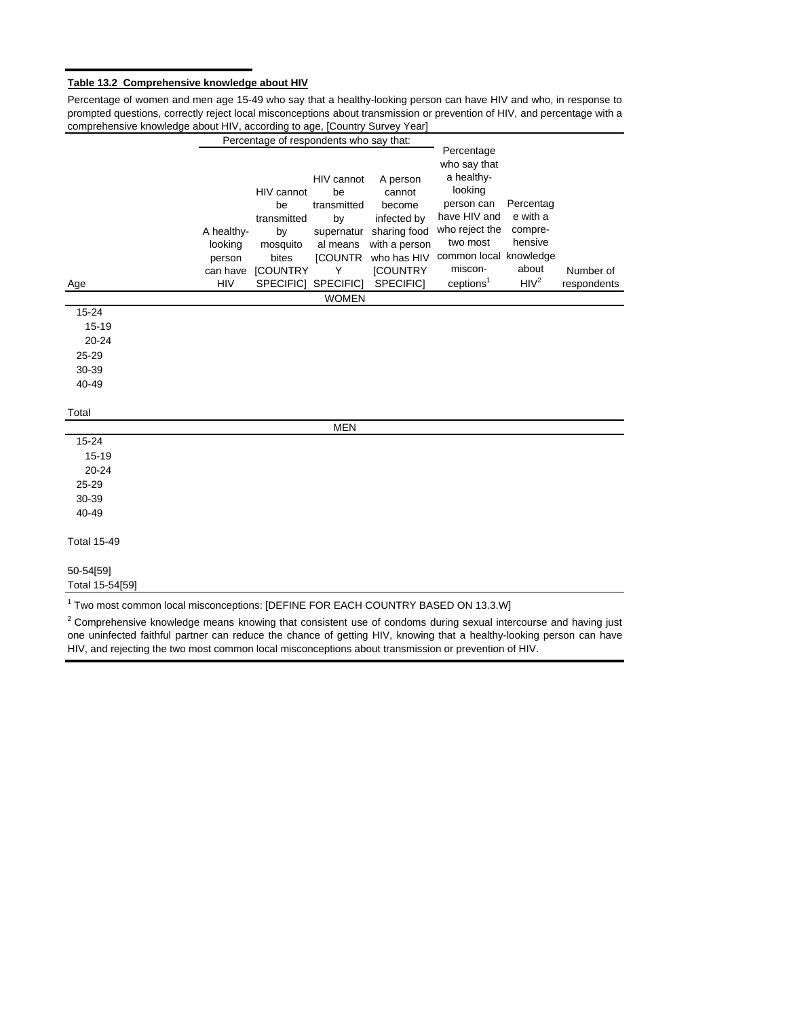## **Table 13.2 Comprehensive knowledge about HIV**

Percentage of women and men age 15-49 who say that a healthy-looking person can have HIV and who, in response to prompted questions, correctly reject local misconceptions about transmission or prevention of HIV, and percentage with a comprehensive knowledge about HIV, according to age, [Country Survey Year]

|                                                                                              |            | Percentage of respondents who say that: |                |                 |                            |                  |             |
|----------------------------------------------------------------------------------------------|------------|-----------------------------------------|----------------|-----------------|----------------------------|------------------|-------------|
|                                                                                              |            |                                         |                |                 | Percentage<br>who say that |                  |             |
|                                                                                              |            |                                         | HIV cannot     | A person        | a healthy-                 |                  |             |
|                                                                                              |            | HIV cannot                              | be             | cannot          | looking                    |                  |             |
|                                                                                              |            | be                                      | transmitted    | become          | person can                 | Percentag        |             |
|                                                                                              |            | transmitted                             | by             | infected by     | have HIV and               | e with a         |             |
|                                                                                              | A healthy- | by                                      | supernatur     | sharing food    | who reject the             | compre-          |             |
|                                                                                              | looking    | mosquito                                | al means       | with a person   | two most                   | hensive          |             |
|                                                                                              | person     | bites                                   | <b>[COUNTR</b> | who has HIV     | common local knowledge     |                  |             |
|                                                                                              | can have   | [COUNTRY                                | Y              | <b>ICOUNTRY</b> | miscon-                    | about            | Number of   |
| Age                                                                                          | <b>HIV</b> | SPECIFIC]                               | SPECIFIC]      | SPECIFIC]       | ceptions <sup>1</sup>      | HIV <sup>2</sup> | respondents |
| $15 - 24$                                                                                    |            |                                         | <b>WOMEN</b>   |                 |                            |                  |             |
| 15-19                                                                                        |            |                                         |                |                 |                            |                  |             |
| $20 - 24$                                                                                    |            |                                         |                |                 |                            |                  |             |
| 25-29                                                                                        |            |                                         |                |                 |                            |                  |             |
| 30-39                                                                                        |            |                                         |                |                 |                            |                  |             |
| 40-49                                                                                        |            |                                         |                |                 |                            |                  |             |
|                                                                                              |            |                                         |                |                 |                            |                  |             |
| Total                                                                                        |            |                                         |                |                 |                            |                  |             |
|                                                                                              |            |                                         | <b>MEN</b>     |                 |                            |                  |             |
| $15 - 24$                                                                                    |            |                                         |                |                 |                            |                  |             |
| 15-19                                                                                        |            |                                         |                |                 |                            |                  |             |
| $20 - 24$                                                                                    |            |                                         |                |                 |                            |                  |             |
| 25-29                                                                                        |            |                                         |                |                 |                            |                  |             |
| 30-39                                                                                        |            |                                         |                |                 |                            |                  |             |
| 40-49                                                                                        |            |                                         |                |                 |                            |                  |             |
| <b>Total 15-49</b>                                                                           |            |                                         |                |                 |                            |                  |             |
| 50-54[59]                                                                                    |            |                                         |                |                 |                            |                  |             |
| Total 15-54[59]                                                                              |            |                                         |                |                 |                            |                  |             |
| <sup>1</sup> Two most common local misconceptions: [DEFINE FOR EACH COUNTRY BASED ON 13.3.W] |            |                                         |                |                 |                            |                  |             |

 $2$  Comprehensive knowledge means knowing that consistent use of condoms during sexual intercourse and having just one uninfected faithful partner can reduce the chance of getting HIV, knowing that a healthy-looking person can have HIV, and rejecting the two most common local misconceptions about transmission or prevention of HIV.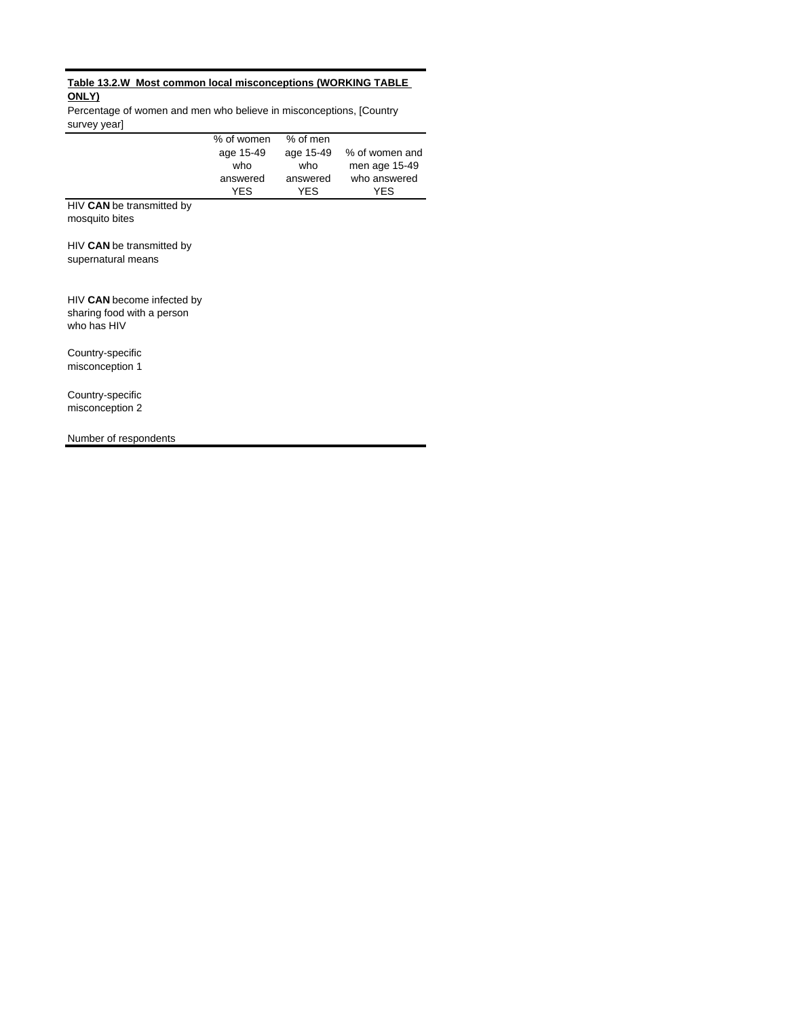# **Table 13.2.W Most common local misconceptions (WORKING TABLE ONLY)**

Percentage of women and men who believe in misconceptions, [Country survey year]

|                                                                         | % of women<br>age 15-49<br>who<br>answered<br><b>YES</b> | % of men<br>age 15-49<br>who<br>answered<br><b>YES</b> | % of women and<br>men age 15-49<br>who answered<br><b>YES</b> |
|-------------------------------------------------------------------------|----------------------------------------------------------|--------------------------------------------------------|---------------------------------------------------------------|
| HIV CAN be transmitted by<br>mosquito bites                             |                                                          |                                                        |                                                               |
| HIV CAN be transmitted by<br>supernatural means                         |                                                          |                                                        |                                                               |
| HIV CAN become infected by<br>sharing food with a person<br>who has HIV |                                                          |                                                        |                                                               |
| Country-specific<br>misconception 1                                     |                                                          |                                                        |                                                               |
| Country-specific<br>misconception 2                                     |                                                          |                                                        |                                                               |
| Number of respondents                                                   |                                                          |                                                        |                                                               |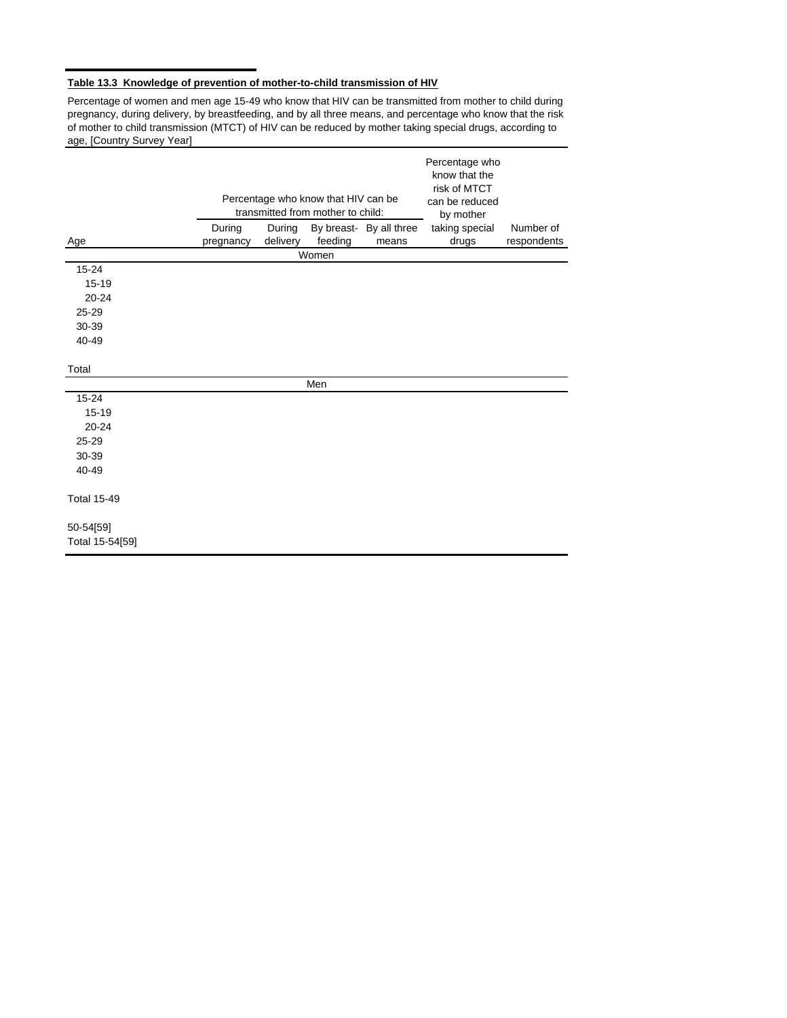# **Table 13.3 Knowledge of prevention of mother-to-child transmission of HIV**

Percentage of women and men age 15-49 who know that HIV can be transmitted from mother to child during pregnancy, during delivery, by breastfeeding, and by all three means, and percentage who know that the risk of mother to child transmission (MTCT) of HIV can be reduced by mother taking special drugs, according to age, [Country Survey Year]

|                              |           |          |                                                                          |                         | Percentage who<br>know that the<br>risk of MTCT |             |
|------------------------------|-----------|----------|--------------------------------------------------------------------------|-------------------------|-------------------------------------------------|-------------|
|                              |           |          | Percentage who know that HIV can be<br>transmitted from mother to child: |                         | can be reduced<br>by mother                     |             |
|                              | During    | During   |                                                                          | By breast- By all three | taking special                                  | Number of   |
| Age                          | pregnancy | delivery | feeding<br>Women                                                         | means                   | drugs                                           | respondents |
| $15 - 24$                    |           |          |                                                                          |                         |                                                 |             |
| 15-19                        |           |          |                                                                          |                         |                                                 |             |
| $20 - 24$                    |           |          |                                                                          |                         |                                                 |             |
| $25 - 29$                    |           |          |                                                                          |                         |                                                 |             |
| 30-39                        |           |          |                                                                          |                         |                                                 |             |
| 40-49                        |           |          |                                                                          |                         |                                                 |             |
| Total                        |           |          |                                                                          |                         |                                                 |             |
|                              |           |          | Men                                                                      |                         |                                                 |             |
| $15 - 24$                    |           |          |                                                                          |                         |                                                 |             |
| 15-19                        |           |          |                                                                          |                         |                                                 |             |
| $20 - 24$                    |           |          |                                                                          |                         |                                                 |             |
| $25 - 29$                    |           |          |                                                                          |                         |                                                 |             |
| 30-39                        |           |          |                                                                          |                         |                                                 |             |
| 40-49                        |           |          |                                                                          |                         |                                                 |             |
| <b>Total 15-49</b>           |           |          |                                                                          |                         |                                                 |             |
| 50-54[59]<br>Total 15-54[59] |           |          |                                                                          |                         |                                                 |             |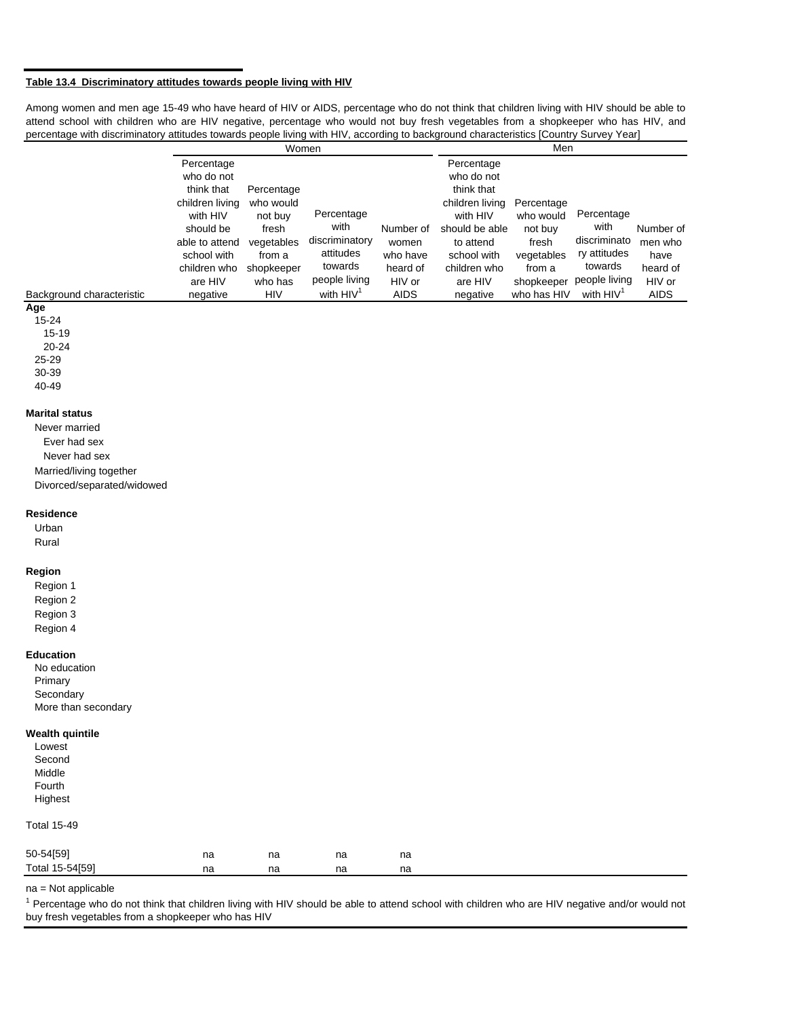## **Table 13.4 Discriminatory attitudes towards people living with HIV**

Among women and men age 15-49 who have heard of HIV or AIDS, percentage who do not think that children living with HIV should be able to attend school with children who are HIV negative, percentage who would not buy fresh vegetables from a shopkeeper who has HIV, and percentage with discriminatory attitudes towards people living with HIV, according to background characteristics [Country Survey Year]

| Percentage<br>who do not    |                                   |                              |                                                                    | Percentage<br>who do not    |                                   |                |                                                                                               |
|-----------------------------|-----------------------------------|------------------------------|--------------------------------------------------------------------|-----------------------------|-----------------------------------|----------------|-----------------------------------------------------------------------------------------------|
| children living<br>with HIV | who would<br>not buy              | Percentage                   |                                                                    | children living<br>with HIV | Percentage<br>who would           | Percentage     |                                                                                               |
| should be<br>able to attend | fresh<br>vegetables               | discriminatory               | Number of<br>women                                                 | to attend                   | not buy<br>fresh                  | discriminato   | Number of<br>men who                                                                          |
| school with                 | from a                            | attitudes                    | who have                                                           | school with                 | vegetables                        | ry attitudes   | have                                                                                          |
| children who                | shopkeeper                        |                              | heard of                                                           | children who                | from a                            |                | heard of                                                                                      |
|                             |                                   |                              |                                                                    |                             |                                   |                | HIV or<br><b>AIDS</b>                                                                         |
|                             | think that<br>are HIV<br>negative | Percentage<br>who has<br>HIV | Women<br>with<br>towards<br>people living<br>with HIV <sup>1</sup> | HIV or<br><b>AIDS</b>       | think that<br>are HIV<br>negative | should be able | Men<br>with<br>towards<br>people living<br>shopkeeper<br>with HIV <sup>1</sup><br>who has HIV |

**Age**

15-24 15-19 20-24 25-29

30-39 40-49

#### **Marital status**

Never married Ever had sex Never had sex Married/living together Divorced/separated/widowed

#### **Residence**

#### Urban Rural

# **Region**

Region 1 Region 2

Region 3 Region 4

#### **Education**

No education Primary **Secondary** More than secondary

## **Wealth quintile**

| Lowest  |
|---------|
| Second  |
| Middle  |
| Fourth  |
| Highest |

## Total 15-49

| 50-54[59]       | na | na | na | na |
|-----------------|----|----|----|----|
| Total 15-54[59] | na | na | na | na |

## na = Not applicable

<sup>1</sup> Percentage who do not think that children living with HIV should be able to attend school with children who are HIV negative and/or would not buy fresh vegetables from a shopkeeper who has HIV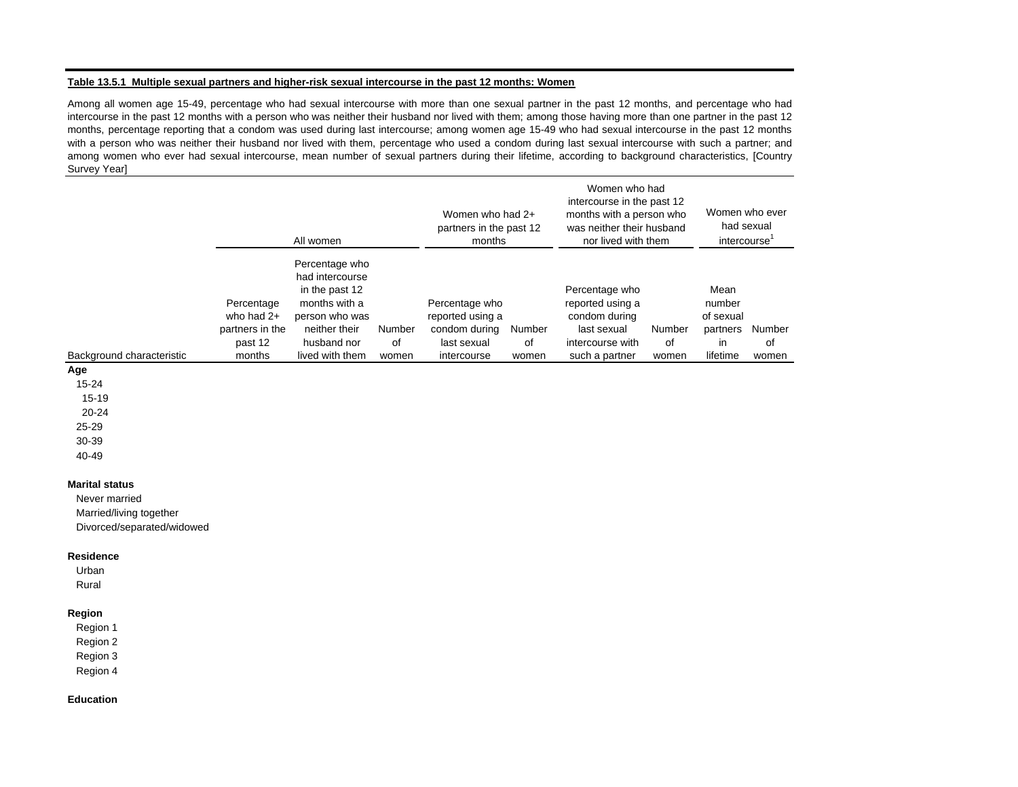#### **Table 13.5.1 Multiple sexual partners and higher-risk sexual intercourse in the past 12 months: Women**

Among all women age 15-49, percentage who had sexual intercourse with more than one sexual partner in the past 12 months, and percentage who had intercourse in the past 12 months with <sup>a</sup> person who was neither their husband nor lived with them; among those having more than one partner in the past 12 months, percentage reporting that <sup>a</sup> condom was used during last intercourse; among women age 15-49 who had sexual intercourse in the past 12 months with <sup>a</sup> person who was neither their husband nor lived with them, percentage who used <sup>a</sup> condom during last sexual intercourse with such <sup>a</sup> partner; and among women who ever had sexual intercourse, mean number of sexual partners during their lifetime, according to background characteristics, [Country Survey Year]

|                            | All women                                                        |                                                                                                                                           |                       | Women who had 2+<br>partners in the past 12<br>months                             |                       | Women who had<br>intercourse in the past 12<br>months with a person who<br>was neither their husband<br>nor lived with them |                       | Women who ever<br>had sexual<br>intercourse               |                       |
|----------------------------|------------------------------------------------------------------|-------------------------------------------------------------------------------------------------------------------------------------------|-----------------------|-----------------------------------------------------------------------------------|-----------------------|-----------------------------------------------------------------------------------------------------------------------------|-----------------------|-----------------------------------------------------------|-----------------------|
| Background characteristic  | Percentage<br>who had 2+<br>partners in the<br>past 12<br>months | Percentage who<br>had intercourse<br>in the past 12<br>months with a<br>person who was<br>neither their<br>husband nor<br>lived with them | Number<br>of<br>women | Percentage who<br>reported using a<br>condom during<br>last sexual<br>intercourse | Number<br>of<br>women | Percentage who<br>reported using a<br>condom during<br>last sexual<br>intercourse with<br>such a partner                    | Number<br>of<br>women | Mean<br>number<br>of sexual<br>partners<br>in<br>lifetime | Number<br>of<br>women |
| Age                        |                                                                  |                                                                                                                                           |                       |                                                                                   |                       |                                                                                                                             |                       |                                                           |                       |
| $15 - 24$                  |                                                                  |                                                                                                                                           |                       |                                                                                   |                       |                                                                                                                             |                       |                                                           |                       |
| 15-19                      |                                                                  |                                                                                                                                           |                       |                                                                                   |                       |                                                                                                                             |                       |                                                           |                       |
| $20 - 24$                  |                                                                  |                                                                                                                                           |                       |                                                                                   |                       |                                                                                                                             |                       |                                                           |                       |
| $25 - 29$                  |                                                                  |                                                                                                                                           |                       |                                                                                   |                       |                                                                                                                             |                       |                                                           |                       |
| 30-39                      |                                                                  |                                                                                                                                           |                       |                                                                                   |                       |                                                                                                                             |                       |                                                           |                       |
| 40-49                      |                                                                  |                                                                                                                                           |                       |                                                                                   |                       |                                                                                                                             |                       |                                                           |                       |
| <b>Marital status</b>      |                                                                  |                                                                                                                                           |                       |                                                                                   |                       |                                                                                                                             |                       |                                                           |                       |
| Never married              |                                                                  |                                                                                                                                           |                       |                                                                                   |                       |                                                                                                                             |                       |                                                           |                       |
| Married/living together    |                                                                  |                                                                                                                                           |                       |                                                                                   |                       |                                                                                                                             |                       |                                                           |                       |
| Divorced/separated/widowed |                                                                  |                                                                                                                                           |                       |                                                                                   |                       |                                                                                                                             |                       |                                                           |                       |
| <b>Residence</b>           |                                                                  |                                                                                                                                           |                       |                                                                                   |                       |                                                                                                                             |                       |                                                           |                       |
| Urban                      |                                                                  |                                                                                                                                           |                       |                                                                                   |                       |                                                                                                                             |                       |                                                           |                       |
|                            |                                                                  |                                                                                                                                           |                       |                                                                                   |                       |                                                                                                                             |                       |                                                           |                       |

Rural

## **Region**

Region 1

- Region 2
- Region 3
- Region 4

#### **Education**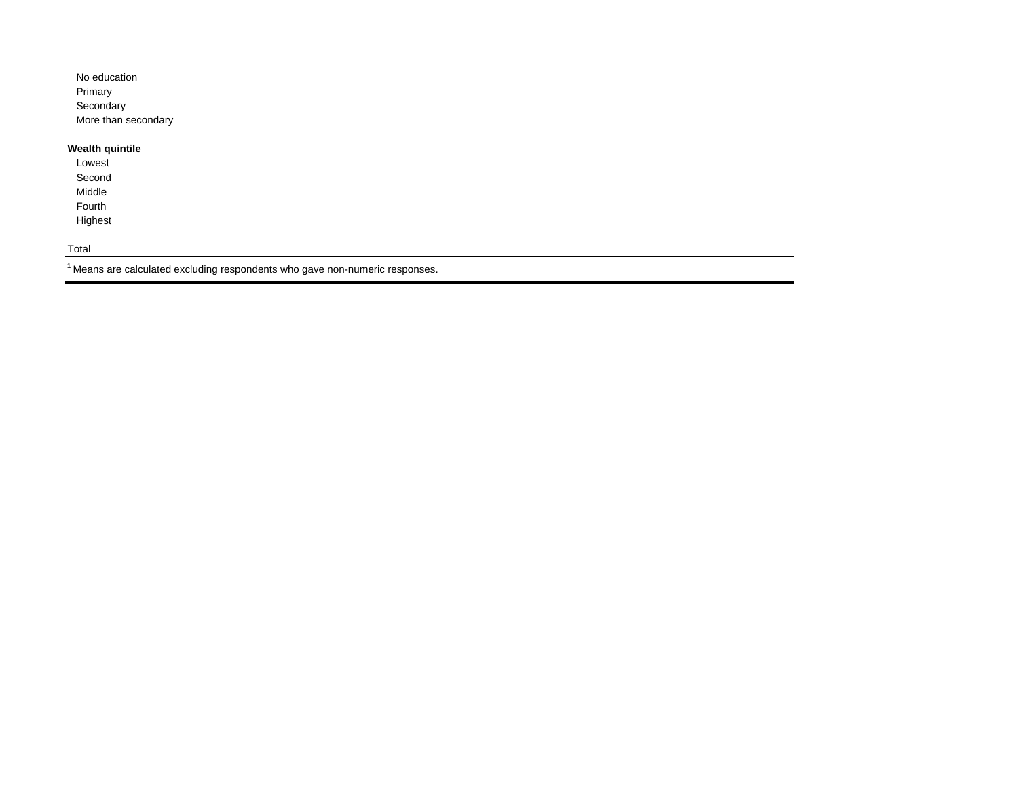| No education        |
|---------------------|
| Primary             |
| Secondary           |
| More than secondary |

# **Wealth quintile**

Lowest Second Middle Fourth Highest

Total

 $^1$  Means are calculated excluding respondents who gave non-numeric responses.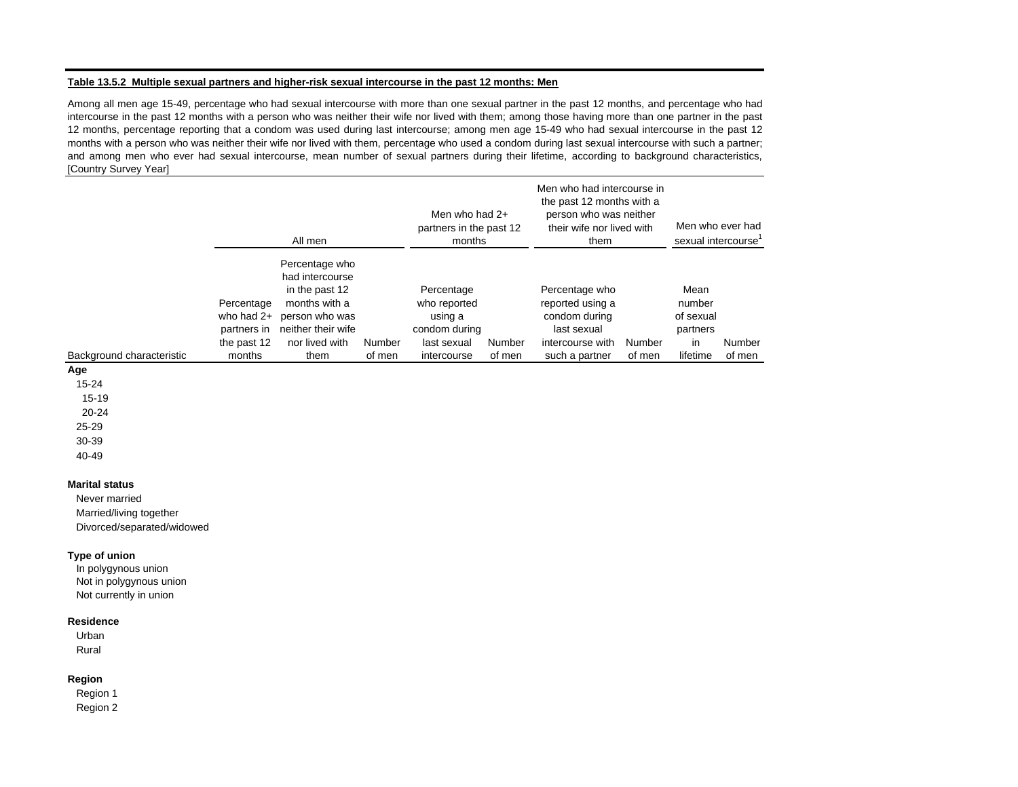#### **Table 13.5.2 Multiple sexual partners and higher-risk sexual intercourse in the past 12 months: Men**

Among all men age 15-49, percentage who had sexual intercourse with more than one sexual partner in the past 12 months, and percentage who had intercourse in the past 12 months with <sup>a</sup> person who was neither their wife nor lived with them; among those having more than one partner in the past 12 months, percentage reporting that <sup>a</sup> condom was used during last intercourse; among men age 15-49 who had sexual intercourse in the past 12 months with <sup>a</sup> person who was neither their wife nor lived with them, percentage who used <sup>a</sup> condom during last sexual intercourse with such <sup>a</sup> partner; and among men who ever had sexual intercourse, mean number of sexual partners during their lifetime, according to background characteristics, [Country Survey Year]

|                           |                                                                    | All men                                                                                                                                |                  | Men who had $2+$<br>partners in the past 12<br>months                                |                  | Men who had intercourse in<br>the past 12 months with a<br>person who was neither<br>their wife nor lived with<br>them | Men who ever had<br>sexual intercourse' |                                                           |                  |
|---------------------------|--------------------------------------------------------------------|----------------------------------------------------------------------------------------------------------------------------------------|------------------|--------------------------------------------------------------------------------------|------------------|------------------------------------------------------------------------------------------------------------------------|-----------------------------------------|-----------------------------------------------------------|------------------|
| Background characteristic | Percentage<br>who had $2+$<br>partners in<br>the past 12<br>months | Percentage who<br>had intercourse<br>in the past 12<br>months with a<br>person who was<br>neither their wife<br>nor lived with<br>them | Number<br>of men | Percentage<br>who reported<br>using a<br>condom during<br>last sexual<br>intercourse | Number<br>of men | Percentage who<br>reported using a<br>condom during<br>last sexual<br>intercourse with<br>such a partner               | Number<br>of men                        | Mean<br>number<br>of sexual<br>partners<br>in<br>lifetime | Number<br>of men |
| Age                       |                                                                    |                                                                                                                                        |                  |                                                                                      |                  |                                                                                                                        |                                         |                                                           |                  |

**Age**

15-24

15-19

20-24

25-29

30-39 40-49

#### **Marital status**

Never married Married/living together

Divorced/separated/widowed

#### **Type of union**

In polygynous union Not in polygynous union Not currently in union

#### **Residence**

Urban Rural

#### **Region**

Region 1 Region 2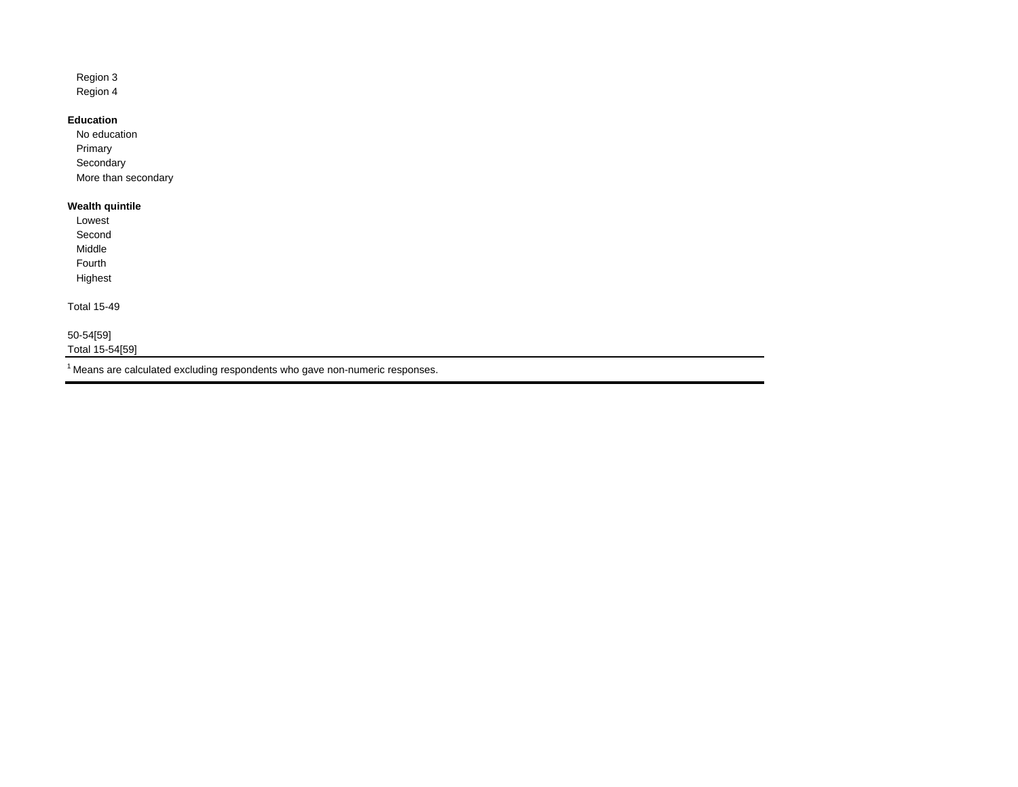Region 3 Region 4

## **Education**

No educationPrimary **Secondary** More than secondary

# **Wealth quintile**

Lowest Second Middle Fourth Highest Total 15-49 50-54[59] Total 15-54[59]

 $1$  Means are calculated excluding respondents who gave non-numeric responses.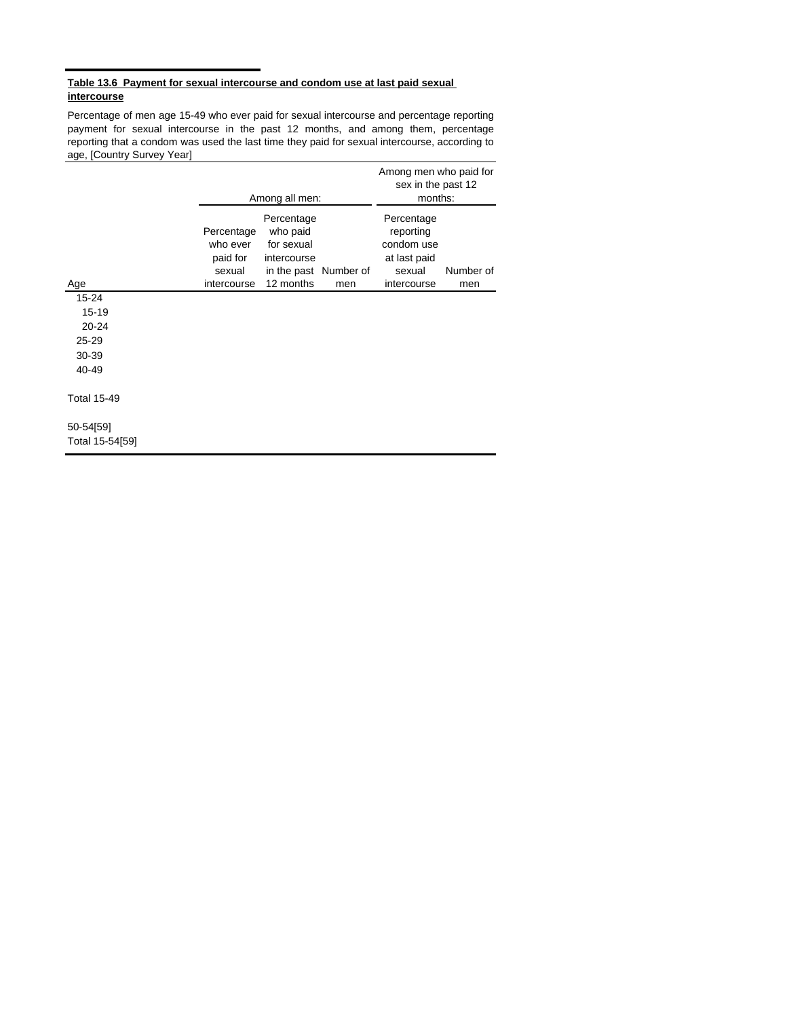## **Table 13.6 Payment for sexual intercourse and condom use at last paid sexual intercourse**

Percentage of men age 15-49 who ever paid for sexual intercourse and percentage reporting payment for sexual intercourse in the past 12 months, and among them, percentage reporting that a condom was used the last time they paid for sexual intercourse, according to age, [Country Survey Year]

|                                                            |                                              | Among all men:                                                               | Among men who paid for<br>sex in the past 12<br>months: |                                                                 |           |
|------------------------------------------------------------|----------------------------------------------|------------------------------------------------------------------------------|---------------------------------------------------------|-----------------------------------------------------------------|-----------|
|                                                            | Percentage<br>who ever<br>paid for<br>sexual | Percentage<br>who paid<br>for sexual<br>intercourse<br>in the past Number of |                                                         | Percentage<br>reporting<br>condom use<br>at last paid<br>sexual | Number of |
| Age                                                        | intercourse                                  | 12 months                                                                    | men                                                     | intercourse                                                     | men       |
| $15 - 24$<br>15-19<br>20-24<br>$25 - 29$<br>30-39<br>40-49 |                                              |                                                                              |                                                         |                                                                 |           |
| <b>Total 15-49</b>                                         |                                              |                                                                              |                                                         |                                                                 |           |
| 50-54[59]<br>Total 15-54[59]                               |                                              |                                                                              |                                                         |                                                                 |           |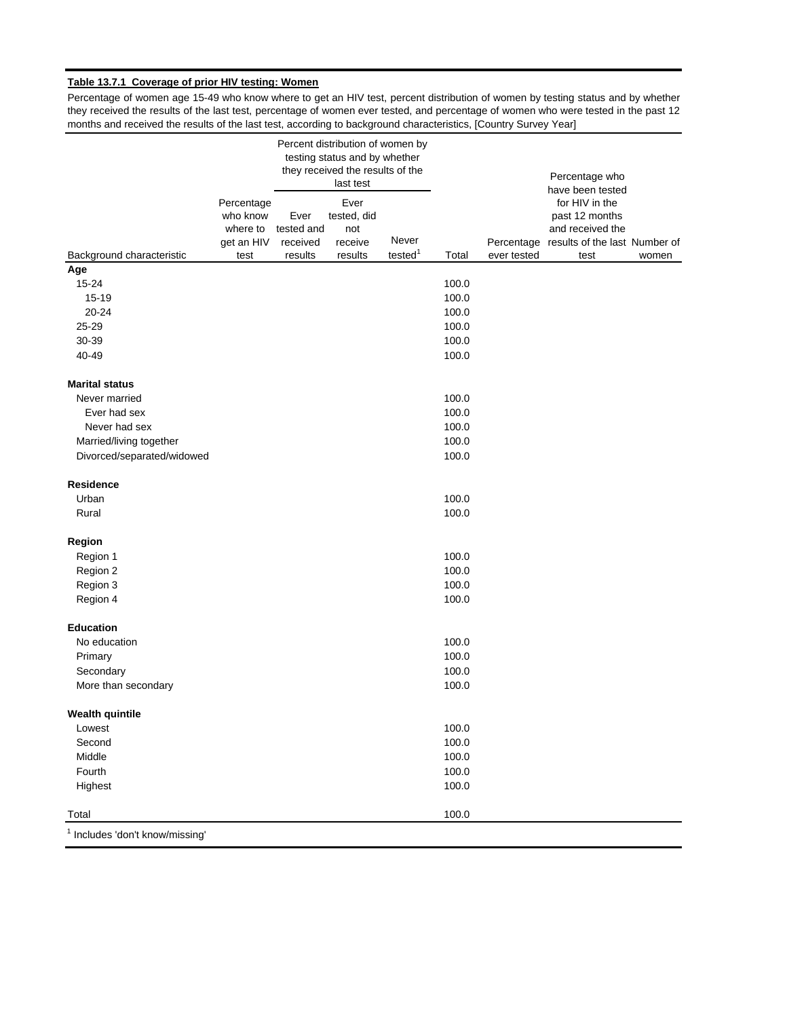# **Table 13.7.1 Coverage of prior HIV testing: Women**

Percentage of women age 15-49 who know where to get an HIV test, percent distribution of women by testing status and by whether they received the results of the last test, percentage of women ever tested, and percentage of women who were tested in the past 12 months and received the results of the last test, according to background characteristics, [Country Survey Year]

|                                            |                                                          |                                           | Percent distribution of women by<br>testing status and by whether<br>they received the results of the<br>last test |                              |                |             | Percentage who<br>have been tested                                                                       |       |
|--------------------------------------------|----------------------------------------------------------|-------------------------------------------|--------------------------------------------------------------------------------------------------------------------|------------------------------|----------------|-------------|----------------------------------------------------------------------------------------------------------|-------|
| Background characteristic                  | Percentage<br>who know<br>where to<br>get an HIV<br>test | Ever<br>tested and<br>received<br>results | Ever<br>tested, did<br>not<br>receive<br>results                                                                   | Never<br>tested <sup>1</sup> | Total          | ever tested | for HIV in the<br>past 12 months<br>and received the<br>Percentage results of the last Number of<br>test | women |
| Age                                        |                                                          |                                           |                                                                                                                    |                              |                |             |                                                                                                          |       |
| $15 - 24$                                  |                                                          |                                           |                                                                                                                    |                              | 100.0          |             |                                                                                                          |       |
| $15 - 19$                                  |                                                          |                                           |                                                                                                                    |                              | 100.0          |             |                                                                                                          |       |
| 20-24                                      |                                                          |                                           |                                                                                                                    |                              | 100.0          |             |                                                                                                          |       |
| 25-29                                      |                                                          |                                           |                                                                                                                    |                              | 100.0          |             |                                                                                                          |       |
| 30-39                                      |                                                          |                                           |                                                                                                                    |                              | 100.0          |             |                                                                                                          |       |
| 40-49                                      |                                                          |                                           |                                                                                                                    |                              | 100.0          |             |                                                                                                          |       |
| <b>Marital status</b>                      |                                                          |                                           |                                                                                                                    |                              |                |             |                                                                                                          |       |
| Never married                              |                                                          |                                           |                                                                                                                    |                              | 100.0          |             |                                                                                                          |       |
| Ever had sex                               |                                                          |                                           |                                                                                                                    |                              | 100.0          |             |                                                                                                          |       |
| Never had sex                              |                                                          |                                           |                                                                                                                    |                              | 100.0          |             |                                                                                                          |       |
| Married/living together                    |                                                          |                                           |                                                                                                                    |                              | 100.0          |             |                                                                                                          |       |
| Divorced/separated/widowed                 |                                                          |                                           |                                                                                                                    |                              | 100.0          |             |                                                                                                          |       |
| <b>Residence</b>                           |                                                          |                                           |                                                                                                                    |                              |                |             |                                                                                                          |       |
| Urban                                      |                                                          |                                           |                                                                                                                    |                              | 100.0          |             |                                                                                                          |       |
| Rural                                      |                                                          |                                           |                                                                                                                    |                              | 100.0          |             |                                                                                                          |       |
| Region                                     |                                                          |                                           |                                                                                                                    |                              |                |             |                                                                                                          |       |
| Region 1                                   |                                                          |                                           |                                                                                                                    |                              | 100.0          |             |                                                                                                          |       |
| Region 2                                   |                                                          |                                           |                                                                                                                    |                              | 100.0          |             |                                                                                                          |       |
| Region 3                                   |                                                          |                                           |                                                                                                                    |                              | 100.0          |             |                                                                                                          |       |
| Region 4                                   |                                                          |                                           |                                                                                                                    |                              | 100.0          |             |                                                                                                          |       |
| <b>Education</b>                           |                                                          |                                           |                                                                                                                    |                              |                |             |                                                                                                          |       |
| No education                               |                                                          |                                           |                                                                                                                    |                              | 100.0          |             |                                                                                                          |       |
| Primary                                    |                                                          |                                           |                                                                                                                    |                              | 100.0          |             |                                                                                                          |       |
| Secondary<br>More than secondary           |                                                          |                                           |                                                                                                                    |                              | 100.0<br>100.0 |             |                                                                                                          |       |
| <b>Wealth quintile</b>                     |                                                          |                                           |                                                                                                                    |                              |                |             |                                                                                                          |       |
| Lowest                                     |                                                          |                                           |                                                                                                                    |                              | 100.0          |             |                                                                                                          |       |
| Second                                     |                                                          |                                           |                                                                                                                    |                              | 100.0          |             |                                                                                                          |       |
| Middle                                     |                                                          |                                           |                                                                                                                    |                              | 100.0          |             |                                                                                                          |       |
| Fourth                                     |                                                          |                                           |                                                                                                                    |                              | 100.0          |             |                                                                                                          |       |
| Highest                                    |                                                          |                                           |                                                                                                                    |                              | 100.0          |             |                                                                                                          |       |
| Total                                      |                                                          |                                           |                                                                                                                    |                              | 100.0          |             |                                                                                                          |       |
| <sup>1</sup> Includes 'don't know/missing' |                                                          |                                           |                                                                                                                    |                              |                |             |                                                                                                          |       |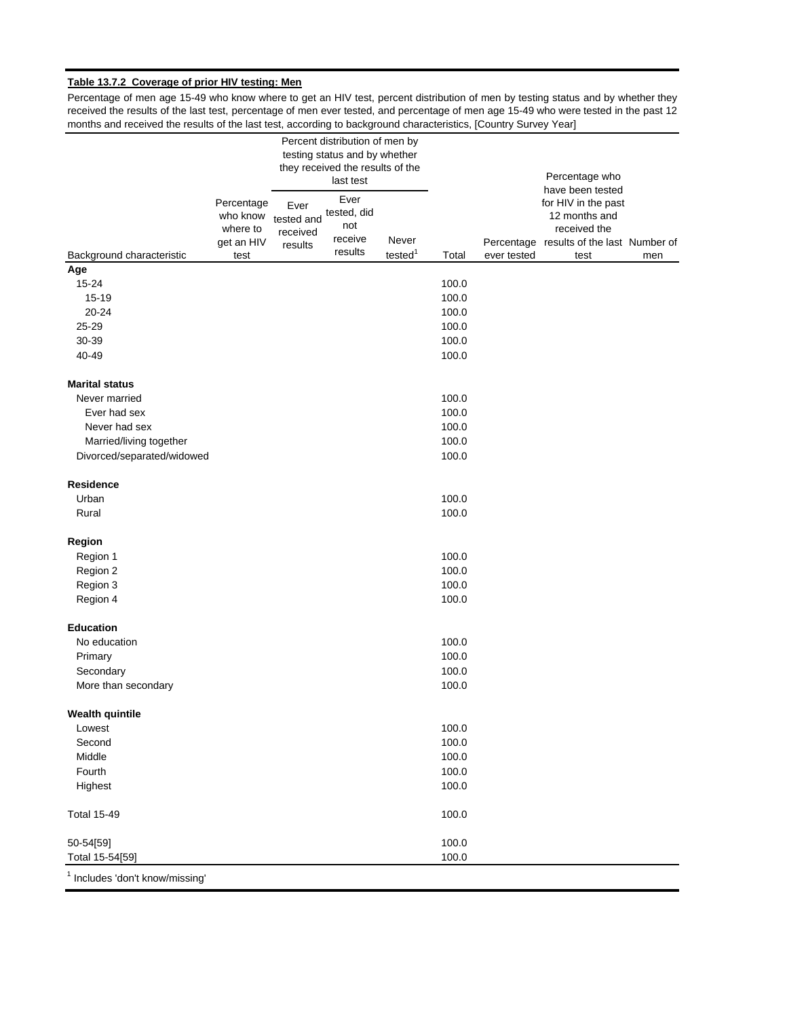# **Table 13.7.2 Coverage of prior HIV testing: Men**

Percentage of men age 15-49 who know where to get an HIV test, percent distribution of men by testing status and by whether they received the results of the last test, percentage of men ever tested, and percentage of men age 15-49 who were tested in the past 12 months and received the results of the last test, according to background characteristics, [Country Survey Year]

|                                            |                                                          | Percent distribution of men by<br>testing status and by whether<br>they received the results of the<br>last test |                                                  |                              |       |             | Percentage who<br>have been tested                                                                       |     |
|--------------------------------------------|----------------------------------------------------------|------------------------------------------------------------------------------------------------------------------|--------------------------------------------------|------------------------------|-------|-------------|----------------------------------------------------------------------------------------------------------|-----|
| Background characteristic                  | Percentage<br>who know<br>where to<br>get an HIV<br>test | Ever<br>tested and<br>received<br>results                                                                        | Ever<br>tested, did<br>not<br>receive<br>results | Never<br>tested <sup>1</sup> | Total | ever tested | for HIV in the past<br>12 months and<br>received the<br>Percentage results of the last Number of<br>test | men |
| Age                                        |                                                          |                                                                                                                  |                                                  |                              |       |             |                                                                                                          |     |
| $15 - 24$                                  |                                                          |                                                                                                                  |                                                  |                              | 100.0 |             |                                                                                                          |     |
| 15-19                                      |                                                          |                                                                                                                  |                                                  |                              | 100.0 |             |                                                                                                          |     |
| 20-24                                      |                                                          |                                                                                                                  |                                                  |                              | 100.0 |             |                                                                                                          |     |
| 25-29                                      |                                                          |                                                                                                                  |                                                  |                              | 100.0 |             |                                                                                                          |     |
| 30-39                                      |                                                          |                                                                                                                  |                                                  |                              | 100.0 |             |                                                                                                          |     |
| 40-49                                      |                                                          |                                                                                                                  |                                                  |                              | 100.0 |             |                                                                                                          |     |
| <b>Marital status</b>                      |                                                          |                                                                                                                  |                                                  |                              |       |             |                                                                                                          |     |
| Never married                              |                                                          |                                                                                                                  |                                                  |                              | 100.0 |             |                                                                                                          |     |
| Ever had sex                               |                                                          |                                                                                                                  |                                                  |                              | 100.0 |             |                                                                                                          |     |
| Never had sex                              |                                                          |                                                                                                                  |                                                  |                              | 100.0 |             |                                                                                                          |     |
| Married/living together                    |                                                          |                                                                                                                  |                                                  |                              | 100.0 |             |                                                                                                          |     |
| Divorced/separated/widowed                 |                                                          |                                                                                                                  |                                                  |                              | 100.0 |             |                                                                                                          |     |
| <b>Residence</b>                           |                                                          |                                                                                                                  |                                                  |                              |       |             |                                                                                                          |     |
| Urban                                      |                                                          |                                                                                                                  |                                                  |                              | 100.0 |             |                                                                                                          |     |
| Rural                                      |                                                          |                                                                                                                  |                                                  |                              | 100.0 |             |                                                                                                          |     |
| Region                                     |                                                          |                                                                                                                  |                                                  |                              |       |             |                                                                                                          |     |
| Region 1                                   |                                                          |                                                                                                                  |                                                  |                              | 100.0 |             |                                                                                                          |     |
| Region 2                                   |                                                          |                                                                                                                  |                                                  |                              | 100.0 |             |                                                                                                          |     |
| Region 3                                   |                                                          |                                                                                                                  |                                                  |                              | 100.0 |             |                                                                                                          |     |
| Region 4                                   |                                                          |                                                                                                                  |                                                  |                              | 100.0 |             |                                                                                                          |     |
| <b>Education</b>                           |                                                          |                                                                                                                  |                                                  |                              |       |             |                                                                                                          |     |
| No education                               |                                                          |                                                                                                                  |                                                  |                              | 100.0 |             |                                                                                                          |     |
| Primary                                    |                                                          |                                                                                                                  |                                                  |                              | 100.0 |             |                                                                                                          |     |
| Secondary                                  |                                                          |                                                                                                                  |                                                  |                              | 100.0 |             |                                                                                                          |     |
| More than secondary                        |                                                          |                                                                                                                  |                                                  |                              | 100.0 |             |                                                                                                          |     |
| <b>Wealth quintile</b>                     |                                                          |                                                                                                                  |                                                  |                              |       |             |                                                                                                          |     |
| Lowest                                     |                                                          |                                                                                                                  |                                                  |                              | 100.0 |             |                                                                                                          |     |
| Second                                     |                                                          |                                                                                                                  |                                                  |                              | 100.0 |             |                                                                                                          |     |
| Middle                                     |                                                          |                                                                                                                  |                                                  |                              | 100.0 |             |                                                                                                          |     |
| Fourth                                     |                                                          |                                                                                                                  |                                                  |                              | 100.0 |             |                                                                                                          |     |
| Highest                                    |                                                          |                                                                                                                  |                                                  |                              | 100.0 |             |                                                                                                          |     |
| <b>Total 15-49</b>                         |                                                          |                                                                                                                  |                                                  |                              | 100.0 |             |                                                                                                          |     |
| 50-54[59]                                  |                                                          |                                                                                                                  |                                                  |                              | 100.0 |             |                                                                                                          |     |
| Total 15-54[59]                            |                                                          |                                                                                                                  |                                                  |                              | 100.0 |             |                                                                                                          |     |
| <sup>1</sup> Includes 'don't know/missing' |                                                          |                                                                                                                  |                                                  |                              |       |             |                                                                                                          |     |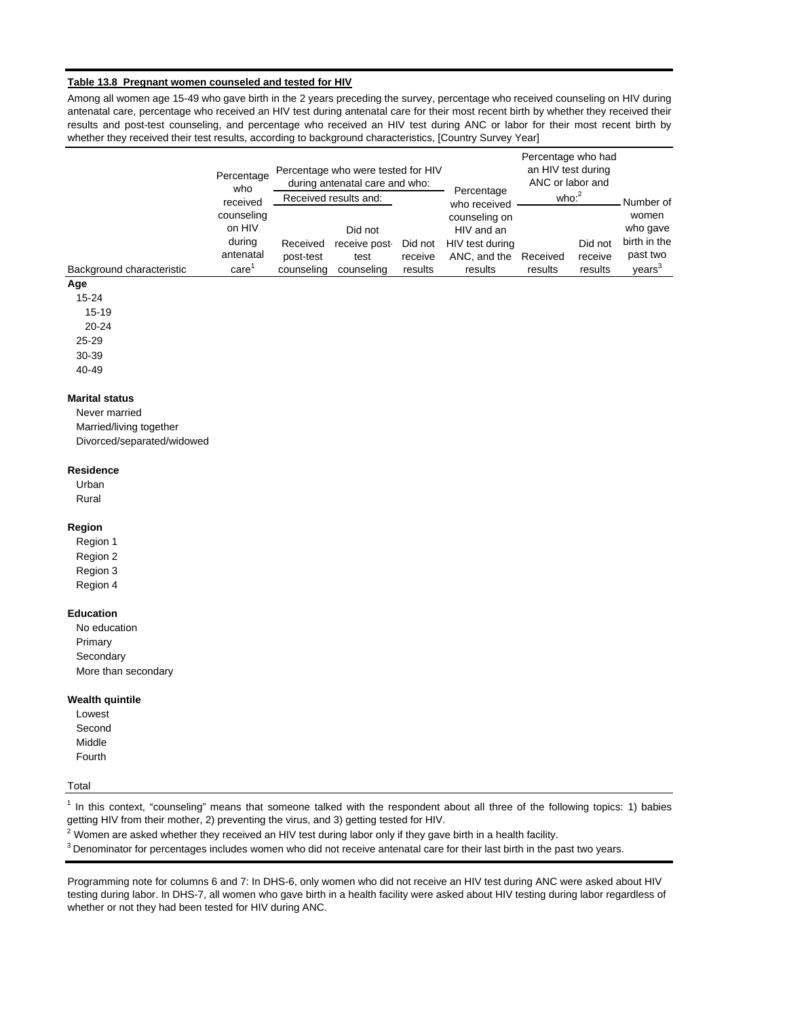#### **Table 13.8 Pregnant women counseled and tested for HIV**

Among all women age 15-49 who gave birth in the 2 years preceding the survey, percentage who received counseling on HIV during antenatal care, percentage who received an HIV test during antenatal care for their most recent birth by whether they received their results and post-test counseling, and percentage who received an HIV test during ANC or labor for their most recent birth by whether they received their test results, according to background characteristics, [Country Survey Year]

|                           | Percentage<br>who      |                       | Percentage who were tested for HIV<br>during antenatal care and who: |                    | Percentage                      | Percentage who had<br>an HIV test during<br>ANC or labor and |                    |                          |  |
|---------------------------|------------------------|-----------------------|----------------------------------------------------------------------|--------------------|---------------------------------|--------------------------------------------------------------|--------------------|--------------------------|--|
|                           | received<br>counseling |                       | Received results and:                                                |                    | who received<br>counseling on   | who: $2$                                                     | Number of<br>women |                          |  |
|                           | on HIV                 |                       | Did not                                                              |                    | HIV and an                      |                                                              |                    | who gave                 |  |
|                           | during<br>antenatal    | Received<br>post-test | receive post-<br>test                                                | Did not<br>receive | HIV test during<br>ANC, and the | Received                                                     | Did not<br>receive | birth in the<br>past two |  |
| Background characteristic | care                   | counseling            | counseling                                                           | results            | results                         | results                                                      | results            | years <sup>3</sup>       |  |

# **Age**

15-24 15-19

20-24

25-29

30-39

40-49

## **Marital status**

Never married Married/living together Divorced/separated/widowed

#### **Residence**

Urban Rural

#### **Region**

Region 1 Region 2 Region 3 Region 4

#### **Education**

No education Primary **Secondary** More than secondary

#### **Wealth quintile**

Lowest Second Middle Fourth

#### Total

 $1$  In this context, "counseling" means that someone talked with the respondent about all three of the following topics: 1) babies getting HIV from their mother, 2) preventing the virus, and 3) getting tested for HIV.

 $^2$  Women are asked whether they received an HIV test during labor only if they gave birth in a health facility.

 $3$  Denominator for percentages includes women who did not receive antenatal care for their last birth in the past two years.

Programming note for columns 6 and 7: In DHS-6, only women who did not receive an HIV test during ANC were asked about HIV testing during labor. In DHS-7, all women who gave birth in a health facility were asked about HIV testing during labor regardless of whether or not they had been tested for HIV during ANC.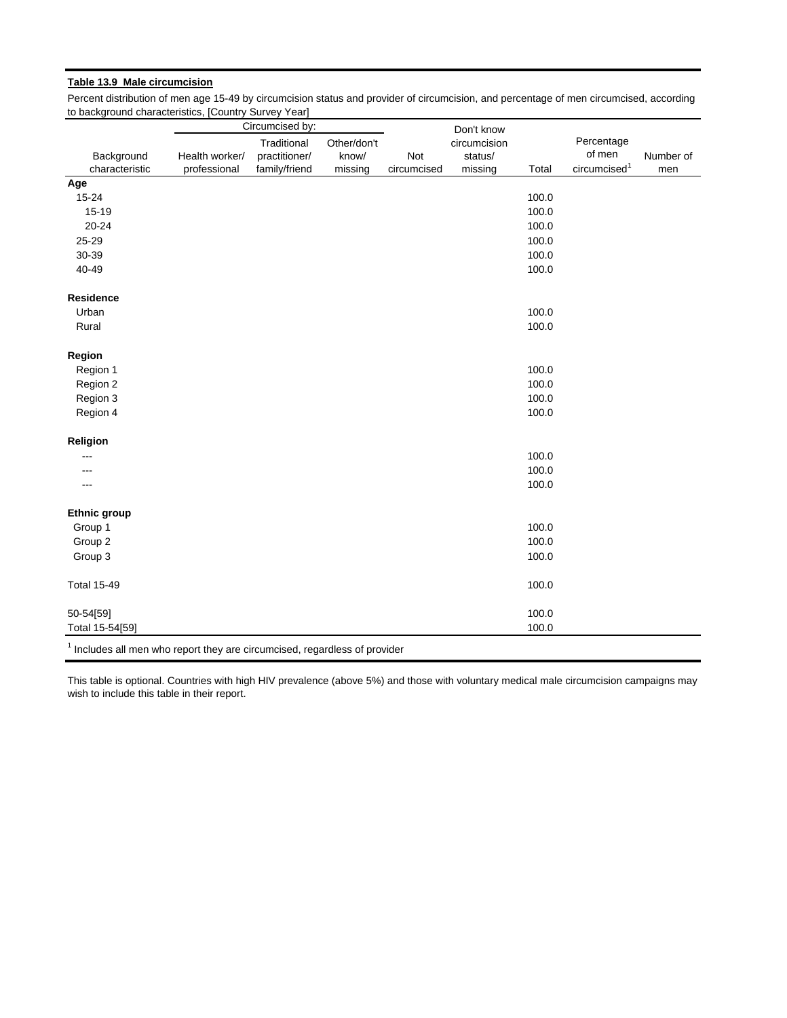## **Table 13.9 Male circumcision**

Percent distribution of men age 15-49 by circumcision status and provider of circumcision, and percentage of men circumcised, according to background characteristics, [Country Survey Year]

|                                                                                       |                | Circumcised by: |             |             | Don't know   |       |                          |           |
|---------------------------------------------------------------------------------------|----------------|-----------------|-------------|-------------|--------------|-------|--------------------------|-----------|
|                                                                                       |                | Traditional     | Other/don't |             | circumcision |       | Percentage               |           |
| Background                                                                            | Health worker/ | practitioner/   | know/       | Not         | status/      |       | of men                   | Number of |
| characteristic                                                                        | professional   | family/friend   | missing     | circumcised | missing      | Total | circumcised <sup>1</sup> | men       |
| Age                                                                                   |                |                 |             |             |              |       |                          |           |
| $15 - 24$                                                                             |                |                 |             |             |              | 100.0 |                          |           |
| $15 - 19$                                                                             |                |                 |             |             |              | 100.0 |                          |           |
| $20 - 24$                                                                             |                |                 |             |             |              | 100.0 |                          |           |
| 25-29                                                                                 |                |                 |             |             |              | 100.0 |                          |           |
| 30-39                                                                                 |                |                 |             |             |              | 100.0 |                          |           |
| 40-49                                                                                 |                |                 |             |             |              | 100.0 |                          |           |
| Residence                                                                             |                |                 |             |             |              |       |                          |           |
| Urban                                                                                 |                |                 |             |             |              | 100.0 |                          |           |
| Rural                                                                                 |                |                 |             |             |              | 100.0 |                          |           |
| Region                                                                                |                |                 |             |             |              |       |                          |           |
| Region 1                                                                              |                |                 |             |             |              | 100.0 |                          |           |
| Region 2                                                                              |                |                 |             |             |              | 100.0 |                          |           |
| Region 3                                                                              |                |                 |             |             |              | 100.0 |                          |           |
| Region 4                                                                              |                |                 |             |             |              | 100.0 |                          |           |
| Religion                                                                              |                |                 |             |             |              |       |                          |           |
|                                                                                       |                |                 |             |             |              | 100.0 |                          |           |
|                                                                                       |                |                 |             |             |              | 100.0 |                          |           |
|                                                                                       |                |                 |             |             |              | 100.0 |                          |           |
| <b>Ethnic group</b>                                                                   |                |                 |             |             |              |       |                          |           |
| Group 1                                                                               |                |                 |             |             |              | 100.0 |                          |           |
| Group 2                                                                               |                |                 |             |             |              | 100.0 |                          |           |
| Group 3                                                                               |                |                 |             |             |              | 100.0 |                          |           |
| <b>Total 15-49</b>                                                                    |                |                 |             |             |              | 100.0 |                          |           |
| 50-54[59]                                                                             |                |                 |             |             |              | 100.0 |                          |           |
| Total 15-54[59]                                                                       |                |                 |             |             |              | 100.0 |                          |           |
| <sup>1</sup> Includes all men who report they are circumcised, regardless of provider |                |                 |             |             |              |       |                          |           |

This table is optional. Countries with high HIV prevalence (above 5%) and those with voluntary medical male circumcision campaigns may wish to include this table in their report.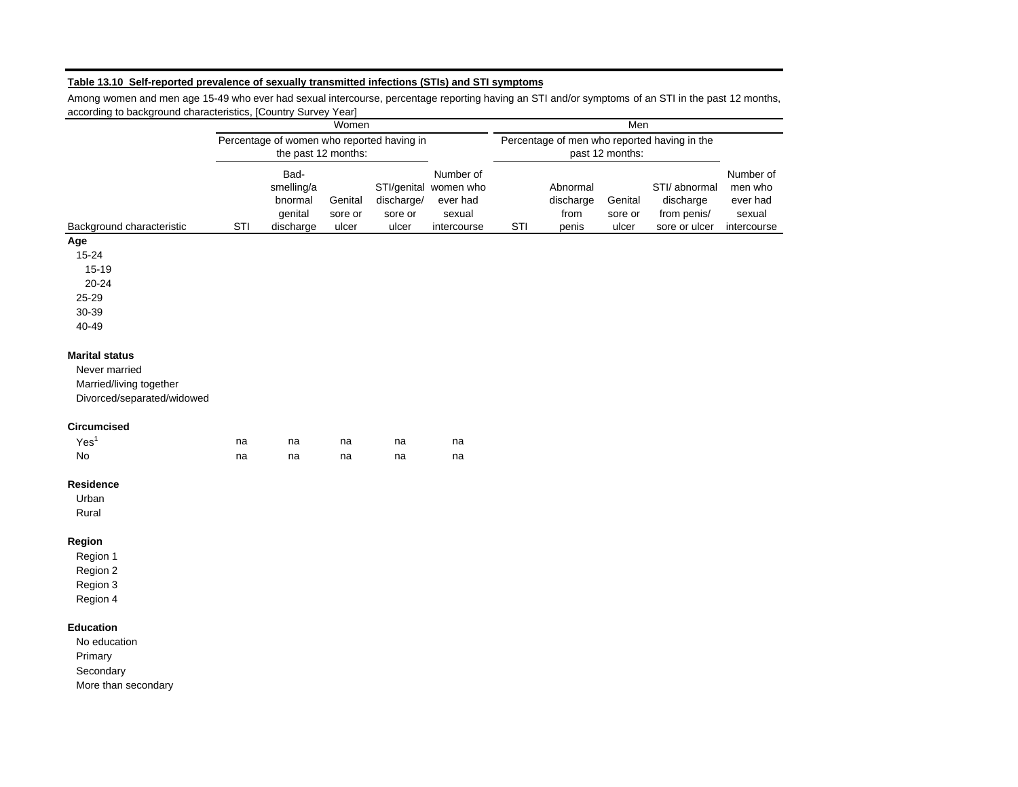# **Table 13.10 Self-reported prevalence of sexually transmitted infections (STIs) and STI symptoms**

Among women and men age 15-49 who ever had sexual intercourse, percentage reporting having an STI and/or symptoms of an STI in the past 12 months, according to background characteristics, [Country Survey Year]

|                            | Women                                      |                     |         |            |                                              | Men             |           |         |               |             |
|----------------------------|--------------------------------------------|---------------------|---------|------------|----------------------------------------------|-----------------|-----------|---------|---------------|-------------|
|                            | Percentage of women who reported having in |                     |         |            | Percentage of men who reported having in the |                 |           |         |               |             |
|                            |                                            | the past 12 months: |         |            |                                              | past 12 months: |           |         |               |             |
|                            |                                            | Bad-                |         |            | Number of                                    |                 |           |         |               | Number of   |
|                            |                                            | smelling/a          |         |            | STI/genital women who                        |                 | Abnormal  |         | STI/ abnormal | men who     |
|                            |                                            | bnormal             | Genital | discharge/ | ever had                                     |                 | discharge | Genital | discharge     | ever had    |
|                            |                                            | genital             | sore or | sore or    | sexual                                       |                 | from      | sore or | from penis/   | sexual      |
| Background characteristic  | STI                                        | discharge           | ulcer   | ulcer      | intercourse                                  | STI             | penis     | ulcer   | sore or ulcer | intercourse |
| Age                        |                                            |                     |         |            |                                              |                 |           |         |               |             |
| 15-24                      |                                            |                     |         |            |                                              |                 |           |         |               |             |
| $15 - 19$                  |                                            |                     |         |            |                                              |                 |           |         |               |             |
| $20 - 24$                  |                                            |                     |         |            |                                              |                 |           |         |               |             |
| 25-29                      |                                            |                     |         |            |                                              |                 |           |         |               |             |
| 30-39                      |                                            |                     |         |            |                                              |                 |           |         |               |             |
| 40-49                      |                                            |                     |         |            |                                              |                 |           |         |               |             |
|                            |                                            |                     |         |            |                                              |                 |           |         |               |             |
| <b>Marital status</b>      |                                            |                     |         |            |                                              |                 |           |         |               |             |
| Never married              |                                            |                     |         |            |                                              |                 |           |         |               |             |
| Married/living together    |                                            |                     |         |            |                                              |                 |           |         |               |             |
| Divorced/separated/widowed |                                            |                     |         |            |                                              |                 |           |         |               |             |
|                            |                                            |                     |         |            |                                              |                 |           |         |               |             |
| Circumcised                |                                            |                     |         |            |                                              |                 |           |         |               |             |
| Yes <sup>1</sup>           | na                                         | na                  | na      | na         | na                                           |                 |           |         |               |             |
| No                         | na                                         | na                  | na      | na         | na                                           |                 |           |         |               |             |
| Residence                  |                                            |                     |         |            |                                              |                 |           |         |               |             |
| Urban                      |                                            |                     |         |            |                                              |                 |           |         |               |             |
| Rural                      |                                            |                     |         |            |                                              |                 |           |         |               |             |
| Region                     |                                            |                     |         |            |                                              |                 |           |         |               |             |
| Region 1                   |                                            |                     |         |            |                                              |                 |           |         |               |             |
| Region 2                   |                                            |                     |         |            |                                              |                 |           |         |               |             |
| Region 3                   |                                            |                     |         |            |                                              |                 |           |         |               |             |
| Region 4                   |                                            |                     |         |            |                                              |                 |           |         |               |             |
|                            |                                            |                     |         |            |                                              |                 |           |         |               |             |
| <b>Education</b>           |                                            |                     |         |            |                                              |                 |           |         |               |             |
| No education               |                                            |                     |         |            |                                              |                 |           |         |               |             |
| Primary                    |                                            |                     |         |            |                                              |                 |           |         |               |             |
| Secondary                  |                                            |                     |         |            |                                              |                 |           |         |               |             |
| More than secondary        |                                            |                     |         |            |                                              |                 |           |         |               |             |
|                            |                                            |                     |         |            |                                              |                 |           |         |               |             |
|                            |                                            |                     |         |            |                                              |                 |           |         |               |             |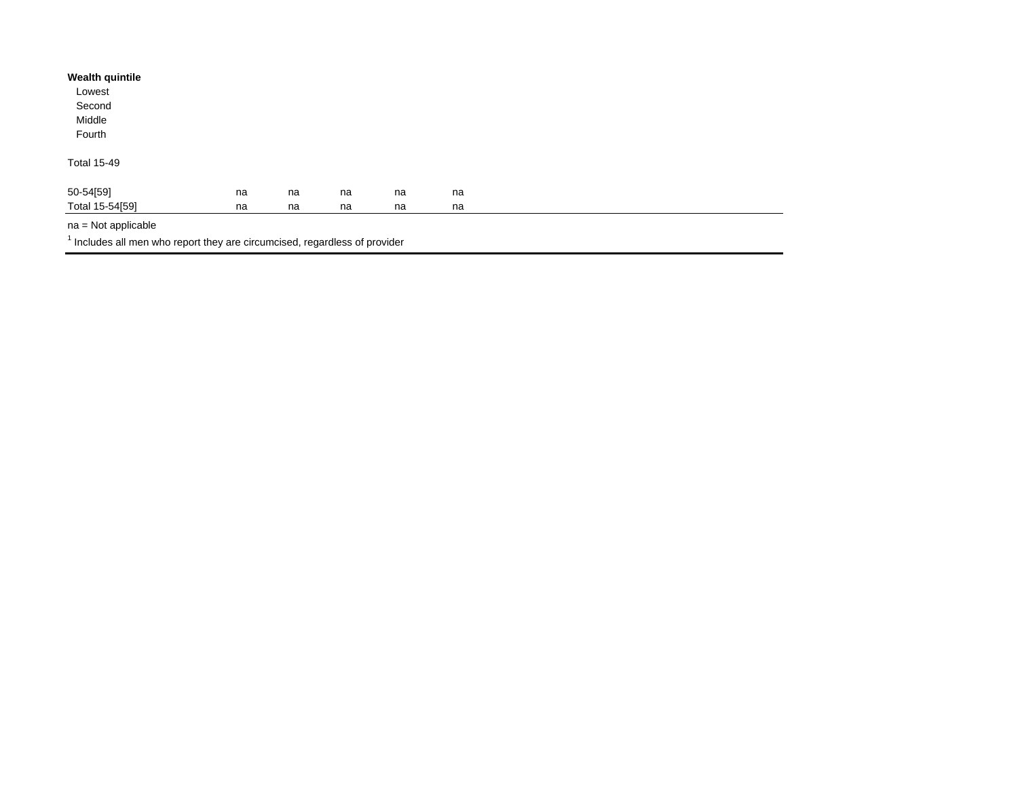| <b>Wealth quintile</b> |    |    |    |    |    |  |  |
|------------------------|----|----|----|----|----|--|--|
| Lowest                 |    |    |    |    |    |  |  |
| Second                 |    |    |    |    |    |  |  |
| Middle                 |    |    |    |    |    |  |  |
| Fourth                 |    |    |    |    |    |  |  |
| <b>Total 15-49</b>     |    |    |    |    |    |  |  |
| 50-54[59]              | na | na | na | na | na |  |  |
| Total 15-54[59]        | na | na | na | na | na |  |  |

na = Not applicable

 $<sup>1</sup>$  Includes all men who report they are circumcised, regardless of provider</sup>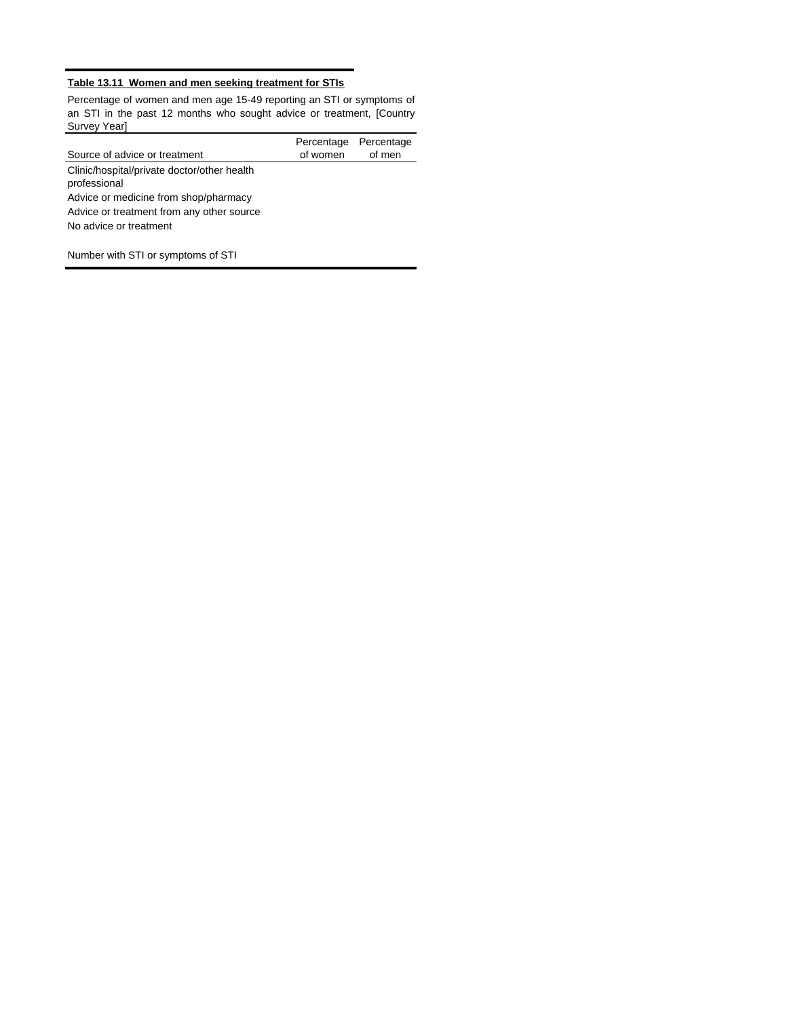# **Table 13.11 Women and men seeking treatment for STIs**

Percentage of women and men age 15-49 reporting an STI or symptoms of an STI in the past 12 months who sought advice or treatment, [Country Survey Year]

|                                                             | Percentage Percentage |        |
|-------------------------------------------------------------|-----------------------|--------|
| Source of advice or treatment                               | of women              | of men |
| Clinic/hospital/private doctor/other health<br>professional |                       |        |
| Advice or medicine from shop/pharmacy                       |                       |        |
| Advice or treatment from any other source                   |                       |        |
| No advice or treatment                                      |                       |        |

Number with STI or symptoms of STI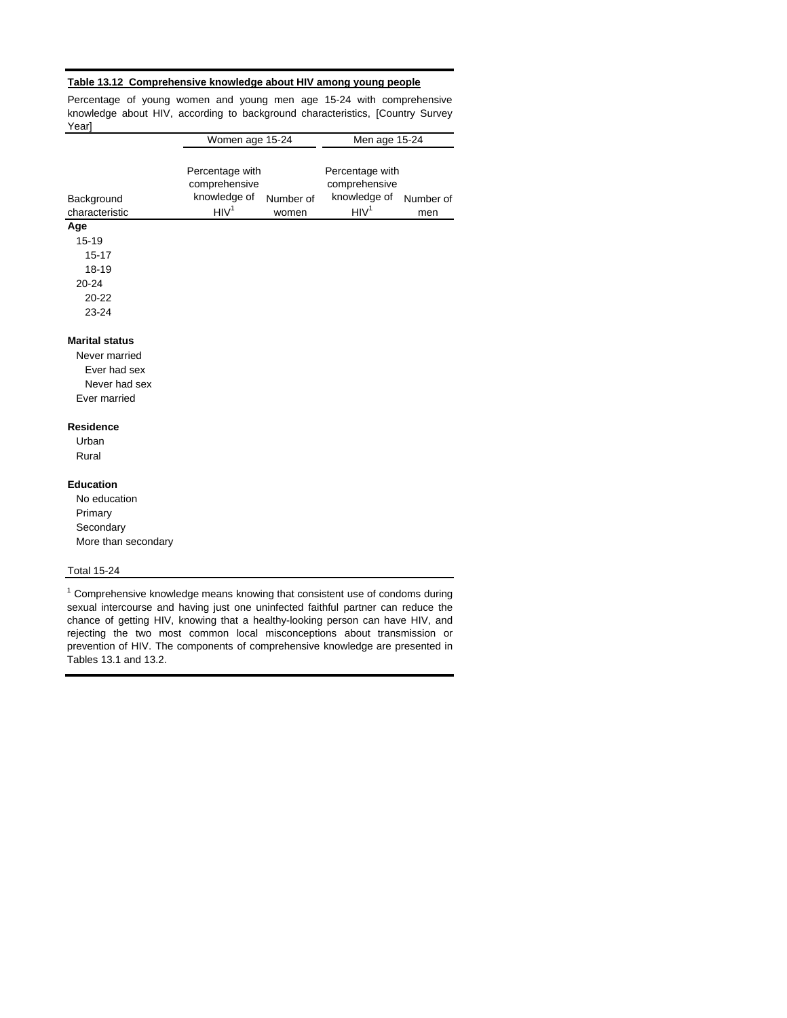#### **Table 13.12 Comprehensive knowledge about HIV among young people**

Percentage of young women and young men age 15-24 with comprehensive knowledge about HIV, according to background characteristics, [Country Survey Year]

|                                                                                         | Women age 15-24                                                      |                    | Men age 15-24                                                        |                  |  |  |
|-----------------------------------------------------------------------------------------|----------------------------------------------------------------------|--------------------|----------------------------------------------------------------------|------------------|--|--|
| Background<br>characteristic                                                            | Percentage with<br>comprehensive<br>knowledge of<br>HIV <sup>1</sup> | Number of<br>women | Percentage with<br>comprehensive<br>knowledge of<br>HIV <sup>1</sup> | Number of<br>men |  |  |
| Age                                                                                     |                                                                      |                    |                                                                      |                  |  |  |
| $15 - 19$                                                                               |                                                                      |                    |                                                                      |                  |  |  |
| $15 - 17$                                                                               |                                                                      |                    |                                                                      |                  |  |  |
| $18 - 19$                                                                               |                                                                      |                    |                                                                      |                  |  |  |
| $20 - 24$                                                                               |                                                                      |                    |                                                                      |                  |  |  |
| $20 - 22$                                                                               |                                                                      |                    |                                                                      |                  |  |  |
| 23-24                                                                                   |                                                                      |                    |                                                                      |                  |  |  |
| <b>Marital status</b><br>Never married<br>Ever had sex<br>Never had sex<br>Ever married |                                                                      |                    |                                                                      |                  |  |  |
| <b>Residence</b>                                                                        |                                                                      |                    |                                                                      |                  |  |  |
| Urban                                                                                   |                                                                      |                    |                                                                      |                  |  |  |
| Rural                                                                                   |                                                                      |                    |                                                                      |                  |  |  |
| <b>Education</b>                                                                        |                                                                      |                    |                                                                      |                  |  |  |
| No education                                                                            |                                                                      |                    |                                                                      |                  |  |  |
| Primary                                                                                 |                                                                      |                    |                                                                      |                  |  |  |
| Secondary                                                                               |                                                                      |                    |                                                                      |                  |  |  |
| More than secondary                                                                     |                                                                      |                    |                                                                      |                  |  |  |
| <b>Total 15-24</b>                                                                      |                                                                      |                    |                                                                      |                  |  |  |

 $1$  Comprehensive knowledge means knowing that consistent use of condoms during sexual intercourse and having just one uninfected faithful partner can reduce the chance of getting HIV, knowing that a healthy-looking person can have HIV, and rejecting the two most common local misconceptions about transmission or prevention of HIV. The components of comprehensive knowledge are presented in Tables 13.1 and 13.2.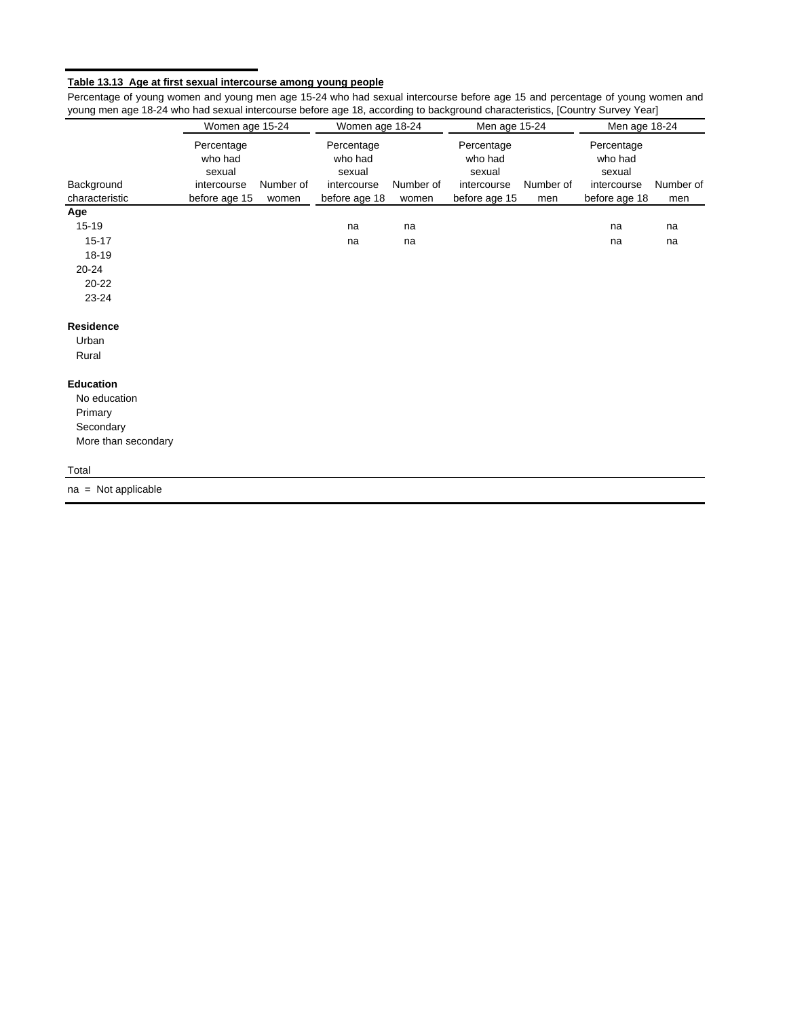#### **Table 13.13 Age at first sexual intercourse among young people**

**Age** 15-19 na na na na 15-17 na na na na 18-19 20-24 20-22 23-24 **Residence** Urban Rural **Education** No education Primary **Secondary** More than secondary Total Percentage who had sexual intercourse before age 15 Number of men Number of men Background characteristic Women age 15-24 Women age 18-24 Men age 15-24 Men age 18-24 Number of women Percentage who had sexual intercourse before age 18 Percentage who had sexual intercourse before age 15 Percentage who had sexual intercourse before age 18 Number of women

Percentage of young women and young men age 15-24 who had sexual intercourse before age 15 and percentage of young women and young men age 18-24 who had sexual intercourse before age 18, according to background characteristics, [Country Survey Year]

na = Not applicable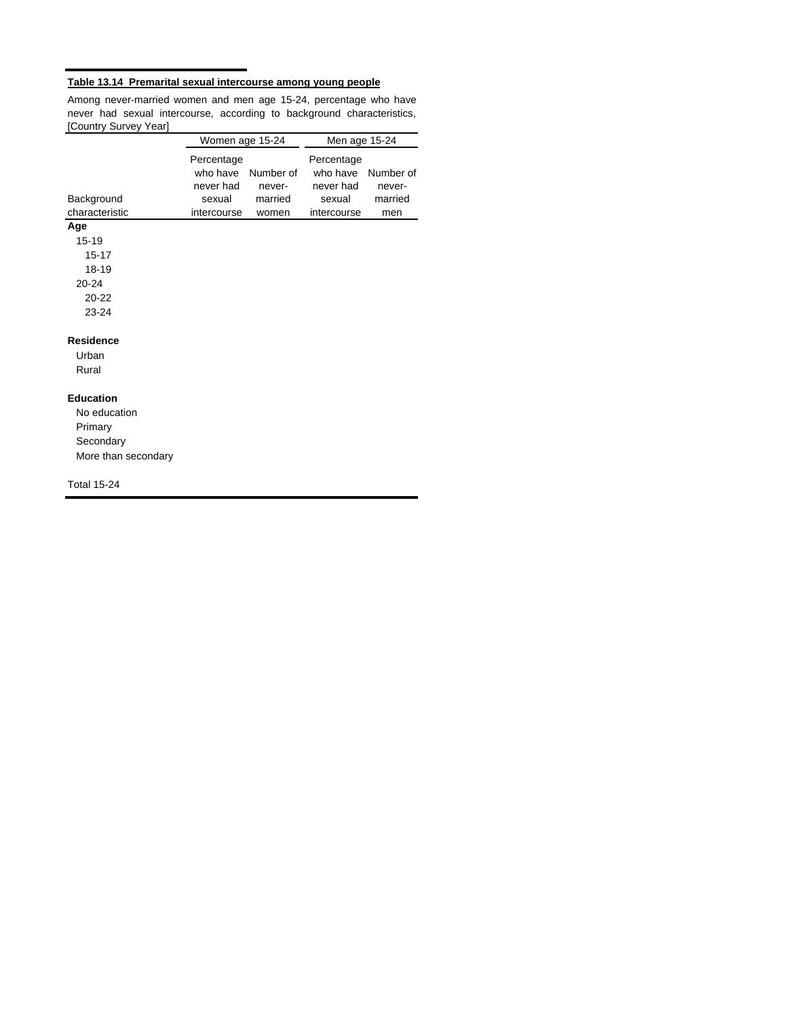# **Table 13.14 Premarital sexual intercourse among young people**

Among never-married women and men age 15-24, percentage who have never had sexual intercourse, according to background characteristics, [Country Survey Year]

|                                                                                 | Women age 15-24                                              |                                | Men age 15-24                                                |                                |  |
|---------------------------------------------------------------------------------|--------------------------------------------------------------|--------------------------------|--------------------------------------------------------------|--------------------------------|--|
| Background<br>characteristic                                                    | Percentage<br>who have<br>never had<br>sexual<br>intercourse | Number of<br>never-<br>married | Percentage<br>who have<br>never had<br>sexual<br>intercourse | Number of<br>never-<br>married |  |
| Age                                                                             |                                                              | women                          |                                                              | men                            |  |
| $15 - 19$<br>$15 - 17$<br>18-19<br>$20 - 24$<br>$20 - 22$<br>23-24              |                                                              |                                |                                                              |                                |  |
|                                                                                 |                                                              |                                |                                                              |                                |  |
| <b>Residence</b><br>Urban<br>Rural                                              |                                                              |                                |                                                              |                                |  |
| <b>Education</b><br>No education<br>Primary<br>Secondary<br>More than secondary |                                                              |                                |                                                              |                                |  |
| <b>Total 15-24</b>                                                              |                                                              |                                |                                                              |                                |  |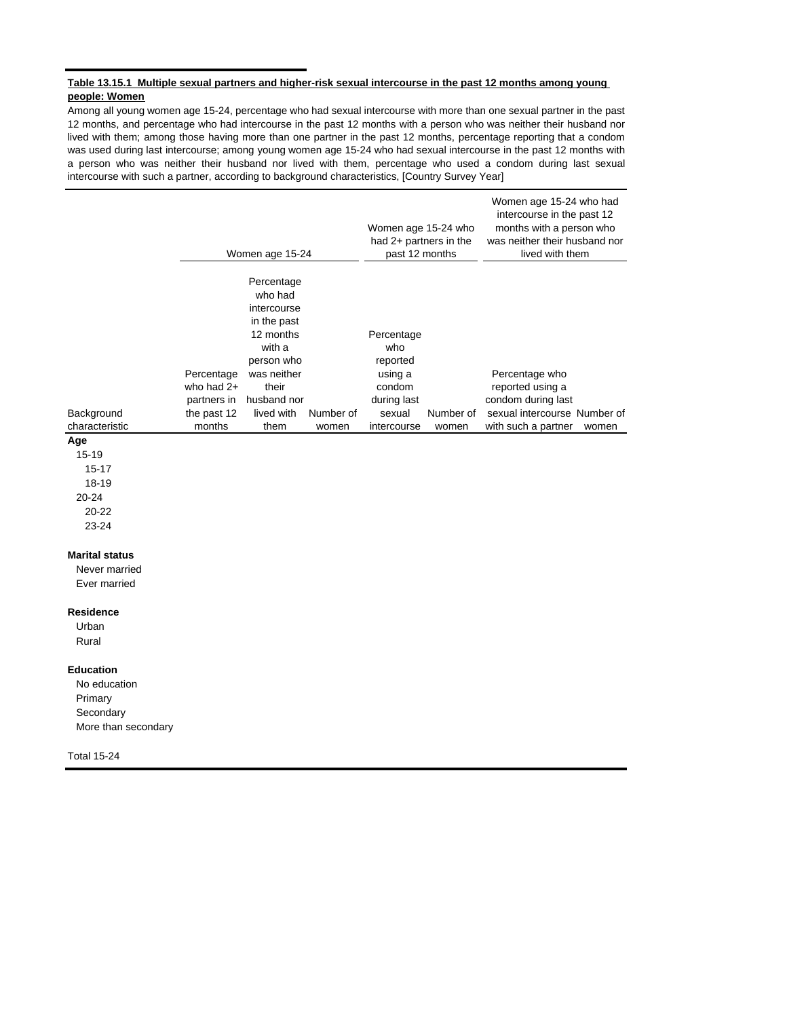#### **Table 13.15.1 Multiple sexual partners and higher-risk sexual intercourse in the past 12 months among young people: Women**

Among all young women age 15-24, percentage who had sexual intercourse with more than one sexual partner in the past 12 months, and percentage who had intercourse in the past 12 months with a person who was neither their husband nor lived with them; among those having more than one partner in the past 12 months, percentage reporting that a condom was used during last intercourse; among young women age 15-24 who had sexual intercourse in the past 12 months with a person who was neither their husband nor lived with them, percentage who used a condom during last sexual intercourse with such a partner, according to background characteristics, [Country Survey Year]

|                              |                                                                    | Women age 15-24                                                                                                                                       |                    |                                                                                            | Women age 15-24 who<br>had 2+ partners in the<br>past 12 months | Women age 15-24 who had<br>intercourse in the past 12<br>months with a person who<br>was neither their husband nor<br>lived with them |       |  |
|------------------------------|--------------------------------------------------------------------|-------------------------------------------------------------------------------------------------------------------------------------------------------|--------------------|--------------------------------------------------------------------------------------------|-----------------------------------------------------------------|---------------------------------------------------------------------------------------------------------------------------------------|-------|--|
| Background<br>characteristic | Percentage<br>who had $2+$<br>partners in<br>the past 12<br>months | Percentage<br>who had<br>intercourse<br>in the past<br>12 months<br>with a<br>person who<br>was neither<br>their<br>husband nor<br>lived with<br>them | Number of<br>women | Percentage<br>who<br>reported<br>using a<br>condom<br>during last<br>sexual<br>intercourse | Number of<br>women                                              | Percentage who<br>reported using a<br>condom during last<br>sexual intercourse Number of<br>with such a partner                       | women |  |
| Age                          |                                                                    |                                                                                                                                                       |                    |                                                                                            |                                                                 |                                                                                                                                       |       |  |

 $15 - 19$ 

15-17 18-19

20-24

20-22

# 23-24

## **Marital status**

Never married Ever married

#### **Residence**

Urban Rural

#### **Education**

No education Primary **Secondary** More than secondary

Total 15-24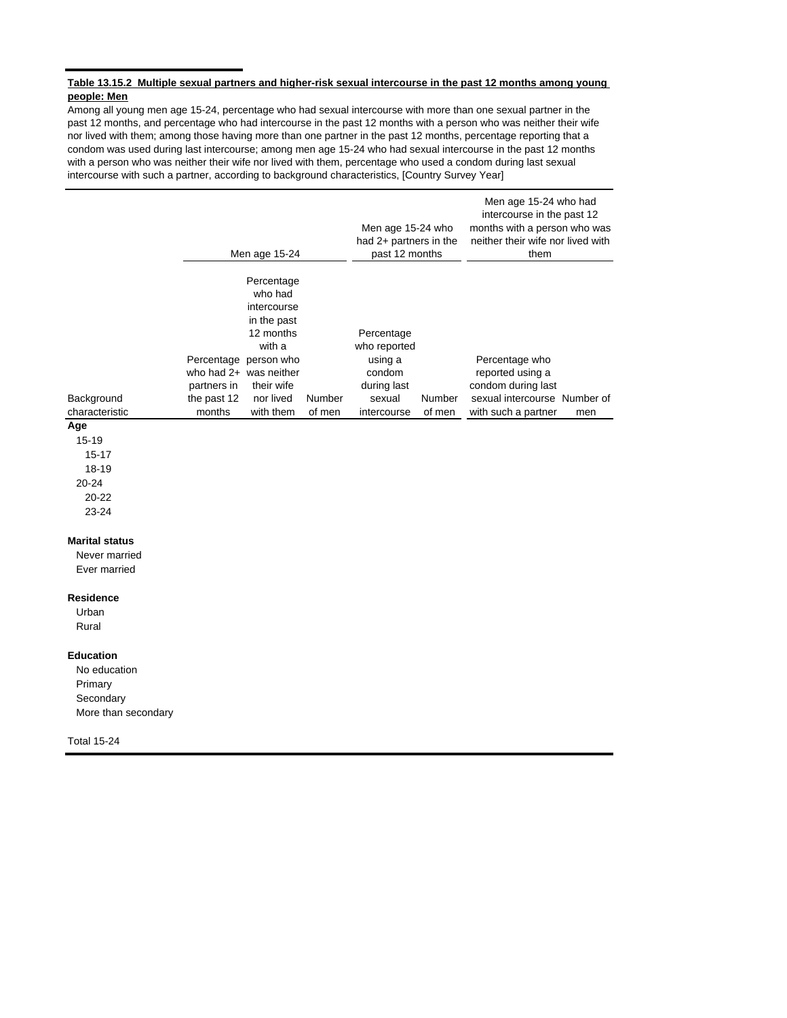#### **Table 13.15.2 Multiple sexual partners and higher-risk sexual intercourse in the past 12 months among young people: Men**

Among all young men age 15-24, percentage who had sexual intercourse with more than one sexual partner in the past 12 months, and percentage who had intercourse in the past 12 months with a person who was neither their wife nor lived with them; among those having more than one partner in the past 12 months, percentage reporting that a condom was used during last intercourse; among men age 15-24 who had sexual intercourse in the past 12 months with a person who was neither their wife nor lived with them, percentage who used a condom during last sexual intercourse with such a partner, according to background characteristics, [Country Survey Year]

|                |                          | Men age 15-24                                                    | Men age 15-24 who<br>had $2+$ partners in the<br>past 12 months |        | Men age 15-24 who had<br>intercourse in the past 12<br>months with a person who was<br>neither their wife nor lived with<br>them |     |
|----------------|--------------------------|------------------------------------------------------------------|-----------------------------------------------------------------|--------|----------------------------------------------------------------------------------------------------------------------------------|-----|
|                |                          | Percentage<br>who had<br>intercourse<br>in the past<br>12 months | Percentage                                                      |        |                                                                                                                                  |     |
|                |                          | with a                                                           | who reported                                                    |        |                                                                                                                                  |     |
|                | Percentage person who    |                                                                  | using a                                                         |        | Percentage who                                                                                                                   |     |
|                | who had $2+$ was neither |                                                                  | condom                                                          |        | reported using a                                                                                                                 |     |
|                | partners in              | their wife                                                       | during last                                                     |        | condom during last                                                                                                               |     |
| Background     | the past 12              | nor lived<br>Number                                              | sexual                                                          | Number | sexual intercourse Number of                                                                                                     |     |
| characteristic | months                   | with them<br>of men                                              | intercourse                                                     | of men | with such a partner                                                                                                              | men |
| $\mathbf{A}$   |                          |                                                                  |                                                                 |        |                                                                                                                                  |     |

#### **Age**

15-19 15-17

18-19

20-24

20-22

23-24

## **Marital status**

Never married Ever married

#### **Residence**

Urban Rural

## **Education**

No education Primary **Secondary** More than secondary

Total 15-24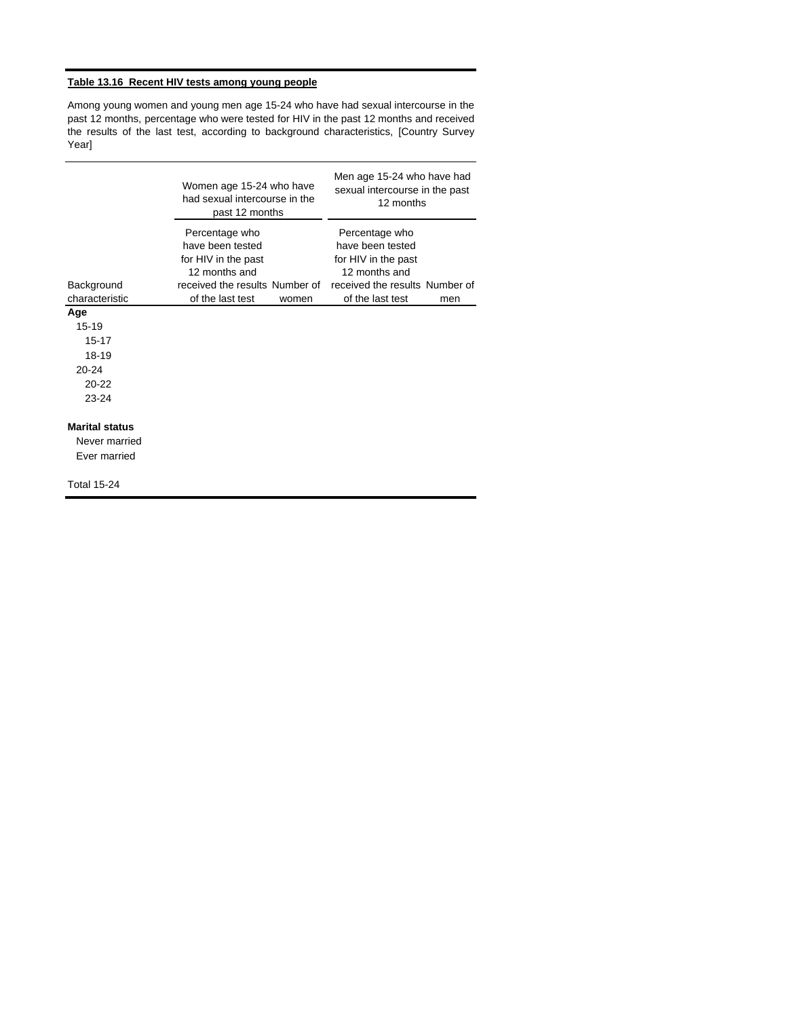# **Table 13.16 Recent HIV tests among young people**

Among young women and young men age 15-24 who have had sexual intercourse in the past 12 months, percentage who were tested for HIV in the past 12 months and received the results of the last test, according to background characteristics, [Country Survey Year]

|                                                                                                 | Women age 15-24 who have<br>had sexual intercourse in the<br>past 12 months                                                      |       | Men age 15-24 who have had<br>sexual intercourse in the past<br>12 months                                                        |     |  |  |
|-------------------------------------------------------------------------------------------------|----------------------------------------------------------------------------------------------------------------------------------|-------|----------------------------------------------------------------------------------------------------------------------------------|-----|--|--|
| Background<br>characteristic                                                                    | Percentage who<br>have been tested<br>for HIV in the past<br>12 months and<br>received the results Number of<br>of the last test | women | Percentage who<br>have been tested<br>for HIV in the past<br>12 months and<br>received the results Number of<br>of the last test | men |  |  |
| Age                                                                                             |                                                                                                                                  |       |                                                                                                                                  |     |  |  |
| $15 - 19$<br>$15 - 17$<br>18-19<br>$20 - 24$<br>$20 - 22$<br>$23 - 24$<br><b>Marital status</b> |                                                                                                                                  |       |                                                                                                                                  |     |  |  |
| Never married<br>Ever married                                                                   |                                                                                                                                  |       |                                                                                                                                  |     |  |  |
| <b>Total 15-24</b>                                                                              |                                                                                                                                  |       |                                                                                                                                  |     |  |  |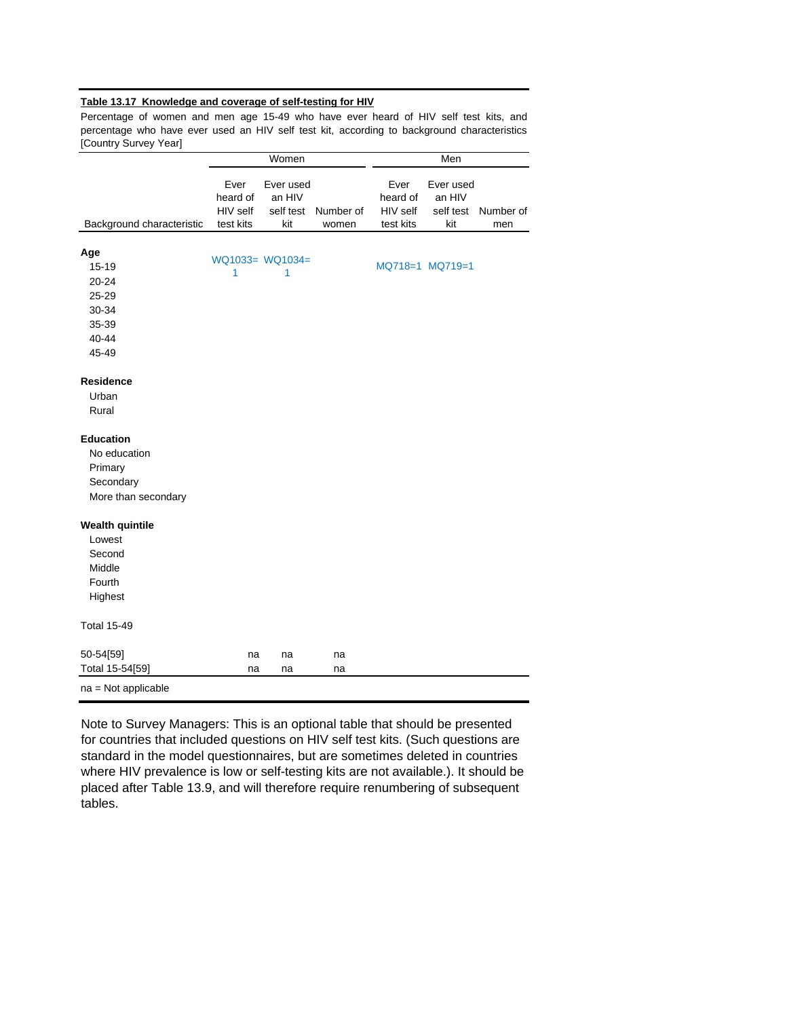## **Table 13.17 Knowledge and coverage of self-testing for HIV**

Percentage of women and men age 15-49 who have ever heard of HIV self test kits, and percentage who have ever used an HIV self test kit, according to background characteristics [Country Survey Year]

|                           |                                           | Women                                   |                    | Men                                       |                                         |                  |  |
|---------------------------|-------------------------------------------|-----------------------------------------|--------------------|-------------------------------------------|-----------------------------------------|------------------|--|
| Background characteristic | Ever<br>heard of<br>HIV self<br>test kits | Ever used<br>an HIV<br>self test<br>kit | Number of<br>women | Ever<br>heard of<br>HIV self<br>test kits | Ever used<br>an HIV<br>self test<br>kit | Number of<br>men |  |
|                           |                                           |                                         |                    |                                           |                                         |                  |  |
| Age                       |                                           | WQ1033= WQ1034=                         |                    |                                           |                                         |                  |  |
| $15 - 19$                 | 1                                         | 1                                       |                    |                                           | MQ718=1 MQ719=1                         |                  |  |
| 20-24                     |                                           |                                         |                    |                                           |                                         |                  |  |
| 25-29                     |                                           |                                         |                    |                                           |                                         |                  |  |
| 30-34                     |                                           |                                         |                    |                                           |                                         |                  |  |
| 35-39                     |                                           |                                         |                    |                                           |                                         |                  |  |
| 40-44                     |                                           |                                         |                    |                                           |                                         |                  |  |
| 45-49                     |                                           |                                         |                    |                                           |                                         |                  |  |
| <b>Residence</b>          |                                           |                                         |                    |                                           |                                         |                  |  |
| Urban                     |                                           |                                         |                    |                                           |                                         |                  |  |
| Rural                     |                                           |                                         |                    |                                           |                                         |                  |  |
| <b>Education</b>          |                                           |                                         |                    |                                           |                                         |                  |  |
| No education              |                                           |                                         |                    |                                           |                                         |                  |  |
| Primary                   |                                           |                                         |                    |                                           |                                         |                  |  |
| Secondary                 |                                           |                                         |                    |                                           |                                         |                  |  |
| More than secondary       |                                           |                                         |                    |                                           |                                         |                  |  |
| <b>Wealth quintile</b>    |                                           |                                         |                    |                                           |                                         |                  |  |
| Lowest                    |                                           |                                         |                    |                                           |                                         |                  |  |
| Second                    |                                           |                                         |                    |                                           |                                         |                  |  |
| Middle                    |                                           |                                         |                    |                                           |                                         |                  |  |
| Fourth                    |                                           |                                         |                    |                                           |                                         |                  |  |
| Highest                   |                                           |                                         |                    |                                           |                                         |                  |  |
| <b>Total 15-49</b>        |                                           |                                         |                    |                                           |                                         |                  |  |
| 50-54[59]                 | na                                        | na                                      | na                 |                                           |                                         |                  |  |
| Total 15-54[59]           | na                                        | na                                      | na                 |                                           |                                         |                  |  |
| $na = Not applicable$     |                                           |                                         |                    |                                           |                                         |                  |  |

Note to Survey Managers: This is an optional table that should be presented for countries that included questions on HIV self test kits. (Such questions are standard in the model questionnaires, but are sometimes deleted in countries where HIV prevalence is low or self-testing kits are not available.). It should be placed after Table 13.9, and will therefore require renumbering of subsequent tables.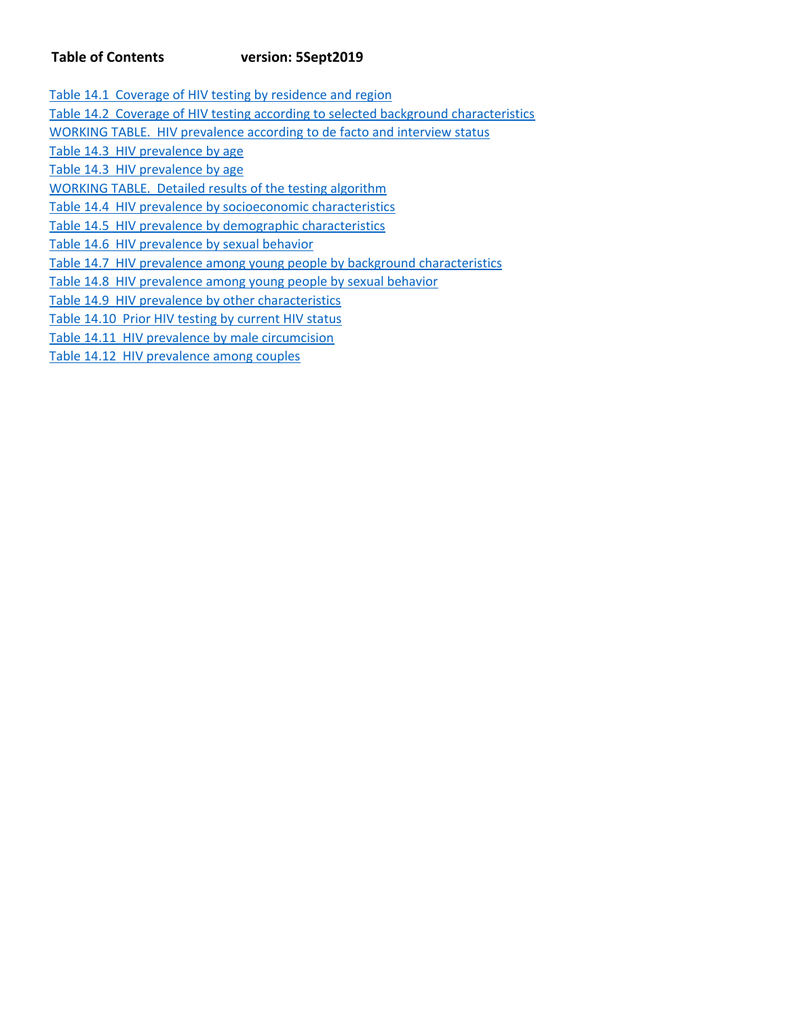# **Table of Contents version: 5Sept2019**

Table 14.1 Coverage of HIV testing by residence and region Table 14.2 Coverage of HIV testing according to selected background characteristics WORKING TABLE. HIV prevalence according to de facto and interview status Table 14.3 HIV prevalence by age Table 14.3 HIV prevalence by age WORKING TABLE. Detailed results of the testing algorithm Table 14.4 HIV prevalence by socioeconomic characteristics Table 14.5 HIV prevalence by demographic characteristics Table 14.6 HIV prevalence by sexual behavior Table 14.7 HIV prevalence among young people by background characteristics Table 14.8 HIV prevalence among young people by sexual behavior Table 14.9 HIV prevalence by other characteristics Table 14.10 Prior HIV testing by current HIV status Table 14.11 HIV prevalence by male circumcision

Table 14.12 HIV prevalence among couples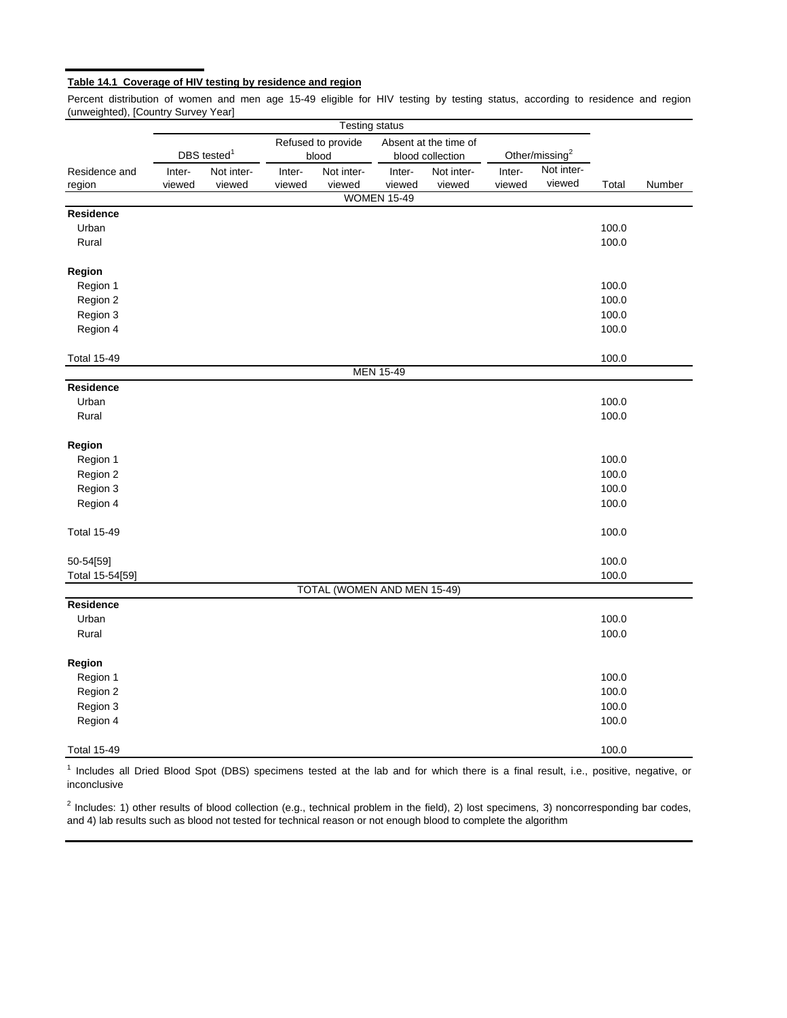## **Table 14.1 Coverage of HIV testing by residence and region**

Percent distribution of women and men age 15-49 eligible for HIV testing by testing status, according to residence and region (unweighted), [Country Survey Year]

|                    |        |                         |        | <b>Testing status</b>       |                    |                                           |        |                            |       |        |
|--------------------|--------|-------------------------|--------|-----------------------------|--------------------|-------------------------------------------|--------|----------------------------|-------|--------|
|                    |        | DBS tested <sup>1</sup> |        | Refused to provide<br>blood |                    | Absent at the time of<br>blood collection |        | Other/missing <sup>2</sup> |       |        |
| Residence and      | Inter- | Not inter-              | Inter- | Not inter-                  | Inter-             | Not inter-                                | Inter- | Not inter-                 |       |        |
| region             | viewed | viewed                  | viewed | viewed                      | viewed             | viewed                                    | viewed | viewed                     | Total | Number |
|                    |        |                         |        |                             | <b>WOMEN 15-49</b> |                                           |        |                            |       |        |
| Residence          |        |                         |        |                             |                    |                                           |        |                            |       |        |
| Urban              |        |                         |        |                             |                    |                                           |        |                            | 100.0 |        |
| Rural              |        |                         |        |                             |                    |                                           |        |                            | 100.0 |        |
| Region             |        |                         |        |                             |                    |                                           |        |                            |       |        |
| Region 1           |        |                         |        |                             |                    |                                           |        |                            | 100.0 |        |
| Region 2           |        |                         |        |                             |                    |                                           |        |                            | 100.0 |        |
| Region 3           |        |                         |        |                             |                    |                                           |        |                            | 100.0 |        |
| Region 4           |        |                         |        |                             |                    |                                           |        |                            | 100.0 |        |
| <b>Total 15-49</b> |        |                         |        |                             |                    |                                           |        |                            | 100.0 |        |
|                    |        |                         |        |                             | <b>MEN 15-49</b>   |                                           |        |                            |       |        |
| <b>Residence</b>   |        |                         |        |                             |                    |                                           |        |                            |       |        |
| Urban              |        |                         |        |                             |                    |                                           |        |                            | 100.0 |        |
| Rural              |        |                         |        |                             |                    |                                           |        |                            | 100.0 |        |
| Region             |        |                         |        |                             |                    |                                           |        |                            |       |        |
| Region 1           |        |                         |        |                             |                    |                                           |        |                            | 100.0 |        |
| Region 2           |        |                         |        |                             |                    |                                           |        |                            | 100.0 |        |
| Region 3           |        |                         |        |                             |                    |                                           |        |                            | 100.0 |        |
| Region 4           |        |                         |        |                             |                    |                                           |        |                            | 100.0 |        |
| <b>Total 15-49</b> |        |                         |        |                             |                    |                                           |        |                            | 100.0 |        |
| 50-54[59]          |        |                         |        |                             |                    |                                           |        |                            | 100.0 |        |
| Total 15-54[59]    |        |                         |        |                             |                    |                                           |        |                            | 100.0 |        |
|                    |        |                         |        | TOTAL (WOMEN AND MEN 15-49) |                    |                                           |        |                            |       |        |
| Residence          |        |                         |        |                             |                    |                                           |        |                            |       |        |
| Urban              |        |                         |        |                             |                    |                                           |        |                            | 100.0 |        |
| Rural              |        |                         |        |                             |                    |                                           |        |                            | 100.0 |        |
| Region             |        |                         |        |                             |                    |                                           |        |                            |       |        |
| Region 1           |        |                         |        |                             |                    |                                           |        |                            | 100.0 |        |
| Region 2           |        |                         |        |                             |                    |                                           |        |                            | 100.0 |        |
| Region 3           |        |                         |        |                             |                    |                                           |        |                            | 100.0 |        |
| Region 4           |        |                         |        |                             |                    |                                           |        |                            | 100.0 |        |
| <b>Total 15-49</b> |        |                         |        |                             |                    |                                           |        |                            | 100.0 |        |

<sup>1</sup> Includes all Dried Blood Spot (DBS) specimens tested at the lab and for which there is a final result, i.e., positive, negative, or inconclusive

 $2$  Includes: 1) other results of blood collection (e.g., technical problem in the field), 2) lost specimens, 3) noncorresponding bar codes, and 4) lab results such as blood not tested for technical reason or not enough blood to complete the algorithm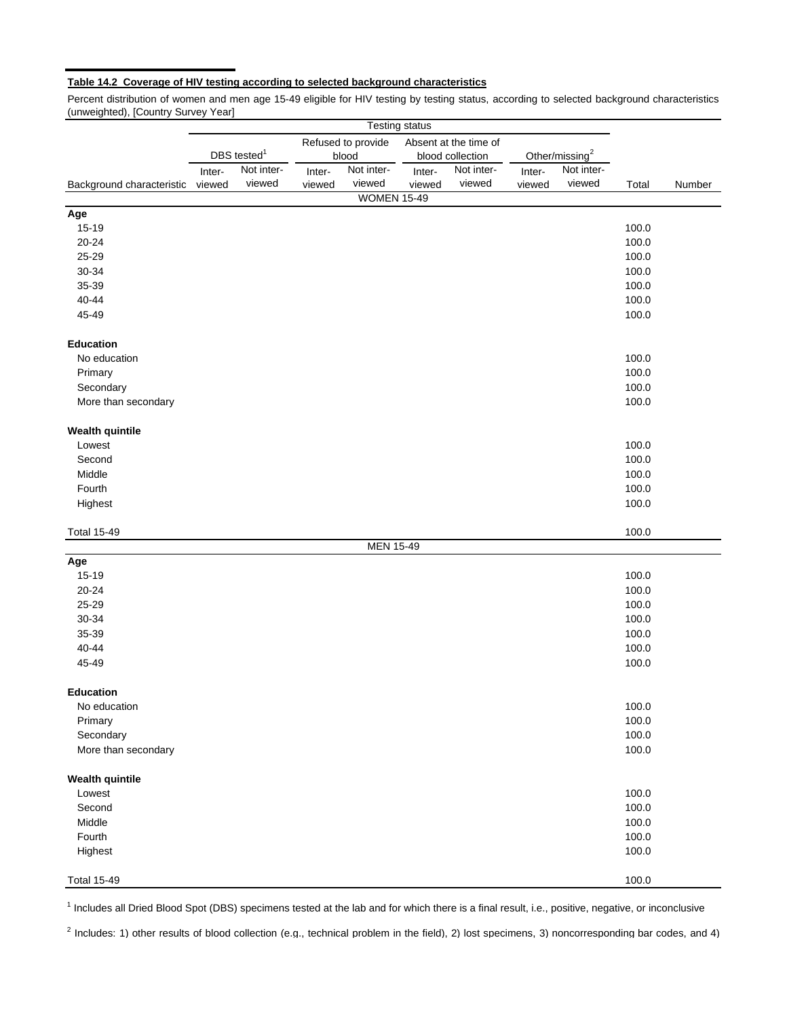## **Table 14.2 Coverage of HIV testing according to selected background characteristics**

Percent distribution of women and men age 15-49 eligible for HIV testing by testing status, according to selected background characteristics (unweighted), [Country Survey Year]

|                           |        |                         |        |                                             | <b>Testing status</b> |            |                            |            |       |        |
|---------------------------|--------|-------------------------|--------|---------------------------------------------|-----------------------|------------|----------------------------|------------|-------|--------|
|                           |        |                         |        | Refused to provide<br>Absent at the time of |                       |            |                            |            |       |        |
|                           |        | DBS tested <sup>1</sup> | blood  |                                             | blood collection      |            | Other/missing <sup>2</sup> |            |       |        |
|                           | Inter- | Not inter-              | Inter- | Not inter-                                  | Inter-                | Not inter- | Inter-                     | Not inter- |       |        |
| Background characteristic | viewed | viewed                  | viewed | viewed                                      | viewed                | viewed     | viewed                     | viewed     | Total | Number |
|                           |        |                         |        | <b>WOMEN 15-49</b>                          |                       |            |                            |            |       |        |
| Age                       |        |                         |        |                                             |                       |            |                            |            |       |        |
| 15-19                     |        |                         |        |                                             |                       |            |                            |            | 100.0 |        |
| $20 - 24$                 |        |                         |        |                                             |                       |            |                            |            | 100.0 |        |
| 25-29                     |        |                         |        |                                             |                       |            |                            |            | 100.0 |        |
| 30-34                     |        |                         |        |                                             |                       |            |                            |            | 100.0 |        |
| 35-39                     |        |                         |        |                                             |                       |            |                            |            | 100.0 |        |
| 40-44                     |        |                         |        |                                             |                       |            |                            |            | 100.0 |        |
| 45-49                     |        |                         |        |                                             |                       |            |                            |            | 100.0 |        |
| <b>Education</b>          |        |                         |        |                                             |                       |            |                            |            |       |        |
| No education              |        |                         |        |                                             |                       |            |                            |            | 100.0 |        |
| Primary                   |        |                         |        |                                             |                       |            |                            |            | 100.0 |        |
| Secondary                 |        |                         |        |                                             |                       |            |                            |            | 100.0 |        |
| More than secondary       |        |                         |        |                                             |                       |            |                            |            | 100.0 |        |
| <b>Wealth quintile</b>    |        |                         |        |                                             |                       |            |                            |            |       |        |
| Lowest                    |        |                         |        |                                             |                       |            |                            |            | 100.0 |        |
| Second                    |        |                         |        |                                             |                       |            |                            |            | 100.0 |        |
| Middle                    |        |                         |        |                                             |                       |            |                            |            | 100.0 |        |
| Fourth                    |        |                         |        |                                             |                       |            |                            |            | 100.0 |        |
| Highest                   |        |                         |        |                                             |                       |            |                            |            | 100.0 |        |
| <b>Total 15-49</b>        |        |                         |        |                                             |                       |            |                            |            | 100.0 |        |
|                           |        |                         |        | <b>MEN 15-49</b>                            |                       |            |                            |            |       |        |
| Age                       |        |                         |        |                                             |                       |            |                            |            |       |        |
| 15-19                     |        |                         |        |                                             |                       |            |                            |            | 100.0 |        |
| $20 - 24$                 |        |                         |        |                                             |                       |            |                            |            | 100.0 |        |
| 25-29                     |        |                         |        |                                             |                       |            |                            |            | 100.0 |        |
| 30-34                     |        |                         |        |                                             |                       |            |                            |            | 100.0 |        |
| 35-39                     |        |                         |        |                                             |                       |            |                            |            | 100.0 |        |
| $40 - 44$                 |        |                         |        |                                             |                       |            |                            |            | 100.0 |        |
| 45-49                     |        |                         |        |                                             |                       |            |                            |            | 100.0 |        |
| <b>Education</b>          |        |                         |        |                                             |                       |            |                            |            |       |        |
| No education              |        |                         |        |                                             |                       |            |                            |            | 100.0 |        |
| Primary                   |        |                         |        |                                             |                       |            |                            |            | 100.0 |        |
| Secondary                 |        |                         |        |                                             |                       |            |                            |            | 100.0 |        |
| More than secondary       |        |                         |        |                                             |                       |            |                            |            | 100.0 |        |
| <b>Wealth quintile</b>    |        |                         |        |                                             |                       |            |                            |            |       |        |
| Lowest                    |        |                         |        |                                             |                       |            |                            |            | 100.0 |        |
| Second                    |        |                         |        |                                             |                       |            |                            |            | 100.0 |        |
| Middle                    |        |                         |        |                                             |                       |            |                            |            | 100.0 |        |
| Fourth                    |        |                         |        |                                             |                       |            |                            |            | 100.0 |        |
| Highest                   |        |                         |        |                                             |                       |            |                            |            | 100.0 |        |
| <b>Total 15-49</b>        |        |                         |        |                                             |                       |            |                            |            | 100.0 |        |

<sup>1</sup> Includes all Dried Blood Spot (DBS) specimens tested at the lab and for which there is a final result, i.e., positive, negative, or inconclusive

 $2$  Includes: 1) other results of blood collection (e.g., technical problem in the field), 2) lost specimens, 3) noncorresponding bar codes, and 4)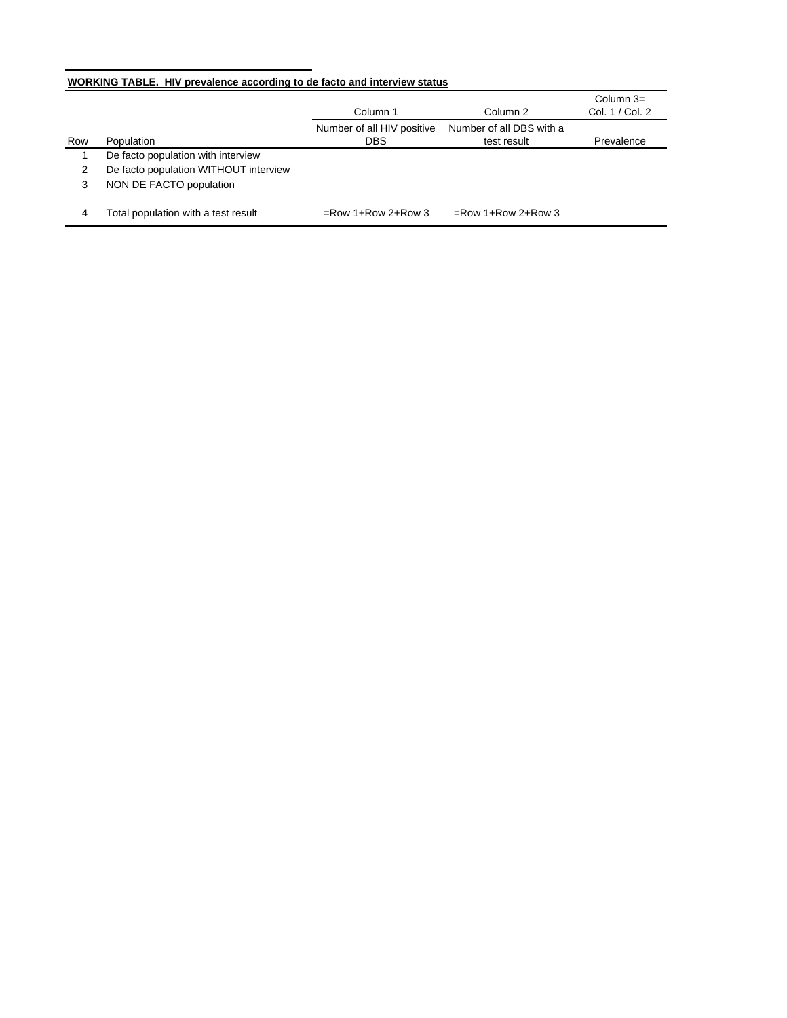# **WORKING TABLE. HIV prevalence according to de facto and interview status**

|     |                                       |                            |                          | Column $3=$     |
|-----|---------------------------------------|----------------------------|--------------------------|-----------------|
|     |                                       | Column 1                   | Column 2                 | Col. 1 / Col. 2 |
|     |                                       | Number of all HIV positive | Number of all DBS with a |                 |
| Row | Population                            | <b>DBS</b>                 | test result              | Prevalence      |
|     | De facto population with interview    |                            |                          |                 |
| 2   | De facto population WITHOUT interview |                            |                          |                 |
| 3   | NON DE FACTO population               |                            |                          |                 |
| 4   | Total population with a test result   | $=$ Row 1+Row 2+Row 3      | $=$ Row 1+Row 2+Row 3    |                 |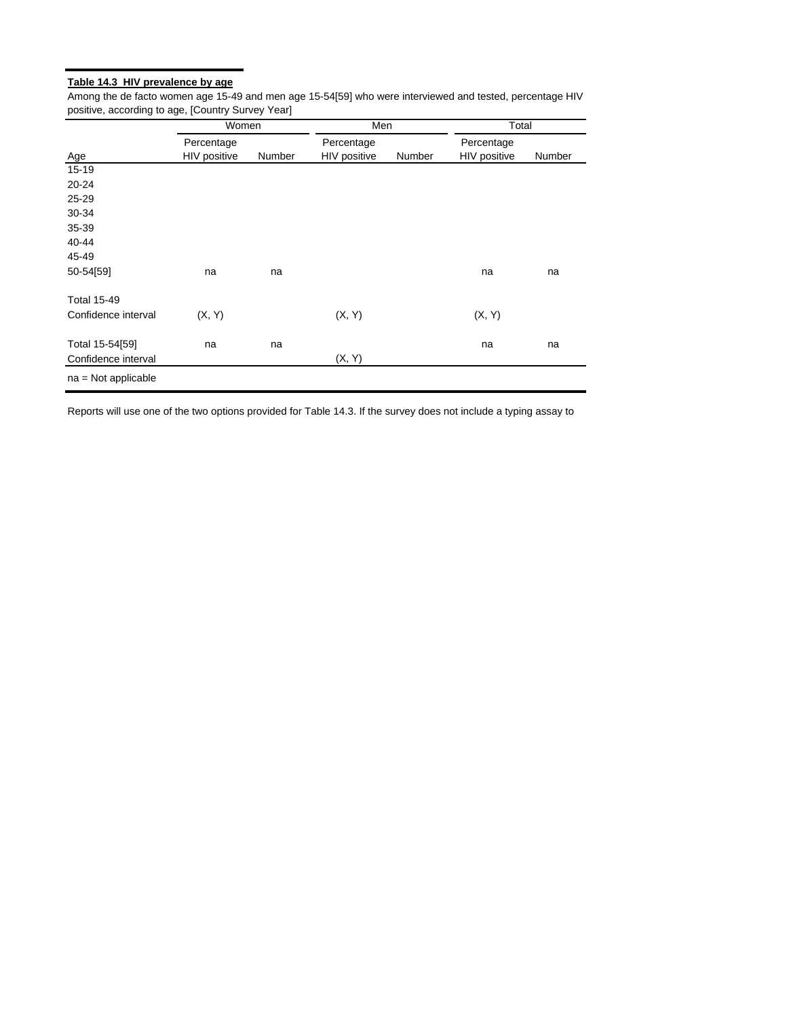# **Table 14.3 HIV prevalence by age**

Among the de facto women age 15-49 and men age 15-54[59] who were interviewed and tested, percentage HIV positive, according to age, [Country Survey Year]

|                       | Women        |        | Men                 |        | Total        |        |
|-----------------------|--------------|--------|---------------------|--------|--------------|--------|
|                       | Percentage   |        | Percentage          |        | Percentage   |        |
| Age                   | HIV positive | Number | <b>HIV positive</b> | Number | HIV positive | Number |
| $15 - 19$             |              |        |                     |        |              |        |
| 20-24                 |              |        |                     |        |              |        |
| 25-29                 |              |        |                     |        |              |        |
| 30-34                 |              |        |                     |        |              |        |
| 35-39                 |              |        |                     |        |              |        |
| 40-44                 |              |        |                     |        |              |        |
| 45-49                 |              |        |                     |        |              |        |
| 50-54[59]             | na           | na     |                     |        | na           | na     |
| <b>Total 15-49</b>    |              |        |                     |        |              |        |
| Confidence interval   | (X, Y)       |        | (X, Y)              |        | (X, Y)       |        |
| Total 15-54[59]       | na           | na     |                     |        | na           | na     |
| Confidence interval   |              |        | (X, Y)              |        |              |        |
| $na = Not applicable$ |              |        |                     |        |              |        |

Reports will use one of the two options provided for Table 14.3. If the survey does not include a typing assay to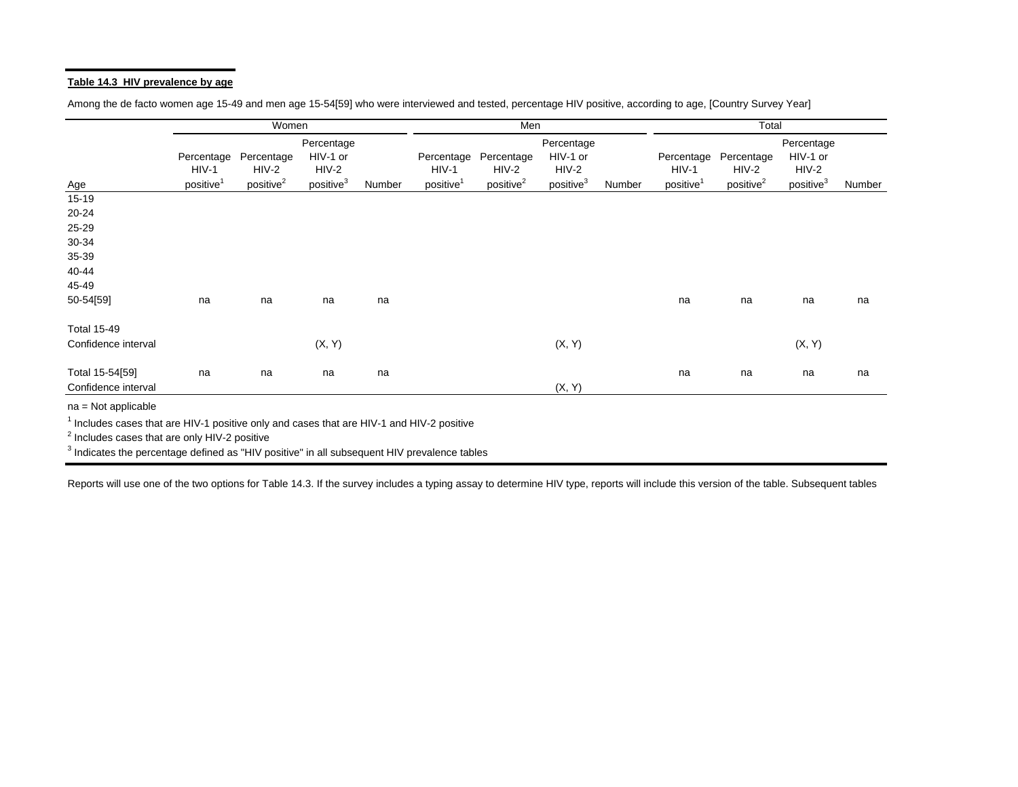## **Table 14.3 HIV prevalence by age**

Among the de facto women age 15-49 and men age 15-54[59] who were interviewed and tested, percentage HIV positive, according to age, [Country Survey Year]

|                                                                                                                               |                                                | Women                                          |                                                            |        |                                                | Men                                            |                                                            |        |                                                | Total                                          |                                                            |        |
|-------------------------------------------------------------------------------------------------------------------------------|------------------------------------------------|------------------------------------------------|------------------------------------------------------------|--------|------------------------------------------------|------------------------------------------------|------------------------------------------------------------|--------|------------------------------------------------|------------------------------------------------|------------------------------------------------------------|--------|
| <u>Age</u>                                                                                                                    | Percentage<br>$HIV-1$<br>positive <sup>1</sup> | Percentage<br>$HIV-2$<br>positive <sup>2</sup> | Percentage<br>HIV-1 or<br>$HIV-2$<br>positive <sup>3</sup> | Number | Percentage<br>$HIV-1$<br>positive <sup>1</sup> | Percentage<br>$HIV-2$<br>positive <sup>2</sup> | Percentage<br>HIV-1 or<br>$HIV-2$<br>positive <sup>3</sup> | Number | Percentage<br>$HIV-1$<br>positive <sup>1</sup> | Percentage<br>$HIV-2$<br>positive <sup>2</sup> | Percentage<br>HIV-1 or<br>$HIV-2$<br>positive <sup>3</sup> | Number |
| $15 - 19$                                                                                                                     |                                                |                                                |                                                            |        |                                                |                                                |                                                            |        |                                                |                                                |                                                            |        |
| $20 - 24$                                                                                                                     |                                                |                                                |                                                            |        |                                                |                                                |                                                            |        |                                                |                                                |                                                            |        |
| 25-29                                                                                                                         |                                                |                                                |                                                            |        |                                                |                                                |                                                            |        |                                                |                                                |                                                            |        |
| 30-34                                                                                                                         |                                                |                                                |                                                            |        |                                                |                                                |                                                            |        |                                                |                                                |                                                            |        |
| 35-39                                                                                                                         |                                                |                                                |                                                            |        |                                                |                                                |                                                            |        |                                                |                                                |                                                            |        |
| 40-44                                                                                                                         |                                                |                                                |                                                            |        |                                                |                                                |                                                            |        |                                                |                                                |                                                            |        |
| 45-49                                                                                                                         |                                                |                                                |                                                            |        |                                                |                                                |                                                            |        |                                                |                                                |                                                            |        |
| 50-54[59]                                                                                                                     | na                                             | na                                             | na                                                         | na     |                                                |                                                |                                                            |        | na                                             | na                                             | na                                                         | na     |
| <b>Total 15-49</b>                                                                                                            |                                                |                                                |                                                            |        |                                                |                                                |                                                            |        |                                                |                                                |                                                            |        |
| Confidence interval                                                                                                           |                                                |                                                | (X, Y)                                                     |        |                                                |                                                | (X, Y)                                                     |        |                                                |                                                | (X, Y)                                                     |        |
| Total 15-54[59]<br>Confidence interval                                                                                        | na                                             | na                                             | na                                                         | na     |                                                |                                                | (X, Y)                                                     |        | na                                             | na                                             | na                                                         | na     |
| $na = Not applicable$<br><sup>1</sup> Includes cases that are HIV-1 positive only and cases that are HIV-1 and HIV-2 positive |                                                |                                                |                                                            |        |                                                |                                                |                                                            |        |                                                |                                                |                                                            |        |

2 Includes cases that are only HIV-2 positive

<sup>3</sup> Indicates the percentage defined as "HIV positive" in all subsequent HIV prevalence tables

Reports will use one of the two options for Table 14.3. If the survey includes a typing assay to determine HIV type, reports will include this version of the table. Subsequent tables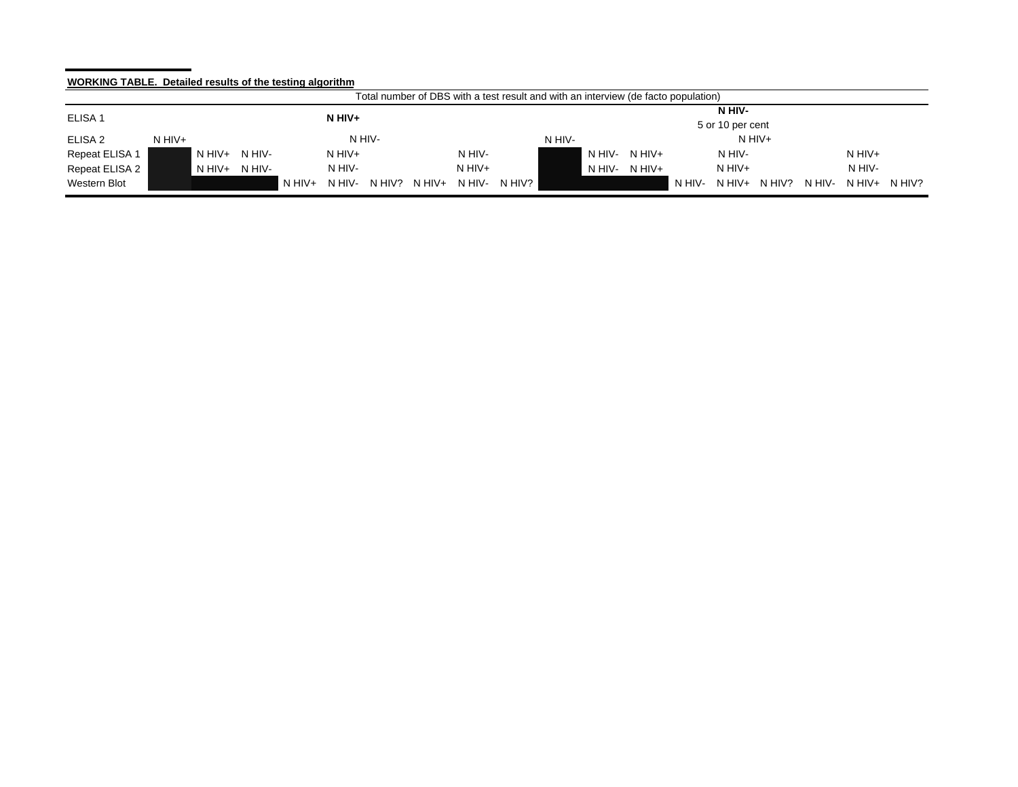# **WORKING TABLE. Detailed results of the testing algorithm**

|                                | Total number of DBS with a test result and with an interview (de facto population) |        |          |          |        |        |          |                       |        |                            |          |        |          |        |        |               |  |
|--------------------------------|------------------------------------------------------------------------------------|--------|----------|----------|--------|--------|----------|-----------------------|--------|----------------------------|----------|--------|----------|--------|--------|---------------|--|
| ELISA <sub>1</sub><br>$N$ HIV+ |                                                                                    |        |          |          |        |        |          |                       |        | N HIV-<br>5 or 10 per cent |          |        |          |        |        |               |  |
| ELISA 2                        | N HIV+                                                                             |        |          |          | N HIV- |        |          |                       | N HIV- |                            |          |        | $N$ HIV+ |        |        |               |  |
| Repeat ELISA 1                 | $N$ HIV+                                                                           | N HIV- |          | $N$ HIV+ |        |        | N HIV-   |                       |        | N HIV-                     | $N$ HIV+ |        | N HIV-   |        |        | $N$ HIV+      |  |
| Repeat ELISA 2                 | $N$ HIV+                                                                           | N HIV- |          | N HIV-   |        |        | $N$ HIV+ |                       |        | N HIV-                     | N HIV+   |        | $N$ HIV+ |        |        | N HIV-        |  |
| Western Blot                   |                                                                                    |        | $N$ HIV+ | N HIV-   | N HIV? | N HIV+ | N HIV-   | N HIV? $\blacksquare$ |        |                            |          | N HIV- | $N$ HIV+ | N HIV? | N HIV- | $NHIV+~NHIV?$ |  |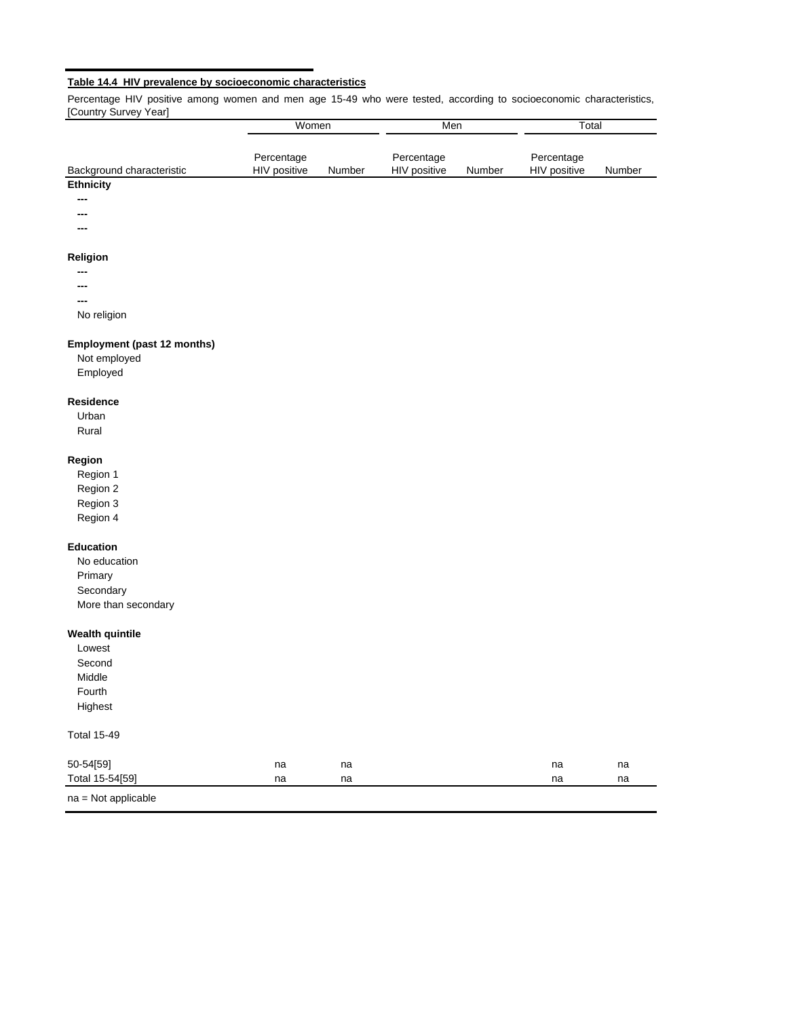# **Table 14.4 HIV prevalence by socioeconomic characteristics**

Percentage HIV positive among women and men age 15-49 who were tested, according to socioeconomic characteristics, [Country Survey Year]

|                                             | Women                      |        | Men                        |        | Total                      |        |
|---------------------------------------------|----------------------------|--------|----------------------------|--------|----------------------------|--------|
| Background characteristic                   | Percentage<br>HIV positive | Number | Percentage<br>HIV positive | Number | Percentage<br>HIV positive | Number |
| <b>Ethnicity</b>                            |                            |        |                            |        |                            |        |
|                                             |                            |        |                            |        |                            |        |
|                                             |                            |        |                            |        |                            |        |
|                                             |                            |        |                            |        |                            |        |
| Religion                                    |                            |        |                            |        |                            |        |
|                                             |                            |        |                            |        |                            |        |
|                                             |                            |        |                            |        |                            |        |
|                                             |                            |        |                            |        |                            |        |
| No religion                                 |                            |        |                            |        |                            |        |
| Employment (past 12 months)<br>Not employed |                            |        |                            |        |                            |        |
| Employed                                    |                            |        |                            |        |                            |        |
| Residence                                   |                            |        |                            |        |                            |        |
| Urban                                       |                            |        |                            |        |                            |        |
| Rural                                       |                            |        |                            |        |                            |        |
| Region                                      |                            |        |                            |        |                            |        |
| Region 1                                    |                            |        |                            |        |                            |        |
| Region 2                                    |                            |        |                            |        |                            |        |
| Region 3                                    |                            |        |                            |        |                            |        |
| Region 4                                    |                            |        |                            |        |                            |        |
| <b>Education</b>                            |                            |        |                            |        |                            |        |
| No education                                |                            |        |                            |        |                            |        |
| Primary                                     |                            |        |                            |        |                            |        |
| Secondary                                   |                            |        |                            |        |                            |        |
| More than secondary                         |                            |        |                            |        |                            |        |
| <b>Wealth quintile</b>                      |                            |        |                            |        |                            |        |
| Lowest                                      |                            |        |                            |        |                            |        |
| Second                                      |                            |        |                            |        |                            |        |
| Middle                                      |                            |        |                            |        |                            |        |
| Fourth                                      |                            |        |                            |        |                            |        |
| Highest                                     |                            |        |                            |        |                            |        |
| Total 15-49                                 |                            |        |                            |        |                            |        |
| 50-54[59]                                   | na                         | na     |                            |        | na                         | na     |
| Total 15-54[59]                             | na                         | na     |                            |        | na                         | na     |
| na = Not applicable                         |                            |        |                            |        |                            |        |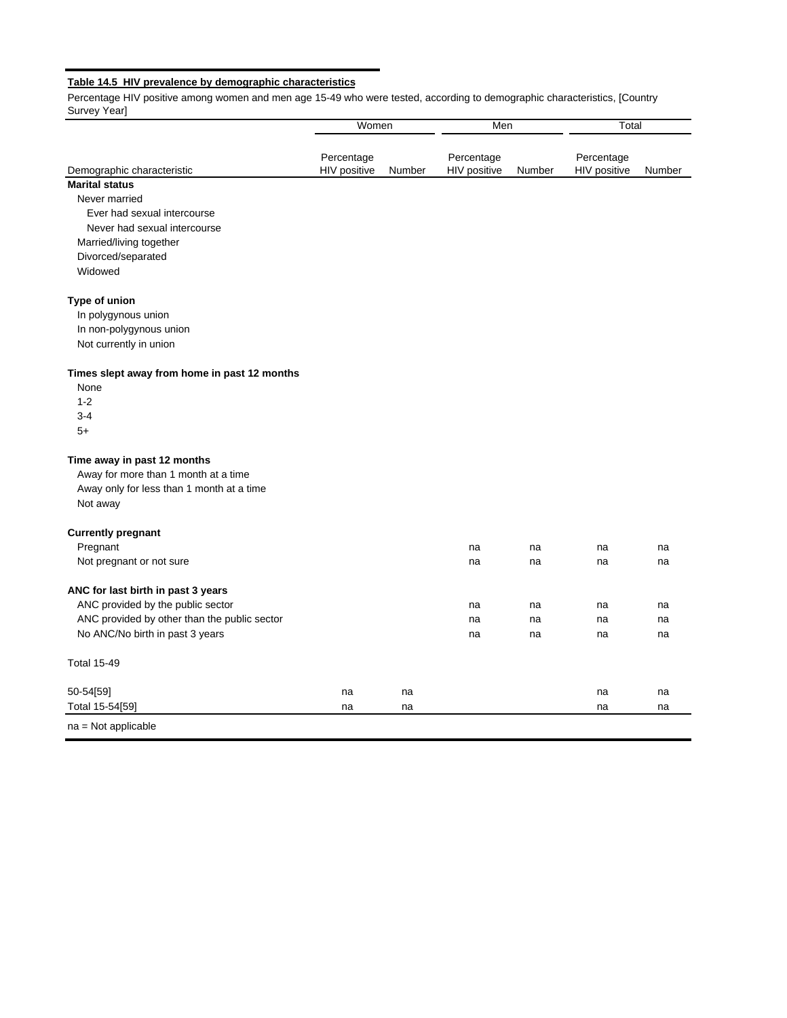# **Table 14.5 HIV prevalence by demographic characteristics**

Percentage HIV positive among women and men age 15-49 who were tested, according to demographic characteristics, [Country Survey Year]

|                                              | Women                      |        | Men                        |        | Total                      |        |
|----------------------------------------------|----------------------------|--------|----------------------------|--------|----------------------------|--------|
| Demographic characteristic                   | Percentage<br>HIV positive | Number | Percentage<br>HIV positive | Number | Percentage<br>HIV positive | Number |
| <b>Marital status</b>                        |                            |        |                            |        |                            |        |
| Never married                                |                            |        |                            |        |                            |        |
| Ever had sexual intercourse                  |                            |        |                            |        |                            |        |
| Never had sexual intercourse                 |                            |        |                            |        |                            |        |
| Married/living together                      |                            |        |                            |        |                            |        |
| Divorced/separated                           |                            |        |                            |        |                            |        |
| Widowed                                      |                            |        |                            |        |                            |        |
| Type of union                                |                            |        |                            |        |                            |        |
| In polygynous union                          |                            |        |                            |        |                            |        |
| In non-polygynous union                      |                            |        |                            |        |                            |        |
| Not currently in union                       |                            |        |                            |        |                            |        |
| Times slept away from home in past 12 months |                            |        |                            |        |                            |        |
| None                                         |                            |        |                            |        |                            |        |
| $1 - 2$                                      |                            |        |                            |        |                            |        |
| $3 - 4$                                      |                            |        |                            |        |                            |        |
| $5+$                                         |                            |        |                            |        |                            |        |
| Time away in past 12 months                  |                            |        |                            |        |                            |        |
| Away for more than 1 month at a time         |                            |        |                            |        |                            |        |
| Away only for less than 1 month at a time    |                            |        |                            |        |                            |        |
| Not away                                     |                            |        |                            |        |                            |        |
| <b>Currently pregnant</b>                    |                            |        |                            |        |                            |        |
| Pregnant                                     |                            |        | na                         | na     | na                         | na     |
| Not pregnant or not sure                     |                            |        | na                         | na     | na                         | na     |
| ANC for last birth in past 3 years           |                            |        |                            |        |                            |        |
| ANC provided by the public sector            |                            |        | na                         | na     | na                         | na     |
| ANC provided by other than the public sector |                            |        | na                         | na     | na                         | na     |
| No ANC/No birth in past 3 years              |                            |        | na                         | na     | na                         | na     |
| <b>Total 15-49</b>                           |                            |        |                            |        |                            |        |
| 50-54[59]                                    | na                         | na     |                            |        | na                         | na     |
| Total 15-54[59]                              | na                         | na     |                            |        | na                         | na     |
| $na = Not applicable$                        |                            |        |                            |        |                            |        |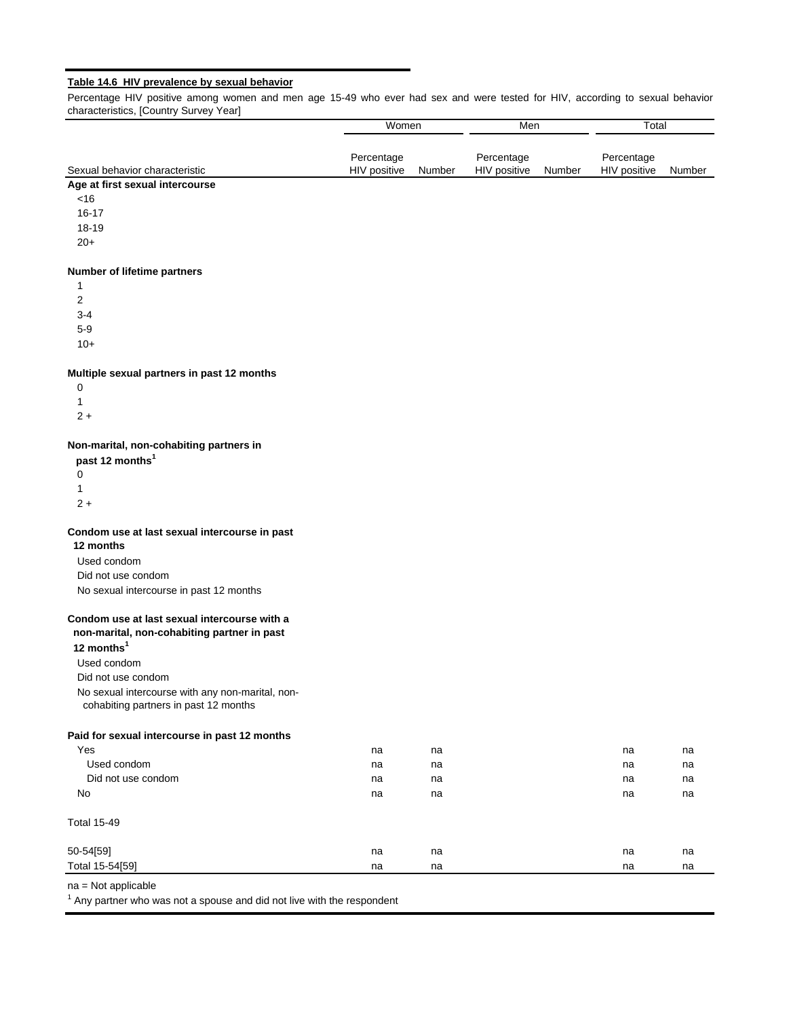# **Table 14.6 HIV prevalence by sexual behavior**

Percentage HIV positive among women and men age 15-49 who ever had sex and were tested for HIV, according to sexual behavior characteristics, [Country Survey Year]

|                                                                                           | Women                      |        | Men                        |               | Total                      |        |
|-------------------------------------------------------------------------------------------|----------------------------|--------|----------------------------|---------------|----------------------------|--------|
|                                                                                           |                            |        |                            |               |                            |        |
| Sexual behavior characteristic                                                            | Percentage<br>HIV positive | Number | Percentage<br>HIV positive | <b>Number</b> | Percentage<br>HIV positive | Number |
| Age at first sexual intercourse                                                           |                            |        |                            |               |                            |        |
| <16                                                                                       |                            |        |                            |               |                            |        |
| $16 - 17$                                                                                 |                            |        |                            |               |                            |        |
| 18-19                                                                                     |                            |        |                            |               |                            |        |
| $20+$                                                                                     |                            |        |                            |               |                            |        |
| Number of lifetime partners                                                               |                            |        |                            |               |                            |        |
| 1                                                                                         |                            |        |                            |               |                            |        |
| 2                                                                                         |                            |        |                            |               |                            |        |
| $3 - 4$                                                                                   |                            |        |                            |               |                            |        |
| $5-9$                                                                                     |                            |        |                            |               |                            |        |
| $10+$                                                                                     |                            |        |                            |               |                            |        |
| Multiple sexual partners in past 12 months                                                |                            |        |                            |               |                            |        |
| 0                                                                                         |                            |        |                            |               |                            |        |
| 1                                                                                         |                            |        |                            |               |                            |        |
| $2+$                                                                                      |                            |        |                            |               |                            |        |
| Non-marital, non-cohabiting partners in                                                   |                            |        |                            |               |                            |        |
| past 12 months <sup>1</sup>                                                               |                            |        |                            |               |                            |        |
| 0<br>1                                                                                    |                            |        |                            |               |                            |        |
| $2 +$                                                                                     |                            |        |                            |               |                            |        |
| Condom use at last sexual intercourse in past                                             |                            |        |                            |               |                            |        |
| 12 months                                                                                 |                            |        |                            |               |                            |        |
| Used condom                                                                               |                            |        |                            |               |                            |        |
| Did not use condom                                                                        |                            |        |                            |               |                            |        |
| No sexual intercourse in past 12 months                                                   |                            |        |                            |               |                            |        |
| Condom use at last sexual intercourse with a                                              |                            |        |                            |               |                            |        |
| non-marital, non-cohabiting partner in past                                               |                            |        |                            |               |                            |        |
| 12 months <sup>1</sup>                                                                    |                            |        |                            |               |                            |        |
| Used condom                                                                               |                            |        |                            |               |                            |        |
| Did not use condom                                                                        |                            |        |                            |               |                            |        |
| No sexual intercourse with any non-marital, non-<br>cohabiting partners in past 12 months |                            |        |                            |               |                            |        |
| Paid for sexual intercourse in past 12 months                                             |                            |        |                            |               |                            |        |
| Yes                                                                                       | na                         | na     |                            |               | na                         | na     |
| Used condom                                                                               | na                         | na     |                            |               | na                         | na     |
| Did not use condom                                                                        | na                         | na     |                            |               | na                         | na     |
| No                                                                                        | na                         | na     |                            |               | na                         | na     |
| <b>Total 15-49</b>                                                                        |                            |        |                            |               |                            |        |
| 50-54[59]                                                                                 | na                         | na     |                            |               | na                         | na     |
| Total 15-54[59]                                                                           | na                         | na     |                            |               | na                         | na     |
| na = Not applicable                                                                       |                            |        |                            |               |                            |        |

 $1$  Any partner who was not a spouse and did not live with the respondent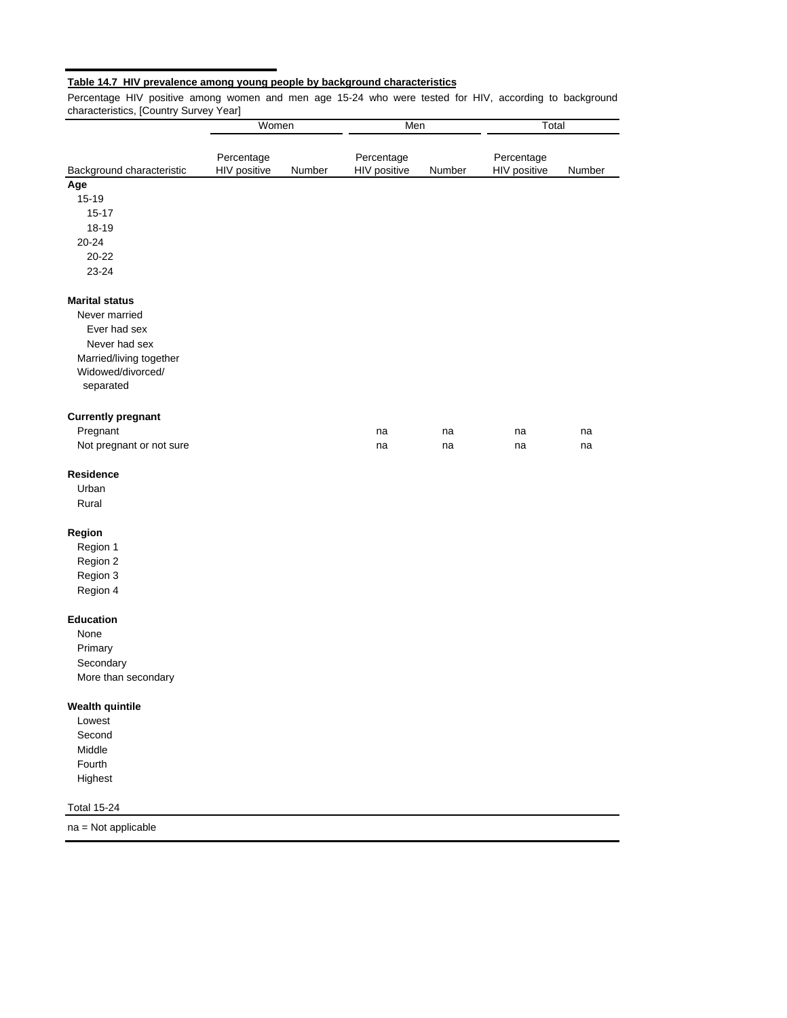# **Table 14.7 HIV prevalence among young people by background characteristics**

j,

Percentage HIV positive among women and men age 15-24 who were tested for HIV, according to background characteristics, [Country Survey Year]

|                           | Women                      |        | Men                        |        | Total                      |        |
|---------------------------|----------------------------|--------|----------------------------|--------|----------------------------|--------|
| Background characteristic | Percentage<br>HIV positive | Number | Percentage<br>HIV positive | Number | Percentage<br>HIV positive | Number |
| Age                       |                            |        |                            |        |                            |        |
| 15-19                     |                            |        |                            |        |                            |        |
| $15 - 17$                 |                            |        |                            |        |                            |        |
| 18-19                     |                            |        |                            |        |                            |        |
| 20-24                     |                            |        |                            |        |                            |        |
| 20-22                     |                            |        |                            |        |                            |        |
| 23-24                     |                            |        |                            |        |                            |        |
| <b>Marital status</b>     |                            |        |                            |        |                            |        |
| Never married             |                            |        |                            |        |                            |        |
| Ever had sex              |                            |        |                            |        |                            |        |
| Never had sex             |                            |        |                            |        |                            |        |
| Married/living together   |                            |        |                            |        |                            |        |
| Widowed/divorced/         |                            |        |                            |        |                            |        |
| separated                 |                            |        |                            |        |                            |        |
| <b>Currently pregnant</b> |                            |        |                            |        |                            |        |
| Pregnant                  |                            |        | na                         | na     | na                         | na     |
| Not pregnant or not sure  |                            |        | na                         | na     | na                         | na     |
| Residence                 |                            |        |                            |        |                            |        |
| Urban                     |                            |        |                            |        |                            |        |
| Rural                     |                            |        |                            |        |                            |        |
| Region                    |                            |        |                            |        |                            |        |
| Region 1                  |                            |        |                            |        |                            |        |
| Region 2                  |                            |        |                            |        |                            |        |
| Region 3                  |                            |        |                            |        |                            |        |
| Region 4                  |                            |        |                            |        |                            |        |
| <b>Education</b>          |                            |        |                            |        |                            |        |
| None                      |                            |        |                            |        |                            |        |
| Primary                   |                            |        |                            |        |                            |        |
| Secondary                 |                            |        |                            |        |                            |        |
| More than secondary       |                            |        |                            |        |                            |        |
| Wealth quintile           |                            |        |                            |        |                            |        |
| Lowest                    |                            |        |                            |        |                            |        |
| Second                    |                            |        |                            |        |                            |        |
| Middle                    |                            |        |                            |        |                            |        |
| Fourth                    |                            |        |                            |        |                            |        |
| Highest                   |                            |        |                            |        |                            |        |
| <b>Total 15-24</b>        |                            |        |                            |        |                            |        |
| na = Not applicable       |                            |        |                            |        |                            |        |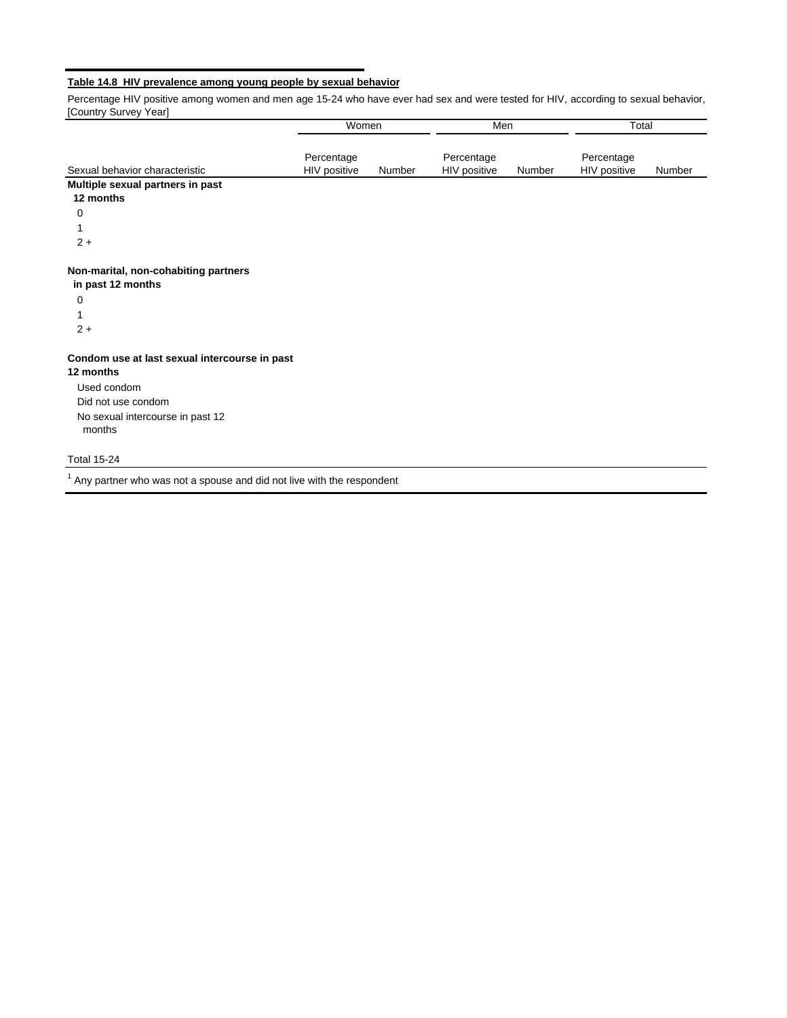# **Table 14.8 HIV prevalence among young people by sexual behavior**

Percentage HIV positive among women and men age 15-24 who have ever had sex and were tested for HIV, according to sexual behavior, [Country Survey Year]

|                                                            | Women                      |        | Men                        |        | Total                      |        |  |
|------------------------------------------------------------|----------------------------|--------|----------------------------|--------|----------------------------|--------|--|
| Sexual behavior characteristic                             | Percentage<br>HIV positive | Number | Percentage<br>HIV positive | Number | Percentage<br>HIV positive | Number |  |
| Multiple sexual partners in past                           |                            |        |                            |        |                            |        |  |
| 12 months                                                  |                            |        |                            |        |                            |        |  |
| 0                                                          |                            |        |                            |        |                            |        |  |
|                                                            |                            |        |                            |        |                            |        |  |
| $2 +$                                                      |                            |        |                            |        |                            |        |  |
| Non-marital, non-cohabiting partners<br>in past 12 months  |                            |        |                            |        |                            |        |  |
| 0                                                          |                            |        |                            |        |                            |        |  |
|                                                            |                            |        |                            |        |                            |        |  |
| $2 +$                                                      |                            |        |                            |        |                            |        |  |
| Condom use at last sexual intercourse in past<br>12 months |                            |        |                            |        |                            |        |  |
| Used condom                                                |                            |        |                            |        |                            |        |  |
| Did not use condom                                         |                            |        |                            |        |                            |        |  |
| No sexual intercourse in past 12<br>months                 |                            |        |                            |        |                            |        |  |
| <b>Total 15-24</b>                                         |                            |        |                            |        |                            |        |  |

 $1$  Any partner who was not a spouse and did not live with the respondent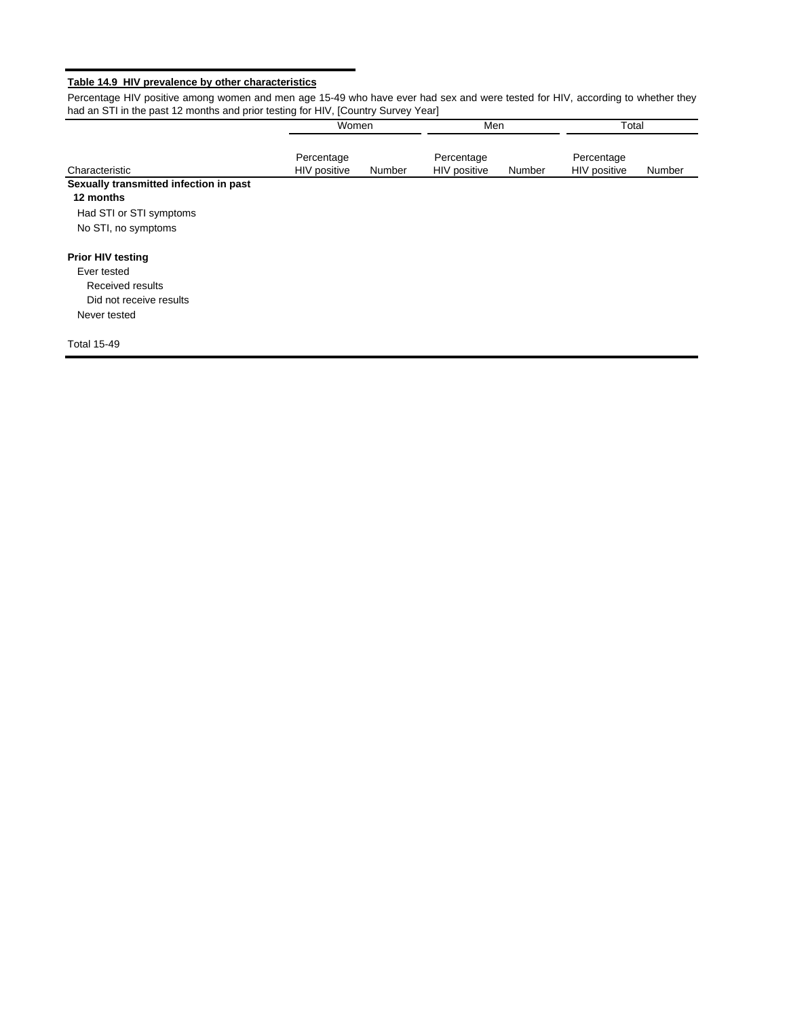# **Table 14.9 HIV prevalence by other characteristics**

Percentage HIV positive among women and men age 15-49 who have ever had sex and were tested for HIV, according to whether they had an STI in the past 12 months and prior testing for HIV, [Country Survey Year]

|                                        | Women        |        | Men          |        | Total        |        |
|----------------------------------------|--------------|--------|--------------|--------|--------------|--------|
|                                        | Percentage   |        | Percentage   |        | Percentage   |        |
| Characteristic                         | HIV positive | Number | HIV positive | Number | HIV positive | Number |
| Sexually transmitted infection in past |              |        |              |        |              |        |
| 12 months                              |              |        |              |        |              |        |
| Had STI or STI symptoms                |              |        |              |        |              |        |
| No STI, no symptoms                    |              |        |              |        |              |        |
| <b>Prior HIV testing</b>               |              |        |              |        |              |        |
| Ever tested                            |              |        |              |        |              |        |
| Received results                       |              |        |              |        |              |        |
| Did not receive results                |              |        |              |        |              |        |
| Never tested                           |              |        |              |        |              |        |
| <b>Total 15-49</b>                     |              |        |              |        |              |        |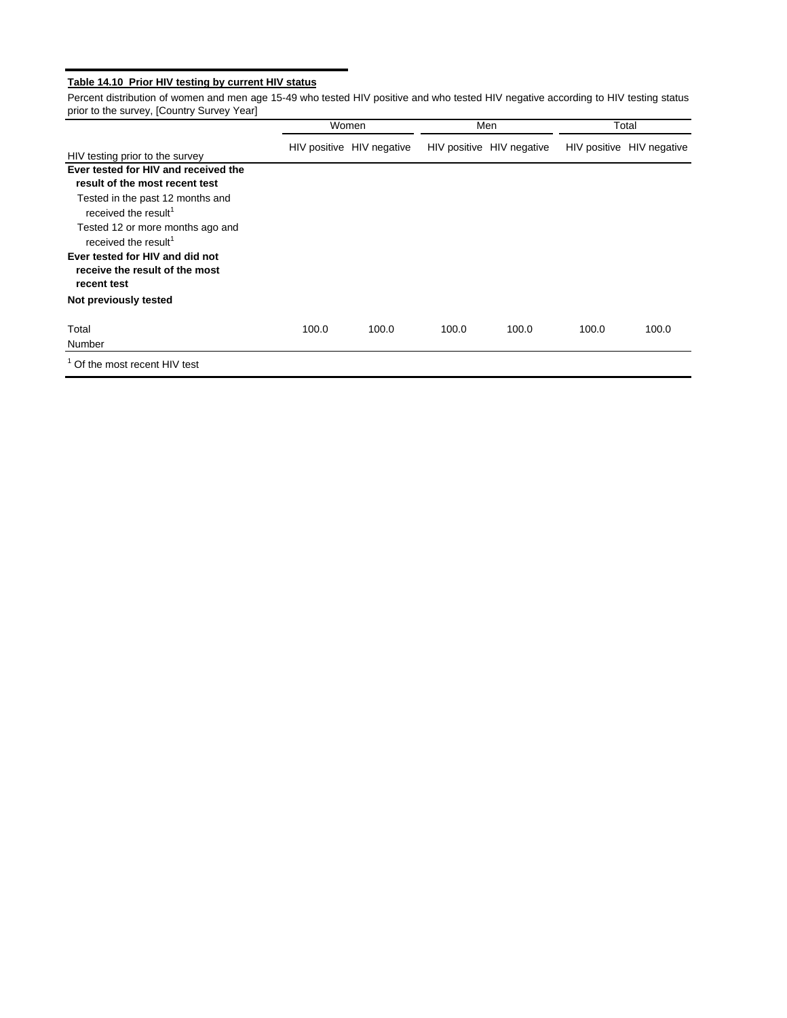# **Table 14.10 Prior HIV testing by current HIV status**

Percent distribution of women and men age 15-49 who tested HIV positive and who tested HIV negative according to HIV testing status prior to the survey, [Country Survey Year]

|                                                                                                                                                                                                                                                                                                            |       | Women                     |       | Men                       |       | Total                     |  |
|------------------------------------------------------------------------------------------------------------------------------------------------------------------------------------------------------------------------------------------------------------------------------------------------------------|-------|---------------------------|-------|---------------------------|-------|---------------------------|--|
| HIV testing prior to the survey                                                                                                                                                                                                                                                                            |       | HIV positive HIV negative |       | HIV positive HIV negative |       | HIV positive HIV negative |  |
| Ever tested for HIV and received the<br>result of the most recent test<br>Tested in the past 12 months and<br>received the result <sup>1</sup><br>Tested 12 or more months ago and<br>received the result <sup>1</sup><br>Ever tested for HIV and did not<br>receive the result of the most<br>recent test |       |                           |       |                           |       |                           |  |
| Not previously tested                                                                                                                                                                                                                                                                                      |       |                           |       |                           |       |                           |  |
| Total<br>Number                                                                                                                                                                                                                                                                                            | 100.0 | 100.0                     | 100.0 | 100.0                     | 100.0 | 100.0                     |  |
| Of the most recent HIV test                                                                                                                                                                                                                                                                                |       |                           |       |                           |       |                           |  |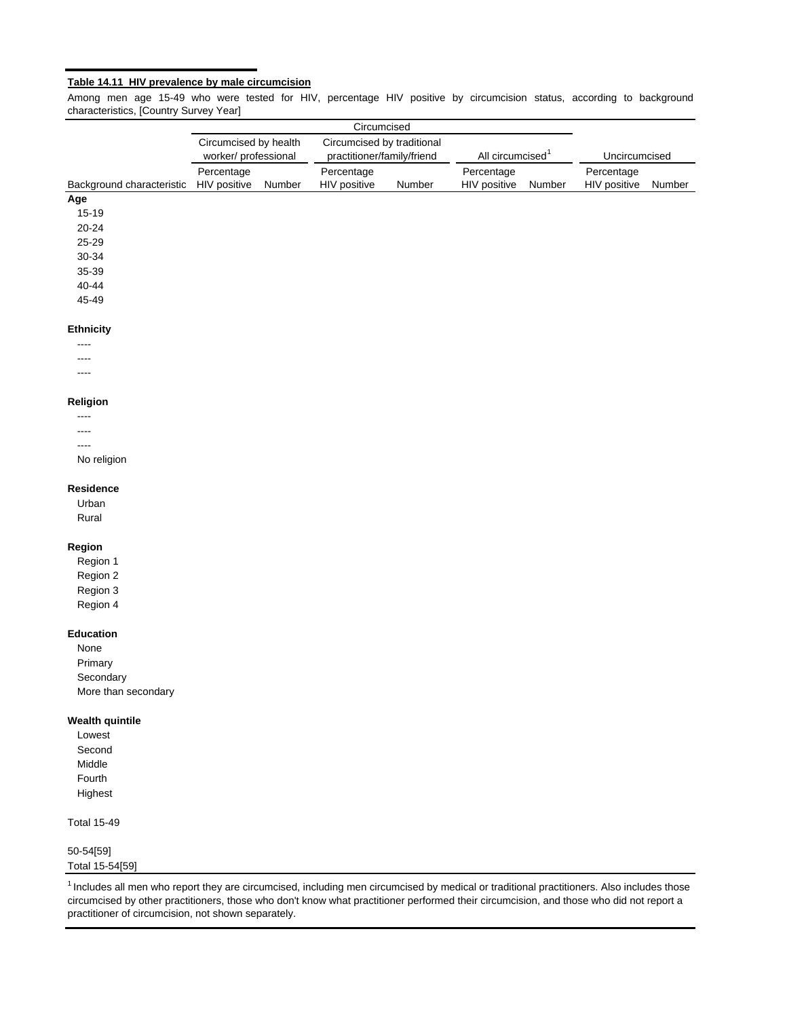#### **Table 14.11 HIV prevalence by male circumcision**

Among men age 15-49 who were tested for HIV, percentage HIV positive by circumcision status, according to background characteristics, [Country Survey Year]

|                           |                                              |        | Circumcised                                              |        |                              |        |                            |        |
|---------------------------|----------------------------------------------|--------|----------------------------------------------------------|--------|------------------------------|--------|----------------------------|--------|
|                           | Circumcised by health<br>worker/professional |        | Circumcised by traditional<br>practitioner/family/friend |        | All circumcised <sup>1</sup> |        | Uncircumcised              |        |
| Background characteristic | Percentage<br>HIV positive                   | Number | Percentage<br>HIV positive                               | Number | Percentage<br>HIV positive   | Number | Percentage<br>HIV positive | Number |
| Age                       |                                              |        |                                                          |        |                              |        |                            |        |
| $15 - 19$                 |                                              |        |                                                          |        |                              |        |                            |        |
| $20 - 24$                 |                                              |        |                                                          |        |                              |        |                            |        |
| 25-29                     |                                              |        |                                                          |        |                              |        |                            |        |
| 30-34                     |                                              |        |                                                          |        |                              |        |                            |        |
| 35-39                     |                                              |        |                                                          |        |                              |        |                            |        |
| 40-44                     |                                              |        |                                                          |        |                              |        |                            |        |
| 45-49                     |                                              |        |                                                          |        |                              |        |                            |        |
| Ethnicity                 |                                              |        |                                                          |        |                              |        |                            |        |
|                           |                                              |        |                                                          |        |                              |        |                            |        |
| ----                      |                                              |        |                                                          |        |                              |        |                            |        |
| ----                      |                                              |        |                                                          |        |                              |        |                            |        |
| Religion                  |                                              |        |                                                          |        |                              |        |                            |        |
| ----                      |                                              |        |                                                          |        |                              |        |                            |        |
| ----                      |                                              |        |                                                          |        |                              |        |                            |        |
| ----                      |                                              |        |                                                          |        |                              |        |                            |        |
| No religion               |                                              |        |                                                          |        |                              |        |                            |        |
| Residence                 |                                              |        |                                                          |        |                              |        |                            |        |
| Urban                     |                                              |        |                                                          |        |                              |        |                            |        |
| Rural                     |                                              |        |                                                          |        |                              |        |                            |        |
| Region                    |                                              |        |                                                          |        |                              |        |                            |        |
| Region 1                  |                                              |        |                                                          |        |                              |        |                            |        |
| Region 2                  |                                              |        |                                                          |        |                              |        |                            |        |
| Region 3                  |                                              |        |                                                          |        |                              |        |                            |        |
| Region 4                  |                                              |        |                                                          |        |                              |        |                            |        |
| Education                 |                                              |        |                                                          |        |                              |        |                            |        |
| None                      |                                              |        |                                                          |        |                              |        |                            |        |
| Primary                   |                                              |        |                                                          |        |                              |        |                            |        |
| Secondary                 |                                              |        |                                                          |        |                              |        |                            |        |
| More than secondary       |                                              |        |                                                          |        |                              |        |                            |        |
| <b>Wealth quintile</b>    |                                              |        |                                                          |        |                              |        |                            |        |
| Lowest                    |                                              |        |                                                          |        |                              |        |                            |        |
| Second                    |                                              |        |                                                          |        |                              |        |                            |        |
| Middle                    |                                              |        |                                                          |        |                              |        |                            |        |
| Fourth                    |                                              |        |                                                          |        |                              |        |                            |        |
| Highest                   |                                              |        |                                                          |        |                              |        |                            |        |
| <b>Total 15-49</b>        |                                              |        |                                                          |        |                              |        |                            |        |
| 50-54[59]                 |                                              |        |                                                          |        |                              |        |                            |        |
| Total 15-54[59]           |                                              |        |                                                          |        |                              |        |                            |        |
|                           |                                              |        |                                                          |        |                              |        |                            |        |

1 Includes all men who report they are circumcised, including men circumcised by medical or traditional practitioners. Also includes those circumcised by other practitioners, those who don't know what practitioner performed their circumcision, and those who did not report a practitioner of circumcision, not shown separately.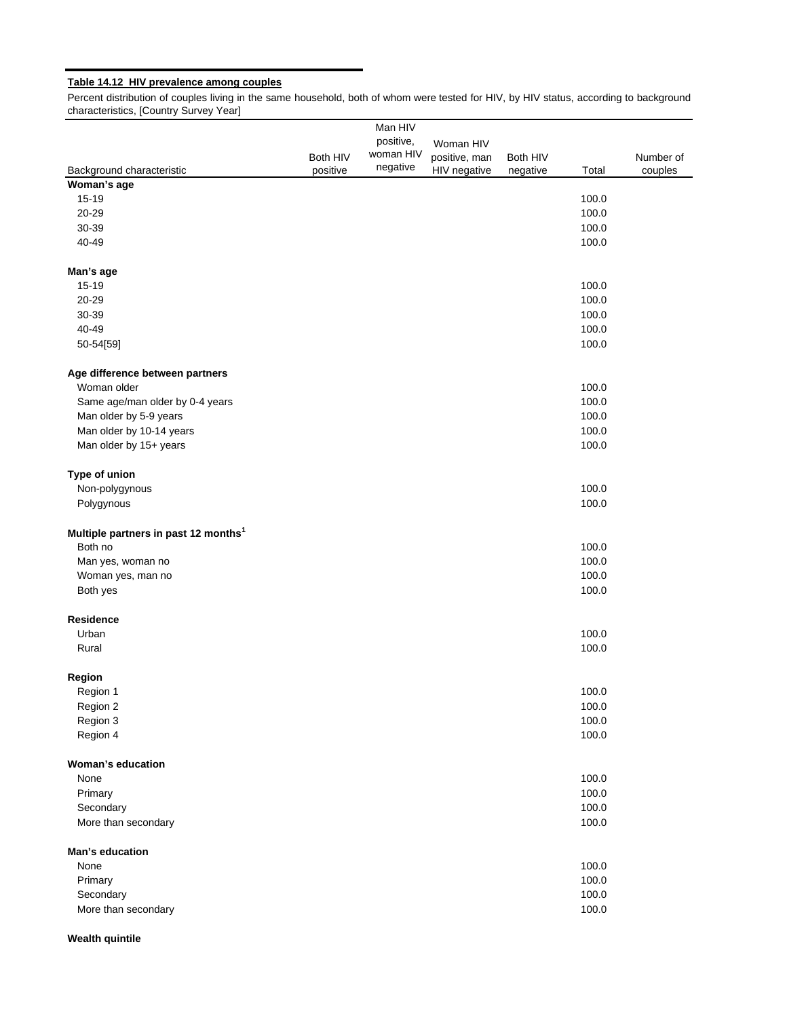# **Table 14.12 HIV prevalence among couples**

Percent distribution of couples living in the same household, both of whom were tested for HIV, by HIV status, according to background characteristics, [Country Survey Year]

|                                                             |          | Man HIV   |               |          |       |           |
|-------------------------------------------------------------|----------|-----------|---------------|----------|-------|-----------|
|                                                             |          | positive, | Woman HIV     |          |       |           |
|                                                             | Both HIV | woman HIV | positive, man | Both HIV |       | Number of |
| Background characteristic                                   | positive | negative  | HIV negative  | negative | Total | couples   |
| Woman's age                                                 |          |           |               |          |       |           |
| 15-19                                                       |          |           |               |          | 100.0 |           |
| 20-29                                                       |          |           |               |          | 100.0 |           |
| 30-39                                                       |          |           |               |          | 100.0 |           |
| 40-49                                                       |          |           |               |          | 100.0 |           |
| Man's age                                                   |          |           |               |          |       |           |
| 15-19                                                       |          |           |               |          | 100.0 |           |
| 20-29                                                       |          |           |               |          | 100.0 |           |
| 30-39                                                       |          |           |               |          | 100.0 |           |
| 40-49                                                       |          |           |               |          | 100.0 |           |
| 50-54[59]                                                   |          |           |               |          | 100.0 |           |
| Age difference between partners                             |          |           |               |          |       |           |
| Woman older                                                 |          |           |               |          | 100.0 |           |
| Same age/man older by 0-4 years                             |          |           |               |          | 100.0 |           |
| Man older by 5-9 years                                      |          |           |               |          | 100.0 |           |
| Man older by 10-14 years                                    |          |           |               |          | 100.0 |           |
| Man older by 15+ years                                      |          |           |               |          | 100.0 |           |
|                                                             |          |           |               |          |       |           |
| Type of union                                               |          |           |               |          |       |           |
| Non-polygynous                                              |          |           |               |          | 100.0 |           |
| Polygynous                                                  |          |           |               |          | 100.0 |           |
| Multiple partners in past 12 months <sup>1</sup><br>Both no |          |           |               |          | 100.0 |           |
| Man yes, woman no                                           |          |           |               |          | 100.0 |           |
| Woman yes, man no                                           |          |           |               |          | 100.0 |           |
| Both yes                                                    |          |           |               |          | 100.0 |           |
| <b>Residence</b>                                            |          |           |               |          |       |           |
| Urban                                                       |          |           |               |          | 100.0 |           |
| Rural                                                       |          |           |               |          | 100.0 |           |
|                                                             |          |           |               |          |       |           |
| Region                                                      |          |           |               |          |       |           |
| Region 1                                                    |          |           |               |          | 100.0 |           |
| Region 2                                                    |          |           |               |          | 100.0 |           |
| Region 3                                                    |          |           |               |          | 100.0 |           |
| Region 4                                                    |          |           |               |          | 100.0 |           |
| Woman's education                                           |          |           |               |          |       |           |
| None                                                        |          |           |               |          | 100.0 |           |
| Primary                                                     |          |           |               |          | 100.0 |           |
| Secondary                                                   |          |           |               |          | 100.0 |           |
| More than secondary                                         |          |           |               |          | 100.0 |           |
| Man's education                                             |          |           |               |          |       |           |
| None                                                        |          |           |               |          | 100.0 |           |
| Primary                                                     |          |           |               |          | 100.0 |           |
| Secondary                                                   |          |           |               |          | 100.0 |           |
| More than secondary                                         |          |           |               |          | 100.0 |           |

# **Wealth quintile**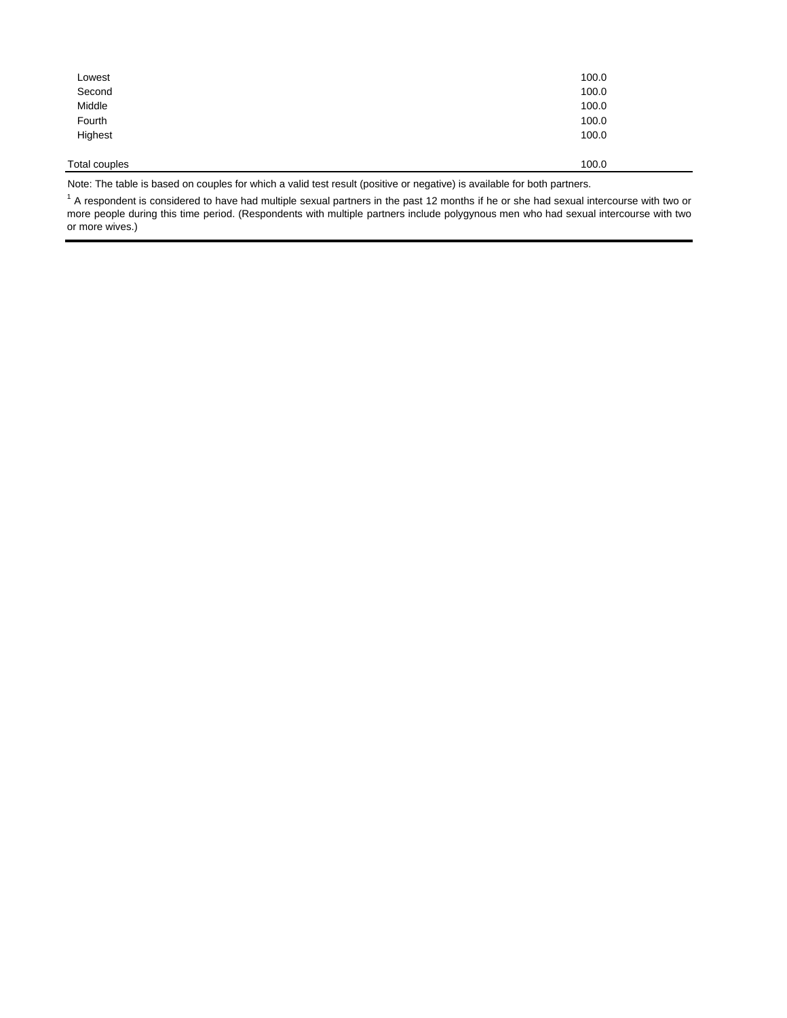| Lowest        | 100.0 |
|---------------|-------|
| Second        | 100.0 |
| Middle        | 100.0 |
| Fourth        | 100.0 |
| Highest       | 100.0 |
|               |       |
| Total couples | 100.0 |
|               |       |

Note: The table is based on couples for which a valid test result (positive or negative) is available for both partners.

 $1$  A respondent is considered to have had multiple sexual partners in the past 12 months if he or she had sexual intercourse with two or more people during this time period. (Respondents with multiple partners include polygynous men who had sexual intercourse with two or more wives.)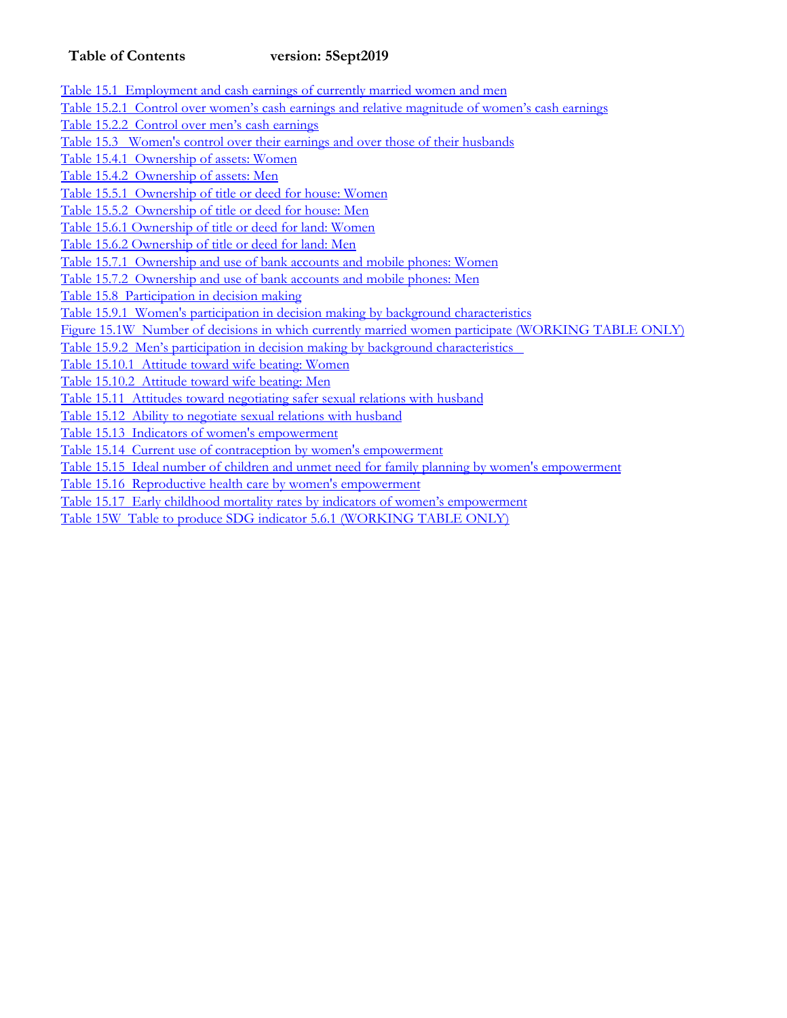# **Table of Contents version: 5Sept2019**

Table 15.1 Employment and cash earnings of currently married women and men

Table 15.2.1 Control over women's cash earnings and relative magnitude of women's cash earnings

Table 15.2.2 Control over men's cash earnings

Table 15.3 Women's control over their earnings and over those of their husbands

Table 15.4.1 Ownership of assets: Women

Table 15.4.2 Ownership of assets: Men

Table 15.5.1 Ownership of title or deed for house: Women

Table 15.5.2 Ownership of title or deed for house: Men

Table 15.6.1 Ownership of title or deed for land: Women

Table 15.6.2 Ownership of title or deed for land: Men

Table 15.7.1 Ownership and use of bank accounts and mobile phones: Women

Table 15.7.2 Ownership and use of bank accounts and mobile phones: Men

Table 15.8 Participation in decision making

Table 15.9.1 Women's participation in decision making by background characteristics

Figure 15.1W Number of decisions in which currently married women participate (WORKING TABLE ONLY)

Table 15.9.2 Men's participation in decision making by background characteristics

Table 15.10.1 Attitude toward wife beating: Women

Table 15.10.2 Attitude toward wife beating: Men

Table 15.11 Attitudes toward negotiating safer sexual relations with husband

Table 15.12 Ability to negotiate sexual relations with husband

Table 15.13 Indicators of women's empowerment

Table 15.14 Current use of contraception by women's empowerment

Table 15.15 Ideal number of children and unmet need for family planning by women's empowerment

Table 15.16 Reproductive health care by women's empowerment

Table 15.17 Early childhood mortality rates by indicators of women's empowerment

Table 15W Table to produce SDG indicator 5.6.1 (WORKING TABLE ONLY)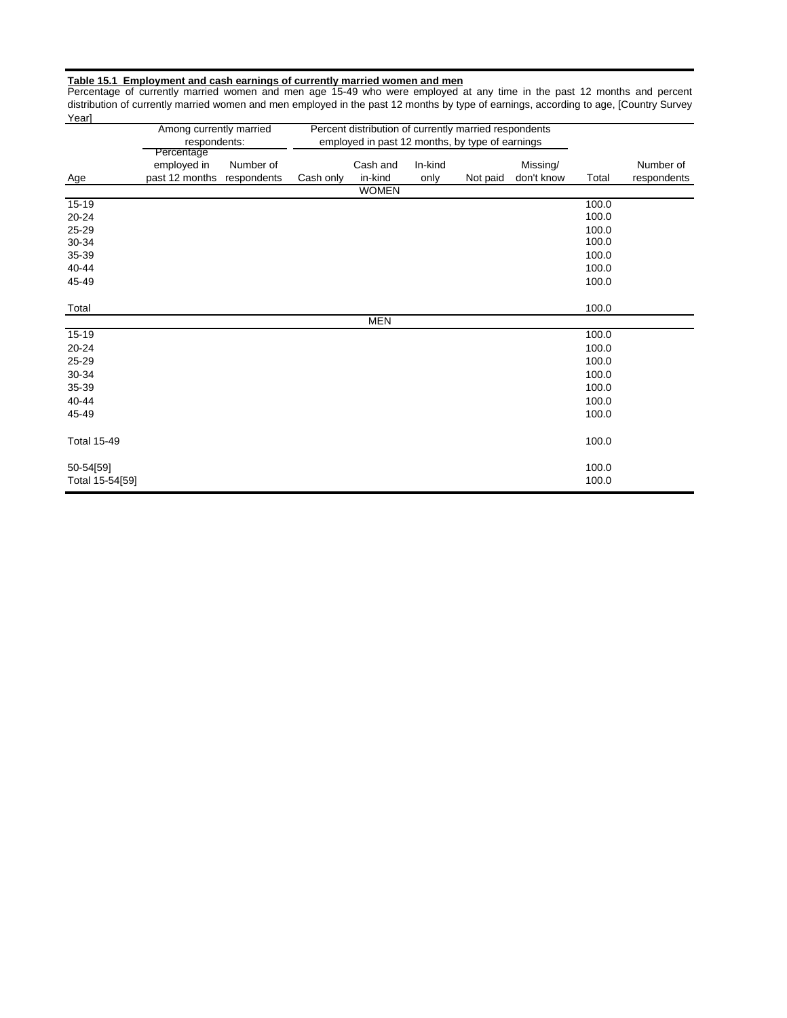#### **Table 15.1 Employment and cash earnings of currently married women and men**

Percentage of currently married women and men age 15-49 who were employed at any time in the past 12 months and percent distribution of currently married women and men employed in the past 12 months by type of earnings, according to age, [Country Survey Year]

|                    | Among currently married    |           | Percent distribution of currently married respondents |                                                 |         |          |            |       |             |
|--------------------|----------------------------|-----------|-------------------------------------------------------|-------------------------------------------------|---------|----------|------------|-------|-------------|
|                    | respondents:               |           |                                                       | employed in past 12 months, by type of earnings |         |          |            |       |             |
|                    | Percentage                 |           |                                                       |                                                 |         |          |            |       |             |
|                    | employed in                | Number of |                                                       | Cash and                                        | In-kind |          | Missing/   |       | Number of   |
| Age                | past 12 months respondents |           | Cash only                                             | in-kind                                         | only    | Not paid | don't know | Total | respondents |
|                    |                            |           |                                                       | <b>WOMEN</b>                                    |         |          |            |       |             |
| $15 - 19$          |                            |           |                                                       |                                                 |         |          |            | 100.0 |             |
| $20 - 24$          |                            |           |                                                       |                                                 |         |          |            | 100.0 |             |
| 25-29              |                            |           |                                                       |                                                 |         |          |            | 100.0 |             |
| 30-34              |                            |           |                                                       |                                                 |         |          |            | 100.0 |             |
| 35-39              |                            |           |                                                       |                                                 |         |          |            | 100.0 |             |
| 40-44              |                            |           |                                                       |                                                 |         |          |            | 100.0 |             |
| 45-49              |                            |           |                                                       |                                                 |         |          |            | 100.0 |             |
|                    |                            |           |                                                       |                                                 |         |          |            |       |             |
| Total              |                            |           |                                                       |                                                 |         |          |            | 100.0 |             |
|                    |                            |           |                                                       | <b>MEN</b>                                      |         |          |            |       |             |
| 15-19              |                            |           |                                                       |                                                 |         |          |            | 100.0 |             |
| 20-24              |                            |           |                                                       |                                                 |         |          |            | 100.0 |             |
| 25-29              |                            |           |                                                       |                                                 |         |          |            | 100.0 |             |
| 30-34              |                            |           |                                                       |                                                 |         |          |            | 100.0 |             |
| 35-39              |                            |           |                                                       |                                                 |         |          |            | 100.0 |             |
| 40-44              |                            |           |                                                       |                                                 |         |          |            | 100.0 |             |
| 45-49              |                            |           |                                                       |                                                 |         |          |            | 100.0 |             |
|                    |                            |           |                                                       |                                                 |         |          |            |       |             |
| <b>Total 15-49</b> |                            |           |                                                       |                                                 |         |          |            | 100.0 |             |
|                    |                            |           |                                                       |                                                 |         |          |            |       |             |
| 50-54[59]          |                            |           |                                                       |                                                 |         |          |            | 100.0 |             |
| Total 15-54[59]    |                            |           |                                                       |                                                 |         |          |            | 100.0 |             |
|                    |                            |           |                                                       |                                                 |         |          |            |       |             |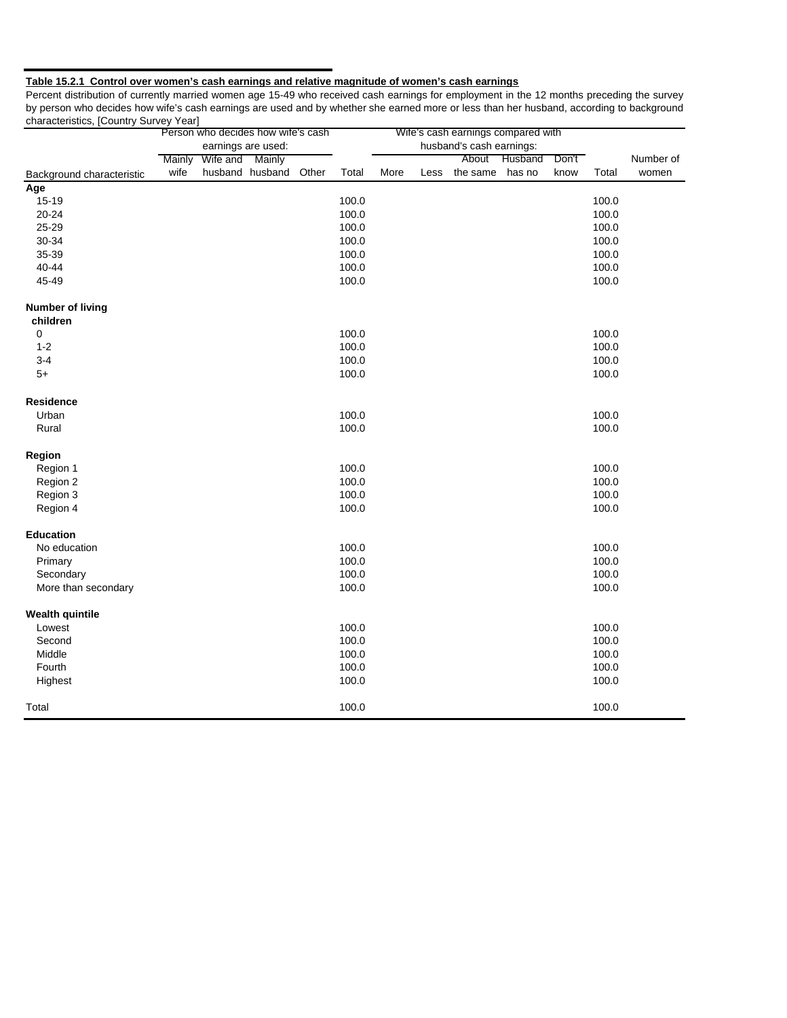#### **Table 15.2.1 Control over women's cash earnings and relative magnitude of women's cash earnings**

Percent distribution of currently married women age 15-49 who received cash earnings for employment in the 12 months preceding the survey by person who decides how wife's cash earnings are used and by whether she earned more or less than her husband, according to background characteristics, [Country Survey Year]

|                           |                    | Person who decides how wife's cash |                 |       |                          |      |      | Wife's cash earnings compared with |         |       |       |           |
|---------------------------|--------------------|------------------------------------|-----------------|-------|--------------------------|------|------|------------------------------------|---------|-------|-------|-----------|
|                           | earnings are used: |                                    |                 |       | husband's cash earnings: |      |      |                                    |         |       |       |           |
|                           | Mainly             | Wife and Mainly                    |                 |       |                          |      |      | About                              | Husband | Don't |       | Number of |
| Background characteristic | wife               |                                    | husband husband | Other | Total                    | More | Less | the same                           | has no  | know  | Total | women     |
| Age                       |                    |                                    |                 |       |                          |      |      |                                    |         |       |       |           |
| 15-19                     |                    |                                    |                 |       | 100.0                    |      |      |                                    |         |       | 100.0 |           |
| 20-24                     |                    |                                    |                 |       | 100.0                    |      |      |                                    |         |       | 100.0 |           |
| 25-29                     |                    |                                    |                 |       | 100.0                    |      |      |                                    |         |       | 100.0 |           |
| 30-34                     |                    |                                    |                 |       | 100.0                    |      |      |                                    |         |       | 100.0 |           |
| 35-39                     |                    |                                    |                 |       | 100.0                    |      |      |                                    |         |       | 100.0 |           |
| 40-44                     |                    |                                    |                 |       | 100.0                    |      |      |                                    |         |       | 100.0 |           |
| 45-49                     |                    |                                    |                 |       | 100.0                    |      |      |                                    |         |       | 100.0 |           |
| <b>Number of living</b>   |                    |                                    |                 |       |                          |      |      |                                    |         |       |       |           |
| children                  |                    |                                    |                 |       |                          |      |      |                                    |         |       |       |           |
| $\pmb{0}$                 |                    |                                    |                 |       | 100.0                    |      |      |                                    |         |       | 100.0 |           |
| $1 - 2$                   |                    |                                    |                 |       | 100.0                    |      |      |                                    |         |       | 100.0 |           |
| $3 - 4$                   |                    |                                    |                 |       | 100.0                    |      |      |                                    |         |       | 100.0 |           |
| $5+$                      |                    |                                    |                 |       | 100.0                    |      |      |                                    |         |       | 100.0 |           |
| Residence                 |                    |                                    |                 |       |                          |      |      |                                    |         |       |       |           |
| Urban                     |                    |                                    |                 |       | 100.0                    |      |      |                                    |         |       | 100.0 |           |
| Rural                     |                    |                                    |                 |       | 100.0                    |      |      |                                    |         |       | 100.0 |           |
| Region                    |                    |                                    |                 |       |                          |      |      |                                    |         |       |       |           |
| Region 1                  |                    |                                    |                 |       | 100.0                    |      |      |                                    |         |       | 100.0 |           |
| Region 2                  |                    |                                    |                 |       | 100.0                    |      |      |                                    |         |       | 100.0 |           |
| Region 3                  |                    |                                    |                 |       | 100.0                    |      |      |                                    |         |       | 100.0 |           |
| Region 4                  |                    |                                    |                 |       | 100.0                    |      |      |                                    |         |       | 100.0 |           |
| <b>Education</b>          |                    |                                    |                 |       |                          |      |      |                                    |         |       |       |           |
| No education              |                    |                                    |                 |       | 100.0                    |      |      |                                    |         |       | 100.0 |           |
| Primary                   |                    |                                    |                 |       | 100.0                    |      |      |                                    |         |       | 100.0 |           |
| Secondary                 |                    |                                    |                 |       | 100.0                    |      |      |                                    |         |       | 100.0 |           |
| More than secondary       |                    |                                    |                 |       | 100.0                    |      |      |                                    |         |       | 100.0 |           |
| <b>Wealth quintile</b>    |                    |                                    |                 |       |                          |      |      |                                    |         |       |       |           |
| Lowest                    |                    |                                    |                 |       | 100.0                    |      |      |                                    |         |       | 100.0 |           |
| Second                    |                    |                                    |                 |       | 100.0                    |      |      |                                    |         |       | 100.0 |           |
| Middle                    |                    |                                    |                 |       | 100.0                    |      |      |                                    |         |       | 100.0 |           |
| Fourth                    |                    |                                    |                 |       | 100.0                    |      |      |                                    |         |       | 100.0 |           |
| Highest                   |                    |                                    |                 |       | 100.0                    |      |      |                                    |         |       | 100.0 |           |
| Total                     |                    |                                    |                 |       | 100.0                    |      |      |                                    |         |       | 100.0 |           |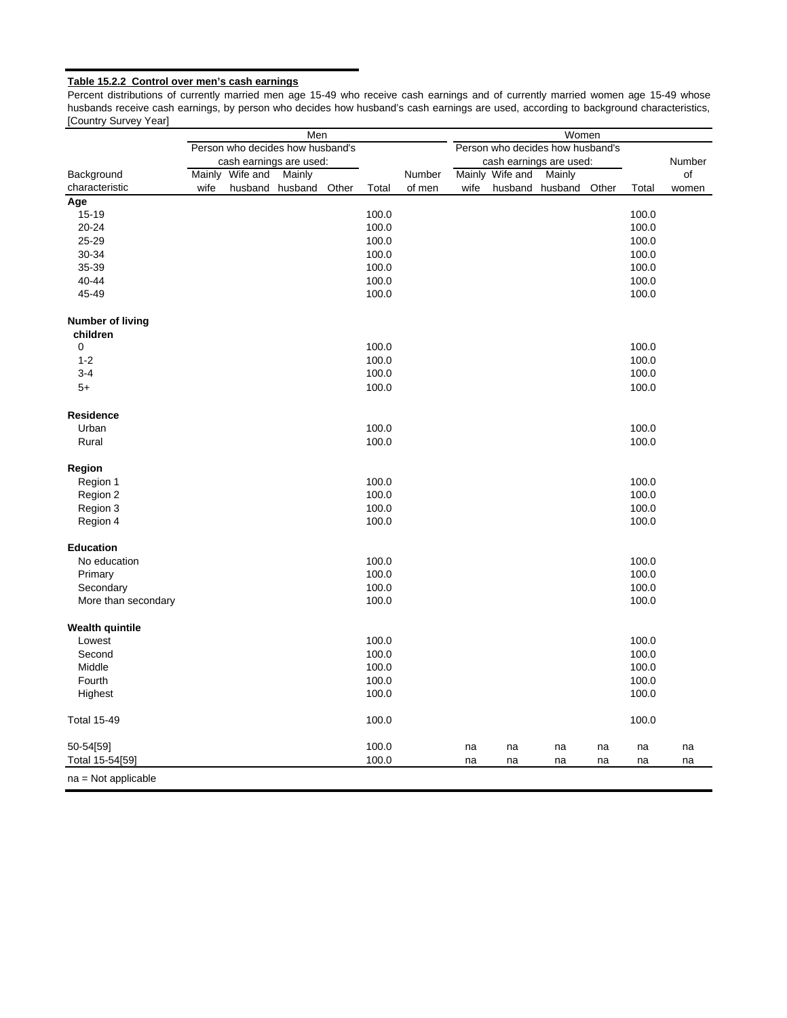#### **Table 15.2.2 Control over men's cash earnings**

Percent distributions of currently married men age 15-49 who receive cash earnings and of currently married women age 15-49 whose husbands receive cash earnings, by person who decides how husband's cash earnings are used, according to background characteristics, [Country Survey Year]

|                         | Men                                                                  |                         |         |       |       |        | Women |                 |                         |       |       |        |  |  |
|-------------------------|----------------------------------------------------------------------|-------------------------|---------|-------|-------|--------|-------|-----------------|-------------------------|-------|-------|--------|--|--|
|                         | Person who decides how husband's<br>Person who decides how husband's |                         |         |       |       |        |       |                 |                         |       |       |        |  |  |
|                         |                                                                      | cash earnings are used: |         |       |       |        |       |                 | cash earnings are used: |       |       | Number |  |  |
| Background              |                                                                      | Mainly Wife and         | Mainly  |       |       | Number |       | Mainly Wife and | Mainly                  |       |       | οf     |  |  |
| characteristic          | wife                                                                 | husband                 | husband | Other | Total | of men | wife  | husband         | husband                 | Other | Total | women  |  |  |
| Age                     |                                                                      |                         |         |       |       |        |       |                 |                         |       |       |        |  |  |
| 15-19                   |                                                                      |                         |         |       | 100.0 |        |       |                 |                         |       | 100.0 |        |  |  |
| 20-24                   |                                                                      |                         |         |       | 100.0 |        |       |                 |                         |       | 100.0 |        |  |  |
| 25-29                   |                                                                      |                         |         |       | 100.0 |        |       |                 |                         |       | 100.0 |        |  |  |
| 30-34                   |                                                                      |                         |         |       | 100.0 |        |       |                 |                         |       | 100.0 |        |  |  |
| 35-39                   |                                                                      |                         |         |       | 100.0 |        |       |                 |                         |       | 100.0 |        |  |  |
| 40-44                   |                                                                      |                         |         |       | 100.0 |        |       |                 |                         |       | 100.0 |        |  |  |
| 45-49                   |                                                                      |                         |         |       | 100.0 |        |       |                 |                         |       | 100.0 |        |  |  |
| <b>Number of living</b> |                                                                      |                         |         |       |       |        |       |                 |                         |       |       |        |  |  |
| children                |                                                                      |                         |         |       |       |        |       |                 |                         |       |       |        |  |  |
| 0                       |                                                                      |                         |         |       | 100.0 |        |       |                 |                         |       | 100.0 |        |  |  |
| $1 - 2$                 |                                                                      |                         |         |       | 100.0 |        |       |                 |                         |       | 100.0 |        |  |  |
| $3 - 4$                 |                                                                      |                         |         |       | 100.0 |        |       |                 |                         |       | 100.0 |        |  |  |
| $5+$                    |                                                                      |                         |         |       | 100.0 |        |       |                 |                         |       | 100.0 |        |  |  |
| <b>Residence</b>        |                                                                      |                         |         |       |       |        |       |                 |                         |       |       |        |  |  |
| Urban                   |                                                                      |                         |         |       | 100.0 |        |       |                 |                         |       | 100.0 |        |  |  |
| Rural                   |                                                                      |                         |         |       | 100.0 |        |       |                 |                         |       | 100.0 |        |  |  |
| Region                  |                                                                      |                         |         |       |       |        |       |                 |                         |       |       |        |  |  |
| Region 1                |                                                                      |                         |         |       | 100.0 |        |       |                 |                         |       | 100.0 |        |  |  |
| Region 2                |                                                                      |                         |         |       | 100.0 |        |       |                 |                         |       | 100.0 |        |  |  |
| Region 3                |                                                                      |                         |         |       | 100.0 |        |       |                 |                         |       | 100.0 |        |  |  |
| Region 4                |                                                                      |                         |         |       | 100.0 |        |       |                 |                         |       | 100.0 |        |  |  |
| <b>Education</b>        |                                                                      |                         |         |       |       |        |       |                 |                         |       |       |        |  |  |
| No education            |                                                                      |                         |         |       | 100.0 |        |       |                 |                         |       | 100.0 |        |  |  |
| Primary                 |                                                                      |                         |         |       | 100.0 |        |       |                 |                         |       | 100.0 |        |  |  |
| Secondary               |                                                                      |                         |         |       | 100.0 |        |       |                 |                         |       | 100.0 |        |  |  |
| More than secondary     |                                                                      |                         |         |       | 100.0 |        |       |                 |                         |       | 100.0 |        |  |  |
| <b>Wealth quintile</b>  |                                                                      |                         |         |       |       |        |       |                 |                         |       |       |        |  |  |
| Lowest                  |                                                                      |                         |         |       | 100.0 |        |       |                 |                         |       | 100.0 |        |  |  |
| Second                  |                                                                      |                         |         |       | 100.0 |        |       |                 |                         |       | 100.0 |        |  |  |
| Middle                  |                                                                      |                         |         |       | 100.0 |        |       |                 |                         |       | 100.0 |        |  |  |
| Fourth                  |                                                                      |                         |         |       | 100.0 |        |       |                 |                         |       | 100.0 |        |  |  |
| Highest                 |                                                                      |                         |         |       | 100.0 |        |       |                 |                         |       | 100.0 |        |  |  |
| <b>Total 15-49</b>      |                                                                      |                         |         |       | 100.0 |        |       |                 |                         |       | 100.0 |        |  |  |
| 50-54[59]               |                                                                      |                         |         |       | 100.0 |        | na    | na              | na                      | na    | na    | na     |  |  |
| Total 15-54[59]         |                                                                      |                         |         |       | 100.0 |        | na    | na              | na                      | na    | na    | na     |  |  |
| $na = Not applicable$   |                                                                      |                         |         |       |       |        |       |                 |                         |       |       |        |  |  |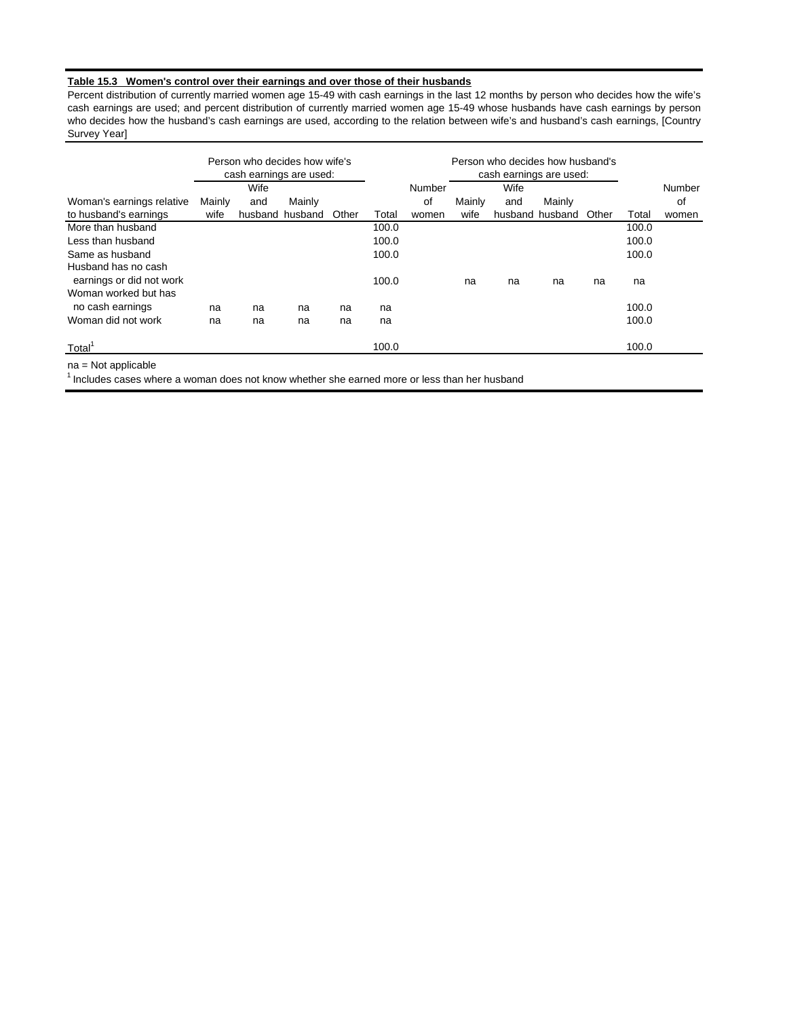#### **Table 15.3 Women's control over their earnings and over those of their husbands**

Percent distribution of currently married women age 15-49 with cash earnings in the last 12 months by person who decides how the wife's cash earnings are used; and percent distribution of currently married women age 15-49 whose husbands have cash earnings by person who decides how the husband's cash earnings are used, according to the relation between wife's and husband's cash earnings, [Country Survey Year]

|                                                 | Person who decides how wife's<br>cash earnings are used: |      |                 |       |       | Person who decides how husband's<br>cash earnings are used: |        |      |                 |       |       |        |
|-------------------------------------------------|----------------------------------------------------------|------|-----------------|-------|-------|-------------------------------------------------------------|--------|------|-----------------|-------|-------|--------|
|                                                 |                                                          | Wife |                 |       |       | Number                                                      |        | Wife |                 |       |       | Number |
| Woman's earnings relative                       | Mainly                                                   | and  | Mainly          |       |       | οf                                                          | Mainly | and  | Mainly          |       |       | of     |
| to husband's earnings                           | wife                                                     |      | husband husband | Other | Total | women                                                       | wife   |      | husband husband | Other | Total | women  |
| More than husband                               |                                                          |      |                 |       | 100.0 |                                                             |        |      |                 |       | 100.0 |        |
| Less than husband                               |                                                          |      |                 |       | 100.0 |                                                             |        |      |                 |       | 100.0 |        |
| Same as husband                                 |                                                          |      |                 |       | 100.0 |                                                             |        |      |                 |       | 100.0 |        |
| Husband has no cash<br>earnings or did not work |                                                          |      |                 |       | 100.0 |                                                             | na     | na   | na              | na    | na    |        |
| Woman worked but has                            |                                                          |      |                 |       |       |                                                             |        |      |                 |       |       |        |
| no cash earnings                                | na                                                       | na   | na              | na    | na    |                                                             |        |      |                 |       | 100.0 |        |
| Woman did not work                              | na                                                       | na   | na              | na    | na    |                                                             |        |      |                 |       | 100.0 |        |
| Total                                           |                                                          |      |                 |       | 100.0 |                                                             |        |      |                 |       | 100.0 |        |

na = Not applicable

 $<sup>1</sup>$  Includes cases where a woman does not know whether she earned more or less than her husband</sup>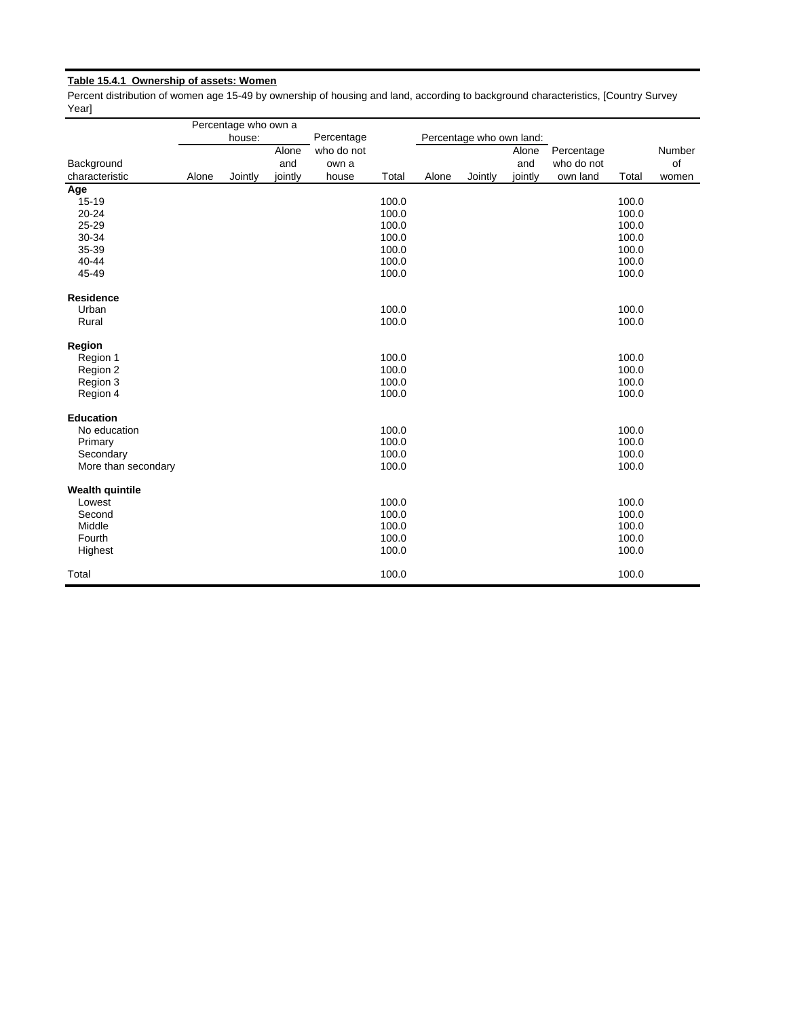# **Table 15.4.1 Ownership of assets: Women**

Percent distribution of women age 15-49 by ownership of housing and land, according to background characteristics, [Country Survey Year]

|                        |       | Percentage who own a |         |            |       |       |                          |         |            |       |        |
|------------------------|-------|----------------------|---------|------------|-------|-------|--------------------------|---------|------------|-------|--------|
|                        |       | house:               |         | Percentage |       |       | Percentage who own land: |         |            |       |        |
|                        |       |                      | Alone   | who do not |       |       |                          | Alone   | Percentage |       | Number |
| Background             |       |                      | and     | own a      |       |       |                          | and     | who do not |       | of     |
| characteristic         | Alone | Jointly              | jointly | house      | Total | Alone | Jointly                  | jointly | own land   | Total | women  |
| Age                    |       |                      |         |            |       |       |                          |         |            |       |        |
| 15-19                  |       |                      |         |            | 100.0 |       |                          |         |            | 100.0 |        |
| 20-24                  |       |                      |         |            | 100.0 |       |                          |         |            | 100.0 |        |
| 25-29                  |       |                      |         |            | 100.0 |       |                          |         |            | 100.0 |        |
| 30-34                  |       |                      |         |            | 100.0 |       |                          |         |            | 100.0 |        |
| 35-39                  |       |                      |         |            | 100.0 |       |                          |         |            | 100.0 |        |
| 40-44                  |       |                      |         |            | 100.0 |       |                          |         |            | 100.0 |        |
| 45-49                  |       |                      |         |            | 100.0 |       |                          |         |            | 100.0 |        |
| Residence              |       |                      |         |            |       |       |                          |         |            |       |        |
| Urban                  |       |                      |         |            | 100.0 |       |                          |         |            | 100.0 |        |
| Rural                  |       |                      |         |            | 100.0 |       |                          |         |            | 100.0 |        |
| Region                 |       |                      |         |            |       |       |                          |         |            |       |        |
| Region 1               |       |                      |         |            | 100.0 |       |                          |         |            | 100.0 |        |
| Region 2               |       |                      |         |            | 100.0 |       |                          |         |            | 100.0 |        |
| Region 3               |       |                      |         |            | 100.0 |       |                          |         |            | 100.0 |        |
| Region 4               |       |                      |         |            | 100.0 |       |                          |         |            | 100.0 |        |
| <b>Education</b>       |       |                      |         |            |       |       |                          |         |            |       |        |
| No education           |       |                      |         |            | 100.0 |       |                          |         |            | 100.0 |        |
| Primary                |       |                      |         |            | 100.0 |       |                          |         |            | 100.0 |        |
| Secondary              |       |                      |         |            | 100.0 |       |                          |         |            | 100.0 |        |
| More than secondary    |       |                      |         |            | 100.0 |       |                          |         |            | 100.0 |        |
| <b>Wealth quintile</b> |       |                      |         |            |       |       |                          |         |            |       |        |
| Lowest                 |       |                      |         |            | 100.0 |       |                          |         |            | 100.0 |        |
| Second                 |       |                      |         |            | 100.0 |       |                          |         |            | 100.0 |        |
| Middle                 |       |                      |         |            | 100.0 |       |                          |         |            | 100.0 |        |
| Fourth                 |       |                      |         |            | 100.0 |       |                          |         |            | 100.0 |        |
| Highest                |       |                      |         |            | 100.0 |       |                          |         |            | 100.0 |        |
| Total                  |       |                      |         |            | 100.0 |       |                          |         |            | 100.0 |        |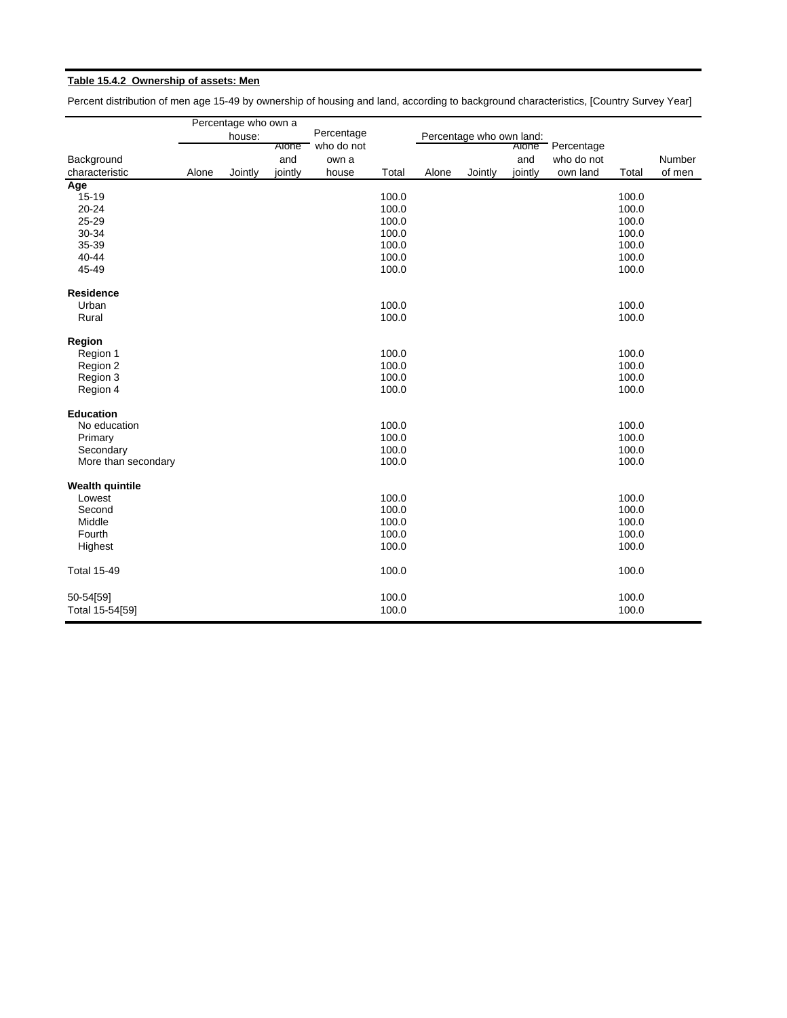# **Table 15.4.2 Ownership of assets: Men**

Percent distribution of men age 15-49 by ownership of housing and land, according to background characteristics, [Country Survey Year]

|                        |       | Percentage who own a |         |            |       |       |                          |         |            |       |        |
|------------------------|-------|----------------------|---------|------------|-------|-------|--------------------------|---------|------------|-------|--------|
|                        |       | house:               |         | Percentage |       |       | Percentage who own land: |         |            |       |        |
|                        |       |                      | Alone   | who do not |       |       |                          | Alone   | Percentage |       |        |
| Background             |       |                      | and     | own a      |       |       |                          | and     | who do not |       | Number |
| characteristic         | Alone | Jointly              | jointly | house      | Total | Alone | Jointly                  | jointly | own land   | Total | of men |
| Age                    |       |                      |         |            |       |       |                          |         |            |       |        |
| 15-19                  |       |                      |         |            | 100.0 |       |                          |         |            | 100.0 |        |
| 20-24                  |       |                      |         |            | 100.0 |       |                          |         |            | 100.0 |        |
| 25-29                  |       |                      |         |            | 100.0 |       |                          |         |            | 100.0 |        |
| 30-34                  |       |                      |         |            | 100.0 |       |                          |         |            | 100.0 |        |
| 35-39                  |       |                      |         |            | 100.0 |       |                          |         |            | 100.0 |        |
| 40-44                  |       |                      |         |            | 100.0 |       |                          |         |            | 100.0 |        |
| 45-49                  |       |                      |         |            | 100.0 |       |                          |         |            | 100.0 |        |
| <b>Residence</b>       |       |                      |         |            |       |       |                          |         |            |       |        |
| Urban                  |       |                      |         |            | 100.0 |       |                          |         |            | 100.0 |        |
| Rural                  |       |                      |         |            | 100.0 |       |                          |         |            | 100.0 |        |
| Region                 |       |                      |         |            |       |       |                          |         |            |       |        |
| Region 1               |       |                      |         |            | 100.0 |       |                          |         |            | 100.0 |        |
| Region 2               |       |                      |         |            | 100.0 |       |                          |         |            | 100.0 |        |
| Region 3               |       |                      |         |            | 100.0 |       |                          |         |            | 100.0 |        |
| Region 4               |       |                      |         |            | 100.0 |       |                          |         |            | 100.0 |        |
| <b>Education</b>       |       |                      |         |            |       |       |                          |         |            |       |        |
| No education           |       |                      |         |            | 100.0 |       |                          |         |            | 100.0 |        |
| Primary                |       |                      |         |            | 100.0 |       |                          |         |            | 100.0 |        |
| Secondary              |       |                      |         |            | 100.0 |       |                          |         |            | 100.0 |        |
| More than secondary    |       |                      |         |            | 100.0 |       |                          |         |            | 100.0 |        |
| <b>Wealth quintile</b> |       |                      |         |            |       |       |                          |         |            |       |        |
| Lowest                 |       |                      |         |            | 100.0 |       |                          |         |            | 100.0 |        |
| Second                 |       |                      |         |            | 100.0 |       |                          |         |            | 100.0 |        |
| Middle                 |       |                      |         |            | 100.0 |       |                          |         |            | 100.0 |        |
| Fourth                 |       |                      |         |            | 100.0 |       |                          |         |            | 100.0 |        |
| Highest                |       |                      |         |            | 100.0 |       |                          |         |            | 100.0 |        |
| <b>Total 15-49</b>     |       |                      |         |            | 100.0 |       |                          |         |            | 100.0 |        |
| 50-54[59]              |       |                      |         |            | 100.0 |       |                          |         |            | 100.0 |        |
| Total 15-54[59]        |       |                      |         |            | 100.0 |       |                          |         |            | 100.0 |        |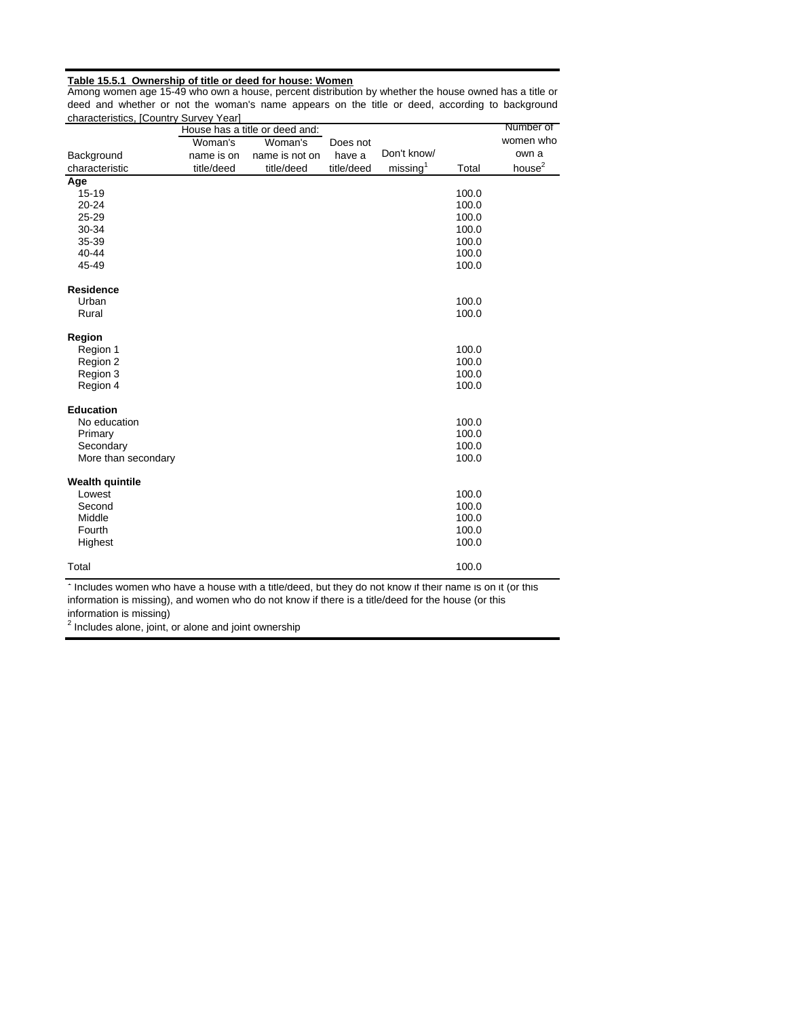#### **Table 15.5.1 Ownership of title or deed for house: Women**

Among women age 15-49 who own a house, percent distribution by whether the house owned has a title or deed and whether or not the woman's name appears on the title or deed, according to background characteristics, [Country Survey Year] ÷,

| <u>unarautunutuu</u>   | $\sim$     | House has a title or deed and: |            |                      |       | Number of          |
|------------------------|------------|--------------------------------|------------|----------------------|-------|--------------------|
|                        | Woman's    | Woman's                        | Does not   |                      |       | women who          |
| Background             | name is on | name is not on                 | have a     | Don't know/          |       | own a              |
| characteristic         | title/deed | title/deed                     | title/deed | missing <sup>1</sup> | Total | house <sup>2</sup> |
| Age                    |            |                                |            |                      |       |                    |
| $15 - 19$              |            |                                |            |                      | 100.0 |                    |
| $20 - 24$              |            |                                |            |                      | 100.0 |                    |
| 25-29                  |            |                                |            |                      | 100.0 |                    |
| 30-34                  |            |                                |            |                      | 100.0 |                    |
| 35-39                  |            |                                |            |                      | 100.0 |                    |
| 40-44                  |            |                                |            |                      | 100.0 |                    |
| 45-49                  |            |                                |            |                      | 100.0 |                    |
| <b>Residence</b>       |            |                                |            |                      |       |                    |
| Urban                  |            |                                |            |                      | 100.0 |                    |
| Rural                  |            |                                |            |                      | 100.0 |                    |
| Region                 |            |                                |            |                      |       |                    |
| Region 1               |            |                                |            |                      | 100.0 |                    |
| Region 2               |            |                                |            |                      | 100.0 |                    |
| Region 3               |            |                                |            |                      | 100.0 |                    |
| Region 4               |            |                                |            |                      | 100.0 |                    |
| <b>Education</b>       |            |                                |            |                      |       |                    |
| No education           |            |                                |            |                      | 100.0 |                    |
| Primary                |            |                                |            |                      | 100.0 |                    |
| Secondary              |            |                                |            |                      | 100.0 |                    |
| More than secondary    |            |                                |            |                      | 100.0 |                    |
| <b>Wealth quintile</b> |            |                                |            |                      |       |                    |
| Lowest                 |            |                                |            |                      | 100.0 |                    |
| Second                 |            |                                |            |                      | 100.0 |                    |
| Middle                 |            |                                |            |                      | 100.0 |                    |
| Fourth                 |            |                                |            |                      | 100.0 |                    |
| Highest                |            |                                |            |                      | 100.0 |                    |
| Total                  |            |                                |            |                      | 100.0 |                    |

<sup>1</sup> Includes women who have a house with a title/deed, but they do not know if their name is on it (or this information is missing), and women who do not know if there is a title/deed for the house (or this information is missing)

 $2$  Includes alone, joint, or alone and joint ownership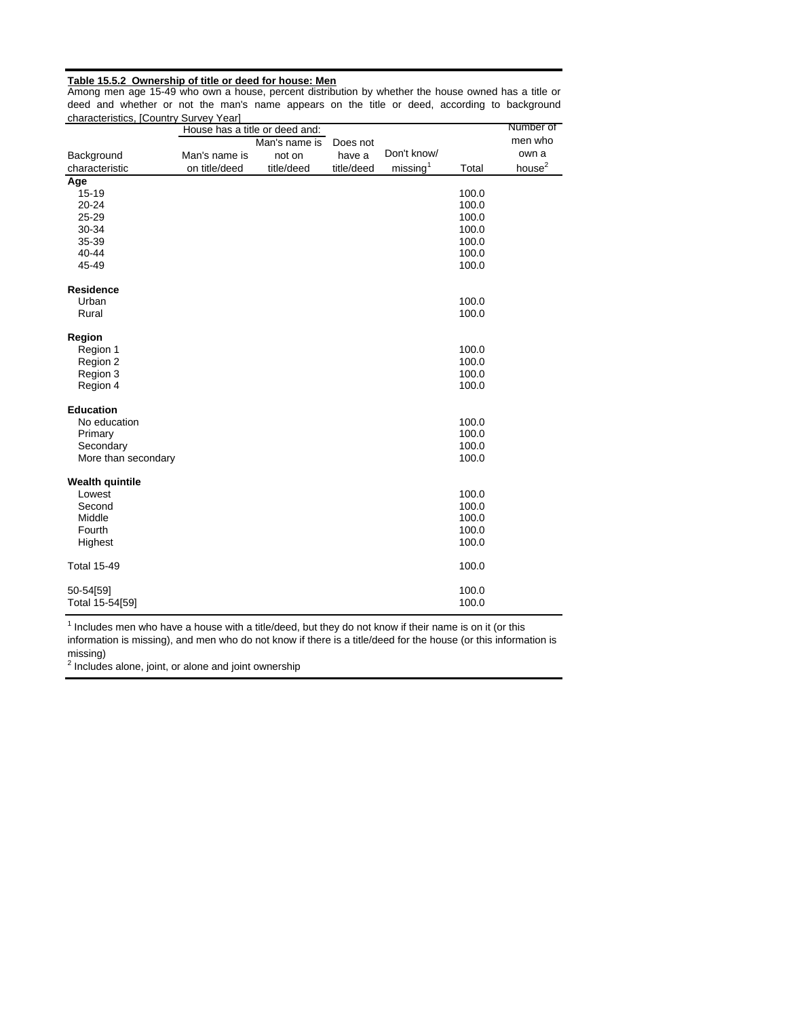#### **Table 15.5.2 Ownership of title or deed for house: Men**

Among men age 15-49 who own a house, percent distribution by whether the house owned has a title or deed and whether or not the man's name appears on the title or deed, according to background characteristics, [Country Survey Year]

| characteristics, journtry survey rear |               | House has a title or deed and: |            |                      |       | Number of          |
|---------------------------------------|---------------|--------------------------------|------------|----------------------|-------|--------------------|
|                                       |               | Man's name is                  | Does not   |                      |       | men who            |
| Background                            | Man's name is | not on                         | have a     | Don't know/          |       | own a              |
| characteristic                        | on title/deed | title/deed                     | title/deed | missing <sup>1</sup> | Total | house <sup>2</sup> |
| Age                                   |               |                                |            |                      |       |                    |
| 15-19                                 |               |                                |            |                      | 100.0 |                    |
| $20 - 24$                             |               |                                |            |                      | 100.0 |                    |
| 25-29                                 |               |                                |            |                      | 100.0 |                    |
| 30-34                                 |               |                                |            |                      | 100.0 |                    |
| 35-39                                 |               |                                |            |                      | 100.0 |                    |
| 40-44                                 |               |                                |            |                      | 100.0 |                    |
| 45-49                                 |               |                                |            |                      | 100.0 |                    |
|                                       |               |                                |            |                      |       |                    |
| <b>Residence</b>                      |               |                                |            |                      |       |                    |
| Urban                                 |               |                                |            |                      | 100.0 |                    |
| Rural                                 |               |                                |            |                      | 100.0 |                    |
| Region                                |               |                                |            |                      |       |                    |
| Region 1                              |               |                                |            |                      | 100.0 |                    |
| Region 2                              |               |                                |            |                      | 100.0 |                    |
| Region 3                              |               |                                |            |                      | 100.0 |                    |
| Region 4                              |               |                                |            |                      | 100.0 |                    |
|                                       |               |                                |            |                      |       |                    |
| <b>Education</b>                      |               |                                |            |                      |       |                    |
| No education                          |               |                                |            |                      | 100.0 |                    |
| Primary                               |               |                                |            |                      | 100.0 |                    |
| Secondary                             |               |                                |            |                      | 100.0 |                    |
| More than secondary                   |               |                                |            |                      | 100.0 |                    |
|                                       |               |                                |            |                      |       |                    |
| <b>Wealth quintile</b>                |               |                                |            |                      |       |                    |
| Lowest                                |               |                                |            |                      | 100.0 |                    |
| Second                                |               |                                |            |                      | 100.0 |                    |
| Middle                                |               |                                |            |                      | 100.0 |                    |
| Fourth                                |               |                                |            |                      | 100.0 |                    |
| Highest                               |               |                                |            |                      | 100.0 |                    |
| <b>Total 15-49</b>                    |               |                                |            |                      | 100.0 |                    |
|                                       |               |                                |            |                      |       |                    |
| 50-54[59]                             |               |                                |            |                      | 100.0 |                    |
| Total 15-54[59]                       |               |                                |            |                      | 100.0 |                    |

<sup>1</sup> Includes men who have a house with a title/deed, but they do not know if their name is on it (or this information is missing), and men who do not know if there is a title/deed for the house (or this information is missing)

 $2$  Includes alone, joint, or alone and joint ownership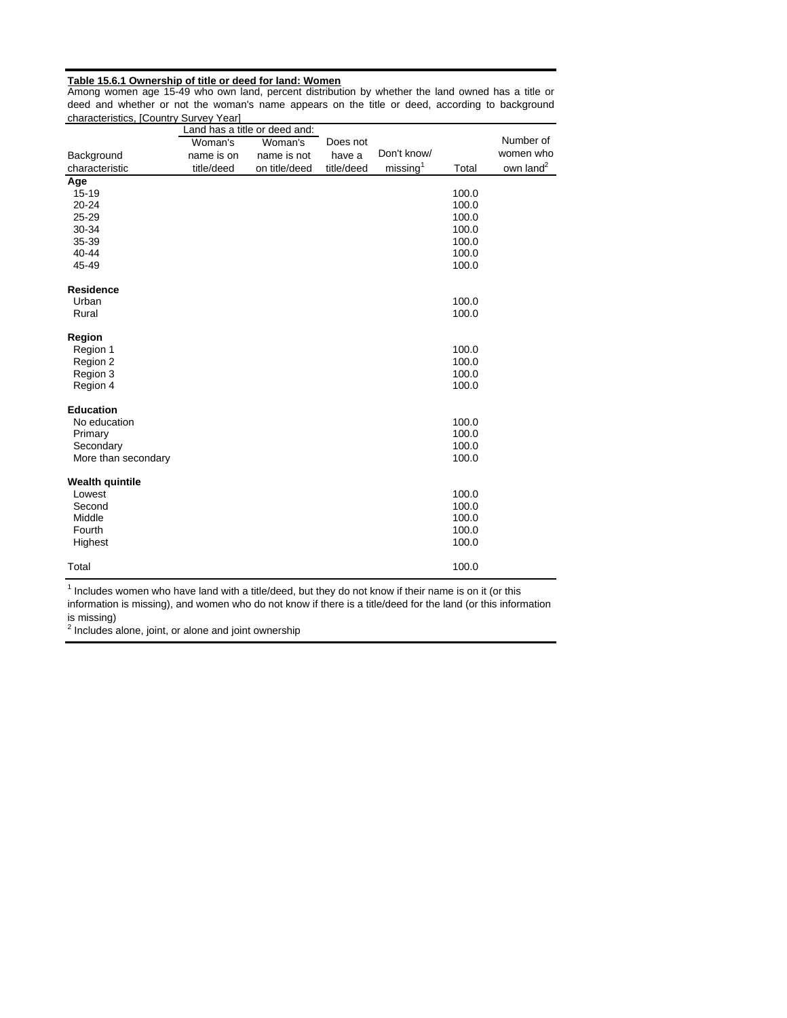#### **Table 15.6.1 Ownership of title or deed for land: Women**

Among women age 15-49 who own land, percent distribution by whether the land owned has a title or deed and whether or not the woman's name appears on the title or deed, according to background characteristics, [Country Survey Year] ÷,

|                        |            | Land has a title or deed and: |            |                      |       |                       |
|------------------------|------------|-------------------------------|------------|----------------------|-------|-----------------------|
|                        | Woman's    | Woman's                       | Does not   |                      |       | Number of             |
| Background             | name is on | name is not                   | have a     | Don't know/          |       | women who             |
| characteristic         | title/deed | on title/deed                 | title/deed | missing <sup>1</sup> | Total | own land <sup>2</sup> |
| Age                    |            |                               |            |                      |       |                       |
| $15 - 19$              |            |                               |            |                      | 100.0 |                       |
| $20 - 24$              |            |                               |            |                      | 100.0 |                       |
| 25-29                  |            |                               |            |                      | 100.0 |                       |
| 30-34                  |            |                               |            |                      | 100.0 |                       |
| 35-39                  |            |                               |            |                      | 100.0 |                       |
| 40-44                  |            |                               |            |                      | 100.0 |                       |
| 45-49                  |            |                               |            |                      | 100.0 |                       |
| <b>Residence</b>       |            |                               |            |                      |       |                       |
| Urban                  |            |                               |            |                      | 100.0 |                       |
| Rural                  |            |                               |            |                      | 100.0 |                       |
| Region                 |            |                               |            |                      |       |                       |
| Region 1               |            |                               |            |                      | 100.0 |                       |
| Region 2               |            |                               |            |                      | 100.0 |                       |
| Region 3               |            |                               |            |                      | 100.0 |                       |
| Region 4               |            |                               |            |                      | 100.0 |                       |
| <b>Education</b>       |            |                               |            |                      |       |                       |
| No education           |            |                               |            |                      | 100.0 |                       |
| Primary                |            |                               |            |                      | 100.0 |                       |
| Secondary              |            |                               |            |                      | 100.0 |                       |
| More than secondary    |            |                               |            |                      | 100.0 |                       |
|                        |            |                               |            |                      |       |                       |
| <b>Wealth quintile</b> |            |                               |            |                      |       |                       |
| Lowest                 |            |                               |            |                      | 100.0 |                       |
| Second                 |            |                               |            |                      | 100.0 |                       |
| Middle                 |            |                               |            |                      | 100.0 |                       |
| Fourth                 |            |                               |            |                      | 100.0 |                       |
| Highest                |            |                               |            |                      | 100.0 |                       |
| Total                  |            |                               |            |                      | 100.0 |                       |

<sup>1</sup> Includes women who have land with a title/deed, but they do not know if their name is on it (or this information is missing), and women who do not know if there is a title/deed for the land (or this information is missing)

 $2$  Includes alone, joint, or alone and joint ownership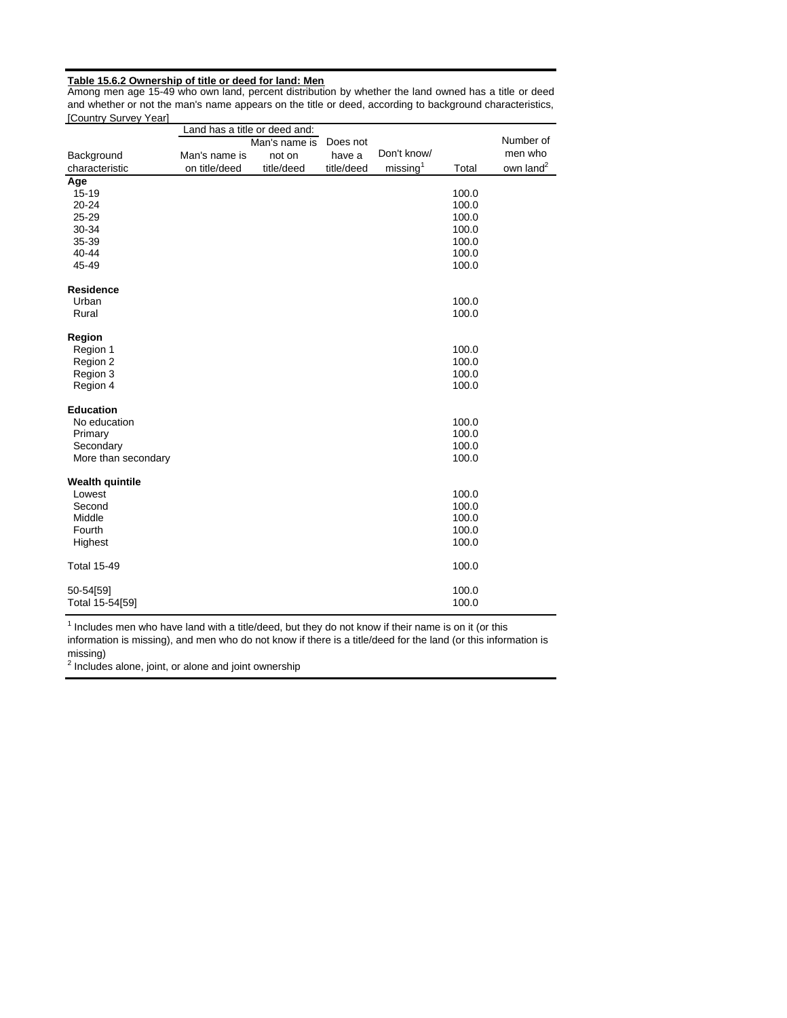#### **Table 15.6.2 Ownership of title or deed for land: Men**

Among men age 15-49 who own land, percent distribution by whether the land owned has a title or deed and whether or not the man's name appears on the title or deed, according to background characteristics, [Country Survey Year]

|                        | Land has a title or deed and: |               |            |                      |       |                       |
|------------------------|-------------------------------|---------------|------------|----------------------|-------|-----------------------|
|                        |                               | Man's name is | Does not   |                      |       | Number of             |
| Background             | Man's name is                 | not on        | have a     | Don't know/          |       | men who               |
| characteristic         | on title/deed                 | title/deed    | title/deed | missing <sup>1</sup> | Total | own land <sup>2</sup> |
| Age                    |                               |               |            |                      |       |                       |
| $15 - 19$              |                               |               |            |                      | 100.0 |                       |
| $20 - 24$              |                               |               |            |                      | 100.0 |                       |
| 25-29                  |                               |               |            |                      | 100.0 |                       |
| 30-34                  |                               |               |            |                      | 100.0 |                       |
| 35-39                  |                               |               |            |                      | 100.0 |                       |
| 40-44                  |                               |               |            |                      | 100.0 |                       |
| 45-49                  |                               |               |            |                      | 100.0 |                       |
| <b>Residence</b>       |                               |               |            |                      |       |                       |
| Urban                  |                               |               |            |                      | 100.0 |                       |
| Rural                  |                               |               |            |                      | 100.0 |                       |
| Region                 |                               |               |            |                      |       |                       |
| Region 1               |                               |               |            |                      | 100.0 |                       |
| Region 2               |                               |               |            |                      | 100.0 |                       |
| Region 3               |                               |               |            |                      | 100.0 |                       |
| Region 4               |                               |               |            |                      | 100.0 |                       |
| <b>Education</b>       |                               |               |            |                      |       |                       |
| No education           |                               |               |            |                      | 100.0 |                       |
| Primary                |                               |               |            |                      | 100.0 |                       |
| Secondary              |                               |               |            |                      | 100.0 |                       |
| More than secondary    |                               |               |            |                      | 100.0 |                       |
| <b>Wealth quintile</b> |                               |               |            |                      |       |                       |
| Lowest                 |                               |               |            |                      | 100.0 |                       |
| Second                 |                               |               |            |                      | 100.0 |                       |
| Middle                 |                               |               |            |                      | 100.0 |                       |
| Fourth                 |                               |               |            |                      | 100.0 |                       |
| Highest                |                               |               |            |                      | 100.0 |                       |
|                        |                               |               |            |                      |       |                       |
| <b>Total 15-49</b>     |                               |               |            |                      | 100.0 |                       |
| 50-54[59]              |                               |               |            |                      | 100.0 |                       |
| Total 15-54[59]        |                               |               |            |                      | 100.0 |                       |

 $1$  Includes men who have land with a title/deed, but they do not know if their name is on it (or this information is missing), and men who do not know if there is a title/deed for the land (or this information is missing)

 $2$  Includes alone, joint, or alone and joint ownership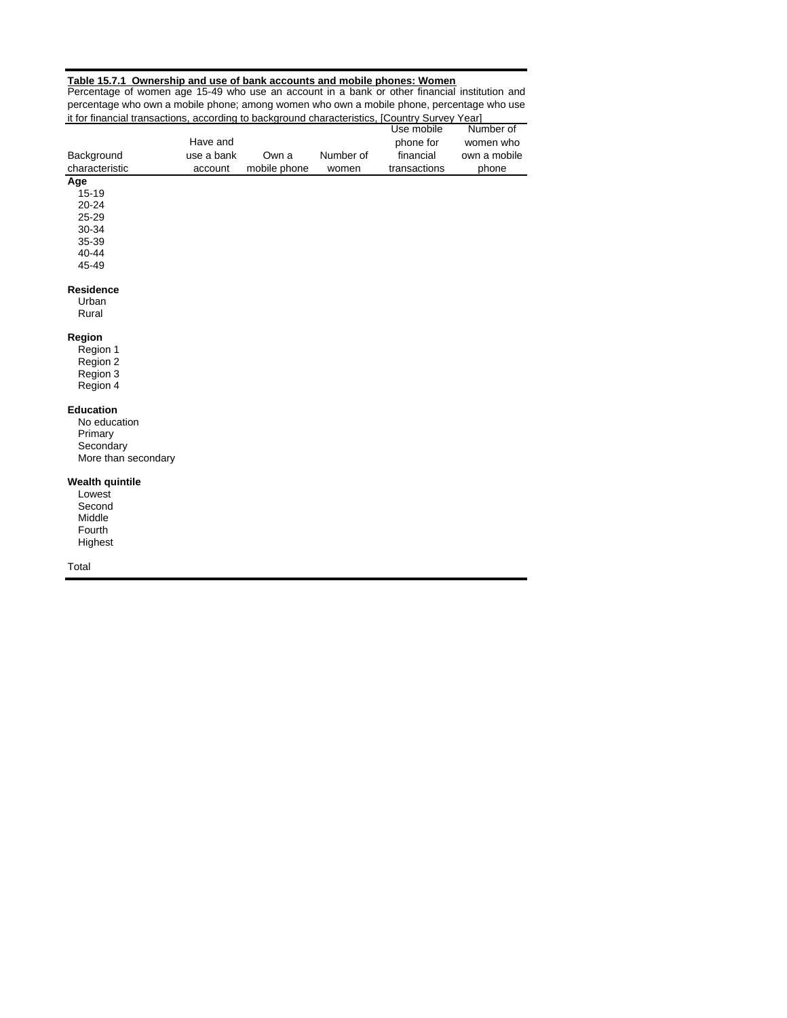#### **Table 15.7.1 Ownership and use of bank accounts and mobile phones: Women**

Percentage of women age 15-49 who use an account in a bank or other financial institution and percentage who own a mobile phone; among women who own a mobile phone, percentage who use it for financial transactions, according to background characteristics, [Country Survey Year]

| <u>It for imancial transactions, according to background characteristics, [Country Survey Teal]</u> |            |              |           |              |              |
|-----------------------------------------------------------------------------------------------------|------------|--------------|-----------|--------------|--------------|
|                                                                                                     |            |              |           | Use mobile   | Number of    |
|                                                                                                     | Have and   |              |           | phone for    | women who    |
| Background                                                                                          | use a bank | Own a        | Number of | financial    | own a mobile |
| characteristic                                                                                      | account    | mobile phone | women     | transactions | phone        |
| Age                                                                                                 |            |              |           |              |              |
| 15-19                                                                                               |            |              |           |              |              |
| 20-24                                                                                               |            |              |           |              |              |
| 25-29                                                                                               |            |              |           |              |              |
| 30-34                                                                                               |            |              |           |              |              |
| 35-39                                                                                               |            |              |           |              |              |
| 40-44                                                                                               |            |              |           |              |              |
| 45-49                                                                                               |            |              |           |              |              |
| <b>Residence</b>                                                                                    |            |              |           |              |              |
| Urban                                                                                               |            |              |           |              |              |
| Rural                                                                                               |            |              |           |              |              |
|                                                                                                     |            |              |           |              |              |
| Region                                                                                              |            |              |           |              |              |
| Region 1                                                                                            |            |              |           |              |              |
| Region 2                                                                                            |            |              |           |              |              |
| Region 3                                                                                            |            |              |           |              |              |
| Region 4                                                                                            |            |              |           |              |              |
| <b>Education</b>                                                                                    |            |              |           |              |              |
| No education                                                                                        |            |              |           |              |              |
| Primary                                                                                             |            |              |           |              |              |
| Secondary                                                                                           |            |              |           |              |              |
| More than secondary                                                                                 |            |              |           |              |              |
|                                                                                                     |            |              |           |              |              |
| <b>Wealth quintile</b>                                                                              |            |              |           |              |              |
| Lowest                                                                                              |            |              |           |              |              |
| Second                                                                                              |            |              |           |              |              |
| Middle                                                                                              |            |              |           |              |              |
| Fourth                                                                                              |            |              |           |              |              |
| Highest                                                                                             |            |              |           |              |              |
| Total                                                                                               |            |              |           |              |              |
|                                                                                                     |            |              |           |              |              |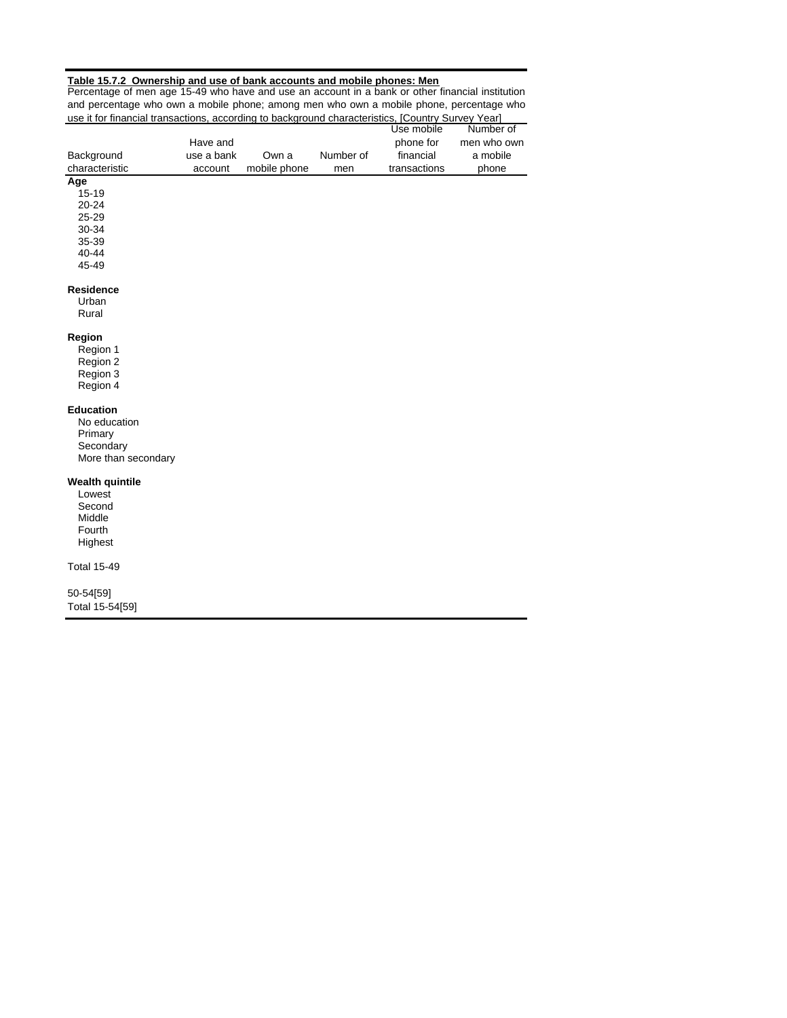#### **Table 15.7.2 Ownership and use of bank accounts and mobile phones: Men**

Percentage of men age 15-49 who have and use an account in a bank or other financial institution and percentage who own a mobile phone; among men who own a mobile phone, percentage who use it for financial transactions, according to background characteristics, [Country Survey Year]

|                                  |            |              |           | Use mobile   | Number of   |
|----------------------------------|------------|--------------|-----------|--------------|-------------|
|                                  | Have and   |              |           | phone for    | men who own |
| Background                       | use a bank | Own a        | Number of | financial    | a mobile    |
| characteristic                   | account    | mobile phone | men       | transactions | phone       |
| Age                              |            |              |           |              |             |
| $15 - 19$                        |            |              |           |              |             |
| $20 - 24$                        |            |              |           |              |             |
| 25-29                            |            |              |           |              |             |
| 30-34                            |            |              |           |              |             |
| 35-39                            |            |              |           |              |             |
| 40-44                            |            |              |           |              |             |
| 45-49                            |            |              |           |              |             |
| <b>Residence</b>                 |            |              |           |              |             |
| Urban                            |            |              |           |              |             |
| Rural                            |            |              |           |              |             |
|                                  |            |              |           |              |             |
| Region                           |            |              |           |              |             |
| Region 1                         |            |              |           |              |             |
| Region 2                         |            |              |           |              |             |
| Region 3                         |            |              |           |              |             |
| Region 4                         |            |              |           |              |             |
|                                  |            |              |           |              |             |
| <b>Education</b>                 |            |              |           |              |             |
| No education                     |            |              |           |              |             |
| Primary                          |            |              |           |              |             |
| Secondary                        |            |              |           |              |             |
| More than secondary              |            |              |           |              |             |
|                                  |            |              |           |              |             |
| <b>Wealth quintile</b><br>Lowest |            |              |           |              |             |
| Second                           |            |              |           |              |             |
| Middle                           |            |              |           |              |             |
| Fourth                           |            |              |           |              |             |
| Highest                          |            |              |           |              |             |
|                                  |            |              |           |              |             |
| <b>Total 15-49</b>               |            |              |           |              |             |
| 50-54[59]                        |            |              |           |              |             |
| Total 15-54[59]                  |            |              |           |              |             |
|                                  |            |              |           |              |             |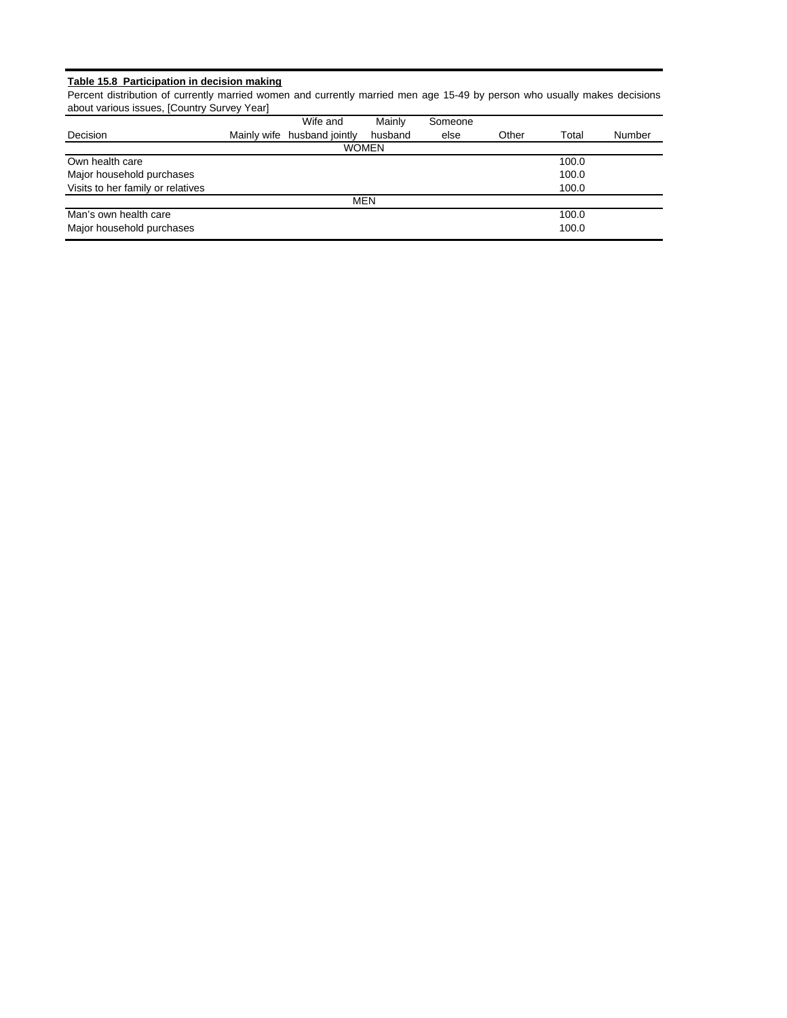#### **Table 15.8 Participation in decision making**

Percent distribution of currently married women and currently married men age 15-49 by person who usually makes decisions about various issues, [Country Survey Year]

|                                   | Wife and                    | Mainly       | Someone |       |       |        |
|-----------------------------------|-----------------------------|--------------|---------|-------|-------|--------|
| Decision                          | Mainly wife husband jointly | husband      | else    | Other | Total | Number |
|                                   |                             | <b>WOMEN</b> |         |       |       |        |
| Own health care                   |                             |              |         |       | 100.0 |        |
| Major household purchases         |                             |              |         |       | 100.0 |        |
| Visits to her family or relatives |                             |              |         |       | 100.0 |        |
|                                   |                             | <b>MEN</b>   |         |       |       |        |
| Man's own health care             |                             |              |         |       | 100.0 |        |
| Major household purchases         |                             |              |         |       | 100.0 |        |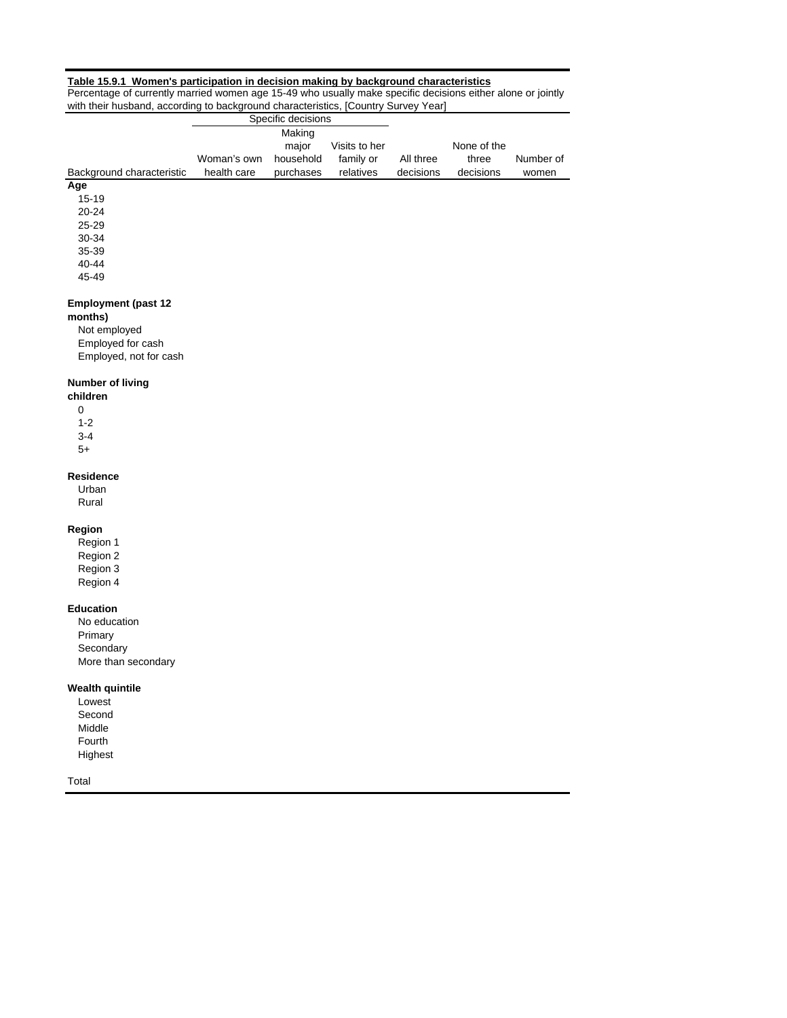#### **Table 15.9.1 Women's participation in decision making by background characteristics**

Percentage of currently married women age 15-49 who usually make specific decisions either alone or jointly with their husband, according to background characteristics, [Country Survey Year]

|                                       |             | Specific decisions |               |           |             |           |
|---------------------------------------|-------------|--------------------|---------------|-----------|-------------|-----------|
|                                       |             | Making             |               |           |             |           |
|                                       |             | major              | Visits to her |           | None of the |           |
|                                       | Woman's own | household          | family or     | All three | three       | Number of |
| Background characteristic             | health care | purchases          | relatives     | decisions | decisions   | women     |
| Age                                   |             |                    |               |           |             |           |
| $15 - 19$                             |             |                    |               |           |             |           |
| $20 - 24$                             |             |                    |               |           |             |           |
| $25 - 29$                             |             |                    |               |           |             |           |
| 30-34                                 |             |                    |               |           |             |           |
| 35-39                                 |             |                    |               |           |             |           |
| 40-44                                 |             |                    |               |           |             |           |
| 45-49                                 |             |                    |               |           |             |           |
| <b>Employment (past 12</b><br>months) |             |                    |               |           |             |           |

Not employed Employed for cash Employed, not for cash

#### **Number of living**

0 1-2 3-4 **children**

Ĭ.

5+

## **Residence**

Urban Rural

## **Region**

Region 1 Region 2 Region 3

Region 4

# **Education**

No education Primary Secondary More than secondary

#### **Wealth quintile**

Lowest Second Middle Fourth Highest

Total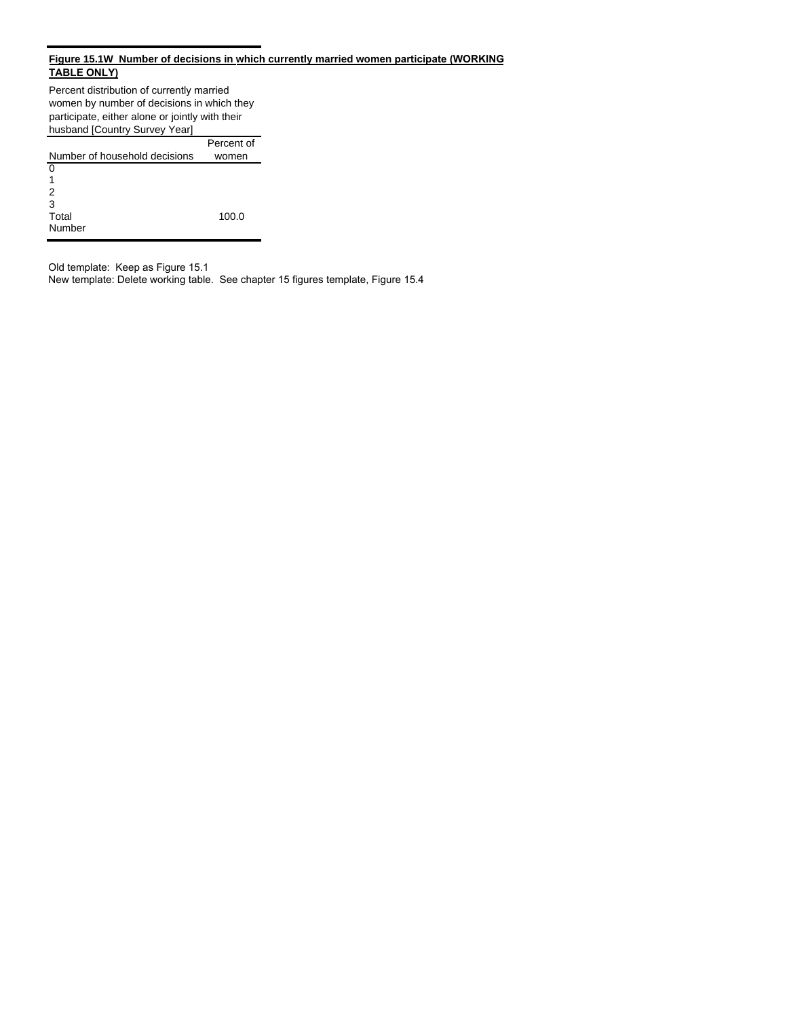## **Figure 15.1W Number of decisions in which currently married women participate (WORKING TABLE ONLY)**

Percent of women by number of decisions in which they participate, either alone or jointly with their husband [Country Survey Year] Percent distribution of currently married

0 1 2 -3<br>Total 100.0 Number Number of household decisions women

Old template: Keep as Figure 15.1 New template: Delete working table. See chapter 15 figures template, Figure 15.4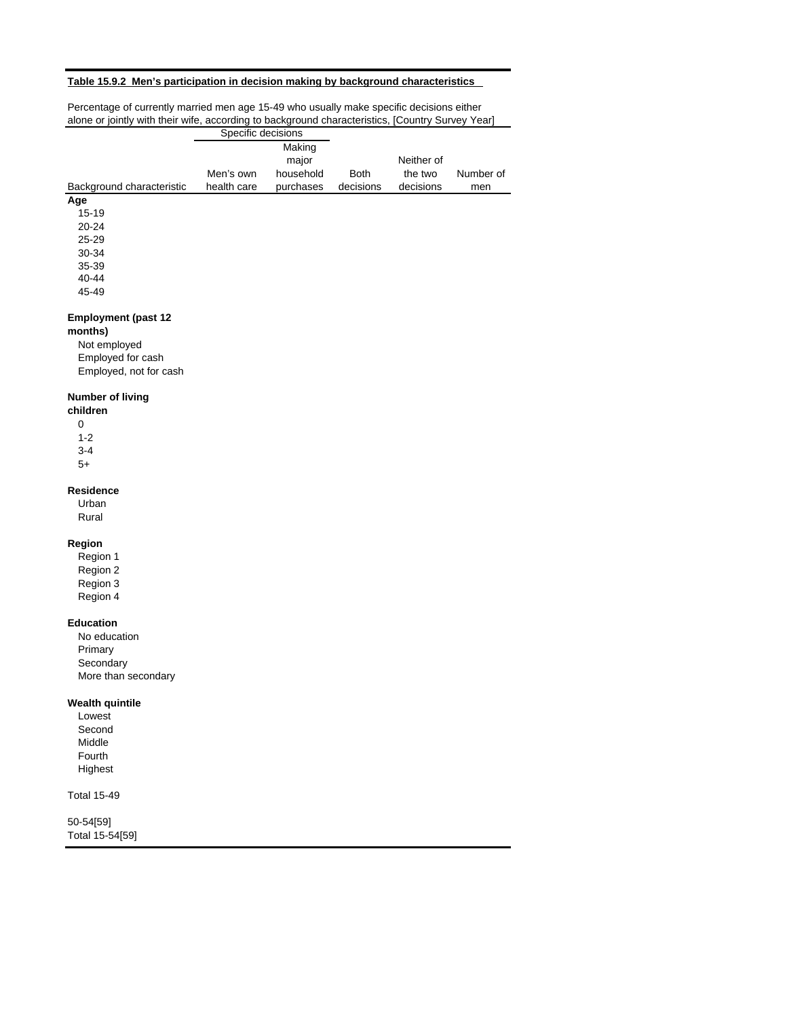## **Table 15.9.2 Men's participation in decision making by background characteristics**

| alone or jointly with their wife, according to background characteristics, [Country Survey Year] | Specific decisions |           |             |            |           |
|--------------------------------------------------------------------------------------------------|--------------------|-----------|-------------|------------|-----------|
|                                                                                                  |                    | Making    |             |            |           |
|                                                                                                  |                    | major     |             | Neither of |           |
|                                                                                                  | Men's own          | household | <b>Both</b> | the two    | Number of |
| Background characteristic                                                                        | health care        | purchases | decisions   | decisions  | men       |
| Age                                                                                              |                    |           |             |            |           |
| 15-19                                                                                            |                    |           |             |            |           |
| 20-24                                                                                            |                    |           |             |            |           |
| 25-29                                                                                            |                    |           |             |            |           |
| 30-34<br>35-39                                                                                   |                    |           |             |            |           |
| 40-44                                                                                            |                    |           |             |            |           |
| 45-49                                                                                            |                    |           |             |            |           |
|                                                                                                  |                    |           |             |            |           |
| <b>Employment (past 12</b>                                                                       |                    |           |             |            |           |
| months)                                                                                          |                    |           |             |            |           |
| Not employed                                                                                     |                    |           |             |            |           |
| Employed for cash                                                                                |                    |           |             |            |           |
| Employed, not for cash                                                                           |                    |           |             |            |           |
| <b>Number of living</b>                                                                          |                    |           |             |            |           |
| children                                                                                         |                    |           |             |            |           |
| 0                                                                                                |                    |           |             |            |           |
| $1 - 2$                                                                                          |                    |           |             |            |           |
| $3-4$                                                                                            |                    |           |             |            |           |
| 5+                                                                                               |                    |           |             |            |           |
|                                                                                                  |                    |           |             |            |           |
| <b>Residence</b>                                                                                 |                    |           |             |            |           |
| Urban                                                                                            |                    |           |             |            |           |
| Rural                                                                                            |                    |           |             |            |           |
|                                                                                                  |                    |           |             |            |           |
| Region                                                                                           |                    |           |             |            |           |
| Region 1<br>Region 2                                                                             |                    |           |             |            |           |
| Region 3                                                                                         |                    |           |             |            |           |
| Region 4                                                                                         |                    |           |             |            |           |
|                                                                                                  |                    |           |             |            |           |
| <b>Education</b>                                                                                 |                    |           |             |            |           |
| No education                                                                                     |                    |           |             |            |           |
| Primary                                                                                          |                    |           |             |            |           |
| Secondary                                                                                        |                    |           |             |            |           |
| More than secondary                                                                              |                    |           |             |            |           |
| <b>Wealth quintile</b>                                                                           |                    |           |             |            |           |
| Lowest                                                                                           |                    |           |             |            |           |
| Second                                                                                           |                    |           |             |            |           |
| Middle                                                                                           |                    |           |             |            |           |
| Fourth                                                                                           |                    |           |             |            |           |
| Highest                                                                                          |                    |           |             |            |           |
| <b>Total 15-49</b>                                                                               |                    |           |             |            |           |
|                                                                                                  |                    |           |             |            |           |
| 50-54[59]                                                                                        |                    |           |             |            |           |
| Total 15-54[59]                                                                                  |                    |           |             |            |           |
|                                                                                                  |                    |           |             |            |           |

Percentage of currently married men age 15-49 who usually make specific decisions either alone or jointly with their wife, according to background characteristics, [Country Survey Year]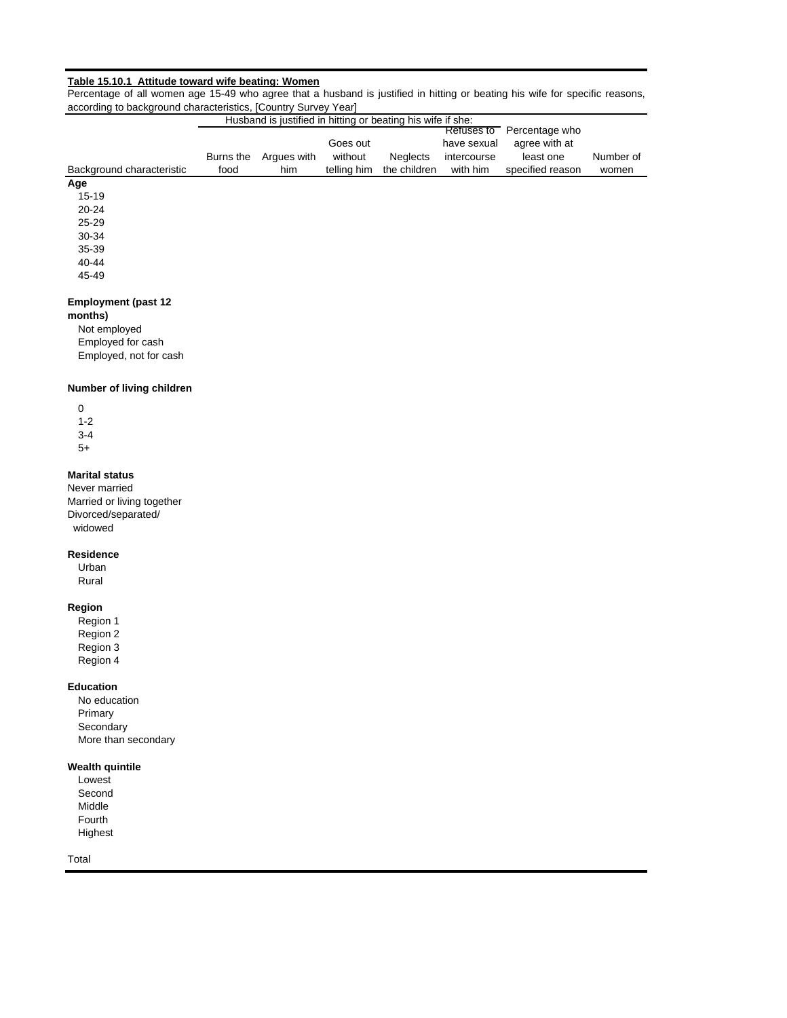#### **Table 15.10.1 Attitude toward wife beating: Women**

Percentage of all women age 15-49 who agree that a husband is justified in hitting or beating his wife for specific reasons, according to background characteristics, [Country Survey Year]

|                           |           | Husband is justified in hitting or beating his wife if she: |                     |              |                                          |                                              |           |
|---------------------------|-----------|-------------------------------------------------------------|---------------------|--------------|------------------------------------------|----------------------------------------------|-----------|
|                           | Burns the | Argues with                                                 | Goes out<br>without | Neglects     | Refuses to<br>have sexual<br>intercourse | Percentage who<br>agree with at<br>least one | Number of |
| Background characteristic | food      | him                                                         | telling him         | the children | with him                                 | specified reason                             | women     |
| Age                       |           |                                                             |                     |              |                                          |                                              |           |
| $15 - 19$                 |           |                                                             |                     |              |                                          |                                              |           |
| $20 - 24$                 |           |                                                             |                     |              |                                          |                                              |           |
| $25 - 29$                 |           |                                                             |                     |              |                                          |                                              |           |
| 30-34                     |           |                                                             |                     |              |                                          |                                              |           |
| 35-39                     |           |                                                             |                     |              |                                          |                                              |           |
| 40-44                     |           |                                                             |                     |              |                                          |                                              |           |
| 45-49                     |           |                                                             |                     |              |                                          |                                              |           |

# **Employment (past 12**

#### **months)**

Not employed Employed for cash Employed, not for cash

## **Number of living children**

| O   |  |
|-----|--|
| 1-2 |  |
| 3-4 |  |
| 5+  |  |

## **Marital status**

Never married Married or living together Divorced/separated/ widowed

## **Residence**

Urban Rural

## **Region**

Region 1 Region 2 Region 3 Region 4

## **Education**

No education Primary **Secondary** More than secondary

#### **Wealth quintile**

Lowest Second Middle Fourth Highest

Total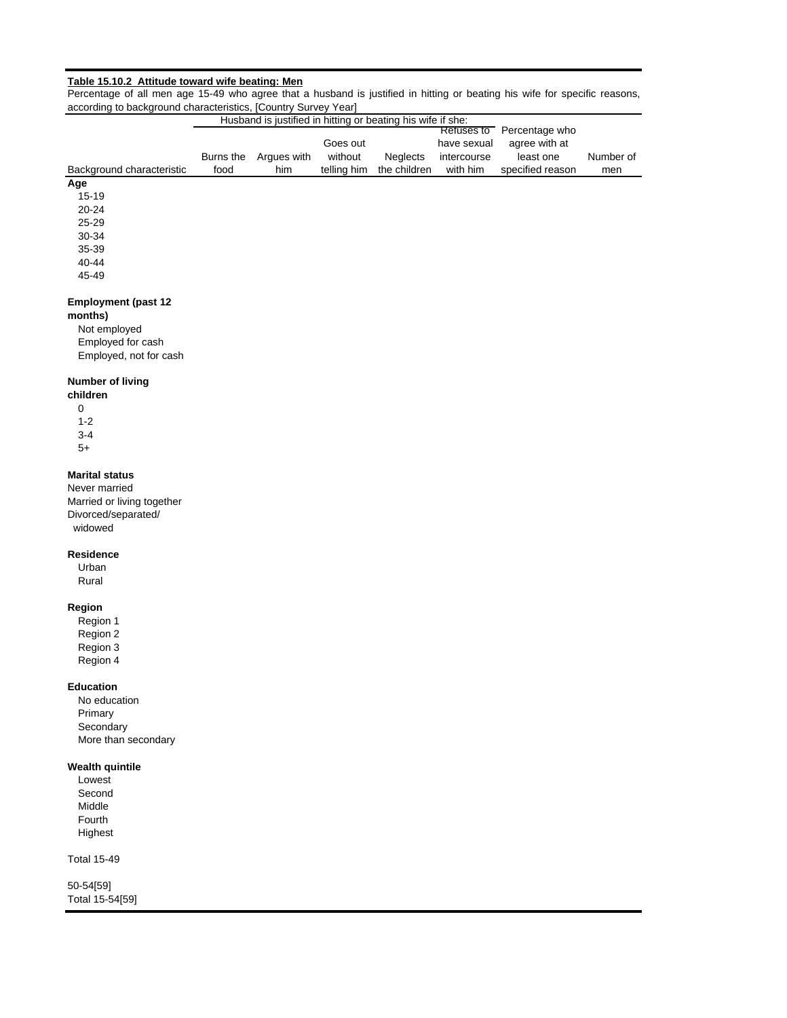## **Table 15.10.2 Attitude toward wife beating: Men**

Percentage of all men age 15-49 who agree that a husband is justified in hitting or beating his wife for specific reasons, according to background characteristics, [Country Survey Year]

|                            |           | Husband is justified in hitting or beating his wife if she: |             |                 |             |                           |           |
|----------------------------|-----------|-------------------------------------------------------------|-------------|-----------------|-------------|---------------------------|-----------|
|                            |           |                                                             |             |                 |             | Refuses to Percentage who |           |
|                            |           |                                                             | Goes out    |                 | have sexual | agree with at             |           |
|                            | Burns the | Argues with                                                 | without     | <b>Neglects</b> | intercourse | least one                 | Number of |
| Background characteristic  | food      | him                                                         | telling him | the children    | with him    | specified reason          | men       |
| Age                        |           |                                                             |             |                 |             |                           |           |
| $15 - 19$                  |           |                                                             |             |                 |             |                           |           |
| 20-24                      |           |                                                             |             |                 |             |                           |           |
| 25-29                      |           |                                                             |             |                 |             |                           |           |
| 30-34                      |           |                                                             |             |                 |             |                           |           |
| 35-39                      |           |                                                             |             |                 |             |                           |           |
| 40-44                      |           |                                                             |             |                 |             |                           |           |
| 45-49                      |           |                                                             |             |                 |             |                           |           |
|                            |           |                                                             |             |                 |             |                           |           |
| <b>Employment (past 12</b> |           |                                                             |             |                 |             |                           |           |
| months)                    |           |                                                             |             |                 |             |                           |           |
| Not employed               |           |                                                             |             |                 |             |                           |           |
| Employed for cash          |           |                                                             |             |                 |             |                           |           |
| Employed, not for cash     |           |                                                             |             |                 |             |                           |           |
|                            |           |                                                             |             |                 |             |                           |           |
| <b>Number of living</b>    |           |                                                             |             |                 |             |                           |           |
| children                   |           |                                                             |             |                 |             |                           |           |
| 0                          |           |                                                             |             |                 |             |                           |           |
| $1 - 2$                    |           |                                                             |             |                 |             |                           |           |
| $3 - 4$                    |           |                                                             |             |                 |             |                           |           |
| $5+$                       |           |                                                             |             |                 |             |                           |           |
|                            |           |                                                             |             |                 |             |                           |           |
| <b>Marital status</b>      |           |                                                             |             |                 |             |                           |           |
| Never married              |           |                                                             |             |                 |             |                           |           |
| Married or living together |           |                                                             |             |                 |             |                           |           |
|                            |           |                                                             |             |                 |             |                           |           |

Divorced/separated/ widowed

## **Residence**

Urban Rural

## **Region**

Region 1 Region 2 Region 3 Region 4

## **Education**

No education Primary **Secondary** More than secondary

#### **Wealth quintile**

Lowest Second Middle Fourth Highest

Total 15-49

50-54[59] Total 15-54[59]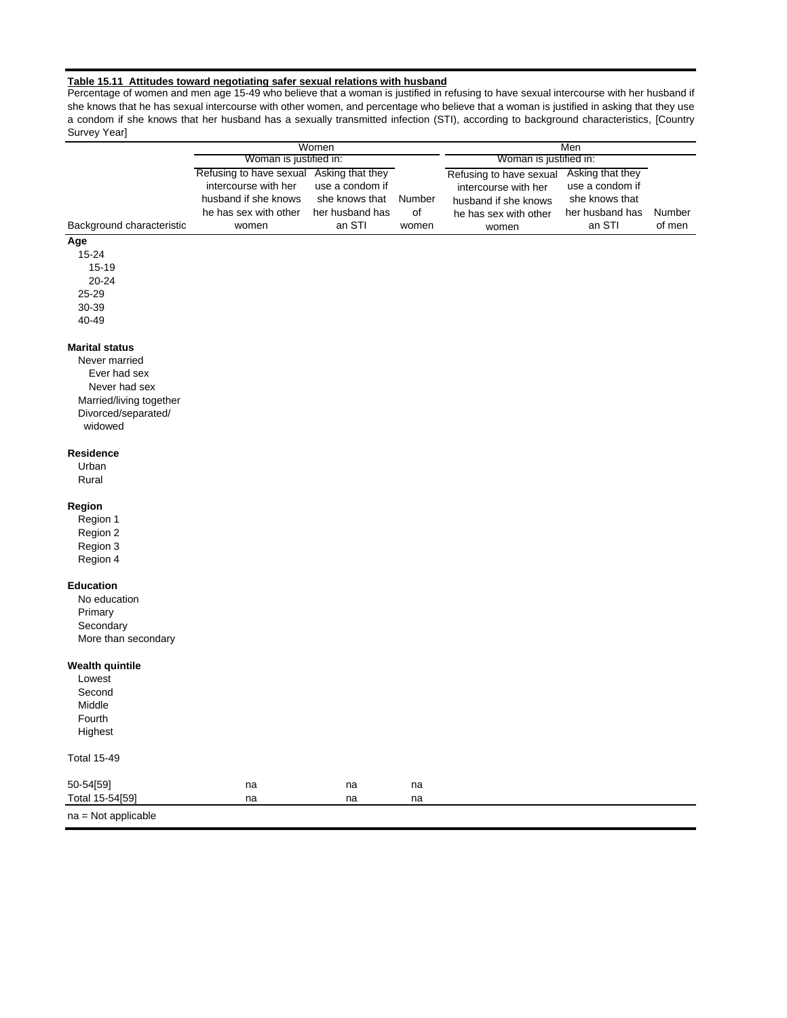#### **Table 15.11 Attitudes toward negotiating safer sexual relations with husband**

Percentage of women and men age 15-49 who believe that a woman is justified in refusing to have sexual intercourse with her husband if she knows that he has sexual intercourse with other women, and percentage who believe that a woman is justified in asking that they use a condom if she knows that her husband has a sexually transmitted infection (STI), according to background characteristics, [Country Survey Year]

|                                                                                                                                      |                                                                                                                            | Women                                                          |                       |                                                                                                           | Men                                                                                |                  |
|--------------------------------------------------------------------------------------------------------------------------------------|----------------------------------------------------------------------------------------------------------------------------|----------------------------------------------------------------|-----------------------|-----------------------------------------------------------------------------------------------------------|------------------------------------------------------------------------------------|------------------|
|                                                                                                                                      | Woman is justified in:                                                                                                     |                                                                |                       | Woman is justified in:                                                                                    |                                                                                    |                  |
| Background characteristic                                                                                                            | Refusing to have sexual Asking that they<br>intercourse with her<br>husband if she knows<br>he has sex with other<br>women | use a condom if<br>she knows that<br>her husband has<br>an STI | Number<br>of<br>women | Refusing to have sexual<br>intercourse with her<br>husband if she knows<br>he has sex with other<br>women | Asking that they<br>use a condom if<br>she knows that<br>her husband has<br>an STI | Number<br>of men |
| Age                                                                                                                                  |                                                                                                                            |                                                                |                       |                                                                                                           |                                                                                    |                  |
| 15-24<br>15-19<br>20-24<br>25-29                                                                                                     |                                                                                                                            |                                                                |                       |                                                                                                           |                                                                                    |                  |
| 30-39                                                                                                                                |                                                                                                                            |                                                                |                       |                                                                                                           |                                                                                    |                  |
| 40-49                                                                                                                                |                                                                                                                            |                                                                |                       |                                                                                                           |                                                                                    |                  |
|                                                                                                                                      |                                                                                                                            |                                                                |                       |                                                                                                           |                                                                                    |                  |
| <b>Marital status</b><br>Never married<br>Ever had sex<br>Never had sex<br>Married/living together<br>Divorced/separated/<br>widowed |                                                                                                                            |                                                                |                       |                                                                                                           |                                                                                    |                  |
| <b>Residence</b><br>Urban<br>Rural                                                                                                   |                                                                                                                            |                                                                |                       |                                                                                                           |                                                                                    |                  |
| Region<br>Region 1<br>Region 2<br>Region 3<br>Region 4                                                                               |                                                                                                                            |                                                                |                       |                                                                                                           |                                                                                    |                  |
| <b>Education</b><br>No education<br>Primary<br>Secondary<br>More than secondary                                                      |                                                                                                                            |                                                                |                       |                                                                                                           |                                                                                    |                  |
| <b>Wealth quintile</b><br>Lowest<br>Second<br>Middle<br>Fourth<br>Highest                                                            |                                                                                                                            |                                                                |                       |                                                                                                           |                                                                                    |                  |
| <b>Total 15-49</b>                                                                                                                   |                                                                                                                            |                                                                |                       |                                                                                                           |                                                                                    |                  |
| 50-54[59]<br>Total 15-54[59]                                                                                                         | na<br>na                                                                                                                   | na<br>na                                                       | na<br>na              |                                                                                                           |                                                                                    |                  |
| na = Not applicable                                                                                                                  |                                                                                                                            |                                                                |                       |                                                                                                           |                                                                                    |                  |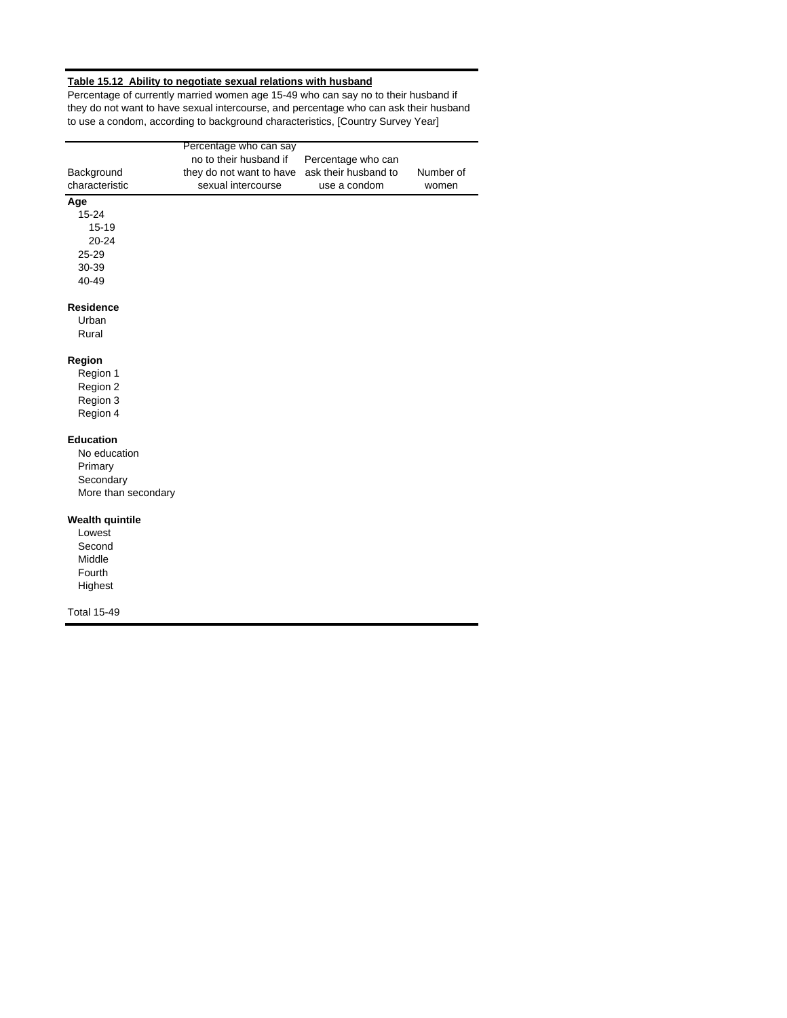#### **Table 15.12 Ability to negotiate sexual relations with husband**

Percentage of currently married women age 15-49 who can say no to their husband if they do not want to have sexual intercourse, and percentage who can ask their husband to use a condom, according to background characteristics, [Country Survey Year]

|                        | Percentage who can say   |                      |           |
|------------------------|--------------------------|----------------------|-----------|
|                        | no to their husband if   | Percentage who can   |           |
| Background             | they do not want to have | ask their husband to | Number of |
| characteristic         | sexual intercourse       | use a condom         | women     |
| Age                    |                          |                      |           |
| 15-24                  |                          |                      |           |
| 15-19                  |                          |                      |           |
| 20-24                  |                          |                      |           |
| 25-29                  |                          |                      |           |
| 30-39                  |                          |                      |           |
| 40-49                  |                          |                      |           |
| <b>Residence</b>       |                          |                      |           |
| Urban                  |                          |                      |           |
| Rural                  |                          |                      |           |
| Region                 |                          |                      |           |
| Region 1               |                          |                      |           |
| Region 2               |                          |                      |           |
| Region 3               |                          |                      |           |
| Region 4               |                          |                      |           |
| <b>Education</b>       |                          |                      |           |
| No education           |                          |                      |           |
| Primary                |                          |                      |           |
| Secondary              |                          |                      |           |
| More than secondary    |                          |                      |           |
| <b>Wealth quintile</b> |                          |                      |           |
| Lowest                 |                          |                      |           |
| Second                 |                          |                      |           |
| Middle                 |                          |                      |           |
| Fourth                 |                          |                      |           |
| Highest                |                          |                      |           |
| <b>Total 15-49</b>     |                          |                      |           |
|                        |                          |                      |           |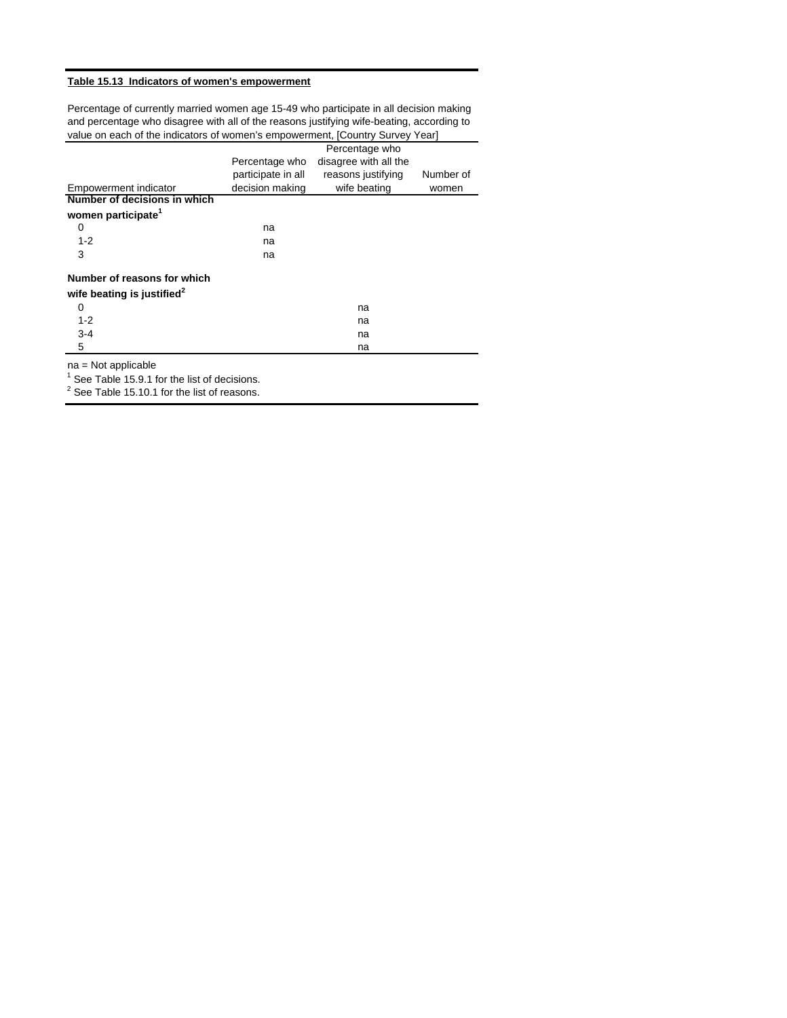#### **Table 15.13 Indicators of women's empowerment**

Percentage of currently married women age 15-49 who participate in all decision making and percentage who disagree with all of the reasons justifying wife-beating, according to value on each of the indicators of women's empowerment, [Country Survey Year]

|                                        |                    | Percentage who        |           |
|----------------------------------------|--------------------|-----------------------|-----------|
|                                        | Percentage who     | disagree with all the |           |
|                                        | participate in all | reasons justifying    | Number of |
| Empowerment indicator                  | decision making    | wife beating          | women     |
| Number of decisions in which           |                    |                       |           |
| women participate <sup>1</sup>         |                    |                       |           |
| 0                                      | na                 |                       |           |
| $1 - 2$                                | na                 |                       |           |
| 3                                      | na                 |                       |           |
| Number of reasons for which            |                    |                       |           |
| wife beating is justified <sup>2</sup> |                    |                       |           |
| 0                                      |                    | na                    |           |
| $1 - 2$                                |                    | na                    |           |
| $3-4$                                  |                    | na                    |           |
| 5                                      |                    | na                    |           |

na = Not applicable

 $1$  See Table 15.9.1 for the list of decisions.

 $2$  See Table 15.10.1 for the list of reasons.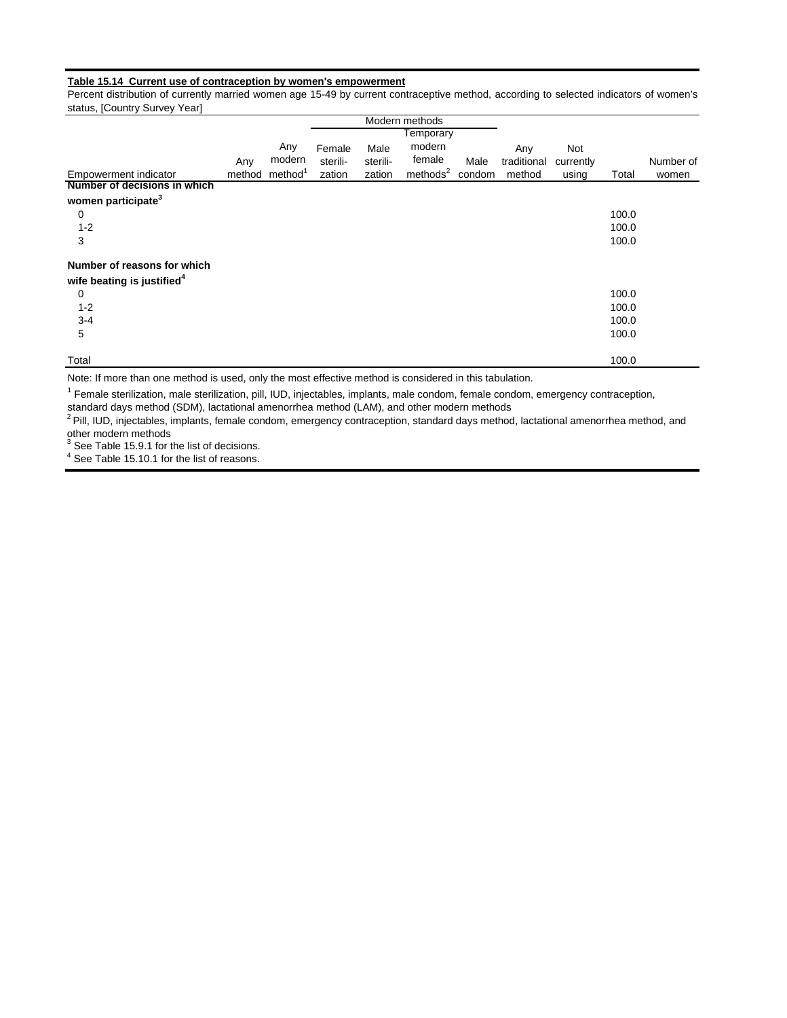#### **Table 15.14 Current use of contraception by women's empowerment**

Percent distribution of currently married women age 15-49 by current contraceptive method, according to selected indicators of women's status, [Country Survey Year]

|                                        |        |                     |          |          | Modern methods       |        |             |           |       |           |
|----------------------------------------|--------|---------------------|----------|----------|----------------------|--------|-------------|-----------|-------|-----------|
|                                        |        |                     |          |          | Temporary            |        |             |           |       |           |
|                                        |        | Any                 | Female   | Male     | modern               |        | Any         | Not       |       |           |
|                                        | Any    | modern              | sterili- | sterili- | female               | Male   | traditional | currently |       | Number of |
| Empowerment indicator                  | method | method <sup>1</sup> | zation   | zation   | methods <sup>2</sup> | condom | method      | using     | Total | women     |
| Number of decisions in which           |        |                     |          |          |                      |        |             |           |       |           |
| women participate <sup>3</sup>         |        |                     |          |          |                      |        |             |           |       |           |
| 0                                      |        |                     |          |          |                      |        |             |           | 100.0 |           |
| $1 - 2$                                |        |                     |          |          |                      |        |             |           | 100.0 |           |
| 3                                      |        |                     |          |          |                      |        |             |           | 100.0 |           |
| Number of reasons for which            |        |                     |          |          |                      |        |             |           |       |           |
| wife beating is justified <sup>4</sup> |        |                     |          |          |                      |        |             |           |       |           |
| 0                                      |        |                     |          |          |                      |        |             |           | 100.0 |           |
| $1 - 2$                                |        |                     |          |          |                      |        |             |           | 100.0 |           |
| $3 - 4$                                |        |                     |          |          |                      |        |             |           | 100.0 |           |
| 5                                      |        |                     |          |          |                      |        |             |           | 100.0 |           |
| Total                                  |        |                     |          |          |                      |        |             |           | 100.0 |           |

Note: If more than one method is used, only the most effective method is considered in this tabulation.

<sup>1</sup> Female sterilization, male sterilization, pill, IUD, injectables, implants, male condom, female condom, emergency contraception,

standard days method (SDM), lactational amenorrhea method (LAM), and other modern methods

<sup>2</sup> Pill, IUD, injectables, implants, female condom, emergency contraception, standard days method, lactational amenorrhea method, and other modern methods

 $3$  See Table 15.9.1 for the list of decisions.

 $<sup>4</sup>$  See Table 15.10.1 for the list of reasons.</sup>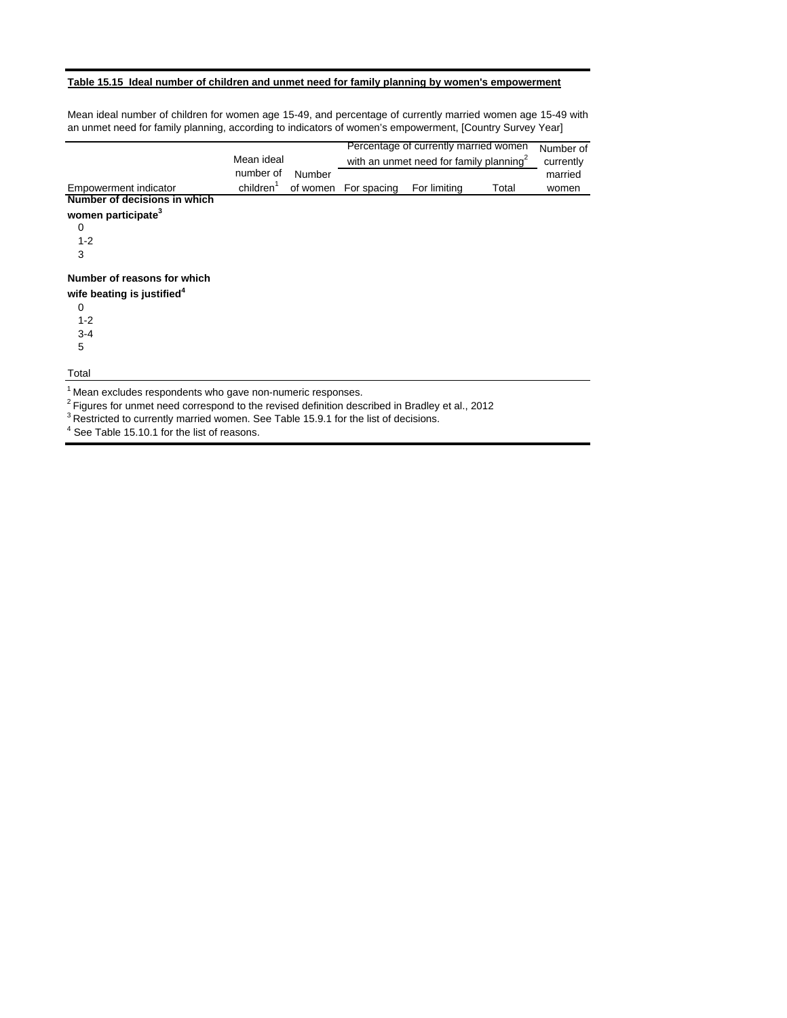## **Table 15.15 Ideal number of children and unmet need for family planning by women's empowerment**

Mean ideal number of children for women age 15-49, and percentage of currently married women age 15-49 with an unmet need for family planning, according to indicators of women's empowerment, [Country Survey Year]

|                                                                                                                                                                                      |                       |        |                      | Percentage of currently married women               |       | Number of |
|--------------------------------------------------------------------------------------------------------------------------------------------------------------------------------------|-----------------------|--------|----------------------|-----------------------------------------------------|-------|-----------|
|                                                                                                                                                                                      | Mean ideal            |        |                      | with an unmet need for family planning <sup>2</sup> |       | currently |
|                                                                                                                                                                                      | number of             | Number |                      |                                                     |       | married   |
| Empowerment indicator                                                                                                                                                                | children <sup>1</sup> |        | of women For spacing | For limiting                                        | Total | women     |
| Number of decisions in which                                                                                                                                                         |                       |        |                      |                                                     |       |           |
| women participate <sup>3</sup>                                                                                                                                                       |                       |        |                      |                                                     |       |           |
| 0                                                                                                                                                                                    |                       |        |                      |                                                     |       |           |
| $1 - 2$                                                                                                                                                                              |                       |        |                      |                                                     |       |           |
| 3                                                                                                                                                                                    |                       |        |                      |                                                     |       |           |
| Number of reasons for which                                                                                                                                                          |                       |        |                      |                                                     |       |           |
| wife beating is justified <sup>4</sup>                                                                                                                                               |                       |        |                      |                                                     |       |           |
| 0                                                                                                                                                                                    |                       |        |                      |                                                     |       |           |
| $1 - 2$                                                                                                                                                                              |                       |        |                      |                                                     |       |           |
| $3-4$                                                                                                                                                                                |                       |        |                      |                                                     |       |           |
| 5                                                                                                                                                                                    |                       |        |                      |                                                     |       |           |
| Total                                                                                                                                                                                |                       |        |                      |                                                     |       |           |
| <sup>1</sup> Mean excludes respondents who gave non-numeric responses.<br><sup>2</sup> Figures for unmet need correspond to the revised definition described in Bradley et al., 2012 |                       |        |                      |                                                     |       |           |
|                                                                                                                                                                                      |                       |        |                      |                                                     |       |           |

<sup>3</sup> Restricted to currently married women. See Table 15.9.1 for the list of decisions.

 $<sup>4</sup>$  See Table 15.10.1 for the list of reasons.</sup>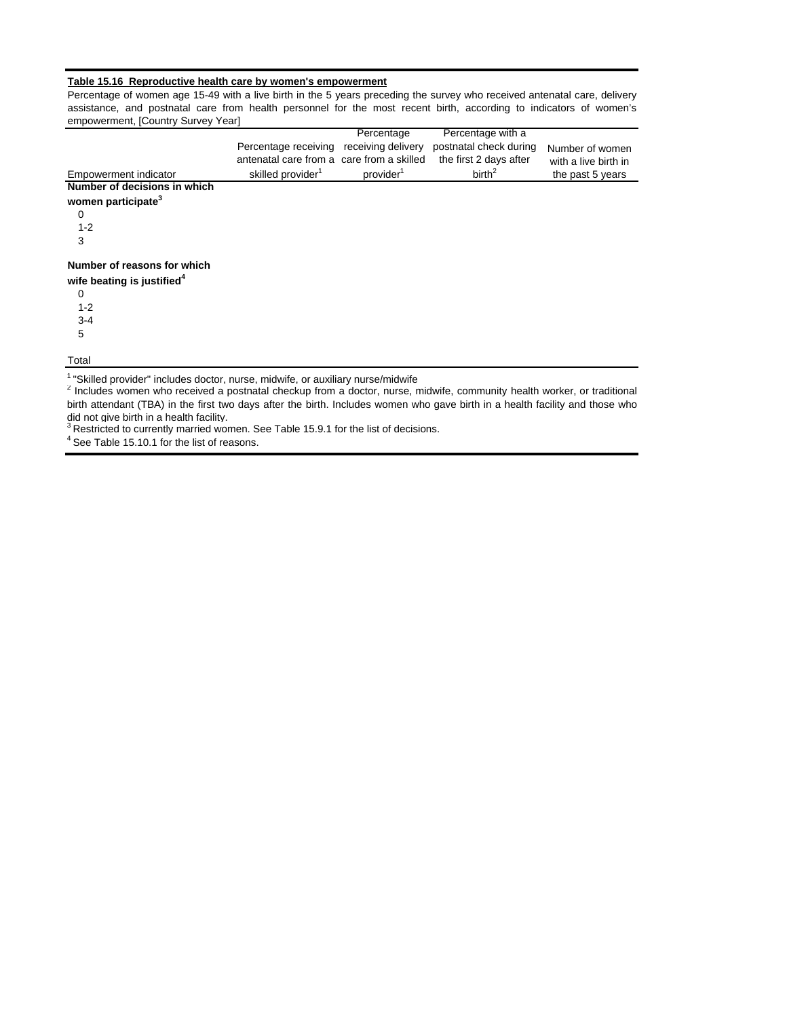#### **Table 15.16 Reproductive health care by women's empowerment**

Percentage of women age 15-49 with a live birth in the 5 years preceding the survey who received antenatal care, delivery assistance, and postnatal care from health personnel for the most recent birth, according to indicators of women's empowerment, [Country Survey Year]

|                                                                                                                                     |                                           | Percentage            | Percentage with a      |                      |
|-------------------------------------------------------------------------------------------------------------------------------------|-------------------------------------------|-----------------------|------------------------|----------------------|
|                                                                                                                                     | Percentage receiving                      | receiving delivery    | postnatal check during | Number of women      |
|                                                                                                                                     | antenatal care from a care from a skilled |                       | the first 2 days after | with a live birth in |
| Empowerment indicator                                                                                                               | skilled provider <sup>1</sup>             | provider <sup>1</sup> | birth <sup>2</sup>     | the past 5 years     |
| Number of decisions in which                                                                                                        |                                           |                       |                        |                      |
| women participate <sup>3</sup>                                                                                                      |                                           |                       |                        |                      |
| $\Omega$                                                                                                                            |                                           |                       |                        |                      |
| $1 - 2$                                                                                                                             |                                           |                       |                        |                      |
| 3                                                                                                                                   |                                           |                       |                        |                      |
| Number of reasons for which                                                                                                         |                                           |                       |                        |                      |
| wife beating is justified <sup>4</sup>                                                                                              |                                           |                       |                        |                      |
| $\Omega$                                                                                                                            |                                           |                       |                        |                      |
| $1 - 2$                                                                                                                             |                                           |                       |                        |                      |
| $3 - 4$                                                                                                                             |                                           |                       |                        |                      |
| 5                                                                                                                                   |                                           |                       |                        |                      |
| Total                                                                                                                               |                                           |                       |                        |                      |
| <sup>1</sup> "Skilled provider" includes doctor, nurse, midwife, or auxiliary nurse/midwife                                         |                                           |                       |                        |                      |
| <sup>2</sup> Includes women who received a postnatal checkup from a doctor, nurse, midwife, community health worker, or traditional |                                           |                       |                        |                      |

did not give birth in a health facility.<br><sup>3</sup> Restricted to currently married women. See Table 15.9.1 for the list of decisions. birth attendant (TBA) in the first two days after the birth. Includes women who gave birth in a health facility and those who

<sup>4</sup> See Table 15.10.1 for the list of reasons.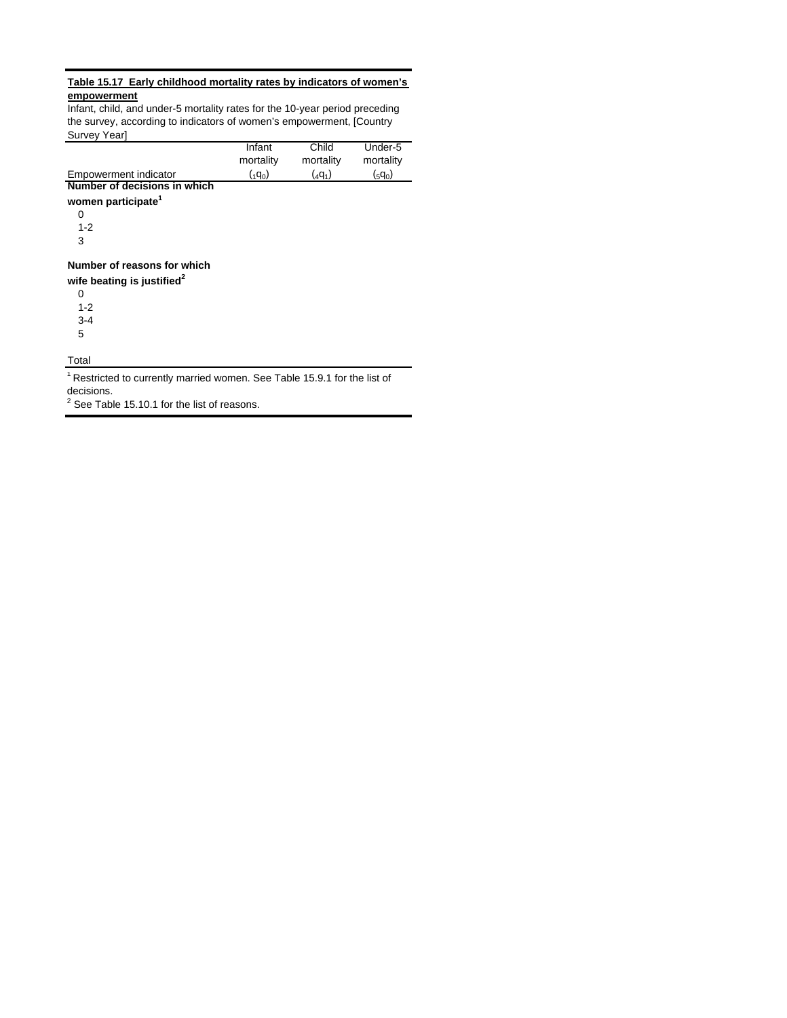## **Table 15.17 Early childhood mortality rates by indicators of women's empowerment**

Infant, child, and under-5 mortality rates for the 10-year period preceding the survey, according to indicators of women's empowerment, [Country Survey Year]

| <b>JUIVEY LEALL</b>            |                 |           |             |
|--------------------------------|-----------------|-----------|-------------|
|                                | Infant          | Child     | Under-5     |
|                                | mortality       | mortality | mortality   |
| Empowerment indicator          | $({}_{1}q_{0})$ | $(4q_1)$  | $({}_5q_0)$ |
| Number of decisions in which   |                 |           |             |
| women participate <sup>1</sup> |                 |           |             |
| 0                              |                 |           |             |
| $1 - 2$                        |                 |           |             |
| 3                              |                 |           |             |
| Number of reasons for which    |                 |           |             |

**wife beating is justified<sup>2</sup>**

0 1-2 3-4

5

**Total** 

<sup>1</sup> Restricted to currently married women. See Table 15.9.1 for the list of decisions.

 $2$  See Table 15.10.1 for the list of reasons.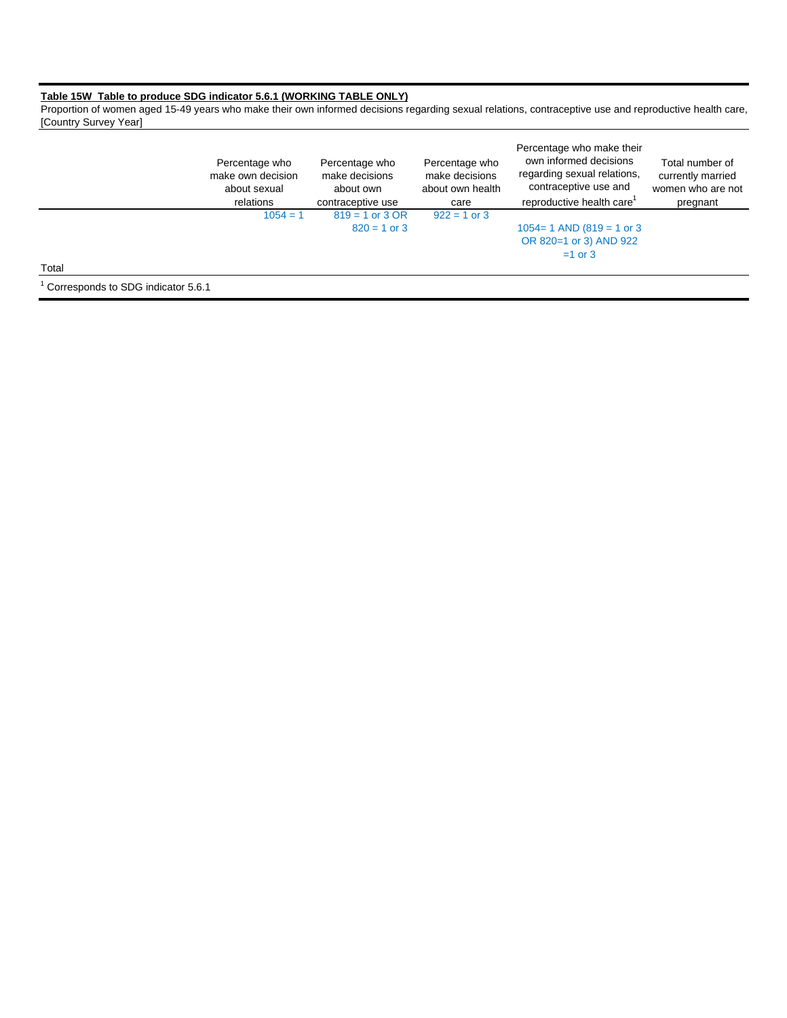#### **Table 15W Table to produce SDG indicator 5.6.1 (WORKING TABLE ONLY)**

Proportion of women aged 15-49 years who make their own informed decisions regarding sexual relations, contraceptive use and reproductive health care, [Country Survey Year]

|                                    | Percentage who<br>make own decision<br>about sexual<br>relations | Percentage who<br>make decisions<br>about own<br>contraceptive use | Percentage who<br>make decisions<br>about own health<br>care | Percentage who make their<br>own informed decisions<br>regarding sexual relations,<br>contraceptive use and<br>reproductive health care | Total number of<br>currently married<br>women who are not<br>pregnant |
|------------------------------------|------------------------------------------------------------------|--------------------------------------------------------------------|--------------------------------------------------------------|-----------------------------------------------------------------------------------------------------------------------------------------|-----------------------------------------------------------------------|
|                                    | $1054 = 1$                                                       | $819 = 1$ or 3 OR                                                  | $922 = 1$ or 3                                               |                                                                                                                                         |                                                                       |
|                                    |                                                                  | $820 = 1$ or 3                                                     |                                                              | $1054 = 1$ AND (819 = 1 or 3)                                                                                                           |                                                                       |
|                                    |                                                                  |                                                                    |                                                              | OR 820=1 or 3) AND 922                                                                                                                  |                                                                       |
|                                    |                                                                  |                                                                    |                                                              | $=1$ or 3                                                                                                                               |                                                                       |
| Total                              |                                                                  |                                                                    |                                                              |                                                                                                                                         |                                                                       |
| Corresponds to SDG indicator 5.6.1 |                                                                  |                                                                    |                                                              |                                                                                                                                         |                                                                       |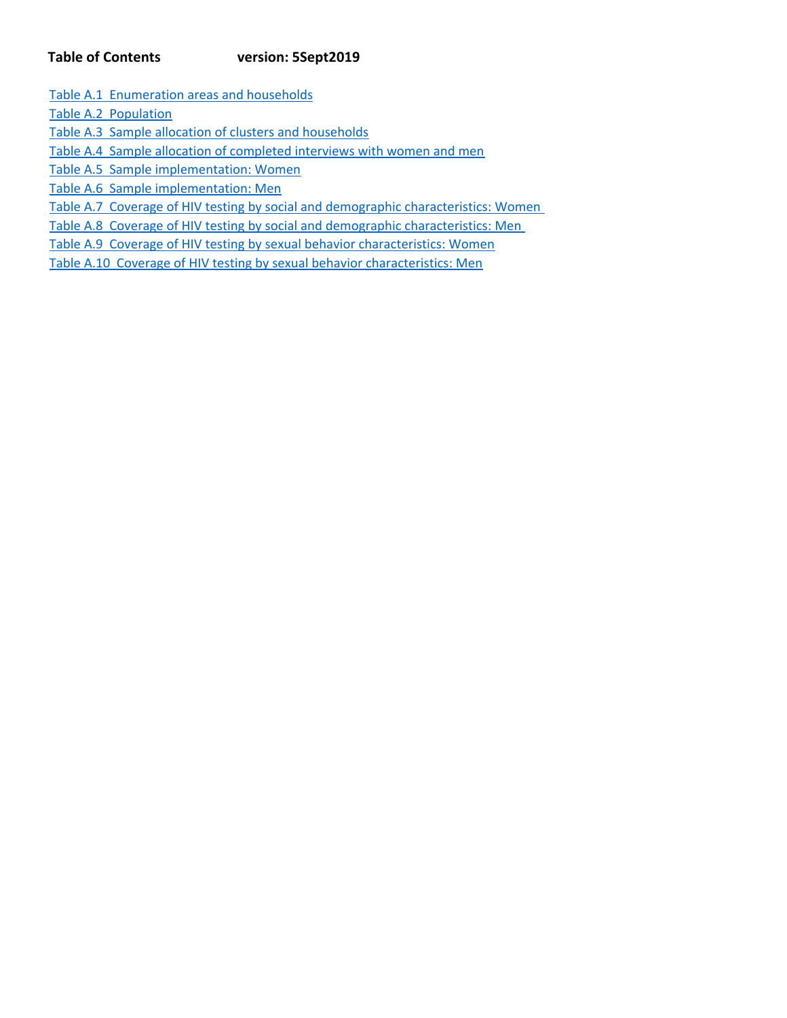# **Table of Contents version: 5Sept2019**

Table A.1 Enumeration areas and households

Table A.2 Population

Table A.3 Sample allocation of clusters and households

Table A.4 Sample allocation of completed interviews with women and men

Table A.5 Sample implementation: Women

Table A.6 Sample implementation: Men

Table A.7 Coverage of HIV testing by social and demographic characteristics: Women

Table A.8 Coverage of HIV testing by social and demographic characteristics: Men

Table A.9 Coverage of HIV testing by sexual behavior characteristics: Women

Table A.10 Coverage of HIV testing by sexual behavior characteristics: Men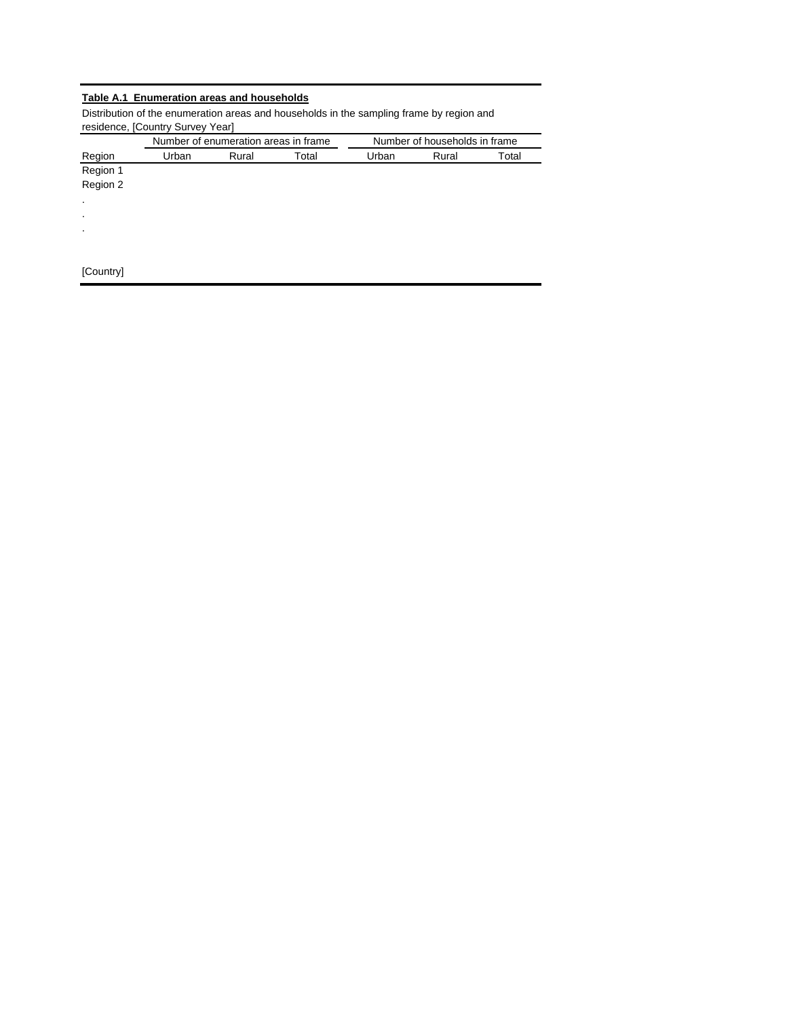# **Table A.1 Enumeration areas and households**

Distribution of the enumeration areas and households in the sampling frame by region and residence, [Country Survey Year]

|                |       | Number of enumeration areas in frame |       | Number of households in frame |       |       |  |
|----------------|-------|--------------------------------------|-------|-------------------------------|-------|-------|--|
| Region         | Urban | Rural                                | Total | Urban                         | Rural | Total |  |
| Region 1       |       |                                      |       |                               |       |       |  |
| Region 2       |       |                                      |       |                               |       |       |  |
| $\blacksquare$ |       |                                      |       |                               |       |       |  |
|                |       |                                      |       |                               |       |       |  |
| $\blacksquare$ |       |                                      |       |                               |       |       |  |
|                |       |                                      |       |                               |       |       |  |
| [Country]      |       |                                      |       |                               |       |       |  |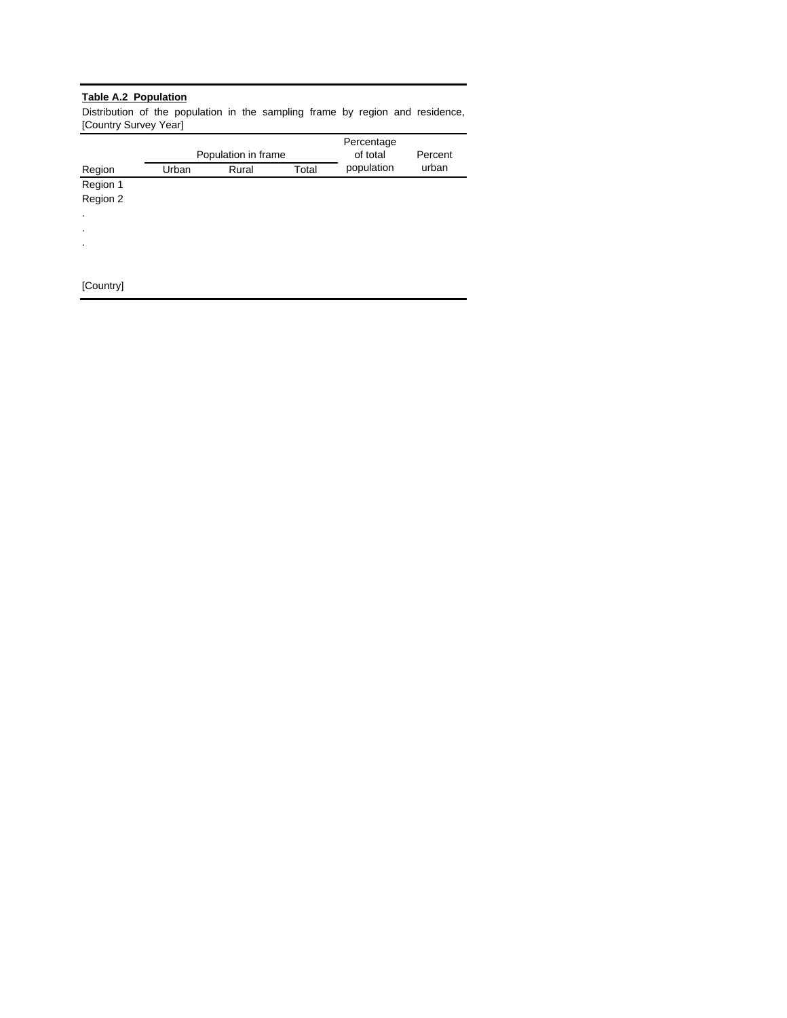## **Table A.2 Population**

Distribution of the population in the sampling frame by region and residence, [Country Survey Year]

|           |       | Population in frame | Percentage<br>of total | Percent    |       |
|-----------|-------|---------------------|------------------------|------------|-------|
| Region    | Urban | Rural               | Total                  | population | urban |
| Region 1  |       |                     |                        |            |       |
| Region 2  |       |                     |                        |            |       |
| $\bullet$ |       |                     |                        |            |       |
| $\bullet$ |       |                     |                        |            |       |
| $\bullet$ |       |                     |                        |            |       |
|           |       |                     |                        |            |       |
|           |       |                     |                        |            |       |
| [Country] |       |                     |                        |            |       |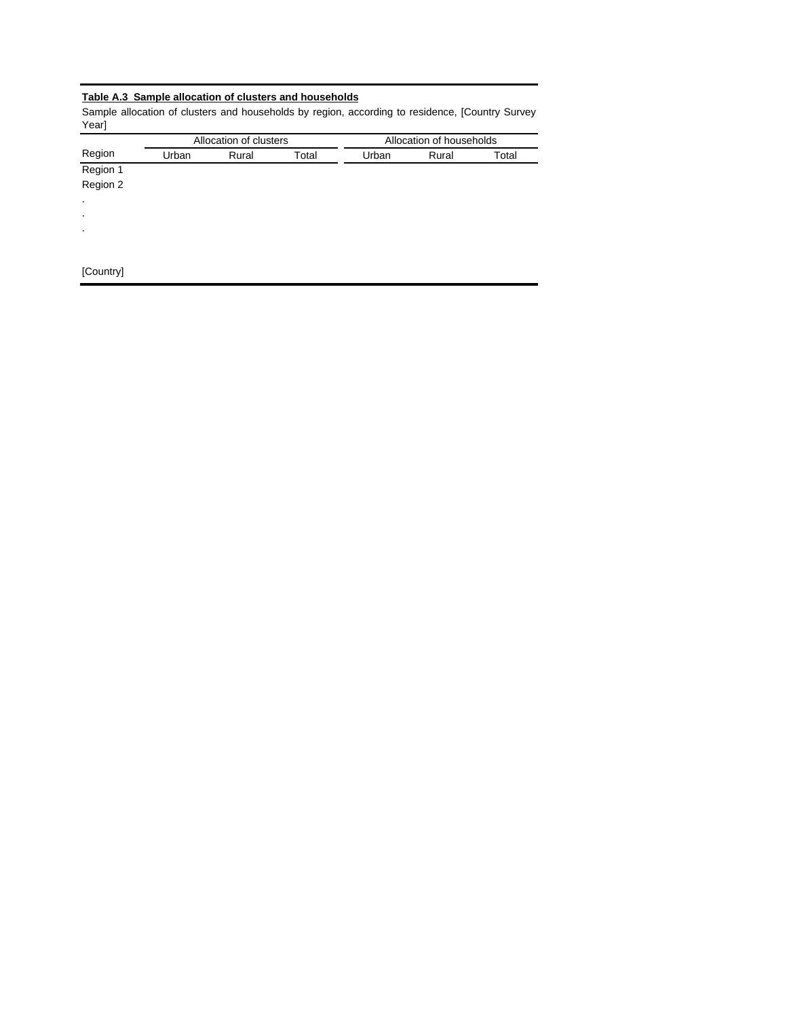# **Table A.3 Sample allocation of clusters and households**

Sample allocation of clusters and households by region, according to residence, [Country Survey Year]

|           |       | Allocation of clusters |       |       | Allocation of households |       |
|-----------|-------|------------------------|-------|-------|--------------------------|-------|
| Region    | Urban | Rural                  | Total | Urban | Rural                    | Total |
| Region 1  |       |                        |       |       |                          |       |
| Region 2  |       |                        |       |       |                          |       |
| $\cdot$   |       |                        |       |       |                          |       |
| $\bullet$ |       |                        |       |       |                          |       |
| $\bullet$ |       |                        |       |       |                          |       |
|           |       |                        |       |       |                          |       |
| [Country] |       |                        |       |       |                          |       |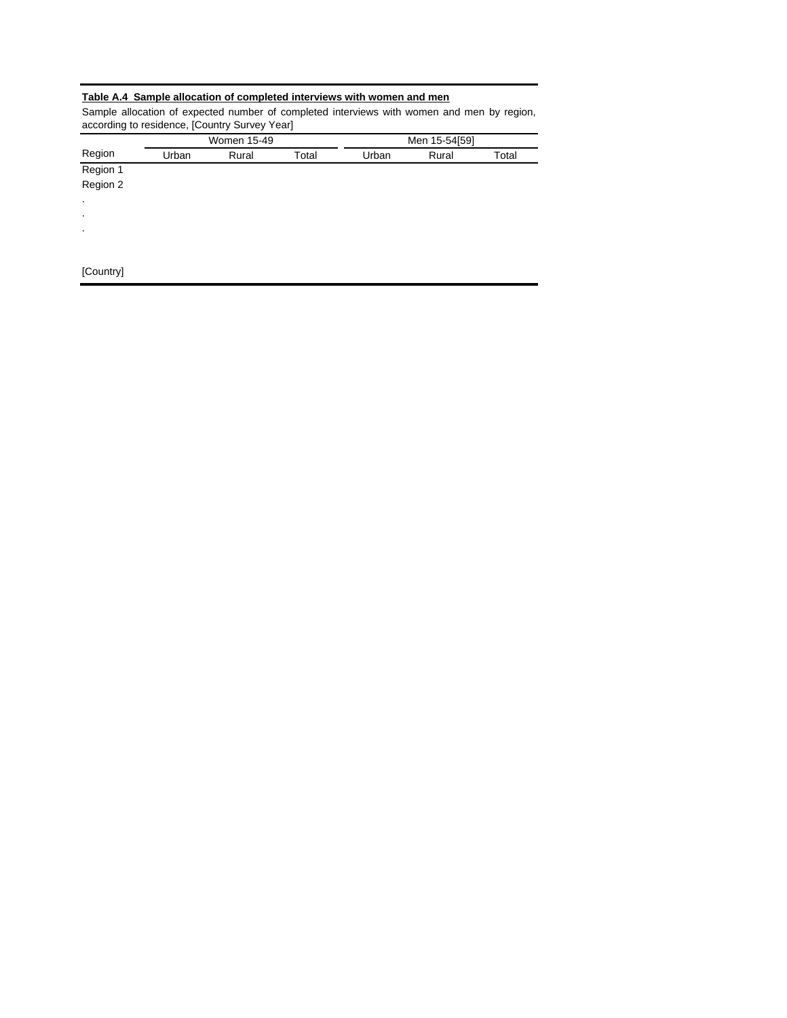## **Table A.4 Sample allocation of completed interviews with women and men**

Sample allocation of expected number of completed interviews with women and men by region, according to residence, [Country Survey Year]

|                |       | Women 15-49 |       |       | Men 15-54[59] |       |
|----------------|-------|-------------|-------|-------|---------------|-------|
| Region         | Urban | Rural       | Total | Urban | Rural         | Total |
| Region 1       |       |             |       |       |               |       |
| Region 2       |       |             |       |       |               |       |
| $\cdot$        |       |             |       |       |               |       |
| $\bullet$      |       |             |       |       |               |       |
| $\blacksquare$ |       |             |       |       |               |       |
|                |       |             |       |       |               |       |
| [Country]      |       |             |       |       |               |       |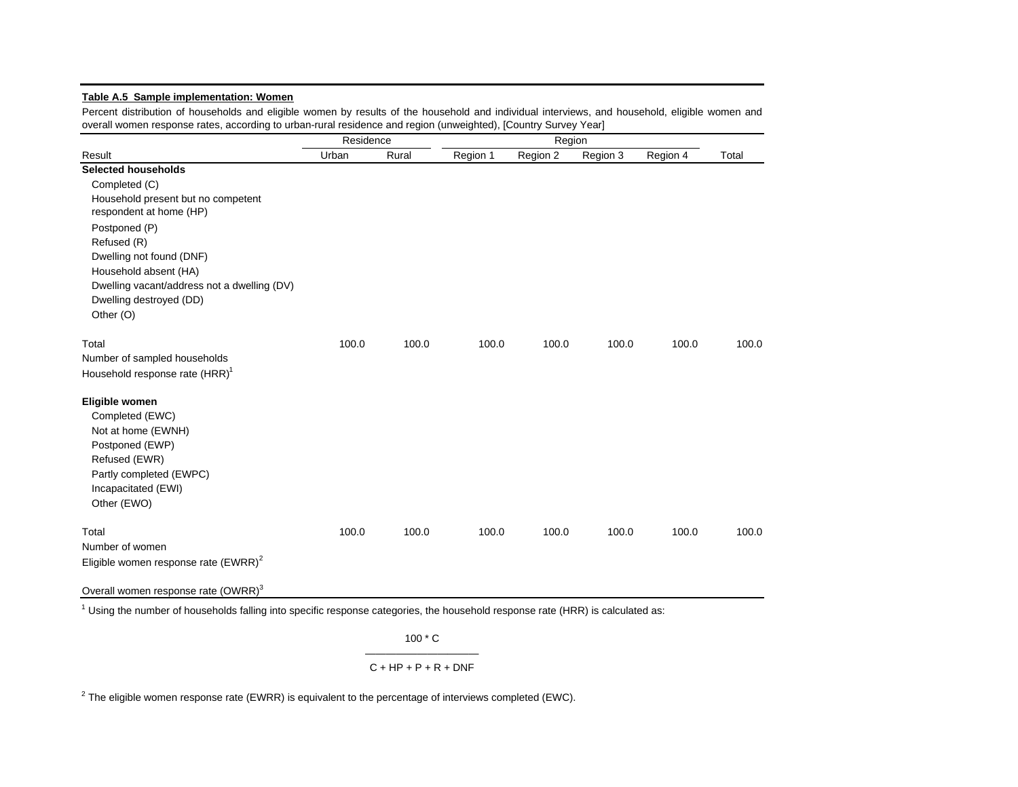## **Table A.5 Sample implementation: Women**

Percent distribution of households and eligible women by results of the household and individual interviews, and household, eligible women and overall women response rates, according to urban-rural residence and region (unweighted), [Country Survey Year]

|                                                 | Residence |       |          | Region   |          |          |       |
|-------------------------------------------------|-----------|-------|----------|----------|----------|----------|-------|
| Result                                          | Urban     | Rural | Region 1 | Region 2 | Region 3 | Region 4 | Total |
| <b>Selected households</b>                      |           |       |          |          |          |          |       |
| Completed (C)                                   |           |       |          |          |          |          |       |
| Household present but no competent              |           |       |          |          |          |          |       |
| respondent at home (HP)                         |           |       |          |          |          |          |       |
| Postponed (P)                                   |           |       |          |          |          |          |       |
| Refused (R)                                     |           |       |          |          |          |          |       |
| Dwelling not found (DNF)                        |           |       |          |          |          |          |       |
| Household absent (HA)                           |           |       |          |          |          |          |       |
| Dwelling vacant/address not a dwelling (DV)     |           |       |          |          |          |          |       |
| Dwelling destroyed (DD)                         |           |       |          |          |          |          |       |
| Other (O)                                       |           |       |          |          |          |          |       |
| Total                                           | 100.0     | 100.0 | 100.0    | 100.0    | 100.0    | 100.0    | 100.0 |
| Number of sampled households                    |           |       |          |          |          |          |       |
| Household response rate (HRR) <sup>1</sup>      |           |       |          |          |          |          |       |
| Eligible women                                  |           |       |          |          |          |          |       |
| Completed (EWC)                                 |           |       |          |          |          |          |       |
| Not at home (EWNH)                              |           |       |          |          |          |          |       |
| Postponed (EWP)                                 |           |       |          |          |          |          |       |
| Refused (EWR)                                   |           |       |          |          |          |          |       |
| Partly completed (EWPC)                         |           |       |          |          |          |          |       |
| Incapacitated (EWI)                             |           |       |          |          |          |          |       |
| Other (EWO)                                     |           |       |          |          |          |          |       |
| Total                                           | 100.0     | 100.0 | 100.0    | 100.0    | 100.0    | 100.0    | 100.0 |
| Number of women                                 |           |       |          |          |          |          |       |
| Eligible women response rate $(EWRR)^2$         |           |       |          |          |          |          |       |
|                                                 |           |       |          |          |          |          |       |
| Overall women response rate (OWRR) <sup>3</sup> |           |       |          |          |          |          |       |

 $1$  Using the number of households falling into specific response categories, the household response rate (HRR) is calculated as:

C + HP + P + R + DNF 100 \* C

 $2$  The eligible women response rate (EWRR) is equivalent to the percentage of interviews completed (EWC).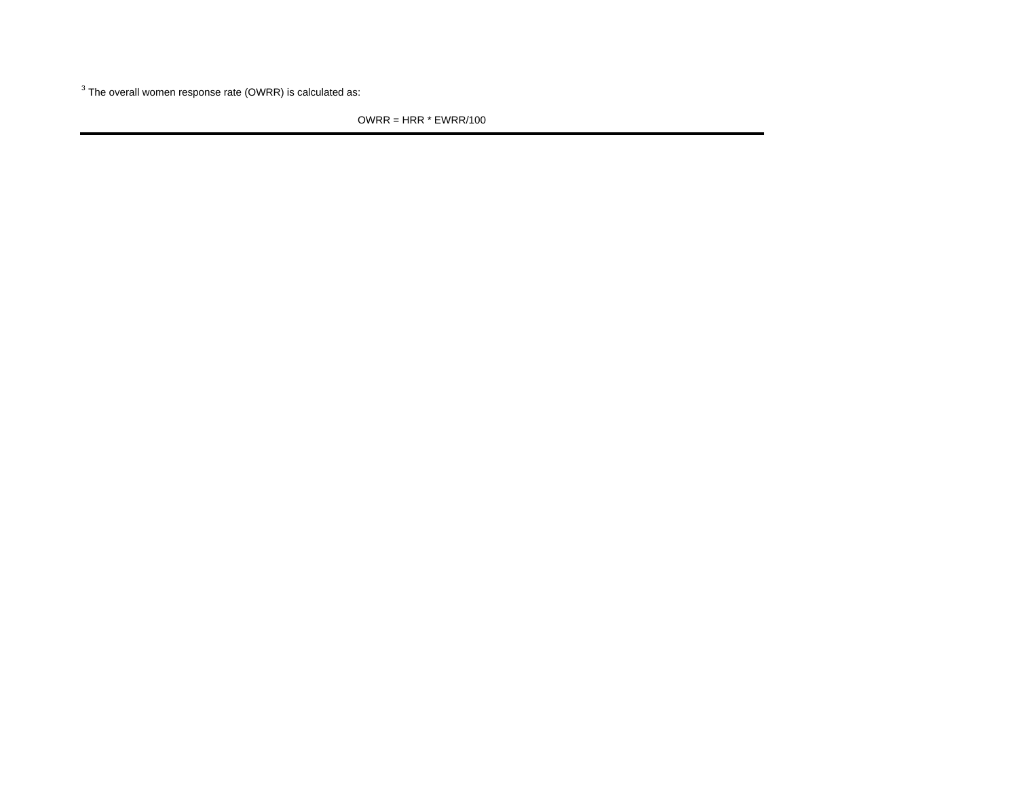$3$  The overall women response rate (OWRR) is calculated as:

OWRR = HRR \* EWRR/100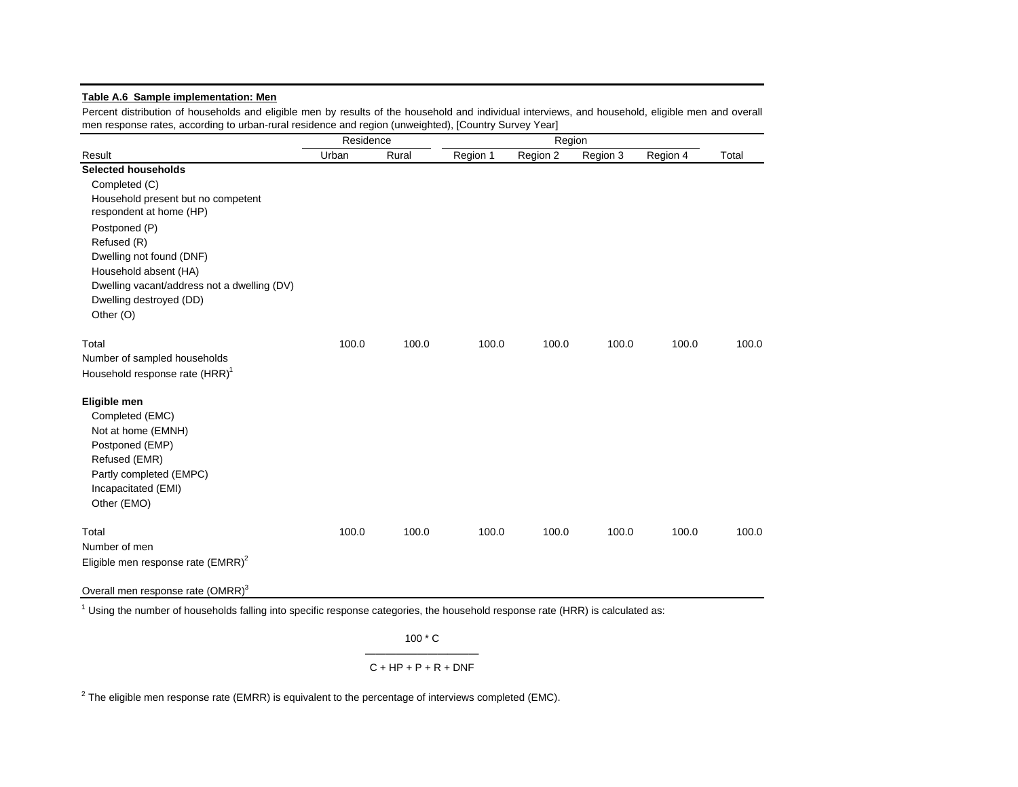## **Table A.6 Sample implementation: Men**

Percent distribution of households and eligible men by results of the household and individual interviews, and household, eligible men and overall men response rates, according to urban-rural residence and region (unweighted), [Country Survey Year]

|                                               | Residence |       |          | Region   |          |          |       |  |
|-----------------------------------------------|-----------|-------|----------|----------|----------|----------|-------|--|
| Result                                        | Urban     | Rural | Region 1 | Region 2 | Region 3 | Region 4 | Total |  |
| <b>Selected households</b>                    |           |       |          |          |          |          |       |  |
| Completed (C)                                 |           |       |          |          |          |          |       |  |
| Household present but no competent            |           |       |          |          |          |          |       |  |
| respondent at home (HP)                       |           |       |          |          |          |          |       |  |
| Postponed (P)                                 |           |       |          |          |          |          |       |  |
| Refused (R)                                   |           |       |          |          |          |          |       |  |
| Dwelling not found (DNF)                      |           |       |          |          |          |          |       |  |
| Household absent (HA)                         |           |       |          |          |          |          |       |  |
| Dwelling vacant/address not a dwelling (DV)   |           |       |          |          |          |          |       |  |
| Dwelling destroyed (DD)                       |           |       |          |          |          |          |       |  |
| Other (O)                                     |           |       |          |          |          |          |       |  |
| Total                                         | 100.0     | 100.0 | 100.0    | 100.0    | 100.0    | 100.0    | 100.0 |  |
| Number of sampled households                  |           |       |          |          |          |          |       |  |
| Household response rate (HRR) <sup>1</sup>    |           |       |          |          |          |          |       |  |
| Eligible men                                  |           |       |          |          |          |          |       |  |
| Completed (EMC)                               |           |       |          |          |          |          |       |  |
| Not at home (EMNH)                            |           |       |          |          |          |          |       |  |
| Postponed (EMP)                               |           |       |          |          |          |          |       |  |
| Refused (EMR)                                 |           |       |          |          |          |          |       |  |
| Partly completed (EMPC)                       |           |       |          |          |          |          |       |  |
| Incapacitated (EMI)                           |           |       |          |          |          |          |       |  |
| Other (EMO)                                   |           |       |          |          |          |          |       |  |
| Total                                         | 100.0     | 100.0 | 100.0    | 100.0    | 100.0    | 100.0    | 100.0 |  |
| Number of men                                 |           |       |          |          |          |          |       |  |
| Eligible men response rate $(EMRR)^2$         |           |       |          |          |          |          |       |  |
|                                               |           |       |          |          |          |          |       |  |
| Overall men response rate (OMRR) <sup>3</sup> |           |       |          |          |          |          |       |  |

 $1$  Using the number of households falling into specific response categories, the household response rate (HRR) is calculated as:

100 \* C

## $C + HP + P + R + DNF$

 $2$  The eligible men response rate (EMRR) is equivalent to the percentage of interviews completed (EMC).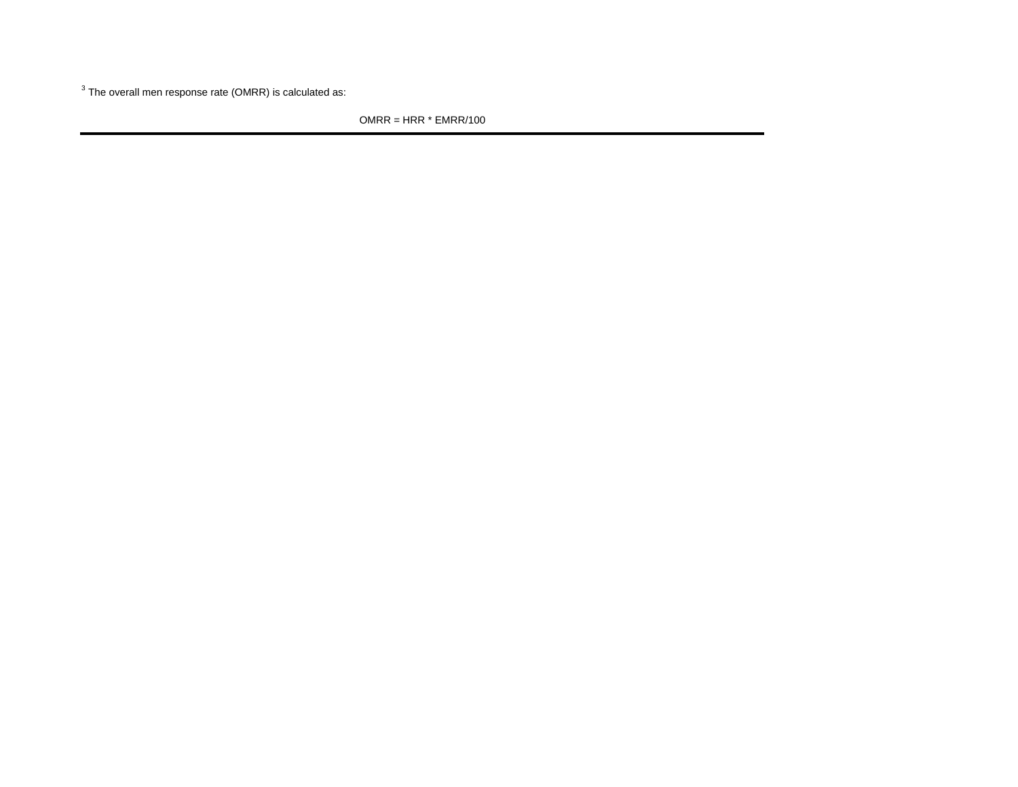$3$  The overall men response rate (OMRR) is calculated as:

OMRR = HRR \* EMRR/100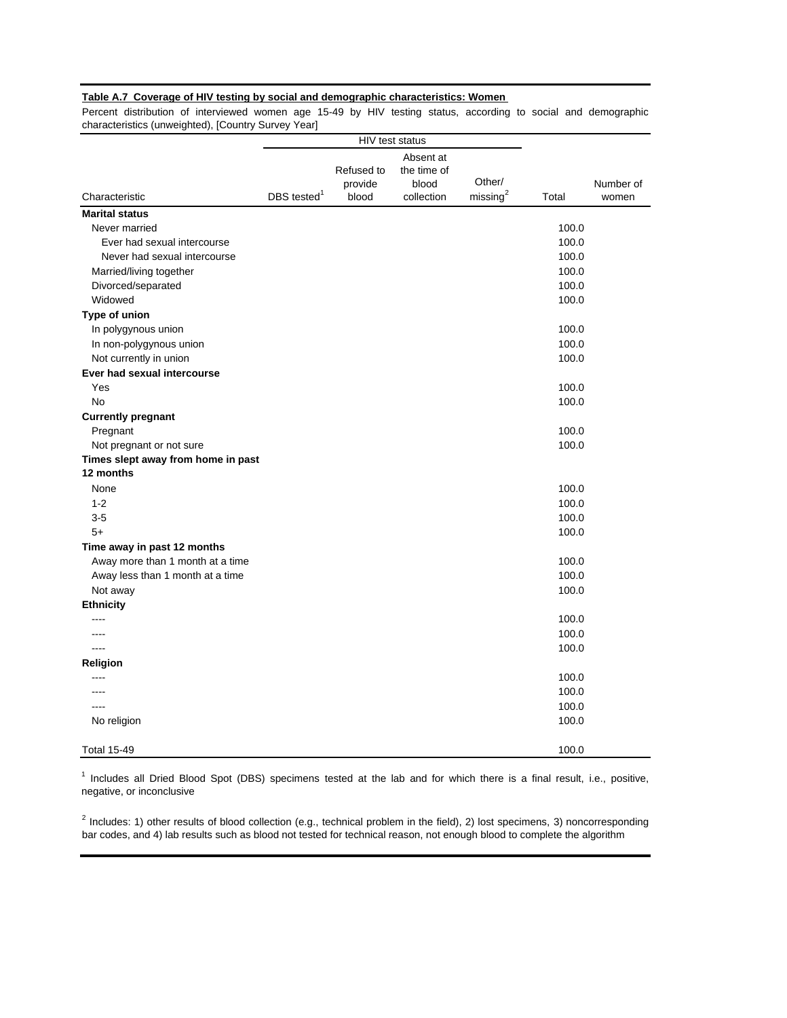## **Table A.7 Coverage of HIV testing by social and demographic characteristics: Women**

Percent distribution of interviewed women age 15-49 by HIV testing status, according to social and demographic characteristics (unweighted), [Country Survey Year]

|                                    |                           | HIV test status                |                                                 |                                |       |                    |
|------------------------------------|---------------------------|--------------------------------|-------------------------------------------------|--------------------------------|-------|--------------------|
| Characteristic                     | $DBS$ tested <sup>1</sup> | Refused to<br>provide<br>blood | Absent at<br>the time of<br>blood<br>collection | Other/<br>missing <sup>2</sup> | Total | Number of<br>women |
| <b>Marital status</b>              |                           |                                |                                                 |                                |       |                    |
| Never married                      |                           |                                |                                                 |                                | 100.0 |                    |
| Ever had sexual intercourse        |                           |                                |                                                 |                                | 100.0 |                    |
| Never had sexual intercourse       |                           |                                |                                                 |                                | 100.0 |                    |
| Married/living together            |                           |                                |                                                 |                                | 100.0 |                    |
| Divorced/separated                 |                           |                                |                                                 |                                | 100.0 |                    |
| Widowed                            |                           |                                |                                                 |                                | 100.0 |                    |
| Type of union                      |                           |                                |                                                 |                                |       |                    |
| In polygynous union                |                           |                                |                                                 |                                | 100.0 |                    |
| In non-polygynous union            |                           |                                |                                                 |                                | 100.0 |                    |
| Not currently in union             |                           |                                |                                                 |                                | 100.0 |                    |
| Ever had sexual intercourse        |                           |                                |                                                 |                                |       |                    |
| Yes                                |                           |                                |                                                 |                                | 100.0 |                    |
| <b>No</b>                          |                           |                                |                                                 |                                | 100.0 |                    |
| <b>Currently pregnant</b>          |                           |                                |                                                 |                                |       |                    |
| Pregnant                           |                           |                                |                                                 |                                | 100.0 |                    |
| Not pregnant or not sure           |                           |                                |                                                 |                                | 100.0 |                    |
| Times slept away from home in past |                           |                                |                                                 |                                |       |                    |
| 12 months                          |                           |                                |                                                 |                                |       |                    |
| None                               |                           |                                |                                                 |                                | 100.0 |                    |
| $1 - 2$                            |                           |                                |                                                 |                                | 100.0 |                    |
| $3-5$                              |                           |                                |                                                 |                                | 100.0 |                    |
| $5+$                               |                           |                                |                                                 |                                | 100.0 |                    |
| Time away in past 12 months        |                           |                                |                                                 |                                |       |                    |
| Away more than 1 month at a time   |                           |                                |                                                 |                                | 100.0 |                    |
| Away less than 1 month at a time   |                           |                                |                                                 |                                | 100.0 |                    |
| Not away                           |                           |                                |                                                 |                                | 100.0 |                    |
| <b>Ethnicity</b>                   |                           |                                |                                                 |                                |       |                    |
|                                    |                           |                                |                                                 |                                | 100.0 |                    |
|                                    |                           |                                |                                                 |                                | 100.0 |                    |
| $- - - -$                          |                           |                                |                                                 |                                | 100.0 |                    |
| Religion                           |                           |                                |                                                 |                                |       |                    |
| $\frac{1}{2}$                      |                           |                                |                                                 |                                | 100.0 |                    |
| ----                               |                           |                                |                                                 |                                | 100.0 |                    |
|                                    |                           |                                |                                                 |                                | 100.0 |                    |
| No religion                        |                           |                                |                                                 |                                | 100.0 |                    |
| <b>Total 15-49</b>                 |                           |                                |                                                 |                                | 100.0 |                    |

<sup>1</sup> Includes all Dried Blood Spot (DBS) specimens tested at the lab and for which there is a final result, i.e., positive, negative, or inconclusive

 $2$  Includes: 1) other results of blood collection (e.g., technical problem in the field), 2) lost specimens, 3) noncorresponding bar codes, and 4) lab results such as blood not tested for technical reason, not enough blood to complete the algorithm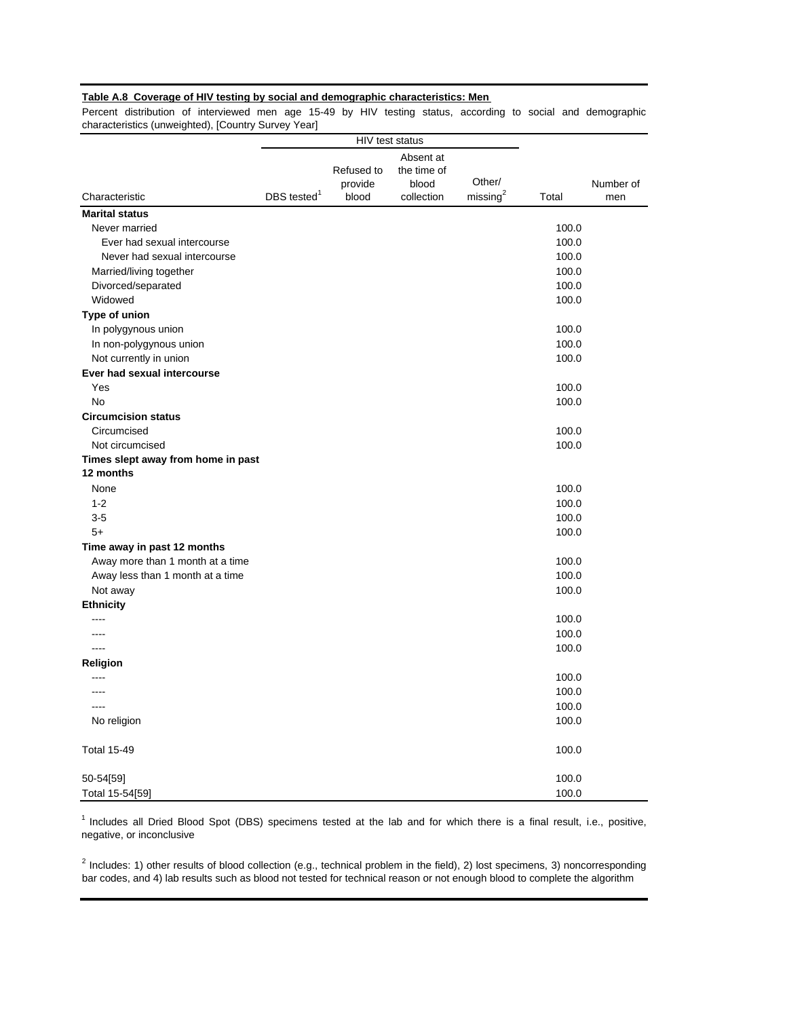## **Table A.8 Coverage of HIV testing by social and demographic characteristics: Men**

Percent distribution of interviewed men age 15-49 by HIV testing status, according to social and demographic characteristics (unweighted), [Country Survey Year]

|                                    |                         | HIV test status |             |                      |       |           |
|------------------------------------|-------------------------|-----------------|-------------|----------------------|-------|-----------|
|                                    |                         |                 | Absent at   |                      |       |           |
|                                    |                         | Refused to      | the time of |                      |       |           |
|                                    |                         | provide         | blood       | Other/               |       | Number of |
| Characteristic                     | DBS tested <sup>1</sup> | blood           | collection  | missing <sup>2</sup> | Total | men       |
| <b>Marital status</b>              |                         |                 |             |                      |       |           |
| Never married                      |                         |                 |             |                      | 100.0 |           |
| Ever had sexual intercourse        |                         |                 |             |                      | 100.0 |           |
| Never had sexual intercourse       |                         |                 |             |                      | 100.0 |           |
| Married/living together            |                         |                 |             |                      | 100.0 |           |
| Divorced/separated                 |                         |                 |             |                      | 100.0 |           |
| Widowed                            |                         |                 |             |                      | 100.0 |           |
| Type of union                      |                         |                 |             |                      |       |           |
| In polygynous union                |                         |                 |             |                      | 100.0 |           |
| In non-polygynous union            |                         |                 |             |                      | 100.0 |           |
| Not currently in union             |                         |                 |             |                      | 100.0 |           |
| Ever had sexual intercourse        |                         |                 |             |                      |       |           |
| Yes                                |                         |                 |             |                      | 100.0 |           |
| <b>No</b>                          |                         |                 |             |                      | 100.0 |           |
| <b>Circumcision status</b>         |                         |                 |             |                      |       |           |
| Circumcised                        |                         |                 |             |                      | 100.0 |           |
| Not circumcised                    |                         |                 |             |                      | 100.0 |           |
| Times slept away from home in past |                         |                 |             |                      |       |           |
| 12 months                          |                         |                 |             |                      |       |           |
| None                               |                         |                 |             |                      | 100.0 |           |
| $1 - 2$                            |                         |                 |             |                      | 100.0 |           |
| $3-5$                              |                         |                 |             |                      | 100.0 |           |
| $5+$                               |                         |                 |             |                      | 100.0 |           |
| Time away in past 12 months        |                         |                 |             |                      |       |           |
| Away more than 1 month at a time   |                         |                 |             |                      | 100.0 |           |
| Away less than 1 month at a time   |                         |                 |             |                      | 100.0 |           |
| Not away                           |                         |                 |             |                      | 100.0 |           |
| <b>Ethnicity</b>                   |                         |                 |             |                      |       |           |
|                                    |                         |                 |             |                      | 100.0 |           |
| $- - - -$                          |                         |                 |             |                      | 100.0 |           |
| $\overline{a}$                     |                         |                 |             |                      | 100.0 |           |
| Religion                           |                         |                 |             |                      |       |           |
|                                    |                         |                 |             |                      | 100.0 |           |
| ----                               |                         |                 |             |                      | 100.0 |           |
|                                    |                         |                 |             |                      | 100.0 |           |
| No religion                        |                         |                 |             |                      | 100.0 |           |
| <b>Total 15-49</b>                 |                         |                 |             |                      | 100.0 |           |
| 50-54[59]                          |                         |                 |             |                      | 100.0 |           |
| Total 15-54[59]                    |                         |                 |             |                      | 100.0 |           |

 $1$  Includes all Dried Blood Spot (DBS) specimens tested at the lab and for which there is a final result, i.e., positive, negative, or inconclusive

 $2$  Includes: 1) other results of blood collection (e.g., technical problem in the field), 2) lost specimens, 3) noncorresponding bar codes, and 4) lab results such as blood not tested for technical reason or not enough blood to complete the algorithm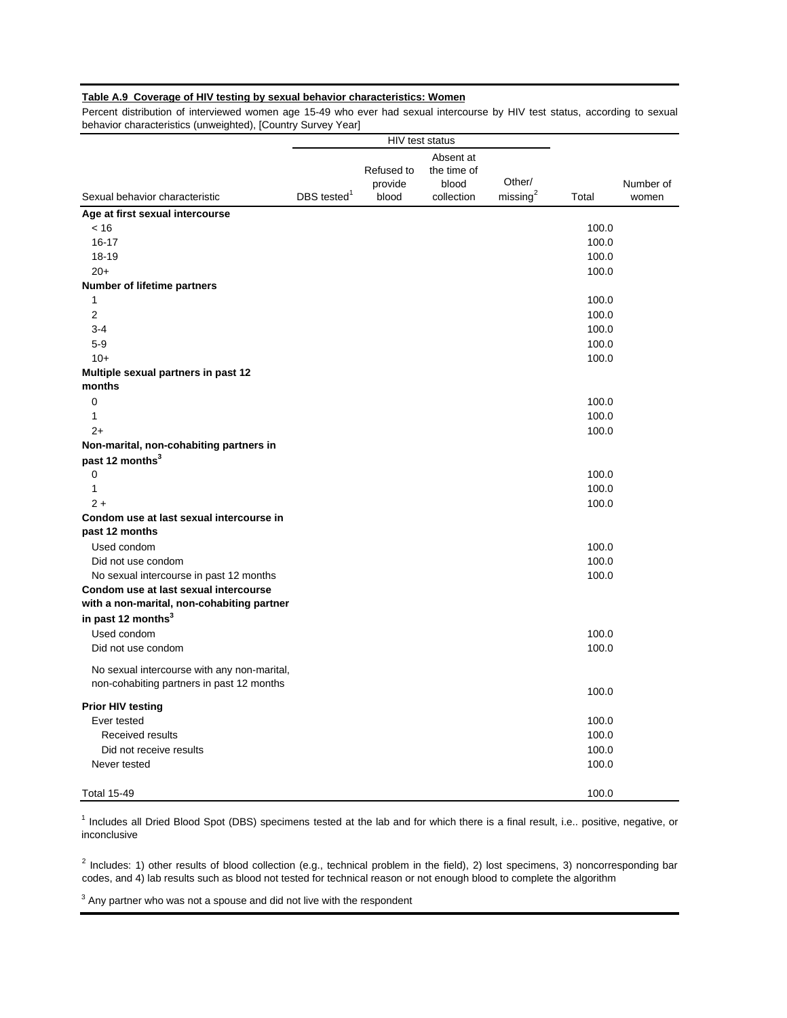## **Table A.9 Coverage of HIV testing by sexual behavior characteristics: Women**

Percent distribution of interviewed women age 15-49 who ever had sexual intercourse by HIV test status, according to sexual behavior characteristics (unweighted), [Country Survey Year]

|                                             |                           | HIV test status |             |                      |       |           |
|---------------------------------------------|---------------------------|-----------------|-------------|----------------------|-------|-----------|
|                                             |                           |                 | Absent at   |                      |       |           |
|                                             |                           | Refused to      | the time of |                      |       |           |
|                                             |                           | provide         | blood       | Other/               |       | Number of |
| Sexual behavior characteristic              | $DBS$ tested <sup>1</sup> | blood           | collection  | missing <sup>2</sup> | Total | women     |
| Age at first sexual intercourse             |                           |                 |             |                      |       |           |
| < 16                                        |                           |                 |             |                      | 100.0 |           |
| $16 - 17$                                   |                           |                 |             |                      | 100.0 |           |
| 18-19                                       |                           |                 |             |                      | 100.0 |           |
| $20+$                                       |                           |                 |             |                      | 100.0 |           |
| <b>Number of lifetime partners</b>          |                           |                 |             |                      |       |           |
| 1                                           |                           |                 |             |                      | 100.0 |           |
| 2                                           |                           |                 |             |                      | 100.0 |           |
| $3 - 4$                                     |                           |                 |             |                      | 100.0 |           |
| $5-9$                                       |                           |                 |             |                      | 100.0 |           |
| $10+$                                       |                           |                 |             |                      | 100.0 |           |
| Multiple sexual partners in past 12         |                           |                 |             |                      |       |           |
| months                                      |                           |                 |             |                      |       |           |
| 0                                           |                           |                 |             |                      | 100.0 |           |
| $\mathbf{1}$                                |                           |                 |             |                      | 100.0 |           |
| $2+$                                        |                           |                 |             |                      | 100.0 |           |
| Non-marital, non-cohabiting partners in     |                           |                 |             |                      |       |           |
| past 12 months <sup>3</sup>                 |                           |                 |             |                      |       |           |
| $\mathbf 0$                                 |                           |                 |             |                      | 100.0 |           |
| $\mathbf{1}$                                |                           |                 |             |                      | 100.0 |           |
| $2+$                                        |                           |                 |             |                      | 100.0 |           |
| Condom use at last sexual intercourse in    |                           |                 |             |                      |       |           |
| past 12 months                              |                           |                 |             |                      |       |           |
| Used condom                                 |                           |                 |             |                      | 100.0 |           |
| Did not use condom                          |                           |                 |             |                      | 100.0 |           |
| No sexual intercourse in past 12 months     |                           |                 |             |                      | 100.0 |           |
| Condom use at last sexual intercourse       |                           |                 |             |                      |       |           |
| with a non-marital, non-cohabiting partner  |                           |                 |             |                      |       |           |
| in past 12 months <sup>3</sup>              |                           |                 |             |                      |       |           |
| Used condom                                 |                           |                 |             |                      | 100.0 |           |
| Did not use condom                          |                           |                 |             |                      | 100.0 |           |
| No sexual intercourse with any non-marital, |                           |                 |             |                      |       |           |
| non-cohabiting partners in past 12 months   |                           |                 |             |                      |       |           |
|                                             |                           |                 |             |                      | 100.0 |           |
| <b>Prior HIV testing</b>                    |                           |                 |             |                      |       |           |
| Ever tested                                 |                           |                 |             |                      | 100.0 |           |
| Received results                            |                           |                 |             |                      | 100.0 |           |
| Did not receive results                     |                           |                 |             |                      | 100.0 |           |
| Never tested                                |                           |                 |             |                      | 100.0 |           |
|                                             |                           |                 |             |                      |       |           |
| <b>Total 15-49</b>                          |                           |                 |             |                      | 100.0 |           |

<sup>1</sup> Includes all Dried Blood Spot (DBS) specimens tested at the lab and for which there is a final result, i.e.. positive, negative, or inconclusive

 $2$  Includes: 1) other results of blood collection (e.g., technical problem in the field), 2) lost specimens, 3) noncorresponding bar codes, and 4) lab results such as blood not tested for technical reason or not enough blood to complete the algorithm

 $3$  Any partner who was not a spouse and did not live with the respondent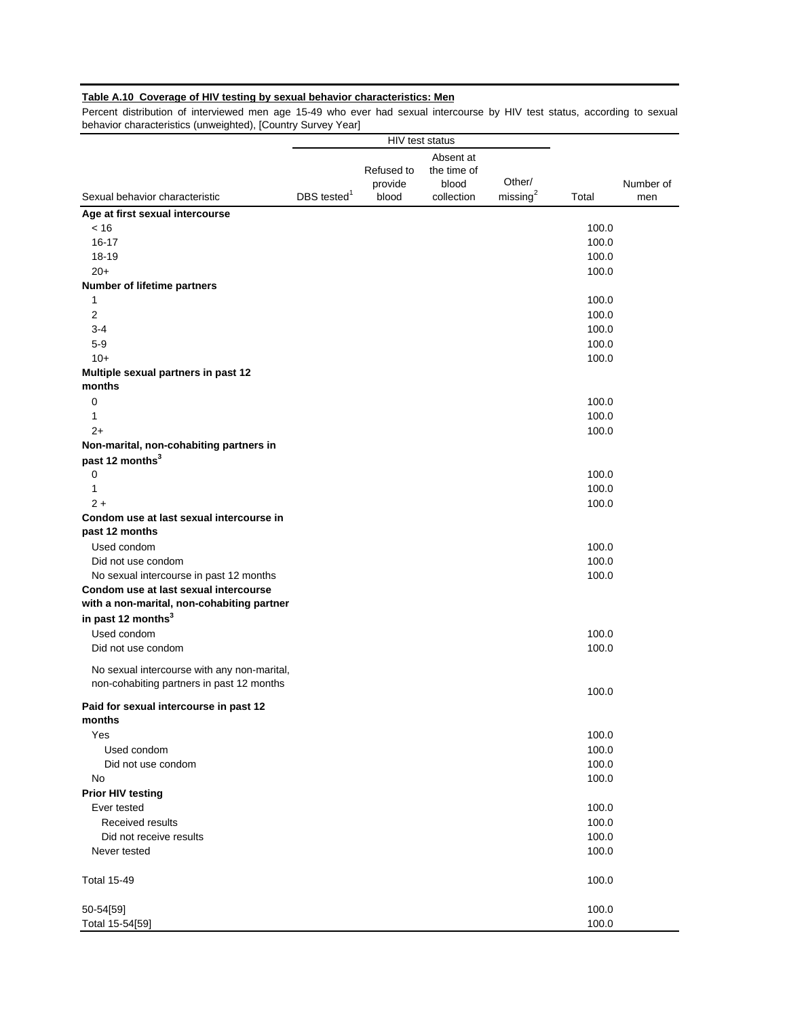## **Table A.10 Coverage of HIV testing by sexual behavior characteristics: Men**

Percent distribution of interviewed men age 15-49 who ever had sexual intercourse by HIV test status, according to sexual behavior characteristics (unweighted), [Country Survey Year]

|                                                  |                | HIV test status       |                                   |                      |                |           |
|--------------------------------------------------|----------------|-----------------------|-----------------------------------|----------------------|----------------|-----------|
|                                                  |                | Refused to<br>provide | Absent at<br>the time of<br>blood | Other/               |                | Number of |
| Sexual behavior characteristic                   | DBS tested $1$ | blood                 | collection                        | missing <sup>2</sup> | Total          | men       |
| Age at first sexual intercourse                  |                |                       |                                   |                      |                |           |
| ~< 16                                            |                |                       |                                   |                      | 100.0          |           |
| $16 - 17$                                        |                |                       |                                   |                      | 100.0          |           |
| 18-19                                            |                |                       |                                   |                      | 100.0          |           |
| $20+$                                            |                |                       |                                   |                      | 100.0          |           |
| Number of lifetime partners                      |                |                       |                                   |                      |                |           |
| 1                                                |                |                       |                                   |                      | 100.0          |           |
| $\overline{2}$                                   |                |                       |                                   |                      | 100.0          |           |
| $3 - 4$                                          |                |                       |                                   |                      | 100.0          |           |
| $5-9$                                            |                |                       |                                   |                      | 100.0          |           |
| $10+$                                            |                |                       |                                   |                      | 100.0          |           |
| Multiple sexual partners in past 12<br>months    |                |                       |                                   |                      |                |           |
| $\mathbf 0$                                      |                |                       |                                   |                      |                |           |
|                                                  |                |                       |                                   |                      | 100.0          |           |
| 1<br>$2+$                                        |                |                       |                                   |                      | 100.0<br>100.0 |           |
| Non-marital, non-cohabiting partners in          |                |                       |                                   |                      |                |           |
| past 12 months <sup>3</sup>                      |                |                       |                                   |                      |                |           |
| 0                                                |                |                       |                                   |                      | 100.0          |           |
| 1                                                |                |                       |                                   |                      | 100.0          |           |
| $2+$                                             |                |                       |                                   |                      | 100.0          |           |
| Condom use at last sexual intercourse in         |                |                       |                                   |                      |                |           |
| past 12 months                                   |                |                       |                                   |                      |                |           |
| Used condom                                      |                |                       |                                   |                      | 100.0          |           |
| Did not use condom                               |                |                       |                                   |                      | 100.0          |           |
| No sexual intercourse in past 12 months          |                |                       |                                   |                      | 100.0          |           |
| Condom use at last sexual intercourse            |                |                       |                                   |                      |                |           |
| with a non-marital, non-cohabiting partner       |                |                       |                                   |                      |                |           |
| in past 12 months <sup>3</sup>                   |                |                       |                                   |                      |                |           |
| Used condom                                      |                |                       |                                   |                      | 100.0          |           |
| Did not use condom                               |                |                       |                                   |                      | 100.0          |           |
|                                                  |                |                       |                                   |                      |                |           |
| No sexual intercourse with any non-marital,      |                |                       |                                   |                      |                |           |
| non-cohabiting partners in past 12 months        |                |                       |                                   |                      | 100.0          |           |
| Paid for sexual intercourse in past 12<br>months |                |                       |                                   |                      |                |           |
| Yes                                              |                |                       |                                   |                      | 100.0          |           |
| Used condom                                      |                |                       |                                   |                      | 100.0          |           |
| Did not use condom                               |                |                       |                                   |                      | 100.0          |           |
|                                                  |                |                       |                                   |                      | 100.0          |           |
| No                                               |                |                       |                                   |                      |                |           |
| <b>Prior HIV testing</b><br>Ever tested          |                |                       |                                   |                      | 100.0          |           |
| Received results                                 |                |                       |                                   |                      | 100.0          |           |
| Did not receive results                          |                |                       |                                   |                      | 100.0          |           |
| Never tested                                     |                |                       |                                   |                      | 100.0          |           |
|                                                  |                |                       |                                   |                      |                |           |
| <b>Total 15-49</b>                               |                |                       |                                   |                      | 100.0          |           |
| 50-54[59]                                        |                |                       |                                   |                      | 100.0          |           |
| Total 15-54[59]                                  |                |                       |                                   |                      | 100.0          |           |
|                                                  |                |                       |                                   |                      |                |           |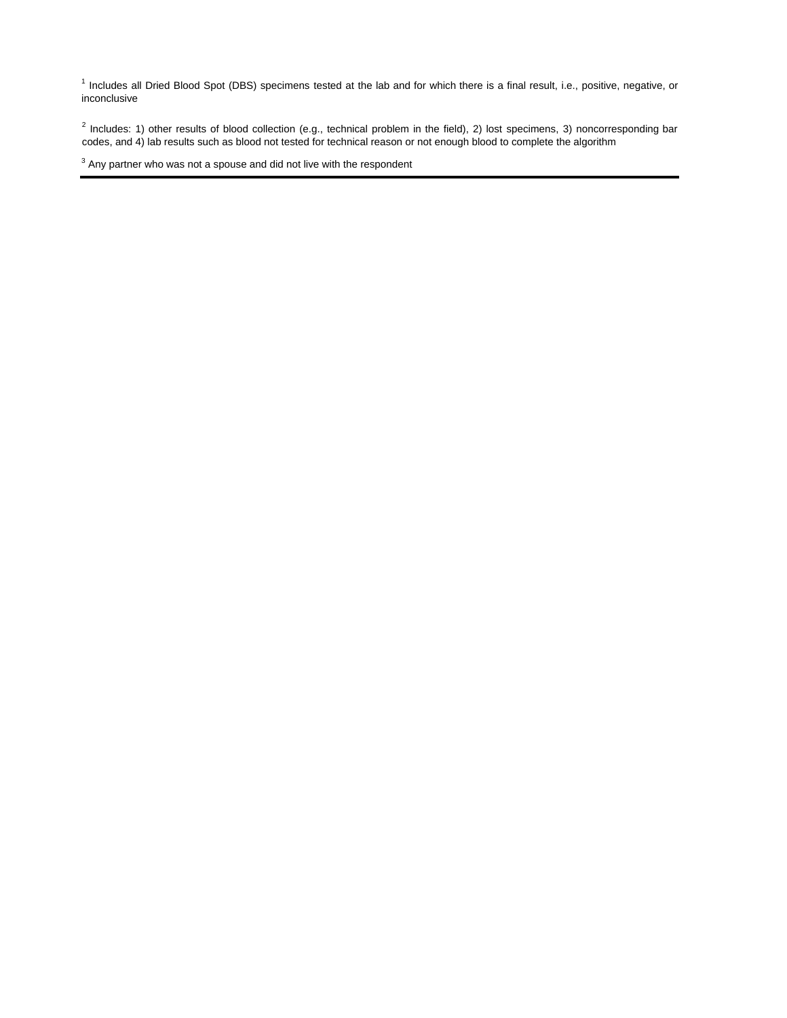<sup>1</sup> Includes all Dried Blood Spot (DBS) specimens tested at the lab and for which there is a final result, i.e., positive, negative, or inconclusive

 $^2$  Includes: 1) other results of blood collection (e.g., technical problem in the field), 2) lost specimens, 3) noncorresponding bar codes, and 4) lab results such as blood not tested for technical reason or not enough blood to complete the algorithm

 $3$  Any partner who was not a spouse and did not live with the respondent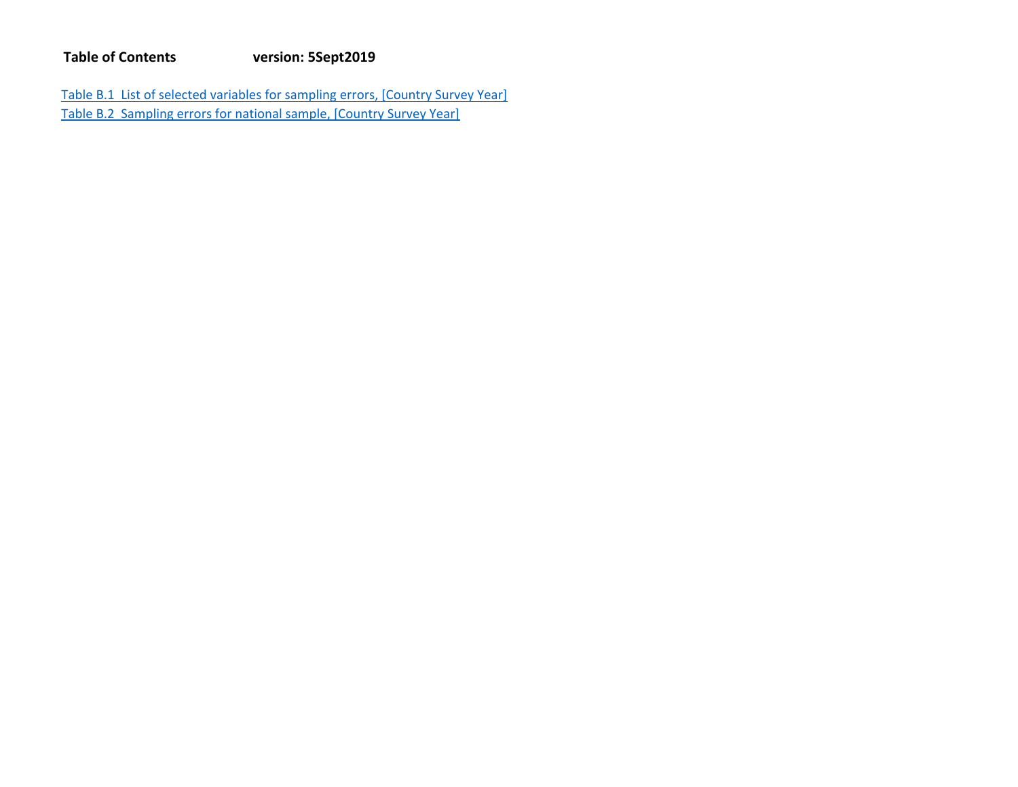Table B.1 List of selected variables for sampling errors, [Country Survey Year] Table B.2 Sampling errors for national sample, [Country Survey Year]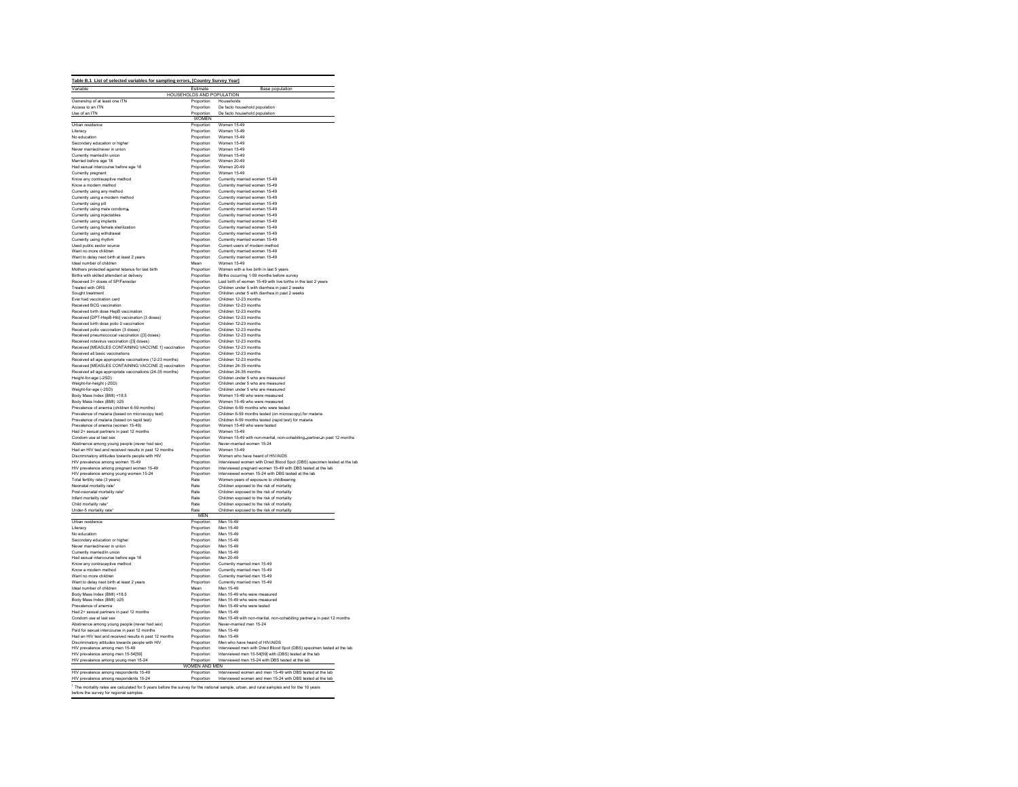| Variable                                                                                                                                                                                                                                                                                                                                                                                                                                                                                                   |                                               | Table B.1 List of selected variables for sampling errors, [Country Survey Year]                                  |
|------------------------------------------------------------------------------------------------------------------------------------------------------------------------------------------------------------------------------------------------------------------------------------------------------------------------------------------------------------------------------------------------------------------------------------------------------------------------------------------------------------|-----------------------------------------------|------------------------------------------------------------------------------------------------------------------|
|                                                                                                                                                                                                                                                                                                                                                                                                                                                                                                            | Estimate<br>HOUSEHOLDS AND POPULATION         | <b>Base population</b>                                                                                           |
| Ownership of at least one ITN                                                                                                                                                                                                                                                                                                                                                                                                                                                                              | Proportion                                    | Households                                                                                                       |
| Access to an ITN                                                                                                                                                                                                                                                                                                                                                                                                                                                                                           | Proportion                                    | De facto household population                                                                                    |
| Use of an ITN                                                                                                                                                                                                                                                                                                                                                                                                                                                                                              | Proportion<br><b>WOMEN</b>                    | De facto household population                                                                                    |
| Urban residence                                                                                                                                                                                                                                                                                                                                                                                                                                                                                            | Proportion                                    | Women 15-49                                                                                                      |
| Literacy                                                                                                                                                                                                                                                                                                                                                                                                                                                                                                   | Proportion                                    | Women 15-49                                                                                                      |
| No education                                                                                                                                                                                                                                                                                                                                                                                                                                                                                               | Proportion                                    | Women 15-49                                                                                                      |
| Secondary education or higher<br>Never married/never in union                                                                                                                                                                                                                                                                                                                                                                                                                                              | Proportion<br>Proportion                      | <b>Women 15-49</b><br><b>Women 15-49</b>                                                                         |
| Currently married/in union                                                                                                                                                                                                                                                                                                                                                                                                                                                                                 | Proportion                                    | Women 15-49                                                                                                      |
| Married before age 18                                                                                                                                                                                                                                                                                                                                                                                                                                                                                      | Proportion                                    | Women 20-49                                                                                                      |
| Had sexual intercourse before age 18                                                                                                                                                                                                                                                                                                                                                                                                                                                                       | Proportion                                    | Women 20-49                                                                                                      |
| Currently pregnant<br>Know any contraceptive method                                                                                                                                                                                                                                                                                                                                                                                                                                                        | Proportion<br>Proportion                      | Women 15-49<br>Currently married women 15-49                                                                     |
| Know a modern method                                                                                                                                                                                                                                                                                                                                                                                                                                                                                       | Proportion                                    | Currently married women 15-49                                                                                    |
| Currently using any method                                                                                                                                                                                                                                                                                                                                                                                                                                                                                 | Proportion                                    | Currently married women 15-49                                                                                    |
| Currently using a modern method                                                                                                                                                                                                                                                                                                                                                                                                                                                                            | Proportion                                    | Currently married women 15-49                                                                                    |
| Currently using pill                                                                                                                                                                                                                                                                                                                                                                                                                                                                                       | Proportion                                    | Currently married women 15-49                                                                                    |
| Currently using male condome<br>Currently using injectables                                                                                                                                                                                                                                                                                                                                                                                                                                                | Proportion<br>Proportion                      | Currently married women 15-49<br>Currently married women 15-49                                                   |
| Currently using implants                                                                                                                                                                                                                                                                                                                                                                                                                                                                                   | Proportion                                    | Currently married women 15-49                                                                                    |
| Currently using female sterilization                                                                                                                                                                                                                                                                                                                                                                                                                                                                       | Proportion                                    | Currently married women 15-49                                                                                    |
| Currently using withdrawal                                                                                                                                                                                                                                                                                                                                                                                                                                                                                 | Proportion                                    | Currently married women 15-49                                                                                    |
| Currently using rhythm                                                                                                                                                                                                                                                                                                                                                                                                                                                                                     | Proportion                                    | Currently married women 15-49                                                                                    |
| Used public sector source<br>Want no more children                                                                                                                                                                                                                                                                                                                                                                                                                                                         | Proportion<br>Proportion                      | Current users of modern method<br>Currently married women 15-49                                                  |
| Want to delay next birth at least 2 years                                                                                                                                                                                                                                                                                                                                                                                                                                                                  | Proportion                                    | Currently married women 15-49                                                                                    |
| Ideal number of children                                                                                                                                                                                                                                                                                                                                                                                                                                                                                   | Mean                                          | Women 15-49                                                                                                      |
| Mothers protected against tetanus for last birth                                                                                                                                                                                                                                                                                                                                                                                                                                                           | Proportion                                    | Women with a live birth in last 5 years                                                                          |
| Births with skilled attendant at delivery                                                                                                                                                                                                                                                                                                                                                                                                                                                                  | Proportion                                    | Births occurring 1-59 months before survey                                                                       |
| Received 3+ doses of SP/Fansidar<br>Treated with ORS                                                                                                                                                                                                                                                                                                                                                                                                                                                       | Proportion<br>Proportion                      | Last birth of women 15-49 with live births in the last 2 years<br>Children under 5 with diarrhea in past 2 weeks |
| Sought treatment                                                                                                                                                                                                                                                                                                                                                                                                                                                                                           | Proportion                                    | Children under 5 with diarrhea in past 2 weeks                                                                   |
| Ever had vaccination card                                                                                                                                                                                                                                                                                                                                                                                                                                                                                  | Proportion                                    | Children 12-23 months                                                                                            |
| Received BCG vaccination                                                                                                                                                                                                                                                                                                                                                                                                                                                                                   | Proportion                                    | Children 12-23 months                                                                                            |
| Received birth dose HeoB vaccination<br>Received [DPT-HepB-Hib] vaccination (3 doses)                                                                                                                                                                                                                                                                                                                                                                                                                      | Proportion<br>Proportion                      | Children 12-23 months<br>Children 12-23 months                                                                   |
| Received birth dose polio 0 vaccination                                                                                                                                                                                                                                                                                                                                                                                                                                                                    | Proportion                                    | Children 12-23 months                                                                                            |
| Received polio vaccination (3 doses)                                                                                                                                                                                                                                                                                                                                                                                                                                                                       | Proportion                                    | Children 12-23 months                                                                                            |
| Received pneumococcal vaccination ([3] doses)                                                                                                                                                                                                                                                                                                                                                                                                                                                              | Proportion                                    | Children 12-23 months                                                                                            |
| Received rotavirus vaccination ([3] doses)                                                                                                                                                                                                                                                                                                                                                                                                                                                                 | Proportion                                    | Children 12-23 months                                                                                            |
| Received [MEASLES CONTAINING VACCINE 1] vaccination<br>Received all basic vaccinations                                                                                                                                                                                                                                                                                                                                                                                                                     | Proportion<br>Proportion                      | Children 12-23 months<br>Children 12-23 months                                                                   |
| Received all age appropriate vaccinations (12-23 months)                                                                                                                                                                                                                                                                                                                                                                                                                                                   | Proportion                                    | Children 12-23 months                                                                                            |
| Received [MEASLES CONTAINING VACCINE 2] vaccination                                                                                                                                                                                                                                                                                                                                                                                                                                                        | Proportion                                    | Children 24-35 months                                                                                            |
| Received all age appropriate vaccinations (24-35 months)                                                                                                                                                                                                                                                                                                                                                                                                                                                   | Proportion                                    | Children 24-35 months                                                                                            |
| Height-for-age (-2SD)                                                                                                                                                                                                                                                                                                                                                                                                                                                                                      | Proportion<br>Proportion                      | Children under 5 who are measured<br>Children under 5 who are measured                                           |
| Weight-for-height (-2SD)<br>Weight-for-age (-2SD)                                                                                                                                                                                                                                                                                                                                                                                                                                                          | Proportion                                    | Children under 5 who are measured                                                                                |
| Body Mass Index (BMI) <18.5                                                                                                                                                                                                                                                                                                                                                                                                                                                                                | Proportion                                    | Women 15-49 who were measured                                                                                    |
| Body Mass Index (BMI) ≥25                                                                                                                                                                                                                                                                                                                                                                                                                                                                                  | Proportion                                    | Women 15-49 who were measured                                                                                    |
| Prevalence of anemia (children 6-59 months)                                                                                                                                                                                                                                                                                                                                                                                                                                                                | Proportion                                    | Children 6-59 months who were tested                                                                             |
| Prevalence of malaria (based on microscopy test)<br>Prevalence of malaria (based on rapid test)                                                                                                                                                                                                                                                                                                                                                                                                            | Proportion<br>Proportion                      | Children 6-59 months tested (on microscopy) for malaria<br>Children 6-59 months tested (rapid test) for malaria  |
| Prevalence of anemia (women 15-49)                                                                                                                                                                                                                                                                                                                                                                                                                                                                         | Proportion                                    | Women 15-49 who were tested                                                                                      |
| Had 2+ sexual partners in past 12 months                                                                                                                                                                                                                                                                                                                                                                                                                                                                   | Proportion                                    | Women 15-49                                                                                                      |
| Condom use at last sex                                                                                                                                                                                                                                                                                                                                                                                                                                                                                     | Proportion                                    | Women 15-49 with non-marital, non-cohabiting-partner-in past 12 months                                           |
| Abstinence among young people (never had sex)                                                                                                                                                                                                                                                                                                                                                                                                                                                              | Proportion                                    | Never-married women 15-24<br>Women 15-49                                                                         |
| Had an HIV test and received results in past 12 months<br>Discriminatory attitudes towards people with HIV                                                                                                                                                                                                                                                                                                                                                                                                 | Proportion<br>Proportion                      | Women who have heard of HIV/AIDS                                                                                 |
| HIV prevalence among women 15-49                                                                                                                                                                                                                                                                                                                                                                                                                                                                           | Proportion                                    | Interviewed women with Dried Blood Spot (DBS) specimen tested at the lab                                         |
| HIV prevalence among pregnant women 15-49                                                                                                                                                                                                                                                                                                                                                                                                                                                                  | Proportion                                    | Interviewed pregnant women 15-49 with DBS tested at the lab                                                      |
| HIV prevalence among young women 15-24                                                                                                                                                                                                                                                                                                                                                                                                                                                                     | Proportion                                    | Interviewed women 15-24 with DBS tested at the lab                                                               |
| Total fertility rate (3 years)                                                                                                                                                                                                                                                                                                                                                                                                                                                                             | Rate<br>Rate                                  | Women-years of exposure to childbearing                                                                          |
| Neonatal mortality rate*<br>Post-neonatal mortality rate <sup>1</sup>                                                                                                                                                                                                                                                                                                                                                                                                                                      | Rate                                          | Children exposed to the risk of mortality<br>Children exposed to the risk of mortality                           |
| Infant mortality rate <sup>*</sup>                                                                                                                                                                                                                                                                                                                                                                                                                                                                         | Rate                                          | Children exposed to the risk of mortality                                                                        |
| Child mortality rate                                                                                                                                                                                                                                                                                                                                                                                                                                                                                       | Rate                                          | Children exposed to the risk of mortality                                                                        |
| Under-5 mortality rate'                                                                                                                                                                                                                                                                                                                                                                                                                                                                                    | Rate<br><b>MFN</b>                            | Children exposed to the risk of mortality                                                                        |
|                                                                                                                                                                                                                                                                                                                                                                                                                                                                                                            | Proportion                                    | Men 15-49                                                                                                        |
| Urban residence<br>Literacy                                                                                                                                                                                                                                                                                                                                                                                                                                                                                | Proportion                                    | Men 15-49                                                                                                        |
| No education                                                                                                                                                                                                                                                                                                                                                                                                                                                                                               | Proportion                                    | Men 15-49                                                                                                        |
| Secondary education or higher                                                                                                                                                                                                                                                                                                                                                                                                                                                                              | Proportion                                    | Men 15-49                                                                                                        |
| Never married/never in union                                                                                                                                                                                                                                                                                                                                                                                                                                                                               | Proportion                                    | Men 15-49                                                                                                        |
| Currently married/in union<br>Had sexual intercourse before age 18                                                                                                                                                                                                                                                                                                                                                                                                                                         | Proportion<br>Proportion                      | Men 15-49<br>Men 20-49                                                                                           |
| Know any contraceptive method                                                                                                                                                                                                                                                                                                                                                                                                                                                                              | Proportion                                    | Currently married men 15-49                                                                                      |
| Know a modern method                                                                                                                                                                                                                                                                                                                                                                                                                                                                                       | Proportion                                    | Currently married men 15-49                                                                                      |
|                                                                                                                                                                                                                                                                                                                                                                                                                                                                                                            | Proportion                                    | Currently married men 15-49                                                                                      |
|                                                                                                                                                                                                                                                                                                                                                                                                                                                                                                            | Proportion                                    | Currently married men 15-49                                                                                      |
|                                                                                                                                                                                                                                                                                                                                                                                                                                                                                                            |                                               |                                                                                                                  |
|                                                                                                                                                                                                                                                                                                                                                                                                                                                                                                            | Mean                                          | Men 15-49                                                                                                        |
|                                                                                                                                                                                                                                                                                                                                                                                                                                                                                                            | Proportion                                    | Men 15-49 who were measured<br>Men 15-49 who were measured                                                       |
|                                                                                                                                                                                                                                                                                                                                                                                                                                                                                                            | Proportion<br>Proportion                      | Men 15-49 who were tested                                                                                        |
|                                                                                                                                                                                                                                                                                                                                                                                                                                                                                                            | Proportion                                    | Men 15-49                                                                                                        |
|                                                                                                                                                                                                                                                                                                                                                                                                                                                                                                            | Proportion                                    | Men 15-49 with non-marital, non-cohabiting partners in past 12 months                                            |
|                                                                                                                                                                                                                                                                                                                                                                                                                                                                                                            | Proportion                                    | Never-married men 15-24                                                                                          |
|                                                                                                                                                                                                                                                                                                                                                                                                                                                                                                            | Proportion                                    | Men 15-49                                                                                                        |
|                                                                                                                                                                                                                                                                                                                                                                                                                                                                                                            | Proportion<br>Proportion                      | Men 15-49<br>Men who have heard of HIV/AIDS                                                                      |
| Want no more children<br>Want to delay next birth at least 2 years<br>Ideal number of children<br>Body Mass Index (BMI) <18.5<br>Body Mass Index (BMI) ≥25<br>Prevalence of anemia<br>Had 2+ sexual partners in past 12 months<br>Condom use at last sex<br>Abstinence among young people (never had sex)<br>Paid for sexual intercourse in past 12 months<br>Had an HIV test and received results in past 12 months<br>Discriminatory attitudes towards people with HIV<br>HIV prevalence among men 15-49 | Proportion                                    | Interviewed men with Dried Blood Spot (DBS) specimen tested at the lab                                           |
| HIV prevalence among men 15-54[59]                                                                                                                                                                                                                                                                                                                                                                                                                                                                         | Proportion                                    | Interviewed men 15-54[59] with (DBS) tested at the lab                                                           |
|                                                                                                                                                                                                                                                                                                                                                                                                                                                                                                            |                                               | Interviewed men 15-24 with DBS tested at the lab                                                                 |
|                                                                                                                                                                                                                                                                                                                                                                                                                                                                                                            | Proportion Int<br>WOMEN AND MEN<br>Proportion | Interviewed women and men 15-49 with DBS tested at the lab                                                       |
| HIV prevalence among young men 15-24<br>HIV prevalence among respondents 15-49<br>HIV prevalence among respondents 15-24                                                                                                                                                                                                                                                                                                                                                                                   | Proportion                                    | Interviewed women and men 15-24 with DBS tested at the lab                                                       |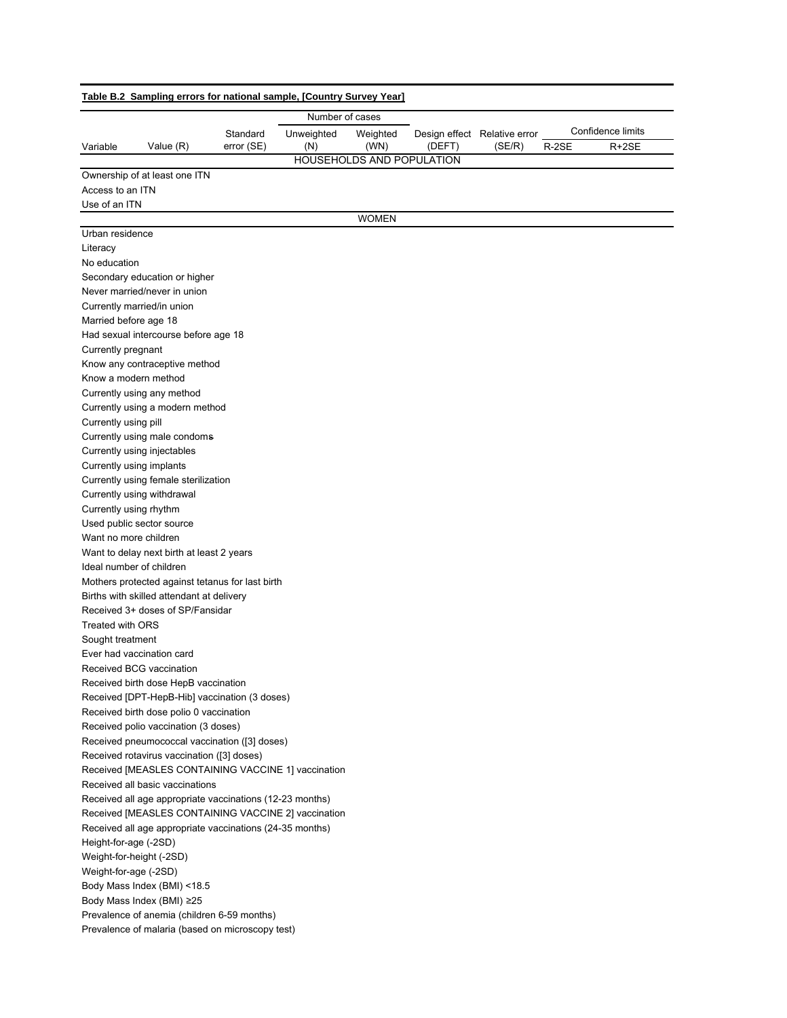|                       | Number of cases                                          |            |            |                                  |        |                                        |       |                   |  |
|-----------------------|----------------------------------------------------------|------------|------------|----------------------------------|--------|----------------------------------------|-------|-------------------|--|
| Variable              |                                                          | Standard   | Unweighted | Weighted                         |        | Design effect Relative error<br>(SE/R) |       | Confidence limits |  |
|                       | Value (R)                                                | error (SE) | (N)        | (WN)                             | (DEFT) |                                        | R-2SE | $R+2SE$           |  |
|                       |                                                          |            |            | <b>HOUSEHOLDS AND POPULATION</b> |        |                                        |       |                   |  |
|                       | Ownership of at least one ITN                            |            |            |                                  |        |                                        |       |                   |  |
| Access to an ITN      |                                                          |            |            |                                  |        |                                        |       |                   |  |
| Use of an ITN         |                                                          |            |            |                                  |        |                                        |       |                   |  |
|                       |                                                          |            |            | <b>WOMEN</b>                     |        |                                        |       |                   |  |
| Urban residence       |                                                          |            |            |                                  |        |                                        |       |                   |  |
| Literacy              |                                                          |            |            |                                  |        |                                        |       |                   |  |
| No education          |                                                          |            |            |                                  |        |                                        |       |                   |  |
|                       | Secondary education or higher                            |            |            |                                  |        |                                        |       |                   |  |
|                       | Never married/never in union                             |            |            |                                  |        |                                        |       |                   |  |
|                       | Currently married/in union                               |            |            |                                  |        |                                        |       |                   |  |
| Married before age 18 |                                                          |            |            |                                  |        |                                        |       |                   |  |
|                       | Had sexual intercourse before age 18                     |            |            |                                  |        |                                        |       |                   |  |
| Currently pregnant    |                                                          |            |            |                                  |        |                                        |       |                   |  |
|                       | Know any contraceptive method                            |            |            |                                  |        |                                        |       |                   |  |
|                       | Know a modern method                                     |            |            |                                  |        |                                        |       |                   |  |
|                       | Currently using any method                               |            |            |                                  |        |                                        |       |                   |  |
|                       | Currently using a modern method                          |            |            |                                  |        |                                        |       |                   |  |
| Currently using pill  |                                                          |            |            |                                  |        |                                        |       |                   |  |
|                       | Currently using male condoms                             |            |            |                                  |        |                                        |       |                   |  |
|                       | Currently using injectables                              |            |            |                                  |        |                                        |       |                   |  |
|                       | Currently using implants                                 |            |            |                                  |        |                                        |       |                   |  |
|                       | Currently using female sterilization                     |            |            |                                  |        |                                        |       |                   |  |
|                       | Currently using withdrawal                               |            |            |                                  |        |                                        |       |                   |  |
|                       | Currently using rhythm                                   |            |            |                                  |        |                                        |       |                   |  |
|                       | Used public sector source                                |            |            |                                  |        |                                        |       |                   |  |
|                       | Want no more children                                    |            |            |                                  |        |                                        |       |                   |  |
|                       | Want to delay next birth at least 2 years                |            |            |                                  |        |                                        |       |                   |  |
|                       | Ideal number of children                                 |            |            |                                  |        |                                        |       |                   |  |
|                       | Mothers protected against tetanus for last birth         |            |            |                                  |        |                                        |       |                   |  |
|                       | Births with skilled attendant at delivery                |            |            |                                  |        |                                        |       |                   |  |
|                       | Received 3+ doses of SP/Fansidar                         |            |            |                                  |        |                                        |       |                   |  |
| Treated with ORS      |                                                          |            |            |                                  |        |                                        |       |                   |  |
| Sought treatment      |                                                          |            |            |                                  |        |                                        |       |                   |  |
|                       | Ever had vaccination card                                |            |            |                                  |        |                                        |       |                   |  |
|                       | Received BCG vaccination                                 |            |            |                                  |        |                                        |       |                   |  |
|                       | Received birth dose HepB vaccination                     |            |            |                                  |        |                                        |       |                   |  |
|                       | Received [DPT-HepB-Hib] vaccination (3 doses)            |            |            |                                  |        |                                        |       |                   |  |
|                       | Received birth dose polio 0 vaccination                  |            |            |                                  |        |                                        |       |                   |  |
|                       | Received polio vaccination (3 doses)                     |            |            |                                  |        |                                        |       |                   |  |
|                       | Received pneumococcal vaccination ([3] doses)            |            |            |                                  |        |                                        |       |                   |  |
|                       | Received rotavirus vaccination ([3] doses)               |            |            |                                  |        |                                        |       |                   |  |
|                       | Received [MEASLES CONTAINING VACCINE 1] vaccination      |            |            |                                  |        |                                        |       |                   |  |
|                       | Received all basic vaccinations                          |            |            |                                  |        |                                        |       |                   |  |
|                       | Received all age appropriate vaccinations (12-23 months) |            |            |                                  |        |                                        |       |                   |  |
|                       | Received [MEASLES CONTAINING VACCINE 2] vaccination      |            |            |                                  |        |                                        |       |                   |  |
|                       | Received all age appropriate vaccinations (24-35 months) |            |            |                                  |        |                                        |       |                   |  |
| Height-for-age (-2SD) |                                                          |            |            |                                  |        |                                        |       |                   |  |
|                       | Weight-for-height (-2SD)                                 |            |            |                                  |        |                                        |       |                   |  |
| Weight-for-age (-2SD) |                                                          |            |            |                                  |        |                                        |       |                   |  |
|                       | Body Mass Index (BMI) <18.5                              |            |            |                                  |        |                                        |       |                   |  |
|                       | Body Mass Index (BMI) ≥25                                |            |            |                                  |        |                                        |       |                   |  |
|                       | Prevalence of anemia (children 6-59 months)              |            |            |                                  |        |                                        |       |                   |  |
|                       | Prevalence of malaria (based on microscopy test)         |            |            |                                  |        |                                        |       |                   |  |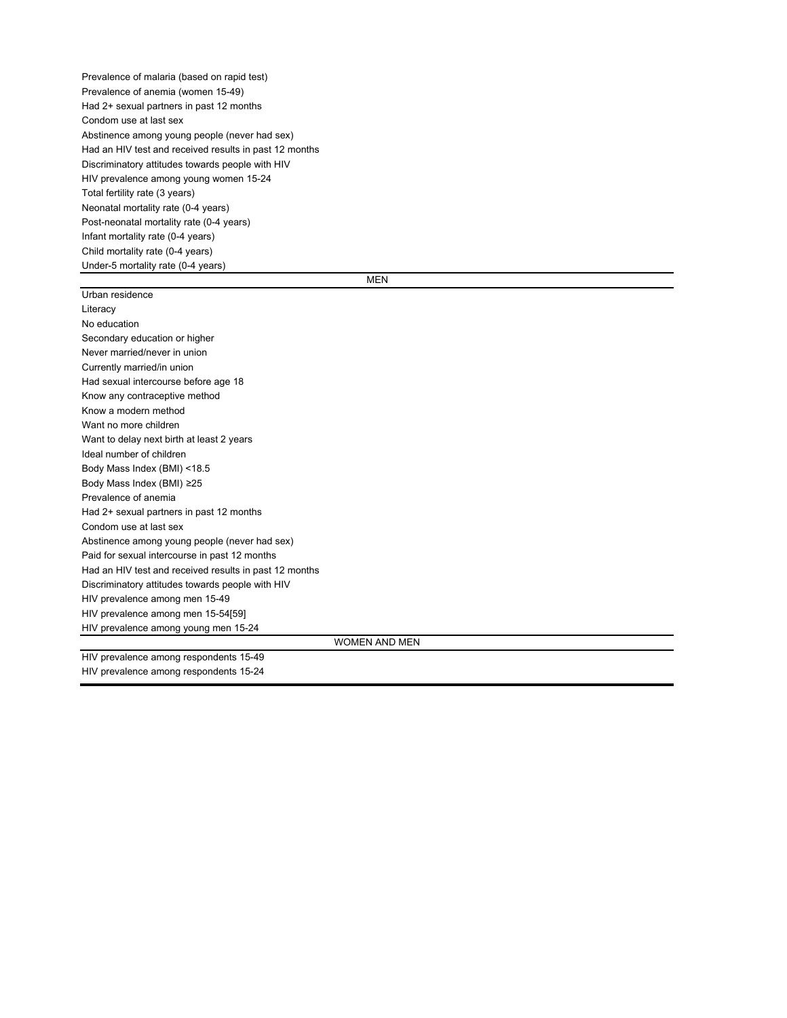Prevalence of malaria (based on rapid test) Prevalence of anemia (women 15-49) Had 2+ sexual partners in past 12 months Condom use at last sex Abstinence among young people (never had sex) Had an HIV test and received results in past 12 months Discriminatory attitudes towards people with HIV HIV prevalence among young women 15-24 Total fertility rate (3 years) Neonatal mortality rate (0-4 years) Post-neonatal mortality rate (0-4 years) Infant mortality rate (0-4 years) Child mortality rate (0-4 years) Under-5 mortality rate (0-4 years)

MEN

| Urban residence                                        |
|--------------------------------------------------------|
| Literacy                                               |
| No education                                           |
| Secondary education or higher                          |
| Never married/never in union                           |
| Currently married/in union                             |
| Had sexual intercourse before age 18                   |
| Know any contraceptive method                          |
| Know a modern method                                   |
| Want no more children                                  |
| Want to delay next birth at least 2 years              |
| Ideal number of children                               |
| Body Mass Index (BMI) <18.5                            |
| Body Mass Index (BMI) ≥25                              |
| Prevalence of anemia                                   |
| Had 2+ sexual partners in past 12 months               |
| Condom use at last sex                                 |
| Abstinence among young people (never had sex)          |
| Paid for sexual intercourse in past 12 months          |
| Had an HIV test and received results in past 12 months |
| Discriminatory attitudes towards people with HIV       |
| HIV prevalence among men 15-49                         |
| HIV prevalence among men 15-54[59]                     |
| HIV prevalence among young men 15-24                   |
| <b>WOMEN AND MEN</b>                                   |
| HIV prevalence among respondents 15-49                 |
| HIV prevalence among respondents 15-24                 |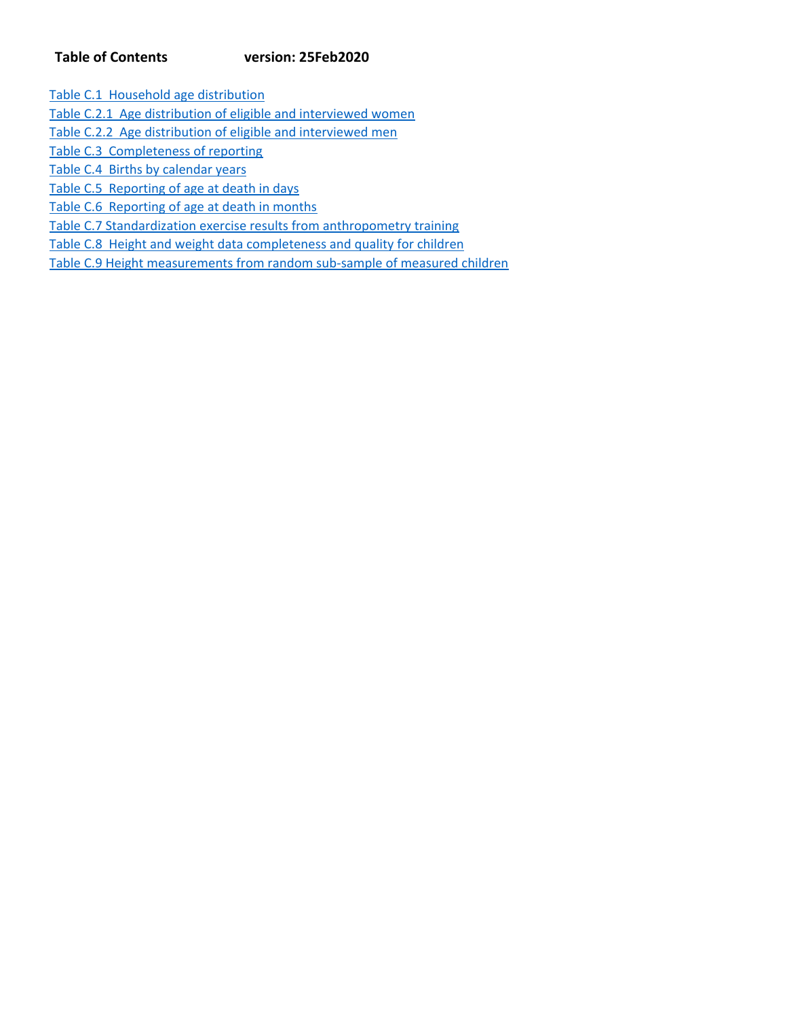# **Table of Contents version: 25Feb2020**

Table C.1 Household age distribution

Table C.2.1 Age distribution of eligible and interviewed women

Table C.2.2 Age distribution of eligible and interviewed men

Table C.3 Completeness of reporting

Table C.4 Births by calendar years

Table C.5 Reporting of age at death in days

Table C.6 Reporting of age at death in months

Table C.7 Standardization exercise results from anthropometry training

Table C.8 Height and weight data completeness and quality for children

Table C.9 Height measurements from random sub‐sample of measured children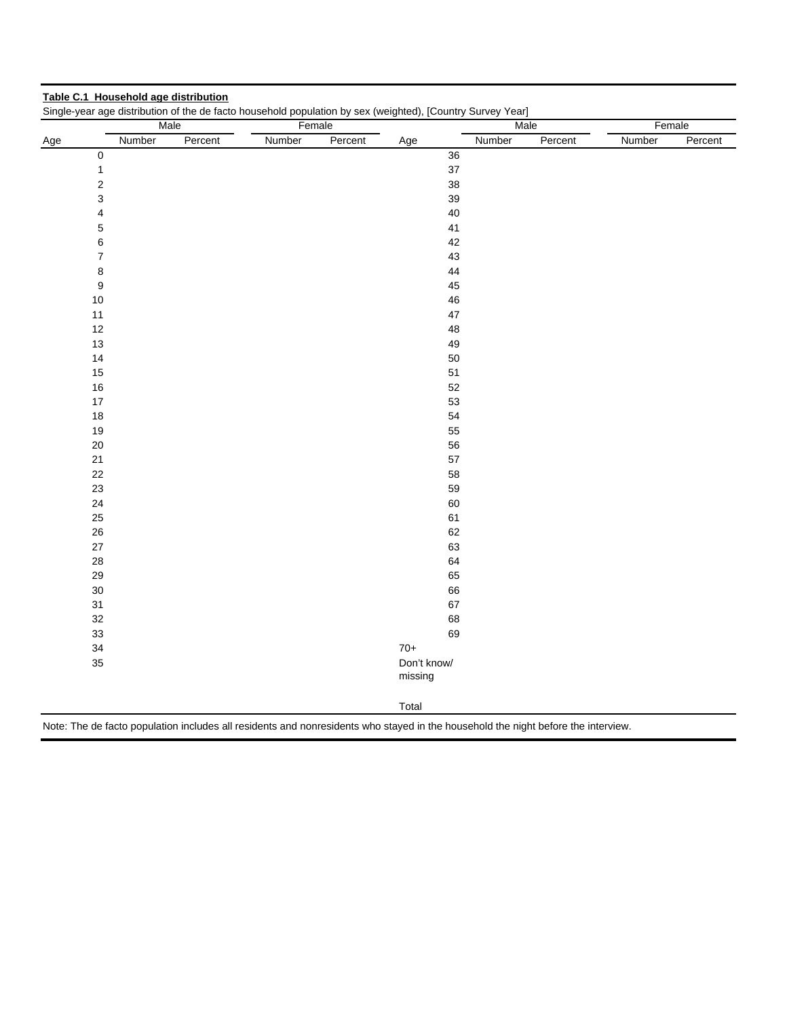|     |                           | Male    |        | Female  | Single-year age distribution of the de facto household population by sex (weighted), [Country Survey Year] | Male   |         | Female |         |  |
|-----|---------------------------|---------|--------|---------|------------------------------------------------------------------------------------------------------------|--------|---------|--------|---------|--|
| Age | Number                    | Percent | Number | Percent | Age                                                                                                        | Number | Percent | Number | Percent |  |
|     | $\pmb{0}$                 |         |        |         | 36                                                                                                         |        |         |        |         |  |
|     | $\mathbf{1}$              |         |        |         | 37                                                                                                         |        |         |        |         |  |
|     | $\overline{\mathbf{c}}$   |         |        |         | 38                                                                                                         |        |         |        |         |  |
|     | 3                         |         |        |         | 39                                                                                                         |        |         |        |         |  |
|     | 4                         |         |        |         | 40                                                                                                         |        |         |        |         |  |
|     | 5                         |         |        |         | 41                                                                                                         |        |         |        |         |  |
|     | 6                         |         |        |         | 42                                                                                                         |        |         |        |         |  |
|     | $\overline{\mathfrak{c}}$ |         |        |         | 43                                                                                                         |        |         |        |         |  |
|     | 8                         |         |        |         | 44                                                                                                         |        |         |        |         |  |
|     | 9                         |         |        |         | 45                                                                                                         |        |         |        |         |  |
|     | $10$                      |         |        |         | 46                                                                                                         |        |         |        |         |  |
|     | 11                        |         |        |         | 47                                                                                                         |        |         |        |         |  |
|     | 12                        |         |        |         | 48                                                                                                         |        |         |        |         |  |
|     | $13$                      |         |        |         | 49                                                                                                         |        |         |        |         |  |
|     | 14                        |         |        |         | 50                                                                                                         |        |         |        |         |  |
|     | 15                        |         |        |         | 51                                                                                                         |        |         |        |         |  |
|     | $16$                      |         |        |         | 52                                                                                                         |        |         |        |         |  |
|     | 17                        |         |        |         | 53                                                                                                         |        |         |        |         |  |
|     | $18$                      |         |        |         | 54                                                                                                         |        |         |        |         |  |
|     | 19                        |         |        |         | 55                                                                                                         |        |         |        |         |  |
|     | $20\,$                    |         |        |         | 56                                                                                                         |        |         |        |         |  |
|     | 21                        |         |        |         | 57                                                                                                         |        |         |        |         |  |
|     | 22                        |         |        |         | 58                                                                                                         |        |         |        |         |  |
|     | 23                        |         |        |         | 59                                                                                                         |        |         |        |         |  |
|     | 24                        |         |        |         | 60                                                                                                         |        |         |        |         |  |
|     | 25                        |         |        |         | 61                                                                                                         |        |         |        |         |  |
|     | 26                        |         |        |         | 62                                                                                                         |        |         |        |         |  |
|     | $27\,$                    |         |        |         | 63                                                                                                         |        |         |        |         |  |
|     | 28                        |         |        |         | 64                                                                                                         |        |         |        |         |  |
|     | 29                        |         |        |         | 65                                                                                                         |        |         |        |         |  |
|     | $30\,$                    |         |        |         | 66                                                                                                         |        |         |        |         |  |
|     | 31<br>32                  |         |        |         | 67<br>68                                                                                                   |        |         |        |         |  |
|     |                           |         |        |         |                                                                                                            |        |         |        |         |  |
|     | 33                        |         |        |         | 69<br>$70+$                                                                                                |        |         |        |         |  |
|     | 34<br>35                  |         |        |         | Don't know/                                                                                                |        |         |        |         |  |
|     |                           |         |        |         | missing                                                                                                    |        |         |        |         |  |
|     |                           |         |        |         | Total                                                                                                      |        |         |        |         |  |

**Table C.1 Household age distribution**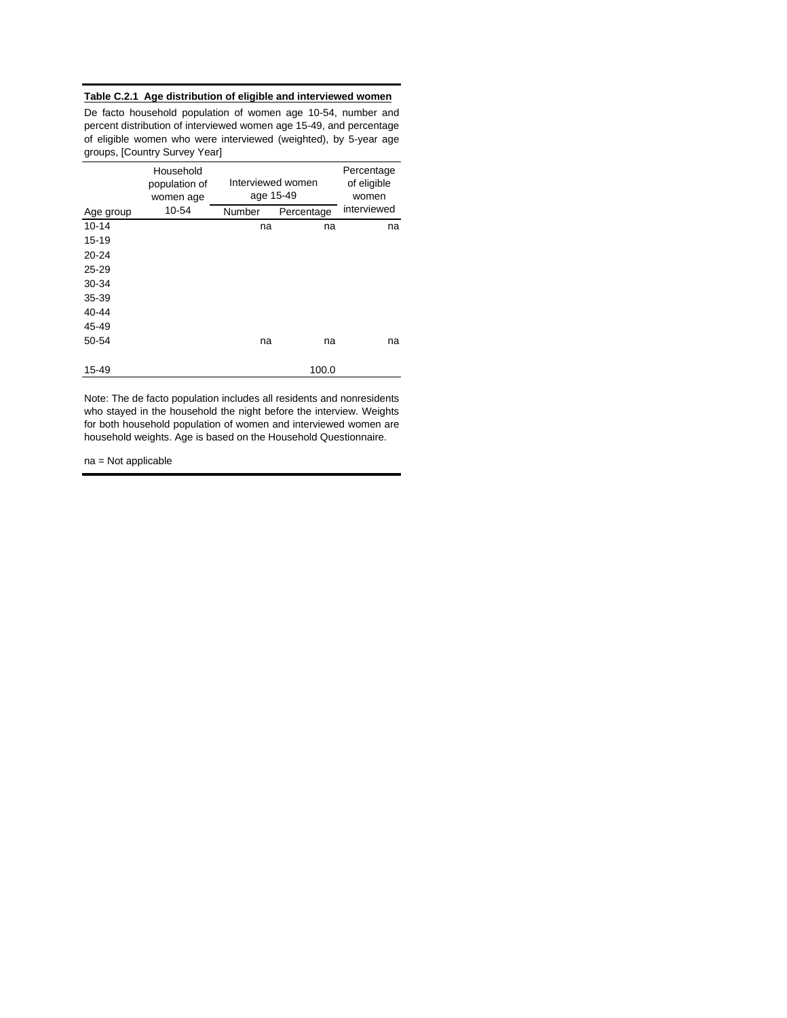# **Table C.2.1 Age distribution of eligible and interviewed women**

De facto household population of women age 10-54, number and percent distribution of interviewed women age 15-49, and percentage of eligible women who were interviewed (weighted), by 5-year age groups, [Country Survey Year]

|           | Household<br>population of<br>women age | Interviewed women<br>age 15-49 | Percentage<br>of eligible<br>women |             |  |
|-----------|-----------------------------------------|--------------------------------|------------------------------------|-------------|--|
| Age group | 10-54                                   | Number                         | Percentage                         | interviewed |  |
| $10 - 14$ |                                         | na                             | na                                 | na          |  |
| 15-19     |                                         |                                |                                    |             |  |
| $20 - 24$ |                                         |                                |                                    |             |  |
| $25 - 29$ |                                         |                                |                                    |             |  |
| 30-34     |                                         |                                |                                    |             |  |
| 35-39     |                                         |                                |                                    |             |  |
| 40-44     |                                         |                                |                                    |             |  |
| 45-49     |                                         |                                |                                    |             |  |
| 50-54     |                                         | na                             | na                                 | na          |  |
| 15-49     |                                         |                                | 100.0                              |             |  |

Note: The de facto population includes all residents and nonresidents who stayed in the household the night before the interview. Weights for both household population of women and interviewed women are household weights. Age is based on the Household Questionnaire.

na = Not applicable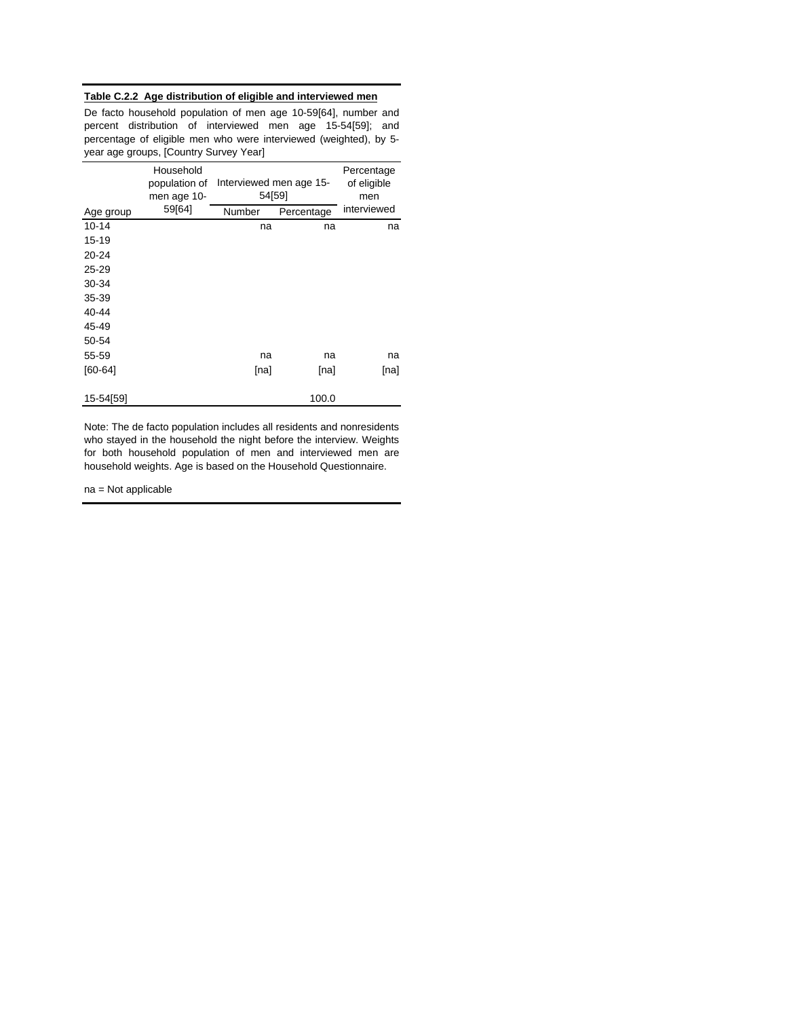## **Table C.2.2 Age distribution of eligible and interviewed men**

De facto household population of men age 10-59[64], number and percent distribution of interviewed men age 15-54[59]; and percentage of eligible men who were interviewed (weighted), by 5 year age groups, [Country Survey Year]

|             | Household<br>population of<br>men age 10- | Interviewed men age 15-<br>54[59] | Percentage<br>of eligible<br>men |             |  |
|-------------|-------------------------------------------|-----------------------------------|----------------------------------|-------------|--|
| Age group   | 59[64]                                    | Number                            | Percentage                       | interviewed |  |
| $10 - 14$   |                                           | na                                | na                               | na          |  |
| 15-19       |                                           |                                   |                                  |             |  |
| 20-24       |                                           |                                   |                                  |             |  |
| 25-29       |                                           |                                   |                                  |             |  |
| 30-34       |                                           |                                   |                                  |             |  |
| 35-39       |                                           |                                   |                                  |             |  |
| 40-44       |                                           |                                   |                                  |             |  |
| 45-49       |                                           |                                   |                                  |             |  |
| 50-54       |                                           |                                   |                                  |             |  |
| 55-59       |                                           | na                                | na                               | na          |  |
| $[60 - 64]$ |                                           | [na]                              | [na]                             | [na]        |  |
| 15-54[59]   |                                           |                                   | 100.0                            |             |  |

Note: The de facto population includes all residents and nonresidents who stayed in the household the night before the interview. Weights for both household population of men and interviewed men are household weights. Age is based on the Household Questionnaire.

na = Not applicable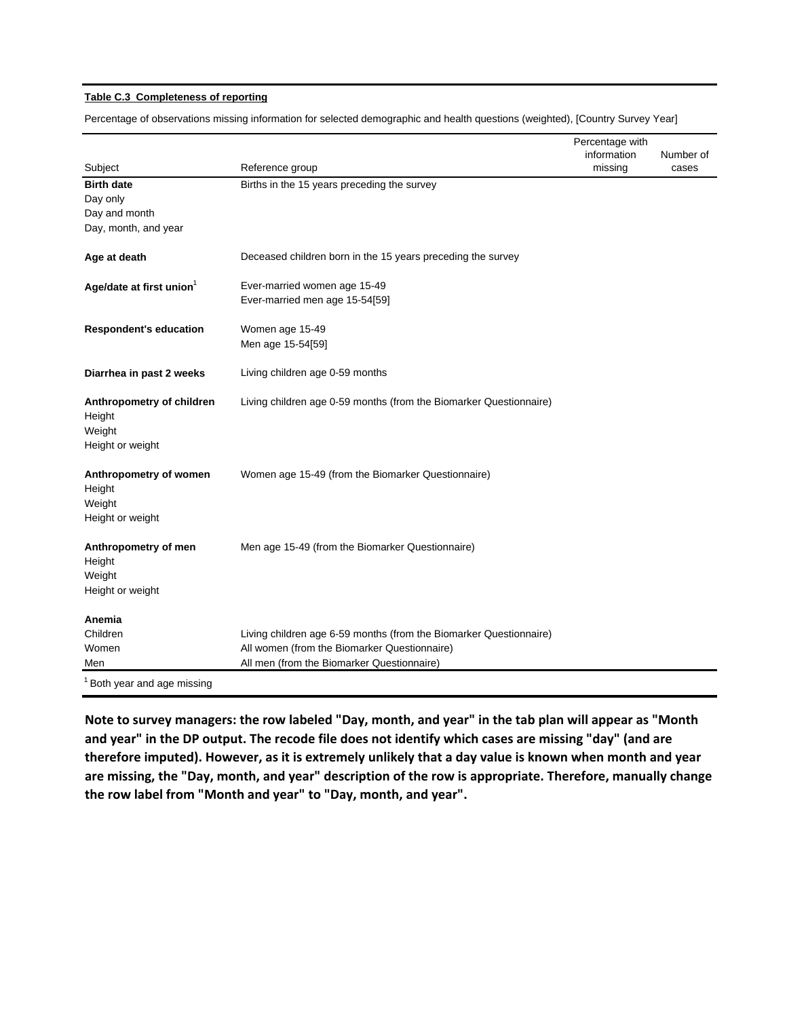## **Table C.3 Completeness of reporting**

Percentage of observations missing information for selected demographic and health questions (weighted), [Country Survey Year]

|                                        |                                                                    | Percentage with |           |
|----------------------------------------|--------------------------------------------------------------------|-----------------|-----------|
|                                        |                                                                    | information     | Number of |
| Subject<br><b>Birth date</b>           | Reference group<br>Births in the 15 years preceding the survey     | missing         | cases     |
| Day only                               |                                                                    |                 |           |
| Day and month                          |                                                                    |                 |           |
| Day, month, and year                   |                                                                    |                 |           |
|                                        |                                                                    |                 |           |
| Age at death                           | Deceased children born in the 15 years preceding the survey        |                 |           |
| Age/date at first union <sup>1</sup>   | Ever-married women age 15-49                                       |                 |           |
|                                        | Ever-married men age 15-54[59]                                     |                 |           |
|                                        |                                                                    |                 |           |
| <b>Respondent's education</b>          | Women age 15-49                                                    |                 |           |
|                                        | Men age 15-54[59]                                                  |                 |           |
| Diarrhea in past 2 weeks               | Living children age 0-59 months                                    |                 |           |
|                                        | Living children age 0-59 months (from the Biomarker Questionnaire) |                 |           |
| Anthropometry of children<br>Height    |                                                                    |                 |           |
| Weight                                 |                                                                    |                 |           |
| Height or weight                       |                                                                    |                 |           |
|                                        |                                                                    |                 |           |
| Anthropometry of women                 | Women age 15-49 (from the Biomarker Questionnaire)                 |                 |           |
| Height                                 |                                                                    |                 |           |
| Weight                                 |                                                                    |                 |           |
| Height or weight                       |                                                                    |                 |           |
| Anthropometry of men                   | Men age 15-49 (from the Biomarker Questionnaire)                   |                 |           |
| Height                                 |                                                                    |                 |           |
| Weight                                 |                                                                    |                 |           |
| Height or weight                       |                                                                    |                 |           |
| Anemia                                 |                                                                    |                 |           |
| Children                               | Living children age 6-59 months (from the Biomarker Questionnaire) |                 |           |
| Women                                  | All women (from the Biomarker Questionnaire)                       |                 |           |
| Men                                    | All men (from the Biomarker Questionnaire)                         |                 |           |
| <sup>1</sup> Both year and age missing |                                                                    |                 |           |

Note to survey managers: the row labeled "Day, month, and year" in the tab plan will appear as "Month and year" in the DP output. The recode file does not identify which cases are missing "day" (and are therefore imputed). However, as it is extremely unlikely that a day value is known when month and year **are missing, the "Day, month, and year" description of the row is appropriate. Therefore, manually change the row label from "Month and year" to "Day, month, and year".**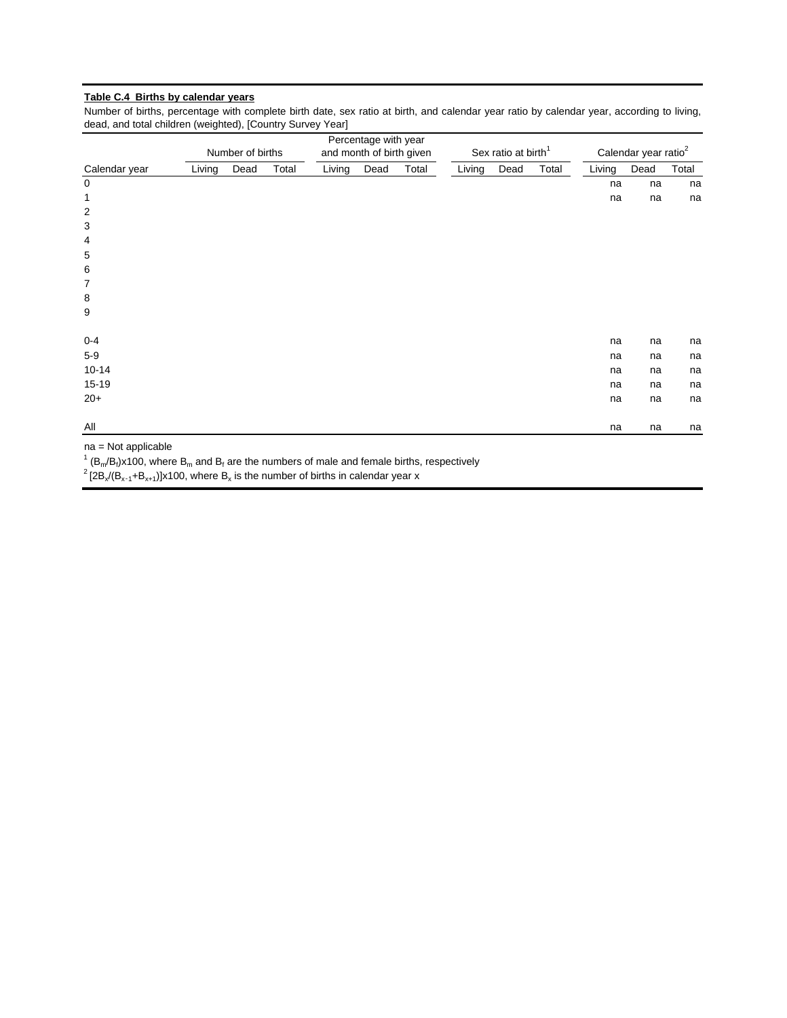# **Table C.4 Births by calendar years**

Number of births, percentage with complete birth date, sex ratio at birth, and calendar year ratio by calendar year, according to living, dead, and total children (weighted), [Country Survey Year]

|                    |                  |      |       |        | Percentage with year     |       |        |                                 |       |        |                                  |       |  |  |
|--------------------|------------------|------|-------|--------|--------------------------|-------|--------|---------------------------------|-------|--------|----------------------------------|-------|--|--|
|                    | Number of births |      |       |        | and month of birth given |       |        | Sex ratio at birth <sup>1</sup> |       |        | Calendar year ratio <sup>2</sup> |       |  |  |
| Calendar year      | Living           | Dead | Total | Living | Dead                     | Total | Living | Dead                            | Total | Living | Dead                             | Total |  |  |
| $\mathbf 0$        |                  |      |       |        |                          |       |        |                                 |       | na     | na                               | na    |  |  |
| 1                  |                  |      |       |        |                          |       |        |                                 |       | na     | na                               | na    |  |  |
| $\overline{c}$     |                  |      |       |        |                          |       |        |                                 |       |        |                                  |       |  |  |
| 3                  |                  |      |       |        |                          |       |        |                                 |       |        |                                  |       |  |  |
| 4                  |                  |      |       |        |                          |       |        |                                 |       |        |                                  |       |  |  |
| 5                  |                  |      |       |        |                          |       |        |                                 |       |        |                                  |       |  |  |
| 6                  |                  |      |       |        |                          |       |        |                                 |       |        |                                  |       |  |  |
| 7                  |                  |      |       |        |                          |       |        |                                 |       |        |                                  |       |  |  |
| 8                  |                  |      |       |        |                          |       |        |                                 |       |        |                                  |       |  |  |
| 9                  |                  |      |       |        |                          |       |        |                                 |       |        |                                  |       |  |  |
| $0 - 4$            |                  |      |       |        |                          |       |        |                                 |       | na     | na                               | na    |  |  |
| $5-9$              |                  |      |       |        |                          |       |        |                                 |       | na     | na                               | na    |  |  |
| $10 - 14$          |                  |      |       |        |                          |       |        |                                 |       | na     | na                               | na    |  |  |
| $15-19$            |                  |      |       |        |                          |       |        |                                 |       | na     | na                               | na    |  |  |
| $20+$              |                  |      |       |        |                          |       |        |                                 |       | na     | na                               | na    |  |  |
| All                |                  |      |       |        |                          |       |        |                                 |       | na     | na                               | na    |  |  |
| $no = Not$ opplies |                  |      |       |        |                          |       |        |                                 |       |        |                                  |       |  |  |

na = Not applicable

 $1$  (B<sub>m</sub>/B<sub>f</sub>)x100, where B<sub>m</sub> and B<sub>f</sub> are the numbers of male and female births, respectively

 $2 [2B_x/(B_{x-1}+B_{x+1})]x100$ , where  $B_x$  is the number of births in calendar year x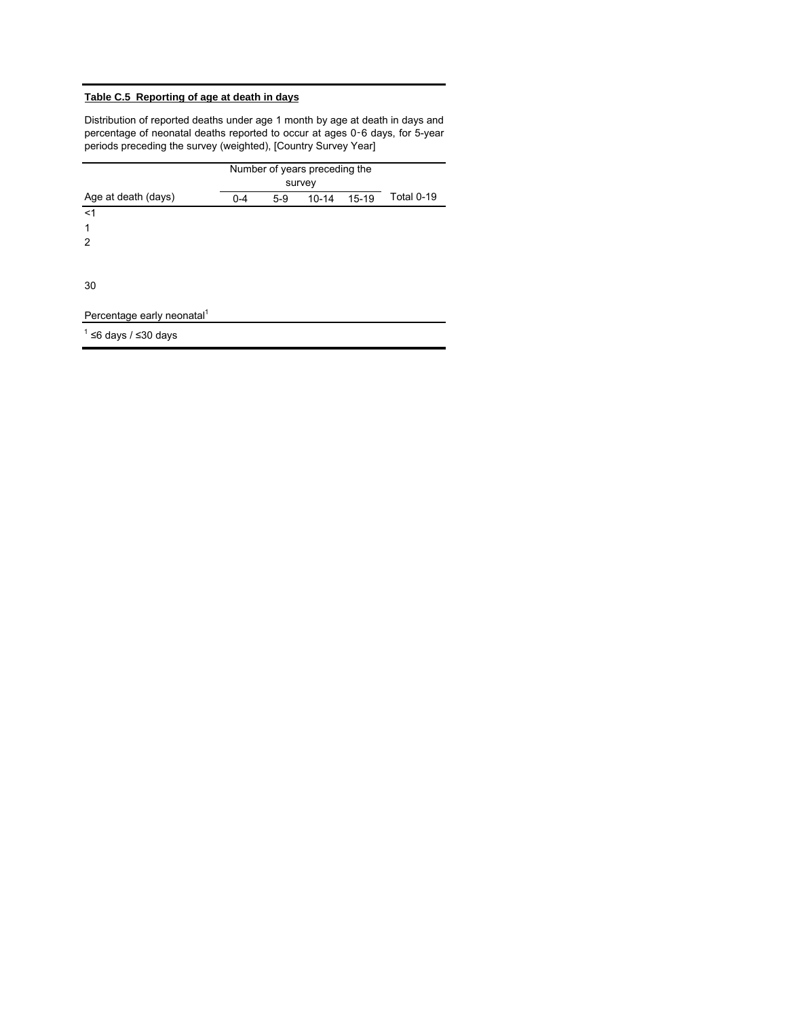# **Table C.5 Reporting of age at death in days**

Distribution of reported deaths under age 1 month by age at death in days and percentage of neonatal deaths reported to occur at ages 0‑6 days, for 5-year periods preceding the survey (weighted), [Country Survey Year]

|                                        |         | Number of years preceding the<br>survey |           |           |            |
|----------------------------------------|---------|-----------------------------------------|-----------|-----------|------------|
| Age at death (days)                    | $0 - 4$ | $5-9$                                   | $10 - 14$ | $15 - 19$ | Total 0-19 |
| $<$ 1                                  |         |                                         |           |           |            |
| 1                                      |         |                                         |           |           |            |
| 2                                      |         |                                         |           |           |            |
|                                        |         |                                         |           |           |            |
| 30                                     |         |                                         |           |           |            |
| Percentage early neonatal <sup>1</sup> |         |                                         |           |           |            |
| $1$ ≤6 days / ≤30 days                 |         |                                         |           |           |            |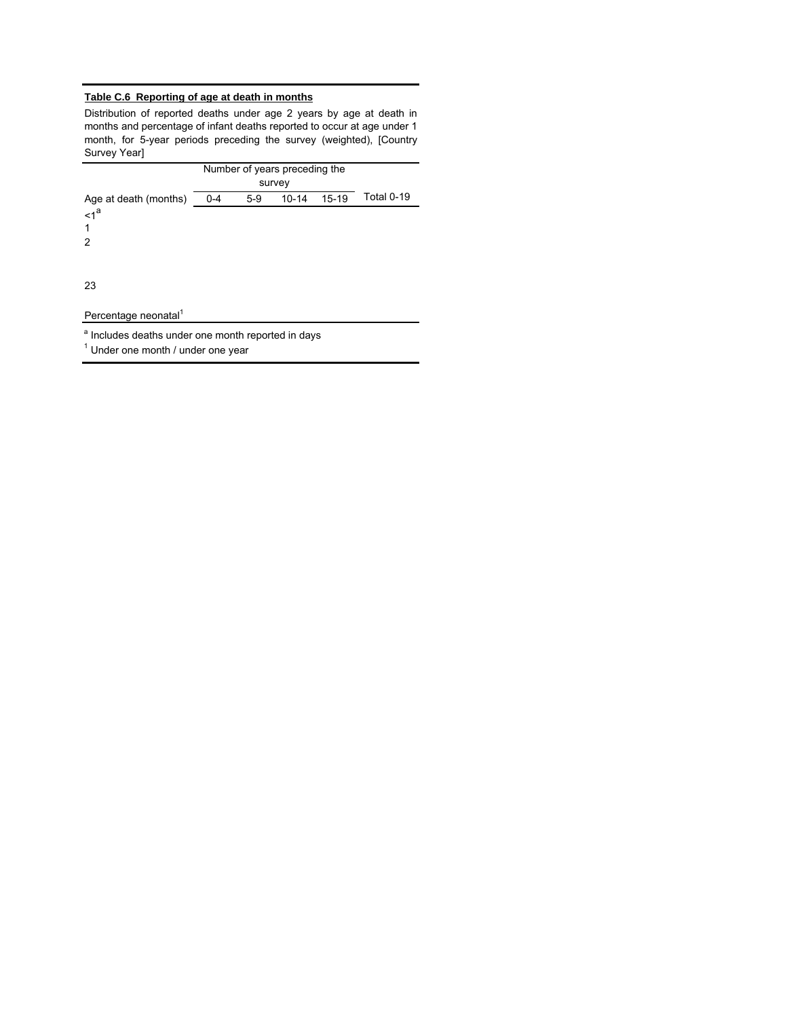# **Table C.6 Reporting of age at death in months**

Distribution of reported deaths under age 2 years by age at death in months and percentage of infant deaths reported to occur at age under 1 month, for 5-year periods preceding the survey (weighted), [Country Survey Year]

|                                                         | Number of years preceding the |       |           |           |            |
|---------------------------------------------------------|-------------------------------|-------|-----------|-----------|------------|
| Age at death (months)<br>$\leq 1^a$<br>$\mathbf 1$<br>2 | $0 - 4$                       | $5-9$ | $10 - 14$ | $15 - 19$ | Total 0-19 |
| 23                                                      |                               |       |           |           |            |
| Percentage neonatal <sup>1</sup>                        |                               |       |           |           |            |

<sup>a</sup> Includes deaths under one month reported in days

 $<sup>1</sup>$  Under one month / under one year</sup>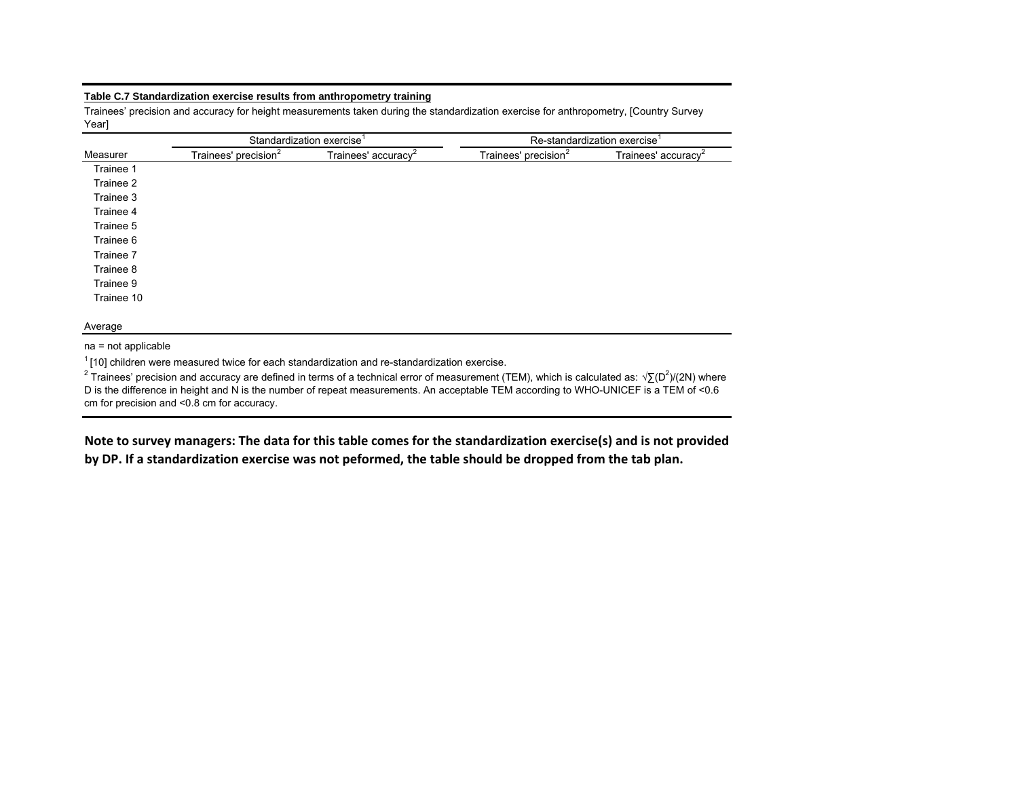## **Table C.7 Standardization exercise results from anthropometry training**

Trainees' precision and accuracy for height measurements taken during the standardization exercise for anthropometry, [Country Survey Year]

|            |                                  | Standardization exercise <sup>1</sup> |                                  | Re-standardization exercise <sup>1</sup> |
|------------|----------------------------------|---------------------------------------|----------------------------------|------------------------------------------|
| Measurer   | Trainees' precision <sup>2</sup> | Trainees' accuracy <sup>2</sup>       | Trainees' precision <sup>2</sup> | Trainees' accuracy <sup>2</sup>          |
| Trainee 1  |                                  |                                       |                                  |                                          |
| Trainee 2  |                                  |                                       |                                  |                                          |
| Trainee 3  |                                  |                                       |                                  |                                          |
| Trainee 4  |                                  |                                       |                                  |                                          |
| Trainee 5  |                                  |                                       |                                  |                                          |
| Trainee 6  |                                  |                                       |                                  |                                          |
| Trainee 7  |                                  |                                       |                                  |                                          |
| Trainee 8  |                                  |                                       |                                  |                                          |
| Trainee 9  |                                  |                                       |                                  |                                          |
| Trainee 10 |                                  |                                       |                                  |                                          |

Average

na = not applicable

 $1$ [10] children were measured twice for each standardization and re-standardization exercise.

<sup>2</sup> Trainees' precision and accuracy are defined in terms of a technical error of measurement (TEM), which is calculated as: √∑(D<sup>2</sup>)/(2N) where D is the difference in height and N is the number of repeat measurements. An acceptable TEM according to WHO-UNICEF is a TEM of <0.6 cm for precision and <0.8 cm for accuracy.

Note to survey managers: The data for this table comes for the standardization exercise(s) and is not provided by DP. If a standardization exercise was not peformed, the table should be dropped from the tab plan.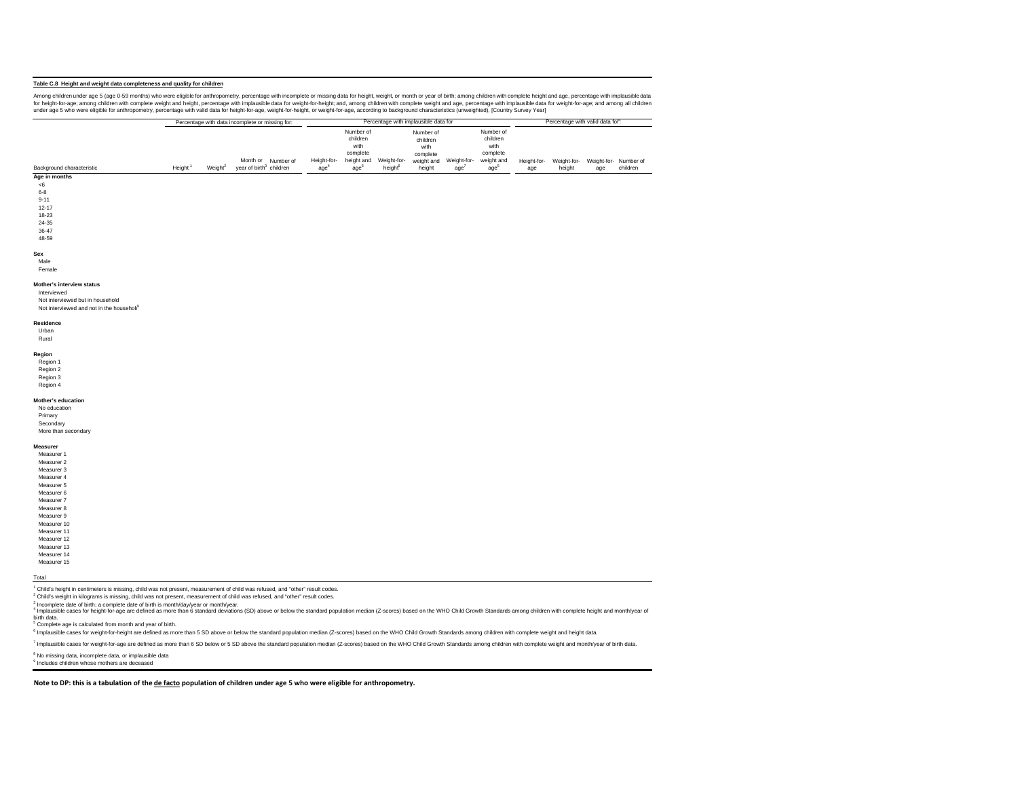## **Table C.8 Height and weight data completeness and quality for children**

Among children under age o-59 months) who were eigble for anthropometry, percentage with incomplete or missing data for height, weight, or month or year of birth; among children with complete height and among children with under age 5 who were eligible for anthropometry, percentage with valid data for height-for-age, weight-for-height, or weight-for-age, according to background characteristics (unweighted), [Country Survey Year]

|                           |        |                     | Percentage with data incomplete or missing for: |           |                    |                                |                       | Percentage with implausible data for |                    |                                |                    | Percentage with valid data for: |                              |          |  |
|---------------------------|--------|---------------------|-------------------------------------------------|-----------|--------------------|--------------------------------|-----------------------|--------------------------------------|--------------------|--------------------------------|--------------------|---------------------------------|------------------------------|----------|--|
|                           |        |                     |                                                 |           |                    | Number of<br>children<br>with  |                       | Number of<br>children                |                    | Number of<br>children<br>with  |                    |                                 |                              |          |  |
|                           |        |                     |                                                 |           |                    | complete                       |                       | with<br>complete                     |                    | complete                       |                    |                                 |                              |          |  |
| Background characteristic | Height | Weight <sup>2</sup> | Month or<br>vear of birth <sup>3</sup> children | Number of | Height-for-<br>age | height and<br>age <sup>-</sup> | Weight-for-<br>height | weight and<br>height                 | Weight-for-<br>age | weight and<br>age <sup>®</sup> | Height-for-<br>age | Weight-for-<br>height           | Weight-for- Number of<br>age | children |  |

## **Age in months**

<6 6-89-11

- 12-1718-23
- 24-35
- 36-47
- 48-59

### **Sex**

## Male

Female

#### **Mother's interview status**

Interviewed Not interviewed but in household

## Not interviewed and not in the household

### **Residence**

Urban Rural

**Region** Region 1

- Region 2 Region 3
- Region 4

**Mother's education** No education

### Primary Secondary

More than secondary

#### **Measurer**Measurer 1

Measurer 2 Measurer 3Measurer 4 Measurer 5 Measurer 6 Measurer 7 Measurer 8 Measurer 9Measurer 10

Measurer 11 Measurer 12 Measurer 13 Measurer 14Measurer 15

#### Total

<sup>1</sup> Child's height in centimeters is missing, child was not present, measurement of child was refused, and "other" result codes.

<sup>2</sup> Child's weight in kilograms is missing, child was not present, measurement of child was refused, and "other" result codes.<br><sup>3</sup> Incomplete date of birth: a complete date of birth is month/dav/vear or month/vear.

A maximum and the statement of the statement of the statement of the statement of the statement of the Statement of the Statement of the Statement of the Statement of the Statement of the Statement of the Statement of the

birth data.

 $<sup>5</sup>$  Complete age is calculated from month and year of birth.</sup>

<sup>6</sup> Implausible cases for weight-for-height are defined as more than 5 SD above or below the standard population median (Z-scores) based on the WHO Child Growth Standards among children with complete weight and height data

7 Implausible cases for weight-for-age are defined as more than 6 SD below or 5 SD above the standard population median (Z-scores) based on the WHO Child Growth Standards among children with complete weight and month/year

<sup>8</sup> No missing data, incomplete data, or implausible data

9 Includes children whose mothers are deceased

Note to DP: this is a tabulation of the de facto population of children under age 5 who were eligible for anthropometry.